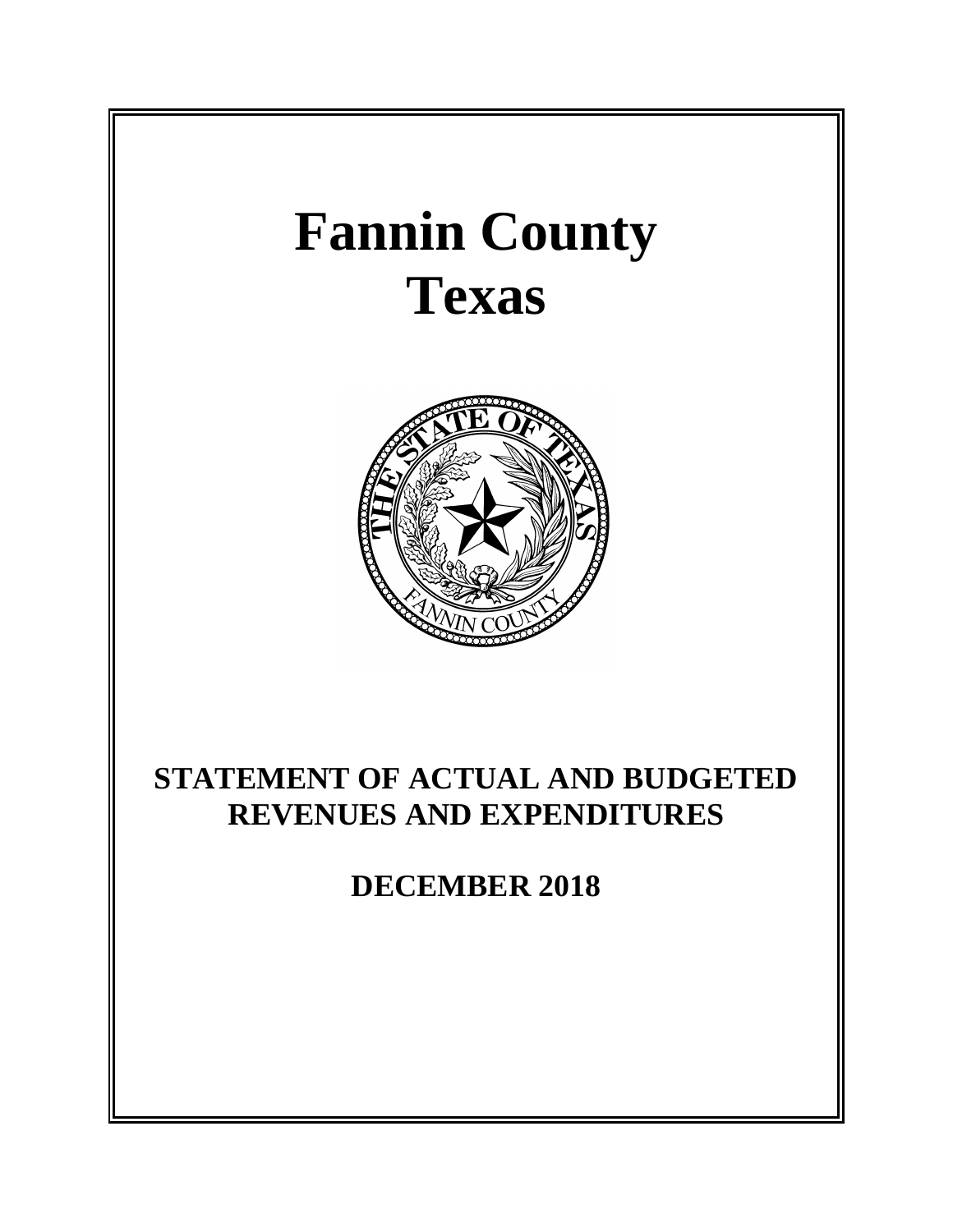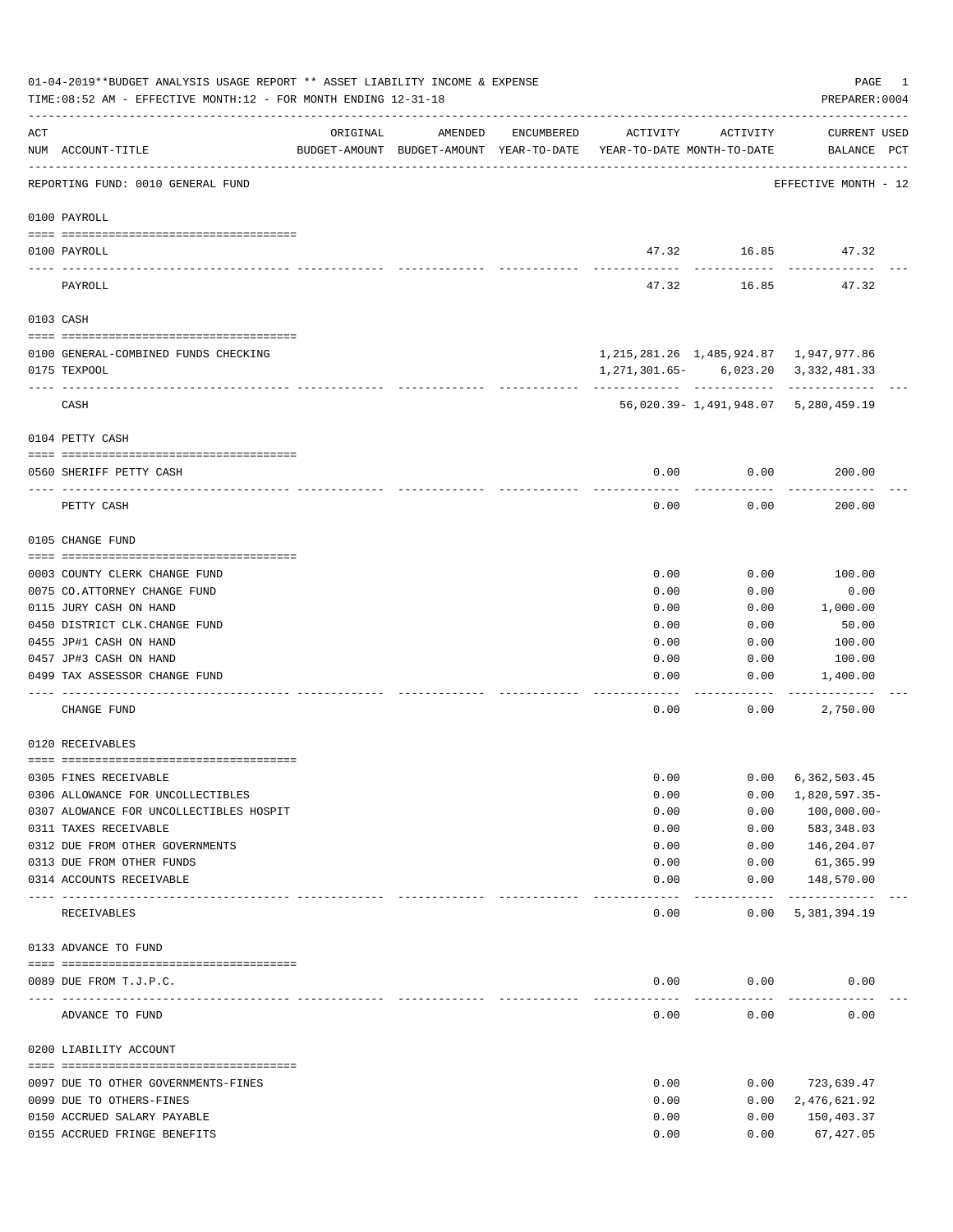|     | 01-04-2019**BUDGET ANALYSIS USAGE REPORT ** ASSET LIABILITY INCOME & EXPENSE<br>TIME: 08:52 AM - EFFECTIVE MONTH: 12 - FOR MONTH ENDING 12-31-18 |                             |                                                                                |            |          |                     | PAGE<br>PREPARER: 0004                          | 1 |
|-----|--------------------------------------------------------------------------------------------------------------------------------------------------|-----------------------------|--------------------------------------------------------------------------------|------------|----------|---------------------|-------------------------------------------------|---|
| ACT | NUM ACCOUNT-TITLE                                                                                                                                | ORIGINAL                    | AMENDED<br>BUDGET-AMOUNT BUDGET-AMOUNT YEAR-TO-DATE YEAR-TO-DATE MONTH-TO-DATE | ENCUMBERED | ACTIVITY | ACTIVITY            | CURRENT USED<br>BALANCE PCT                     |   |
|     | REPORTING FUND: 0010 GENERAL FUND                                                                                                                |                             |                                                                                |            |          |                     | EFFECTIVE MONTH - 12                            |   |
|     | 0100 PAYROLL                                                                                                                                     |                             |                                                                                |            |          |                     |                                                 |   |
|     | 0100 PAYROLL                                                                                                                                     |                             |                                                                                |            |          |                     | 47.32 16.85 47.32                               |   |
|     | ---- -----<br>PAYROLL                                                                                                                            |                             |                                                                                |            | 47.32    | 16.85               | 47.32                                           |   |
|     | 0103 CASH                                                                                                                                        |                             |                                                                                |            |          |                     |                                                 |   |
|     | 0100 GENERAL-COMBINED FUNDS CHECKING                                                                                                             |                             |                                                                                |            |          |                     | 1, 215, 281. 26 1, 485, 924. 87 1, 947, 977. 86 |   |
|     | 0175 TEXPOOL                                                                                                                                     |                             |                                                                                |            |          |                     | 1, 271, 301.65 - 6, 023.20 3, 332, 481.33       |   |
|     | CASH                                                                                                                                             |                             |                                                                                |            |          |                     | 56,020.39-1,491,948.07 5,280,459.19             |   |
|     | 0104 PETTY CASH                                                                                                                                  |                             |                                                                                |            |          |                     |                                                 |   |
|     | 0560 SHERIFF PETTY CASH                                                                                                                          |                             |                                                                                |            | 0.00     | 0.00                | 200.00                                          |   |
|     | PETTY CASH                                                                                                                                       |                             |                                                                                |            | 0.00     | 0.00                | 200.00                                          |   |
|     | 0105 CHANGE FUND                                                                                                                                 |                             |                                                                                |            |          |                     |                                                 |   |
|     | 0003 COUNTY CLERK CHANGE FUND                                                                                                                    |                             |                                                                                |            | 0.00     | 0.00                | 100.00                                          |   |
|     | 0075 CO.ATTORNEY CHANGE FUND                                                                                                                     |                             |                                                                                |            | 0.00     | 0.00                | 0.00                                            |   |
|     | 0115 JURY CASH ON HAND                                                                                                                           |                             |                                                                                |            | 0.00     | 0.00                | 1,000.00                                        |   |
|     | 0450 DISTRICT CLK. CHANGE FUND                                                                                                                   |                             |                                                                                |            | 0.00     | 0.00                | 50.00                                           |   |
|     | 0455 JP#1 CASH ON HAND                                                                                                                           |                             |                                                                                |            | 0.00     | 0.00                | 100.00                                          |   |
|     | 0457 JP#3 CASH ON HAND                                                                                                                           |                             |                                                                                |            | 0.00     | 0.00                | 100.00                                          |   |
|     | 0499 TAX ASSESSOR CHANGE FUND                                                                                                                    |                             |                                                                                |            | 0.00     | 0.00                | 1,400.00                                        |   |
|     | CHANGE FUND                                                                                                                                      |                             |                                                                                |            | 0.00     | 0.00                | 2,750.00                                        |   |
|     | 0120 RECEIVABLES                                                                                                                                 |                             |                                                                                |            |          |                     |                                                 |   |
|     | 0305 FINES RECEIVABLE                                                                                                                            |                             |                                                                                |            | 0.00     | 0.00                | 6,362,503.45                                    |   |
|     | 0306 ALLOWANCE FOR UNCOLLECTIBLES                                                                                                                |                             |                                                                                |            | 0.00     | 0.00                | 1,820,597.35-                                   |   |
|     | 0307 ALOWANCE FOR UNCOLLECTIBLES HOSPIT                                                                                                          |                             |                                                                                |            | 0.00     | 0.00                | $100,000.00 -$                                  |   |
|     | 0311 TAXES RECEIVABLE                                                                                                                            |                             |                                                                                |            | 0.00     | 0.00                | 583, 348.03                                     |   |
|     | 0312 DUE FROM OTHER GOVERNMENTS                                                                                                                  |                             |                                                                                |            | 0.00     | 0.00                | 146,204.07                                      |   |
|     | 0313 DUE FROM OTHER FUNDS                                                                                                                        |                             |                                                                                |            | 0.00     | 0.00                | 61,365.99                                       |   |
|     | 0314 ACCOUNTS RECEIVABLE                                                                                                                         | ------------- ------------- |                                                                                |            | 0.00     | 0.00<br>$- - - - -$ | 148,570.00<br>-------------                     |   |
|     | RECEIVABLES                                                                                                                                      |                             |                                                                                |            | 0.00     | 0.00                | 5,381,394.19                                    |   |
|     | 0133 ADVANCE TO FUND                                                                                                                             |                             |                                                                                |            |          |                     |                                                 |   |
|     |                                                                                                                                                  |                             |                                                                                |            |          |                     |                                                 |   |
|     | 0089 DUE FROM T.J.P.C.<br>---------------------- ------------                                                                                    |                             |                                                                                |            | 0.00     | 0.00                | 0.00                                            |   |
|     | ADVANCE TO FUND                                                                                                                                  |                             |                                                                                |            | 0.00     | 0.00                | 0.00                                            |   |
|     | 0200 LIABILITY ACCOUNT                                                                                                                           |                             |                                                                                |            |          |                     |                                                 |   |
|     | 0097 DUE TO OTHER GOVERNMENTS-FINES                                                                                                              |                             |                                                                                |            | 0.00     | 0.00                | 723,639.47                                      |   |
|     | 0099 DUE TO OTHERS-FINES                                                                                                                         |                             |                                                                                |            | 0.00     | 0.00                | 2,476,621.92                                    |   |
|     | 0150 ACCRUED SALARY PAYABLE                                                                                                                      |                             |                                                                                |            | 0.00     | 0.00                | 150,403.37                                      |   |
|     | 0155 ACCRUED FRINGE BENEFITS                                                                                                                     |                             |                                                                                |            | 0.00     | 0.00                | 67, 427.05                                      |   |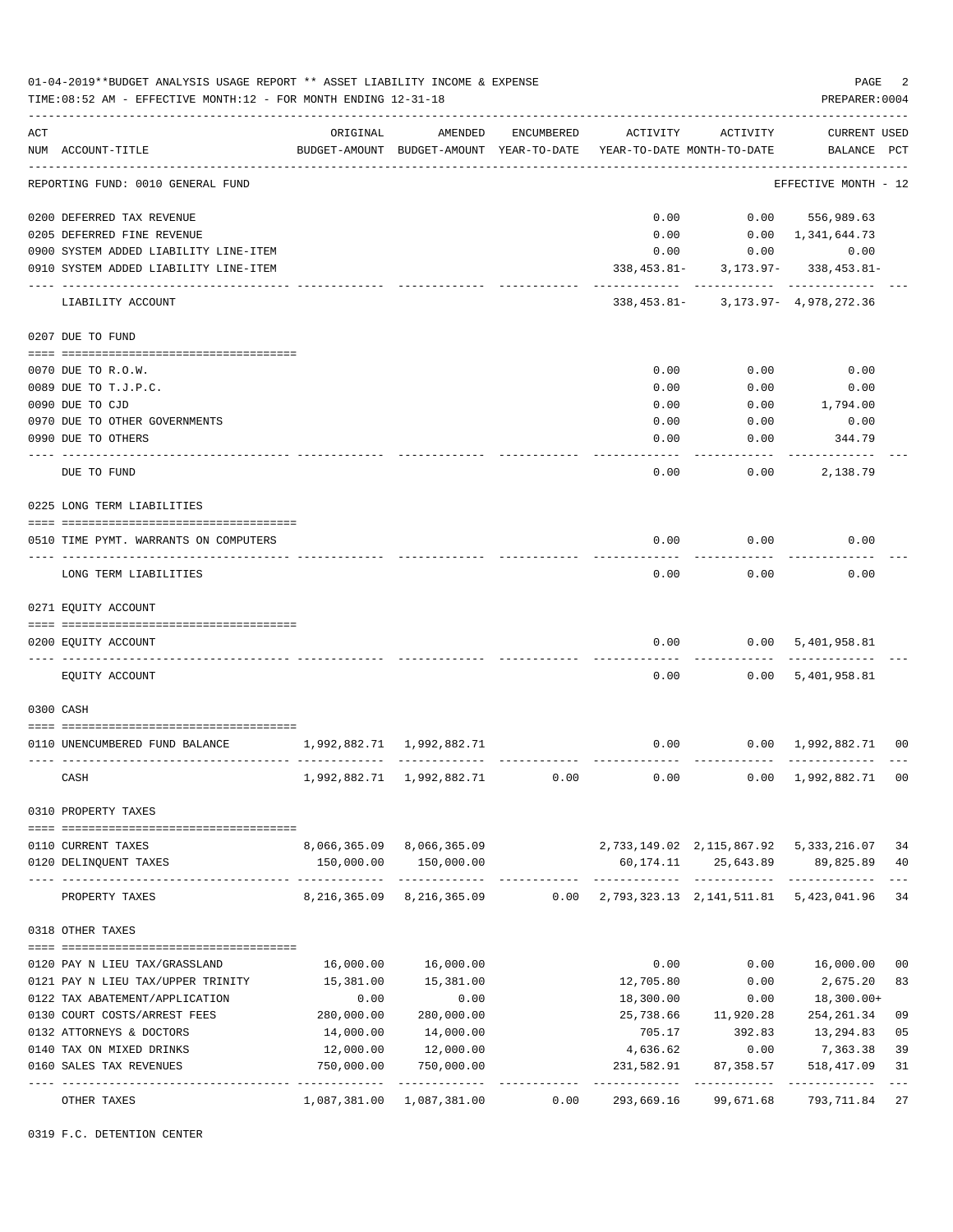|     | TIME: 08:52 AM - EFFECTIVE MONTH: 12 - FOR MONTH ENDING 12-31-18 |                           |                                                                       |            |            |                      | PREPARER: 0004                              |                |
|-----|------------------------------------------------------------------|---------------------------|-----------------------------------------------------------------------|------------|------------|----------------------|---------------------------------------------|----------------|
| ACT |                                                                  | ORIGINAL                  | AMENDED                                                               | ENCUMBERED | ACTIVITY   | ACTIVITY             | <b>CURRENT USED</b>                         |                |
|     | NUM ACCOUNT-TITLE                                                |                           | BUDGET-AMOUNT BUDGET-AMOUNT YEAR-TO-DATE YEAR-TO-DATE MONTH-TO-DATE   |            |            |                      | BALANCE PCT                                 |                |
|     | REPORTING FUND: 0010 GENERAL FUND                                |                           |                                                                       |            |            |                      | EFFECTIVE MONTH - 12                        |                |
|     | 0200 DEFERRED TAX REVENUE                                        |                           |                                                                       |            | 0.00       |                      | $0.00$ 556,989.63                           |                |
|     | 0205 DEFERRED FINE REVENUE                                       |                           |                                                                       |            | 0.00       |                      | $0.00 \quad 1,341,644.73$                   |                |
|     | 0900 SYSTEM ADDED LIABILITY LINE-ITEM                            |                           |                                                                       |            | 0.00       |                      | 0.00<br>0.00                                |                |
|     | 0910 SYSTEM ADDED LIABILITY LINE-ITEM                            |                           |                                                                       |            |            |                      | 338, 453. 81 - 3, 173. 97 - 338, 453. 81 -  |                |
|     | LIABILITY ACCOUNT                                                |                           |                                                                       |            |            |                      | 338, 453. 81 - 3, 173. 97 - 4, 978, 272. 36 |                |
|     | 0207 DUE TO FUND                                                 |                           |                                                                       |            |            |                      |                                             |                |
|     | 0070 DUE TO R.O.W.                                               |                           |                                                                       |            | 0.00       | 0.00                 | 0.00                                        |                |
|     | 0089 DUE TO T.J.P.C.                                             |                           |                                                                       |            | 0.00       | 0.00                 | 0.00                                        |                |
|     | 0090 DUE TO CJD                                                  |                           |                                                                       |            | 0.00       | 0.00                 | 1,794.00                                    |                |
|     | 0970 DUE TO OTHER GOVERNMENTS                                    |                           |                                                                       |            | 0.00       | 0.00                 | 0.00                                        |                |
|     | 0990 DUE TO OTHERS                                               |                           |                                                                       |            | 0.00       | 0.00                 | 344.79                                      |                |
|     | DUE TO FUND                                                      |                           |                                                                       |            | 0.00       | 0.00                 | 2,138.79                                    |                |
|     | 0225 LONG TERM LIABILITIES                                       |                           |                                                                       |            |            |                      |                                             |                |
|     |                                                                  |                           |                                                                       |            |            |                      |                                             |                |
|     | 0510 TIME PYMT. WARRANTS ON COMPUTERS                            |                           |                                                                       |            | 0.00       | 0.00                 | 0.00                                        |                |
|     | LONG TERM LIABILITIES                                            |                           |                                                                       |            | 0.00       | 0.00                 | 0.00                                        |                |
|     | 0271 EQUITY ACCOUNT                                              |                           |                                                                       |            |            |                      |                                             |                |
|     |                                                                  |                           |                                                                       |            |            |                      |                                             |                |
|     | 0200 EQUITY ACCOUNT                                              |                           |                                                                       |            | 0.00       | - - - - - - - -      | 0.00 5,401,958.81                           |                |
|     | EQUITY ACCOUNT                                                   |                           |                                                                       |            | 0.00       |                      | 0.00 5,401,958.81                           |                |
|     | 0300 CASH                                                        |                           |                                                                       |            |            |                      |                                             |                |
|     | 0110 UNENCUMBERED FUND BALANCE                                   | 1,992,882.71 1,992,882.71 |                                                                       |            | 0.00       |                      | $0.00 \quad 1,992,882.71 \quad 00$          |                |
|     |                                                                  |                           |                                                                       |            |            |                      |                                             |                |
|     | CASH                                                             |                           | 1,992,882.71 1,992,882.71                                             | 0.00       | 0.00       |                      | 0.00 1,992,882.71 00                        |                |
|     | 0310 PROPERTY TAXES                                              |                           |                                                                       |            |            |                      |                                             |                |
|     | 0110 CURRENT TAXES                                               |                           | 8,066,365.09 8,066,365.09 2,733,149.02 2,115,867.92 5,333,216.07      |            |            |                      |                                             | 34             |
|     | 0120 DELINQUENT TAXES                                            |                           | 150,000.00 150,000.00                                                 |            |            |                      | 60,174.11 25,643.89 89,825.89               | 40             |
|     | PROPERTY TAXES                                                   |                           | 8,216,365.09 8,216,365.09 0.00 2,793,323.13 2,141,511.81 5,423,041.96 |            |            |                      |                                             | $---$<br>34    |
|     | 0318 OTHER TAXES                                                 |                           |                                                                       |            |            |                      |                                             |                |
|     | 0120 PAY N LIEU TAX/GRASSLAND                                    |                           | 16,000.00    16,000.00                                                |            | 0.00       | 0.00                 | 16,000.00                                   | 0 <sub>0</sub> |
|     | 0121 PAY N LIEU TAX/UPPER TRINITY                                | 15,381.00                 | 15,381.00                                                             |            | 12,705.80  | 0.00                 | 2,675.20                                    | 83             |
|     | 0122 TAX ABATEMENT/APPLICATION                                   | 0.00                      | 0.00                                                                  |            | 18,300.00  | 0.00                 | 18,300.00+                                  |                |
|     | 0130 COURT COSTS/ARREST FEES                                     | 280,000.00                | 280,000.00                                                            |            |            | 25,738.66 11,920.28  | 254,261.34                                  | 09             |
|     | 0132 ATTORNEYS & DOCTORS                                         | 14,000.00                 | 14,000.00                                                             |            | 705.17     | 392.83               | 13,294.83                                   | 05             |
|     | 0140 TAX ON MIXED DRINKS                                         | 12,000.00                 | 12,000.00                                                             |            | 4,636.62   | 0.00                 | 7,363.38                                    | 39             |
|     | 0160 SALES TAX REVENUES                                          | 750,000.00                | 750,000.00                                                            |            | 231,582.91 | 87,358.57            | 518,417.09                                  | 31             |
|     |                                                                  |                           | 1,087,381.00 1,087,381.00                                             | 0.00       |            | 293,669.16 99,671.68 | 793,711.84                                  | 27             |

0319 F.C. DETENTION CENTER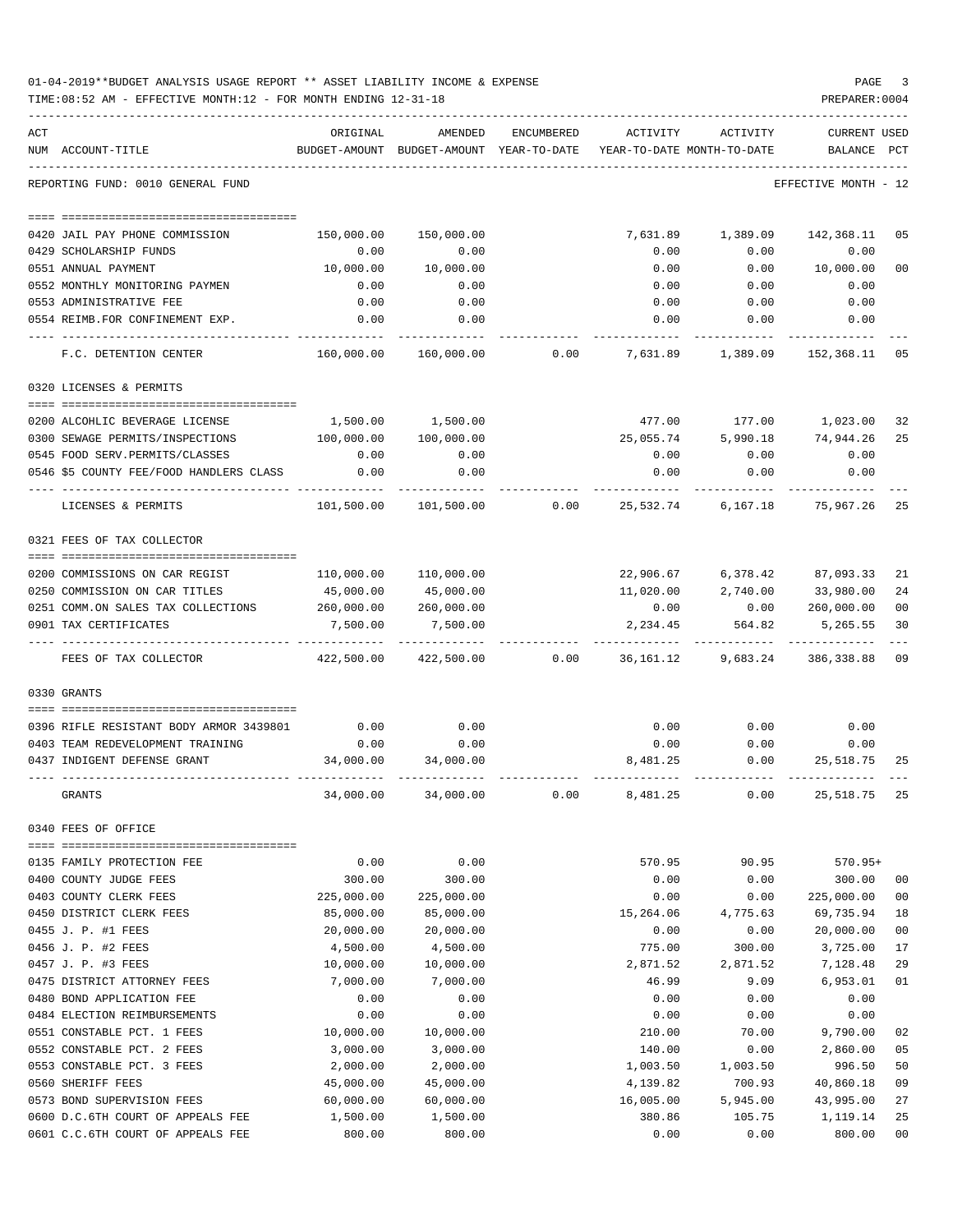|     | 01-04-2019**BUDGET ANALYSIS USAGE REPORT ** ASSET LIABILITY INCOME & EXPENSE<br>TIME: 08:52 AM - EFFECTIVE MONTH: 12 - FOR MONTH ENDING 12-31-18 |                   |                                                                                |            |           |                                         | PAGE<br>PREPARER: 0004               | 3      |
|-----|--------------------------------------------------------------------------------------------------------------------------------------------------|-------------------|--------------------------------------------------------------------------------|------------|-----------|-----------------------------------------|--------------------------------------|--------|
| ACT | NUM ACCOUNT-TITLE                                                                                                                                | ORIGINAL          | AMENDED<br>BUDGET-AMOUNT BUDGET-AMOUNT YEAR-TO-DATE YEAR-TO-DATE MONTH-TO-DATE | ENCUMBERED | ACTIVITY  |                                         | ACTIVITY CURRENT USED<br>BALANCE PCT |        |
|     | REPORTING FUND: 0010 GENERAL FUND                                                                                                                |                   |                                                                                |            |           |                                         | EFFECTIVE MONTH - 12                 |        |
|     |                                                                                                                                                  |                   |                                                                                |            |           |                                         |                                      |        |
|     | 0420 JAIL PAY PHONE COMMISSION                                                                                                                   | 150,000.00        | 150,000.00                                                                     |            |           | 7,631.89 1,389.09                       | 142,368.11                           | 05     |
|     | 0429 SCHOLARSHIP FUNDS                                                                                                                           | 0.00              | 0.00                                                                           |            | 0.00      | 0.00                                    | 0.00                                 |        |
|     | 0551 ANNUAL PAYMENT                                                                                                                              | 10,000.00         | 10,000.00                                                                      |            | 0.00      |                                         | 0.00 10,000.00                       | 00     |
|     | 0552 MONTHLY MONITORING PAYMEN                                                                                                                   | 0.00              | 0.00                                                                           |            | 0.00      | 0.00                                    | 0.00                                 |        |
|     | 0553 ADMINISTRATIVE FEE                                                                                                                          | 0.00              | 0.00                                                                           |            | 0.00      | 0.00                                    | 0.00                                 |        |
|     | 0554 REIMB.FOR CONFINEMENT EXP.                                                                                                                  | 0.00              | 0.00                                                                           |            |           | $0.00$ $0.00$ $0.00$                    |                                      |        |
|     | F.C. DETENTION CENTER                                                                                                                            |                   | 160,000.00  160,000.00     0.00    7,631.89   1,389.09  152,368.11  05         |            |           |                                         |                                      |        |
|     | 0320 LICENSES & PERMITS                                                                                                                          |                   |                                                                                |            |           |                                         |                                      |        |
|     | 0200 ALCOHLIC BEVERAGE LICENSE                                                                                                                   |                   | 1,500.00 1,500.00                                                              |            |           | 477.00    177.00    1,023.00            |                                      | 32     |
|     | 0300 SEWAGE PERMITS/INSPECTIONS                                                                                                                  | 100,000.00        | 100,000.00                                                                     |            | 25,055.74 |                                         | 5,990.18 74,944.26                   | 25     |
|     | 0545 FOOD SERV. PERMITS/CLASSES                                                                                                                  | 0.00              | 0.00                                                                           |            | 0.00      | 0.00                                    | 0.00                                 |        |
|     | 0546 \$5 COUNTY FEE/FOOD HANDLERS CLASS                                                                                                          | 0.00              | 0.00                                                                           |            | 0.00      | 0.00                                    | 0.00                                 |        |
|     | LICENSES & PERMITS                                                                                                                               |                   |                                                                                |            |           |                                         |                                      |        |
|     | 0321 FEES OF TAX COLLECTOR                                                                                                                       |                   |                                                                                |            |           |                                         |                                      |        |
|     |                                                                                                                                                  |                   |                                                                                |            |           |                                         |                                      |        |
|     | 0200 COMMISSIONS ON CAR REGIST                                                                                                                   |                   | 110,000.00 110,000.00                                                          |            |           | 22,906.67 6,378.42 87,093.33            |                                      | 21     |
|     | 0250 COMMISSION ON CAR TITLES                                                                                                                    | 45,000.00         | 45,000.00                                                                      |            |           | 11,020.00 2,740.00 33,980.00            |                                      | 24     |
|     | 0251 COMM.ON SALES TAX COLLECTIONS 260,000.00 260,000.00                                                                                         |                   |                                                                                |            |           | $0.00$ $0.00$ $260,000.00$              |                                      | 00     |
|     | 0901 TAX CERTIFICATES                                                                                                                            | 7,500.00          | 7,500.00                                                                       |            |           | 2,234.45 564.82                         | 5,265.55                             | 30     |
|     | FEES OF TAX COLLECTOR                                                                                                                            |                   | 422,500.00 422,500.00                                                          |            |           | $0.00$ 36,161.12 9,683.24 386,338.88 09 |                                      |        |
|     | 0330 GRANTS                                                                                                                                      |                   |                                                                                |            |           |                                         |                                      |        |
|     |                                                                                                                                                  |                   |                                                                                |            |           |                                         |                                      |        |
|     | 0396 RIFLE RESISTANT BODY ARMOR 3439801                                                                                                          | 0.00              | 0.00                                                                           |            | 0.00      | 0.00                                    | 0.00                                 |        |
|     | 0403 TEAM REDEVELOPMENT TRAINING                                                                                                                 | 0.00<br>34,000.00 | 0.00                                                                           |            | 0.00      | 0.00                                    | 0.00<br>0.00 25,518.75               |        |
|     | 0437 INDIGENT DEFENSE GRANT                                                                                                                      |                   | 34,000.00                                                                      |            | 8,481.25  |                                         |                                      | 25     |
|     | GRANTS                                                                                                                                           | 34,000.00         | 34,000.00                                                                      | 0.00       | 8,481.25  | 0.00                                    | 25,518.75                            | 25     |
|     | 0340 FEES OF OFFICE                                                                                                                              |                   |                                                                                |            |           |                                         |                                      |        |
|     | 0135 FAMILY PROTECTION FEE                                                                                                                       | 0.00              | 0.00                                                                           |            | 570.95    | 90.95                                   | 570.95+                              |        |
|     | 0400 COUNTY JUDGE FEES                                                                                                                           | 300.00            | 300.00                                                                         |            | 0.00      | 0.00                                    | 300.00                               | 00     |
|     | 0403 COUNTY CLERK FEES                                                                                                                           | 225,000.00        | 225,000.00                                                                     |            | 0.00      | 0.00                                    | 225,000.00                           | $00\,$ |
|     | 0450 DISTRICT CLERK FEES                                                                                                                         | 85,000.00         | 85,000.00                                                                      |            | 15,264.06 | 4,775.63                                | 69,735.94                            | 18     |
|     | 0455 J. P. #1 FEES                                                                                                                               | 20,000.00         | 20,000.00                                                                      |            | 0.00      | 0.00                                    | 20,000.00                            | 00     |
|     | 0456 J. P. #2 FEES                                                                                                                               | 4,500.00          | 4,500.00                                                                       |            | 775.00    | 300.00                                  | 3,725.00                             | 17     |
|     | 0457 J. P. #3 FEES                                                                                                                               | 10,000.00         | 10,000.00                                                                      |            | 2,871.52  | 2,871.52                                | 7,128.48                             | 29     |
|     | 0475 DISTRICT ATTORNEY FEES                                                                                                                      | 7,000.00          | 7,000.00                                                                       |            | 46.99     | 9.09                                    | 6,953.01                             | 01     |
|     | 0480 BOND APPLICATION FEE                                                                                                                        | 0.00              | 0.00                                                                           |            | 0.00      | 0.00                                    | 0.00                                 |        |
|     | 0484 ELECTION REIMBURSEMENTS                                                                                                                     | 0.00              | 0.00                                                                           |            | 0.00      | 0.00                                    | 0.00                                 |        |
|     | 0551 CONSTABLE PCT. 1 FEES                                                                                                                       | 10,000.00         | 10,000.00                                                                      |            | 210.00    | 70.00                                   | 9,790.00                             | 02     |
|     | 0552 CONSTABLE PCT. 2 FEES                                                                                                                       | 3,000.00          | 3,000.00                                                                       |            | 140.00    | 0.00                                    | 2,860.00                             | 05     |
|     | 0553 CONSTABLE PCT. 3 FEES                                                                                                                       | 2,000.00          | 2,000.00                                                                       |            | 1,003.50  | 1,003.50                                | 996.50                               | 50     |
|     | 0560 SHERIFF FEES                                                                                                                                | 45,000.00         | 45,000.00                                                                      |            | 4,139.82  | 700.93                                  | 40,860.18                            | 09     |
|     | 0573 BOND SUPERVISION FEES                                                                                                                       | 60,000.00         | 60,000.00                                                                      |            | 16,005.00 | 5,945.00                                | 43,995.00                            | 27     |
|     | 0600 D.C.6TH COURT OF APPEALS FEE                                                                                                                | 1,500.00          | 1,500.00                                                                       |            | 380.86    | 105.75                                  | 1,119.14                             | 25     |
|     | 0601 C.C.6TH COURT OF APPEALS FEE                                                                                                                | 800.00            | 800.00                                                                         |            | 0.00      | 0.00                                    | 800.00                               | 00     |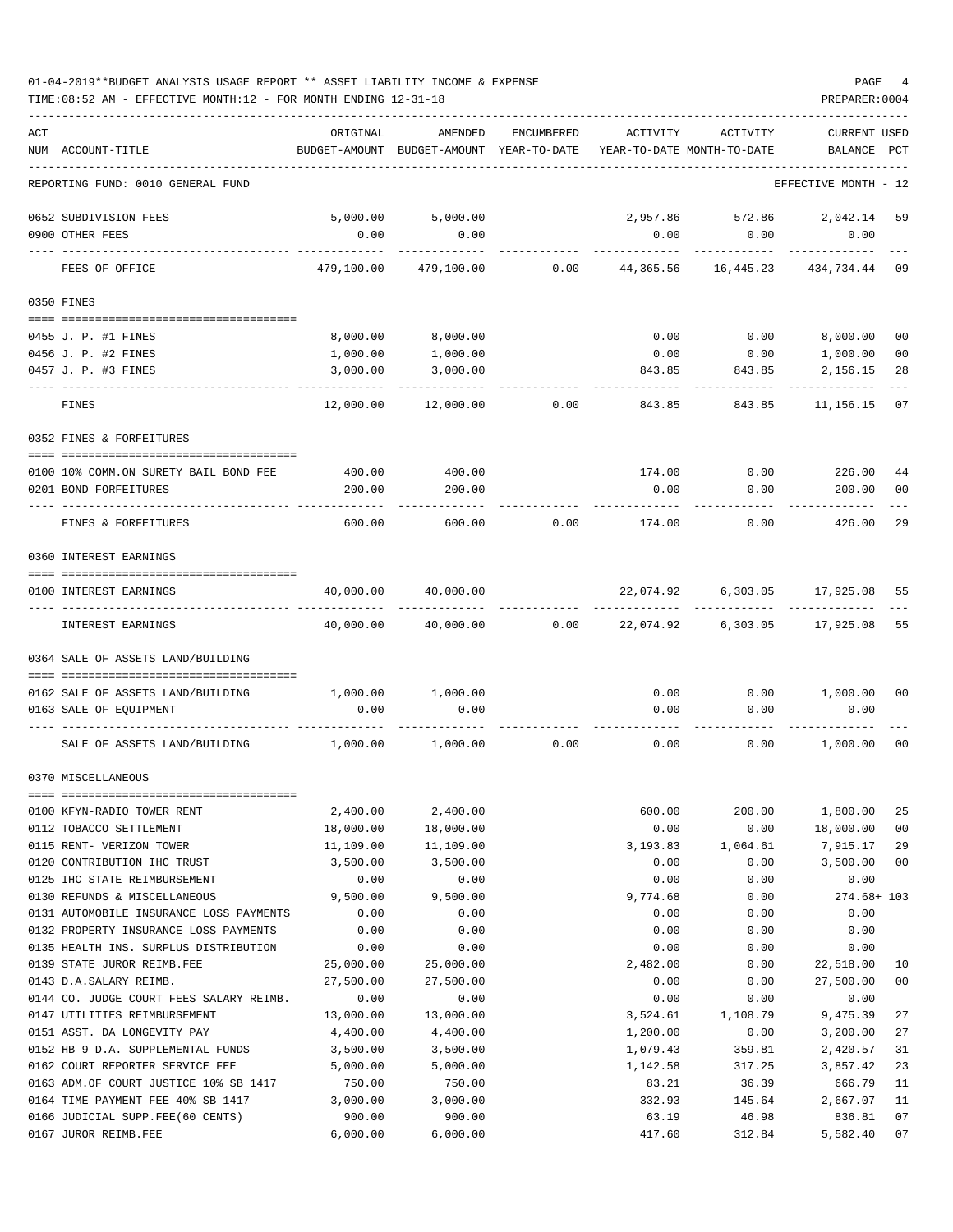| 01-04-2019**BUDGET ANALYSIS USAGE REPORT ** ASSET LIABILITY INCOME & EXPENSE | PAGE           |
|------------------------------------------------------------------------------|----------------|
| TIME:08:52 AM - EFFECTIVE MONTH:12 - FOR MONTH ENDING 12-31-18               | PREPARER: 0004 |

| ACT |                                         |            |                                                                                |            | ACTIVITY                  | ACTIVITY      | <b>CURRENT USED</b>  |                |
|-----|-----------------------------------------|------------|--------------------------------------------------------------------------------|------------|---------------------------|---------------|----------------------|----------------|
|     | NUM ACCOUNT-TITLE                       | ORIGINAL   | AMENDED<br>BUDGET-AMOUNT BUDGET-AMOUNT YEAR-TO-DATE YEAR-TO-DATE MONTH-TO-DATE | ENCUMBERED |                           |               | BALANCE PCT          |                |
|     |                                         |            |                                                                                |            |                           |               |                      |                |
|     | REPORTING FUND: 0010 GENERAL FUND       |            |                                                                                |            |                           |               | EFFECTIVE MONTH - 12 |                |
|     | 0652 SUBDIVISION FEES                   | 5,000.00   | 5,000.00                                                                       |            | 2,957.86                  | 572.86        | 2,042.14             | 59             |
|     | 0900 OTHER FEES                         | 0.00       | 0.00                                                                           |            | 0.00                      | 0.00          | 0.00                 |                |
|     | FEES OF OFFICE                          | 479,100.00 | 479,100.00                                                                     | 0.00       | 44,365.56                 | 16,445.23     | 434,734.44           | 09             |
|     | 0350 FINES                              |            |                                                                                |            |                           |               |                      |                |
|     | 0455 J. P. #1 FINES                     | 8,000.00   | 8,000.00                                                                       |            |                           | $0.00$ 0.00   | 8,000.00             | 0 <sub>0</sub> |
|     | 0456 J. P. #2 FINES                     | 1,000.00   | 1,000.00                                                                       |            |                           | $0.00$ 0.00   | 1,000.00             | 0 <sub>0</sub> |
|     | 0457 J. P. #3 FINES                     | 3,000.00   | 3,000.00                                                                       |            |                           | 843.85 843.85 | 2,156.15             | 28             |
|     |                                         |            |                                                                                |            |                           |               |                      |                |
|     | FINES                                   | 12,000.00  | 12,000.00                                                                      | 0.00       | 843.85                    | 843.85        | 11,156.15            | 07             |
|     | 0352 FINES & FORFEITURES                |            |                                                                                |            |                           |               |                      |                |
|     |                                         |            |                                                                                |            |                           |               |                      |                |
|     | 0100 10% COMM.ON SURETY BAIL BOND FEE   | 400.00     | 400.00                                                                         |            |                           | 174.00 0.00   | 226.00               | 44             |
|     | 0201 BOND FORFEITURES                   | 200.00     | 200.00                                                                         |            | 0.00                      | 0.00          | 200.00               | 0 <sub>0</sub> |
|     | FINES & FORFEITURES                     | 600.00     | 600.00                                                                         | 0.00       | 174.00                    | 0.00          | 426.00               | 29             |
|     | 0360 INTEREST EARNINGS                  |            |                                                                                |            |                           |               |                      |                |
|     |                                         |            |                                                                                |            |                           |               |                      |                |
|     | 0100 INTEREST EARNINGS                  | 40,000.00  | 40,000.00                                                                      |            | 22,074.92                 | 6,303.05      | 17,925.08            | 55             |
|     | INTEREST EARNINGS                       | 40,000.00  | 40,000.00                                                                      |            | $0.00$ 22,074.92 6,303.05 |               | 17,925.08            | 55             |
|     | 0364 SALE OF ASSETS LAND/BUILDING       |            |                                                                                |            |                           |               |                      |                |
|     |                                         |            |                                                                                |            |                           |               |                      |                |
|     | 0162 SALE OF ASSETS LAND/BUILDING       | 1,000.00   | 1,000.00                                                                       |            | 0.00                      |               | $0.00$ 1,000.00      | 00             |
|     | 0163 SALE OF EQUIPMENT                  | 0.00       | 0.00                                                                           |            | 0.00                      | 0.00          | 0.00                 |                |
|     | SALE OF ASSETS LAND/BUILDING            | 1,000.00   | 1,000.00                                                                       | 0.00       | 0.00                      | 0.00          | 1,000.00             | 0 <sub>0</sub> |
|     | 0370 MISCELLANEOUS                      |            |                                                                                |            |                           |               |                      |                |
|     | 0100 KFYN-RADIO TOWER RENT              | 2,400.00   | 2,400.00                                                                       |            | 600.00                    | 200.00        | 1,800.00             | 25             |
|     | 0112 TOBACCO SETTLEMENT                 | 18,000.00  | 18,000.00                                                                      |            | 0.00                      | 0.00          | 18,000.00            | 0 <sub>0</sub> |
|     | 0115 RENT- VERIZON TOWER                | 11,109.00  | 11,109.00                                                                      |            | 3,193.83                  | 1,064.61      | 7,915.17             | 29             |
|     | 0120 CONTRIBUTION IHC TRUST             | 3,500.00   | 3,500.00                                                                       |            | 0.00                      | 0.00          | 3,500.00             | 0 <sub>0</sub> |
|     | 0125 IHC STATE REIMBURSEMENT            | 0.00       | 0.00                                                                           |            | 0.00                      | 0.00          | 0.00                 |                |
|     | 0130 REFUNDS & MISCELLANEOUS            | 9,500.00   | 9,500.00                                                                       |            | 9,774.68                  | 0.00          | 274.68+ 103          |                |
|     | 0131 AUTOMOBILE INSURANCE LOSS PAYMENTS | 0.00       | 0.00                                                                           |            | 0.00                      | 0.00          | 0.00                 |                |
|     | 0132 PROPERTY INSURANCE LOSS PAYMENTS   | 0.00       | 0.00                                                                           |            | 0.00                      | 0.00          | 0.00                 |                |
|     | 0135 HEALTH INS. SURPLUS DISTRIBUTION   | 0.00       | 0.00                                                                           |            | 0.00                      | 0.00          | 0.00                 |                |
|     | 0139 STATE JUROR REIMB.FEE              | 25,000.00  | 25,000.00                                                                      |            | 2,482.00                  | 0.00          | 22,518.00            | 10             |
|     | 0143 D.A.SALARY REIMB.                  | 27,500.00  | 27,500.00                                                                      |            | 0.00                      | 0.00          | 27,500.00            | 0 <sub>0</sub> |
|     | 0144 CO. JUDGE COURT FEES SALARY REIMB. | 0.00       | 0.00                                                                           |            | 0.00                      | 0.00          | 0.00                 |                |
|     | 0147 UTILITIES REIMBURSEMENT            | 13,000.00  | 13,000.00                                                                      |            | 3,524.61                  | 1,108.79      | 9,475.39             | 27             |
|     | 0151 ASST. DA LONGEVITY PAY             | 4,400.00   | 4,400.00                                                                       |            | 1,200.00                  | 0.00          | 3,200.00             | 27             |
|     | 0152 HB 9 D.A. SUPPLEMENTAL FUNDS       | 3,500.00   | 3,500.00                                                                       |            | 1,079.43                  | 359.81        | 2,420.57             | 31             |
|     | 0162 COURT REPORTER SERVICE FEE         | 5,000.00   | 5,000.00                                                                       |            | 1,142.58                  | 317.25        | 3,857.42             | 23             |
|     | 0163 ADM.OF COURT JUSTICE 10% SB 1417   | 750.00     | 750.00                                                                         |            | 83.21                     | 36.39         | 666.79               | 11             |
|     | 0164 TIME PAYMENT FEE 40% SB 1417       | 3,000.00   | 3,000.00                                                                       |            | 332.93                    | 145.64        | 2,667.07             | 11             |
|     | 0166 JUDICIAL SUPP.FEE(60 CENTS)        | 900.00     | 900.00                                                                         |            | 63.19                     | 46.98         | 836.81               | 07             |
|     | 0167 JUROR REIMB.FEE                    | 6,000.00   | 6,000.00                                                                       |            | 417.60                    | 312.84        | 5,582.40             | 07             |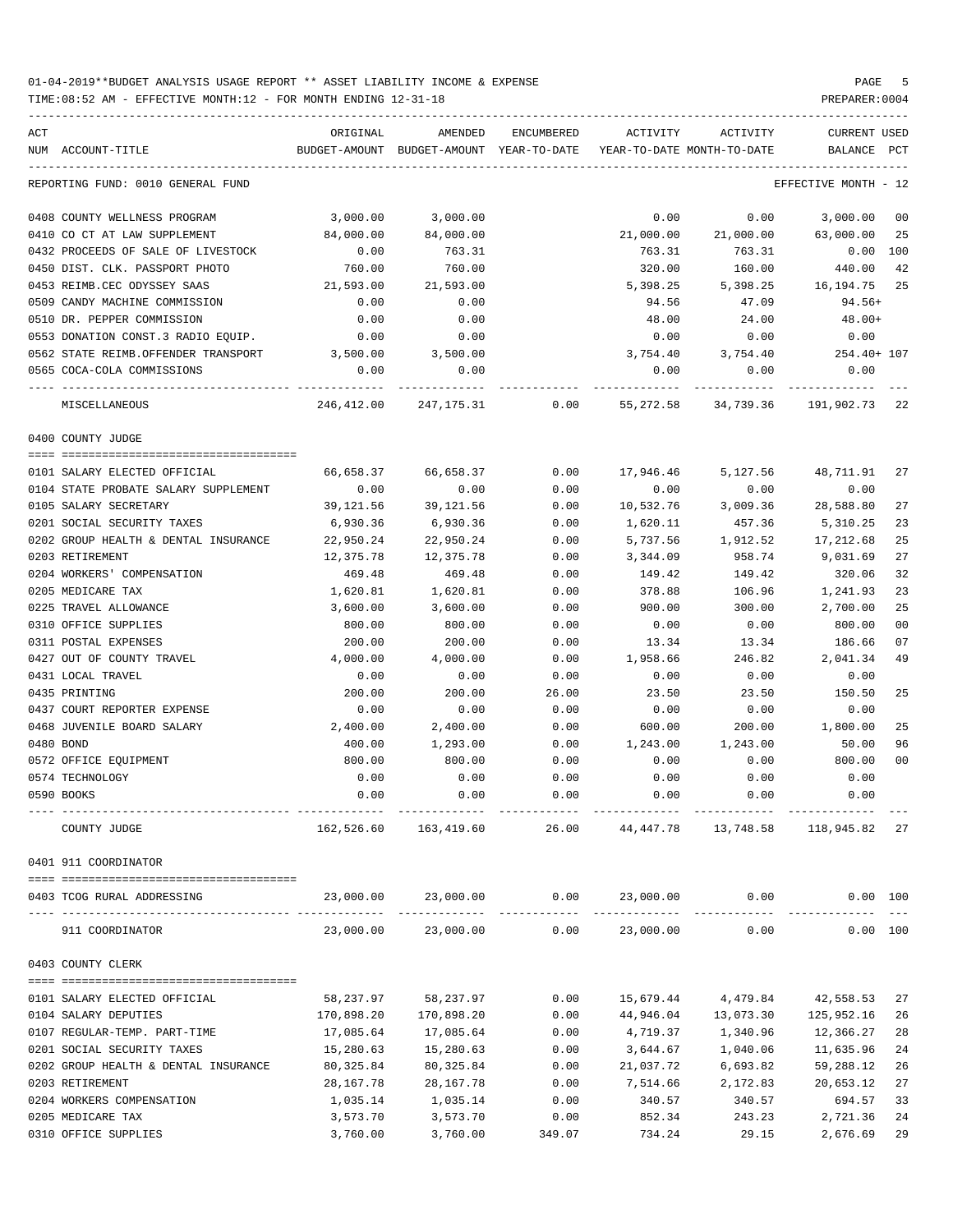| ACT<br>NUM ACCOUNT-TITLE             | ORIGINAL              | AMENDED<br>BUDGET-AMOUNT BUDGET-AMOUNT YEAR-TO-DATE | ENCUMBERED | ACTIVITY  | ACTIVITY<br>YEAR-TO-DATE MONTH-TO-DATE | CURRENT USED<br>BALANCE | PCT      |
|--------------------------------------|-----------------------|-----------------------------------------------------|------------|-----------|----------------------------------------|-------------------------|----------|
| REPORTING FUND: 0010 GENERAL FUND    |                       |                                                     |            |           |                                        | EFFECTIVE MONTH - 12    |          |
| 0408 COUNTY WELLNESS PROGRAM         | 3,000.00              | 3,000.00                                            |            | 0.00      | 0.00                                   | 3,000.00                | 00       |
| 0410 CO CT AT LAW SUPPLEMENT         | 84,000.00             | 84,000.00                                           |            | 21,000.00 |                                        | 21,000.00 63,000.00     | 25       |
| 0432 PROCEEDS OF SALE OF LIVESTOCK   | 0.00                  | 763.31                                              |            | 763.31    | 763.31                                 | 0.00 100                |          |
| 0450 DIST. CLK. PASSPORT PHOTO       | 760.00                | 760.00                                              |            | 320.00    | 160.00                                 | 440.00                  | 42       |
| 0453 REIMB.CEC ODYSSEY SAAS          | 21,593.00             | 21,593.00                                           |            | 5,398.25  | 5,398.25                               | 16,194.75               | 25       |
| 0509 CANDY MACHINE COMMISSION        | 0.00                  | 0.00                                                |            | 94.56     | 47.09                                  | 94.56+                  |          |
| 0510 DR. PEPPER COMMISSION           | 0.00                  | 0.00                                                |            | 48.00     | 24.00                                  | $48.00+$                |          |
| 0553 DONATION CONST.3 RADIO EQUIP.   | 0.00                  | 0.00                                                |            | 0.00      | 0.00                                   | 0.00                    |          |
| 0562 STATE REIMB.OFFENDER TRANSPORT  | 3,500.00              | 3,500.00                                            |            | 3,754.40  | 3,754.40                               | 254.40+ 107             |          |
| 0565 COCA-COLA COMMISSIONS           | 0.00<br>------------- | 0.00                                                |            | 0.00      | 0.00                                   | 0.00                    |          |
| --- ------------<br>MISCELLANEOUS    | 246,412.00            | 247,175.31                                          | 0.00       | 55,272.58 | .<br>34,739.36                         | 191,902.73              | 22       |
| 0400 COUNTY JUDGE                    |                       |                                                     |            |           |                                        |                         |          |
| 0101 SALARY ELECTED OFFICIAL         | 66,658.37             | 66,658.37                                           | 0.00       | 17,946.46 | 5,127.56                               | 48,711.91               | 27       |
| 0104 STATE PROBATE SALARY SUPPLEMENT | 0.00                  | 0.00                                                | 0.00       | 0.00      | 0.00                                   | 0.00                    |          |
| 0105 SALARY SECRETARY                | 39,121.56             | 39,121.56                                           | 0.00       | 10,532.76 | 3,009.36                               | 28,588.80               | 27       |
| 0201 SOCIAL SECURITY TAXES           | 6,930.36              | 6,930.36                                            | 0.00       | 1,620.11  | 457.36                                 | 5,310.25                | 23       |
| 0202 GROUP HEALTH & DENTAL INSURANCE | 22,950.24             | 22,950.24                                           | 0.00       | 5,737.56  | 1,912.52                               | 17,212.68               | 25       |
| 0203 RETIREMENT                      | 12,375.78             | 12,375.78                                           | 0.00       | 3,344.09  | 958.74                                 | 9,031.69                | 27       |
| 0204 WORKERS' COMPENSATION           | 469.48                | 469.48                                              | 0.00       | 149.42    | 149.42                                 | 320.06                  | 32       |
| 0205 MEDICARE TAX                    | 1,620.81              | 1,620.81                                            | 0.00       | 378.88    | 106.96                                 | 1,241.93                | 23       |
| 0225 TRAVEL ALLOWANCE                | 3,600.00              | 3,600.00                                            | 0.00       | 900.00    | 300.00                                 | 2,700.00                | 25       |
| 0310 OFFICE SUPPLIES                 | 800.00                | 800.00                                              | 0.00       | 0.00      | 0.00                                   | 800.00                  | 00       |
| 0311 POSTAL EXPENSES                 | 200.00                | 200.00                                              | 0.00       | 13.34     | 13.34                                  | 186.66                  | 07       |
| 0427 OUT OF COUNTY TRAVEL            | 4,000.00              | 4,000.00                                            | 0.00       | 1,958.66  | 246.82                                 | 2,041.34                | 49       |
| 0431 LOCAL TRAVEL                    | 0.00                  | 0.00                                                | 0.00       | 0.00      | 0.00                                   | 0.00                    |          |
| 0435 PRINTING                        | 200.00                | 200.00                                              | 26.00      | 23.50     | 23.50                                  | 150.50                  | 25       |
| 0437 COURT REPORTER EXPENSE          | 0.00                  | 0.00                                                | 0.00       | 0.00      | 0.00                                   | 0.00                    |          |
| 0468 JUVENILE BOARD SALARY           | 2,400.00              | 2,400.00                                            | 0.00       | 600.00    | 200.00                                 | 1,800.00                | 25       |
| 0480 BOND                            | 400.00                | 1,293.00                                            | 0.00       | 1,243.00  | 1,243.00                               | 50.00                   | 96       |
| 0572 OFFICE EQUIPMENT                | 800.00                | 800.00                                              | 0.00       | 0.00      | 0.00                                   | 800.00                  | 00       |
| 0574 TECHNOLOGY                      | 0.00                  | 0.00                                                | 0.00       | 0.00      | 0.00                                   | 0.00                    |          |
| 0590 BOOKS                           | 0.00                  | 0.00                                                | 0.00       | 0.00      | 0.00                                   | 0.00                    |          |
|                                      |                       |                                                     |            |           |                                        |                         |          |
| COUNTY JUDGE                         | 162,526.60            | 163,419.60                                          | 26.00      | 44,447.78 | 13,748.58                              | 118,945.82 27           |          |
| 0401 911 COORDINATOR                 |                       |                                                     |            |           |                                        |                         |          |
| 0403 TCOG RURAL ADDRESSING           | 23,000.00             |                                                     |            |           | $23,000.00$ $0.00$ $23,000.00$ $0.00$  | 0.00 100                |          |
| 911 COORDINATOR                      |                       | 23,000.00 23,000.00                                 |            |           | $0.00$ 23,000.00 0.00                  |                         | 0.00 100 |
| 0403 COUNTY CLERK                    |                       |                                                     |            |           |                                        |                         |          |
| 0101 SALARY ELECTED OFFICIAL         | 58,237.97             | 58,237.97                                           | 0.00       | 15,679.44 | 4,479.84                               | 42,558.53               | 27       |
| 0104 SALARY DEPUTIES                 | 170,898.20            | 170,898.20                                          | 0.00       | 44,946.04 | 13,073.30                              | 125,952.16              | 26       |
| 0107 REGULAR-TEMP. PART-TIME         | 17,085.64             | 17,085.64                                           | 0.00       | 4,719.37  | 1,340.96                               | 12,366.27               | 28       |
| 0201 SOCIAL SECURITY TAXES           | 15,280.63             | 15,280.63                                           | 0.00       | 3,644.67  | 1,040.06                               | 11,635.96               | 24       |
| 0202 GROUP HEALTH & DENTAL INSURANCE | 80,325.84             | 80, 325.84                                          | 0.00       | 21,037.72 | 6,693.82                               | 59,288.12               | 26       |
| 0203 RETIREMENT                      | 28,167.78             | 28, 167. 78                                         | 0.00       | 7,514.66  | 2,172.83                               | 20,653.12               | 27       |
| 0204 WORKERS COMPENSATION            | 1,035.14              | 1,035.14                                            | 0.00       | 340.57    | 340.57                                 | 694.57                  | 33       |
| 0205 MEDICARE TAX                    | 3,573.70              | 3,573.70                                            | 0.00       | 852.34    | 243.23                                 | 2,721.36                | 24       |
| 0310 OFFICE SUPPLIES                 | 3,760.00              | 3,760.00                                            | 349.07     | 734.24    | 29.15                                  | 2,676.69                | 29       |
|                                      |                       |                                                     |            |           |                                        |                         |          |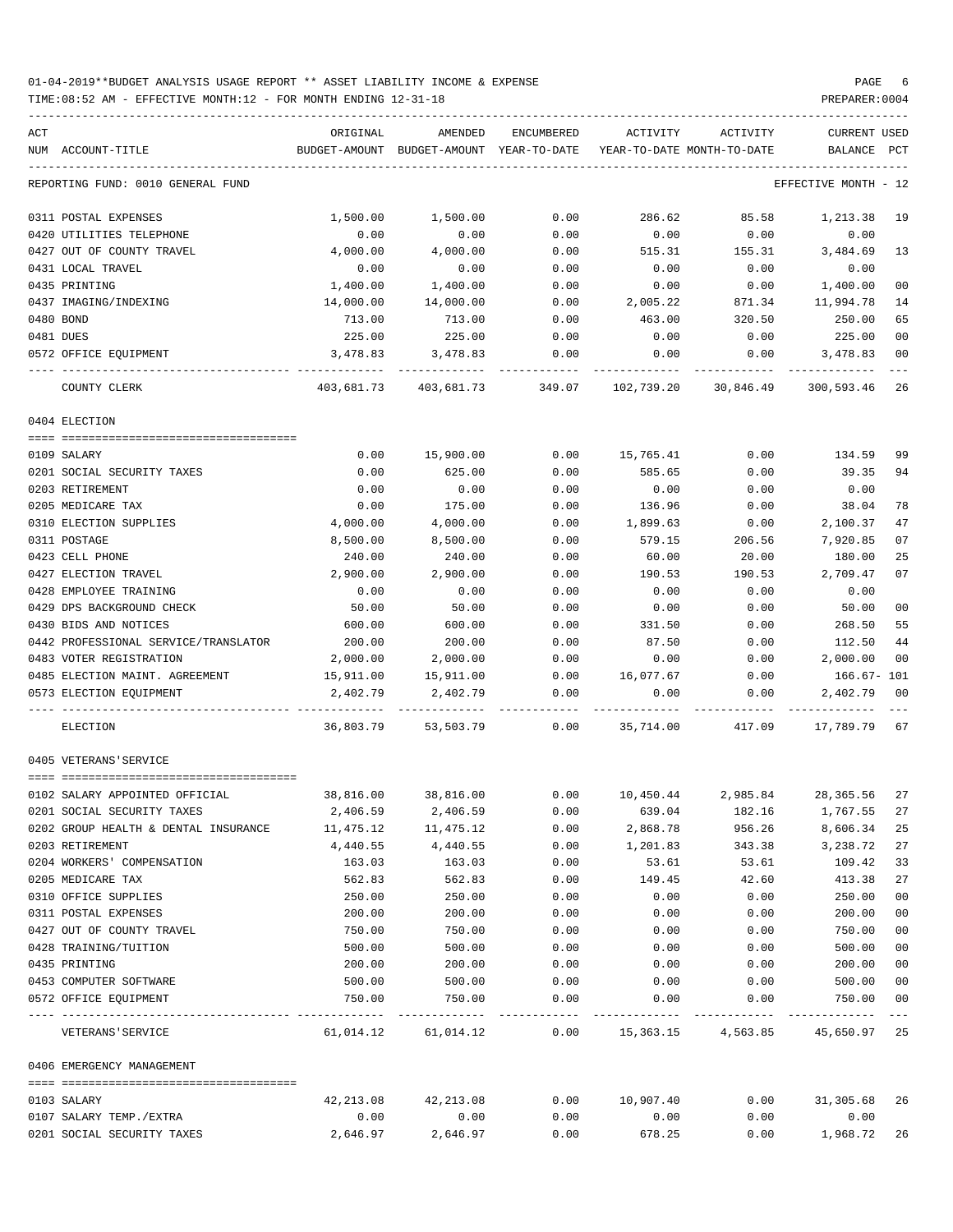| ACT<br>NUM ACCOUNT-TITLE                 | ORIGINAL   | AMENDED<br>BUDGET-AMOUNT BUDGET-AMOUNT YEAR-TO-DATE | ENCUMBERED |           | ACTIVITY ACTIVITY<br>YEAR-TO-DATE MONTH-TO-DATE                                                            | CURRENT USED<br>BALANCE PCT |                         |
|------------------------------------------|------------|-----------------------------------------------------|------------|-----------|------------------------------------------------------------------------------------------------------------|-----------------------------|-------------------------|
| REPORTING FUND: 0010 GENERAL FUND        |            |                                                     |            |           |                                                                                                            | EFFECTIVE MONTH - 12        |                         |
| 0311 POSTAL EXPENSES                     | 1,500.00   | 1,500.00                                            | 0.00       | 286.62    | 85.58                                                                                                      | 1,213.38                    | 19                      |
| 0420 UTILITIES TELEPHONE                 | 0.00       | 0.00                                                | 0.00       | 0.00      | 0.00                                                                                                       | 0.00                        |                         |
| 0427 OUT OF COUNTY TRAVEL                | 4,000.00   | 4,000.00                                            | 0.00       | 515.31    | 155.31                                                                                                     | 3,484.69                    | 13                      |
| 0431 LOCAL TRAVEL                        | 0.00       | 0.00                                                | 0.00       | 0.00      | 0.00                                                                                                       | 0.00                        |                         |
| 0435 PRINTING                            | 1,400.00   | 1,400.00                                            | 0.00       | 0.00      | 0.00                                                                                                       | 1,400.00                    | 0 <sub>0</sub>          |
| 0437 IMAGING/INDEXING                    | 14,000.00  | 14,000.00                                           | 0.00       | 2,005.22  | 871.34                                                                                                     | 11,994.78                   | 14                      |
| 0480 BOND                                | 713.00     | 713.00                                              | 0.00       | 463.00    | 320.50                                                                                                     | 250.00                      | 65                      |
| 0481 DUES                                | 225.00     | 225.00                                              | 0.00       | 0.00      | 0.00                                                                                                       | 225.00                      | 0 <sub>0</sub>          |
| 0572 OFFICE EQUIPMENT                    | 3,478.83   | 3,478.83                                            | 0.00       | 0.00      | 0.00                                                                                                       | 3,478.83                    | 0 <sub>0</sub>          |
| COUNTY CLERK                             | 403,681.73 |                                                     |            |           | 403,681.73               349.07               102,739.20               30,846.49                300,593.46 | -----------                 | $- - -$<br>26           |
| 0404 ELECTION                            |            |                                                     |            |           |                                                                                                            |                             |                         |
|                                          |            |                                                     |            |           |                                                                                                            |                             |                         |
| 0109 SALARY                              | 0.00       | 15,900.00                                           | 0.00       | 15,765.41 | 0.00                                                                                                       | 134.59                      | 99                      |
| 0201 SOCIAL SECURITY TAXES               | 0.00       | 625.00                                              | 0.00       | 585.65    | 0.00                                                                                                       | 39.35                       | 94                      |
| 0203 RETIREMENT                          | 0.00       | 0.00                                                | 0.00       | 0.00      | 0.00                                                                                                       | 0.00                        |                         |
| 0205 MEDICARE TAX                        | 0.00       | 175.00                                              | 0.00       | 136.96    | 0.00                                                                                                       | 38.04                       | 78                      |
| 0310 ELECTION SUPPLIES                   | 4,000.00   | 4,000.00                                            | 0.00       | 1,899.63  | 0.00                                                                                                       | 2,100.37                    | 47                      |
| 0311 POSTAGE                             | 8,500.00   | 8,500.00                                            | 0.00       | 579.15    | 206.56                                                                                                     | 7,920.85                    | 07                      |
| 0423 CELL PHONE                          | 240.00     | 240.00                                              | 0.00       | 60.00     | 20.00                                                                                                      | 180.00                      | 25                      |
| 0427 ELECTION TRAVEL                     | 2,900.00   | 2,900.00                                            | 0.00       | 190.53    | 190.53                                                                                                     | 2,709.47                    | 07                      |
| 0428 EMPLOYEE TRAINING                   | 0.00       | 0.00                                                | 0.00       | 0.00      | 0.00                                                                                                       | 0.00                        |                         |
| 0429 DPS BACKGROUND CHECK                | 50.00      | 50.00                                               | 0.00       | 0.00      | 0.00                                                                                                       | 50.00                       | 0 <sub>0</sub>          |
| 0430 BIDS AND NOTICES                    | 600.00     | 600.00                                              | 0.00       | 331.50    | 0.00                                                                                                       | 268.50                      | 55                      |
| 0442 PROFESSIONAL SERVICE/TRANSLATOR     | 200.00     | 200.00                                              | 0.00       | 87.50     | 0.00                                                                                                       | 112.50                      | 44                      |
| 0483 VOTER REGISTRATION                  | 2,000.00   | 2,000.00                                            | 0.00       | 0.00      | 0.00                                                                                                       | 2,000.00                    | 0 <sub>0</sub>          |
| 0485 ELECTION MAINT. AGREEMENT 15,911.00 |            | 15,911.00                                           | 0.00       | 16,077.67 | 0.00                                                                                                       | 166.67- 101                 |                         |
| 0573 ELECTION EQUIPMENT                  | 2,402.79   | 2,402.79                                            | 0.00       | 0.00      | 0.00                                                                                                       | 2,402.79                    | 00<br>$- - -$           |
| ELECTION                                 |            |                                                     |            |           | 36,803.79 53,503.79 0.00 35,714.00 417.09 17,789.79 67                                                     |                             |                         |
| 0405 VETERANS'SERVICE                    |            |                                                     |            |           |                                                                                                            |                             |                         |
| 0102 SALARY APPOINTED OFFICIAL           | 38,816.00  | 38,816.00                                           | 0.00       |           | 10,450.44 2,985.84 28,365.56                                                                               |                             | 27                      |
| 0201 SOCIAL SECURITY TAXES               | 2,406.59   | 2,406.59                                            | 0.00       | 639.04    | 182.16                                                                                                     | 1,767.55 27                 |                         |
| 0202 GROUP HEALTH & DENTAL INSURANCE     | 11,475.12  | 11,475.12                                           | 0.00       | 2,868.78  | 956.26                                                                                                     | 8,606.34                    | 25                      |
| 0203 RETIREMENT                          | 4,440.55   | 4,440.55                                            | 0.00       | 1,201.83  | 343.38                                                                                                     | 3,238.72                    | 27                      |
| 0204 WORKERS' COMPENSATION               | 163.03     | 163.03                                              | 0.00       | 53.61     | 53.61                                                                                                      | 109.42                      | 33                      |
| 0205 MEDICARE TAX                        | 562.83     | 562.83                                              | 0.00       | 149.45    | 42.60                                                                                                      | 413.38                      | 27                      |
| 0310 OFFICE SUPPLIES                     | 250.00     | 250.00                                              | 0.00       | 0.00      | 0.00                                                                                                       | 250.00                      | 0 <sub>0</sub>          |
| 0311 POSTAL EXPENSES                     | 200.00     | 200.00                                              | 0.00       | 0.00      | 0.00                                                                                                       | 200.00                      | 0 <sub>0</sub>          |
| 0427 OUT OF COUNTY TRAVEL                | 750.00     | 750.00                                              | 0.00       | 0.00      | 0.00                                                                                                       | 750.00                      | 0 <sub>0</sub>          |
| 0428 TRAINING/TUITION                    | 500.00     | 500.00                                              | 0.00       | 0.00      | 0.00                                                                                                       | 500.00                      | 0 <sub>0</sub>          |
| 0435 PRINTING                            | 200.00     | 200.00                                              | 0.00       | 0.00      | 0.00                                                                                                       | 200.00                      | 0 <sub>0</sub>          |
| 0453 COMPUTER SOFTWARE                   | 500.00     | 500.00                                              | 0.00       | 0.00      | 0.00                                                                                                       | 500.00                      | 0 <sub>0</sub>          |
| 0572 OFFICE EQUIPMENT                    | 750.00     | 750.00                                              | 0.00       | 0.00      | 0.00                                                                                                       | 750.00                      | 0 <sub>0</sub><br>$---$ |
| VETERANS ' SERVICE                       | 61,014.12  | 61,014.12                                           | 0.00       |           | 15,363.15 4,563.85 45,650.97 25                                                                            |                             |                         |
| 0406 EMERGENCY MANAGEMENT                |            |                                                     |            |           |                                                                                                            |                             |                         |
| 0103 SALARY                              | 42,213.08  | 42,213.08                                           | 0.00       | 10,907.40 | 0.00                                                                                                       | 31,305.68                   | -26                     |
| 0107 SALARY TEMP./EXTRA                  | 0.00       | 0.00                                                | 0.00       | 0.00      | 0.00                                                                                                       | 0.00                        |                         |
| 0201 SOCIAL SECURITY TAXES               | 2,646.97   | 2,646.97                                            | 0.00       | 678.25    | 0.00                                                                                                       | 1,968.72                    | 26                      |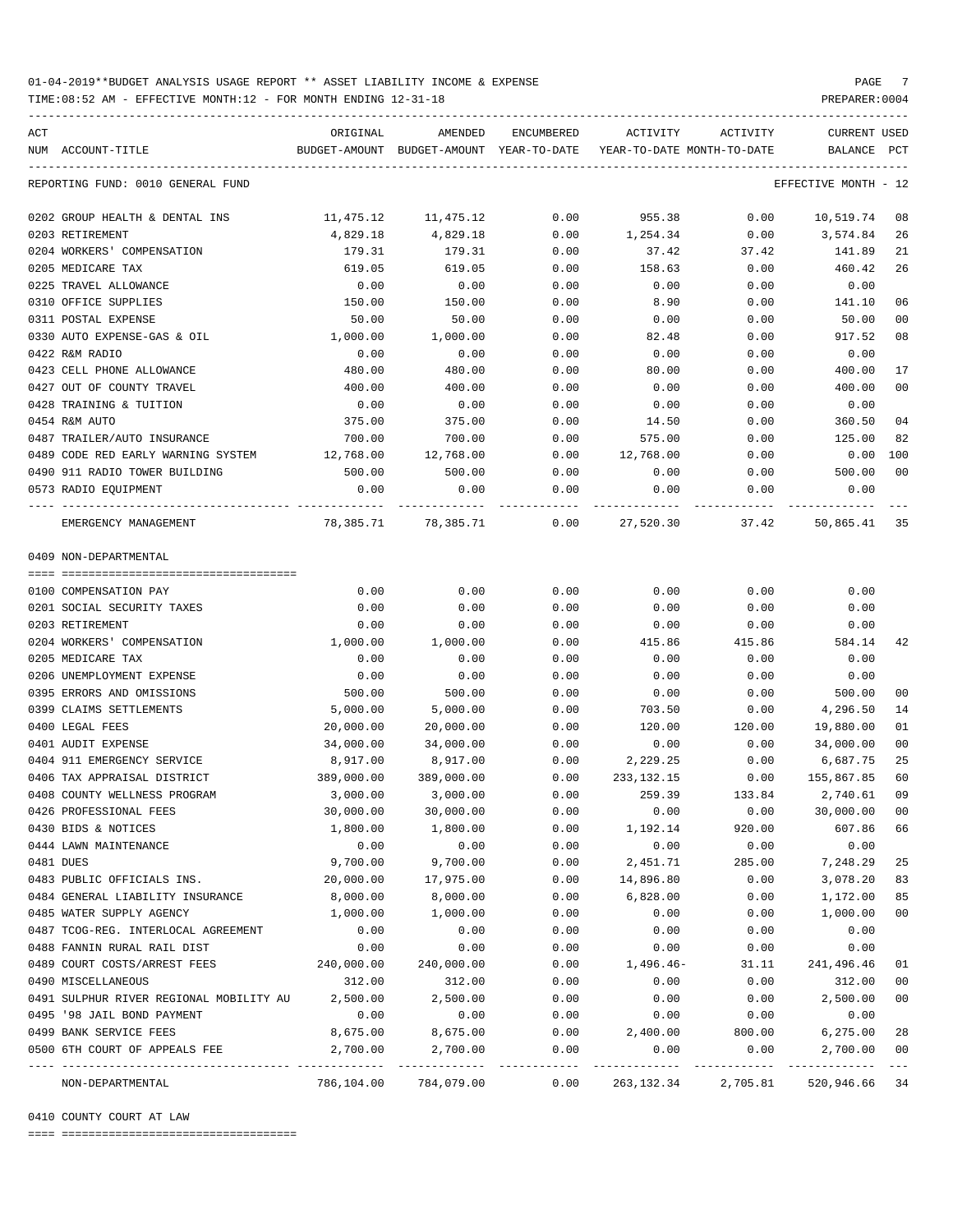TIME:08:52 AM - EFFECTIVE MONTH:12 - FOR MONTH ENDING 12-31-18 PREPARER:0004

ACT ORIGINAL AMENDED ENCUMBERED ACTIVITY ACTIVITY CURRENT USED NUM ACCOUNT-TITLE BUDGET-AMOUNT BUDGET-AMOUNT YEAR-TO-DATE YEAR-TO-DATE MONTH-TO-DATE BALANCE PCT ----------------------------------------------------------------------------------------------------------------------------------- REPORTING FUND: 0010 GENERAL FUND CONTRACTED AND REPORTING THE SERVICE MONTH - 12 0202 GROUP HEALTH & DENTAL INS 11,475.12 11,475.12 0.00 955.38 0.00 10,519.74 08 0203 RETIREMENT 4,829.18 4,829.18 0.00 1,254.34 0.00 3,574.84 26 0204 WORKERS' COMPENSATION 179.31 179.31 0.00 37.42 37.42 141.89 21 0205 MEDICARE TAX 619.05 619.05 0.00 158.63 0.00 460.42 26 0225 TRAVEL ALLOWANCE 0.00 0.00 0.00 0.00 0.00 0.00 0310 OFFICE SUPPLIES 150.00 150.00 0.00 8.90 0.00 141.10 06 0311 POSTAL EXPENSE 50.00 50.00 0.00 0.00 0.00 50.00 00 0330 AUTO EXPENSE-GAS & OIL 1,000.00 1,000.00 0.00 82.48 0.00 917.52 08 0422 R&M RADIO 0.00 0.00 0.00 0.00 0.00 0.00 0423 CELL PHONE ALLOWANCE 480.00 480.00 0.00 80.00 0.00 400.00 17 0427 OUT OF COUNTY TRAVEL  $\begin{array}{cccc} 400.00 & 400.00 & 0.00 & 0.00 & 0.00 & 0.00 & 400.00 & 0.00 & 0.00 & 0.00 & 0.00 & 0.00 & 0.00 & 0.00 & 0.00 & 0.00 & 0.00 & 0.00 & 0.00 & 0.00 & 0.00 & 0.00 & 0.00 & 0.00 & 0.00 & 0.00 & 0.00 & 0.00 & 0.00 & 0.00 & 0$ 0428 TRAINING & TUITION 0.00 0.00 0.00 0.00 0.00 0.00 0454 R&M AUTO 375.00 375.00 0.00 14.50 0.00 360.50 04 0487 TRAILER/AUTO INSURANCE 700.00 700.00 0.00 575.00 0.00 125.00 82 0489 CODE RED EARLY WARNING SYSTEM  $12,768.00$   $12,768.00$  0.00  $12,768.00$  0.00 0.00 0.00 0490 911 RADIO TOWER BUILDING 500.00 500.00 0.00 0.00 0.00 500.00 00 0573 RADIO EQUIPMENT 0.00 0.00 0.00 0.00 0.00 0.00 ---- ---------------------------------- ------------- ------------- ------------ ------------- ------------ ------------- --- EMERGENCY MANAGEMENT 78,385.71 78,385.71 0.00 27,520.30 37.42 50,865.41 35 0409 NON-DEPARTMENTAL ==== =================================== 0100 COMPENSATION PAY 0.00 0.00 0.00 0.00 0.00 0.00 0201 SOCIAL SECURITY TAXES 0.00 0.00 0.00 0.00 0.00 0.00 0203 RETIREMENT 0.00 0.00 0.00 0.00 0.00 0.00 0204 WORKERS' COMPENSATION 1,000.00 1,000.00 0.00 415.86 415.86 584.14 42 0205 MEDICARE TAX 0.00 0.00 0.00 0.00 0.00 0.00 0206 UNEMPLOYMENT EXPENSE 0.00 0.00 0.00 0.00 0.00 0.00 0395 ERRORS AND OMISSIONS 500.00 500.00 0.00 0.00 0.00 500.00 00 0399 CLAIMS SETTLEMENTS 6,000.00 5,000.00 0.00 703.50 0.00 4,296.50 14 0400 LEGAL FEES 20,000.00 20,000.00 0.00 120.00 120.00 19,880.00 01 0401 AUDIT EXPENSE 34,000.00 34,000.00 0.00 0.00 0.00 34,000.00 00 0404 911 EMERGENCY SERVICE 8,917.00 8,917.00 0.00 2,229.25 0.00 6,687.75 25 0406 TAX APPRAISAL DISTRICT 389,000.00 389,000.00 0.00 233,132.15 0.00 155,867.85 60 0408 COUNTY WELLNESS PROGRAM 3,000.00 3,000.00 0.00 259.39 133.84 2,740.61 09 0426 PROFESSIONAL FEES 30,000.00 30,000.00 0.00 0.00 0.00 30,000.00 00 0430 BIDS & NOTICES 1,800.00 1,800.00 0.00 1,192.14 920.00 607.86 66 0444 LAWN MAINTENANCE 0.00 0.00 0.00 0.00 0.00 0.00 0481 DUES 9,700.00 9,700.00 0.00 2,451.71 285.00 7,248.29 25 0483 PUBLIC OFFICIALS INS. 20,000.00 17,975.00 0.00 14,896.80 0.00 3,078.20 83 0484 GENERAL LIABILITY INSURANCE 8,000.00 8,000.00 0.00 6,828.00 0.00 1,172.00 85 0485 WATER SUPPLY AGENCY 1,000.00 1,000.00 0.00 0.00 0.00 1,000.00 00 0487 TCOG-REG. INTERLOCAL AGREEMENT 0.00 0.00 0.00 0.00 0.00 0.00 0488 FANNIN RURAL RAIL DIST 0.00 0.00 0.00 0.00 0.00 0.00 0489 COURT COSTS/ARREST FEES 240,000.00 240,000.00 0.00 1,496.46- 31.11 241,496.46 01 0490 MISCELLANEOUS 312.00 312.00 0.00 0.00 0.00 312.00 00 0491 SULPHUR RIVER REGIONAL MOBILITY AU 2,500.00 2,500.00 0.00 0.00 0.00 2,500.00 00 0495 '98 JAIL BOND PAYMENT 0.00 0.00 0.00 0.00 0.00 0.00 0499 BANK SERVICE FEES 8,675.00 8,675.00 0.00 2,400.00 800.00 6,275.00 28 0500 6TH COURT OF APPEALS FEE  $2,700.00$   $2,700.00$   $0.00$  0.00 0.00 0.00  $2,700.00$  00 ---- ---------------------------------- ------------- ------------- ------------ ------------- ------------ ------------- --- NON-DEPARTMENTAL 786,104.00 784,079.00 0.00 263,132.34 2,705.81 520,946.66 34

-----------------------------------------------------------------------------------------------------------------------------------

0410 COUNTY COURT AT LAW

==== ===================================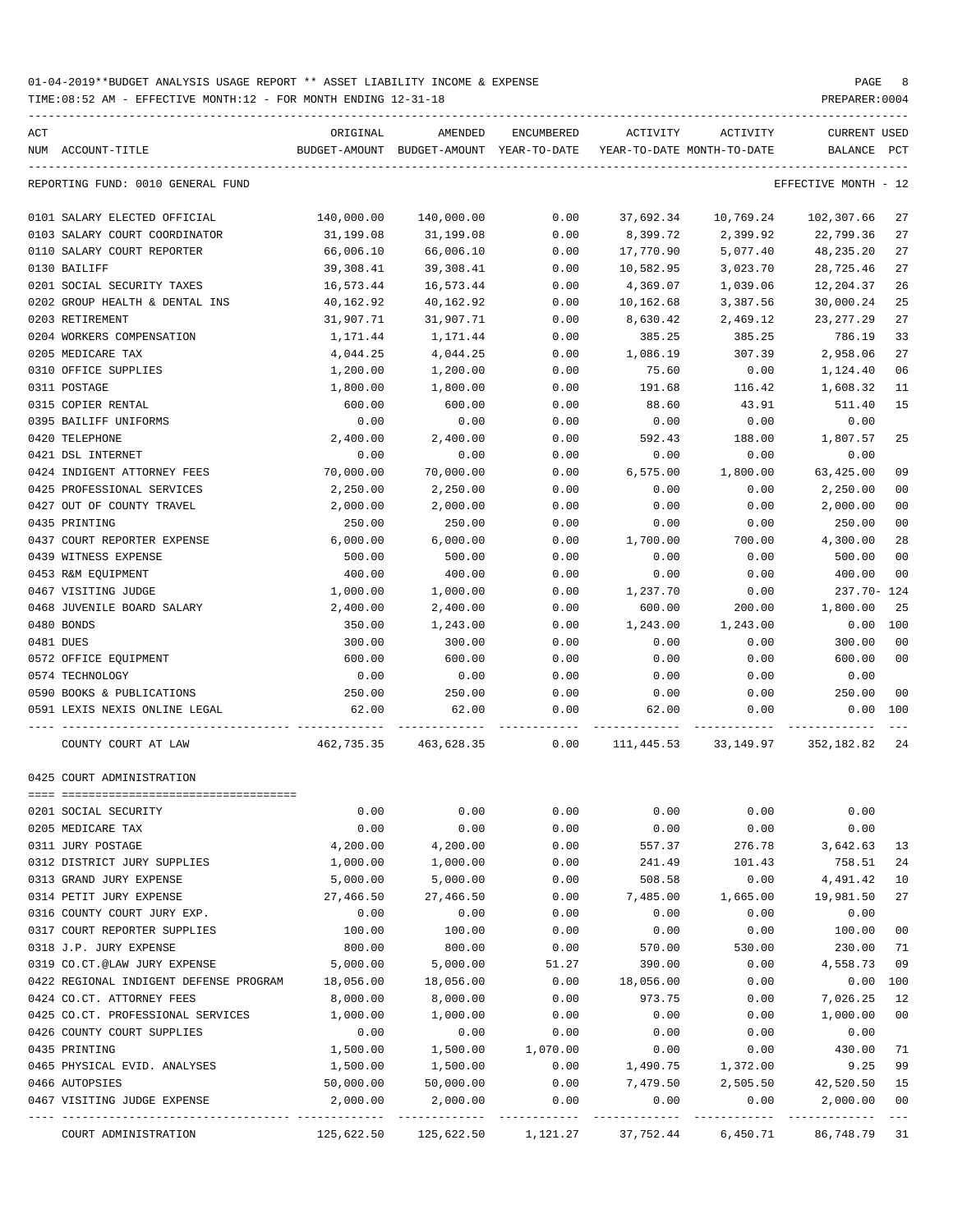| ACT |                                                  | ORIGINAL   | AMENDED                                                                      | ENCUMBERED | ACTIVITY  | ACTIVITY                   | CURRENT USED         |               |
|-----|--------------------------------------------------|------------|------------------------------------------------------------------------------|------------|-----------|----------------------------|----------------------|---------------|
|     | NUM ACCOUNT-TITLE                                |            | BUDGET-AMOUNT BUDGET-AMOUNT YEAR-TO-DATE                                     |            |           | YEAR-TO-DATE MONTH-TO-DATE | BALANCE              | PCT           |
|     | REPORTING FUND: 0010 GENERAL FUND                |            |                                                                              |            |           |                            | EFFECTIVE MONTH - 12 |               |
|     | 0101 SALARY ELECTED OFFICIAL                     | 140,000.00 | 140,000.00                                                                   | 0.00       | 37,692.34 | 10,769.24                  | 102,307.66           | 27            |
|     | 0103 SALARY COURT COORDINATOR                    | 31,199.08  | 31,199.08                                                                    | 0.00       | 8,399.72  | 2,399.92                   | 22,799.36            | 27            |
|     | 0110 SALARY COURT REPORTER                       | 66,006.10  | 66,006.10                                                                    | 0.00       | 17,770.90 | 5,077.40                   | 48,235.20            | 27            |
|     | 0130 BAILIFF                                     | 39,308.41  | 39,308.41                                                                    | 0.00       | 10,582.95 | 3,023.70                   | 28,725.46            | 27            |
|     | 0201 SOCIAL SECURITY TAXES                       | 16,573.44  | 16,573.44                                                                    | 0.00       | 4,369.07  | 1,039.06                   | 12,204.37            | 26            |
|     | 0202 GROUP HEALTH & DENTAL INS                   | 40,162.92  | 40,162.92                                                                    | 0.00       | 10,162.68 | 3,387.56                   | 30,000.24            | 25            |
|     | 0203 RETIREMENT                                  | 31,907.71  | 31,907.71                                                                    | 0.00       | 8,630.42  | 2,469.12                   | 23, 277. 29          | 27            |
|     | 0204 WORKERS COMPENSATION                        | 1,171.44   | 1,171.44                                                                     | 0.00       | 385.25    | 385.25                     | 786.19               | 33            |
|     | 0205 MEDICARE TAX                                | 4,044.25   | 4,044.25                                                                     | 0.00       | 1,086.19  | 307.39                     | 2,958.06             | 27            |
|     | 0310 OFFICE SUPPLIES                             | 1,200.00   | 1,200.00                                                                     | 0.00       | 75.60     | 0.00                       | 1,124.40             | 06            |
|     | 0311 POSTAGE                                     | 1,800.00   | 1,800.00                                                                     | 0.00       | 191.68    | 116.42                     | 1,608.32             | 11            |
|     | 0315 COPIER RENTAL                               | 600.00     | 600.00                                                                       | 0.00       | 88.60     | 43.91                      | 511.40               | 15            |
|     | 0395 BAILIFF UNIFORMS                            | 0.00       | 0.00                                                                         | 0.00       | 0.00      | 0.00                       | 0.00                 |               |
|     | 0420 TELEPHONE                                   | 2,400.00   | 2,400.00                                                                     | 0.00       | 592.43    | 188.00                     | 1,807.57             | 25            |
|     | 0421 DSL INTERNET                                | 0.00       | 0.00                                                                         | 0.00       | 0.00      | 0.00                       | 0.00                 |               |
|     | 0424 INDIGENT ATTORNEY FEES                      | 70,000.00  | 70,000.00                                                                    | 0.00       | 6,575.00  | 1,800.00                   | 63,425.00            | 09            |
|     | 0425 PROFESSIONAL SERVICES                       | 2,250.00   | 2,250.00                                                                     | 0.00       | 0.00      | 0.00                       | 2,250.00             | 00            |
|     | 0427 OUT OF COUNTY TRAVEL                        | 2,000.00   | 2,000.00                                                                     | 0.00       | 0.00      | 0.00                       | 2,000.00             | 00            |
|     | 0435 PRINTING                                    | 250.00     | 250.00                                                                       | 0.00       | 0.00      | 0.00                       | 250.00               | 00            |
|     | 0437 COURT REPORTER EXPENSE                      | 6,000.00   | 6,000.00                                                                     | 0.00       | 1,700.00  | 700.00                     | 4,300.00             | 28            |
|     | 0439 WITNESS EXPENSE                             | 500.00     | 500.00                                                                       | 0.00       | 0.00      | 0.00                       | 500.00               | 00            |
|     | 0453 R&M EQUIPMENT                               | 400.00     | 400.00                                                                       | 0.00       | 0.00      | 0.00                       | 400.00               | 00            |
|     | 0467 VISITING JUDGE                              | 1,000.00   | 1,000.00                                                                     | 0.00       | 1,237.70  | 0.00                       | 237.70- 124          |               |
|     | 0468 JUVENILE BOARD SALARY                       | 2,400.00   | 2,400.00                                                                     | 0.00       | 600.00    | 200.00                     | 1,800.00             | 25            |
|     | 0480 BONDS                                       | 350.00     | 1,243.00                                                                     | 0.00       | 1,243.00  | 1,243.00                   | 0.00                 | 100           |
|     | 0481 DUES                                        | 300.00     | 300.00                                                                       | 0.00       | 0.00      | 0.00                       | 300.00               | 00            |
|     | 0572 OFFICE EQUIPMENT                            | 600.00     | 600.00                                                                       | 0.00       | 0.00      | 0.00                       | 600.00               | 00            |
|     | 0574 TECHNOLOGY                                  | 0.00       | 0.00                                                                         | 0.00       | 0.00      | 0.00                       | 0.00                 |               |
|     | 0590 BOOKS & PUBLICATIONS                        | 250.00     | 250.00                                                                       | 0.00       | 0.00      | 0.00                       | 250.00               | 00            |
|     | 0591 LEXIS NEXIS ONLINE LEGAL                    | 62.00      | 62.00                                                                        | 0.00       | 62.00     | 0.00                       | $0.00$ 100           |               |
|     |                                                  |            |                                                                              |            |           |                            |                      |               |
|     | COUNTY COURT AT LAW                              |            | 462,735.35 463,628.35 0.00 111,445.53 33,149.97 352,182.82 24                |            |           |                            |                      |               |
|     | 0425 COURT ADMINISTRATION                        |            |                                                                              |            |           |                            |                      |               |
|     |                                                  |            |                                                                              |            |           |                            |                      |               |
|     | 0201 SOCIAL SECURITY                             | 0.00       | 0.00                                                                         | 0.00       | 0.00      | 0.00                       | 0.00                 |               |
|     | 0205 MEDICARE TAX                                | 0.00       | 0.00                                                                         | 0.00       | 0.00      | 0.00                       | 0.00                 |               |
|     | 0311 JURY POSTAGE                                | 4,200.00   | 4,200.00                                                                     | 0.00       | 557.37    | 276.78                     | 3,642.63             | 13            |
|     | 0312 DISTRICT JURY SUPPLIES                      | 1,000.00   | 1,000.00                                                                     | 0.00       | 241.49    | 101.43                     | 758.51               | 24            |
|     | 0313 GRAND JURY EXPENSE                          | 5,000.00   | 5,000.00                                                                     | 0.00       | 508.58    | 0.00                       | 4,491.42             | 10            |
|     | 0314 PETIT JURY EXPENSE                          | 27,466.50  | 27,466.50                                                                    | 0.00       | 7,485.00  | 1,665.00                   | 19,981.50            | 27            |
|     | 0316 COUNTY COURT JURY EXP.                      | 0.00       | 0.00                                                                         | 0.00       | 0.00      | 0.00                       | 0.00                 |               |
|     | 0317 COURT REPORTER SUPPLIES                     | 100.00     | 100.00                                                                       | 0.00       | 0.00      | 0.00                       | 100.00               | 00            |
|     | 0318 J.P. JURY EXPENSE                           | 800.00     | 800.00                                                                       | 0.00       | 570.00    | 530.00                     | 230.00               | 71            |
|     | 0319 CO.CT.@LAW JURY EXPENSE                     | 5,000.00   | 5,000.00                                                                     | 51.27      | 390.00    | 0.00                       | 4,558.73             | 09            |
|     | 0422 REGIONAL INDIGENT DEFENSE PROGRAM 18,056.00 |            | 18,056.00                                                                    | 0.00       | 18,056.00 | 0.00                       | 0.00                 | 100           |
|     | 0424 CO.CT. ATTORNEY FEES                        | 8,000.00   | 8,000.00                                                                     | 0.00       | 973.75    | 0.00                       | 7,026.25             | 12            |
|     | 0425 CO.CT. PROFESSIONAL SERVICES                | 1,000.00   | 1,000.00                                                                     | 0.00       | 0.00      | 0.00                       | 1,000.00             | 00            |
|     | 0426 COUNTY COURT SUPPLIES                       | 0.00       | 0.00                                                                         | 0.00       | 0.00      | 0.00                       | 0.00                 |               |
|     | 0435 PRINTING                                    | 1,500.00   | 1,500.00                                                                     | 1,070.00   | 0.00      | 0.00                       | 430.00               | 71            |
|     | 0465 PHYSICAL EVID. ANALYSES                     | 1,500.00   | 1,500.00                                                                     | 0.00       | 1,490.75  | 1,372.00                   | 9.25                 | 99            |
|     | 0466 AUTOPSIES                                   | 50,000.00  | 50,000.00                                                                    | 0.00       | 7,479.50  | 2,505.50                   | 42,520.50            | 15            |
|     | 0467 VISITING JUDGE EXPENSE                      | 2,000.00   | 2,000.00                                                                     | 0.00       | 0.00      | 0.00                       | 2,000.00             | 00<br>$- - -$ |
|     | COURT ADMINISTRATION                             |            | $125,622.50$ $125,622.50$ $1,121.27$ $37,752.44$ $6,450.71$ $86,748.79$ $31$ |            |           |                            |                      |               |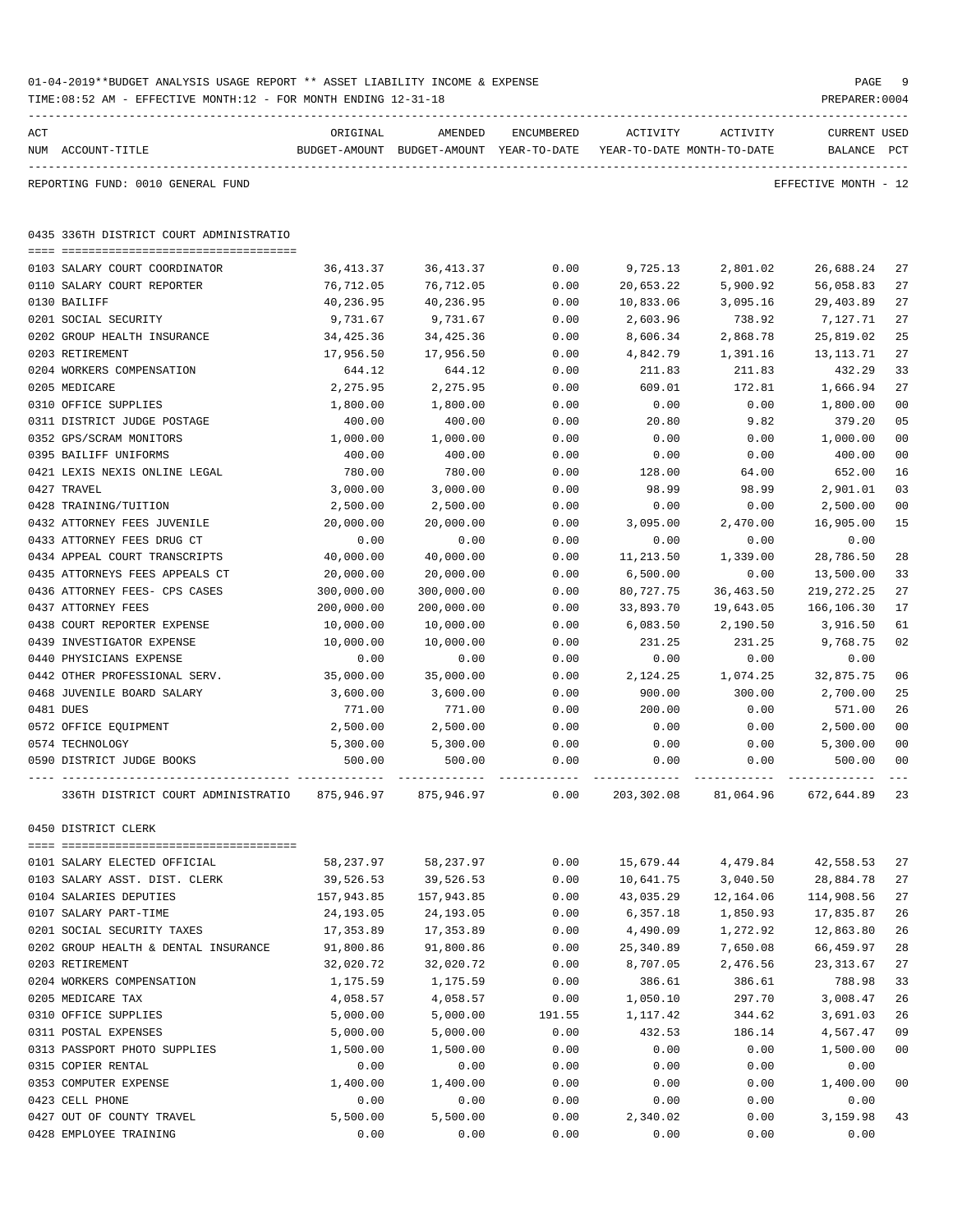|     | TIME:08:52 AM - EFFECTIVE MONTH:12 - FOR MONTH ENDING 12-31-18 |            |                                                                     |            |            |           | PREPARER: 0004       |                |
|-----|----------------------------------------------------------------|------------|---------------------------------------------------------------------|------------|------------|-----------|----------------------|----------------|
| ACT |                                                                | ORIGINAL   | AMENDED                                                             | ENCUMBERED | ACTIVITY   | ACTIVITY  | <b>CURRENT USED</b>  |                |
|     | NUM ACCOUNT-TITLE                                              |            | BUDGET-AMOUNT BUDGET-AMOUNT YEAR-TO-DATE YEAR-TO-DATE MONTH-TO-DATE |            |            |           | BALANCE PCT          |                |
|     | REPORTING FUND: 0010 GENERAL FUND                              |            |                                                                     |            |            |           | EFFECTIVE MONTH - 12 |                |
|     | 0435 336TH DISTRICT COURT ADMINISTRATIO                        |            |                                                                     |            |            |           |                      |                |
|     | 0103 SALARY COURT COORDINATOR                                  | 36,413.37  | 36, 413.37                                                          | 0.00       | 9,725.13   | 2,801.02  | 26,688.24            | 27             |
|     | 0110 SALARY COURT REPORTER                                     | 76,712.05  | 76,712.05                                                           | 0.00       | 20,653.22  | 5,900.92  | 56,058.83            | 27             |
|     | 0130 BAILIFF                                                   | 40,236.95  | 40,236.95                                                           | 0.00       | 10,833.06  | 3,095.16  | 29,403.89            | 27             |
|     | 0201 SOCIAL SECURITY                                           | 9,731.67   | 9,731.67                                                            | 0.00       | 2,603.96   | 738.92    | 7,127.71             | 27             |
|     | 0202 GROUP HEALTH INSURANCE                                    | 34,425.36  | 34,425.36                                                           | 0.00       | 8,606.34   | 2,868.78  | 25,819.02            | 25             |
|     | 0203 RETIREMENT                                                | 17,956.50  | 17,956.50                                                           | 0.00       | 4,842.79   | 1,391.16  | 13, 113. 71          | 27             |
|     | 0204 WORKERS COMPENSATION                                      | 644.12     | 644.12                                                              | 0.00       | 211.83     | 211.83    | 432.29               | 33             |
|     | 0205 MEDICARE                                                  | 2,275.95   | 2,275.95                                                            | 0.00       | 609.01     | 172.81    | 1,666.94             | 27             |
|     | 0310 OFFICE SUPPLIES                                           | 1,800.00   | 1,800.00                                                            | 0.00       | 0.00       | 0.00      | 1,800.00             | 0 <sub>0</sub> |
|     | 0311 DISTRICT JUDGE POSTAGE                                    | 400.00     | 400.00                                                              | 0.00       | 20.80      | 9.82      | 379.20               | 05             |
|     | 0352 GPS/SCRAM MONITORS                                        | 1,000.00   | 1,000.00                                                            | 0.00       | 0.00       | 0.00      | 1,000.00             | 0 <sub>0</sub> |
|     | 0395 BAILIFF UNIFORMS                                          | 400.00     | 400.00                                                              | 0.00       | 0.00       | 0.00      | 400.00               | 0 <sub>0</sub> |
|     | 0421 LEXIS NEXIS ONLINE LEGAL                                  | 780.00     | 780.00                                                              | 0.00       | 128.00     | 64.00     | 652.00               | 16             |
|     | 0427 TRAVEL                                                    | 3,000.00   | 3,000.00                                                            | 0.00       | 98.99      | 98.99     | 2,901.01             | 03             |
|     | 0428 TRAINING/TUITION                                          | 2,500.00   | 2,500.00                                                            | 0.00       | 0.00       | 0.00      | 2,500.00             | 0 <sub>0</sub> |
|     | 0432 ATTORNEY FEES JUVENILE                                    | 20,000.00  | 20,000.00                                                           | 0.00       | 3,095.00   | 2,470.00  | 16,905.00            | 15             |
|     | 0433 ATTORNEY FEES DRUG CT                                     | 0.00       | 0.00                                                                | 0.00       | 0.00       | 0.00      | 0.00                 |                |
|     | 0434 APPEAL COURT TRANSCRIPTS                                  | 40,000.00  | 40,000.00                                                           | 0.00       | 11,213.50  | 1,339.00  | 28,786.50            | 28             |
|     | 0435 ATTORNEYS FEES APPEALS CT                                 | 20,000.00  | 20,000.00                                                           | 0.00       | 6,500.00   | 0.00      | 13,500.00            | 33             |
|     | 0436 ATTORNEY FEES- CPS CASES                                  | 300,000.00 | 300,000.00                                                          | 0.00       | 80,727.75  | 36,463.50 | 219, 272. 25         | 27             |
|     | 0437 ATTORNEY FEES                                             | 200,000.00 | 200,000.00                                                          | 0.00       | 33,893.70  | 19,643.05 | 166,106.30           | 17             |
|     | 0438 COURT REPORTER EXPENSE                                    | 10,000.00  | 10,000.00                                                           | 0.00       | 6,083.50   | 2,190.50  | 3,916.50             | 61             |
|     | 0439 INVESTIGATOR EXPENSE                                      | 10,000.00  | 10,000.00                                                           | 0.00       | 231.25     | 231.25    | 9,768.75             | 02             |
|     | 0440 PHYSICIANS EXPENSE                                        | 0.00       | 0.00                                                                | 0.00       | 0.00       | 0.00      | 0.00                 |                |
|     | 0442 OTHER PROFESSIONAL SERV.                                  | 35,000.00  | 35,000.00                                                           | 0.00       | 2,124.25   | 1,074.25  | 32,875.75            | 06             |
|     | 0468 JUVENILE BOARD SALARY                                     | 3,600.00   | 3,600.00                                                            | 0.00       | 900.00     | 300.00    | 2,700.00             | 25             |
|     | 0481 DUES                                                      | 771.00     | 771.00                                                              | 0.00       | 200.00     | 0.00      | 571.00               | 26             |
|     | 0572 OFFICE EQUIPMENT                                          | 2,500.00   | 2,500.00                                                            | 0.00       | 0.00       | 0.00      | 2,500.00             | 0 <sub>0</sub> |
|     | 0574 TECHNOLOGY                                                | 5,300.00   | 5,300.00                                                            | 0.00       | 0.00       | 0.00      | 5,300.00             | 0 <sub>0</sub> |
|     | 0590 DISTRICT JUDGE BOOKS                                      | 500.00     | 500.00                                                              | 0.00       | 0.00       | 0.00      | 500.00               | 00             |
|     | 336TH DISTRICT COURT ADMINISTRATIO                             | 875,946.97 | 875,946.97                                                          | 0.00       | 203,302.08 | 81,064.96 | 672,644.89           | 23             |
|     | 0450 DISTRICT CLERK                                            |            |                                                                     |            |            |           |                      |                |
|     | 0101 SALARY ELECTED OFFICIAL                                   | 58,237.97  | 58,237.97                                                           | 0.00       | 15,679.44  | 4,479.84  | 42,558.53            | 27             |
|     | 0103 SALARY ASST. DIST. CLERK                                  | 39,526.53  | 39,526.53                                                           | 0.00       | 10,641.75  | 3,040.50  | 28,884.78            | 27             |
|     | 0104 SALARIES DEPUTIES                                         | 157,943.85 | 157,943.85                                                          | 0.00       | 43,035.29  | 12,164.06 | 114,908.56           | 27             |
|     | 0107 SALARY PART-TIME                                          | 24,193.05  | 24, 193.05                                                          | 0.00       | 6,357.18   | 1,850.93  | 17,835.87            | 26             |
|     | 0201 SOCIAL SECURITY TAXES                                     | 17,353.89  | 17,353.89                                                           | 0.00       | 4,490.09   | 1,272.92  | 12,863.80            | 26             |
|     | 0202 GROUP HEALTH & DENTAL INSURANCE                           | 91,800.86  | 91,800.86                                                           | 0.00       | 25,340.89  | 7,650.08  | 66,459.97            | 28             |
|     | 0203 RETIREMENT                                                | 32,020.72  | 32,020.72                                                           | 0.00       | 8,707.05   | 2,476.56  | 23, 313.67           | 27             |
|     | 0204 WORKERS COMPENSATION                                      | 1,175.59   | 1,175.59                                                            | 0.00       | 386.61     | 386.61    | 788.98               | 33             |
|     | 0205 MEDICARE TAX                                              | 4,058.57   | 4,058.57                                                            | 0.00       | 1,050.10   | 297.70    | 3,008.47             | 26             |
|     | 0310 OFFICE SUPPLIES                                           | 5,000.00   | 5,000.00                                                            | 191.55     | 1,117.42   | 344.62    | 3,691.03             | 26             |
|     | 0311 POSTAL EXPENSES                                           | 5,000.00   | 5,000.00                                                            | 0.00       | 432.53     | 186.14    | 4,567.47             | 09             |
|     | 0313 PASSPORT PHOTO SUPPLIES                                   | 1,500.00   | 1,500.00                                                            | 0.00       | 0.00       | 0.00      | 1,500.00             | 0 <sub>0</sub> |
|     | 0315 COPIER RENTAL                                             | 0.00       | 0.00                                                                | 0.00       | 0.00       | 0.00      | 0.00                 |                |
|     | 0353 COMPUTER EXPENSE                                          | 1,400.00   | 1,400.00                                                            | 0.00       | 0.00       | 0.00      | 1,400.00             | 0 <sub>0</sub> |
|     | 0423 CELL PHONE                                                | 0.00       | 0.00                                                                | 0.00       | 0.00       | 0.00      | 0.00                 |                |
|     | 0427 OUT OF COUNTY TRAVEL                                      | 5,500.00   | 5,500.00                                                            | 0.00       | 2,340.02   | 0.00      | 3,159.98             | 43             |
|     | 0428 EMPLOYEE TRAINING                                         | 0.00       | 0.00                                                                | 0.00       | 0.00       | 0.00      | 0.00                 |                |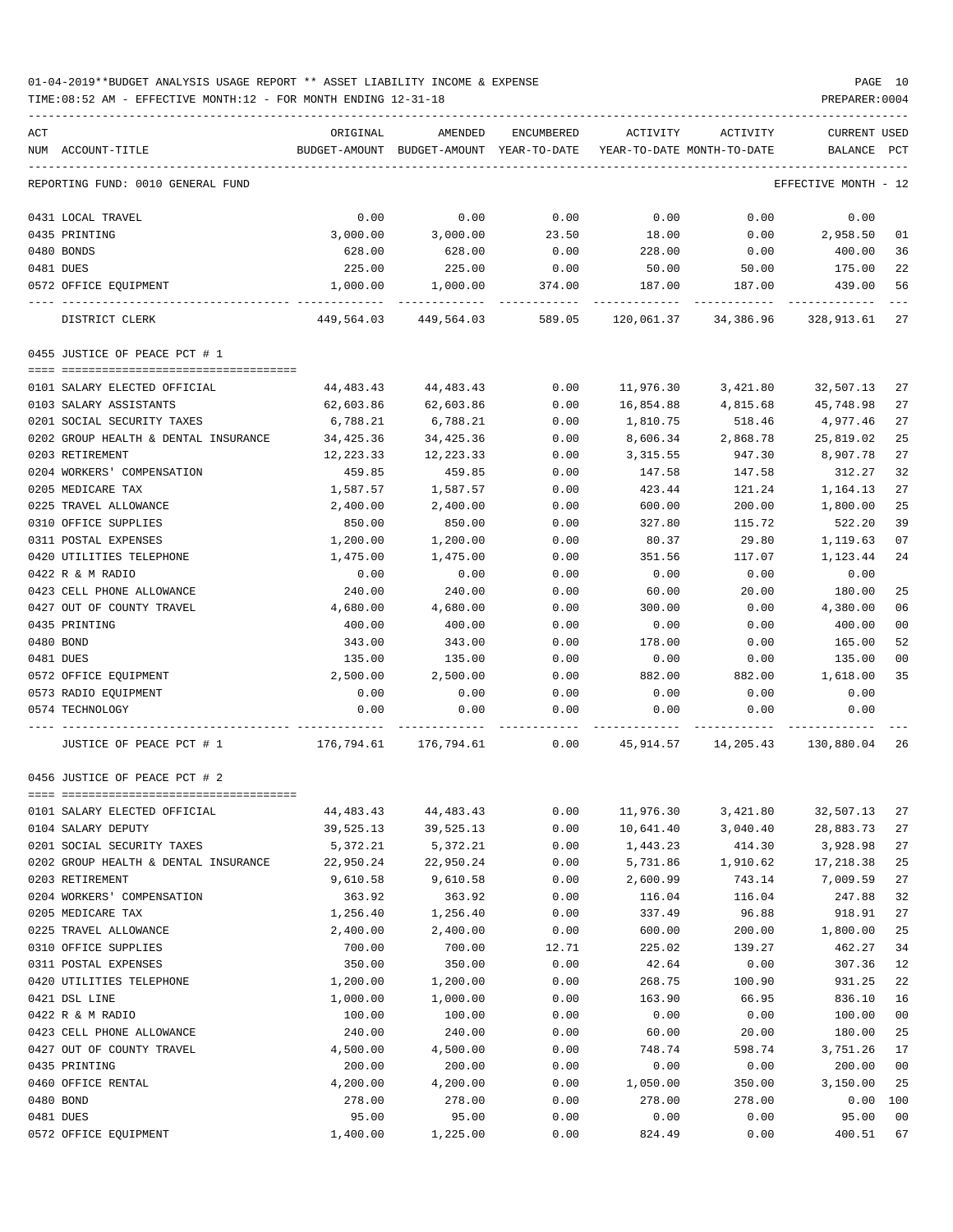| ACT | NUM ACCOUNT-TITLE                                                                                        | ORIGINAL         | AMENDED<br>BUDGET-AMOUNT BUDGET-AMOUNT YEAR-TO-DATE YEAR-TO-DATE MONTH-TO-DATE | ENCUMBERED   | ACTIVITY       | ACTIVITY       | <b>CURRENT USED</b><br>BALANCE PCT |                       |
|-----|----------------------------------------------------------------------------------------------------------|------------------|--------------------------------------------------------------------------------|--------------|----------------|----------------|------------------------------------|-----------------------|
|     | REPORTING FUND: 0010 GENERAL FUND                                                                        |                  |                                                                                |              |                |                | EFFECTIVE MONTH - 12               |                       |
|     | 0431 LOCAL TRAVEL                                                                                        | 0.00             | 0.00                                                                           | 0.00         | 0.00           | 0.00           | 0.00                               |                       |
|     | 0435 PRINTING                                                                                            | 3,000.00         | 3,000.00                                                                       | 23.50        | 18.00          | 0.00           | 2,958.50                           | 01                    |
|     | 0480 BONDS                                                                                               | 628.00           | 628.00                                                                         | 0.00         | 228.00         | 0.00           | 400.00                             | 36                    |
|     | 0481 DUES                                                                                                | 225.00           | 225.00                                                                         | 0.00         | 50.00          | 50.00          | 175.00                             | 22                    |
|     | 0572 OFFICE EQUIPMENT                                                                                    | 1,000.00         | 1,000.00                                                                       | 374.00       | 187.00         | 187.00         | 439.00                             | 56                    |
|     | DISTRICT CLERK                                                                                           |                  | 449,564.03 449,564.03 589.05 120,061.37 34,386.96 328,913.61                   |              |                |                |                                    | 27                    |
|     | 0455 JUSTICE OF PEACE PCT # 1                                                                            |                  |                                                                                |              |                |                |                                    |                       |
|     |                                                                                                          |                  |                                                                                |              |                |                |                                    |                       |
|     | 0101 SALARY ELECTED OFFICIAL                                                                             | 44,483.43        | 44,483.43                                                                      | 0.00         | 11,976.30      | 3,421.80       | 32,507.13                          | 27                    |
|     | 0103 SALARY ASSISTANTS                                                                                   | 62,603.86        | 62,603.86                                                                      | 0.00         | 16,854.88      | 4,815.68       | 45,748.98                          | 27                    |
|     | 0201 SOCIAL SECURITY TAXES                                                                               | 6,788.21         | 6,788.21                                                                       | 0.00         | 1,810.75       | 518.46         | 4,977.46                           | 27                    |
|     | 0202 GROUP HEALTH & DENTAL INSURANCE                                                                     | 34,425.36        | 34,425.36                                                                      | 0.00         | 8,606.34       | 2,868.78       | 25,819.02                          | 25                    |
|     | 0203 RETIREMENT                                                                                          | 12,223.33        | 12,223.33                                                                      | 0.00         | 3,315.55       | 947.30         | 8,907.78                           | 27                    |
|     | 0204 WORKERS' COMPENSATION                                                                               | 459.85           | 459.85                                                                         | 0.00         | 147.58         | 147.58         | 312.27                             | 32                    |
|     | 0205 MEDICARE TAX                                                                                        | 1,587.57         | 1,587.57                                                                       | 0.00         | 423.44         | 121.24         | 1,164.13                           | 27                    |
|     | 0225 TRAVEL ALLOWANCE                                                                                    | 2,400.00         | 2,400.00                                                                       | 0.00         | 600.00         | 200.00         | 1,800.00                           | 25                    |
|     | 0310 OFFICE SUPPLIES                                                                                     | 850.00           | 850.00                                                                         | 0.00         | 327.80         | 115.72         | 522.20                             | 39                    |
|     | 0311 POSTAL EXPENSES                                                                                     | 1,200.00         | 1,200.00                                                                       | 0.00         | 80.37          | 29.80          | 1,119.63                           | 07                    |
|     | 0420 UTILITIES TELEPHONE                                                                                 | 1,475.00         | 1,475.00                                                                       | 0.00         | 351.56         | 117.07         | 1,123.44                           | 24                    |
|     | 0422 R & M RADIO                                                                                         | 0.00             | 0.00                                                                           | 0.00         | 0.00           | 0.00           | 0.00                               |                       |
|     | 0423 CELL PHONE ALLOWANCE                                                                                | 240.00           | 240.00                                                                         | 0.00         | 60.00          | 20.00          | 180.00                             | 25                    |
|     | 0427 OUT OF COUNTY TRAVEL                                                                                | 4,680.00         | 4,680.00                                                                       | 0.00         | 300.00         | 0.00           | 4,380.00                           | 06                    |
|     | 0435 PRINTING                                                                                            | 400.00           | 400.00                                                                         | 0.00         | 0.00           | 0.00           | 400.00                             | 0 <sub>0</sub>        |
|     | 0480 BOND                                                                                                | 343.00           | 343.00                                                                         | 0.00         | 178.00         | 0.00           | 165.00                             | 52<br>0 <sub>0</sub>  |
|     | 0481 DUES                                                                                                | 135.00           | 135.00                                                                         | 0.00         | 0.00           | 0.00           | 135.00                             | 35                    |
|     | 0572 OFFICE EQUIPMENT<br>0573 RADIO EQUIPMENT                                                            | 2,500.00<br>0.00 | 2,500.00<br>0.00                                                               | 0.00         | 882.00<br>0.00 | 882.00<br>0.00 | 1,618.00<br>0.00                   |                       |
|     | 0574 TECHNOLOGY                                                                                          | 0.00             | 0.00                                                                           | 0.00<br>0.00 | 0.00           | 0.00           | 0.00                               |                       |
|     |                                                                                                          |                  |                                                                                |              |                |                |                                    |                       |
|     | JUSTICE OF PEACE PCT # 1 $176,794.61$ $176,794.61$ $16,794.61$ 0.00 $45,914.57$ $14,205.43$ $130,880.04$ |                  |                                                                                |              |                |                |                                    | -26                   |
|     | 0456 JUSTICE OF PEACE PCT # 2                                                                            |                  |                                                                                |              |                |                |                                    |                       |
|     | 0101 SALARY ELECTED OFFICIAL                                                                             | 44, 483. 43      | 44, 483. 43                                                                    | 0.00         | 11,976.30      | 3,421.80       | 32,507.13                          | 27                    |
|     | 0104 SALARY DEPUTY                                                                                       | 39,525.13        | 39,525.13                                                                      | 0.00         | 10,641.40      | 3,040.40       | 28,883.73                          | 27                    |
|     | 0201 SOCIAL SECURITY TAXES                                                                               | 5,372.21         | 5,372.21                                                                       | 0.00         | 1,443.23       | 414.30         | 3,928.98                           | 27                    |
|     | 0202 GROUP HEALTH & DENTAL INSURANCE                                                                     | 22,950.24        | 22,950.24                                                                      | 0.00         | 5,731.86       | 1,910.62       | 17,218.38                          | 25                    |
|     | 0203 RETIREMENT                                                                                          | 9,610.58         | 9,610.58                                                                       | 0.00         | 2,600.99       | 743.14         | 7,009.59                           | 27                    |
|     | 0204 WORKERS' COMPENSATION                                                                               | 363.92           | 363.92                                                                         | 0.00         | 116.04         | 116.04         | 247.88                             | 32                    |
|     | 0205 MEDICARE TAX                                                                                        | 1,256.40         | 1,256.40                                                                       | 0.00         | 337.49         | 96.88          | 918.91                             | 27                    |
|     | 0225 TRAVEL ALLOWANCE                                                                                    | 2,400.00         | 2,400.00                                                                       | 0.00         | 600.00         | 200.00         | 1,800.00                           | 25                    |
|     | 0310 OFFICE SUPPLIES                                                                                     | 700.00           | 700.00                                                                         | 12.71        | 225.02         | 139.27         | 462.27                             | 34                    |
|     | 0311 POSTAL EXPENSES                                                                                     | 350.00           | 350.00                                                                         | 0.00         | 42.64          | 0.00           | 307.36                             | 12                    |
|     | 0420 UTILITIES TELEPHONE                                                                                 | 1,200.00         | 1,200.00                                                                       | 0.00         | 268.75         | 100.90         | 931.25                             | 22                    |
|     | 0421 DSL LINE                                                                                            | 1,000.00         | 1,000.00                                                                       | 0.00         | 163.90         | 66.95          | 836.10                             | 16                    |
|     | 0422 R & M RADIO                                                                                         | 100.00           | 100.00                                                                         | 0.00         | 0.00           | 0.00           | 100.00                             | 0 <sub>0</sub>        |
|     | 0423 CELL PHONE ALLOWANCE                                                                                | 240.00           | 240.00                                                                         | 0.00         | 60.00          | 20.00          | 180.00                             | 25                    |
|     | 0427 OUT OF COUNTY TRAVEL                                                                                | 4,500.00         | 4,500.00                                                                       | 0.00         | 748.74         | 598.74         | 3,751.26                           | 17                    |
|     | 0435 PRINTING                                                                                            | 200.00           | 200.00                                                                         | 0.00         | 0.00           | 0.00           | 200.00                             | 0 <sub>0</sub>        |
|     | 0460 OFFICE RENTAL                                                                                       | 4,200.00         | 4,200.00                                                                       | 0.00         | 1,050.00       | 350.00         | 3,150.00                           | 25                    |
|     | 0480 BOND<br>0481 DUES                                                                                   | 278.00<br>95.00  | 278.00                                                                         | 0.00<br>0.00 | 278.00         | 278.00         | 0.00<br>95.00                      | 100<br>0 <sub>0</sub> |
|     | 0572 OFFICE EQUIPMENT                                                                                    | 1,400.00         | 95.00<br>1,225.00                                                              | 0.00         | 0.00<br>824.49 | 0.00<br>0.00   | 400.51                             | 67                    |
|     |                                                                                                          |                  |                                                                                |              |                |                |                                    |                       |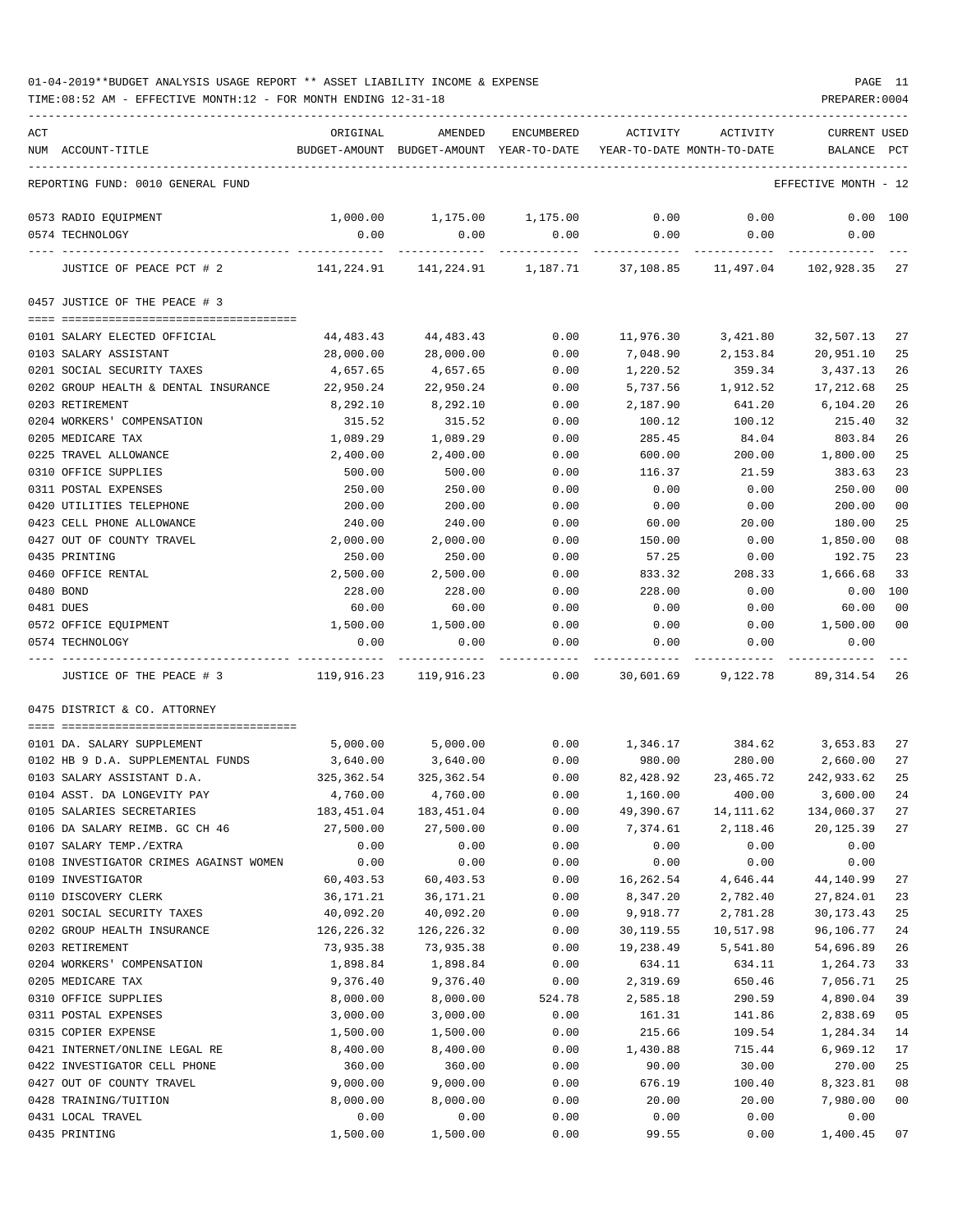| ACT |                                        | ORIGINAL   | AMENDED                                  | ENCUMBERED    | ACTIVITY  | ACTIVITY                        | <b>CURRENT USED</b>  |              |
|-----|----------------------------------------|------------|------------------------------------------|---------------|-----------|---------------------------------|----------------------|--------------|
|     | NUM ACCOUNT-TITLE                      |            | BUDGET-AMOUNT BUDGET-AMOUNT YEAR-TO-DATE |               |           | YEAR-TO-DATE MONTH-TO-DATE      | BALANCE              | $_{\rm PCT}$ |
|     |                                        |            |                                          |               |           |                                 |                      |              |
|     | REPORTING FUND: 0010 GENERAL FUND      |            |                                          |               |           |                                 | EFFECTIVE MONTH - 12 |              |
|     | 0573 RADIO EQUIPMENT                   | 1,000.00   | 1,175.00 1,175.00                        |               | 0.00      | 0.00                            |                      | $0.00$ 100   |
|     | 0574 TECHNOLOGY                        | 0.00       | 0.00                                     | 0.00          | 0.00      | 0.00                            | 0.00                 |              |
|     |                                        |            |                                          |               |           |                                 |                      |              |
|     | JUSTICE OF PEACE PCT # 2               |            |                                          | 1,187.71      | 37,108.85 | 11,497.04                       | 102,928.35 27        |              |
|     | 0457 JUSTICE OF THE PEACE # 3          |            |                                          |               |           |                                 |                      |              |
|     | 0101 SALARY ELECTED OFFICIAL           | 44,483.43  | 44,483.43                                | 0.00          | 11,976.30 | 3,421.80                        | 32,507.13            | 27           |
|     | 0103 SALARY ASSISTANT                  | 28,000.00  | 28,000.00                                | 0.00          | 7,048.90  | 2,153.84                        | 20,951.10            | 25           |
|     | 0201 SOCIAL SECURITY TAXES             | 4,657.65   | 4,657.65                                 | 0.00          | 1,220.52  | 359.34                          | 3,437.13             | 26           |
|     | 0202 GROUP HEALTH & DENTAL INSURANCE   | 22,950.24  | 22,950.24                                | 0.00          | 5,737.56  | 1,912.52                        | 17,212.68            | 25           |
|     | 0203 RETIREMENT                        | 8,292.10   | 8,292.10                                 | 0.00          | 2,187.90  | 641.20                          | 6,104.20             | 26           |
|     | 0204 WORKERS' COMPENSATION             | 315.52     | 315.52                                   | 0.00          |           |                                 | 215.40               | 32           |
|     |                                        |            |                                          |               | 100.12    | 100.12                          |                      |              |
|     | 0205 MEDICARE TAX                      | 1,089.29   | 1,089.29                                 | 0.00          | 285.45    | 84.04                           | 803.84               | 26           |
|     | 0225 TRAVEL ALLOWANCE                  | 2,400.00   | 2,400.00                                 | 0.00          | 600.00    | 200.00                          | 1,800.00             | 25           |
|     | 0310 OFFICE SUPPLIES                   | 500.00     | 500.00                                   | 0.00          | 116.37    | 21.59                           | 383.63               | 23           |
|     | 0311 POSTAL EXPENSES                   | 250.00     | 250.00                                   | 0.00          | 0.00      | 0.00                            | 250.00               | 00           |
|     | 0420 UTILITIES TELEPHONE               | 200.00     | 200.00                                   | 0.00          | 0.00      | 0.00                            | 200.00               | 00           |
|     | 0423 CELL PHONE ALLOWANCE              | 240.00     | 240.00                                   | 0.00          | 60.00     | 20.00                           | 180.00               | 25           |
|     | 0427 OUT OF COUNTY TRAVEL              | 2,000.00   | 2,000.00                                 | 0.00          | 150.00    | 0.00                            | 1,850.00             | 08           |
|     | 0435 PRINTING                          | 250.00     | 250.00                                   | 0.00          | 57.25     | 0.00                            | 192.75               | 23           |
|     | 0460 OFFICE RENTAL                     | 2,500.00   | 2,500.00                                 | 0.00          | 833.32    | 208.33                          | 1,666.68             | 33           |
|     | 0480 BOND                              | 228.00     | 228.00                                   | 0.00          | 228.00    | 0.00                            | 0.00                 | 100          |
|     | 0481 DUES                              | 60.00      | 60.00                                    | 0.00          | 0.00      | 0.00                            | 60.00                | 00           |
|     | 0572 OFFICE EQUIPMENT                  | 1,500.00   | 1,500.00                                 | 0.00          | 0.00      | 0.00                            | 1,500.00             | 00           |
|     | 0574 TECHNOLOGY                        | 0.00       | 0.00                                     | 0.00<br>----- | 0.00      | 0.00                            | 0.00                 |              |
|     | JUSTICE OF THE PEACE # 3               | 119,916.23 | 119,916.23                               | 0.00          | 30,601.69 | 9,122.78                        | 89,314.54            | 26           |
|     | 0475 DISTRICT & CO. ATTORNEY           |            |                                          |               |           |                                 |                      |              |
|     |                                        |            |                                          |               |           |                                 |                      |              |
|     | 0101 DA. SALARY SUPPLEMENT             | 5,000.00   | 5,000.00                                 |               |           | $0.00$ 1,346.17 384.62 3,653.83 |                      | 27           |
|     | 0102 HB 9 D.A. SUPPLEMENTAL FUNDS      | 3,640.00   | 3,640.00                                 | 0.00          | 980.00    |                                 | 280.00 2,660.00      | 27           |
|     | 0103 SALARY ASSISTANT D.A.             | 325,362.54 | 325, 362.54                              | 0.00          |           | 82,428.92 23,465.72             | 242,933.62           | 25           |
|     | 0104 ASST. DA LONGEVITY PAY            | 4,760.00   | 4,760.00                                 | 0.00          | 1,160.00  | 400.00                          | 3,600.00             | 24           |
|     | 0105 SALARIES SECRETARIES              | 183,451.04 | 183,451.04                               | 0.00          | 49,390.67 | 14, 111.62                      | 134,060.37           | 27           |
|     | 0106 DA SALARY REIMB. GC CH 46         | 27,500.00  | 27,500.00                                | 0.00          | 7,374.61  | 2,118.46                        | 20,125.39            | 27           |
|     | 0107 SALARY TEMP./EXTRA                | 0.00       | 0.00                                     | 0.00          | 0.00      | 0.00                            | 0.00                 |              |
|     | 0108 INVESTIGATOR CRIMES AGAINST WOMEN | 0.00       | 0.00                                     | 0.00          | 0.00      | 0.00                            | 0.00                 |              |
|     | 0109 INVESTIGATOR                      | 60,403.53  | 60,403.53                                | 0.00          | 16,262.54 | 4,646.44                        | 44,140.99            | 27           |
|     | 0110 DISCOVERY CLERK                   | 36,171.21  | 36,171.21                                | 0.00          | 8,347.20  | 2,782.40                        | 27,824.01            | 23           |
|     | 0201 SOCIAL SECURITY TAXES             | 40,092.20  | 40,092.20                                | 0.00          | 9,918.77  | 2,781.28                        | 30, 173. 43          | 25           |
|     | 0202 GROUP HEALTH INSURANCE            | 126,226.32 | 126,226.32                               | 0.00          | 30,119.55 | 10,517.98                       | 96,106.77            | 24           |
|     | 0203 RETIREMENT                        | 73,935.38  | 73,935.38                                | 0.00          | 19,238.49 | 5,541.80                        | 54,696.89            | 26           |
|     | 0204 WORKERS' COMPENSATION             | 1,898.84   | 1,898.84                                 | 0.00          | 634.11    | 634.11                          | 1,264.73             | 33           |
|     | 0205 MEDICARE TAX                      | 9,376.40   | 9,376.40                                 | 0.00          | 2,319.69  | 650.46                          | 7,056.71             | 25           |
|     | 0310 OFFICE SUPPLIES                   | 8,000.00   | 8,000.00                                 | 524.78        | 2,585.18  | 290.59                          | 4,890.04             | 39           |
|     | 0311 POSTAL EXPENSES                   | 3,000.00   | 3,000.00                                 | 0.00          | 161.31    | 141.86                          | 2,838.69             | 05           |
|     | 0315 COPIER EXPENSE                    | 1,500.00   | 1,500.00                                 | 0.00          | 215.66    | 109.54                          | 1,284.34             | 14           |
|     | 0421 INTERNET/ONLINE LEGAL RE          | 8,400.00   | 8,400.00                                 | 0.00          | 1,430.88  | 715.44                          | 6,969.12             | 17           |
|     | 0422 INVESTIGATOR CELL PHONE           | 360.00     | 360.00                                   | 0.00          | 90.00     | 30.00                           | 270.00               | 25           |
|     | 0427 OUT OF COUNTY TRAVEL              | 9,000.00   | 9,000.00                                 | 0.00          | 676.19    | 100.40                          | 8,323.81             | 08           |
|     | 0428 TRAINING/TUITION                  | 8,000.00   | 8,000.00                                 | 0.00          | 20.00     | 20.00                           | 7,980.00             | 00           |
|     | 0431 LOCAL TRAVEL                      | 0.00       | 0.00                                     | 0.00          | 0.00      | 0.00                            | 0.00                 |              |
|     | 0435 PRINTING                          | 1,500.00   | 1,500.00                                 | 0.00          | 99.55     | 0.00                            | 1,400.45             | 07           |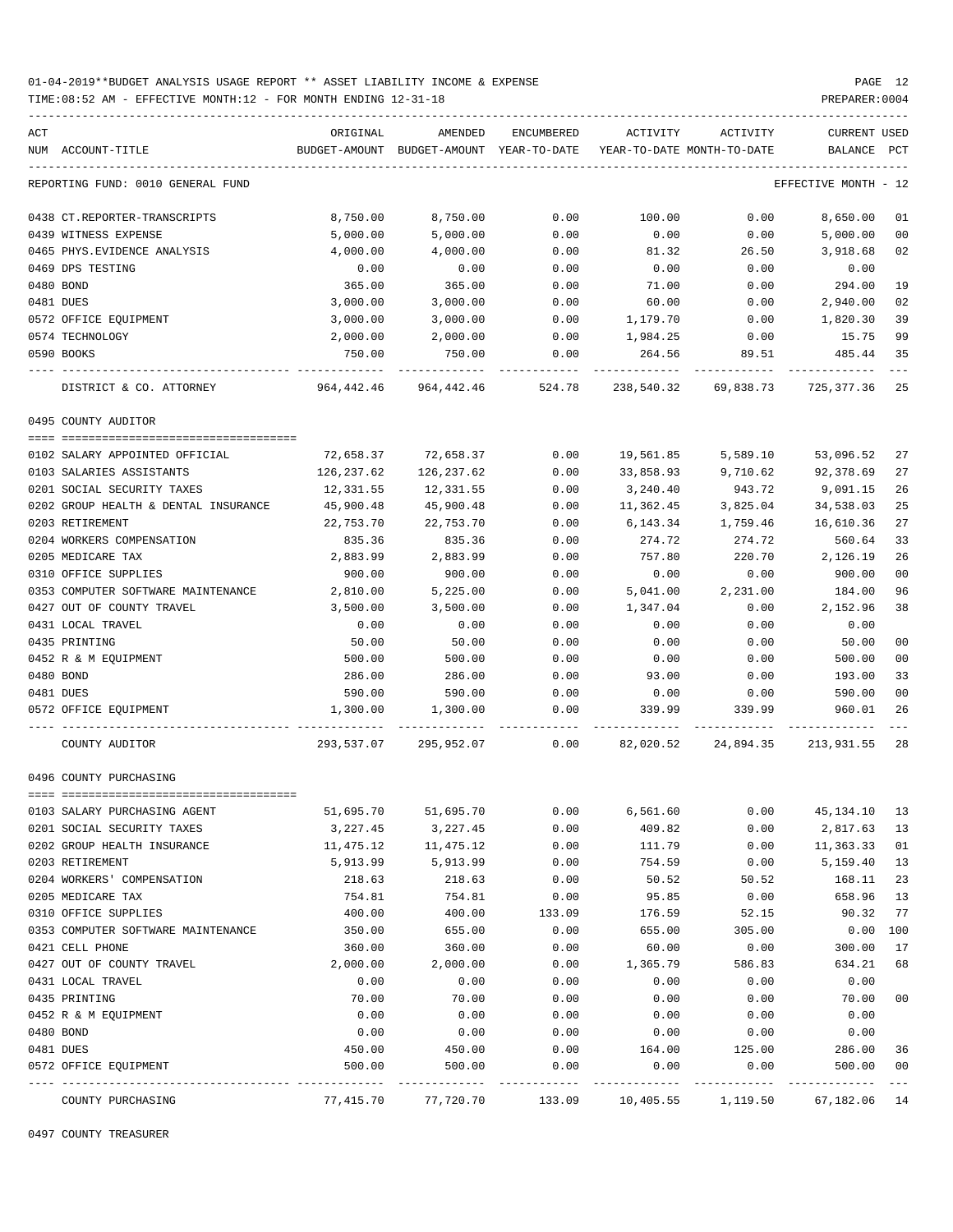TIME:08:52 AM - EFFECTIVE MONTH:12 - FOR MONTH ENDING 12-31-18 PREPARER:0004

| ACT |                                      | ORIGINAL   | AMENDED                                  | ENCUMBERED | ACTIVITY   | ACTIVITY                   | CURRENT USED         |        |
|-----|--------------------------------------|------------|------------------------------------------|------------|------------|----------------------------|----------------------|--------|
|     | NUM ACCOUNT-TITLE                    |            | BUDGET-AMOUNT BUDGET-AMOUNT YEAR-TO-DATE |            |            | YEAR-TO-DATE MONTH-TO-DATE | BALANCE              | PCT    |
|     | REPORTING FUND: 0010 GENERAL FUND    |            |                                          |            |            |                            | EFFECTIVE MONTH - 12 |        |
|     | 0438 CT.REPORTER-TRANSCRIPTS         | 8,750.00   | 8,750.00                                 | 0.00       | 100.00     | 0.00                       | 8,650.00             | 01     |
|     | 0439 WITNESS EXPENSE                 | 5,000.00   | 5,000.00                                 | 0.00       | 0.00       | 0.00                       | 5,000.00             | 00     |
|     | 0465 PHYS. EVIDENCE ANALYSIS         | 4,000.00   | 4,000.00                                 | 0.00       | 81.32      | 26.50                      | 3,918.68             | 02     |
|     | 0469 DPS TESTING                     | 0.00       | 0.00                                     | 0.00       | 0.00       | 0.00                       | 0.00                 |        |
|     | 0480 BOND                            | 365.00     | 365.00                                   | 0.00       | 71.00      | 0.00                       | 294.00               | 19     |
|     | 0481 DUES                            | 3,000.00   | 3,000.00                                 | 0.00       | 60.00      | 0.00                       | 2,940.00             | 02     |
|     | 0572 OFFICE EQUIPMENT                | 3,000.00   | 3,000.00                                 | 0.00       | 1,179.70   | 0.00                       | 1,820.30             | 39     |
|     | 0574 TECHNOLOGY                      | 2,000.00   | 2,000.00                                 | 0.00       | 1,984.25   | 0.00                       | 15.75                | 99     |
|     | 0590 BOOKS                           | 750.00     | 750.00                                   | 0.00       | 264.56     | 89.51                      | 485.44               | 35     |
|     | DISTRICT & CO. ATTORNEY              | 964,442.46 | 964,442.46                               | 524.78     | 238,540.32 | 69,838.73                  | 725,377.36           | 25     |
|     | 0495 COUNTY AUDITOR                  |            |                                          |            |            |                            |                      |        |
|     | 0102 SALARY APPOINTED OFFICIAL       | 72,658.37  | 72,658.37                                | 0.00       | 19,561.85  | 5,589.10                   | 53,096.52            | 27     |
|     | 0103 SALARIES ASSISTANTS             | 126,237.62 | 126,237.62                               | 0.00       | 33,858.93  | 9,710.62                   | 92,378.69            | 27     |
|     | 0201 SOCIAL SECURITY TAXES           | 12,331.55  | 12,331.55                                | 0.00       | 3,240.40   | 943.72                     | 9,091.15             | 26     |
|     | 0202 GROUP HEALTH & DENTAL INSURANCE | 45,900.48  | 45,900.48                                | 0.00       | 11,362.45  | 3,825.04                   | 34,538.03            | 25     |
|     | 0203 RETIREMENT                      | 22,753.70  | 22,753.70                                | 0.00       | 6,143.34   | 1,759.46                   | 16,610.36            | 27     |
|     | 0204 WORKERS COMPENSATION            | 835.36     | 835.36                                   | 0.00       | 274.72     | 274.72                     | 560.64               | 33     |
|     | 0205 MEDICARE TAX                    | 2,883.99   | 2,883.99                                 | 0.00       | 757.80     | 220.70                     | 2,126.19             | 26     |
|     | 0310 OFFICE SUPPLIES                 | 900.00     | 900.00                                   | 0.00       | 0.00       | 0.00                       | 900.00               | 00     |
|     | 0353 COMPUTER SOFTWARE MAINTENANCE   | 2,810.00   | 5,225.00                                 | 0.00       | 5,041.00   | 2,231.00                   | 184.00               | 96     |
|     | 0427 OUT OF COUNTY TRAVEL            | 3,500.00   | 3,500.00                                 | 0.00       | 1,347.04   | 0.00                       | 2,152.96             | 38     |
|     | 0431 LOCAL TRAVEL                    | 0.00       | 0.00                                     | 0.00       | 0.00       | 0.00                       | 0.00                 |        |
|     | 0435 PRINTING                        | 50.00      | 50.00                                    | 0.00       | 0.00       | 0.00                       | 50.00                | 00     |
|     | 0452 R & M EQUIPMENT                 | 500.00     | 500.00                                   | 0.00       | 0.00       | 0.00                       | 500.00               | 00     |
|     | 0480 BOND                            | 286.00     | 286.00                                   | 0.00       | 93.00      | 0.00                       | 193.00               | 33     |
|     | 0481 DUES                            | 590.00     | 590.00                                   | 0.00       | 0.00       | 0.00                       | 590.00               | 00     |
|     | 0572 OFFICE EQUIPMENT                | 1,300.00   | 1,300.00                                 | 0.00       | 339.99     | 339.99                     | 960.01               | 26     |
|     | COUNTY AUDITOR                       | 293,537.07 | 295,952.07                               | 0.00       |            | 82,020.52 24,894.35        | 213,931.55           | -28    |
|     | 0496 COUNTY PURCHASING               |            |                                          |            |            |                            |                      |        |
|     | 0103 SALARY PURCHASING AGENT         | 51,695.70  | 51,695.70                                | 0.00       | 6,561.60   | 0.00                       | 45,134.10            | 13     |
|     | 0201 SOCIAL SECURITY TAXES           | 3,227.45   | 3,227.45                                 | 0.00       | 409.82     | 0.00                       | 2,817.63             | 13     |
|     | 0202 GROUP HEALTH INSURANCE          | 11,475.12  | 11,475.12                                | 0.00       | 111.79     | 0.00                       | 11,363.33            | 01     |
|     | 0203 RETIREMENT                      | 5,913.99   | 5,913.99                                 | 0.00       | 754.59     | 0.00                       | 5,159.40             | 13     |
|     | 0204 WORKERS' COMPENSATION           | 218.63     | 218.63                                   | 0.00       | 50.52      | 50.52                      | 168.11               | 23     |
|     | 0205 MEDICARE TAX                    | 754.81     | 754.81                                   | 0.00       | 95.85      | 0.00                       | 658.96               | 13     |
|     | 0310 OFFICE SUPPLIES                 | 400.00     | 400.00                                   | 133.09     | 176.59     | 52.15                      | 90.32                | 77     |
|     | 0353 COMPUTER SOFTWARE MAINTENANCE   | 350.00     | 655.00                                   | 0.00       | 655.00     | 305.00                     | 0.00                 | 100    |
|     | 0421 CELL PHONE                      | 360.00     | 360.00                                   | 0.00       | 60.00      | 0.00                       | 300.00               | 17     |
|     | 0427 OUT OF COUNTY TRAVEL            | 2,000.00   | 2,000.00                                 | 0.00       | 1,365.79   | 586.83                     | 634.21               | 68     |
|     | 0431 LOCAL TRAVEL                    | 0.00       | 0.00                                     | 0.00       | 0.00       | 0.00                       | 0.00                 |        |
|     | 0435 PRINTING                        | 70.00      | 70.00                                    | 0.00       | 0.00       | 0.00                       | 70.00                | $00\,$ |
|     | 0452 R & M EQUIPMENT                 | 0.00       | 0.00                                     | 0.00       | 0.00       | 0.00                       | 0.00                 |        |
|     | 0480 BOND                            | 0.00       | 0.00                                     | 0.00       | 0.00       | 0.00                       | 0.00                 |        |
|     | 0481 DUES                            | 450.00     | 450.00                                   | 0.00       | 164.00     | 125.00                     | 286.00               | 36     |
|     | 0572 OFFICE EQUIPMENT                | 500.00     | 500.00                                   | 0.00       | 0.00       | 0.00                       | 500.00               | 00     |
|     | COUNTY PURCHASING                    | 77,415.70  | 77,720.70                                | 133.09     | 10,405.55  | 1,119.50                   | 67,182.06 14         |        |

0497 COUNTY TREASURER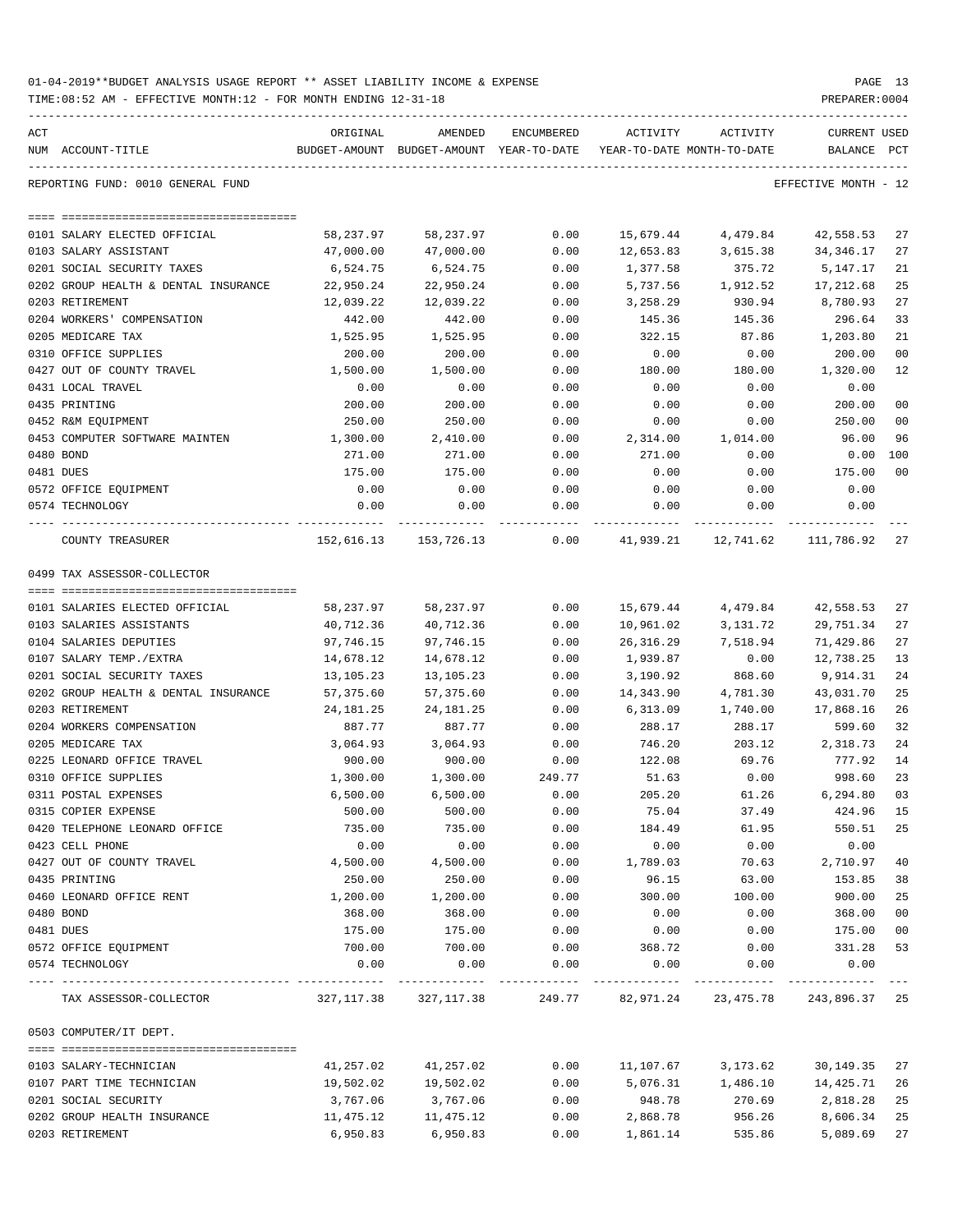| 01-04-2019**BUDGET ANALYSIS USAGE REPORT ** ASSET LIABILITY INCOME & EXPENSE |  |  |  | PAGE |  |
|------------------------------------------------------------------------------|--|--|--|------|--|
|                                                                              |  |  |  |      |  |

TIME:08:52 AM - EFFECTIVE MONTH:12 - FOR MONTH ENDING 12-31-18 PREPARER:0004

| ACT<br>NUM ACCOUNT-TITLE             | ORIGINAL<br>BUDGET-AMOUNT | AMENDED<br>BUDGET-AMOUNT YEAR-TO-DATE | ENCUMBERED | ACTIVITY<br>YEAR-TO-DATE MONTH-TO-DATE | ACTIVITY  | <b>CURRENT USED</b><br>BALANCE PCT |                |
|--------------------------------------|---------------------------|---------------------------------------|------------|----------------------------------------|-----------|------------------------------------|----------------|
| REPORTING FUND: 0010 GENERAL FUND    |                           |                                       |            |                                        |           | EFFECTIVE MONTH - 12               |                |
|                                      |                           |                                       |            |                                        |           |                                    |                |
| 0101 SALARY ELECTED OFFICIAL         | 58,237.97                 | 58,237.97                             | 0.00       | 15,679.44                              | 4,479.84  | 42,558.53                          | 27             |
| 0103 SALARY ASSISTANT                | 47,000.00                 | 47,000.00                             | 0.00       | 12,653.83                              | 3,615.38  | 34, 346.17                         | 27             |
| 0201 SOCIAL SECURITY TAXES           | 6,524.75                  | 6,524.75                              | 0.00       | 1,377.58                               | 375.72    | 5,147.17                           | 21             |
| 0202 GROUP HEALTH & DENTAL INSURANCE | 22,950.24                 | 22,950.24                             | 0.00       | 5,737.56                               | 1,912.52  | 17,212.68                          | 25             |
| 0203 RETIREMENT                      | 12,039.22                 | 12,039.22                             | 0.00       | 3,258.29                               | 930.94    | 8,780.93                           | 27             |
| 0204 WORKERS' COMPENSATION           | 442.00                    | 442.00                                | 0.00       | 145.36                                 | 145.36    | 296.64                             | 33             |
| 0205 MEDICARE TAX                    | 1,525.95                  | 1,525.95                              | 0.00       | 322.15                                 | 87.86     | 1,203.80                           | 21             |
| 0310 OFFICE SUPPLIES                 | 200.00                    | 200.00                                | 0.00       | 0.00                                   | 0.00      | 200.00                             | 0 <sub>0</sub> |
| 0427 OUT OF COUNTY TRAVEL            | 1,500.00                  | 1,500.00                              | 0.00       | 180.00                                 | 180.00    | 1,320.00                           | 12             |
| 0431 LOCAL TRAVEL                    | 0.00                      | 0.00                                  | 0.00       | 0.00                                   | 0.00      | 0.00                               |                |
| 0435 PRINTING                        | 200.00                    | 200.00                                | 0.00       | 0.00                                   | 0.00      | 200.00                             | 0 <sub>0</sub> |
| 0452 R&M EQUIPMENT                   | 250.00                    | 250.00                                | 0.00       | 0.00                                   | 0.00      | 250.00                             | 0 <sub>0</sub> |
| 0453 COMPUTER SOFTWARE MAINTEN       | 1,300.00                  | 2,410.00                              | 0.00       | 2,314.00                               | 1,014.00  | 96.00                              | 96             |
| 0480 BOND                            | 271.00                    | 271.00                                | 0.00       | 271.00                                 | 0.00      | 0.00                               | 100            |
| 0481 DUES                            | 175.00                    | 175.00                                | 0.00       | 0.00                                   | 0.00      | 175.00                             | 0 <sub>0</sub> |
| 0572 OFFICE EQUIPMENT                | 0.00                      | 0.00                                  | 0.00       | 0.00                                   | 0.00      | 0.00                               |                |
| 0574 TECHNOLOGY                      | 0.00                      | 0.00                                  | 0.00       | 0.00                                   | 0.00      | 0.00                               |                |
| COUNTY TREASURER                     |                           | 152,616.13 153,726.13                 | 0.00       | 41,939.21                              | 12,741.62 | 111,786.92                         | 27             |
| 0499 TAX ASSESSOR-COLLECTOR          |                           |                                       |            |                                        |           |                                    |                |
|                                      |                           |                                       |            |                                        |           |                                    |                |
| 0101 SALARIES ELECTED OFFICIAL       | 58,237.97                 | 58,237.97                             | 0.00       | 15,679.44                              | 4,479.84  | 42,558.53                          | 27             |
| 0103 SALARIES ASSISTANTS             | 40,712.36                 | 40,712.36                             | 0.00       | 10,961.02                              | 3,131.72  | 29,751.34                          | 27             |
| 0104 SALARIES DEPUTIES               | 97,746.15                 | 97,746.15                             | 0.00       | 26,316.29                              | 7,518.94  | 71,429.86                          | 27             |
| 0107 SALARY TEMP./EXTRA              | 14,678.12                 | 14,678.12                             | 0.00       | 1,939.87                               | 0.00      | 12,738.25                          | 13             |
| 0201 SOCIAL SECURITY TAXES           | 13,105.23                 | 13,105.23                             | 0.00       | 3,190.92                               | 868.60    | 9,914.31                           | 24             |
| 0202 GROUP HEALTH & DENTAL INSURANCE | 57,375.60                 | 57,375.60                             | 0.00       | 14,343.90                              | 4,781.30  | 43,031.70                          | 25             |
| 0203 RETIREMENT                      | 24,181.25                 | 24, 181. 25                           | 0.00       | 6,313.09                               | 1,740.00  | 17,868.16                          | 26             |
| 0204 WORKERS COMPENSATION            | 887.77                    | 887.77                                | 0.00       | 288.17                                 | 288.17    | 599.60                             | 32             |
| 0205 MEDICARE TAX                    | 3,064.93                  | 3,064.93                              | 0.00       | 746.20                                 | 203.12    | 2,318.73                           | 24             |
| 0225 LEONARD OFFICE TRAVEL           | 900.00                    | 900.00                                | 0.00       | 122.08                                 | 69.76     | 777.92                             | 14             |
| 0310 OFFICE SUPPLIES                 | 1,300.00                  | 1,300.00                              | 249.77     | 51.63                                  | 0.00      | 998.60                             | 23             |
| 0311 POSTAL EXPENSES                 | 6,500.00                  | 6,500.00                              | 0.00       | 205.20                                 | 61.26     | 6,294.80                           | 03             |
| 0315 COPIER EXPENSE                  | 500.00                    | 500.00                                | 0.00       | 75.04                                  | 37.49     | 424.96                             | 15             |
| 0420 TELEPHONE LEONARD OFFICE        | 735.00                    | 735.00                                | 0.00       | 184.49                                 | 61.95     | 550.51                             | 25             |
| 0423 CELL PHONE                      | 0.00                      | 0.00                                  | 0.00       | 0.00                                   | 0.00      | 0.00                               |                |
| 0427 OUT OF COUNTY TRAVEL            | 4,500.00                  | 4,500.00                              | 0.00       | 1,789.03                               | 70.63     | 2,710.97                           | 40             |
| 0435 PRINTING                        | 250.00                    | 250.00                                | 0.00       | 96.15                                  | 63.00     | 153.85                             | 38             |
| 0460 LEONARD OFFICE RENT             | 1,200.00                  | 1,200.00                              | 0.00       | 300.00                                 | 100.00    | 900.00                             | 25             |
| 0480 BOND                            | 368.00                    | 368.00                                | 0.00       | 0.00                                   | 0.00      | 368.00                             | 0 <sub>0</sub> |
| 0481 DUES                            | 175.00                    | 175.00                                | 0.00       | 0.00                                   | 0.00      |                                    | 0 <sub>0</sub> |
| 0572 OFFICE EQUIPMENT                |                           |                                       |            |                                        |           | 175.00                             | 53             |
|                                      | 700.00                    | 700.00                                | 0.00       | 368.72                                 | 0.00      | 331.28                             |                |
| 0574 TECHNOLOGY                      | 0.00                      | 0.00                                  | 0.00       | 0.00                                   | 0.00      | 0.00                               |                |
| TAX ASSESSOR-COLLECTOR               | 327,117.38                | 327,117.38                            |            | 249.77 82,971.24 23,475.78             |           | 243,896.37                         | 25             |
| 0503 COMPUTER/IT DEPT.               |                           |                                       |            |                                        |           |                                    |                |
| 0103 SALARY-TECHNICIAN               | 41,257.02                 | 41,257.02                             | 0.00       | 11,107.67                              | 3,173.62  | 30,149.35                          | 27             |
| 0107 PART TIME TECHNICIAN            |                           |                                       |            |                                        |           |                                    | 26             |
|                                      | 19,502.02                 | 19,502.02                             | 0.00       | 5,076.31                               | 1,486.10  | 14,425.71                          | 25             |
| 0201 SOCIAL SECURITY                 | 3,767.06                  | 3,767.06                              | 0.00       | 948.78                                 | 270.69    | 2,818.28                           |                |
| 0202 GROUP HEALTH INSURANCE          | 11,475.12                 | 11,475.12                             | 0.00       | 2,868.78                               | 956.26    | 8,606.34                           | 25             |

0203 RETIREMENT 6,950.83 6,950.83 0.00 1,861.14 535.86 5,089.69 27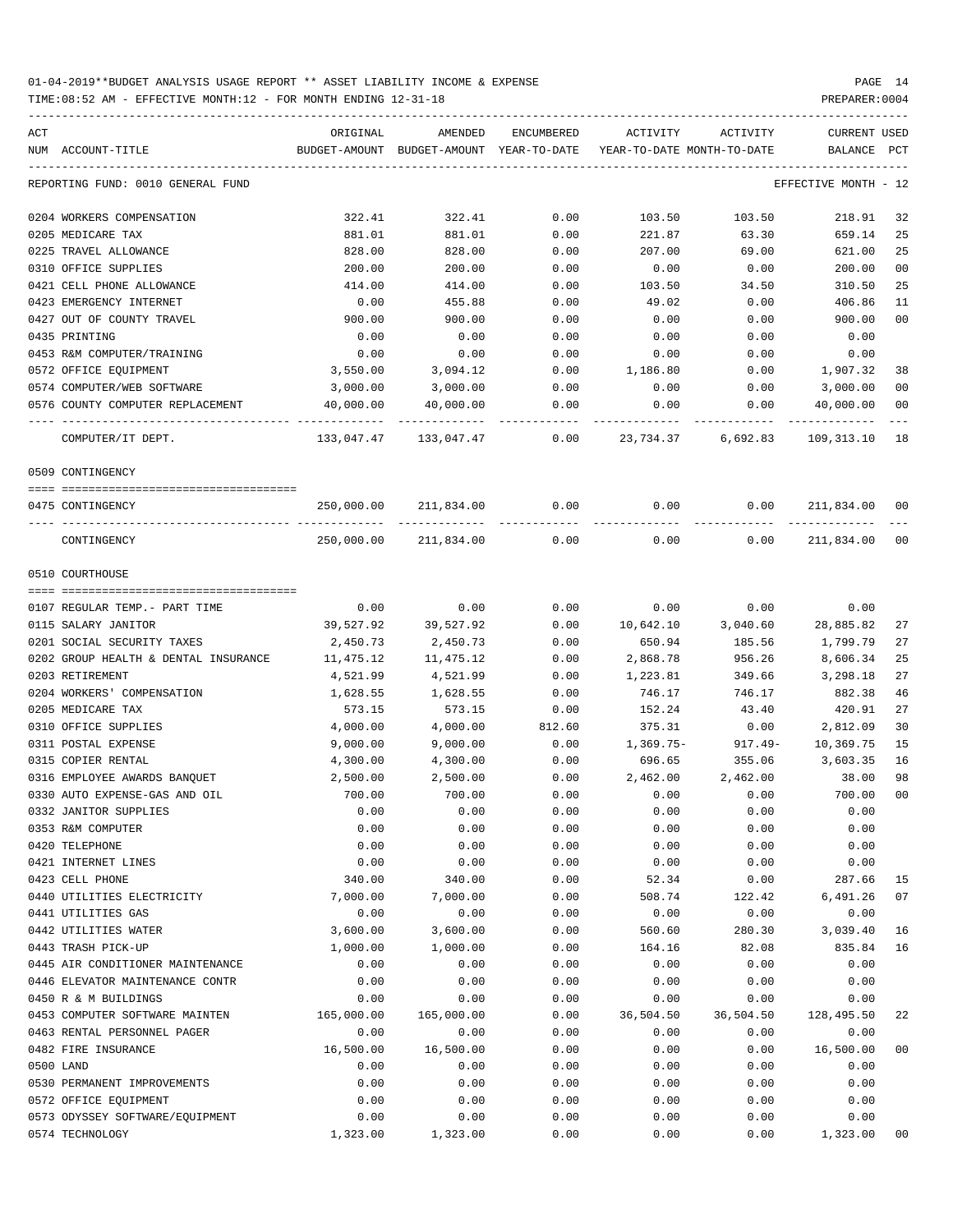| ACT<br>NUM ACCOUNT-TITLE             | ORIGINAL   | AMENDED                                  | ENCUMBERED |           | ACTIVITY ACTIVITY          | CURRENT USED         |                |
|--------------------------------------|------------|------------------------------------------|------------|-----------|----------------------------|----------------------|----------------|
|                                      |            | BUDGET-AMOUNT BUDGET-AMOUNT YEAR-TO-DATE |            |           | YEAR-TO-DATE MONTH-TO-DATE | BALANCE PCT          |                |
| REPORTING FUND: 0010 GENERAL FUND    |            |                                          |            |           |                            | EFFECTIVE MONTH - 12 |                |
| 0204 WORKERS COMPENSATION            | 322.41     | 322.41                                   | 0.00       | 103.50    | 103.50                     | 218.91               | 32             |
| 0205 MEDICARE TAX                    | 881.01     | 881.01                                   | 0.00       | 221.87    | 63.30                      | 659.14               | 25             |
| 0225 TRAVEL ALLOWANCE                | 828.00     | 828.00                                   | 0.00       | 207.00    | 69.00                      | 621.00               | 25             |
| 0310 OFFICE SUPPLIES                 | 200.00     | 200.00                                   | 0.00       | 0.00      | 0.00                       | 200.00               | 0 <sub>0</sub> |
| 0421 CELL PHONE ALLOWANCE            | 414.00     | 414.00                                   | 0.00       | 103.50    | 34.50                      | 310.50               | 25             |
| 0423 EMERGENCY INTERNET              | 0.00       | 455.88                                   | 0.00       | 49.02     | 0.00                       | 406.86               | 11             |
| 0427 OUT OF COUNTY TRAVEL            | 900.00     | 900.00                                   | 0.00       | 0.00      | 0.00                       | 900.00               | 0 <sub>0</sub> |
| 0435 PRINTING                        | 0.00       | 0.00                                     | 0.00       | 0.00      | 0.00                       | 0.00                 |                |
| 0453 R&M COMPUTER/TRAINING           | 0.00       | 0.00                                     | 0.00       | 0.00      | 0.00                       | 0.00                 |                |
| 0572 OFFICE EQUIPMENT                | 3,550.00   | 3,094.12                                 | 0.00       | 1,186.80  | 0.00                       | 1,907.32             | 38             |
| 0574 COMPUTER/WEB SOFTWARE           | 3,000.00   | 3,000.00                                 | 0.00       | 0.00      | 0.00                       | 3,000.00             | 0 <sub>0</sub> |
| 0576 COUNTY COMPUTER REPLACEMENT     | 40,000.00  | 40,000.00                                | 0.00       | 0.00      | 0.00                       | 40,000.00            | 0 <sub>0</sub> |
| COMPUTER/IT DEPT.                    |            |                                          | 0.00       |           | 23,734.37 6,692.83         | 109, 313. 10 18      |                |
| 0509 CONTINGENCY                     |            |                                          |            |           |                            |                      |                |
| 0475 CONTINGENCY                     | 250,000.00 | 211,834.00                               | 0.00       | 0.00      | 0.00                       | 211,834.00           | 00             |
| CONTINGENCY                          | 250,000.00 | 211,834.00                               | 0.00       | 0.00      | 0.00                       | 211,834.00           | 0 <sub>0</sub> |
| 0510 COURTHOUSE                      |            |                                          |            |           |                            |                      |                |
|                                      |            |                                          |            |           |                            |                      |                |
| 0107 REGULAR TEMP. - PART TIME       | 0.00       | 0.00                                     | 0.00       | 0.00      | 0.00                       | 0.00                 |                |
| 0115 SALARY JANITOR                  | 39,527.92  | 39,527.92                                | 0.00       |           | 10,642.10 3,040.60         | 28,885.82            | 27             |
| 0201 SOCIAL SECURITY TAXES           | 2,450.73   | 2,450.73                                 | 0.00       | 650.94    | 185.56                     | 1,799.79             | 27             |
| 0202 GROUP HEALTH & DENTAL INSURANCE | 11,475.12  | 11,475.12                                | 0.00       | 2,868.78  | 956.26                     | 8,606.34             | 25             |
| 0203 RETIREMENT                      | 4,521.99   | 4,521.99                                 | 0.00       | 1,223.81  | 349.66                     | 3,298.18             | 27             |
| 0204 WORKERS' COMPENSATION           | 1,628.55   | 1,628.55                                 | 0.00       | 746.17    | 746.17                     | 882.38               | 46             |
| 0205 MEDICARE TAX                    | 573.15     | 573.15                                   | 0.00       | 152.24    | 43.40                      | 420.91               | 27             |
| 0310 OFFICE SUPPLIES                 | 4,000.00   | 4,000.00                                 | 812.60     | 375.31    | 0.00                       | 2,812.09             | 30             |
| 0311 POSTAL EXPENSE                  | 9,000.00   | 9,000.00                                 | 0.00       | 1,369.75- | 917.49-                    | 10,369.75            | 15             |
| 0315 COPIER RENTAL                   | 4,300.00   | 4,300.00                                 | 0.00       | 696.65    | 355.06                     | 3,603.35             | 16             |
| 0316 EMPLOYEE AWARDS BANQUET         | 2,500.00   | 2,500.00                                 | 0.00       | 2,462.00  | 2,462.00                   | 38.00                | 98             |
| 0330 AUTO EXPENSE-GAS AND OIL        | 700.00     | 700.00                                   | 0.00       | 0.00      | 0.00                       | 700.00               | 0 <sub>0</sub> |
| 0332 JANITOR SUPPLIES                | 0.00       | 0.00                                     | 0.00       | 0.00      | 0.00                       | 0.00                 |                |
| 0353 R&M COMPUTER                    | 0.00       | 0.00                                     | 0.00       | 0.00      | 0.00                       | 0.00                 |                |
| 0420 TELEPHONE                       | 0.00       | 0.00                                     | 0.00       | 0.00      | 0.00                       | 0.00                 |                |
| 0421 INTERNET LINES                  | 0.00       | 0.00                                     | 0.00       | 0.00      | 0.00                       | 0.00                 |                |
| 0423 CELL PHONE                      | 340.00     | 340.00                                   | 0.00       | 52.34     | 0.00                       | 287.66               | 15             |
| 0440 UTILITIES ELECTRICITY           | 7,000.00   | 7,000.00                                 | 0.00       | 508.74    | 122.42                     | 6,491.26             | 07             |
| 0441 UTILITIES GAS                   | 0.00       | 0.00                                     | 0.00       | 0.00      | 0.00                       | 0.00                 |                |
| 0442 UTILITIES WATER                 | 3,600.00   | 3,600.00                                 | 0.00       | 560.60    | 280.30                     | 3,039.40             | 16             |
| 0443 TRASH PICK-UP                   | 1,000.00   | 1,000.00                                 | 0.00       |           |                            | 835.84               | 16             |
|                                      |            |                                          |            | 164.16    | 82.08                      |                      |                |
| 0445 AIR CONDITIONER MAINTENANCE     | 0.00       | 0.00                                     | 0.00       | 0.00      | 0.00                       | 0.00                 |                |
| 0446 ELEVATOR MAINTENANCE CONTR      | 0.00       | 0.00                                     | 0.00       | 0.00      | 0.00                       | 0.00                 |                |
| 0450 R & M BUILDINGS                 | 0.00       | 0.00                                     | 0.00       | 0.00      | 0.00                       | 0.00                 |                |
| 0453 COMPUTER SOFTWARE MAINTEN       | 165,000.00 | 165,000.00                               | 0.00       | 36,504.50 | 36,504.50                  | 128,495.50           | 22             |
| 0463 RENTAL PERSONNEL PAGER          | 0.00       | 0.00                                     | 0.00       | 0.00      | 0.00                       | 0.00                 |                |
| 0482 FIRE INSURANCE                  | 16,500.00  | 16,500.00                                | 0.00       | 0.00      | 0.00                       | 16,500.00            | 00             |
| 0500 LAND                            | 0.00       | 0.00                                     | 0.00       | 0.00      | 0.00                       | 0.00                 |                |
| 0530 PERMANENT IMPROVEMENTS          | 0.00       | 0.00                                     | 0.00       | 0.00      | 0.00                       | 0.00                 |                |
| 0572 OFFICE EQUIPMENT                | 0.00       | 0.00                                     | 0.00       | 0.00      | 0.00                       | 0.00                 |                |
| 0573 ODYSSEY SOFTWARE/EQUIPMENT      | 0.00       | 0.00                                     | 0.00       | 0.00      | 0.00                       | 0.00                 |                |
| 0574 TECHNOLOGY                      | 1,323.00   | 1,323.00                                 | 0.00       | 0.00      | 0.00                       | 1,323.00             | 00             |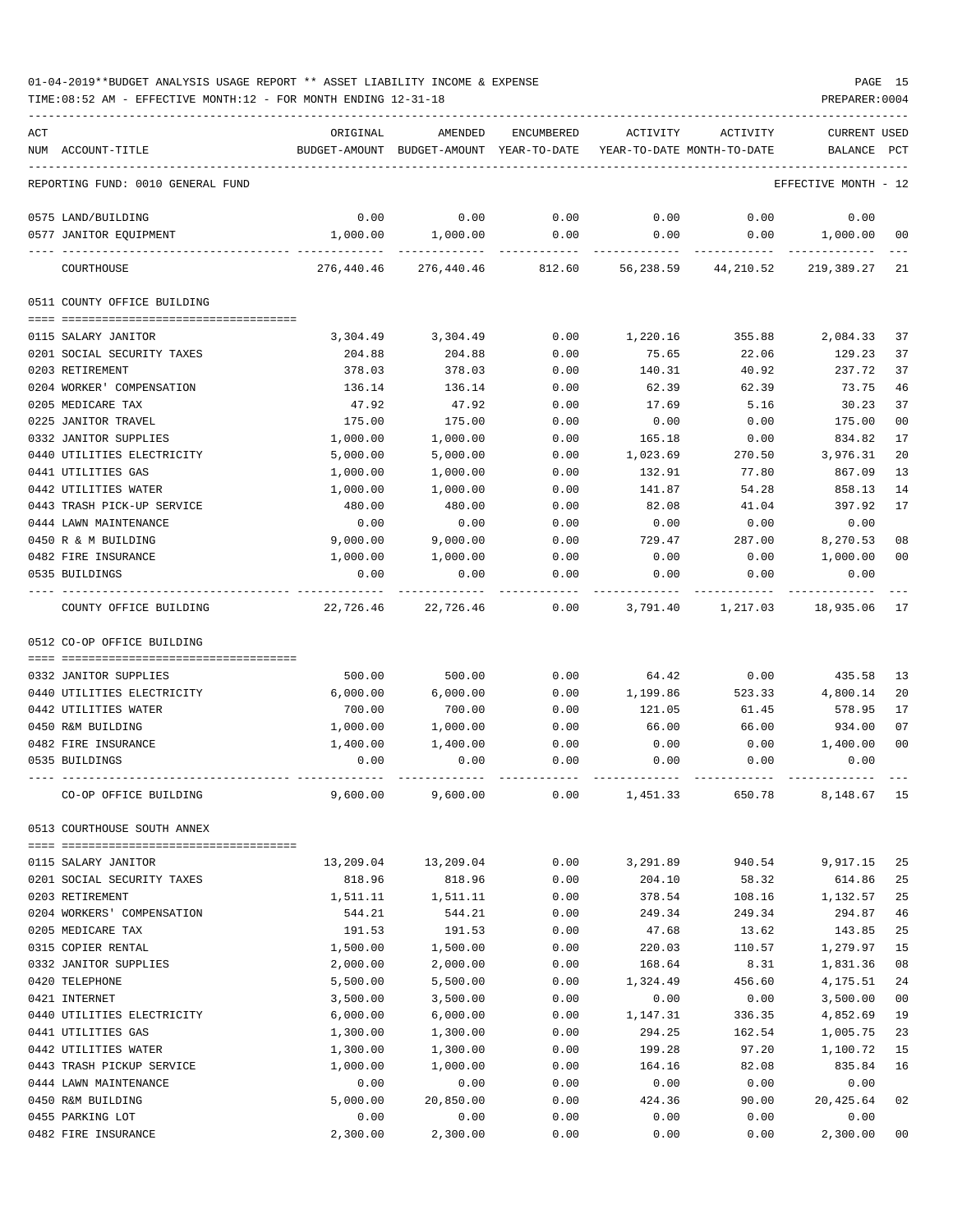TIME:08:52 AM - EFFECTIVE MONTH:12 - FOR MONTH ENDING 12-31-18 PREPARER:0004

| ACT |                                                    | ORIGINAL             | AMENDED                     | ENCUMBERED   | <b>ACTIVITY</b>    | ACTIVITY                   | <b>CURRENT USED</b>  |                |
|-----|----------------------------------------------------|----------------------|-----------------------------|--------------|--------------------|----------------------------|----------------------|----------------|
|     | NUM ACCOUNT-TITLE                                  |                      | BUDGET-AMOUNT BUDGET-AMOUNT | YEAR-TO-DATE |                    | YEAR-TO-DATE MONTH-TO-DATE | BALANCE              | PCT            |
|     | REPORTING FUND: 0010 GENERAL FUND                  |                      |                             |              |                    |                            | EFFECTIVE MONTH - 12 |                |
|     | 0575 LAND/BUILDING                                 | 0.00                 | 0.00                        | 0.00         | 0.00               | 0.00                       | 0.00                 |                |
|     | 0577 JANITOR EQUIPMENT                             | 1,000.00             | 1,000.00                    | 0.00         | 0.00               | 0.00                       | 1,000.00             | 00             |
|     | COURTHOUSE                                         | 276,440.46           | 276,440.46                  | 812.60       | 56,238.59          | 44,210.52                  | 219,389.27           | 21             |
|     | 0511 COUNTY OFFICE BUILDING                        |                      |                             |              |                    |                            |                      |                |
|     | 0115 SALARY JANITOR                                | 3,304.49             | 3,304.49                    | 0.00         | 1,220.16           | 355.88                     | 2,084.33             | 37             |
|     | 0201 SOCIAL SECURITY TAXES                         | 204.88               | 204.88                      | 0.00         | 75.65              | 22.06                      | 129.23               | 37             |
|     | 0203 RETIREMENT                                    | 378.03               | 378.03                      | 0.00         | 140.31             | 40.92                      | 237.72               | 37             |
|     | 0204 WORKER' COMPENSATION                          | 136.14               | 136.14                      | 0.00         | 62.39              | 62.39                      | 73.75                | 46             |
|     | 0205 MEDICARE TAX                                  | 47.92                | 47.92                       | 0.00         | 17.69              | 5.16                       | 30.23                | 37             |
|     | 0225 JANITOR TRAVEL                                | 175.00               | 175.00                      | 0.00         | 0.00               | 0.00                       | 175.00               | 00             |
|     | 0332 JANITOR SUPPLIES                              | 1,000.00             | 1,000.00                    | 0.00         | 165.18             | 0.00                       | 834.82               | 17             |
|     | 0440 UTILITIES ELECTRICITY                         | 5,000.00             | 5,000.00                    | 0.00         | 1,023.69           | 270.50                     | 3,976.31             | 20             |
|     | 0441 UTILITIES GAS                                 | 1,000.00             | 1,000.00                    | 0.00         | 132.91             | 77.80                      | 867.09               | 13             |
|     | 0442 UTILITIES WATER                               | 1,000.00             | 1,000.00                    | 0.00         | 141.87             | 54.28                      | 858.13               | 14             |
|     | 0443 TRASH PICK-UP SERVICE                         | 480.00               | 480.00                      | 0.00         | 82.08              | 41.04                      | 397.92               | 17             |
|     | 0444 LAWN MAINTENANCE                              | 0.00                 | 0.00                        | 0.00         | 0.00               | 0.00                       | 0.00                 |                |
|     | 0450 R & M BUILDING                                | 9,000.00             | 9,000.00                    | 0.00         | 729.47             | 287.00                     | 8,270.53             | 08             |
|     | 0482 FIRE INSURANCE<br>0535 BUILDINGS              | 1,000.00<br>0.00     | 1,000.00<br>0.00            | 0.00<br>0.00 | 0.00<br>0.00       | 0.00<br>0.00               | 1,000.00<br>0.00     | 0 <sub>0</sub> |
|     | COUNTY OFFICE BUILDING                             | 22,726.46            | 22,726.46                   | 0.00         | 3,791.40           | 1,217.03                   | 18,935.06            | 17             |
|     | 0512 CO-OP OFFICE BUILDING                         |                      |                             |              |                    |                            |                      |                |
|     |                                                    |                      |                             |              |                    |                            |                      |                |
|     | 0332 JANITOR SUPPLIES                              | 500.00               | 500.00                      | 0.00         | 64.42              | 0.00                       | 435.58               | 13             |
|     | 0440 UTILITIES ELECTRICITY<br>0442 UTILITIES WATER | 6,000.00             | 6,000.00                    | 0.00         | 1,199.86           | 523.33                     | 4,800.14<br>578.95   | 20<br>17       |
|     | 0450 R&M BUILDING                                  | 700.00<br>1,000.00   | 700.00<br>1,000.00          | 0.00<br>0.00 | 121.05<br>66.00    | 61.45<br>66.00             | 934.00               | 07             |
|     | 0482 FIRE INSURANCE                                | 1,400.00             | 1,400.00                    | 0.00         | 0.00               | 0.00                       | 1,400.00             | 0 <sub>0</sub> |
|     | 0535 BUILDINGS                                     | 0.00                 | 0.00                        | 0.00         | 0.00               | 0.00                       | 0.00                 |                |
|     | CO-OP OFFICE BUILDING                              | 9,600.00             | 9,600.00                    | 0.00         | 1,451.33           | 650.78                     | 8,148.67             | 15             |
|     |                                                    |                      |                             |              |                    |                            |                      |                |
|     | 0513 COURTHOUSE SOUTH ANNEX                        |                      |                             |              |                    |                            |                      |                |
|     | 0115 SALARY JANITOR                                | 13,209.04            | 13,209.04                   | 0.00         | 3,291.89           | 940.54                     | 9,917.15             | 25             |
|     | 0201 SOCIAL SECURITY TAXES                         | 818.96               | 818.96                      | 0.00         | 204.10             | 58.32                      | 614.86               | 25             |
|     | 0203 RETIREMENT                                    | 1,511.11             | 1,511.11                    | 0.00         | 378.54             | 108.16                     | 1,132.57             | 25             |
|     | 0204 WORKERS' COMPENSATION                         | 544.21               | 544.21                      | 0.00         | 249.34             | 249.34                     | 294.87               | 46             |
|     | 0205 MEDICARE TAX                                  | 191.53               | 191.53                      | 0.00         | 47.68              | 13.62                      | 143.85               | 25             |
|     | 0315 COPIER RENTAL                                 | 1,500.00             | 1,500.00                    | 0.00         | 220.03             | 110.57                     | 1,279.97             | 15<br>08       |
|     | 0332 JANITOR SUPPLIES<br>0420 TELEPHONE            | 2,000.00<br>5,500.00 | 2,000.00                    | 0.00<br>0.00 | 168.64<br>1,324.49 | 8.31<br>456.60             | 1,831.36             | 24             |
|     | 0421 INTERNET                                      | 3,500.00             | 5,500.00<br>3,500.00        | 0.00         | 0.00               | 0.00                       | 4,175.51<br>3,500.00 | 0 <sub>0</sub> |
|     | 0440 UTILITIES ELECTRICITY                         | 6,000.00             | 6,000.00                    | 0.00         | 1,147.31           | 336.35                     | 4,852.69             | 19             |
|     | 0441 UTILITIES GAS                                 | 1,300.00             | 1,300.00                    | 0.00         | 294.25             | 162.54                     | 1,005.75             | 23             |
|     | 0442 UTILITIES WATER                               | 1,300.00             | 1,300.00                    | 0.00         | 199.28             | 97.20                      | 1,100.72             | 15             |
|     | 0443 TRASH PICKUP SERVICE                          | 1,000.00             | 1,000.00                    | 0.00         | 164.16             | 82.08                      | 835.84               | 16             |
|     | 0444 LAWN MAINTENANCE                              | 0.00                 | 0.00                        | 0.00         | 0.00               | 0.00                       | 0.00                 |                |
|     | 0450 R&M BUILDING                                  | 5,000.00             | 20,850.00                   | 0.00         | 424.36             | 90.00                      | 20,425.64            | 02             |
|     | 0455 PARKING LOT                                   | 0.00                 | 0.00                        | 0.00         | 0.00               | 0.00                       | 0.00                 |                |

0482 FIRE INSURANCE 2,300.00 2,300.00 0.00 0.00 0.00 2,300.00 00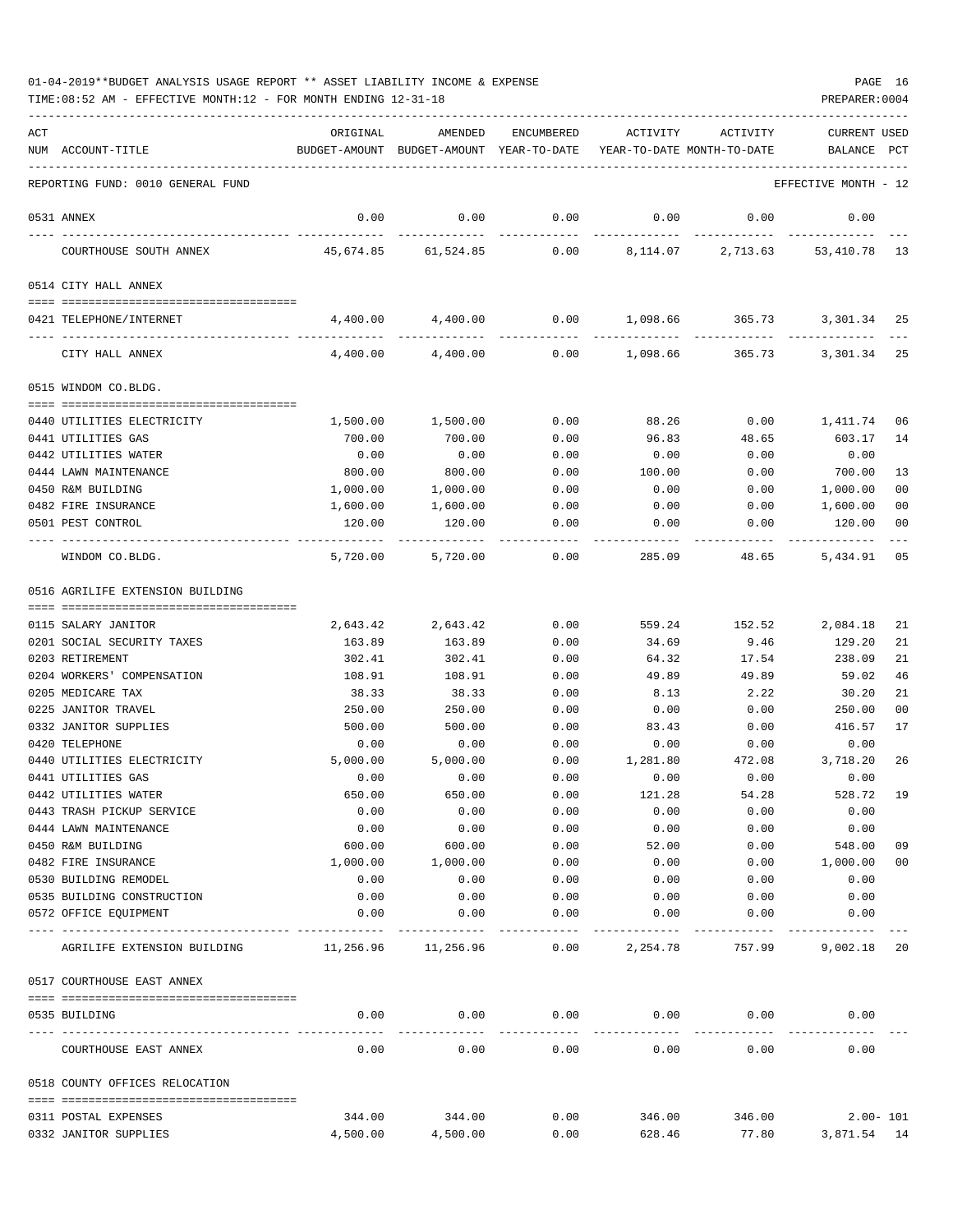| ACT | NUM ACCOUNT-TITLE                               | ORIGINAL        | AMENDED<br>BUDGET-AMOUNT BUDGET-AMOUNT YEAR-TO-DATE YEAR-TO-DATE MONTH-TO-DATE | ENCUMBERED        | ACTIVITY        | ACTIVITY      | <b>CURRENT USED</b><br>BALANCE | PCT          |
|-----|-------------------------------------------------|-----------------|--------------------------------------------------------------------------------|-------------------|-----------------|---------------|--------------------------------|--------------|
|     | REPORTING FUND: 0010 GENERAL FUND               |                 |                                                                                |                   |                 |               | EFFECTIVE MONTH - 12           |              |
|     | 0531 ANNEX                                      | 0.00            | 0.00                                                                           | 0.00              | 0.00            | 0.00          | 0.00                           |              |
|     | COURTHOUSE SOUTH ANNEX                          |                 | 45,674.85 61,524.85                                                            |                   | $0.00$ 8,114.07 |               | 2,713.63 53,410.78 13          |              |
|     | 0514 CITY HALL ANNEX                            |                 |                                                                                |                   |                 |               |                                |              |
|     | 0421 TELEPHONE/INTERNET                         | 4,400.00        | 4,400.00                                                                       | 0.00              |                 |               | 1,098.66 365.73 3,301.34       | 25           |
|     | CITY HALL ANNEX                                 | 4,400.00        | 4,400.00                                                                       | 0.00              | 1,098.66        | 365.73        | 3,301.34 25                    |              |
|     | 0515 WINDOM CO.BLDG.                            |                 |                                                                                |                   |                 |               |                                |              |
|     | 0440 UTILITIES ELECTRICITY                      | 1,500.00        | 1,500.00                                                                       | 0.00              | 88.26           | 0.00          | 1,411.74                       | 06           |
|     | 0441 UTILITIES GAS                              | 700.00          | 700.00                                                                         | 0.00              | 96.83           | 48.65         | 603.17                         | 14           |
|     | 0442 UTILITIES WATER                            | 0.00            | 0.00                                                                           | 0.00              | 0.00            | 0.00          | 0.00                           |              |
|     | 0444 LAWN MAINTENANCE                           | 800.00          | 800.00                                                                         | 0.00              | 100.00          | 0.00          | 700.00                         | 13           |
|     | 0450 R&M BUILDING                               | 1,000.00        | 1,000.00                                                                       | 0.00              | 0.00            | 0.00          | 1,000.00                       | 00           |
|     | 0482 FIRE INSURANCE                             | 1,600.00        | 1,600.00                                                                       | 0.00              | 0.00            | 0.00          | 1,600.00                       | 00           |
|     | 0501 PEST CONTROL                               | 120.00          | 120.00                                                                         | 0.00              | 0.00            | 0.00          | 120.00                         | 00           |
|     | WINDOM CO.BLDG.                                 | 5,720.00        | 5,720.00                                                                       | 0.00              | 285.09          | 48.65         | 5,434.91                       | 05           |
|     | 0516 AGRILIFE EXTENSION BUILDING                |                 |                                                                                |                   |                 |               |                                |              |
|     |                                                 |                 |                                                                                |                   |                 |               |                                |              |
|     | 0115 SALARY JANITOR                             | 2,643.42        | 2,643.42                                                                       | 0.00              | 559.24          | 152.52        | 2,084.18                       | 21           |
|     | 0201 SOCIAL SECURITY TAXES                      | 163.89          | 163.89                                                                         | 0.00              | 34.69           | 9.46          | 129.20                         | 21           |
|     | 0203 RETIREMENT                                 | 302.41          | 302.41                                                                         | 0.00              | 64.32           | 17.54         | 238.09                         | 21           |
|     | 0204 WORKERS' COMPENSATION<br>0205 MEDICARE TAX | 108.91<br>38.33 | 108.91                                                                         | 0.00              | 49.89           | 49.89<br>2.22 | 59.02<br>30.20                 | 46<br>21     |
|     | 0225 JANITOR TRAVEL                             | 250.00          | 38.33<br>250.00                                                                | 0.00              | 8.13            |               | 250.00                         | 00           |
|     | 0332 JANITOR SUPPLIES                           | 500.00          | 500.00                                                                         | 0.00<br>0.00      | 0.00<br>83.43   | 0.00<br>0.00  | 416.57                         | 17           |
|     | 0420 TELEPHONE                                  | 0.00            | 0.00                                                                           | 0.00              | 0.00            | 0.00          | 0.00                           |              |
|     | 0440 UTILITIES ELECTRICITY                      | 5,000.00        | 5,000.00                                                                       | 0.00              | 1,281.80        | 472.08        | 3,718.20                       | 26           |
|     | 0441 UTILITIES GAS                              | 0.00            | 0.00                                                                           | 0.00              | 0.00            | 0.00          | 0.00                           |              |
|     | 0442 UTILITIES WATER                            | 650.00          | 650.00                                                                         | 0.00              | 121.28          | 54.28         | 528.72                         | 19           |
|     | 0443 TRASH PICKUP SERVICE                       | 0.00            | 0.00                                                                           | 0.00              | 0.00            | 0.00          | 0.00                           |              |
|     | 0444 LAWN MAINTENANCE                           | 0.00            | 0.00                                                                           | 0.00              | 0.00            | 0.00          | 0.00                           |              |
|     | 0450 R&M BUILDING                               | 600.00          | 600.00                                                                         | 0.00              | 52.00           | 0.00          | 548.00                         | 09           |
|     | 0482 FIRE INSURANCE                             | 1,000.00        | 1,000.00                                                                       | 0.00              | 0.00            | 0.00          | 1,000.00                       | 00           |
|     | 0530 BUILDING REMODEL                           | 0.00            | 0.00                                                                           | 0.00              | 0.00            | 0.00          | 0.00                           |              |
|     | 0535 BUILDING CONSTRUCTION                      | 0.00            | 0.00                                                                           | 0.00              | 0.00            | 0.00          | 0.00                           |              |
|     | 0572 OFFICE EQUIPMENT                           | 0.00            | 0.00                                                                           | 0.00              | 0.00            | 0.00          | 0.00                           |              |
|     | AGRILIFE EXTENSION BUILDING                     | 11,256.96       | 11,256.96                                                                      | $- - - -$<br>0.00 | 2,254.78        | 757.99        | 9,002.18 20                    |              |
|     | 0517 COURTHOUSE EAST ANNEX                      |                 |                                                                                |                   |                 |               |                                |              |
|     | 0535 BUILDING                                   | 0.00            | 0.00                                                                           | 0.00              | 0.00            | 0.00          | 0.00                           |              |
|     | COURTHOUSE EAST ANNEX                           | 0.00            | 0.00                                                                           | 0.00              | 0.00            | 0.00          | 0.00                           |              |
|     | 0518 COUNTY OFFICES RELOCATION                  |                 |                                                                                |                   |                 |               |                                |              |
|     | 0311 POSTAL EXPENSES                            | 344.00          | 344.00                                                                         | 0.00              | 346.00          | 346.00        |                                | $2.00 - 101$ |
|     | 0332 JANITOR SUPPLIES                           | 4,500.00        | 4,500.00                                                                       | 0.00              | 628.46          | 77.80         | 3,871.54 14                    |              |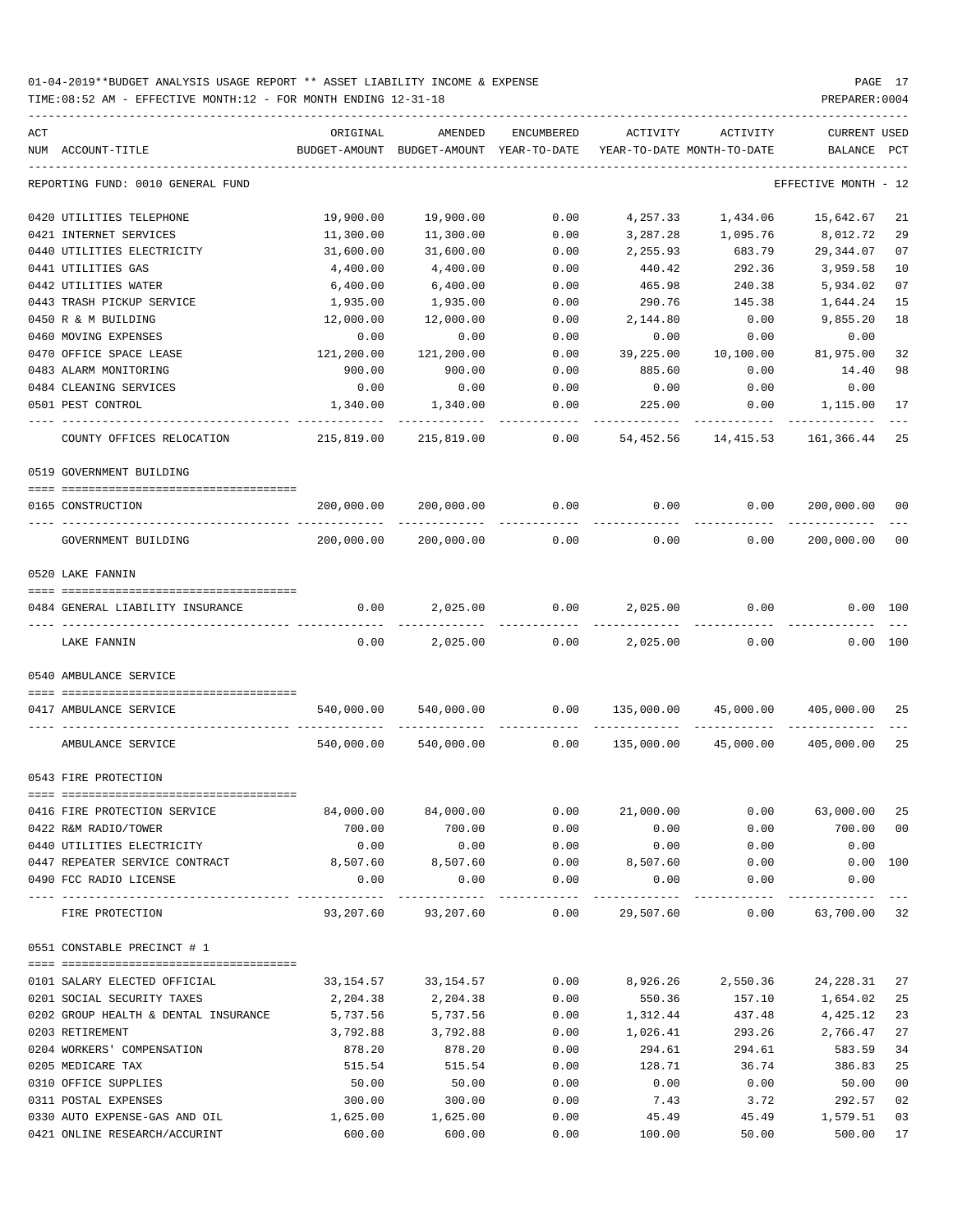TIME:08:52 AM - EFFECTIVE MONTH:12 - FOR MONTH ENDING 12-31-18 PREPARER:0004

| ACT | NUM ACCOUNT-TITLE                       | ORIGINAL   | AMENDED<br>BUDGET-AMOUNT BUDGET-AMOUNT YEAR-TO-DATE                  | ENCUMBERED             |           | ACTIVITY ACTIVITY<br>YEAR-TO-DATE MONTH-TO-DATE | CURRENT USED<br>BALANCE PCT                                 |                |
|-----|-----------------------------------------|------------|----------------------------------------------------------------------|------------------------|-----------|-------------------------------------------------|-------------------------------------------------------------|----------------|
|     | REPORTING FUND: 0010 GENERAL FUND       |            |                                                                      |                        |           |                                                 | EFFECTIVE MONTH - 12                                        |                |
|     |                                         |            |                                                                      |                        |           |                                                 |                                                             |                |
|     | 0420 UTILITIES TELEPHONE                | 19,900.00  | 19,900.00                                                            | 0.00                   | 4,257.33  | 1,434.06                                        | 15,642.67                                                   | 21             |
|     | 0421 INTERNET SERVICES                  | 11,300.00  | 11,300.00                                                            | 0.00                   | 3,287.28  | 1,095.76                                        | 8,012.72                                                    | 29             |
|     | 0440 UTILITIES ELECTRICITY              | 31,600.00  | 31,600.00                                                            | 0.00                   | 2,255.93  | 683.79                                          | 29,344.07                                                   | 07             |
|     | 0441 UTILITIES GAS                      | 4,400.00   | 4,400.00                                                             | 0.00                   | 440.42    | 292.36                                          | 3,959.58                                                    | 10             |
|     | 0442 UTILITIES WATER                    | 6,400.00   | 6,400.00                                                             | 0.00                   | 465.98    | 240.38                                          | 5,934.02                                                    | 07             |
|     | 0443 TRASH PICKUP SERVICE               | 1,935.00   | 1,935.00                                                             | 0.00                   | 290.76    | 145.38                                          | 1,644.24                                                    | 15             |
|     | 0450 R & M BUILDING                     | 12,000.00  | 12,000.00                                                            | 0.00                   | 2,144.80  | 0.00                                            | 9,855.20                                                    | 18             |
|     | 0460 MOVING EXPENSES                    | 0.00       | 0.00                                                                 | 0.00                   | 0.00      | 0.00                                            | 0.00                                                        |                |
|     | 0470 OFFICE SPACE LEASE                 | 121,200.00 | 121,200.00                                                           | 0.00                   | 39,225.00 | 10,100.00                                       | 81,975.00                                                   | 32             |
|     | 0483 ALARM MONITORING                   | 900.00     | 900.00                                                               | 0.00                   | 885.60    | 0.00                                            | 14.40                                                       | 98             |
|     | 0484 CLEANING SERVICES                  | 0.00       | 0.00                                                                 | 0.00                   | 0.00      | 0.00                                            | 0.00                                                        |                |
|     | 0501 PEST CONTROL                       | 1,340.00   | 1,340.00                                                             | 0.00                   | 225.00    | 0.00                                            | 1,115.00                                                    | 17             |
|     | COUNTY OFFICES RELOCATION               | 215,819.00 | 215,819.00                                                           | 0.00                   | 54,452.56 | 14,415.53                                       | 161,366.44                                                  | 25             |
|     | 0519 GOVERNMENT BUILDING                |            |                                                                      |                        |           |                                                 |                                                             |                |
|     | 0165 CONSTRUCTION                       |            | 200,000.00 200,000.00                                                | 0.00                   |           |                                                 | $0.00$ $0.00$ $200,000.00$                                  | 00             |
|     | GOVERNMENT BUILDING                     |            | 200,000.00 200,000.00                                                | 0.00                   | 0.00      | 0.00                                            | 200,000.00                                                  | 0 <sub>0</sub> |
|     | 0520 LAKE FANNIN                        |            |                                                                      |                        |           |                                                 |                                                             |                |
|     | 0484 GENERAL LIABILITY INSURANCE        |            | $0.00$ 2,025.00                                                      | $0.00$ 2,025.00        |           | 0.00                                            | 0.00 100                                                    |                |
|     | LAKE FANNIN                             | 0.00       | 2,025.00                                                             | 0.00                   | 2,025.00  | 0.00                                            | 0.00 100                                                    |                |
|     | 0540 AMBULANCE SERVICE                  |            |                                                                      |                        |           |                                                 |                                                             |                |
|     |                                         |            |                                                                      |                        |           |                                                 |                                                             |                |
|     | 0417 AMBULANCE SERVICE                  |            | 540,000.00 540,000.00                                                |                        |           |                                                 | $0.00 \qquad 135,000.00 \qquad 45,000.00 \qquad 405,000.00$ | 25             |
|     | AMBULANCE SERVICE                       |            | $540,000.00$ $540,000.00$ 0.00 $135,000.00$ $45,000.00$ $405,000.00$ |                        |           |                                                 |                                                             | 25             |
|     | 0543 FIRE PROTECTION                    |            |                                                                      |                        |           |                                                 |                                                             |                |
|     |                                         |            |                                                                      |                        |           |                                                 |                                                             |                |
|     | 0416 FIRE PROTECTION SERVICE            | 84,000.00  | 84,000.00                                                            | 0.00                   | 21,000.00 | 0.00                                            | 63,000.00 25                                                |                |
|     | 0422 R&M RADIO/TOWER                    | 700.00     | 700.00                                                               | 0.00                   | 0.00      | 0.00                                            | 700.00 00                                                   |                |
|     | 0440 UTILITIES ELECTRICITY              | 0.00       | 0.00                                                                 | 0.00                   | 0.00      | 0.00                                            | 0.00                                                        |                |
|     | 0447 REPEATER SERVICE CONTRACT 8,507.60 |            |                                                                      | 8,507.60 0.00 8,507.60 |           | 0.00                                            | $0.00$ 100                                                  |                |
|     | 0490 FCC RADIO LICENSE                  | 0.00       | 0.00                                                                 | 0.00                   | 0.00      | 0.00                                            | 0.00                                                        |                |
|     | FIRE PROTECTION                         |            | 93,207.60  93,207.60  0.00  29,507.60  0.00  63,700.00  32           |                        |           |                                                 |                                                             |                |
|     | 0551 CONSTABLE PRECINCT # 1             |            |                                                                      |                        |           |                                                 |                                                             |                |
|     |                                         |            |                                                                      |                        |           |                                                 |                                                             |                |
|     | 0101 SALARY ELECTED OFFICIAL            |            | 33, 154. 57 33, 154. 57                                              | 0.00                   |           |                                                 | 8,926.26 2,550.36 24,228.31                                 | 27             |
|     | 0201 SOCIAL SECURITY TAXES              | 2,204.38   | 2,204.38                                                             | 0.00                   | 550.36    | 157.10                                          | 1,654.02                                                    | 25             |
|     | 0202 GROUP HEALTH & DENTAL INSURANCE    | 5,737.56   | 5,737.56                                                             | 0.00                   | 1,312.44  | 437.48                                          | 4,425.12                                                    | 23             |
|     | 0203 RETIREMENT                         | 3,792.88   | 3,792.88                                                             | 0.00                   | 1,026.41  | 293.26                                          | 2,766.47                                                    | 27             |
|     | 0204 WORKERS' COMPENSATION              | 878.20     | 878.20                                                               | 0.00                   | 294.61    | 294.61                                          | 583.59                                                      | 34             |
|     | 0205 MEDICARE TAX                       | 515.54     | 515.54                                                               | 0.00                   | 128.71    | 36.74                                           | 386.83                                                      | 25             |
|     | 0310 OFFICE SUPPLIES                    | 50.00      | 50.00                                                                | 0.00                   | 0.00      | 0.00                                            | 50.00                                                       | 0 <sub>0</sub> |
|     | 0311 POSTAL EXPENSES                    | 300.00     | 300.00                                                               | 0.00                   | 7.43      | 3.72                                            | 292.57                                                      | 02             |
|     | 0330 AUTO EXPENSE-GAS AND OIL           | 1,625.00   | 1,625.00                                                             | 0.00                   | 45.49     | 45.49                                           | 1,579.51                                                    | 03             |

0421 ONLINE RESEARCH/ACCURINT 600.00 600.00 0.00 100.00 50.00 500.00 17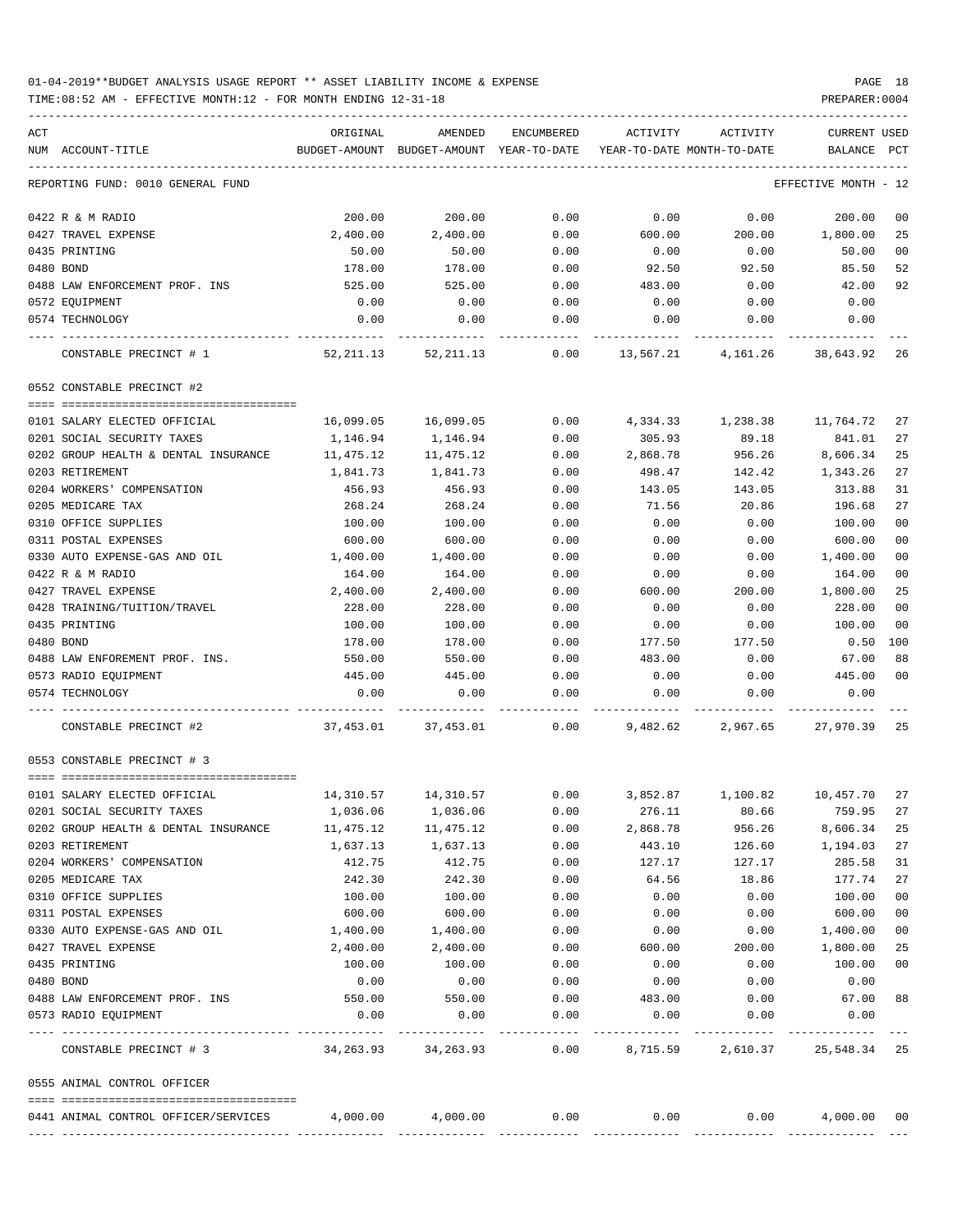TIME:08:52 AM - EFFECTIVE MONTH:12 - FOR MONTH ENDING 12-31-18 PREPARER:0004

| ACT                                                     | ORIGINAL                | AMENDED                    | ENCUMBERED   | ACTIVITY                   | ACTIVITY             | <b>CURRENT USED</b>            |                |
|---------------------------------------------------------|-------------------------|----------------------------|--------------|----------------------------|----------------------|--------------------------------|----------------|
| NUM ACCOUNT-TITLE                                       | BUDGET-AMOUNT           | BUDGET-AMOUNT YEAR-TO-DATE |              | YEAR-TO-DATE MONTH-TO-DATE |                      | BALANCE                        | $_{\rm PCT}$   |
| REPORTING FUND: 0010 GENERAL FUND                       |                         |                            |              |                            |                      | EFFECTIVE MONTH - 12           |                |
| 0422 R & M RADIO                                        | 200.00                  | 200.00                     | 0.00         | 0.00                       | 0.00                 | 200.00                         | 0 <sub>0</sub> |
| 0427 TRAVEL EXPENSE                                     | 2,400.00                | 2,400.00                   | 0.00         | 600.00                     | 200.00               | 1,800.00                       | 25             |
| 0435 PRINTING                                           | 50.00                   | 50.00                      | 0.00         | 0.00                       | 0.00                 | 50.00                          | 0 <sub>0</sub> |
| 0480 BOND                                               | 178.00                  | 178.00                     | 0.00         | 92.50                      | 92.50                | 85.50                          | 52             |
| 0488 LAW ENFORCEMENT PROF. INS                          | 525.00                  | 525.00                     | 0.00         | 483.00                     | 0.00                 | 42.00                          | 92             |
| 0572 EQUIPMENT                                          | 0.00                    | 0.00                       | 0.00         | 0.00                       | 0.00                 | 0.00                           |                |
| 0574 TECHNOLOGY                                         | 0.00                    | 0.00                       | 0.00         | 0.00                       | 0.00                 | 0.00                           |                |
| CONSTABLE PRECINCT # 1                                  | 52,211.13               | 52,211.13                  | 0.00         | 13,567.21                  | 4,161.26             | 38,643.92                      | 26             |
| 0552 CONSTABLE PRECINCT #2                              |                         |                            |              |                            |                      |                                |                |
|                                                         |                         |                            |              |                            |                      |                                |                |
| 0101 SALARY ELECTED OFFICIAL                            | 16,099.05               | 16,099.05                  | 0.00         | 4,334.33                   | 1,238.38             | 11,764.72                      | 27             |
| 0201 SOCIAL SECURITY TAXES                              | 1,146.94                | 1,146.94<br>11,475.12      | 0.00         | 305.93<br>2,868.78         | 89.18                | 841.01                         | 27<br>25       |
| 0202 GROUP HEALTH & DENTAL INSURANCE<br>0203 RETIREMENT | 11,475.12<br>1,841.73   |                            | 0.00         |                            | 956.26               | 8,606.34                       | 27             |
| 0204 WORKERS' COMPENSATION                              | 456.93                  | 1,841.73<br>456.93         | 0.00<br>0.00 | 498.47                     | 142.42<br>143.05     | 1,343.26                       | 31             |
| 0205 MEDICARE TAX                                       | 268.24                  | 268.24                     | 0.00         | 143.05<br>71.56            | 20.86                | 313.88<br>196.68               | 27             |
| 0310 OFFICE SUPPLIES                                    | 100.00                  | 100.00                     | 0.00         | 0.00                       | 0.00                 | 100.00                         | 0 <sub>0</sub> |
| 0311 POSTAL EXPENSES                                    | 600.00                  | 600.00                     | 0.00         | 0.00                       | 0.00                 | 600.00                         | 0 <sub>0</sub> |
| 0330 AUTO EXPENSE-GAS AND OIL                           | 1,400.00                | 1,400.00                   | 0.00         | 0.00                       | 0.00                 | 1,400.00                       | 0 <sub>0</sub> |
| 0422 R & M RADIO                                        | 164.00                  | 164.00                     | 0.00         | 0.00                       | 0.00                 | 164.00                         | 00             |
| 0427 TRAVEL EXPENSE                                     | 2,400.00                | 2,400.00                   | 0.00         | 600.00                     | 200.00               | 1,800.00                       | 25             |
| 0428 TRAINING/TUITION/TRAVEL                            | 228.00                  | 228.00                     | 0.00         | 0.00                       | 0.00                 | 228.00                         | 0 <sup>0</sup> |
| 0435 PRINTING                                           | 100.00                  | 100.00                     | 0.00         | 0.00                       | 0.00                 | 100.00                         | 0 <sub>0</sub> |
| 0480 BOND                                               | 178.00                  | 178.00                     | 0.00         | 177.50                     | 177.50               | 0.50                           | 100            |
| 0488 LAW ENFOREMENT PROF. INS.                          | 550.00                  | 550.00                     | 0.00         | 483.00                     | 0.00                 | 67.00                          | 88             |
| 0573 RADIO EQUIPMENT                                    | 445.00                  | 445.00                     | 0.00         | 0.00                       | 0.00                 | 445.00                         | 0 <sup>0</sup> |
| 0574 TECHNOLOGY                                         | 0.00                    | 0.00                       | 0.00         | 0.00                       | 0.00                 | 0.00                           |                |
| CONSTABLE PRECINCT #2                                   | 37,453.01               | 37,453.01                  | 0.00         | 9,482.62                   | 2,967.65             | 27,970.39                      | 25             |
| 0553 CONSTABLE PRECINCT # 3                             |                         |                            |              |                            |                      |                                |                |
| 0101 SALARY ELECTED OFFICIAL                            | 14,310.57               | 14,310.57                  | 0.00         | 3,852.87                   | 1,100.82             | 10,457.70                      | 27             |
| 0201 SOCIAL SECURITY TAXES                              | 1,036.06                | 1,036.06                   | 0.00         | 276.11                     | 80.66                | 759.95                         | 27             |
| 0202 GROUP HEALTH & DENTAL INSURANCE                    | 11,475.12               | 11,475.12                  | 0.00         | 2,868.78                   | 956.26               | 8,606.34                       | 25             |
| 0203 RETIREMENT                                         | 1,637.13                | 1,637.13                   | 0.00         | 443.10                     | 126.60               | 1,194.03                       | 27             |
| 0204 WORKERS' COMPENSATION                              | 412.75                  | 412.75                     | 0.00         | 127.17                     | 127.17               | 285.58                         | 31             |
| 0205 MEDICARE TAX                                       | 242.30                  | 242.30                     | 0.00         | 64.56                      | 18.86                | 177.74                         | 27             |
| 0310 OFFICE SUPPLIES                                    | 100.00                  | 100.00                     | 0.00         | 0.00                       | 0.00                 | 100.00                         | 0 <sub>0</sub> |
| 0311 POSTAL EXPENSES                                    | 600.00                  | 600.00                     | 0.00         | 0.00                       | 0.00                 | 600.00                         | 0 <sub>0</sub> |
| 0330 AUTO EXPENSE-GAS AND OIL                           | 1,400.00                | 1,400.00                   | 0.00         | 0.00                       | 0.00                 | 1,400.00                       | 00             |
| 0427 TRAVEL EXPENSE                                     | 2,400.00                | 2,400.00                   | 0.00         | 600.00                     | 200.00               | 1,800.00                       | 25             |
| 0435 PRINTING                                           | 100.00                  | 100.00                     | 0.00         | 0.00                       | 0.00                 | 100.00                         | 0 <sub>0</sub> |
| 0480 BOND                                               | 0.00                    | 0.00                       | 0.00         | 0.00                       | 0.00                 | 0.00                           |                |
| 0488 LAW ENFORCEMENT PROF. INS                          | 550.00                  | 550.00                     | 0.00         | 483.00                     | 0.00                 | 67.00                          | 88             |
| 0573 RADIO EQUIPMENT                                    | 0.00                    | 0.00                       | 0.00         | 0.00                       | 0.00<br>------------ | 0.00                           |                |
| CONSTABLE PRECINCT # 3                                  | 34, 263. 93 34, 263. 93 |                            | 0.00         |                            |                      | 8,715.59 2,610.37 25,548.34 25 |                |
| 0555 ANIMAL CONTROL OFFICER                             |                         |                            |              |                            |                      |                                |                |
| 0441 ANIMAL CONTROL OFFICER/SERVICES                    | $4,000.00$ $4,000.00$   |                            | 0.00         | 0.00                       |                      | 0.00<br>4,000.00 00            |                |
|                                                         |                         |                            |              |                            |                      |                                |                |

-----------------------------------------------------------------------------------------------------------------------------------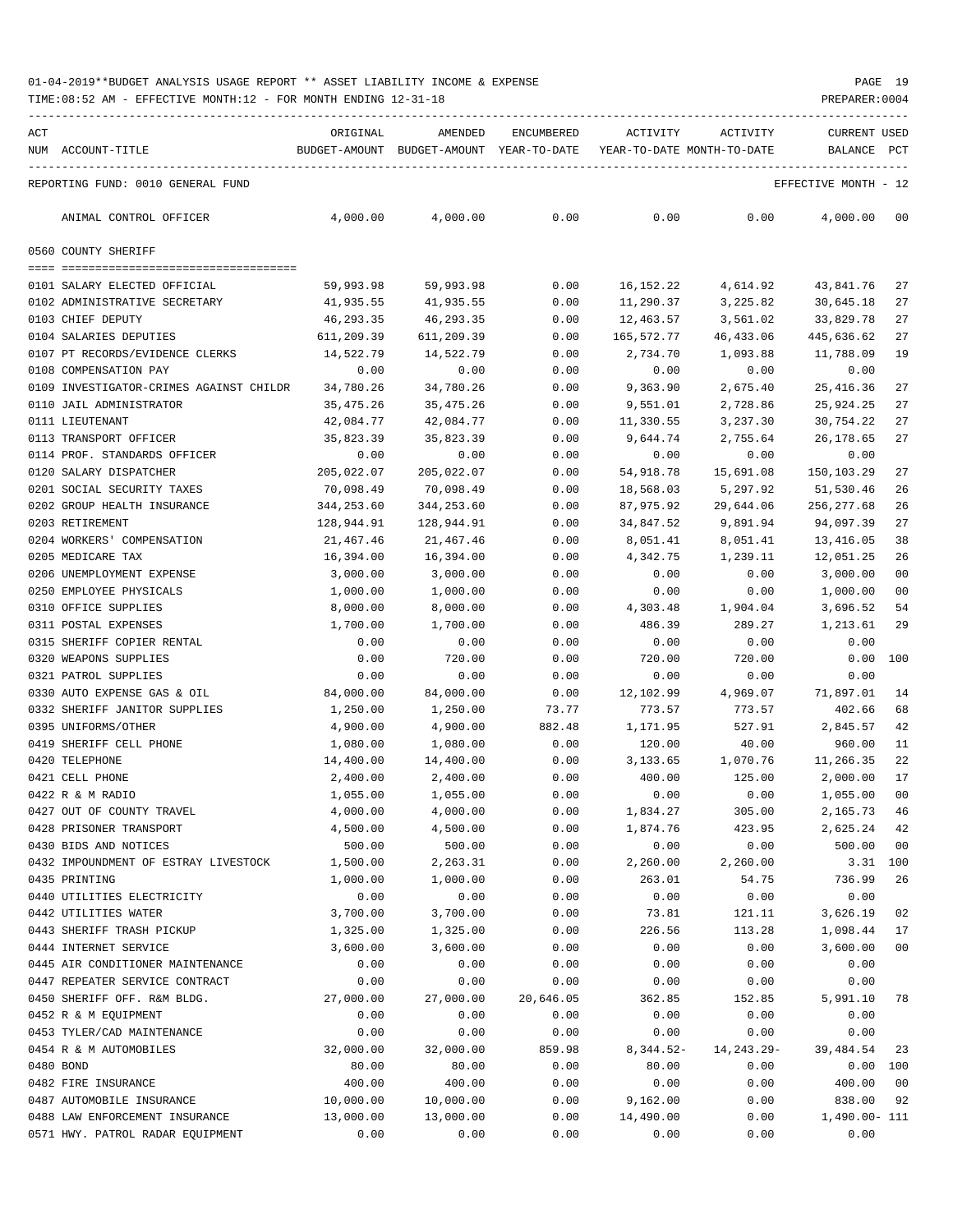| ACT | NUM ACCOUNT-TITLE                       | ORIGINAL   | AMENDED                                  | ENCUMBERED | ACTIVITY                   | ACTIVITY     | <b>CURRENT USED</b>  |                |
|-----|-----------------------------------------|------------|------------------------------------------|------------|----------------------------|--------------|----------------------|----------------|
|     |                                         |            | BUDGET-AMOUNT BUDGET-AMOUNT YEAR-TO-DATE |            | YEAR-TO-DATE MONTH-TO-DATE |              | BALANCE              | PCT            |
|     | REPORTING FUND: 0010 GENERAL FUND       |            |                                          |            |                            |              | EFFECTIVE MONTH - 12 |                |
|     | ANIMAL CONTROL OFFICER                  | 4,000.00   | 4,000.00                                 | 0.00       | 0.00                       | 0.00         | 4,000.00             | 00             |
|     | 0560 COUNTY SHERIFF                     |            |                                          |            |                            |              |                      |                |
|     | 0101 SALARY ELECTED OFFICIAL            | 59,993.98  | 59,993.98                                | 0.00       | 16,152.22                  | 4,614.92     | 43,841.76            | 27             |
|     | 0102 ADMINISTRATIVE SECRETARY           | 41,935.55  | 41,935.55                                | 0.00       | 11,290.37                  | 3,225.82     | 30,645.18            | 27             |
|     | 0103 CHIEF DEPUTY                       | 46,293.35  | 46,293.35                                | 0.00       | 12,463.57                  | 3,561.02     | 33,829.78            | 27             |
|     | 0104 SALARIES DEPUTIES                  | 611,209.39 | 611,209.39                               | 0.00       | 165,572.77                 | 46,433.06    | 445,636.62           | 27             |
|     | 0107 PT RECORDS/EVIDENCE CLERKS         | 14,522.79  | 14,522.79                                | 0.00       | 2,734.70                   | 1,093.88     | 11,788.09            | 19             |
|     | 0108 COMPENSATION PAY                   | 0.00       | 0.00                                     | 0.00       | 0.00                       | 0.00         | 0.00                 |                |
|     | 0109 INVESTIGATOR-CRIMES AGAINST CHILDR | 34,780.26  | 34,780.26                                | 0.00       | 9,363.90                   | 2,675.40     | 25, 416.36           | 27             |
|     | 0110 JAIL ADMINISTRATOR                 | 35,475.26  | 35,475.26                                | 0.00       | 9,551.01                   | 2,728.86     | 25,924.25            | 27             |
|     | 0111 LIEUTENANT                         | 42,084.77  | 42,084.77                                | 0.00       | 11,330.55                  | 3,237.30     | 30,754.22            | 27             |
|     | 0113 TRANSPORT OFFICER                  | 35,823.39  | 35,823.39                                | 0.00       | 9,644.74                   | 2,755.64     | 26,178.65            | 27             |
|     | 0114 PROF. STANDARDS OFFICER            | 0.00       | 0.00                                     | 0.00       | 0.00                       | 0.00         | 0.00                 |                |
|     | 0120 SALARY DISPATCHER                  | 205,022.07 | 205,022.07                               | 0.00       | 54,918.78                  | 15,691.08    | 150,103.29           | 27             |
|     | 0201 SOCIAL SECURITY TAXES              | 70,098.49  | 70,098.49                                | 0.00       | 18,568.03                  | 5,297.92     | 51,530.46            | 26             |
|     | 0202 GROUP HEALTH INSURANCE             | 344,253.60 | 344,253.60                               | 0.00       | 87,975.92                  | 29,644.06    | 256, 277.68          | 26             |
|     | 0203 RETIREMENT                         | 128,944.91 | 128,944.91                               | 0.00       | 34,847.52                  | 9,891.94     | 94,097.39            | 27             |
|     | 0204 WORKERS' COMPENSATION              | 21,467.46  | 21,467.46                                | 0.00       | 8,051.41                   | 8,051.41     | 13,416.05            | 38             |
|     | 0205 MEDICARE TAX                       | 16,394.00  | 16,394.00                                | 0.00       | 4,342.75                   | 1,239.11     | 12,051.25            | 26             |
|     | 0206 UNEMPLOYMENT EXPENSE               | 3,000.00   | 3,000.00                                 | 0.00       | 0.00                       | 0.00         | 3,000.00             | 0 <sub>0</sub> |
|     | 0250 EMPLOYEE PHYSICALS                 | 1,000.00   | 1,000.00                                 | 0.00       | 0.00                       | 0.00         | 1,000.00             | 00             |
|     | 0310 OFFICE SUPPLIES                    | 8,000.00   | 8,000.00                                 | 0.00       | 4,303.48                   | 1,904.04     | 3,696.52             | 54             |
|     | 0311 POSTAL EXPENSES                    | 1,700.00   | 1,700.00                                 | 0.00       | 486.39                     | 289.27       | 1,213.61             | 29             |
|     | 0315 SHERIFF COPIER RENTAL              | 0.00       | 0.00                                     | 0.00       | 0.00                       | 0.00         | 0.00                 |                |
|     | 0320 WEAPONS SUPPLIES                   | 0.00       | 720.00                                   | 0.00       | 720.00                     | 720.00       | 0.00                 | 100            |
|     | 0321 PATROL SUPPLIES                    | 0.00       | 0.00                                     | 0.00       | 0.00                       | 0.00         | 0.00                 |                |
|     | 0330 AUTO EXPENSE GAS & OIL             | 84,000.00  | 84,000.00                                | 0.00       | 12,102.99                  | 4,969.07     | 71,897.01            | 14             |
|     | 0332 SHERIFF JANITOR SUPPLIES           | 1,250.00   | 1,250.00                                 | 73.77      | 773.57                     | 773.57       | 402.66               | 68             |
|     | 0395 UNIFORMS/OTHER                     | 4,900.00   | 4,900.00                                 | 882.48     | 1,171.95                   | 527.91       | 2,845.57             | 42             |
|     | 0419 SHERIFF CELL PHONE                 | 1,080.00   | 1,080.00                                 | 0.00       | 120.00                     | 40.00        | 960.00               | 11             |
|     | 0420 TELEPHONE                          | 14,400.00  | 14,400.00                                | 0.00       | 3,133.65                   | 1,070.76     | 11,266.35            | 22             |
|     | 0421 CELL PHONE                         | 2,400.00   | 2,400.00                                 | 0.00       | 400.00                     | 125.00       | 2,000.00             | 17             |
|     | 0422 R & M RADIO                        | 1,055.00   | 1,055.00                                 | 0.00       | 0.00                       | 0.00         | 1,055.00             | 00             |
|     | 0427 OUT OF COUNTY TRAVEL               | 4,000.00   | 4,000.00                                 | 0.00       | 1,834.27                   | 305.00       | 2,165.73             | 46             |
|     | 0428 PRISONER TRANSPORT                 | 4,500.00   | 4,500.00                                 | 0.00       | 1,874.76                   | 423.95       | 2,625.24             | 42             |
|     | 0430 BIDS AND NOTICES                   | 500.00     | 500.00                                   | 0.00       | 0.00                       | 0.00         | 500.00               | 0 <sub>0</sub> |
|     | 0432 IMPOUNDMENT OF ESTRAY LIVESTOCK    | 1,500.00   | 2,263.31                                 | 0.00       | 2,260.00                   | 2,260.00     |                      | 3.31 100       |
|     | 0435 PRINTING                           | 1,000.00   | 1,000.00                                 | 0.00       | 263.01                     | 54.75        | 736.99               | 26             |
|     | 0440 UTILITIES ELECTRICITY              | 0.00       | 0.00                                     | 0.00       | 0.00                       | 0.00         | 0.00                 |                |
|     | 0442 UTILITIES WATER                    | 3,700.00   | 3,700.00                                 | 0.00       | 73.81                      | 121.11       | 3,626.19             | 02             |
|     | 0443 SHERIFF TRASH PICKUP               | 1,325.00   | 1,325.00                                 | 0.00       | 226.56                     | 113.28       | 1,098.44             | 17             |
|     | 0444 INTERNET SERVICE                   | 3,600.00   | 3,600.00                                 | 0.00       | 0.00                       | 0.00         | 3,600.00             | 00             |
|     | 0445 AIR CONDITIONER MAINTENANCE        | 0.00       | 0.00                                     | 0.00       | 0.00                       | 0.00         | 0.00                 |                |
|     | 0447 REPEATER SERVICE CONTRACT          | 0.00       | 0.00                                     | 0.00       | 0.00                       | 0.00         | 0.00                 |                |
|     | 0450 SHERIFF OFF. R&M BLDG.             | 27,000.00  | 27,000.00                                | 20,646.05  | 362.85                     | 152.85       | 5,991.10             | 78             |
|     | 0452 R & M EQUIPMENT                    | 0.00       | 0.00                                     | 0.00       | 0.00                       | 0.00         | 0.00                 |                |
|     | 0453 TYLER/CAD MAINTENANCE              | 0.00       | 0.00                                     | 0.00       | 0.00                       | 0.00         | 0.00                 |                |
|     | 0454 R & M AUTOMOBILES                  | 32,000.00  | 32,000.00                                | 859.98     | $8,344.52-$                | 14, 243. 29- | 39,484.54            | 23             |
|     | 0480 BOND                               | 80.00      | 80.00                                    | 0.00       | 80.00                      | 0.00         |                      | 0.00 100       |
|     | 0482 FIRE INSURANCE                     | 400.00     | 400.00                                   | 0.00       | 0.00                       | 0.00         | 400.00               | 00             |
|     | 0487 AUTOMOBILE INSURANCE               | 10,000.00  | 10,000.00                                | 0.00       | 9,162.00                   | 0.00         | 838.00               | 92             |
|     | 0488 LAW ENFORCEMENT INSURANCE          | 13,000.00  | 13,000.00                                | 0.00       | 14,490.00                  | 0.00         | 1,490.00- 111        |                |
|     | 0571 HWY. PATROL RADAR EQUIPMENT        | 0.00       | 0.00                                     | 0.00       | 0.00                       | 0.00         | 0.00                 |                |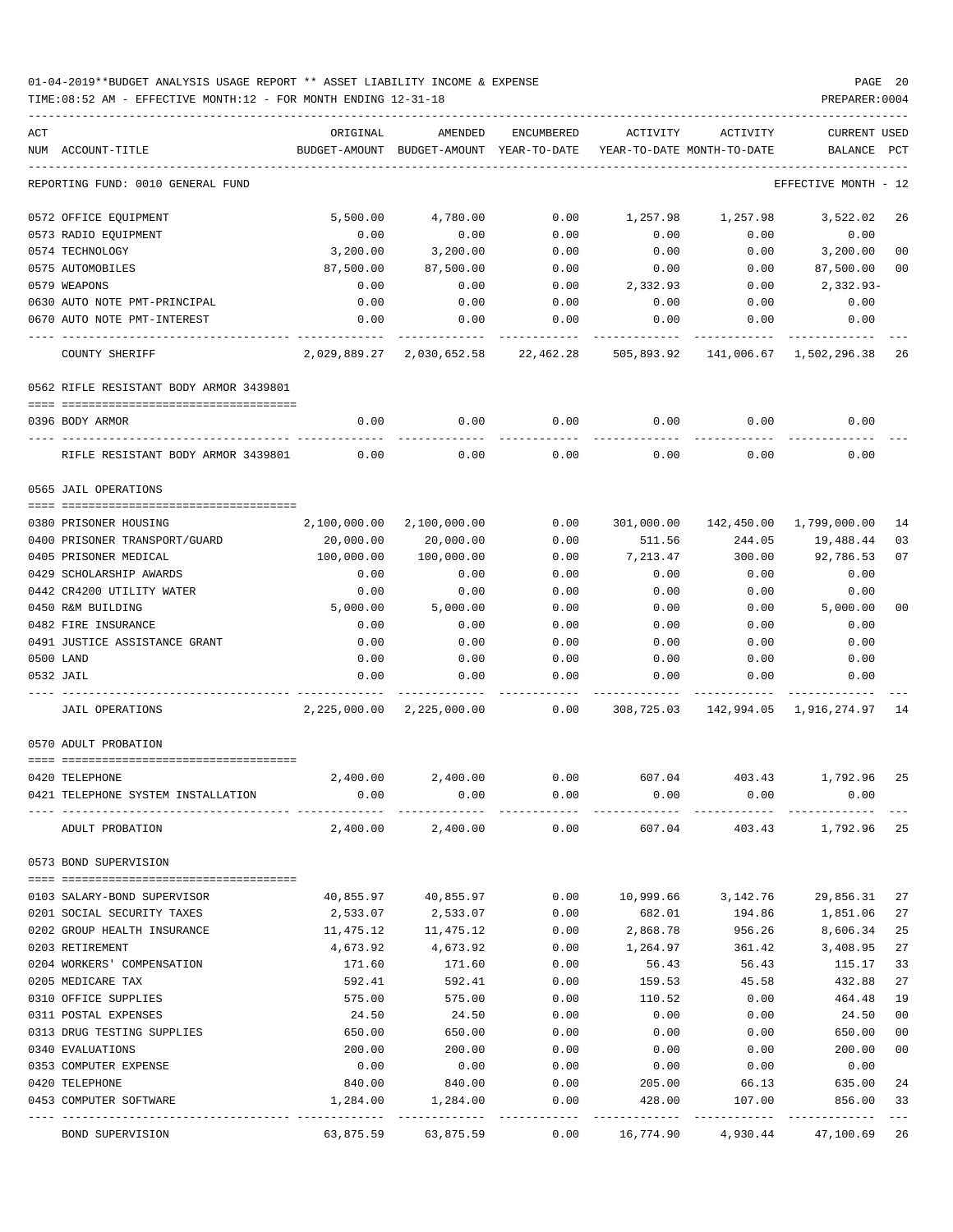| ACT |                                          | ORIGINAL           | AMENDED                | <b>ENCUMBERED</b> | ACTIVITY         | ACTIVITY                   | CURRENT USED               |          |
|-----|------------------------------------------|--------------------|------------------------|-------------------|------------------|----------------------------|----------------------------|----------|
|     | NUM ACCOUNT-TITLE                        | BUDGET-AMOUNT      | BUDGET-AMOUNT          | YEAR-TO-DATE      |                  | YEAR-TO-DATE MONTH-TO-DATE | <b>BALANCE</b>             | PCT      |
|     |                                          |                    |                        |                   |                  |                            |                            |          |
|     | REPORTING FUND: 0010 GENERAL FUND        |                    |                        |                   |                  |                            | EFFECTIVE MONTH - 12       |          |
|     | 0572 OFFICE EQUIPMENT                    | 5.500.00           | 4,780.00               | 0.00              | 1,257.98         | 1,257.98                   | 3,522.02                   | 26       |
|     | 0573 RADIO EQUIPMENT                     | 0.00               | 0.00                   | 0.00              | 0.00             | 0.00                       | 0.00                       |          |
|     | 0574 TECHNOLOGY                          | 3,200.00           | 3,200.00               | 0.00              | 0.00             | 0.00                       | 3,200.00                   | 00       |
|     | 0575 AUTOMOBILES                         | 87,500.00          | 87,500.00              | 0.00              | 0.00             | 0.00                       | 87,500.00                  | 00       |
|     | 0579 WEAPONS                             | 0.00               | 0.00                   | 0.00              | 2,332.93         | 0.00                       | $2,332.93-$                |          |
|     | 0630 AUTO NOTE PMT-PRINCIPAL             | 0.00               | 0.00                   | 0.00              | 0.00             | 0.00                       | 0.00                       |          |
|     | 0670 AUTO NOTE PMT-INTEREST              | 0.00               | 0.00                   | 0.00              | 0.00             | 0.00                       | 0.00                       |          |
|     | COUNTY SHERIFF                           | 2,029,889.27       | 2,030,652.58           | 22,462.28         | 505,893.92       |                            | 141,006.67 1,502,296.38 26 |          |
|     |                                          |                    |                        |                   |                  |                            |                            |          |
|     | 0562 RIFLE RESISTANT BODY ARMOR 3439801  |                    |                        |                   |                  |                            |                            |          |
|     | 0396 BODY ARMOR                          | 0.00               | 0.00                   | 0.00              | 0.00             | 0.00                       | 0.00                       |          |
|     | RIFLE RESISTANT BODY ARMOR 3439801       | 0.00               | 0.00                   | 0.00              | 0.00             | 0.00                       | 0.00                       |          |
|     | 0565 JAIL OPERATIONS                     |                    |                        |                   |                  |                            |                            |          |
|     |                                          |                    |                        |                   |                  |                            |                            |          |
|     | 0380 PRISONER HOUSING                    | 2,100,000.00       | 2,100,000.00           | 0.00              | 301,000.00       |                            | 142,450.00 1,799,000.00    | 14       |
|     | 0400 PRISONER TRANSPORT/GUARD            | 20,000.00          | 20,000.00              | 0.00              | 511.56           | 244.05                     | 19,488.44                  | 03       |
|     | 0405 PRISONER MEDICAL                    | 100,000.00         | 100,000.00             | 0.00              | 7,213.47         | 300.00                     | 92,786.53                  | 07       |
|     | 0429 SCHOLARSHIP AWARDS                  | 0.00               | 0.00                   | 0.00              | 0.00             | 0.00                       | 0.00                       |          |
|     | 0442 CR4200 UTILITY WATER                | 0.00               | 0.00                   | 0.00              | 0.00             | 0.00                       | 0.00                       |          |
|     | 0450 R&M BUILDING                        | 5,000.00           | 5,000.00               | 0.00              | 0.00             | 0.00                       | 5,000.00                   | 00       |
|     | 0482 FIRE INSURANCE                      | 0.00               | 0.00                   | 0.00              | 0.00             | 0.00                       | 0.00                       |          |
|     | 0491 JUSTICE ASSISTANCE GRANT            | 0.00               | 0.00                   | 0.00              | 0.00             | 0.00                       | 0.00                       |          |
|     | 0500 LAND                                | 0.00               | 0.00                   | 0.00              | 0.00             | 0.00                       | 0.00                       |          |
|     | 0532 JAIL                                | 0.00               | 0.00                   | 0.00              | 0.00             | 0.00                       | 0.00                       |          |
|     | <b>JAIL OPERATIONS</b>                   | 2,225,000.00       | 2,225,000.00           | 0.00              | 308,725.03       |                            | 142,994.05 1,916,274.97 14 |          |
|     | 0570 ADULT PROBATION                     |                    |                        |                   |                  |                            |                            |          |
|     |                                          |                    |                        |                   |                  |                            |                            |          |
|     | 0420 TELEPHONE                           | 2,400.00           | 2,400.00               | 0.00              | 607.04           | 403.43                     | 1,792.96                   | 25       |
|     | 0421 TELEPHONE SYSTEM INSTALLATION       | 0.00               | 0.00                   | 0.00              | 0.00             | 0.00                       | 0.00                       |          |
|     | ADULT PROBATION                          |                    | 2,400.00 2,400.00 0.00 |                   | 607.04           |                            | 403.43 1,792.96 25         |          |
|     | 0573 BOND SUPERVISION                    |                    |                        |                   |                  |                            |                            |          |
|     | 0103 SALARY-BOND SUPERVISOR              |                    | 40,855.97 40,855.97    | 0.00              |                  | 10,999.66 3,142.76         | 29,856.31                  | 27       |
|     | 0201 SOCIAL SECURITY TAXES               | 2,533.07           | 2,533.07               | 0.00              | 682.01           |                            | 194.86 1,851.06            | 27       |
|     | 0202 GROUP HEALTH INSURANCE              | 11,475.12          | 11,475.12              | 0.00              | 2,868.78         | 956.26                     | 8,606.34                   | 25       |
|     | 0203 RETIREMENT                          | 4,673.92           | 4,673.92               | 0.00              | 1,264.97         | 361.42                     | 3,408.95                   | 27       |
|     | 0204 WORKERS' COMPENSATION               | 171.60             | 171.60                 | 0.00              | 56.43            | 56.43                      | 115.17                     | 33       |
|     | 0205 MEDICARE TAX                        |                    |                        |                   |                  |                            |                            |          |
|     | 0310 OFFICE SUPPLIES                     | 592.41<br>575.00   | 592.41<br>575.00       | 0.00<br>0.00      | 159.53<br>110.52 | 45.58<br>0.00              | 432.88<br>464.48           | 27<br>19 |
|     |                                          |                    |                        |                   |                  |                            |                            |          |
|     | 0311 POSTAL EXPENSES                     | 24.50              | 24.50                  | 0.00              | 0.00             | 0.00                       | 24.50                      | $00\,$   |
|     | 0313 DRUG TESTING SUPPLIES               | 650.00             | 650.00                 | 0.00              | 0.00             | 0.00                       | 650.00                     | $00\,$   |
|     | 0340 EVALUATIONS                         | 200.00             | 200.00                 | 0.00              | 0.00             | 0.00                       | 200.00                     | 00       |
|     | 0353 COMPUTER EXPENSE                    | 0.00               | 0.00                   | 0.00              | 0.00             | 0.00                       | 0.00                       |          |
|     | 0420 TELEPHONE<br>0453 COMPUTER SOFTWARE | 840.00<br>1,284.00 | 840.00<br>1,284.00     | 0.00<br>0.00      | 205.00<br>428.00 | 66.13<br>107.00            | 635.00<br>856.00           | 24<br>33 |
|     |                                          |                    |                        | ----------        | ------------     |                            | ------------               |          |
|     | BOND SUPERVISION                         | 63,875.59          | 63,875.59              | 0.00              | 16,774.90        |                            | 4,930.44 47,100.69         | 26       |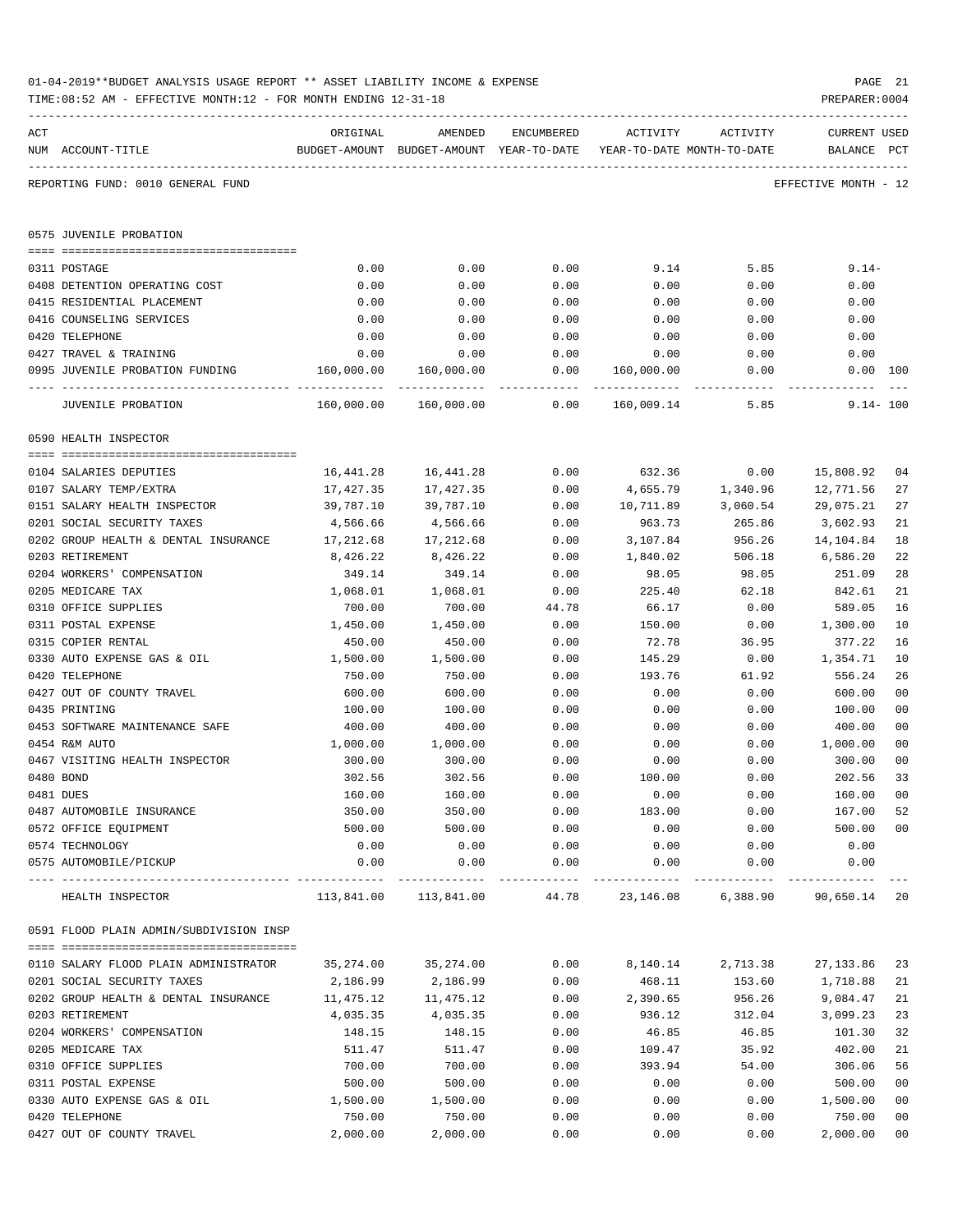| ACT |                                             | ORIGINAL   | AMENDED                                                             | ENCUMBERED       | ACTIVITY                 | ACTIVITY | CURRENT USED         |                |
|-----|---------------------------------------------|------------|---------------------------------------------------------------------|------------------|--------------------------|----------|----------------------|----------------|
|     | NUM ACCOUNT-TITLE                           |            | BUDGET-AMOUNT BUDGET-AMOUNT YEAR-TO-DATE YEAR-TO-DATE MONTH-TO-DATE |                  |                          |          | BALANCE PCT          |                |
|     | REPORTING FUND: 0010 GENERAL FUND           |            |                                                                     |                  |                          |          | EFFECTIVE MONTH - 12 |                |
|     | 0575 JUVENILE PROBATION                     |            |                                                                     |                  |                          |          |                      |                |
|     |                                             |            |                                                                     |                  |                          |          |                      |                |
|     | 0311 POSTAGE                                | 0.00       | 0.00                                                                | 0.00             | 9.14                     | 5.85     | $9.14-$              |                |
|     | 0408 DETENTION OPERATING COST               | 0.00       | 0.00                                                                | 0.00             | 0.00                     | 0.00     | 0.00                 |                |
|     | 0415 RESIDENTIAL PLACEMENT                  | 0.00       | 0.00                                                                | 0.00             | 0.00                     | 0.00     | 0.00                 |                |
|     | 0416 COUNSELING SERVICES                    | 0.00       | 0.00                                                                | 0.00             | 0.00                     | 0.00     | 0.00                 |                |
|     | 0420 TELEPHONE                              | 0.00       | 0.00                                                                | 0.00             | 0.00                     | 0.00     | 0.00                 |                |
|     | 0427 TRAVEL & TRAINING                      | 0.00       | 0.00                                                                | 0.00             | 0.00                     | 0.00     | 0.00                 |                |
|     | 0995 JUVENILE PROBATION FUNDING 160,000.00  |            | 160,000.00                                                          | 0.00<br>-------- | 160,000.00<br>. <u>.</u> | 0.00     | 0.00 100             |                |
|     | JUVENILE PROBATION                          |            |                                                                     | 0.00             | 160,009.14               | 5.85     | $9.14 - 100$         |                |
|     | 0590 HEALTH INSPECTOR                       |            |                                                                     |                  |                          |          |                      |                |
|     | 0104 SALARIES DEPUTIES                      | 16,441.28  | 16,441.28                                                           | 0.00             | 632.36                   | 0.00     | 15,808.92            | 04             |
|     | 0107 SALARY TEMP/EXTRA                      | 17,427.35  | 17,427.35                                                           | 0.00             | 4,655.79                 | 1,340.96 | 12,771.56            | 27             |
|     | 0151 SALARY HEALTH INSPECTOR                | 39,787.10  | 39,787.10                                                           | 0.00             | 10,711.89                | 3,060.54 | 29,075.21            | 27             |
|     | 0201 SOCIAL SECURITY TAXES                  | 4,566.66   | 4,566.66                                                            | 0.00             | 963.73                   | 265.86   | 3,602.93             | 21             |
|     | 0202 GROUP HEALTH & DENTAL INSURANCE        | 17,212.68  | 17,212.68                                                           | 0.00             | 3,107.84                 | 956.26   | 14,104.84            | 18             |
|     | 0203 RETIREMENT                             | 8,426.22   | 8,426.22                                                            | 0.00             | 1,840.02                 | 506.18   | 6,586.20             | 22             |
|     | 0204 WORKERS' COMPENSATION                  | 349.14     | 349.14                                                              | 0.00             | 98.05                    | 98.05    | 251.09               | 28             |
|     | 0205 MEDICARE TAX                           | 1,068.01   | 1,068.01                                                            | 0.00             | 225.40                   | 62.18    | 842.61               | 21             |
|     | 0310 OFFICE SUPPLIES                        | 700.00     | 700.00                                                              | 44.78            | 66.17                    | 0.00     | 589.05               | 16             |
|     | 0311 POSTAL EXPENSE                         | 1,450.00   | 1,450.00                                                            | 0.00             | 150.00                   | 0.00     | 1,300.00             | 10             |
|     | 0315 COPIER RENTAL                          | 450.00     | 450.00                                                              | 0.00             | 72.78                    | 36.95    | 377.22               | 16             |
|     | 0330 AUTO EXPENSE GAS & OIL                 | 1,500.00   | 1,500.00                                                            | 0.00             | 145.29                   | 0.00     | 1,354.71             | 10             |
|     | 0420 TELEPHONE                              | 750.00     | 750.00                                                              | 0.00             | 193.76                   | 61.92    | 556.24               | 26             |
|     | 0427 OUT OF COUNTY TRAVEL                   | 600.00     | 600.00                                                              | 0.00             | 0.00                     | 0.00     | 600.00               | 0 <sub>0</sub> |
|     | 0435 PRINTING                               | 100.00     | 100.00                                                              | 0.00             | 0.00                     | 0.00     | 100.00               | 0 <sub>0</sub> |
|     | 0453 SOFTWARE MAINTENANCE SAFE              | 400.00     | 400.00                                                              | 0.00             | 0.00                     | 0.00     | 400.00               | 0 <sub>0</sub> |
|     | 0454 R&M AUTO                               | 1,000.00   | 1,000.00                                                            | 0.00             | 0.00                     | 0.00     | 1,000.00             | 0 <sub>0</sub> |
|     | 0467 VISITING HEALTH INSPECTOR              | 300.00     | 300.00                                                              | 0.00             | 0.00                     | 0.00     | 300.00               | 0 <sub>0</sub> |
|     | 0480 BOND                                   | 302.56     | 302.56                                                              | 0.00             | 100.00                   | 0.00     | 202.56               | 33             |
|     | 0481 DUES                                   | 160.00     | 160.00                                                              | 0.00             | 0.00                     | 0.00     | 160.00               | 0 <sub>0</sub> |
|     | 0487 AUTOMOBILE INSURANCE                   | 350.00     | 350.00                                                              | 0.00             | 183.00                   | 0.00     | 167.00               | 52             |
|     | 0572 OFFICE EQUIPMENT                       | 500.00     | 500.00                                                              | 0.00             | 0.00                     | 0.00     | 500.00               | 0 <sub>0</sub> |
|     | 0574 TECHNOLOGY                             | 0.00       | 0.00                                                                | 0.00             | 0.00                     | 0.00     | 0.00                 |                |
|     | 0575 AUTOMOBILE/PICKUP<br>----------------- | 0.00       | 0.00                                                                | 0.00<br>-----    | 0.00                     | 0.00     | 0.00                 |                |
|     | HEALTH INSPECTOR                            | 113,841.00 | 113,841.00                                                          | 44.78            | 23, 146.08               | 6,388.90 | 90,650.14            | 20             |
|     | 0591 FLOOD PLAIN ADMIN/SUBDIVISION INSP     |            |                                                                     |                  |                          |          |                      |                |
|     | 0110 SALARY FLOOD PLAIN ADMINISTRATOR       | 35,274.00  | 35,274.00                                                           | 0.00             | 8,140.14                 | 2,713.38 | 27, 133.86           | 23             |
|     | 0201 SOCIAL SECURITY TAXES                  | 2,186.99   | 2,186.99                                                            | 0.00             | 468.11                   | 153.60   | 1,718.88             | 21             |
|     | 0202 GROUP HEALTH & DENTAL INSURANCE        | 11,475.12  | 11,475.12                                                           | 0.00             | 2,390.65                 | 956.26   | 9,084.47             | 21             |
|     | 0203 RETIREMENT                             | 4,035.35   | 4,035.35                                                            | 0.00             | 936.12                   | 312.04   | 3,099.23             | 23             |
|     | 0204 WORKERS' COMPENSATION                  | 148.15     | 148.15                                                              | 0.00             | 46.85                    | 46.85    | 101.30               | 32             |
|     | 0205 MEDICARE TAX                           | 511.47     | 511.47                                                              | 0.00             | 109.47                   | 35.92    | 402.00               | 21             |
|     | 0310 OFFICE SUPPLIES                        | 700.00     | 700.00                                                              | 0.00             | 393.94                   | 54.00    | 306.06               | 56             |
|     | 0311 POSTAL EXPENSE                         | 500.00     | 500.00                                                              | 0.00             | 0.00                     | 0.00     | 500.00               | 0 <sub>0</sub> |
|     | 0330 AUTO EXPENSE GAS & OIL                 | 1,500.00   | 1,500.00                                                            | 0.00             | 0.00                     | 0.00     | 1,500.00             | 0 <sub>0</sub> |

0420 TELEPHONE 750.00 750.00 0.00 0.00 0.00 750.00 00 0427 OUT OF COUNTY TRAVEL 2,000.00 2,000.00 0.00 0.00 0.00 2,000.00 00

TIME:08:52 AM - EFFECTIVE MONTH:12 - FOR MONTH ENDING 12-31-18 PREPARER:0004

-----------------------------------------------------------------------------------------------------------------------------------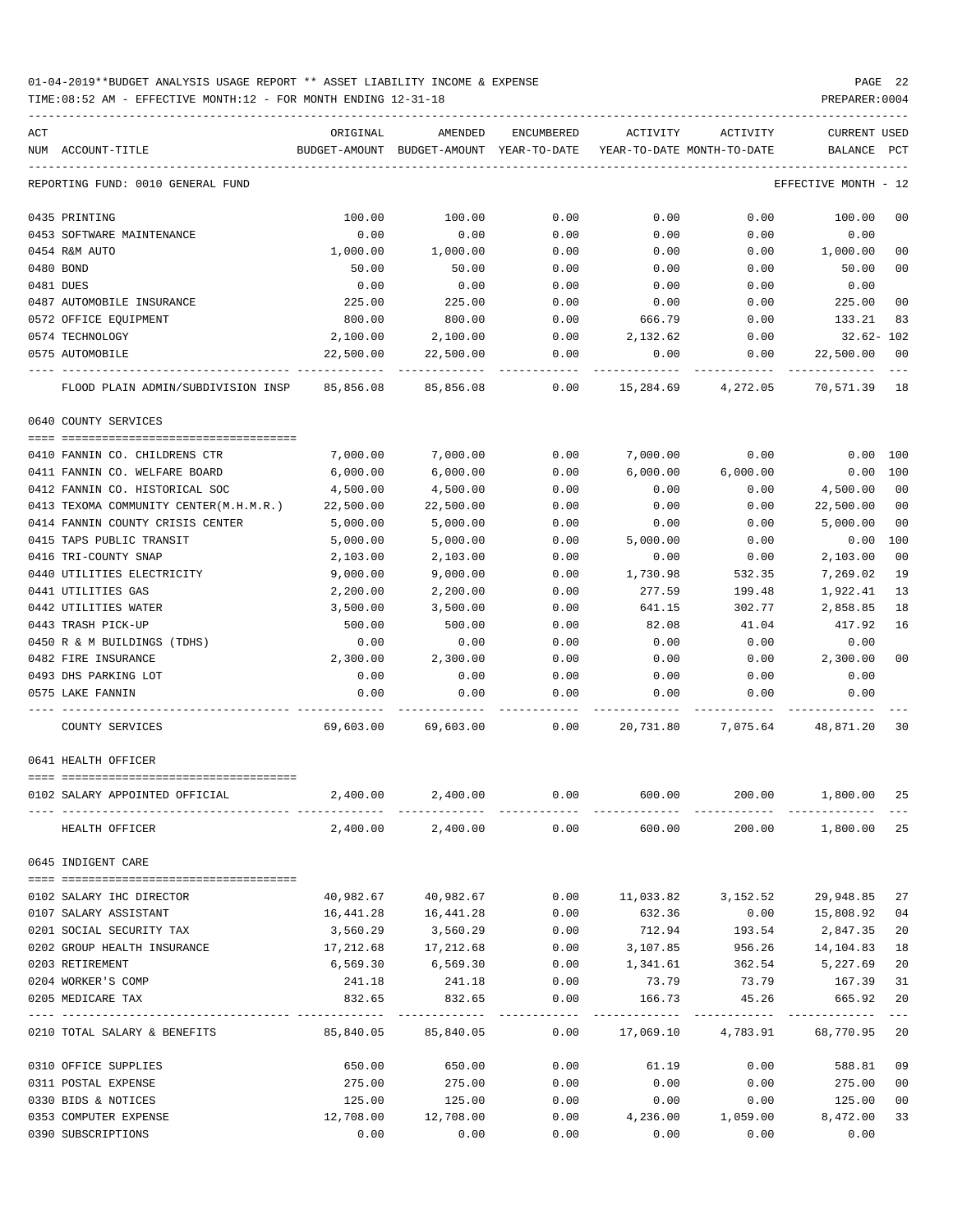TIME:08:52 AM - EFFECTIVE MONTH:12 - FOR MONTH ENDING 12-31-18 PREPARER:0004

| ACT |                                              | ORIGINAL                                                            | AMENDED               | ENCUMBERED | ACTIVITY ACTIVITY         |                   | CURRENT USED                                                            |                |
|-----|----------------------------------------------|---------------------------------------------------------------------|-----------------------|------------|---------------------------|-------------------|-------------------------------------------------------------------------|----------------|
|     | NUM ACCOUNT-TITLE                            | BUDGET-AMOUNT BUDGET-AMOUNT YEAR-TO-DATE YEAR-TO-DATE MONTH-TO-DATE |                       |            |                           |                   | BALANCE PCT                                                             |                |
|     | REPORTING FUND: 0010 GENERAL FUND            |                                                                     |                       |            |                           |                   | EFFECTIVE MONTH - 12                                                    |                |
|     | 0435 PRINTING                                | 100.00                                                              | 100.00                | 0.00       | 0.00                      | 0.00              | 100.00                                                                  | 00             |
|     | 0453 SOFTWARE MAINTENANCE                    | 0.00                                                                | 0.00                  | 0.00       | 0.00                      | 0.00              | 0.00                                                                    |                |
|     | 0454 R&M AUTO                                | 1,000.00                                                            | 1,000.00              | 0.00       | 0.00                      | 0.00              | 1,000.00                                                                | 00             |
|     | 0480 BOND                                    | 50.00                                                               | 50.00                 | 0.00       | 0.00                      | 0.00              | 50.00                                                                   | 00             |
|     | 0481 DUES                                    | 0.00                                                                | 0.00                  | 0.00       | 0.00                      | 0.00              | 0.00                                                                    |                |
|     | 0487 AUTOMOBILE INSURANCE                    | 225.00                                                              | 225.00                | 0.00       | 0.00                      | 0.00              | 225.00                                                                  | 00             |
|     | 0572 OFFICE EQUIPMENT                        | 800.00                                                              | 800.00                | 0.00       | 666.79                    | 0.00              | 133.21                                                                  | 83             |
|     | 0574 TECHNOLOGY                              | 2,100.00                                                            | 2,100.00              | 0.00       | 2,132.62                  | 0.00              | 32.62- 102                                                              |                |
|     | 0575 AUTOMOBILE                              | 22,500.00                                                           | 22,500.00             | 0.00       | 0.00                      | 0.00              | 22,500.00                                                               | 00             |
|     | FLOOD PLAIN ADMIN/SUBDIVISION INSP 85,856.08 |                                                                     | 85,856.08             |            | $0.00$ 15,284.69 4,272.05 |                   | 70,571.39 18                                                            |                |
|     | 0640 COUNTY SERVICES                         |                                                                     |                       |            |                           |                   |                                                                         |                |
|     |                                              |                                                                     |                       |            |                           |                   |                                                                         |                |
|     | 0410 FANNIN CO. CHILDRENS CTR                | 7,000.00                                                            | 7,000.00              | 0.00       | 7,000.00                  | 0.00              | $0.00$ $100$                                                            |                |
|     | 0411 FANNIN CO. WELFARE BOARD                | 6,000.00                                                            | 6,000.00              | 0.00       | 6,000.00                  | 6,000.00          | $0.00$ 100                                                              |                |
|     | 0412 FANNIN CO. HISTORICAL SOC               | 4,500.00                                                            | 4,500.00              | 0.00       | 0.00                      | 0.00              | 4,500.00                                                                | 00             |
|     | 0413 TEXOMA COMMUNITY CENTER(M.H.M.R.)       | 22,500.00                                                           | 22,500.00             | 0.00       | 0.00                      | 0.00              | 22,500.00                                                               | 0 <sub>0</sub> |
|     | 0414 FANNIN COUNTY CRISIS CENTER             | 5,000.00                                                            | 5,000.00              | 0.00       | 0.00                      | 0.00              | 5,000.00                                                                | 0 <sub>0</sub> |
|     | 0415 TAPS PUBLIC TRANSIT                     | 5,000.00                                                            | 5,000.00              | 0.00       | 5,000.00                  | 0.00              | 0.00                                                                    | 100            |
|     | 0416 TRI-COUNTY SNAP                         | 2,103.00                                                            | 2,103.00              | 0.00       | 0.00                      | 0.00              | 2,103.00                                                                | 0 <sub>0</sub> |
|     | 0440 UTILITIES ELECTRICITY                   | 9,000.00                                                            | 9,000.00              | 0.00       | 1,730.98                  | 532.35            | 7,269.02                                                                | 19             |
|     | 0441 UTILITIES GAS                           | 2,200.00                                                            | 2,200.00              | 0.00       | 277.59                    | 199.48            | 1,922.41                                                                | 13             |
|     | 0442 UTILITIES WATER                         | 3,500.00                                                            | 3,500.00              | 0.00       | 641.15                    | 302.77            | 2,858.85                                                                | 18             |
|     | 0443 TRASH PICK-UP                           | 500.00                                                              | 500.00                | 0.00       | 82.08                     | 41.04             | 417.92                                                                  | 16             |
|     | 0450 R & M BUILDINGS (TDHS)                  | 0.00                                                                | 0.00                  | 0.00       | 0.00                      | 0.00              | 0.00                                                                    |                |
|     | 0482 FIRE INSURANCE                          | 2,300.00                                                            | 2,300.00              | 0.00       | 0.00                      | 0.00              | 2,300.00                                                                | 0 <sub>0</sub> |
|     | 0493 DHS PARKING LOT                         | 0.00                                                                | 0.00                  | 0.00       | 0.00                      | 0.00              | 0.00                                                                    |                |
|     | 0575 LAKE FANNIN                             | 0.00                                                                | 0.00                  | 0.00       | 0.00                      | 0.00              | 0.00                                                                    |                |
|     | COUNTY SERVICES                              |                                                                     |                       |            |                           |                   | 69,603.00   69,603.00      0.00    20,731.80   7,075.64   48,871.20  30 |                |
|     | 0641 HEALTH OFFICER                          |                                                                     |                       |            |                           |                   |                                                                         |                |
|     |                                              |                                                                     |                       |            |                           |                   |                                                                         |                |
|     | 0102 SALARY APPOINTED OFFICIAL               | 2,400.00                                                            | 2,400.00              |            |                           |                   | $0.00$ $600.00$ $200.00$ $1,800.00$                                     | 25             |
|     | HEALTH OFFICER                               |                                                                     |                       |            |                           |                   | $2,400.00$ $2,400.00$ $0.00$ $600.00$ $200.00$ $1,800.00$ $25$          |                |
|     | 0645 INDIGENT CARE                           |                                                                     |                       |            |                           |                   |                                                                         |                |
|     |                                              |                                                                     |                       |            |                           |                   |                                                                         |                |
|     | 0102 SALARY IHC DIRECTOR                     |                                                                     | 40,982.67 40,982.67   |            |                           |                   | $0.00$ 11,033.82 3,152.52 29,948.85                                     | 27             |
|     | 0107 SALARY ASSISTANT                        | 16,441.28                                                           | 16, 441.28            | 0.00       | 632.36                    | 0.00              | 15,808.92                                                               | 04             |
|     | 0201 SOCIAL SECURITY TAX                     | 3,560.29                                                            | 3,560.29              | 0.00       | 712.94                    | 193.54            | 2,847.35<br>956.26 14,104.83                                            | 20             |
|     | 0202 GROUP HEALTH INSURANCE                  | 17,212.68<br>6,569.30                                               | 17,212.68             | 0.00       | 3,107.85                  |                   | 1,341.61 362.54 5,227.69                                                | 18             |
|     | 0203 RETIREMENT<br>0204 WORKER'S COMP        |                                                                     | 6,569.30              | 0.00       |                           |                   |                                                                         | 20<br>31       |
|     | 0205 MEDICARE TAX                            | 241.18<br>832.65                                                    | 241.18 0.00<br>832.65 | 0.00       | 166.73                    | 45.26             | 73.79 73.79 167.39<br>665.92                                            | 20             |
|     |                                              |                                                                     |                       |            |                           |                   |                                                                         | $- - -$        |
|     | 0210 TOTAL SALARY & BENEFITS                 | 85,840.05                                                           | 85,840.05             | 0.00       |                           |                   | 17,069.10  4,783.91  68,770.95  20                                      |                |
|     | 0310 OFFICE SUPPLIES                         | 650.00                                                              | 650.00                | 0.00       | 61.19                     |                   | $0.00$ 588.81                                                           | 09             |
|     | 0311 POSTAL EXPENSE                          | 275.00                                                              | 275.00                | 0.00       | 0.00                      | 0.00              | 275.00                                                                  | 0 <sub>0</sub> |
|     | 0330 BIDS & NOTICES                          | 125.00                                                              | 125.00                | 0.00       | 0.00                      | 0.00              | 125.00                                                                  | 0 <sub>0</sub> |
|     | 0353 COMPUTER EXPENSE                        | 12,708.00                                                           | 12,708.00             | 0.00       |                           | 4,236.00 1,059.00 | 8,472.00                                                                | 33             |

0390 SUBSCRIPTIONS 0.00 0.00 0.00 0.00 0.00 0.00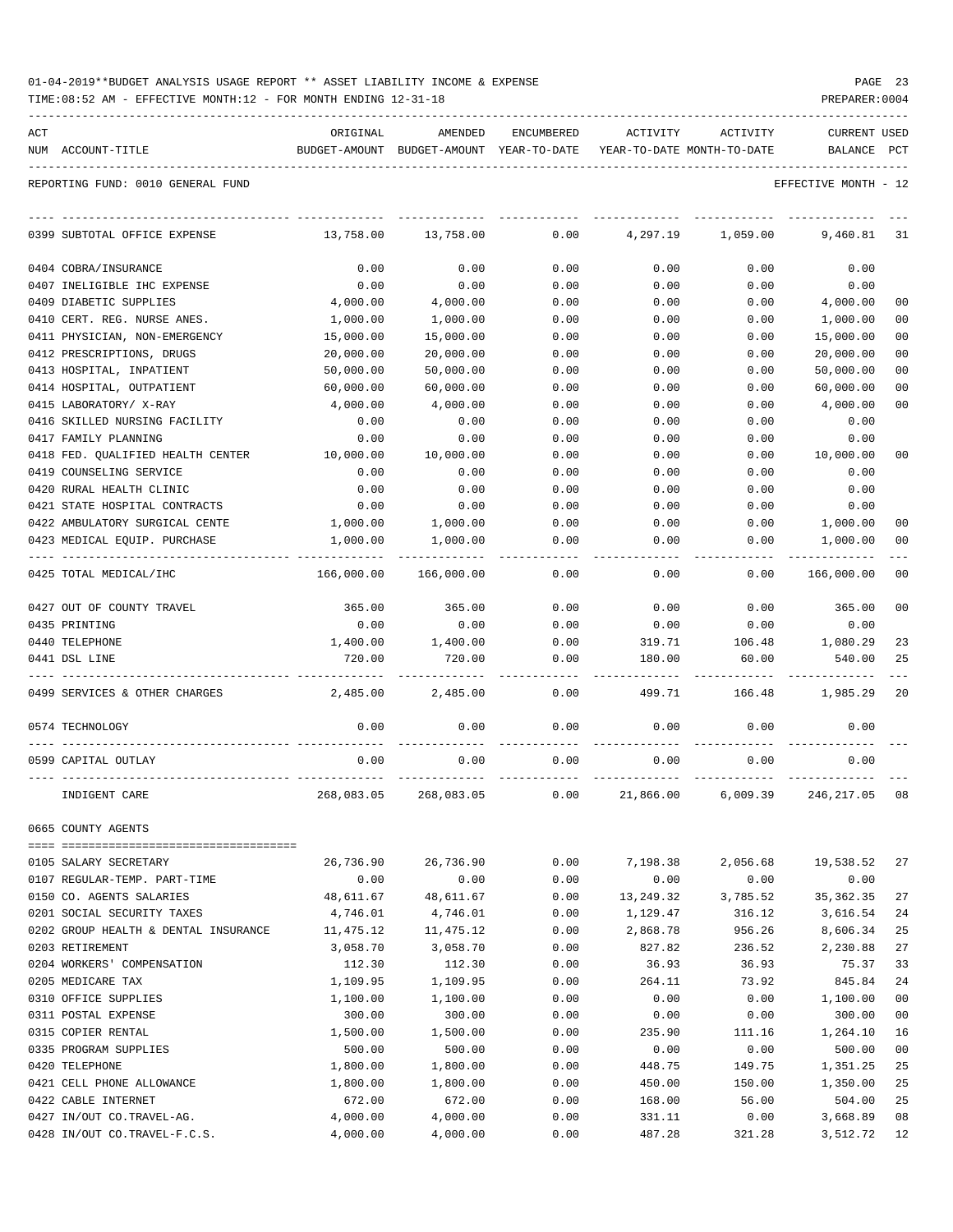| 01-04-2019**BUDGET ANALYSIS USAGE REPORT ** ASSET LIABILITY INCOME & EXPENSE | PAGE | - 23 |
|------------------------------------------------------------------------------|------|------|
|------------------------------------------------------------------------------|------|------|

TIME:08:52 AM - EFFECTIVE MONTH:12 - FOR MONTH ENDING 12-31-18 PREPARER:0004

| ACT |                                                       | ORIGINAL   | AMENDED                                  | ENCUMBERED | ACTIVITY  | ACTIVITY                   | <b>CURRENT USED</b>  |                |
|-----|-------------------------------------------------------|------------|------------------------------------------|------------|-----------|----------------------------|----------------------|----------------|
|     | NUM ACCOUNT-TITLE                                     |            | BUDGET-AMOUNT BUDGET-AMOUNT YEAR-TO-DATE |            |           | YEAR-TO-DATE MONTH-TO-DATE | BALANCE              | PCT            |
|     | REPORTING FUND: 0010 GENERAL FUND                     |            |                                          |            |           |                            | EFFECTIVE MONTH - 12 |                |
|     | 0399 SUBTOTAL OFFICE EXPENSE                          | 13,758.00  | 13,758.00                                | 0.00       | 4,297.19  | 1,059.00                   | 9,460.81             | 31             |
|     | 0404 COBRA/INSURANCE                                  | 0.00       | 0.00                                     | 0.00       | 0.00      | 0.00                       | 0.00                 |                |
|     | 0407 INELIGIBLE IHC EXPENSE                           | 0.00       | 0.00                                     | 0.00       | 0.00      | 0.00                       | 0.00                 |                |
|     | 0409 DIABETIC SUPPLIES                                | 4,000.00   | 4,000.00                                 | 0.00       | 0.00      | 0.00                       | 4,000.00             | 00             |
|     | 0410 CERT. REG. NURSE ANES.                           | 1,000.00   | 1,000.00                                 | 0.00       | 0.00      | 0.00                       | 1,000.00             | 0 <sub>0</sub> |
|     | 0411 PHYSICIAN, NON-EMERGENCY                         | 15,000.00  | 15,000.00                                | 0.00       | 0.00      | 0.00                       | 15,000.00            | 00             |
|     | 0412 PRESCRIPTIONS, DRUGS                             | 20,000.00  | 20,000.00                                | 0.00       | 0.00      | 0.00                       | 20,000.00            | 0 <sub>0</sub> |
|     | 0413 HOSPITAL, INPATIENT                              | 50,000.00  | 50,000.00                                | 0.00       | 0.00      | 0.00                       | 50,000.00            | 00             |
|     | 0414 HOSPITAL, OUTPATIENT                             | 60,000.00  | 60,000.00                                | 0.00       | 0.00      | 0.00                       | 60,000.00            | 00             |
|     | 0415 LABORATORY/ X-RAY                                | 4,000.00   | 4,000.00                                 | 0.00       | 0.00      | 0.00                       | 4,000.00             | 00             |
|     | 0416 SKILLED NURSING FACILITY                         | 0.00       | 0.00                                     | 0.00       | 0.00      | 0.00                       | 0.00                 |                |
|     | 0417 FAMILY PLANNING                                  | 0.00       | 0.00                                     | 0.00       | 0.00      | 0.00                       | 0.00                 |                |
|     | 0418 FED. QUALIFIED HEALTH CENTER                     | 10,000.00  | 10,000.00                                | 0.00       | 0.00      | 0.00                       | 10,000.00            | 00             |
|     | 0419 COUNSELING SERVICE                               | 0.00       | 0.00                                     | 0.00       | 0.00      | 0.00                       | 0.00                 |                |
|     | 0420 RURAL HEALTH CLINIC                              | 0.00       | 0.00                                     | 0.00       | 0.00      | 0.00                       | 0.00                 |                |
|     | 0421 STATE HOSPITAL CONTRACTS                         | 0.00       | 0.00                                     | 0.00       | 0.00      | 0.00                       | 0.00                 |                |
|     | 0422 AMBULATORY SURGICAL CENTE                        | 1,000.00   | 1,000.00                                 | 0.00       | 0.00      | 0.00                       | 1,000.00             | 00             |
|     | 0423 MEDICAL EQUIP. PURCHASE                          | 1,000.00   | 1,000.00                                 | 0.00       | 0.00      | 0.00                       | 1,000.00             | 00             |
|     | 0425 TOTAL MEDICAL/IHC                                | 166,000.00 | 166,000.00                               | 0.00       | 0.00      | 0.00                       | 166,000.00           | 00             |
|     | 0427 OUT OF COUNTY TRAVEL                             | 365.00     | 365.00                                   | 0.00       | 0.00      | 0.00                       | 365.00               | 0 <sub>0</sub> |
|     | 0435 PRINTING                                         | 0.00       | 0.00                                     | 0.00       | 0.00      | 0.00                       | 0.00                 |                |
|     | 0440 TELEPHONE                                        | 1,400.00   | 1,400.00                                 | 0.00       | 319.71    | 106.48                     | 1,080.29             | 23             |
|     | 0441 DSL LINE                                         | 720.00     | 720.00                                   | 0.00       | 180.00    | 60.00                      | 540.00               | 25             |
|     | 0499 SERVICES & OTHER CHARGES                         | 2,485.00   | 2,485.00                                 | 0.00       | 499.71    | 166.48                     | 1,985.29             | 20             |
|     | 0574 TECHNOLOGY                                       | 0.00       | 0.00                                     | 0.00       | 0.00      | 0.00                       | 0.00                 |                |
|     | 0599 CAPITAL OUTLAY                                   | 0.00       | 0.00                                     | 0.00       | 0.00      | 0.00                       | 0.00                 |                |
|     | INDIGENT CARE                                         | 268,083.05 | 268,083.05                               | 0.00       | 21,866.00 | 6,009.39                   | 246, 217.05          | 08             |
|     | 0665 COUNTY AGENTS                                    |            |                                          |            |           |                            |                      |                |
|     |                                                       | 26,736.90  | 26,736.90                                | 0.00       | 7,198.38  | 2,056.68                   | 19,538.52            | 27             |
|     | 0105 SALARY SECRETARY<br>0107 REGULAR-TEMP. PART-TIME | 0.00       | 0.00                                     | 0.00       | 0.00      | 0.00                       | 0.00                 |                |
|     | 0150 CO. AGENTS SALARIES                              | 48,611.67  | 48,611.67                                | 0.00       | 13,249.32 | 3,785.52                   | 35, 362.35           | 27             |
|     | 0201 SOCIAL SECURITY TAXES                            | 4,746.01   | 4,746.01                                 | 0.00       | 1,129.47  | 316.12                     | 3,616.54             | 24             |
|     | 0202 GROUP HEALTH & DENTAL INSURANCE                  | 11,475.12  | 11,475.12                                | 0.00       | 2,868.78  | 956.26                     | 8,606.34             | 25             |
|     | 0203 RETIREMENT                                       | 3,058.70   | 3,058.70                                 | 0.00       | 827.82    | 236.52                     | 2,230.88             | 27             |
|     | 0204 WORKERS' COMPENSATION                            | 112.30     | 112.30                                   | 0.00       | 36.93     | 36.93                      | 75.37                | 33             |
|     | 0205 MEDICARE TAX                                     | 1,109.95   | 1,109.95                                 | 0.00       | 264.11    | 73.92                      | 845.84               | 24             |
|     | 0310 OFFICE SUPPLIES                                  | 1,100.00   | 1,100.00                                 | 0.00       | 0.00      | 0.00                       | 1,100.00             | 0 <sub>0</sub> |
|     | 0311 POSTAL EXPENSE                                   | 300.00     | 300.00                                   | 0.00       | 0.00      | 0.00                       | 300.00               | 00             |
|     | 0315 COPIER RENTAL                                    | 1,500.00   | 1,500.00                                 | 0.00       | 235.90    | 111.16                     | 1,264.10             | 16             |
|     | 0335 PROGRAM SUPPLIES                                 | 500.00     | 500.00                                   | 0.00       | 0.00      | 0.00                       | 500.00               | 0 <sub>0</sub> |
|     | 0420 TELEPHONE                                        | 1,800.00   | 1,800.00                                 | 0.00       | 448.75    | 149.75                     | 1,351.25             | 25             |
|     | 0421 CELL PHONE ALLOWANCE                             | 1,800.00   | 1,800.00                                 | 0.00       | 450.00    | 150.00                     | 1,350.00             | 25             |
|     | 0422 CABLE INTERNET                                   | 672.00     | 672.00                                   | 0.00       | 168.00    | 56.00                      | 504.00               | 25             |
|     |                                                       |            |                                          |            |           |                            |                      |                |

0427 IN/OUT CO.TRAVEL-AG. 4,000.00 4,000.00 0.00 331.11 0.00 3,668.89 08 0428 IN/OUT CO.TRAVEL-F.C.S. 4,000.00 4,000.00 0.00 487.28 321.28 3,512.72 12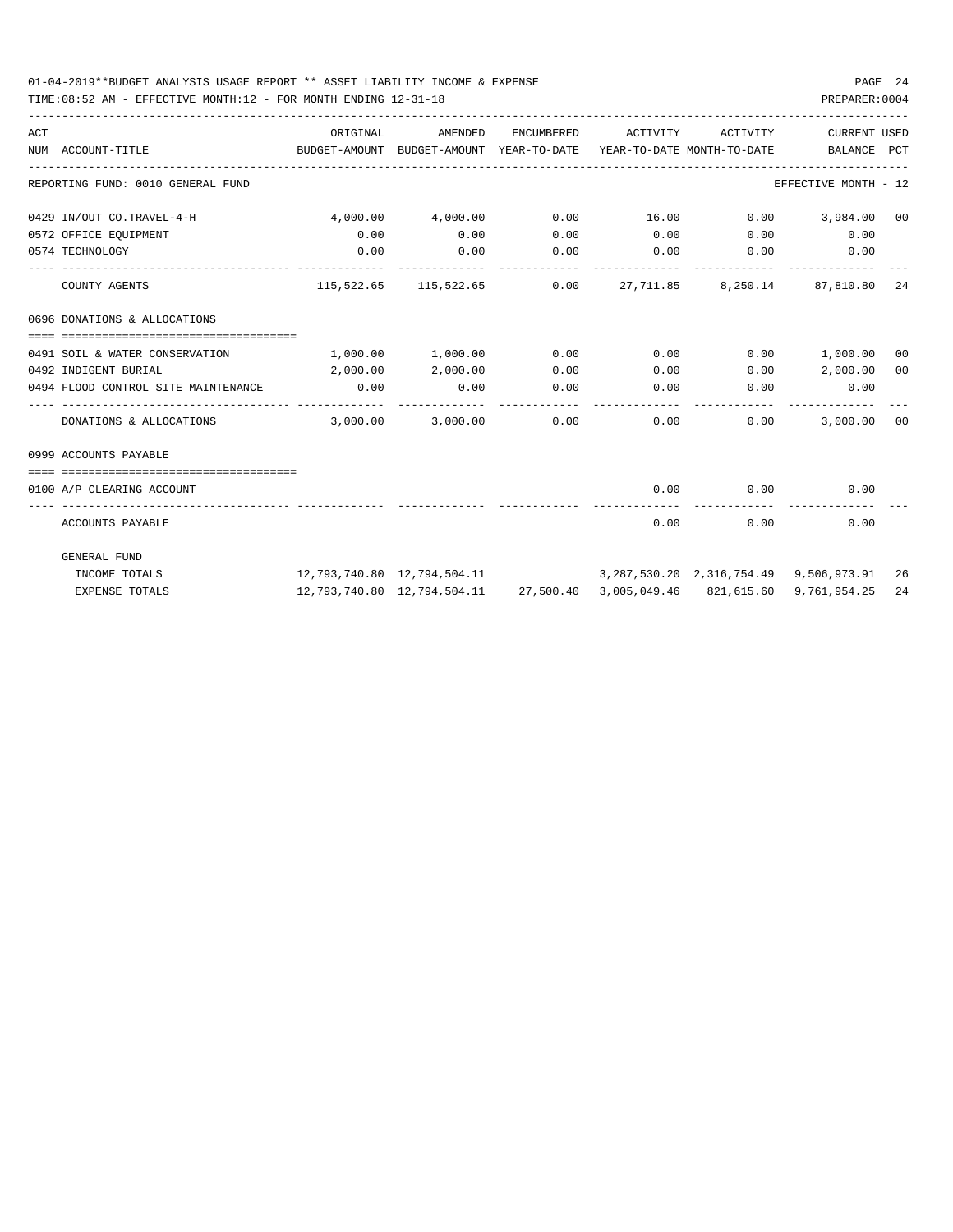| ACT | NUM ACCOUNT-TITLE                              | ORIGINAL<br>BUDGET-AMOUNT BUDGET-AMOUNT YEAR-TO-DATE YEAR-TO-DATE MONTH-TO-DATE     BALANCE PCT | AMENDED                                                             | ENCUMBERED            | ACTIVITY | ACTIVITY                           | CURRENT USED                          |     |
|-----|------------------------------------------------|-------------------------------------------------------------------------------------------------|---------------------------------------------------------------------|-----------------------|----------|------------------------------------|---------------------------------------|-----|
|     | REPORTING FUND: 0010 GENERAL FUND              |                                                                                                 |                                                                     |                       |          |                                    | EFFECTIVE MONTH - 12                  |     |
|     | 0429 IN/OUT CO.TRAVEL-4-H                      | $4,000.00$ $4,000.00$                                                                           |                                                                     |                       |          |                                    | $0.00$ $16.00$ $0.00$ $3,984.00$ $00$ |     |
|     | 0572 OFFICE EOUIPMENT                          | 0.00                                                                                            | 0.00                                                                | 0.00                  |          |                                    | $0.00$ $0.00$ $0.00$ $0.00$           |     |
|     | 0574 TECHNOLOGY                                | 0.00                                                                                            | 0.00                                                                |                       |          | $0.00$ $0.00$ $0.00$ $0.00$ $0.00$ |                                       |     |
|     | COUNTY AGENTS                                  |                                                                                                 | $115,522.65$ $115,522.65$ $0.00$ $27,711.85$ $8,250.14$ $87,810.80$ |                       |          |                                    |                                       | -24 |
|     | 0696 DONATIONS & ALLOCATIONS                   |                                                                                                 |                                                                     |                       |          |                                    |                                       |     |
|     |                                                |                                                                                                 |                                                                     |                       |          |                                    |                                       |     |
|     | 0491 SOIL & WATER CONSERVATION                 | $1,000.00$ $1,000.00$                                                                           |                                                                     | 0.00                  |          |                                    | $0.00$ $0.00$ $1,000.00$              | 00  |
|     | 0492 INDIGENT BURIAL                           |                                                                                                 | 2,000.00 2,000.00                                                   | 0.00                  |          |                                    | $0.00$ $0.00$ $2,000.00$              | 00  |
|     | 0494 FLOOD CONTROL SITE MAINTENANCE 0.00       |                                                                                                 | 0.00                                                                | 0.00<br>_____________ |          |                                    | $0.00$ 0.00 0.00                      |     |
|     | DONATIONS & ALLOCATIONS 3,000.00 3,000.00 0.00 |                                                                                                 |                                                                     |                       |          | $0.00$ $0.00$                      | 3,000.00 00                           |     |
|     | 0999 ACCOUNTS PAYABLE                          |                                                                                                 |                                                                     |                       |          |                                    |                                       |     |
|     |                                                |                                                                                                 |                                                                     |                       |          |                                    |                                       |     |
|     | 0100 A/P CLEARING ACCOUNT                      |                                                                                                 |                                                                     |                       | 0.00     | 0.00<br>-------------              | 0.00                                  |     |
|     | ACCOUNTS PAYABLE                               |                                                                                                 |                                                                     |                       | 0.00     | 0.00                               | 0.00                                  |     |
|     | GENERAL FUND                                   |                                                                                                 |                                                                     |                       |          |                                    |                                       |     |
|     | INCOME TOTALS                                  | 12,793,740.80 12,794,504.11 3,287,530.20 2,316,754.49 9,506,973.91 26                           |                                                                     |                       |          |                                    |                                       |     |
|     | <b>EXPENSE TOTALS</b>                          |                                                                                                 | 12,793,740.80 12,794,504.11 27,500.40 3,005,049.46 821,615.60       |                       |          |                                    | 9,761,954.25                          | 24  |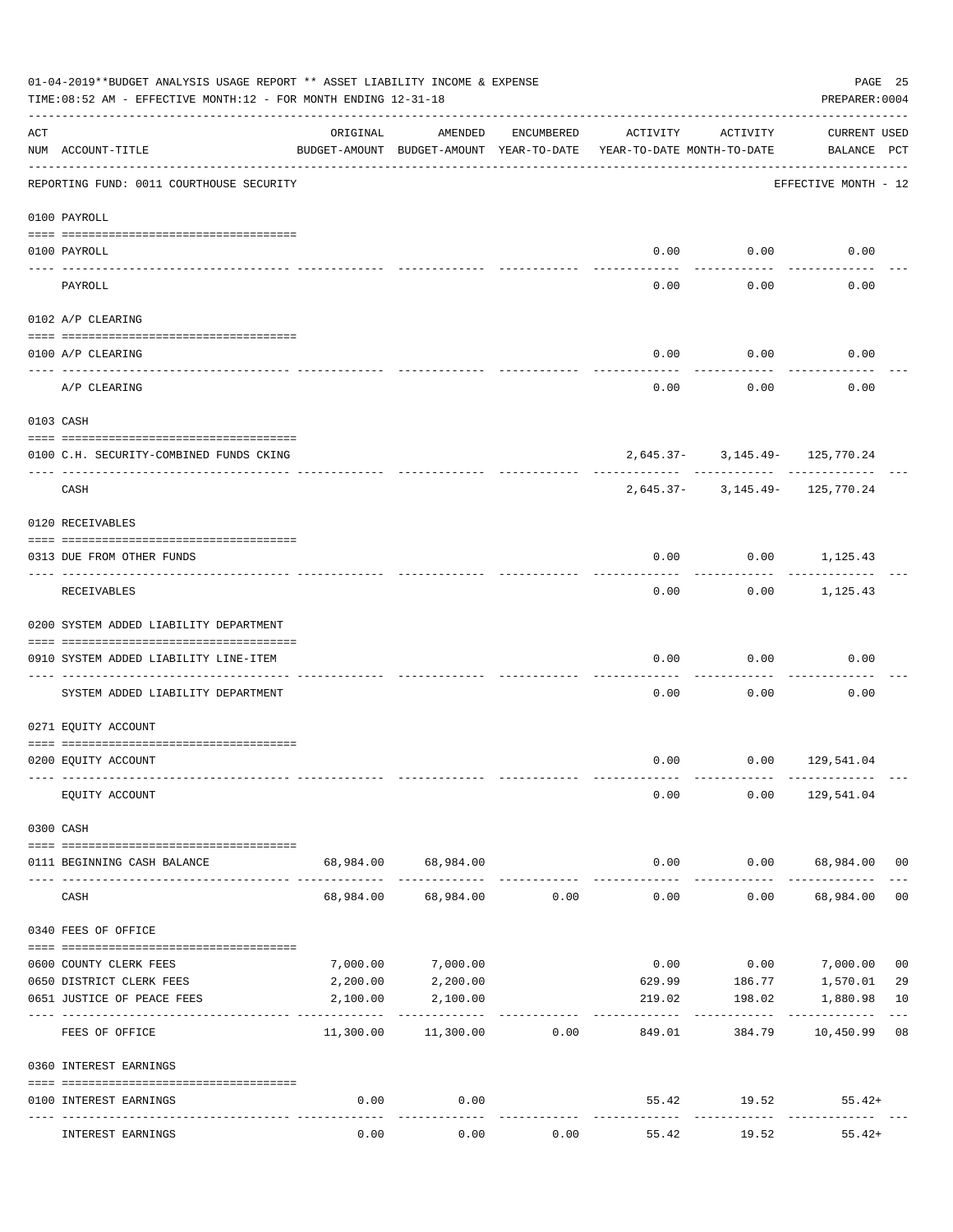|                    | 01-04-2019**BUDGET ANALYSIS USAGE REPORT ** ASSET LIABILITY INCOME & EXPENSE<br>TIME:08:52 AM - EFFECTIVE MONTH:12 - FOR MONTH ENDING 12-31-18 |           |                                                     |                |                                        |                                | PREPARER: 0004              | PAGE 25        |
|--------------------|------------------------------------------------------------------------------------------------------------------------------------------------|-----------|-----------------------------------------------------|----------------|----------------------------------------|--------------------------------|-----------------------------|----------------|
| $\mathop{\rm ACT}$ | NUM ACCOUNT-TITLE                                                                                                                              | ORIGINAL  | AMENDED<br>BUDGET-AMOUNT BUDGET-AMOUNT YEAR-TO-DATE | ENCUMBERED     | ACTIVITY<br>YEAR-TO-DATE MONTH-TO-DATE | ACTIVITY                       | CURRENT USED<br>BALANCE PCT |                |
|                    | REPORTING FUND: 0011 COURTHOUSE SECURITY                                                                                                       |           |                                                     |                |                                        |                                | EFFECTIVE MONTH - 12        |                |
|                    | 0100 PAYROLL                                                                                                                                   |           |                                                     |                |                                        |                                |                             |                |
|                    | 0100 PAYROLL                                                                                                                                   |           |                                                     |                |                                        | $0.00$ $0.00$                  | 0.00                        |                |
| ---- ----          | PAYROLL                                                                                                                                        |           |                                                     |                | 0.00                                   | 0.00                           | 0.00                        |                |
|                    | 0102 A/P CLEARING                                                                                                                              |           |                                                     |                |                                        |                                |                             |                |
|                    | 0100 A/P CLEARING                                                                                                                              |           |                                                     |                | 0.00                                   | 0.00                           | 0.00                        |                |
|                    | A/P CLEARING                                                                                                                                   |           |                                                     |                | 0.00                                   | 0.00                           | 0.00                        |                |
|                    | 0103 CASH                                                                                                                                      |           |                                                     |                |                                        |                                |                             |                |
|                    | 0100 C.H. SECURITY-COMBINED FUNDS CKING                                                                                                        |           |                                                     |                |                                        | 2,645.37- 3,145.49- 125,770.24 |                             |                |
|                    | CASH                                                                                                                                           |           |                                                     |                |                                        | 2,645.37- 3,145.49- 125,770.24 |                             |                |
|                    | 0120 RECEIVABLES                                                                                                                               |           |                                                     |                |                                        |                                |                             |                |
|                    | 0313 DUE FROM OTHER FUNDS                                                                                                                      |           |                                                     |                | 0.00                                   |                                | $0.00$ 1,125.43             |                |
|                    | RECEIVABLES                                                                                                                                    |           |                                                     |                | 0.00                                   |                                | $0.00$ 1,125.43             |                |
|                    | 0200 SYSTEM ADDED LIABILITY DEPARTMENT                                                                                                         |           |                                                     |                |                                        |                                |                             |                |
|                    | 0910 SYSTEM ADDED LIABILITY LINE-ITEM                                                                                                          |           |                                                     |                | 0.00                                   | 0.00                           | 0.00                        |                |
|                    | SYSTEM ADDED LIABILITY DEPARTMENT                                                                                                              |           |                                                     |                | 0.00                                   | 0.00                           | 0.00                        |                |
|                    | 0271 EQUITY ACCOUNT                                                                                                                            |           |                                                     |                |                                        |                                |                             |                |
|                    | 0200 EQUITY ACCOUNT                                                                                                                            |           |                                                     |                |                                        | $0.00$ $0.00$ $129,541.04$     |                             |                |
|                    | EQUITY ACCOUNT                                                                                                                                 |           |                                                     |                | 0.00                                   |                                | $0.00$ 129,541.04           |                |
|                    | 0300 CASH                                                                                                                                      |           |                                                     |                |                                        |                                |                             |                |
|                    | 0111 BEGINNING CASH BALANCE                                                                                                                    |           | 68,984.00 68,984.00                                 |                | 0.00                                   |                                | $0.00$ 68,984.00 00         |                |
|                    | CASH                                                                                                                                           | 68,984.00 |                                                     | 68,984.00 0.00 | ------------<br>0.00                   | ----------<br>0.00             | 68,984.00                   | 0 <sub>0</sub> |
|                    | 0340 FEES OF OFFICE                                                                                                                            |           |                                                     |                |                                        |                                |                             |                |
|                    | 0600 COUNTY CLERK FEES                                                                                                                         | 7,000.00  | 7,000.00                                            |                | 0.00                                   |                                | $0.00$ 7,000.00             | 0 <sub>0</sub> |
|                    | 0650 DISTRICT CLERK FEES                                                                                                                       | 2,200.00  | 2,200.00                                            |                |                                        | 629.99 186.77 1,570.01         |                             | 29             |
|                    | 0651 JUSTICE OF PEACE FEES                                                                                                                     | 2,100.00  | 2,100.00                                            |                | 219.02                                 | 198.02                         | 1,880.98                    | 10             |
|                    | FEES OF OFFICE                                                                                                                                 | 11,300.00 | 11,300.00                                           | 0.00           | 849.01                                 | 384.79                         | 10,450.99 08                |                |
|                    | 0360 INTEREST EARNINGS                                                                                                                         |           |                                                     |                |                                        |                                |                             |                |
|                    | 0100 INTEREST EARNINGS                                                                                                                         | 0.00      | 0.00                                                |                |                                        | 55.42 19.52                    | $55.42+$                    |                |
|                    | INTEREST EARNINGS                                                                                                                              | 0.00      | 0.00                                                | 0.00           | 55.42                                  | 19.52                          | $55.42+$                    |                |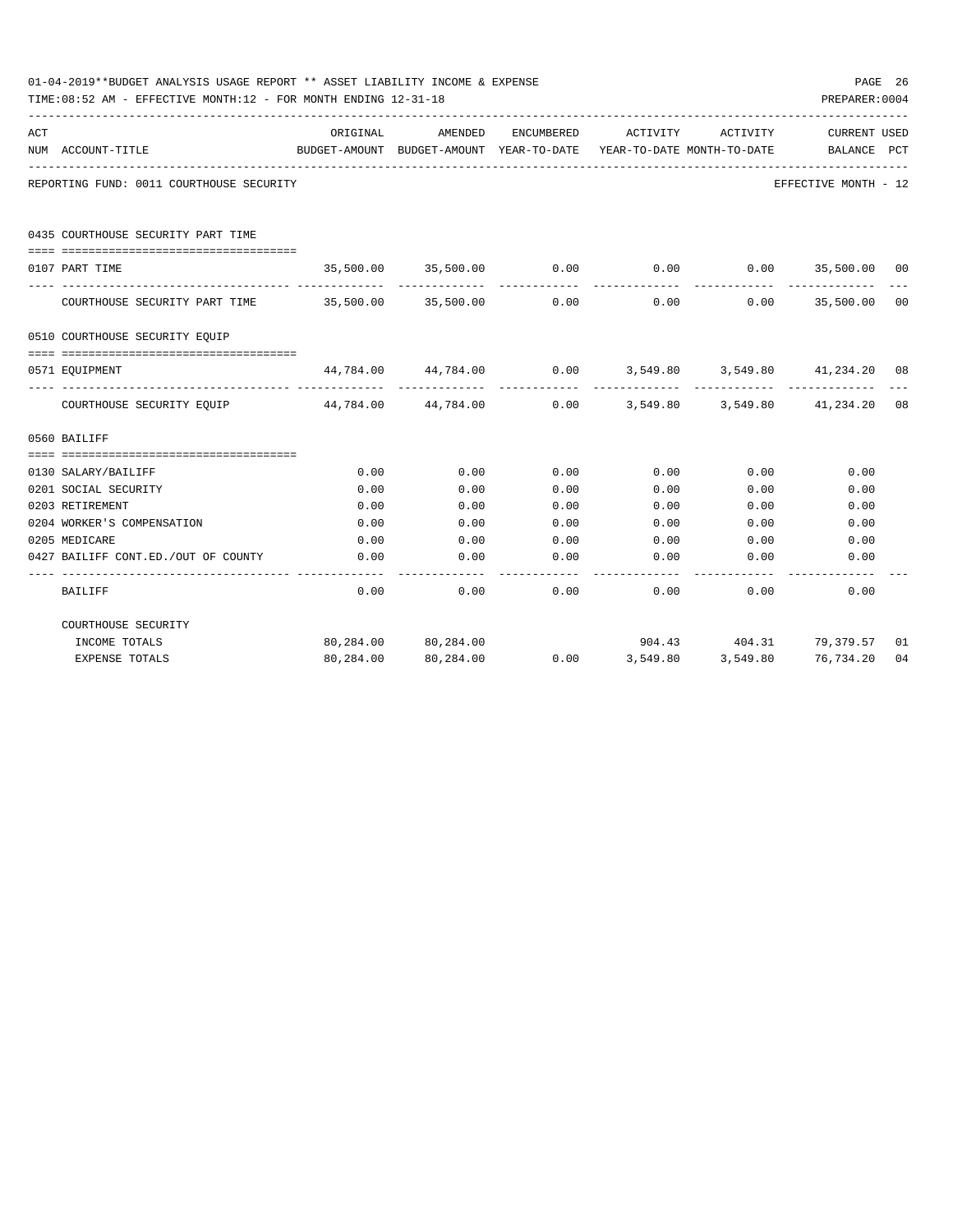|     | 01-04-2019**BUDGET ANALYSIS USAGE REPORT ** ASSET LIABILITY INCOME & EXPENSE<br>TIME: 08:52 AM - EFFECTIVE MONTH: 12 - FOR MONTH ENDING 12-31-18 |          |                     |            |                                                                                             |               | PREPARER: 0004          | PAGE 26         |
|-----|--------------------------------------------------------------------------------------------------------------------------------------------------|----------|---------------------|------------|---------------------------------------------------------------------------------------------|---------------|-------------------------|-----------------|
| ACT | NUM ACCOUNT-TITLE                                                                                                                                | ORIGINAL | AMENDED             | ENCUMBERED | ACTIVITY<br>BUDGET-AMOUNT BUDGET-AMOUNT YEAR-TO-DATE YEAR-TO-DATE MONTH-TO-DATE BALANCE PCT | ACTIVITY      | CURRENT USED            |                 |
|     | REPORTING FUND: 0011 COURTHOUSE SECURITY                                                                                                         |          |                     |            |                                                                                             |               | EFFECTIVE MONTH - 12    |                 |
|     | 0435 COURTHOUSE SECURITY PART TIME                                                                                                               |          |                     |            |                                                                                             |               |                         |                 |
|     | 0107 PART TIME                                                                                                                                   |          | 35,500.00 35,500.00 | 0.00       | 0.00                                                                                        |               | $0.00$ 35,500.00        | $\overline{00}$ |
|     |                                                                                                                                                  |          |                     |            | -------------                                                                               | ------------- | --------------          |                 |
|     | COURTHOUSE SECURITY PART TIME 35,500.00 35,500.00                                                                                                |          |                     | 0.00       | 0.00                                                                                        |               | $0.00$ 35,500.00        | 00              |
|     | 0510 COURTHOUSE SECURITY EQUIP                                                                                                                   |          |                     |            |                                                                                             |               |                         |                 |
|     |                                                                                                                                                  |          |                     |            |                                                                                             |               |                         |                 |
|     | 0571 EOUIPMENT                                                                                                                                   |          |                     |            | $44,784.00$ $44,784.00$ $0.00$ $3,549.80$ $3,549.80$ $41,234.20$ 08                         |               |                         |                 |
|     | COURTHOUSE SECURITY EOUIP 44,784.00 44,784.00                                                                                                    |          |                     |            | $0.00$ $3,549.80$ $3,549.80$ $41,234.20$ 08                                                 |               |                         |                 |
|     | 0560 BAILIFF                                                                                                                                     |          |                     |            |                                                                                             |               |                         |                 |
|     |                                                                                                                                                  |          |                     |            |                                                                                             |               |                         |                 |
|     | 0130 SALARY/BAILIFF                                                                                                                              | 0.00     | 0.00                | 0.00       | 0.00                                                                                        | 0.00          | 0.00                    |                 |
|     | 0201 SOCIAL SECURITY                                                                                                                             | 0.00     | 0.00                | 0.00       | 0.00                                                                                        | 0.00          | 0.00                    |                 |
|     | 0203 RETIREMENT                                                                                                                                  | 0.00     | 0.00                | 0.00       | 0.00                                                                                        | 0.00          | 0.00                    |                 |
|     | 0204 WORKER'S COMPENSATION                                                                                                                       | 0.00     | 0.00                | 0.00       | 0.00                                                                                        | 0.00          | 0.00                    |                 |
|     | 0205 MEDICARE                                                                                                                                    | 0.00     | 0.00                | 0.00       | 0.00                                                                                        | 0.00          | 0.00                    |                 |
|     | 0427 BAILIFF CONT.ED./OUT OF COUNTY                                                                                                              | 0.00     | 0.00                | 0.00       | 0.00                                                                                        | 0.00          | 0.00                    |                 |
|     | <b>BAILIFF</b>                                                                                                                                   | 0.00     | 0.00                | 0.00       | 0.00                                                                                        | 0.00          | 0.00                    |                 |
|     | COURTHOUSE SECURITY                                                                                                                              |          |                     |            |                                                                                             |               |                         |                 |
|     | INCOME TOTALS                                                                                                                                    |          | 80,284.00 80,284.00 |            |                                                                                             |               | 904.43 404.31 79,379.57 | 01              |
|     | <b>EXPENSE TOTALS</b>                                                                                                                            |          | 80,284.00 80,284.00 |            | $0.00$ $3,549.80$ $3,549.80$ $76,734.20$                                                    |               |                         | 04              |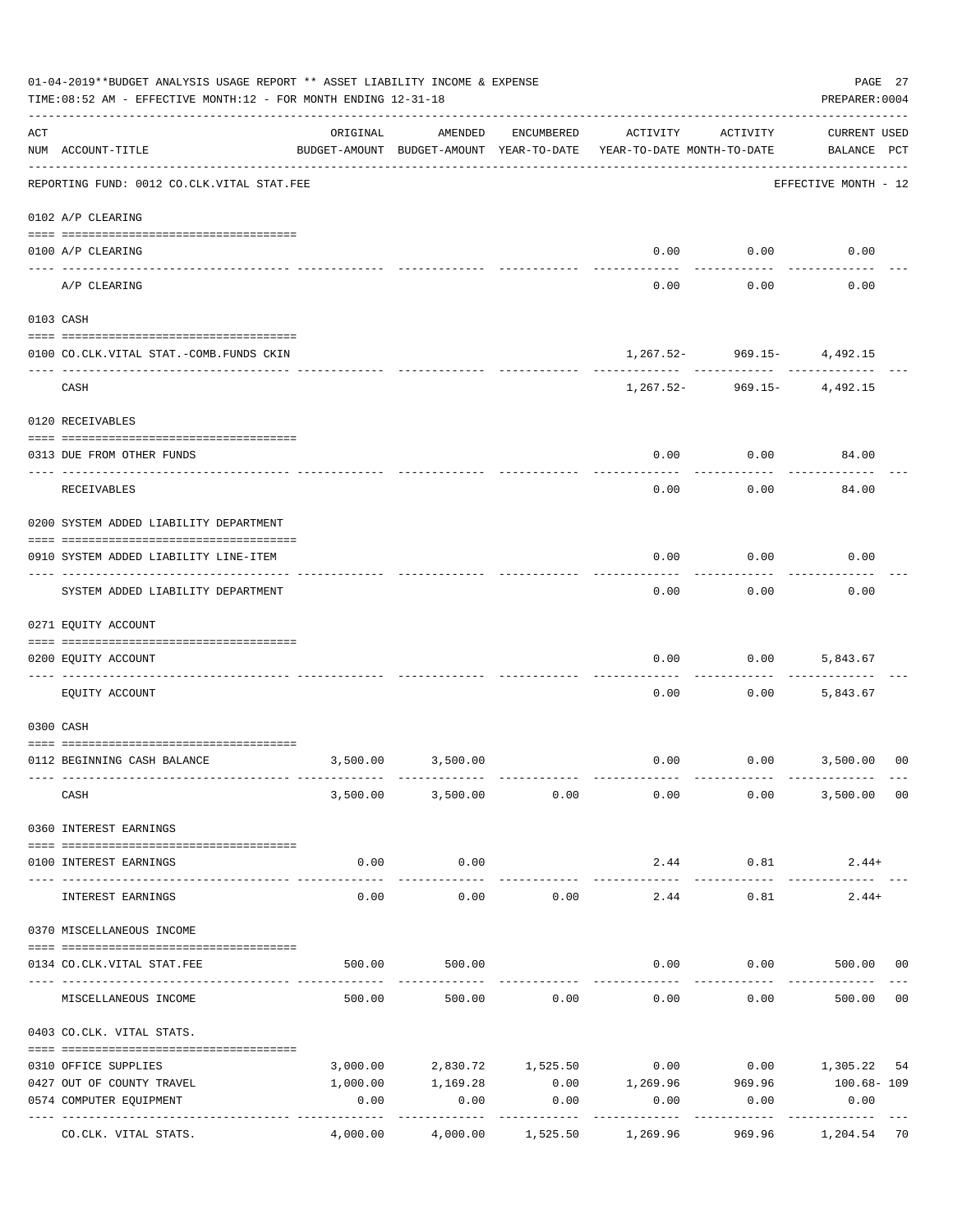|     | 01-04-2019**BUDGET ANALYSIS USAGE REPORT ** ASSET LIABILITY INCOME & EXPENSE<br>TIME:08:52 AM - EFFECTIVE MONTH:12 - FOR MONTH ENDING 12-31-18 |                                      |                                                     |                    |                                        |                                | PAGE 27<br>PREPARER: 0004          |                |
|-----|------------------------------------------------------------------------------------------------------------------------------------------------|--------------------------------------|-----------------------------------------------------|--------------------|----------------------------------------|--------------------------------|------------------------------------|----------------|
| ACT | NUM ACCOUNT-TITLE                                                                                                                              | ORIGINAL                             | AMENDED<br>BUDGET-AMOUNT BUDGET-AMOUNT YEAR-TO-DATE | ENCUMBERED         | ACTIVITY<br>YEAR-TO-DATE MONTH-TO-DATE | ACTIVITY                       | <b>CURRENT USED</b><br>BALANCE PCT |                |
|     | REPORTING FUND: 0012 CO.CLK.VITAL STAT.FEE                                                                                                     |                                      |                                                     |                    |                                        |                                | EFFECTIVE MONTH - 12               |                |
|     | 0102 A/P CLEARING                                                                                                                              |                                      |                                                     |                    |                                        |                                |                                    |                |
|     | 0100 A/P CLEARING                                                                                                                              |                                      |                                                     |                    | 0.00                                   | 0.00                           | 0.00                               |                |
|     | ---- ----------<br>A/P CLEARING                                                                                                                |                                      |                                                     |                    | 0.00                                   | 0.00                           | 0.00                               |                |
|     | 0103 CASH                                                                                                                                      |                                      |                                                     |                    |                                        |                                |                                    |                |
|     | 0100 CO.CLK.VITAL STAT.-COMB.FUNDS CKIN                                                                                                        |                                      |                                                     |                    |                                        | $1,267.52 - 969.15 - 4,492.15$ |                                    |                |
|     | CASH                                                                                                                                           |                                      |                                                     |                    |                                        | $1,267.52 - 969.15 - 4,492.15$ |                                    |                |
|     | 0120 RECEIVABLES                                                                                                                               |                                      |                                                     |                    |                                        |                                |                                    |                |
|     | 0313 DUE FROM OTHER FUNDS                                                                                                                      |                                      |                                                     |                    | 0.00                                   | 0.00                           | 84.00                              |                |
|     | RECEIVABLES                                                                                                                                    |                                      |                                                     |                    | 0.00                                   | 0.00                           | 84.00                              |                |
|     | 0200 SYSTEM ADDED LIABILITY DEPARTMENT                                                                                                         |                                      |                                                     |                    |                                        |                                |                                    |                |
|     | 0910 SYSTEM ADDED LIABILITY LINE-ITEM                                                                                                          |                                      |                                                     |                    | 0.00                                   | 0.00                           | 0.00                               |                |
|     | SYSTEM ADDED LIABILITY DEPARTMENT                                                                                                              |                                      |                                                     |                    | 0.00                                   | 0.00                           | 0.00                               |                |
|     | 0271 EQUITY ACCOUNT                                                                                                                            |                                      |                                                     |                    |                                        |                                |                                    |                |
|     | 0200 EQUITY ACCOUNT                                                                                                                            |                                      |                                                     |                    | 0.00                                   | 0.00                           | 5,843.67                           |                |
|     | EQUITY ACCOUNT                                                                                                                                 |                                      |                                                     |                    | 0.00                                   | 0.00                           | 5,843.67                           |                |
|     | 0300 CASH                                                                                                                                      |                                      |                                                     |                    |                                        |                                |                                    |                |
|     | 0112 BEGINNING CASH BALANCE                                                                                                                    |                                      | 3,500.00 3,500.00                                   |                    |                                        | $0.00$ $0.00$ $3,500.00$       |                                    | 0 <sup>0</sup> |
|     | CASH                                                                                                                                           |                                      | 3,500.00 3,500.00 0.00                              |                    | 0.00                                   | 0.00                           | 3,500.00 00                        |                |
|     | 0360 INTEREST EARNINGS                                                                                                                         |                                      |                                                     |                    |                                        |                                |                                    |                |
|     | 0100 INTEREST EARNINGS                                                                                                                         | 0.00                                 | 0.00                                                |                    | 2.44                                   | 0.81                           | $2.44+$                            |                |
|     | INTEREST EARNINGS                                                                                                                              | ------------- --------------<br>0.00 | .<br>0.00                                           | 0.00               | -------------<br>2.44                  | ----------<br>0.81             | $2.44+$                            |                |
|     | 0370 MISCELLANEOUS INCOME                                                                                                                      |                                      |                                                     |                    |                                        |                                |                                    |                |
|     |                                                                                                                                                |                                      |                                                     |                    |                                        |                                |                                    |                |
|     | 0134 CO. CLK. VITAL STAT. FEE                                                                                                                  | 500.00                               | 500.00                                              |                    | 0.00                                   |                                | $0.00$ 500.00 00                   |                |
|     | MISCELLANEOUS INCOME                                                                                                                           |                                      | 500.00                                              | 500.00 0.00        | 0.00                                   | 0.00                           | 500.00                             | 0 <sub>0</sub> |
|     | 0403 CO.CLK. VITAL STATS.                                                                                                                      |                                      |                                                     |                    |                                        |                                |                                    |                |
|     | 0310 OFFICE SUPPLIES                                                                                                                           |                                      | 3,000.00 2,830.72 1,525.50                          |                    |                                        | $0.00$ $0.00$ $1,305.22$       |                                    | 54             |
|     | 0427 OUT OF COUNTY TRAVEL                                                                                                                      | 1,000.00                             | 1,169.28                                            |                    |                                        | $0.00$ 1,269.96 969.96         | 100.68- 109                        |                |
|     | 0574 COMPUTER EQUIPMENT                                                                                                                        | 0.00                                 | 0.00<br>----------                                  | 0.00<br>---------- | 0.00<br>-----------                    | 0.00<br>. <u>.</u>             | 0.00<br>.                          |                |
|     | CO.CLK. VITAL STATS.                                                                                                                           | 4,000.00                             | 4,000.00                                            | 1,525.50           | 1,269.96                               | 969.96                         | 1,204.54 70                        |                |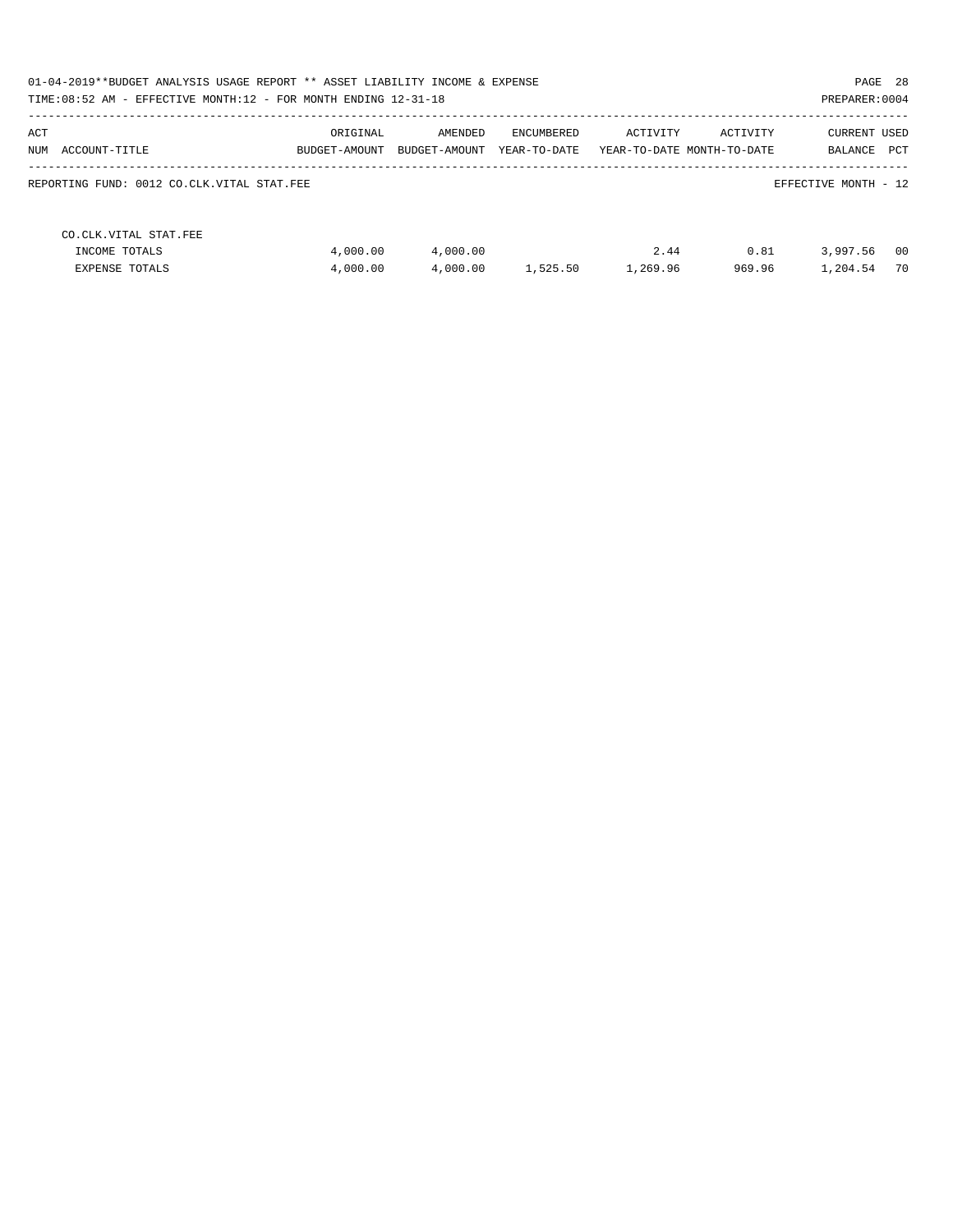| 01-04-2019**BUDGET ANALYSIS USAGE REPORT ** ASSET LIABILITY INCOME & EXPENSE<br>TIME: 08:52 AM - EFFECTIVE MONTH: 12 - FOR MONTH ENDING 12-31-18 |                           |                          |                            |          |                                        | PAGE 28<br>PREPARER: 0004      |      |
|--------------------------------------------------------------------------------------------------------------------------------------------------|---------------------------|--------------------------|----------------------------|----------|----------------------------------------|--------------------------------|------|
| ACT<br>NUM<br>ACCOUNT-TITLE                                                                                                                      | ORIGINAL<br>BUDGET-AMOUNT | AMENDED<br>BUDGET-AMOUNT | ENCUMBERED<br>YEAR-TO-DATE | ACTIVITY | ACTIVITY<br>YEAR-TO-DATE MONTH-TO-DATE | CURRENT USED<br>PCT<br>BALANCE |      |
| REPORTING FUND: 0012 CO.CLK.VITAL STAT.FEE                                                                                                       |                           |                          |                            |          |                                        | EFFECTIVE MONTH - 12           |      |
| CO. CLK. VITAL STAT. FEE                                                                                                                         |                           |                          |                            |          |                                        |                                |      |
| INCOME TOTALS                                                                                                                                    | 4,000.00                  | 4,000.00                 |                            | 2.44     | 0.81                                   | 3,997.56                       | - 00 |
| <b>EXPENSE TOTALS</b>                                                                                                                            | 4,000.00                  | 4,000.00                 | 1,525.50                   | 1,269.96 | 969.96                                 | 1,204.54                       | 70   |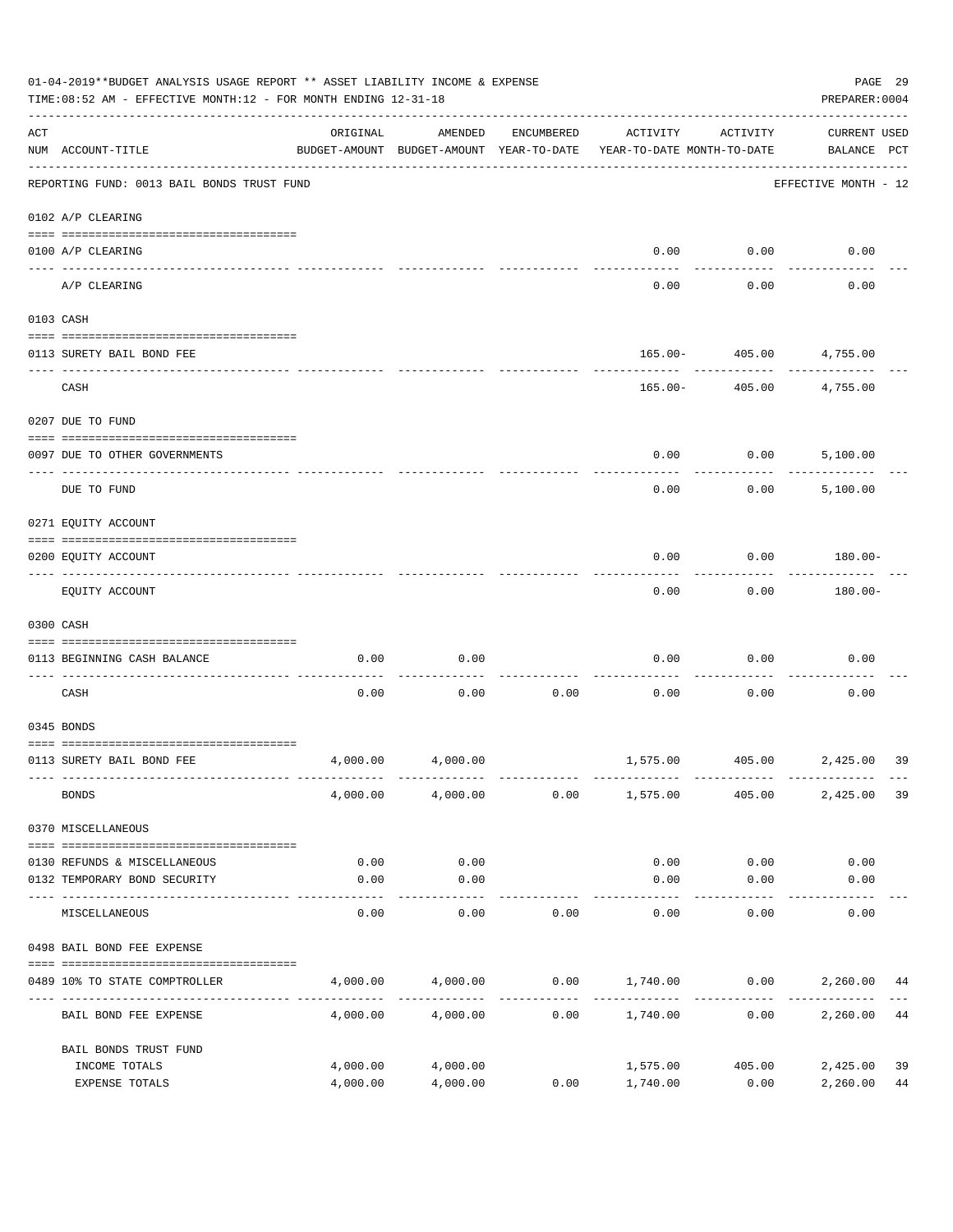|     | 01-04-2019**BUDGET ANALYSIS USAGE REPORT ** ASSET LIABILITY INCOME & EXPENSE<br>TIME: 08:52 AM - EFFECTIVE MONTH: 12 - FOR MONTH ENDING 12-31-18 |                      |                                                     |            |                                        |                      | PAGE 29<br>PREPARER: 0004          |
|-----|--------------------------------------------------------------------------------------------------------------------------------------------------|----------------------|-----------------------------------------------------|------------|----------------------------------------|----------------------|------------------------------------|
| ACT | NUM ACCOUNT-TITLE                                                                                                                                | ORIGINAL             | AMENDED<br>BUDGET-AMOUNT BUDGET-AMOUNT YEAR-TO-DATE | ENCUMBERED | ACTIVITY<br>YEAR-TO-DATE MONTH-TO-DATE | ACTIVITY             | <b>CURRENT USED</b><br>BALANCE PCT |
|     | REPORTING FUND: 0013 BAIL BONDS TRUST FUND                                                                                                       |                      |                                                     |            |                                        |                      | EFFECTIVE MONTH - 12               |
|     | 0102 A/P CLEARING                                                                                                                                |                      |                                                     |            |                                        |                      |                                    |
|     | 0100 A/P CLEARING                                                                                                                                |                      |                                                     |            | 0.00                                   | 0.00                 | 0.00                               |
|     | ---- -------<br>A/P CLEARING                                                                                                                     |                      |                                                     |            | 0.00                                   | 0.00                 | 0.00                               |
|     | 0103 CASH                                                                                                                                        |                      |                                                     |            |                                        |                      |                                    |
|     | 0113 SURETY BAIL BOND FEE                                                                                                                        |                      |                                                     |            | 165.00-                                | 405.00               | 4,755.00                           |
|     | CASH                                                                                                                                             |                      |                                                     |            | $165.00 -$                             | 405.00               | 4,755.00                           |
|     | 0207 DUE TO FUND                                                                                                                                 |                      |                                                     |            |                                        |                      |                                    |
|     | 0097 DUE TO OTHER GOVERNMENTS                                                                                                                    |                      |                                                     |            | 0.00                                   | 0.00                 | 5,100.00                           |
|     | DUE TO FUND                                                                                                                                      |                      |                                                     |            | 0.00                                   | 0.00                 | 5,100.00                           |
|     | 0271 EQUITY ACCOUNT                                                                                                                              |                      |                                                     |            |                                        |                      |                                    |
|     | 0200 EQUITY ACCOUNT                                                                                                                              |                      |                                                     |            | 0.00                                   | 0.00                 | 180.00-                            |
|     | EQUITY ACCOUNT                                                                                                                                   |                      |                                                     |            | 0.00                                   | 0.00                 | 180.00-                            |
|     | 0300 CASH                                                                                                                                        |                      |                                                     |            |                                        |                      |                                    |
|     | 0113 BEGINNING CASH BALANCE                                                                                                                      | 0.00                 | 0.00                                                |            | 0.00                                   | 0.00                 | 0.00                               |
|     | CASH                                                                                                                                             | 0.00                 | 0.00                                                | 0.00       | 0.00                                   | 0.00                 | 0.00                               |
|     | 0345 BONDS                                                                                                                                       |                      |                                                     |            |                                        |                      |                                    |
|     | 0113 SURETY BAIL BOND FEE                                                                                                                        | 4,000.00             | 4,000.00                                            |            |                                        |                      | 1,575.00 405.00 2,425.00<br>39     |
|     | <b>BONDS</b>                                                                                                                                     | 4,000.00             | 4,000.00                                            | 0.00       | 1,575.00                               | 405.00               | 2,425.00<br>39                     |
|     | 0370 MISCELLANEOUS                                                                                                                               |                      |                                                     |            |                                        |                      |                                    |
|     | 0130 REFUNDS & MISCELLANEOUS                                                                                                                     | 0.00                 | 0.00                                                |            | 0.00                                   | 0.00                 | 0.00                               |
|     | 0132 TEMPORARY BOND SECURITY                                                                                                                     | 0.00                 | 0.00                                                |            | 0.00                                   | 0.00                 | 0.00                               |
|     | MISCELLANEOUS                                                                                                                                    | 0.00                 | ---------<br>0.00                                   | 0.00       | 0.00                                   | 0.00                 | 0.00                               |
|     | 0498 BAIL BOND FEE EXPENSE                                                                                                                       |                      |                                                     |            |                                        |                      |                                    |
|     | 0489 10% TO STATE COMPTROLLER                                                                                                                    | 4,000.00             | 4,000.00                                            |            |                                        | $0.00$ 1,740.00 0.00 | 2,260.00<br>44                     |
|     | BAIL BOND FEE EXPENSE                                                                                                                            | 4,000.00             | 4,000.00                                            | 0.00       | 1,740.00                               | 0.00                 | 2,260.00<br>44                     |
|     | BAIL BONDS TRUST FUND                                                                                                                            |                      |                                                     |            |                                        |                      |                                    |
|     | INCOME TOTALS<br>EXPENSE TOTALS                                                                                                                  | 4,000.00<br>4,000.00 | 4,000.00<br>4,000.00                                | 0.00       | 1,575.00<br>1,740.00                   | 405.00<br>0.00       | 2,425.00<br>39<br>2,260.00<br>44   |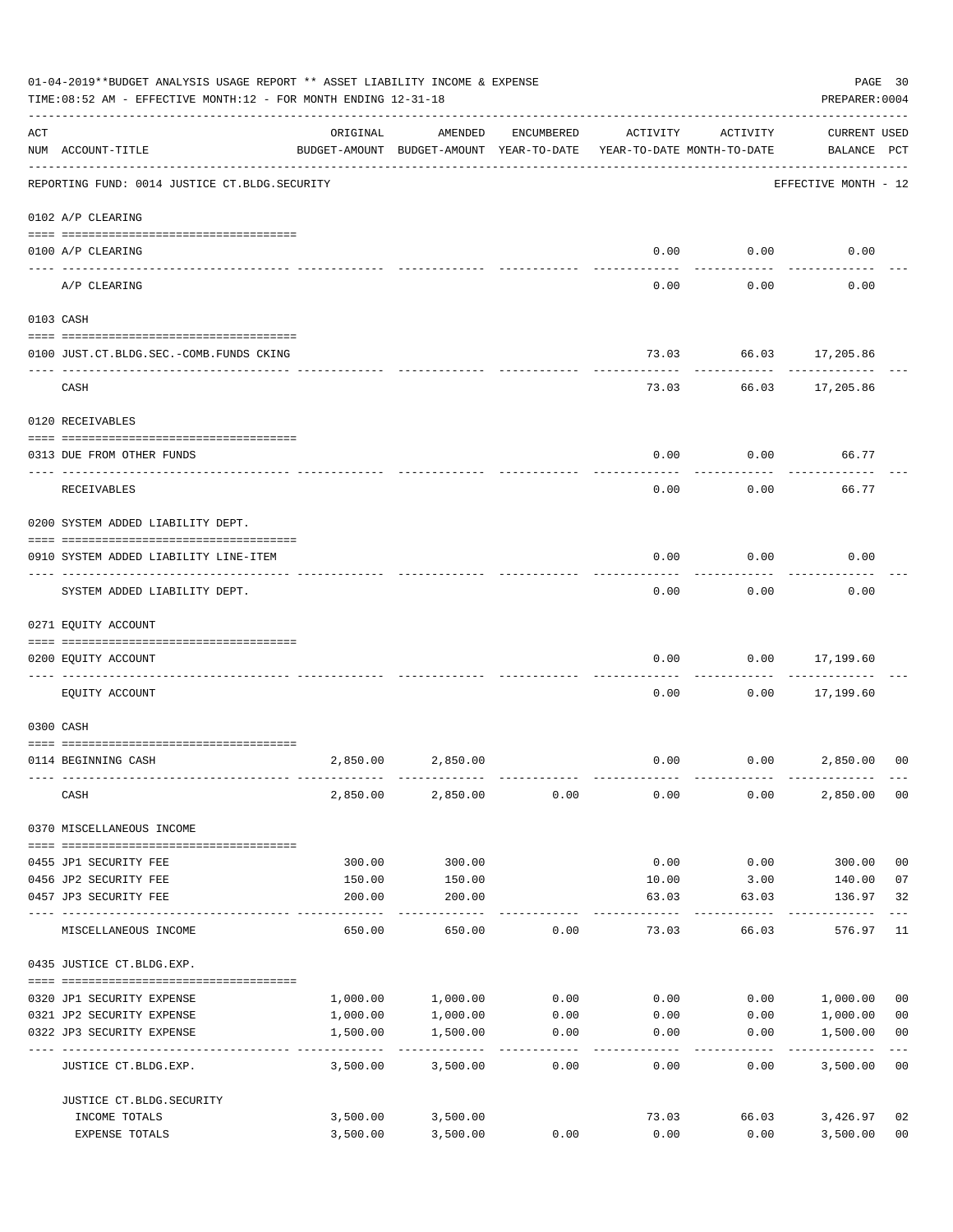|     | 01-04-2019**BUDGET ANALYSIS USAGE REPORT ** ASSET LIABILITY INCOME & EXPENSE<br>TIME:08:52 AM - EFFECTIVE MONTH:12 - FOR MONTH ENDING 12-31-18 |                  |                                                     |            |                                        |                    | PREPARER: 0004                     | PAGE 30                 |
|-----|------------------------------------------------------------------------------------------------------------------------------------------------|------------------|-----------------------------------------------------|------------|----------------------------------------|--------------------|------------------------------------|-------------------------|
| ACT | NUM ACCOUNT-TITLE                                                                                                                              | ORIGINAL         | AMENDED<br>BUDGET-AMOUNT BUDGET-AMOUNT YEAR-TO-DATE | ENCUMBERED | ACTIVITY<br>YEAR-TO-DATE MONTH-TO-DATE | ACTIVITY           | <b>CURRENT USED</b><br>BALANCE PCT |                         |
|     | REPORTING FUND: 0014 JUSTICE CT. BLDG. SECURITY                                                                                                |                  |                                                     |            |                                        |                    | EFFECTIVE MONTH - 12               |                         |
|     | 0102 A/P CLEARING                                                                                                                              |                  |                                                     |            |                                        |                    |                                    |                         |
|     | 0100 A/P CLEARING                                                                                                                              |                  |                                                     |            | 0.00                                   | 0.00               | 0.00                               |                         |
|     | ---- ---------<br>A/P CLEARING                                                                                                                 |                  |                                                     |            | 0.00                                   | 0.00               | 0.00                               |                         |
|     | 0103 CASH                                                                                                                                      |                  |                                                     |            |                                        |                    |                                    |                         |
|     | 0100 JUST.CT.BLDG.SEC.-COMB.FUNDS CKING                                                                                                        |                  |                                                     |            | 73.03                                  |                    | 66.03 17,205.86                    |                         |
|     | CASH                                                                                                                                           |                  |                                                     |            |                                        | 73.03 66.03        | 17,205.86                          |                         |
|     | 0120 RECEIVABLES                                                                                                                               |                  |                                                     |            |                                        |                    |                                    |                         |
|     | 0313 DUE FROM OTHER FUNDS                                                                                                                      |                  |                                                     |            | 0.00                                   | 0.00               | 66.77                              |                         |
|     | RECEIVABLES                                                                                                                                    |                  |                                                     |            | 0.00                                   | 0.00               | 66.77                              |                         |
|     | 0200 SYSTEM ADDED LIABILITY DEPT.                                                                                                              |                  |                                                     |            |                                        |                    |                                    |                         |
|     | 0910 SYSTEM ADDED LIABILITY LINE-ITEM                                                                                                          |                  |                                                     |            | 0.00                                   | 0.00               | 0.00                               |                         |
|     | SYSTEM ADDED LIABILITY DEPT.                                                                                                                   |                  |                                                     |            | 0.00                                   | 0.00               | 0.00                               |                         |
|     | 0271 EQUITY ACCOUNT                                                                                                                            |                  |                                                     |            |                                        |                    |                                    |                         |
|     | 0200 EQUITY ACCOUNT                                                                                                                            |                  |                                                     |            | 0.00                                   | 0.00               | 17,199.60<br>--------              |                         |
|     | EQUITY ACCOUNT                                                                                                                                 |                  |                                                     |            | 0.00                                   | 0.00               | 17,199.60                          |                         |
|     | 0300 CASH                                                                                                                                      |                  |                                                     |            |                                        |                    |                                    |                         |
|     | 0114 BEGINNING CASH                                                                                                                            | 2,850.00         | 2,850.00                                            |            | 0.00                                   |                    | 0.00<br>2,850.00                   | 0 <sup>0</sup>          |
|     | CASH                                                                                                                                           | 2,850.00         | 2,850.00                                            | 0.00       | 0.00                                   | 0.00               | 2,850.00                           | 00                      |
|     | 0370 MISCELLANEOUS INCOME                                                                                                                      |                  |                                                     |            |                                        |                    |                                    |                         |
|     |                                                                                                                                                |                  |                                                     |            |                                        |                    |                                    |                         |
|     | 0455 JP1 SECURITY FEE<br>0456 JP2 SECURITY FEE                                                                                                 | 300.00<br>150.00 | 300.00<br>150.00                                    |            | 0.00<br>10.00                          | 0.00<br>3.00       | 300.00<br>140.00                   | 0 <sub>0</sub><br>07    |
|     | 0457 JP3 SECURITY FEE                                                                                                                          | 200.00           | 200.00<br>-----------                               |            | 63.03<br>$- - - - - -$                 | 63.03<br>_________ | 136.97<br>-----------              | 32<br>$---$             |
|     | MISCELLANEOUS INCOME                                                                                                                           | 650.00           | 650.00                                              | 0.00       | 73.03                                  | 66.03              | 576.97                             | 11                      |
|     | 0435 JUSTICE CT.BLDG.EXP.                                                                                                                      |                  |                                                     |            |                                        |                    |                                    |                         |
|     | 0320 JP1 SECURITY EXPENSE                                                                                                                      | 1,000.00         | 1,000.00                                            | 0.00       | 0.00                                   |                    | 0.00 1,000.00                      | 0 <sub>0</sub>          |
|     | 0321 JP2 SECURITY EXPENSE                                                                                                                      | 1,000.00         | 1,000.00                                            | 0.00       | 0.00                                   | 0.00               | 1,000.00                           | 0 <sub>0</sub>          |
|     | 0322 JP3 SECURITY EXPENSE                                                                                                                      | 1,500.00         | 1,500.00<br>.                                       | 0.00       | 0.00                                   | 0.00               | 1,500.00                           | 0 <sub>0</sub><br>$---$ |
|     | JUSTICE CT.BLDG.EXP.                                                                                                                           | 3,500.00         | 3,500.00                                            | 0.00       | 0.00                                   | 0.00               | 3,500.00 00                        |                         |
|     | JUSTICE CT. BLDG. SECURITY                                                                                                                     |                  |                                                     |            |                                        |                    |                                    |                         |
|     | INCOME TOTALS                                                                                                                                  | 3,500.00         | 3,500.00                                            |            | 73.03                                  | 66.03              | 3,426.97                           | 02                      |
|     | EXPENSE TOTALS                                                                                                                                 | 3,500.00         | 3,500.00                                            | 0.00       | 0.00                                   | 0.00               | 3,500.00                           | 0 <sub>0</sub>          |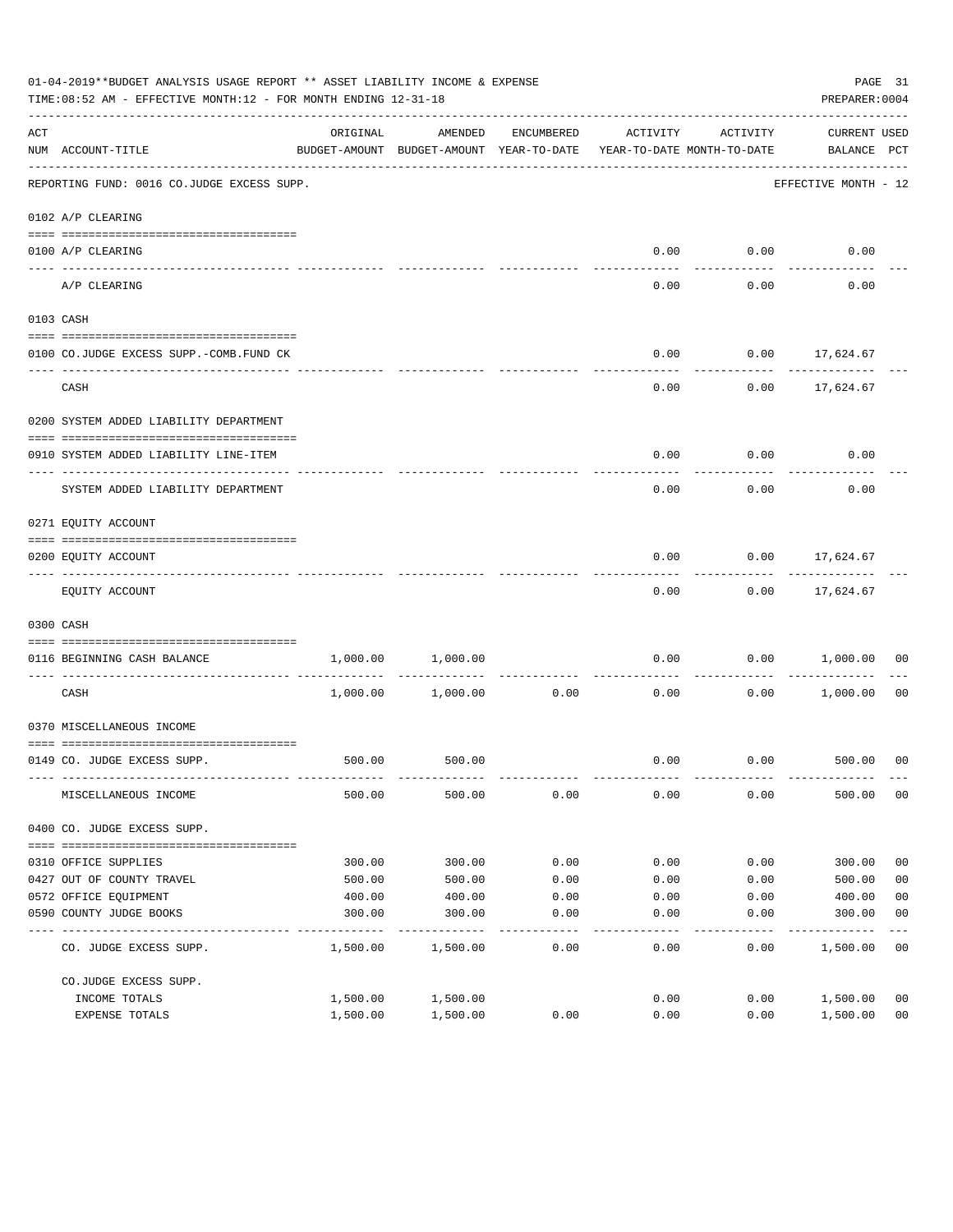|     | 01-04-2019**BUDGET ANALYSIS USAGE REPORT ** ASSET LIABILITY INCOME & EXPENSE<br>TIME:08:52 AM - EFFECTIVE MONTH:12 - FOR MONTH ENDING 12-31-18 |          |                                                     |            |                                        |                    | PREPARER: 0004                     | PAGE 31        |
|-----|------------------------------------------------------------------------------------------------------------------------------------------------|----------|-----------------------------------------------------|------------|----------------------------------------|--------------------|------------------------------------|----------------|
| ACT | NUM ACCOUNT-TITLE<br>---------------------------------                                                                                         | ORIGINAL | AMENDED<br>BUDGET-AMOUNT BUDGET-AMOUNT YEAR-TO-DATE | ENCUMBERED | ACTIVITY<br>YEAR-TO-DATE MONTH-TO-DATE | ACTIVITY           | <b>CURRENT USED</b><br>BALANCE PCT |                |
|     | REPORTING FUND: 0016 CO.JUDGE EXCESS SUPP.                                                                                                     |          |                                                     |            |                                        |                    | EFFECTIVE MONTH - 12               |                |
|     | 0102 A/P CLEARING                                                                                                                              |          |                                                     |            |                                        |                    |                                    |                |
|     | 0100 A/P CLEARING                                                                                                                              |          |                                                     |            | 0.00                                   | 0.00               | 0.00                               |                |
|     | ---- -------<br>A/P CLEARING                                                                                                                   |          |                                                     |            | 0.00                                   | 0.00               | 0.00                               |                |
|     | 0103 CASH                                                                                                                                      |          |                                                     |            |                                        |                    |                                    |                |
|     | 0100 CO.JUDGE EXCESS SUPP.-COMB.FUND CK                                                                                                        |          |                                                     |            | 0.00                                   |                    | $0.00$ 17,624.67                   |                |
|     | CASH                                                                                                                                           |          |                                                     |            | 0.00                                   |                    | -----------<br>$0.00$ 17,624.67    |                |
|     | 0200 SYSTEM ADDED LIABILITY DEPARTMENT                                                                                                         |          |                                                     |            |                                        |                    |                                    |                |
|     | 0910 SYSTEM ADDED LIABILITY LINE-ITEM                                                                                                          |          |                                                     |            | 0.00                                   | 0.00               | 0.00                               |                |
|     | SYSTEM ADDED LIABILITY DEPARTMENT                                                                                                              |          |                                                     |            | 0.00                                   | 0.00               | 0.00                               |                |
|     | 0271 EQUITY ACCOUNT                                                                                                                            |          |                                                     |            |                                        |                    |                                    |                |
|     | 0200 EQUITY ACCOUNT                                                                                                                            |          |                                                     |            | 0.00                                   |                    | $0.00$ 17,624.67                   |                |
|     | EQUITY ACCOUNT                                                                                                                                 |          |                                                     |            | 0.00                                   |                    | $0.00$ 17,624.67                   |                |
|     | 0300 CASH                                                                                                                                      |          |                                                     |            |                                        |                    |                                    |                |
|     | 0116 BEGINNING CASH BALANCE                                                                                                                    | 1,000.00 | 1,000.00                                            |            | 0.00                                   | 0.00               | 1,000.00                           | 00             |
|     | CASH                                                                                                                                           | 1,000.00 | 1,000.00                                            | 0.00       | ----------------------------<br>0.00   | ----------<br>0.00 | 1,000.00                           | 00             |
|     | 0370 MISCELLANEOUS INCOME                                                                                                                      |          |                                                     |            |                                        |                    |                                    |                |
|     | 0149 CO. JUDGE EXCESS SUPP.                                                                                                                    |          | 500.00 500.00                                       |            | 0.00                                   |                    | $0.00$ 500.00 00                   |                |
|     | MISCELLANEOUS INCOME                                                                                                                           | 500.00   | 500.00                                              | 0.00       | 0.00                                   | 0.00               | 500.00                             | 0 <sub>0</sub> |
|     | 0400 CO. JUDGE EXCESS SUPP.                                                                                                                    |          |                                                     |            |                                        |                    |                                    |                |
|     | 0310 OFFICE SUPPLIES                                                                                                                           | 300.00   | 300.00                                              | 0.00       | 0.00                                   | 0.00               | 300.00                             | 0 <sub>0</sub> |
|     | 0427 OUT OF COUNTY TRAVEL                                                                                                                      | 500.00   | 500.00                                              | 0.00       | 0.00                                   | 0.00               | 500.00                             | 0 <sub>0</sub> |
|     | 0572 OFFICE EQUIPMENT                                                                                                                          | 400.00   | 400.00                                              | 0.00       | 0.00                                   | 0.00               | 400.00                             | 0 <sub>0</sub> |
|     | 0590 COUNTY JUDGE BOOKS                                                                                                                        | 300.00   | 300.00                                              | 0.00       | 0.00                                   | 0.00               | 300.00                             | 0 <sub>0</sub> |
|     | CO. JUDGE EXCESS SUPP.                                                                                                                         | 1,500.00 | 1,500.00                                            | 0.00       | 0.00                                   | 0.00               | 1,500.00                           | 0 <sub>0</sub> |
|     | CO.JUDGE EXCESS SUPP.                                                                                                                          |          |                                                     |            |                                        |                    |                                    |                |
|     | INCOME TOTALS                                                                                                                                  | 1,500.00 | 1,500.00                                            |            | 0.00                                   | 0.00               | 1,500.00                           | 0 <sub>0</sub> |
|     | EXPENSE TOTALS                                                                                                                                 | 1,500.00 | 1,500.00                                            | 0.00       | 0.00                                   | 0.00               | 1,500.00                           | 0 <sub>0</sub> |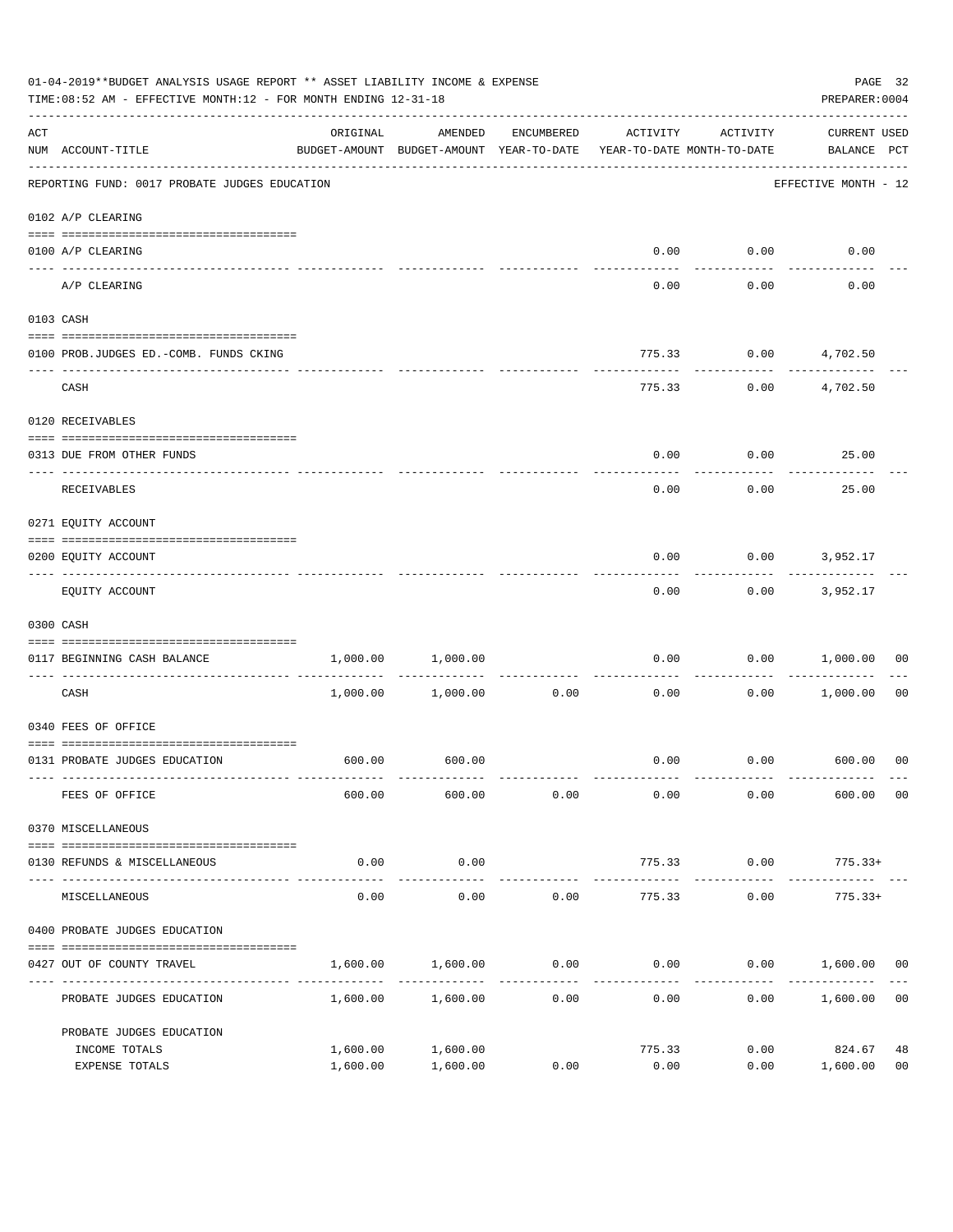|                    | 01-04-2019**BUDGET ANALYSIS USAGE REPORT ** ASSET LIABILITY INCOME & EXPENSE<br>TIME:08:52 AM - EFFECTIVE MONTH:12 - FOR MONTH ENDING 12-31-18 |                                                                                 |                      |                 |                                    |              | PREPARER: 0004                     | PAGE 32              |
|--------------------|------------------------------------------------------------------------------------------------------------------------------------------------|---------------------------------------------------------------------------------|----------------------|-----------------|------------------------------------|--------------|------------------------------------|----------------------|
| $\mathop{\rm ACT}$ | NUM ACCOUNT-TITLE                                                                                                                              | ORIGINAL<br>BUDGET-AMOUNT BUDGET-AMOUNT YEAR-TO-DATE YEAR-TO-DATE MONTH-TO-DATE | AMENDED              | ENCUMBERED      | ACTIVITY                           | ACTIVITY     | <b>CURRENT USED</b><br>BALANCE PCT |                      |
|                    | REPORTING FUND: 0017 PROBATE JUDGES EDUCATION                                                                                                  |                                                                                 |                      |                 |                                    |              | EFFECTIVE MONTH - 12               |                      |
|                    | 0102 A/P CLEARING                                                                                                                              |                                                                                 |                      |                 |                                    |              |                                    |                      |
|                    | 0100 A/P CLEARING                                                                                                                              |                                                                                 |                      |                 | 0.00                               | 0.00         | 0.00                               |                      |
|                    | ---- --------<br>A/P CLEARING                                                                                                                  |                                                                                 |                      |                 | 0.00                               | 0.00         | 0.00                               |                      |
|                    | 0103 CASH                                                                                                                                      |                                                                                 |                      |                 |                                    |              |                                    |                      |
|                    | 0100 PROB.JUDGES ED.-COMB. FUNDS CKING                                                                                                         |                                                                                 |                      |                 | 775.33                             |              | $0.00$ $4,702.50$                  |                      |
|                    | CASH                                                                                                                                           |                                                                                 |                      |                 | 775.33                             |              | $0.00$ $4,702.50$                  |                      |
|                    | 0120 RECEIVABLES                                                                                                                               |                                                                                 |                      |                 |                                    |              |                                    |                      |
|                    | 0313 DUE FROM OTHER FUNDS                                                                                                                      |                                                                                 |                      |                 | 0.00                               |              | $0.00$ 25.00                       |                      |
|                    | RECEIVABLES                                                                                                                                    |                                                                                 |                      |                 | 0.00                               | 0.00         | 25.00                              |                      |
|                    | 0271 EQUITY ACCOUNT                                                                                                                            |                                                                                 |                      |                 |                                    |              |                                    |                      |
|                    | 0200 EQUITY ACCOUNT                                                                                                                            |                                                                                 |                      |                 | 0.00                               |              | $0.00$ 3,952.17                    |                      |
|                    | EQUITY ACCOUNT                                                                                                                                 |                                                                                 |                      |                 | 0.00                               |              | $0.00$ 3,952.17                    |                      |
|                    | 0300 CASH                                                                                                                                      |                                                                                 |                      |                 |                                    |              |                                    |                      |
|                    | 0117 BEGINNING CASH BALANCE                                                                                                                    | 1,000.00                                                                        | 1,000.00             |                 | 0.00                               | 0.00         | 1,000.00                           | 00                   |
|                    | CASH                                                                                                                                           |                                                                                 | 1,000.00 1,000.00    | 0.00            | ------------ -------------<br>0.00 | 0.00         | 1,000.00                           | 00                   |
|                    | 0340 FEES OF OFFICE                                                                                                                            |                                                                                 |                      |                 |                                    |              |                                    |                      |
|                    | 0131 PROBATE JUDGES EDUCATION                                                                                                                  |                                                                                 | 600.00 600.00        |                 |                                    |              | $0.00$ $0.00$ $600.00$ 00          |                      |
|                    | FEES OF OFFICE                                                                                                                                 | 600.00                                                                          | 600.00               | 0.00            | 0.00                               | 0.00         | 600.00                             | 0 <sub>0</sub>       |
|                    | 0370 MISCELLANEOUS                                                                                                                             |                                                                                 |                      |                 |                                    |              |                                    |                      |
|                    | 0130 REFUNDS & MISCELLANEOUS                                                                                                                   | 0.00                                                                            | 0.00                 |                 | 775.33                             | 0.00         | $775.33+$                          |                      |
|                    | MISCELLANEOUS                                                                                                                                  | 0.00                                                                            | -----------<br>0.00  | 0.00            | 775.33                             | 0.00         | $775.33+$                          |                      |
|                    | 0400 PROBATE JUDGES EDUCATION                                                                                                                  |                                                                                 |                      |                 |                                    |              |                                    |                      |
|                    | 0427 OUT OF COUNTY TRAVEL                                                                                                                      | 1,600.00                                                                        |                      | $1,600.00$ 0.00 |                                    |              | $0.00$ $0.00$ $1,600.00$ $00$      |                      |
|                    | PROBATE JUDGES EDUCATION                                                                                                                       |                                                                                 | 1,600.00 1,600.00    | 0.00            | 0.00                               |              | 0.00<br>1,600.00                   | 0 <sub>0</sub>       |
|                    | PROBATE JUDGES EDUCATION                                                                                                                       |                                                                                 |                      |                 |                                    |              |                                    |                      |
|                    | INCOME TOTALS<br>EXPENSE TOTALS                                                                                                                | 1,600.00<br>1,600.00                                                            | 1,600.00<br>1,600.00 | 0.00            | 775.33<br>0.00                     | 0.00<br>0.00 | 824.67<br>1,600.00                 | 48<br>0 <sub>0</sub> |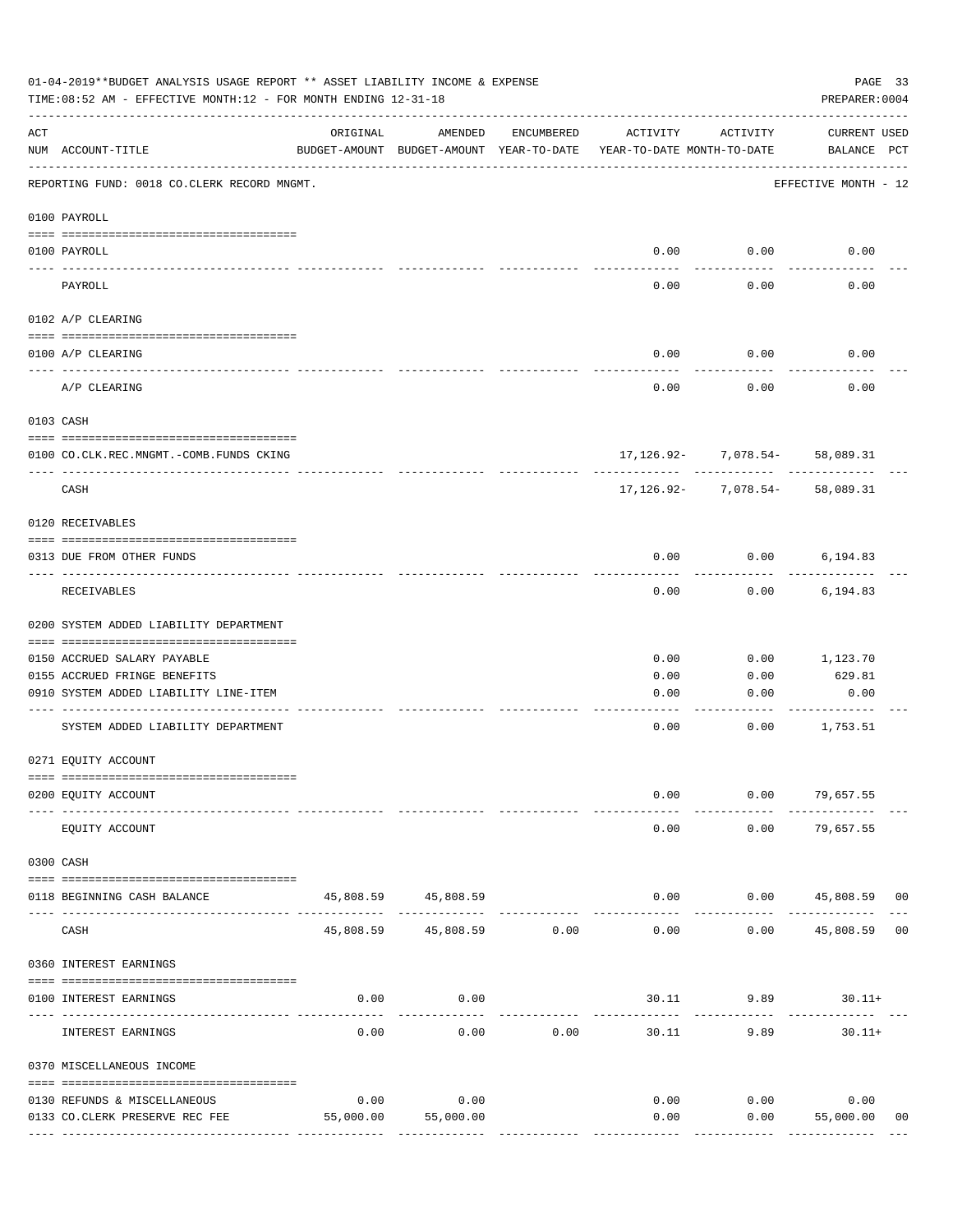|     | 01-04-2019**BUDGET ANALYSIS USAGE REPORT ** ASSET LIABILITY INCOME & EXPENSE<br>TIME: 08:52 AM - EFFECTIVE MONTH: 12 - FOR MONTH ENDING 12-31-18 |           |                                                     |               |                                        |                                     | PAGE 33<br>PREPARER: 0004          |    |
|-----|--------------------------------------------------------------------------------------------------------------------------------------------------|-----------|-----------------------------------------------------|---------------|----------------------------------------|-------------------------------------|------------------------------------|----|
| ACT | NUM ACCOUNT-TITLE                                                                                                                                | ORIGINAL  | AMENDED<br>BUDGET-AMOUNT BUDGET-AMOUNT YEAR-TO-DATE | ENCUMBERED    | ACTIVITY<br>YEAR-TO-DATE MONTH-TO-DATE | ACTIVITY                            | <b>CURRENT USED</b><br>BALANCE PCT |    |
|     | REPORTING FUND: 0018 CO.CLERK RECORD MNGMT.                                                                                                      |           |                                                     |               |                                        |                                     | EFFECTIVE MONTH - 12               |    |
|     | 0100 PAYROLL                                                                                                                                     |           |                                                     |               |                                        |                                     |                                    |    |
|     | 0100 PAYROLL                                                                                                                                     |           |                                                     |               | 0.00                                   | 0.00                                | 0.00                               |    |
|     | PAYROLL                                                                                                                                          |           |                                                     |               | 0.00                                   | 0.00                                | 0.00                               |    |
|     | 0102 A/P CLEARING                                                                                                                                |           |                                                     |               |                                        |                                     |                                    |    |
|     | 0100 A/P CLEARING                                                                                                                                |           |                                                     |               | 0.00                                   | 0.00                                | 0.00                               |    |
|     | A/P CLEARING                                                                                                                                     |           |                                                     |               | 0.00                                   | 0.00                                | 0.00                               |    |
|     | 0103 CASH                                                                                                                                        |           |                                                     |               |                                        |                                     |                                    |    |
|     | 0100 CO.CLK.REC.MNGMT.-COMB.FUNDS CKING                                                                                                          |           |                                                     |               |                                        | $17, 126.92 - 7,078.54 - 58,089.31$ |                                    |    |
|     | -------------------------------<br>CASH                                                                                                          |           |                                                     |               |                                        | $17, 126.92 - 7,078.54 - 58,089.31$ |                                    |    |
|     | 0120 RECEIVABLES                                                                                                                                 |           |                                                     |               |                                        |                                     |                                    |    |
|     | 0313 DUE FROM OTHER FUNDS                                                                                                                        |           |                                                     |               | 0.00                                   | 0.00                                | 6,194.83                           |    |
|     | RECEIVABLES                                                                                                                                      |           |                                                     |               | 0.00                                   | 0.00                                | 6,194.83                           |    |
|     | 0200 SYSTEM ADDED LIABILITY DEPARTMENT                                                                                                           |           |                                                     |               |                                        |                                     |                                    |    |
|     | 0150 ACCRUED SALARY PAYABLE                                                                                                                      |           |                                                     |               | 0.00                                   | 0.00                                | 1,123.70                           |    |
|     | 0155 ACCRUED FRINGE BENEFITS<br>0910 SYSTEM ADDED LIABILITY LINE-ITEM                                                                            |           |                                                     |               | 0.00                                   | 0.00                                | 629.81                             |    |
|     |                                                                                                                                                  |           |                                                     |               | 0.00                                   | 0.00                                | 0.00                               |    |
|     | SYSTEM ADDED LIABILITY DEPARTMENT                                                                                                                |           |                                                     |               | 0.00                                   | 0.00                                | 1,753.51                           |    |
|     | 0271 EQUITY ACCOUNT                                                                                                                              |           |                                                     |               |                                        |                                     |                                    |    |
|     | 0200 EQUITY ACCOUNT                                                                                                                              |           |                                                     |               | 0.00                                   |                                     | $0.00$ 79,657.55                   |    |
|     | EQUITY ACCOUNT                                                                                                                                   |           |                                                     |               | 0.00                                   | 0.00                                | 79,657.55                          |    |
|     | 0300 CASH                                                                                                                                        |           |                                                     |               |                                        |                                     |                                    |    |
|     | 0118 BEGINNING CASH BALANCE                                                                                                                      |           | 45,808.59 45,808.59<br>--------------               | ------------- | 0.00                                   |                                     | $0.00$ 45,808.59 00                |    |
|     | CASH                                                                                                                                             | 45,808.59 | 45,808.59 0.00                                      |               | $- - - - -$<br>0.00                    | 0.00                                | 45,808.59                          | 00 |
|     | 0360 INTEREST EARNINGS                                                                                                                           |           |                                                     |               |                                        |                                     |                                    |    |
|     | 0100 INTEREST EARNINGS                                                                                                                           | 0.00      | 0.00                                                |               | --------                               | 30.11 9.89                          | $30.11+$                           |    |
|     | INTEREST EARNINGS                                                                                                                                | 0.00      | 0.00                                                | 0.00          | 30.11                                  | 9.89                                | $30.11+$                           |    |
|     | 0370 MISCELLANEOUS INCOME                                                                                                                        |           |                                                     |               |                                        |                                     |                                    |    |
|     | 0130 REFUNDS & MISCELLANEOUS                                                                                                                     | 0.00      | 0.00                                                |               | 0.00                                   | 0.00                                | 0.00                               |    |
|     | 0133 CO. CLERK PRESERVE REC FEE                                                                                                                  | 55,000.00 | 55,000.00                                           |               | 0.00                                   | 0.00                                | 55,000.00                          | 00 |
|     |                                                                                                                                                  |           |                                                     |               | --------------                         | ------------                        | --------------                     |    |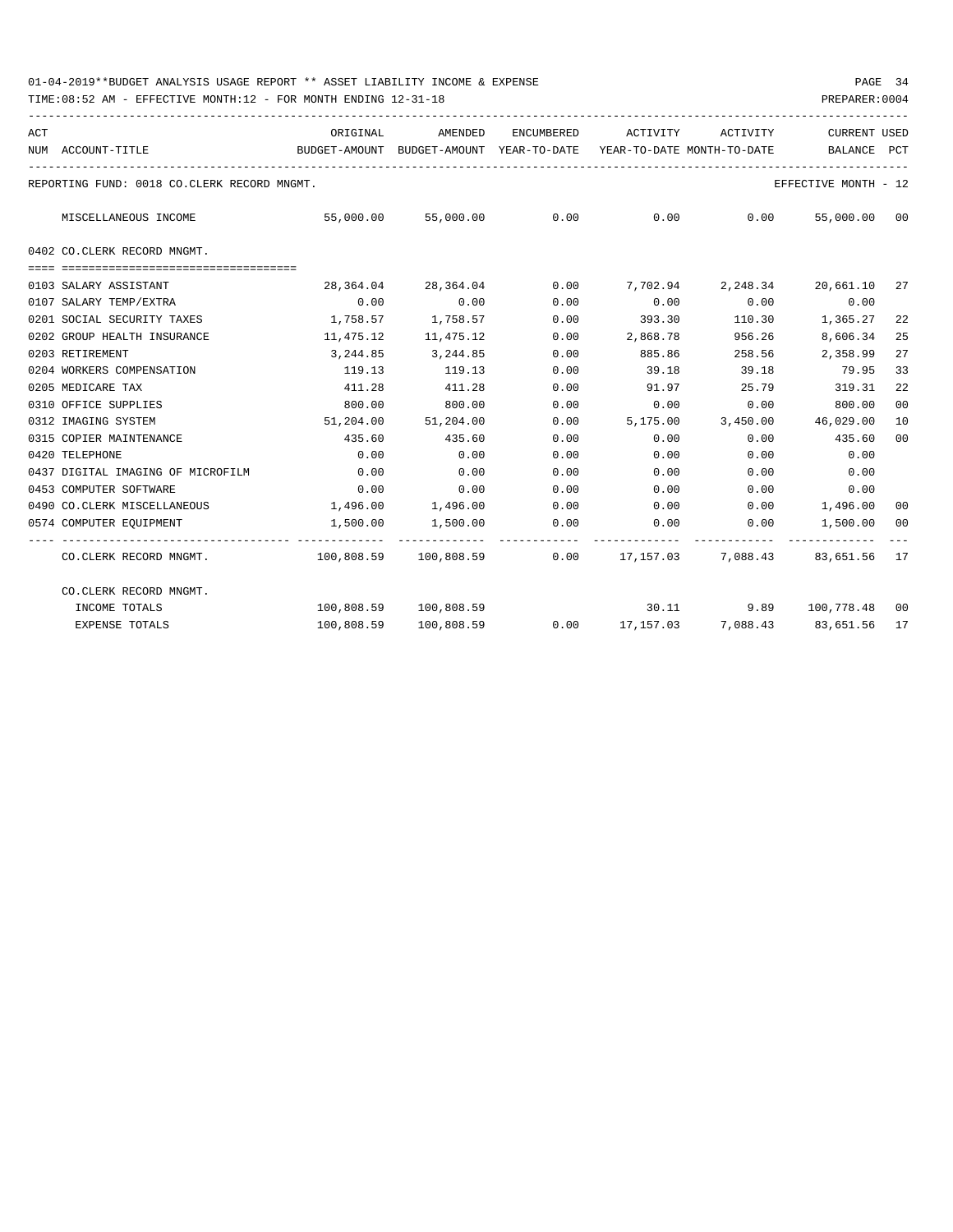|    | CURRENT USED         | AMENDED ENCUMBERED ACTIVITY ACTIVITY                |          |             |                                   | ORIGINAL                                                                            |                                             |
|----|----------------------|-----------------------------------------------------|----------|-------------|-----------------------------------|-------------------------------------------------------------------------------------|---------------------------------------------|
|    |                      |                                                     |          |             |                                   | BUDGET-AMOUNT BUDGET-AMOUNT YEAR-TO-DATE YEAR-TO-DATE MONTH-TO-DATE     BALANCE PCT | NUM ACCOUNT-TITLE                           |
|    | EFFECTIVE MONTH - 12 |                                                     |          |             |                                   |                                                                                     | REPORTING FUND: 0018 CO.CLERK RECORD MNGMT. |
|    | 55,000.00 00         | $55,000.00$ $55,000.00$ $0.00$ $0.00$ $0.00$ $0.00$ |          |             |                                   |                                                                                     | MISCELLANEOUS INCOME                        |
|    |                      |                                                     |          |             |                                   |                                                                                     | 0402 CO.CLERK RECORD MNGMT.                 |
|    |                      |                                                     |          |             |                                   |                                                                                     |                                             |
|    | 20,661.10 27         | 2,248.34                                            |          |             | 28,364.04 28,364.04 0.00 7,702.94 |                                                                                     | 0103 SALARY ASSISTANT                       |
|    | 0.00                 | 0.00                                                | 0.00     | 0.00        | 0.00                              | 0.00                                                                                | 0107 SALARY TEMP/EXTRA                      |
| 22 | 1,365.27             | 110.30                                              | 393.30   | 0.00        | 1,758.57                          | 1,758.57                                                                            | 0201 SOCIAL SECURITY TAXES                  |
| 25 | 8,606.34             | 956.26                                              | 2,868.78 | 0.00        | 11,475.12                         | 11,475.12                                                                           | 0202 GROUP HEALTH INSURANCE                 |
| 27 | 2,358.99             | 258.56                                              | 885.86   | 0.00        | 3,244.85                          | 3,244.85                                                                            | 0203 RETIREMENT                             |
| 33 | 79.95                | 39.18                                               | 39.18    | 0.00        | 119.13                            | 119.13                                                                              | 0204 WORKERS COMPENSATION                   |
| 22 | 319.31               | 25.79                                               | 91.97    | 0.00        | 411.28                            | 411.28                                                                              | 0205 MEDICARE TAX                           |
| 00 | 800.00               | 0.00                                                | 0.00     | 0.00        | 800.00                            | 800.00                                                                              | 0310 OFFICE SUPPLIES                        |
| 10 | 46,029.00            | 3,450.00                                            | 5,175.00 | 0.00        | 51,204.00                         | 51,204.00                                                                           | 0312 IMAGING SYSTEM                         |
| 00 | 435.60               | 0.00                                                | 0.00     | 0.00        | 435.60                            | 435.60                                                                              | 0315 COPIER MAINTENANCE                     |
|    | 0.00                 | 0.00                                                | 0.00     | 0.00        | 0.00                              | 0.00                                                                                | 0420 TELEPHONE                              |
|    | 0.00                 | 0.00                                                | 0.00     | 0.00        | 0.00                              | 0.00                                                                                | 0437 DIGITAL IMAGING OF MICROFILM           |
|    | 0.00                 | 0.00                                                | 0.00     | 0.00        | 0.00                              | 0.00                                                                                | 0453 COMPUTER SOFTWARE                      |
| 00 |                      | $0.00$ 1,496.00                                     | 0.00     | 0.00        | 1,496.00 1,496.00                 |                                                                                     | 0490 CO.CLERK MISCELLANEOUS                 |
|    | 1,500.00 00          | 0.00                                                |          | $0.00$ 0.00 | 1,500.00 1,500.00                 |                                                                                     | 0574 COMPUTER EQUIPMENT                     |
|    | 83,651.56 17         | $100.808.59$ $100.808.59$ 0.00 $17.157.03$ 7.088.43 |          |             |                                   |                                                                                     | CO.CLERK RECORD MNGMT.                      |
|    |                      |                                                     |          |             |                                   |                                                                                     | CO.CLERK RECORD MNGMT.                      |
|    |                      | 30.11 9.89 100,778.48 00                            |          |             | 100,808.59 100,808.59             |                                                                                     | INCOME TOTALS                               |
|    |                      | $0.00$ 17,157.03 7,088.43 83,651.56 17              |          |             | 100,808.59                        | 100,808.59                                                                          | <b>EXPENSE TOTALS</b>                       |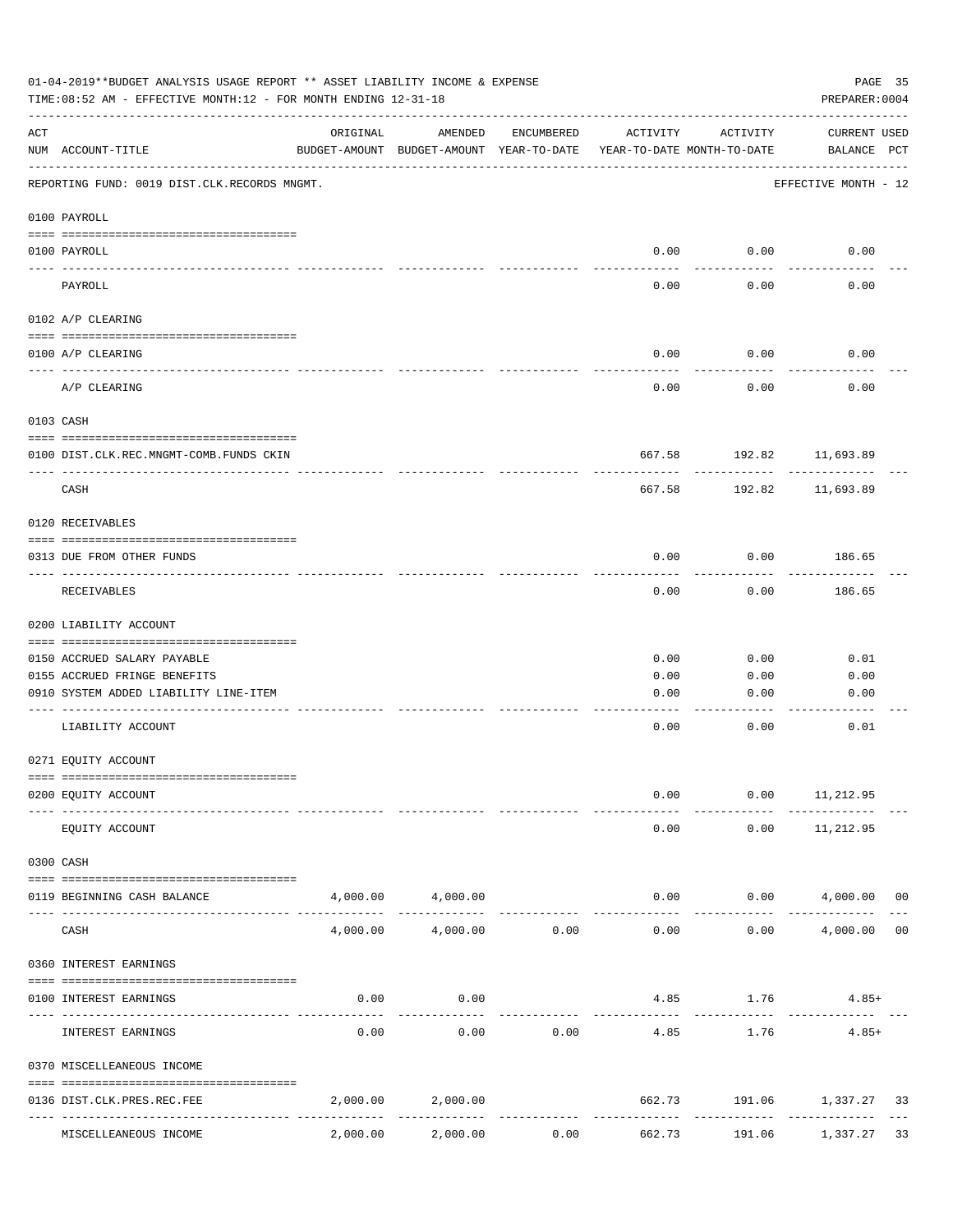| 01-04-2019**BUDGET ANALYSIS USAGE REPORT ** ASSET LIABILITY INCOME & EXPENSE<br>TIME: 08:52 AM - EFFECTIVE MONTH: 12 - FOR MONTH ENDING 12-31-18 |                                              |                                                      |                   |                     |                                        |                         |                             | PAGE 35<br>PREPARER: 0004 |  |
|--------------------------------------------------------------------------------------------------------------------------------------------------|----------------------------------------------|------------------------------------------------------|-------------------|---------------------|----------------------------------------|-------------------------|-----------------------------|---------------------------|--|
| ACT                                                                                                                                              | NUM ACCOUNT-TITLE                            | ORIGINAL<br>BUDGET-AMOUNT BUDGET-AMOUNT YEAR-TO-DATE | AMENDED           | ENCUMBERED          | ACTIVITY<br>YEAR-TO-DATE MONTH-TO-DATE | ACTIVITY                | CURRENT USED<br>BALANCE PCT |                           |  |
|                                                                                                                                                  | REPORTING FUND: 0019 DIST.CLK.RECORDS MNGMT. |                                                      |                   |                     |                                        |                         | EFFECTIVE MONTH - 12        |                           |  |
|                                                                                                                                                  | 0100 PAYROLL                                 |                                                      |                   |                     |                                        |                         |                             |                           |  |
|                                                                                                                                                  | 0100 PAYROLL                                 |                                                      |                   |                     | 0.00                                   | 0.00                    | 0.00                        |                           |  |
|                                                                                                                                                  | ----- -------<br>PAYROLL                     |                                                      |                   |                     | 0.00                                   | 0.00                    | 0.00                        |                           |  |
|                                                                                                                                                  | 0102 A/P CLEARING                            |                                                      |                   |                     |                                        |                         |                             |                           |  |
|                                                                                                                                                  | 0100 A/P CLEARING                            |                                                      |                   |                     | 0.00                                   | 0.00                    | 0.00                        |                           |  |
|                                                                                                                                                  | A/P CLEARING                                 |                                                      |                   |                     | 0.00                                   | 0.00                    | 0.00                        |                           |  |
|                                                                                                                                                  | 0103 CASH                                    |                                                      |                   |                     |                                        |                         |                             |                           |  |
|                                                                                                                                                  | 0100 DIST.CLK.REC.MNGMT-COMB.FUNDS CKIN      |                                                      |                   |                     |                                        | 667.58 192.82 11,693.89 |                             |                           |  |
|                                                                                                                                                  | CASH                                         |                                                      |                   |                     | 667.58                                 | ---------<br>192.82     | 11,693.89                   |                           |  |
|                                                                                                                                                  | 0120 RECEIVABLES                             |                                                      |                   |                     |                                        |                         |                             |                           |  |
|                                                                                                                                                  | 0313 DUE FROM OTHER FUNDS                    |                                                      |                   |                     | 0.00                                   | 0.00                    | 186.65                      |                           |  |
|                                                                                                                                                  | RECEIVABLES                                  |                                                      |                   |                     | 0.00                                   | 0.00                    | ---------<br>186.65         |                           |  |
|                                                                                                                                                  | 0200 LIABILITY ACCOUNT                       |                                                      |                   |                     |                                        |                         |                             |                           |  |
|                                                                                                                                                  | 0150 ACCRUED SALARY PAYABLE                  |                                                      |                   |                     | 0.00                                   | 0.00                    | 0.01                        |                           |  |
|                                                                                                                                                  | 0155 ACCRUED FRINGE BENEFITS                 |                                                      |                   |                     | 0.00                                   | 0.00                    | 0.00                        |                           |  |
|                                                                                                                                                  | 0910 SYSTEM ADDED LIABILITY LINE-ITEM        |                                                      |                   |                     | 0.00                                   | 0.00                    | 0.00                        |                           |  |
|                                                                                                                                                  | LIABILITY ACCOUNT                            |                                                      |                   |                     | 0.00                                   | 0.00                    | 0.01                        |                           |  |
|                                                                                                                                                  | 0271 EQUITY ACCOUNT                          |                                                      |                   |                     |                                        |                         |                             |                           |  |
|                                                                                                                                                  |                                              |                                                      |                   |                     |                                        |                         |                             |                           |  |
|                                                                                                                                                  | 0200 EQUITY ACCOUNT                          |                                                      |                   |                     | 0.00                                   | 0.00                    | 11,212.95                   |                           |  |
|                                                                                                                                                  | EQUITY ACCOUNT                               |                                                      |                   |                     | 0.00                                   | 0.00                    | 11,212.95                   |                           |  |
|                                                                                                                                                  | 0300 CASH                                    |                                                      |                   |                     |                                        |                         |                             |                           |  |
|                                                                                                                                                  | 0119 BEGINNING CASH BALANCE                  |                                                      | 4,000.00 4,000.00 |                     |                                        | 0.00                    | $0.00$ $4,000.00$ 00        |                           |  |
|                                                                                                                                                  | CASH                                         | 4,000.00                                             | 4,000.00          | 0.00                | 0.00                                   | 0.00                    | 4,000.00                    | 0 <sub>0</sub>            |  |
|                                                                                                                                                  | 0360 INTEREST EARNINGS                       |                                                      |                   |                     |                                        |                         |                             |                           |  |
|                                                                                                                                                  | 0100 INTEREST EARNINGS                       | 0.00                                                 | 0.00              |                     |                                        | 4.85 1.76               | $4.85+$                     |                           |  |
|                                                                                                                                                  | INTEREST EARNINGS                            | 0.00                                                 | 0.00              | 0.00                | 4.85                                   | 1.76                    | $4.85+$                     |                           |  |
|                                                                                                                                                  | 0370 MISCELLEANEOUS INCOME                   |                                                      |                   |                     |                                        |                         |                             |                           |  |
|                                                                                                                                                  | 0136 DIST.CLK.PRES.REC.FEE                   | 2,000.00                                             | 2,000.00          |                     | 662.73                                 |                         | 191.06 1,337.27             | 33                        |  |
|                                                                                                                                                  | ---------------<br>MISCELLEANEOUS INCOME     | 2,000.00                                             | 2,000.00          | -----------<br>0.00 | -------------<br>662.73                | 191.06                  | 1,337.27                    | 33                        |  |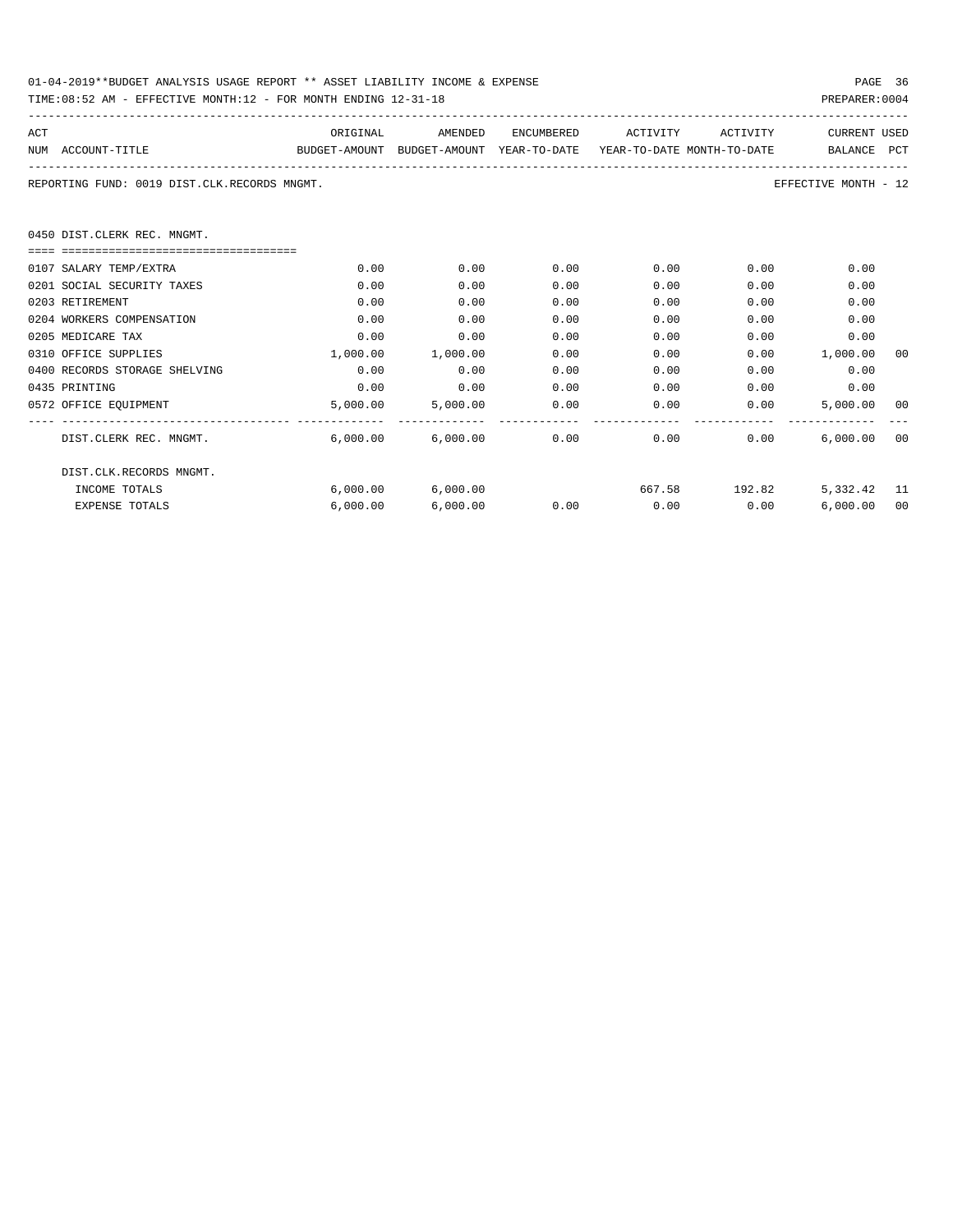| 01-04-2019**BUDGET ANALYSIS USAGE REPORT ** ASSET LIABILITY INCOME & EXPENSE | PAGE 36        |
|------------------------------------------------------------------------------|----------------|
| TIME:08:52 AM - EFFECTIVE MONTH:12 - FOR MONTH ENDING 12-31-18               | PREPARER: 0004 |

| ACT                                          | ORIGINAL                                                            | AMENDED                      | ENCUMBERED    | ACTIVITY    | ACTIVITY                  | <b>CURRENT USED</b>  |    |
|----------------------------------------------|---------------------------------------------------------------------|------------------------------|---------------|-------------|---------------------------|----------------------|----|
| NUM ACCOUNT-TITLE                            | BUDGET-AMOUNT BUDGET-AMOUNT YEAR-TO-DATE YEAR-TO-DATE MONTH-TO-DATE |                              |               |             |                           | BALANCE PCT          |    |
| REPORTING FUND: 0019 DIST.CLK.RECORDS MNGMT. |                                                                     |                              |               |             |                           | EFFECTIVE MONTH - 12 |    |
| 0450 DIST.CLERK REC. MNGMT.                  |                                                                     |                              |               |             |                           |                      |    |
|                                              |                                                                     |                              |               |             |                           |                      |    |
| 0107 SALARY TEMP/EXTRA                       | 0.00                                                                | 0.00                         | 0.00          |             | $0.00$ and $0.00$<br>0.00 | 0.00                 |    |
| 0201 SOCIAL SECURITY TAXES                   | 0.00                                                                | 0.00                         | 0.00          | 0.00        | 0.00                      | 0.00                 |    |
| 0203 RETIREMENT                              | 0.00                                                                | 0.00                         | 0.00          | 0.00        | 0.00                      | 0.00                 |    |
| 0204 WORKERS COMPENSATION                    | 0.00                                                                | 0.00                         | 0.00          | 0.00        | 0.00                      | 0.00                 |    |
| 0205 MEDICARE TAX                            | 0.00                                                                | 0.00                         | 0.00          | 0.00        | 0.00                      | 0.00                 |    |
| 0310 OFFICE SUPPLIES                         | 1,000.00                                                            | 1,000.00                     | 0.00          | 0.00        |                           | $0.00$ 1,000.00      | 00 |
| 0400 RECORDS STORAGE SHELVING                | 0.00                                                                | 0.00                         | 0.00          | 0.00        | 0.00                      | 0.00                 |    |
| 0435 PRINTING                                | 0.00                                                                | 0.00                         | 0.00          |             | 0.00<br>0.00              | 0.00                 |    |
| 0572 OFFICE EQUIPMENT                        | 5,000.00                                                            |                              | 5,000.00 0.00 |             | 0.00                      | 0.00<br>5,000.00 00  |    |
| DIST.CLERK REC. MNGMT.                       |                                                                     | $6.000.00$ $6.000.00$ $0.00$ |               |             | 0.00                      | 0.00<br>6.000.00000  |    |
| DIST.CLK.RECORDS MNGMT.                      |                                                                     |                              |               |             |                           |                      |    |
| INCOME TOTALS                                |                                                                     | 6,000.00 6,000.00            |               |             | 667.58 192.82             | 5,332.42 11          |    |
| <b>EXPENSE TOTALS</b>                        | 6.000.00                                                            | 6,000.00                     | 0.00          | $0.00$ 0.00 |                           | 6,000.00             | 00 |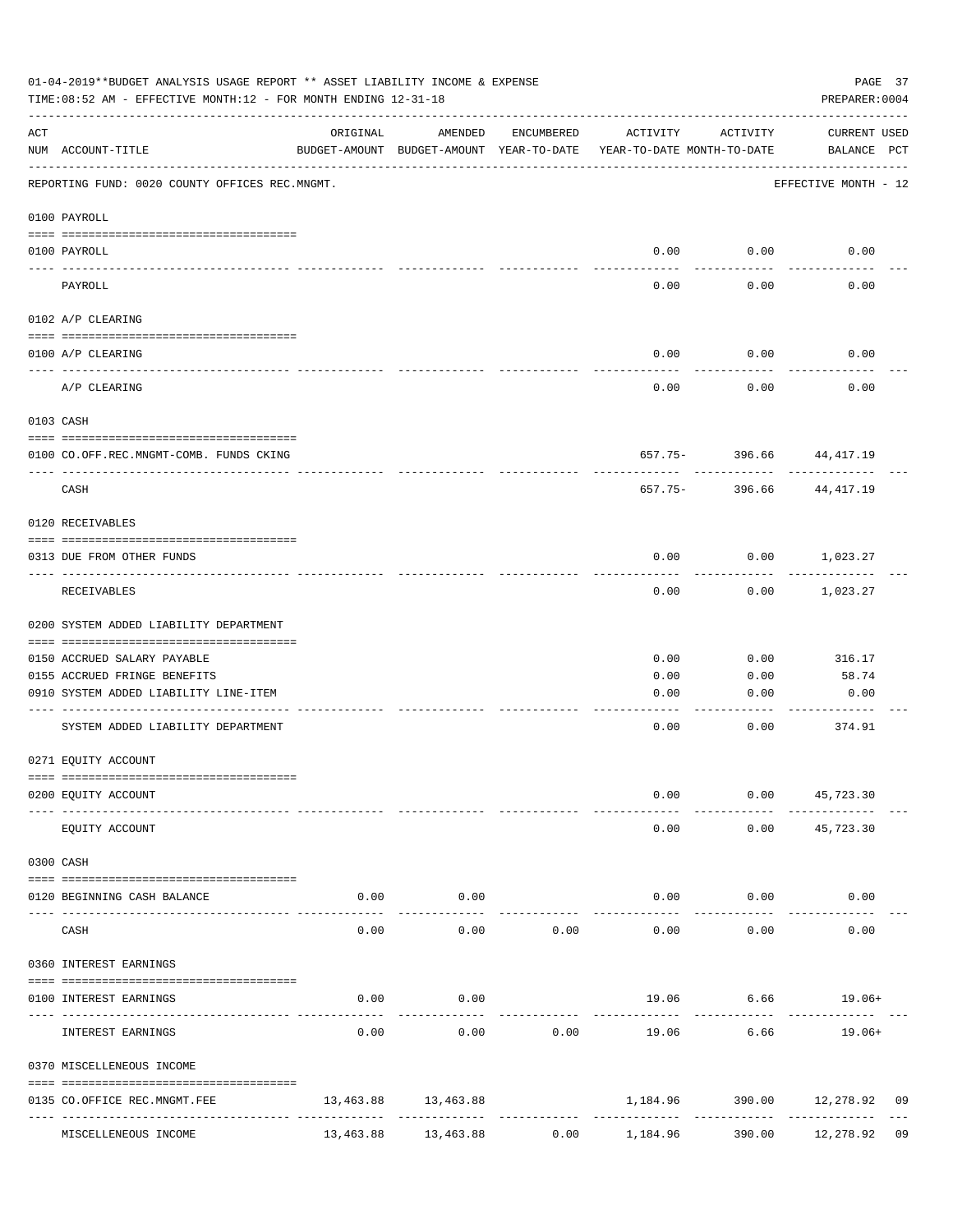|                    | 01-04-2019**BUDGET ANALYSIS USAGE REPORT ** ASSET LIABILITY INCOME & EXPENSE<br>TIME: 08:52 AM - EFFECTIVE MONTH: 12 - FOR MONTH ENDING 12-31-18 |               |                                                     |                                 |                                        |                             | PAGE 37<br>PREPARER: 0004                    |  |
|--------------------|--------------------------------------------------------------------------------------------------------------------------------------------------|---------------|-----------------------------------------------------|---------------------------------|----------------------------------------|-----------------------------|----------------------------------------------|--|
| $\mathop{\rm ACT}$ | NUM ACCOUNT-TITLE                                                                                                                                | ORIGINAL      | AMENDED<br>BUDGET-AMOUNT BUDGET-AMOUNT YEAR-TO-DATE | ENCUMBERED                      | ACTIVITY<br>YEAR-TO-DATE MONTH-TO-DATE | ACTIVITY                    | CURRENT USED<br>BALANCE PCT                  |  |
|                    | REPORTING FUND: 0020 COUNTY OFFICES REC.MNGMT.                                                                                                   |               |                                                     |                                 |                                        |                             | EFFECTIVE MONTH - 12                         |  |
|                    | 0100 PAYROLL                                                                                                                                     |               |                                                     |                                 |                                        |                             |                                              |  |
|                    | 0100 PAYROLL                                                                                                                                     |               |                                                     |                                 |                                        | $0.00$ $0.00$               | 0.00                                         |  |
|                    | PAYROLL                                                                                                                                          |               |                                                     |                                 | 0.00                                   | 0.00                        | 0.00                                         |  |
|                    | 0102 A/P CLEARING                                                                                                                                |               |                                                     |                                 |                                        |                             |                                              |  |
|                    | 0100 A/P CLEARING                                                                                                                                |               |                                                     |                                 | 0.00                                   | 0.00                        | 0.00                                         |  |
|                    | A/P CLEARING                                                                                                                                     |               |                                                     |                                 | 0.00                                   | 0.00                        | 0.00                                         |  |
|                    | 0103 CASH                                                                                                                                        |               |                                                     |                                 |                                        |                             |                                              |  |
|                    | 0100 CO.OFF.REC.MNGMT-COMB. FUNDS CKING                                                                                                          |               |                                                     |                                 |                                        |                             | 657.75- 396.66 44,417.19                     |  |
|                    | ----------------------------<br>CASH                                                                                                             |               |                                                     |                                 | 657.75-                                | - - - - - - - - -<br>396.66 | 44,417.19                                    |  |
|                    | 0120 RECEIVABLES                                                                                                                                 |               |                                                     |                                 |                                        |                             |                                              |  |
|                    | 0313 DUE FROM OTHER FUNDS                                                                                                                        |               |                                                     |                                 | 0.00                                   |                             | $0.00$ 1,023.27                              |  |
|                    | RECEIVABLES                                                                                                                                      |               |                                                     |                                 | 0.00                                   | 0.00                        | 1,023.27                                     |  |
|                    | 0200 SYSTEM ADDED LIABILITY DEPARTMENT                                                                                                           |               |                                                     |                                 |                                        |                             |                                              |  |
|                    | 0150 ACCRUED SALARY PAYABLE                                                                                                                      |               |                                                     |                                 | 0.00                                   | 0.00                        | 316.17                                       |  |
|                    | 0155 ACCRUED FRINGE BENEFITS                                                                                                                     |               |                                                     |                                 | 0.00                                   | 0.00                        | 58.74                                        |  |
|                    | 0910 SYSTEM ADDED LIABILITY LINE-ITEM                                                                                                            |               |                                                     |                                 | 0.00                                   | 0.00                        | 0.00                                         |  |
|                    | SYSTEM ADDED LIABILITY DEPARTMENT                                                                                                                |               |                                                     |                                 | 0.00                                   | 0.00                        | 374.91                                       |  |
|                    | 0271 EQUITY ACCOUNT                                                                                                                              |               |                                                     |                                 |                                        |                             |                                              |  |
|                    | 0200 EQUITY ACCOUNT                                                                                                                              |               |                                                     |                                 | 0.00                                   |                             | $0.00$ 45,723.30                             |  |
|                    | EQUITY ACCOUNT                                                                                                                                   |               |                                                     |                                 | 0.00                                   |                             | $0.00$ $45,723.30$                           |  |
|                    | 0300 CASH                                                                                                                                        |               |                                                     |                                 |                                        |                             |                                              |  |
|                    | 0120 BEGINNING CASH BALANCE<br>-------------------------- -------                                                                                | 0.00<br>----- | 0.00<br>----------                                  |                                 |                                        | $0.00$ $0.00$               | 0.00                                         |  |
|                    | CASH                                                                                                                                             | 0.00          | 0.00                                                | 0.00                            | 0.00                                   | ----------<br>0.00          | 0.00                                         |  |
|                    | 0360 INTEREST EARNINGS                                                                                                                           |               |                                                     |                                 |                                        |                             |                                              |  |
|                    | 0100 INTEREST EARNINGS                                                                                                                           | 0.00          | 0.00                                                |                                 |                                        |                             | 19.06 6.66 19.06+                            |  |
|                    | INTEREST EARNINGS                                                                                                                                | 0.00          | 0.00                                                | 0.00                            | 19.06                                  | 6.66                        | 19.06+                                       |  |
|                    | 0370 MISCELLENEOUS INCOME                                                                                                                        |               |                                                     |                                 |                                        |                             |                                              |  |
|                    | 0135 CO.OFFICE REC.MNGMT.FEE                                                                                                                     |               | 13,463.88 13,463.88                                 | ------------------------------- |                                        |                             | 1,184.96 390.00 12,278.92 09<br>------------ |  |
|                    | MISCELLENEOUS INCOME                                                                                                                             | 13,463.88     | 13,463.88                                           | 0.00                            | 1,184.96                               | 390.00                      | 12,278.92 09                                 |  |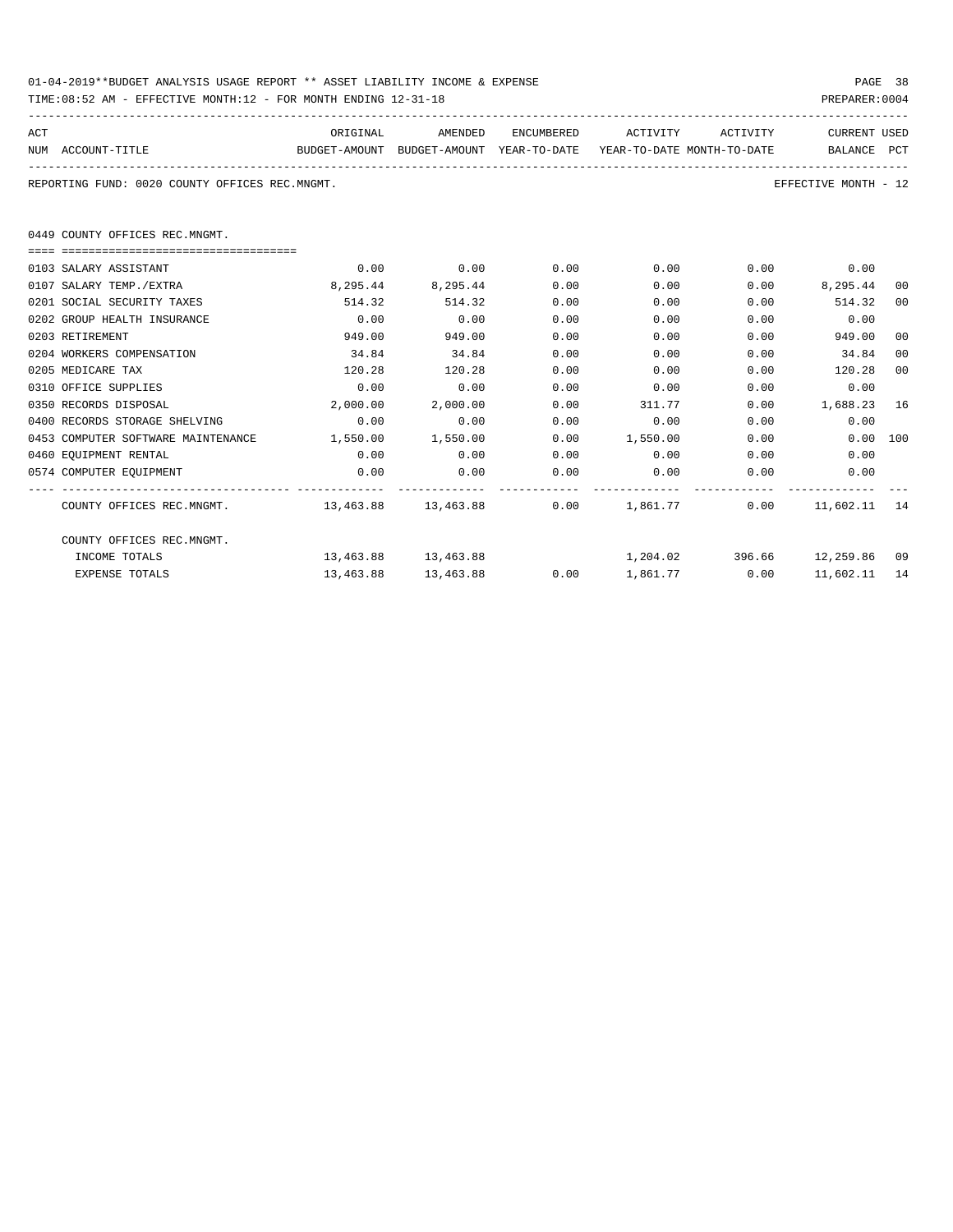| 01-04-2019**BUDGET ANALYSIS USAGE REPORT ** ASSET LIABILITY INCOME & EXPENSE | PAGE 38        |  |
|------------------------------------------------------------------------------|----------------|--|
| TIME:08:52 AM - EFFECTIVE MONTH:12 - FOR MONTH ENDING 12-31-18               | PREPARER: 0004 |  |

| ACT |                                                                                            | ORIGINAL          |                     |      | AMENDED ENCUMBERED ACTIVITY ACTIVITY |      | CURRENT USED                    |    |
|-----|--------------------------------------------------------------------------------------------|-------------------|---------------------|------|--------------------------------------|------|---------------------------------|----|
|     | NUM ACCOUNT-TITLE<br>BUDGET-AMOUNT BUDGET-AMOUNT YEAR-TO-DATE YEAR-TO-DATE_MONTH-TO-DATE   |                   |                     |      |                                      |      | BALANCE PCT                     |    |
|     | REPORTING FUND: 0020 COUNTY OFFICES REC.MNGMT.                                             |                   |                     |      |                                      |      | EFFECTIVE MONTH - 12            |    |
|     | 0449 COUNTY OFFICES REC.MNGMT.                                                             |                   |                     |      |                                      |      |                                 |    |
|     | ----------------------------------                                                         |                   |                     |      |                                      |      |                                 |    |
|     | 0103 SALARY ASSISTANT                                                                      | 0.00              | 0.00                | 0.00 | 0.00                                 |      | $0.00$ 0.00                     |    |
|     | 0107 SALARY TEMP./EXTRA                                                                    |                   | 8,295.44 8,295.44   | 0.00 | 0.00                                 |      | $0.00$ 8,295.44                 | 00 |
|     | 0201 SOCIAL SECURITY TAXES                                                                 | 514.32            | 514.32              | 0.00 | 0.00                                 |      | $0.00$ $514.32$                 | 00 |
|     | 0202 GROUP HEALTH INSURANCE                                                                | 0.00              | 0.00                | 0.00 | 0.00                                 | 0.00 | 0.00                            |    |
|     | 0203 RETIREMENT                                                                            | 949.00            | 949.00              | 0.00 | 0.00                                 | 0.00 | 949.00                          | 00 |
|     | 0204 WORKERS COMPENSATION                                                                  | 34.84             | 34.84               | 0.00 | 0.00                                 | 0.00 | 34.84                           | 00 |
|     | 0205 MEDICARE TAX                                                                          | 120.28            | 120.28              | 0.00 | 0.00                                 | 0.00 | 120.28                          | 00 |
|     | 0310 OFFICE SUPPLIES                                                                       | 0.00              | 0.00                | 0.00 | 0.00                                 | 0.00 | 0.00                            |    |
|     | 0350 RECORDS DISPOSAL                                                                      | 2,000.00          | 2,000.00            | 0.00 | 311.77                               |      | $0.00$ 1,688.23 16              |    |
|     | 0400 RECORDS STORAGE SHELVING                                                              | 0.00              | 0.00                | 0.00 | 0.00                                 |      | 0.00<br>0.00                    |    |
|     | 0453 COMPUTER SOFTWARE MAINTENANCE                                                         | 1,550.00 1,550.00 |                     |      | $0.00$ 1,550.00                      |      | $0.00$ 100<br>$0.00$ and $0.00$ |    |
|     | 0460 EOUIPMENT RENTAL                                                                      | 0.00              | 0.00                | 0.00 | $0.00$ 0.00                          |      | 0.00                            |    |
|     | 0574 COMPUTER EQUIPMENT                                                                    | 0.00              | 0.00                | 0.00 | 0.00                                 | 0.00 | 0.00                            |    |
|     | COUNTY OFFICES REC.MNGMT. 45 13,463.88 13,463.88 13,463.88 0.00 1,861.77 0.00 11,602.11 14 |                   |                     |      |                                      |      |                                 |    |
|     | COUNTY OFFICES REC.MNGMT.                                                                  |                   |                     |      |                                      |      |                                 |    |
|     | INCOME TOTALS                                                                              |                   | 13,463.88 13,463.88 |      | 1,204.02 396.66 12,259.86 09         |      |                                 |    |
|     | <b>EXPENSE TOTALS</b>                                                                      | 13,463.88         | 13,463.88           |      | $0.00$ 1,861.77 0.00                 |      | 11,602.11                       | 14 |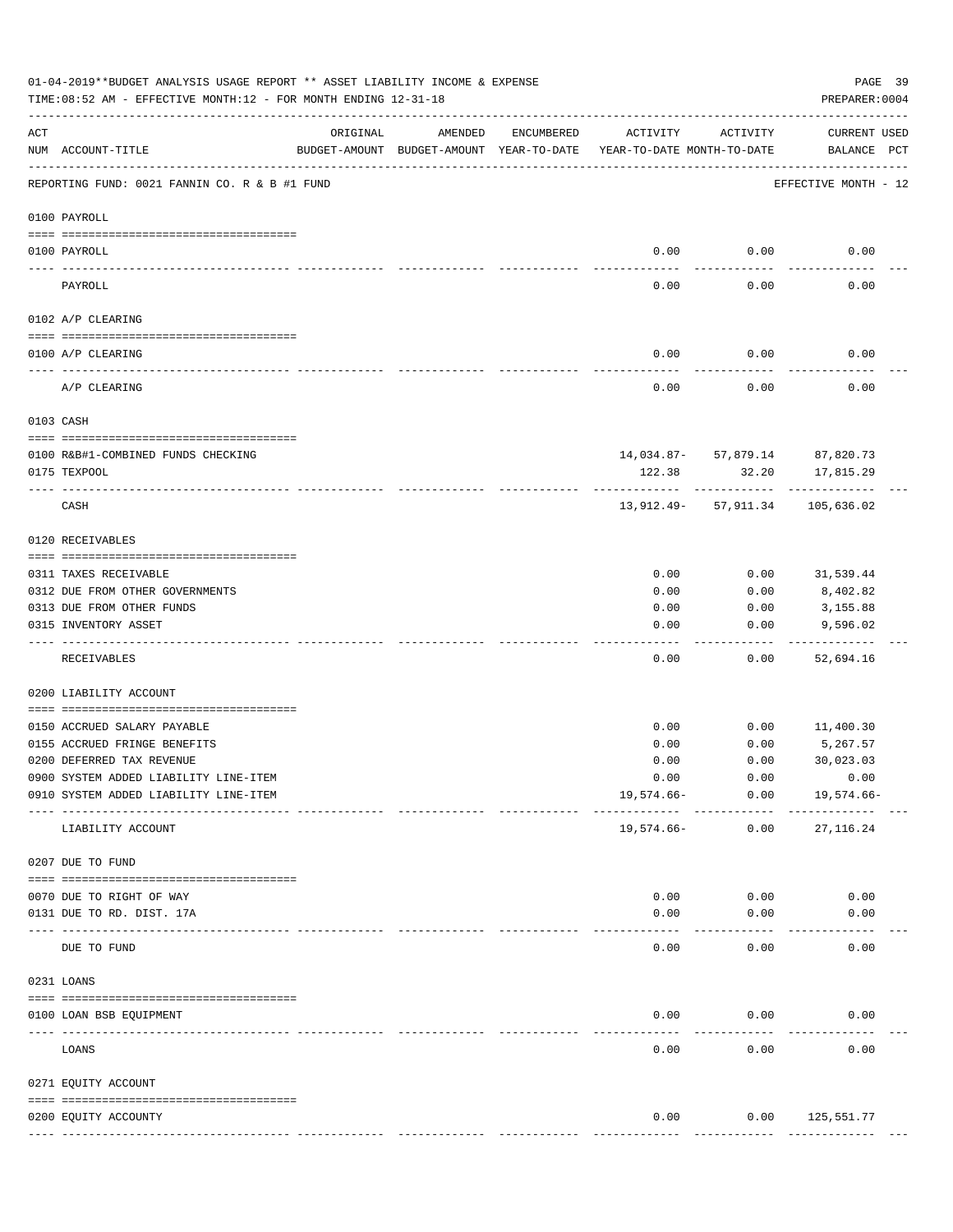|                    | 01-04-2019**BUDGET ANALYSIS USAGE REPORT ** ASSET LIABILITY INCOME & EXPENSE<br>PAGE 39<br>PREPARER: 0004<br>TIME:08:52 AM - EFFECTIVE MONTH:12 - FOR MONTH ENDING 12-31-18 |          |                                                     |               |                                        |                                      |                                     |  |  |  |  |
|--------------------|-----------------------------------------------------------------------------------------------------------------------------------------------------------------------------|----------|-----------------------------------------------------|---------------|----------------------------------------|--------------------------------------|-------------------------------------|--|--|--|--|
| $\mathop{\rm ACT}$ | NUM ACCOUNT-TITLE                                                                                                                                                           | ORIGINAL | AMENDED<br>BUDGET-AMOUNT BUDGET-AMOUNT YEAR-TO-DATE | ENCUMBERED    | ACTIVITY<br>YEAR-TO-DATE MONTH-TO-DATE | ACTIVITY                             | <b>CURRENT USED</b><br>BALANCE PCT  |  |  |  |  |
|                    | REPORTING FUND: 0021 FANNIN CO. R & B #1 FUND                                                                                                                               |          |                                                     |               |                                        |                                      | EFFECTIVE MONTH - 12                |  |  |  |  |
|                    | 0100 PAYROLL                                                                                                                                                                |          |                                                     |               |                                        |                                      |                                     |  |  |  |  |
|                    | 0100 PAYROLL                                                                                                                                                                |          |                                                     |               | 0.00                                   | 0.00                                 | 0.00                                |  |  |  |  |
|                    | PAYROLL                                                                                                                                                                     |          |                                                     |               | 0.00                                   | 0.00                                 | 0.00                                |  |  |  |  |
|                    | 0102 A/P CLEARING                                                                                                                                                           |          |                                                     |               |                                        |                                      |                                     |  |  |  |  |
|                    | 0100 A/P CLEARING                                                                                                                                                           |          |                                                     |               | 0.00                                   | 0.00                                 | 0.00                                |  |  |  |  |
|                    | A/P CLEARING                                                                                                                                                                |          |                                                     |               | 0.00                                   | 0.00                                 | 0.00                                |  |  |  |  |
|                    | 0103 CASH                                                                                                                                                                   |          |                                                     |               |                                        |                                      |                                     |  |  |  |  |
|                    | 0100 R&B#1-COMBINED FUNDS CHECKING                                                                                                                                          |          |                                                     |               |                                        | 14,034.87- 57,879.14 87,820.73       |                                     |  |  |  |  |
|                    | 0175 TEXPOOL                                                                                                                                                                |          |                                                     |               | 122.38                                 | 32.20                                | 17,815.29                           |  |  |  |  |
|                    | CASH                                                                                                                                                                        |          |                                                     |               |                                        | ------------<br>13,912.49- 57,911.34 | -----------<br>105,636.02           |  |  |  |  |
|                    | 0120 RECEIVABLES                                                                                                                                                            |          |                                                     |               |                                        |                                      |                                     |  |  |  |  |
|                    | 0311 TAXES RECEIVABLE                                                                                                                                                       |          |                                                     |               | 0.00                                   | 0.00                                 | 31,539.44                           |  |  |  |  |
|                    | 0312 DUE FROM OTHER GOVERNMENTS                                                                                                                                             |          |                                                     |               | 0.00                                   | 0.00                                 | 8,402.82                            |  |  |  |  |
|                    | 0313 DUE FROM OTHER FUNDS                                                                                                                                                   |          |                                                     |               | 0.00                                   | 0.00                                 | 3,155.88                            |  |  |  |  |
|                    | 0315 INVENTORY ASSET                                                                                                                                                        |          |                                                     |               | 0.00                                   | 0.00                                 | 9,596.02                            |  |  |  |  |
|                    | RECEIVABLES                                                                                                                                                                 |          |                                                     |               | 0.00                                   | 0.00                                 | 52,694.16                           |  |  |  |  |
|                    | 0200 LIABILITY ACCOUNT                                                                                                                                                      |          |                                                     |               |                                        |                                      |                                     |  |  |  |  |
|                    | 0150 ACCRUED SALARY PAYABLE                                                                                                                                                 |          |                                                     |               | 0.00                                   | 0.00                                 | 11,400.30                           |  |  |  |  |
|                    | 0155 ACCRUED FRINGE BENEFITS                                                                                                                                                |          |                                                     |               | 0.00                                   | 0.00                                 | 5,267.57                            |  |  |  |  |
|                    | 0200 DEFERRED TAX REVENUE                                                                                                                                                   |          |                                                     |               | 0.00                                   | 0.00                                 | 30,023.03                           |  |  |  |  |
|                    | 0900 SYSTEM ADDED LIABILITY LINE-ITEM                                                                                                                                       |          |                                                     |               | 0.00                                   | 0.00                                 | 0.00                                |  |  |  |  |
|                    | 0910 SYSTEM ADDED LIABILITY LINE-ITEM                                                                                                                                       |          |                                                     |               | $19,574.66-$                           | 0.00<br>------------                 | 19,574.66-                          |  |  |  |  |
|                    | LIABILITY ACCOUNT                                                                                                                                                           |          |                                                     |               | 19,574.66-                             | 0.00                                 | 27, 116.24                          |  |  |  |  |
|                    | 0207 DUE TO FUND                                                                                                                                                            |          |                                                     |               |                                        |                                      |                                     |  |  |  |  |
|                    | 0070 DUE TO RIGHT OF WAY                                                                                                                                                    |          |                                                     |               | 0.00                                   | 0.00                                 | 0.00                                |  |  |  |  |
|                    | 0131 DUE TO RD. DIST. 17A                                                                                                                                                   |          |                                                     |               | 0.00                                   | 0.00                                 | 0.00                                |  |  |  |  |
|                    | ------------------------ -----------<br>DUE TO FUND                                                                                                                         |          |                                                     |               | 0.00                                   | 0.00                                 | 0.00                                |  |  |  |  |
|                    | 0231 LOANS                                                                                                                                                                  |          |                                                     |               |                                        |                                      |                                     |  |  |  |  |
|                    | 0100 LOAN BSB EQUIPMENT                                                                                                                                                     |          |                                                     |               | 0.00                                   | 0.00                                 | 0.00                                |  |  |  |  |
|                    | LOANS                                                                                                                                                                       |          |                                                     |               | $- - - - - -$<br>0.00                  | ---------<br>0.00                    | 0.00                                |  |  |  |  |
|                    | 0271 EQUITY ACCOUNT                                                                                                                                                         |          |                                                     |               |                                        |                                      |                                     |  |  |  |  |
|                    |                                                                                                                                                                             |          |                                                     |               |                                        |                                      |                                     |  |  |  |  |
|                    | 0200 EQUITY ACCOUNTY                                                                                                                                                        |          |                                                     | ------------- | 0.00<br>--------------                 | -------------                        | $0.00$ 125,551.77<br>-------------- |  |  |  |  |
|                    |                                                                                                                                                                             |          |                                                     |               |                                        |                                      |                                     |  |  |  |  |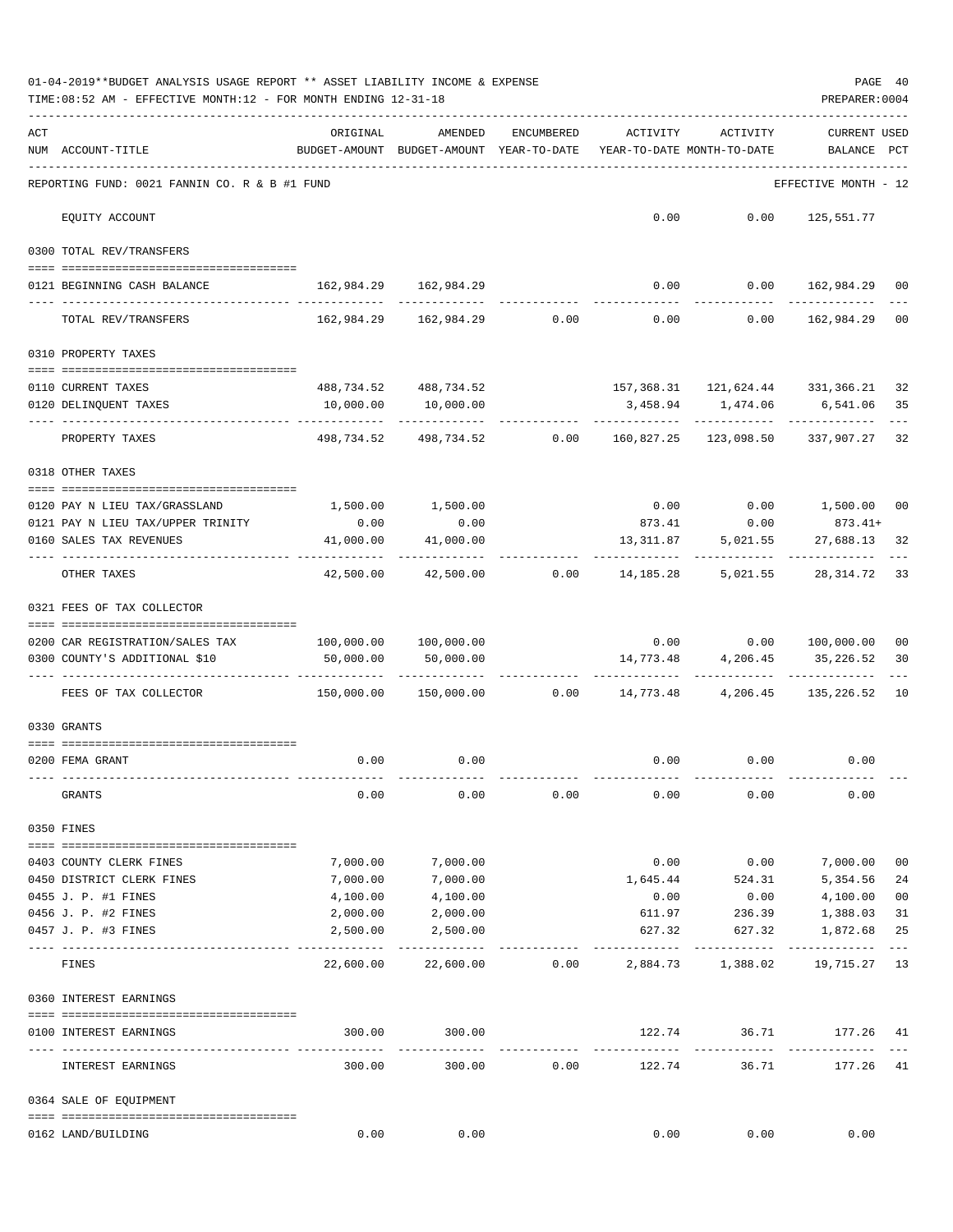|     | 01-04-2019**BUDGET ANALYSIS USAGE REPORT ** ASSET LIABILITY INCOME & EXPENSE<br>TIME:08:52 AM - EFFECTIVE MONTH:12 - FOR MONTH ENDING 12-31-18 |                                                         |                                                                               |            |                                        |                                                                      | PREPARER: 0004                         | PAGE 40  |
|-----|------------------------------------------------------------------------------------------------------------------------------------------------|---------------------------------------------------------|-------------------------------------------------------------------------------|------------|----------------------------------------|----------------------------------------------------------------------|----------------------------------------|----------|
| ACT | NUM ACCOUNT-TITLE                                                                                                                              | ORIGINAL<br>BUDGET-AMOUNT BUDGET-AMOUNT YEAR-TO-DATE    | AMENDED                                                                       | ENCUMBERED | ACTIVITY<br>YEAR-TO-DATE MONTH-TO-DATE | ACTIVITY                                                             | <b>CURRENT USED</b><br>BALANCE PCT     |          |
|     | REPORTING FUND: 0021 FANNIN CO. R & B #1 FUND                                                                                                  |                                                         |                                                                               |            |                                        |                                                                      | --------------<br>EFFECTIVE MONTH - 12 |          |
|     | EQUITY ACCOUNT                                                                                                                                 |                                                         |                                                                               |            |                                        | $0.00$ $0.00$ $125,551.77$                                           |                                        |          |
|     | 0300 TOTAL REV/TRANSFERS                                                                                                                       |                                                         |                                                                               |            |                                        |                                                                      |                                        |          |
|     | 0121 BEGINNING CASH BALANCE                                                                                                                    | 162,984.29 162,984.29                                   |                                                                               |            |                                        | $0.00$ $0.00$ $162,984.29$ 00                                        |                                        |          |
|     | TOTAL REV/TRANSFERS                                                                                                                            |                                                         | $162,984.29$ $162,984.29$ $0.00$ $0.00$ $0.00$ $162,984.29$                   |            |                                        |                                                                      |                                        | 00       |
|     | 0310 PROPERTY TAXES                                                                                                                            |                                                         |                                                                               |            |                                        |                                                                      |                                        |          |
|     |                                                                                                                                                |                                                         |                                                                               |            |                                        |                                                                      |                                        |          |
|     | 0110 CURRENT TAXES<br>0120 DELINQUENT TAXES                                                                                                    | 10,000.00                                               | 488,734.52 488,734.52<br>10,000.00                                            |            |                                        | 157, 368.31 121, 624.44 331, 366.21 32<br>3,458.94 1,474.06 6,541.06 |                                        | 35       |
|     | PROPERTY TAXES                                                                                                                                 |                                                         | -----------<br>498,734.52 498,734.52 0.00 160,827.25 123,098.50 337,907.27 32 |            |                                        |                                                                      |                                        |          |
|     | 0318 OTHER TAXES                                                                                                                               |                                                         |                                                                               |            |                                        |                                                                      |                                        |          |
|     |                                                                                                                                                |                                                         |                                                                               |            |                                        | $0.00$ $0.00$ $1,500.00$ $00$                                        |                                        |          |
|     | 0120 PAY N LIEU TAX/GRASSLAND<br>0121 PAY N LIEU TAX/UPPER TRINITY                                                                             | 1,500.00 1,500.00<br>0.00                               | 0.00                                                                          |            |                                        | 873.41 0.00 873.41+                                                  |                                        |          |
|     | 0160 SALES TAX REVENUES                                                                                                                        | 41,000.00                                               | 41,000.00                                                                     |            | 13,311.87                              | 5,021.55                                                             | 27,688.13                              | 32       |
|     | OTHER TAXES                                                                                                                                    | . <u>.</u><br>42,500.00                                 |                                                                               |            |                                        | $42,500.00$ $0.00$ $14,185.28$ $5,021.55$ $28,314.72$                | ------------                           | 33       |
|     | 0321 FEES OF TAX COLLECTOR                                                                                                                     |                                                         |                                                                               |            |                                        |                                                                      |                                        |          |
|     | 0200 CAR REGISTRATION/SALES TAX                                                                                                                | 100,000.00 100,000.00                                   |                                                                               |            |                                        | $0.00$ $0.00$ $100,000.00$                                           |                                        | 00       |
|     | 0300 COUNTY'S ADDITIONAL \$10                                                                                                                  | 50,000.00                                               | 50,000.00                                                                     |            |                                        | 14,773.48 4,206.45 35,226.52                                         |                                        | 30       |
|     | FEES OF TAX COLLECTOR                                                                                                                          | $150,000.00$ $150,000.00$ $0.00$ $14,773.48$ $4,206.45$ |                                                                               |            |                                        | -------------                                                        | 135,226.52 10                          |          |
|     |                                                                                                                                                |                                                         |                                                                               |            |                                        |                                                                      |                                        |          |
|     | 0330 GRANTS                                                                                                                                    |                                                         |                                                                               |            |                                        |                                                                      |                                        |          |
|     | 0200 FEMA GRANT                                                                                                                                |                                                         | $0.00$ 0.00                                                                   |            |                                        | $0.00$ $0.00$ $0.00$                                                 |                                        |          |
|     | GRANTS                                                                                                                                         | 0.00                                                    | 0.00                                                                          | 0.00       | 0.00                                   | 0.00                                                                 | 0.00                                   |          |
|     | 0350 FINES                                                                                                                                     |                                                         |                                                                               |            |                                        |                                                                      |                                        |          |
|     |                                                                                                                                                |                                                         |                                                                               |            |                                        |                                                                      |                                        |          |
|     | 0403 COUNTY CLERK FINES                                                                                                                        | 7,000.00                                                | 7,000.00                                                                      |            | 0.00                                   | 0.00                                                                 | 7,000.00                               | 00       |
|     | 0450 DISTRICT CLERK FINES<br>0455 J. P. #1 FINES                                                                                               | 7,000.00<br>4,100.00                                    | 7,000.00<br>4,100.00                                                          |            | 0.00                                   | 1,645.44 524.31<br>0.00                                              | 5,354.56<br>4,100.00                   | 24<br>00 |
|     | 0456 J. P. #2 FINES                                                                                                                            | 2,000.00                                                | 2,000.00                                                                      |            | 611.97                                 | 236.39                                                               | 1,388.03                               | 31       |
|     | 0457 J. P. #3 FINES                                                                                                                            | 2,500.00                                                | 2,500.00                                                                      |            | 627.32                                 | 627.32                                                               | 1,872.68                               | 25       |
|     | FINES                                                                                                                                          | 22,600.00                                               | 22,600.00                                                                     | 0.00       |                                        | 2,884.73 1,388.02                                                    | 19,715.27 13                           | $---$    |
|     | 0360 INTEREST EARNINGS                                                                                                                         |                                                         |                                                                               |            |                                        |                                                                      |                                        |          |
|     | 0100 INTEREST EARNINGS                                                                                                                         | 300.00                                                  | 300.00                                                                        |            | 122.74                                 | 36.71                                                                | 177.26 41                              |          |
|     | INTEREST EARNINGS                                                                                                                              | ------------------------------<br>300.00                | -------------<br>300.00                                                       | 0.00       | --------------<br>122.74               | ------------<br>36.71                                                | --------------<br>177.26 41            |          |
|     |                                                                                                                                                |                                                         |                                                                               |            |                                        |                                                                      |                                        |          |
|     | 0364 SALE OF EQUIPMENT                                                                                                                         |                                                         |                                                                               |            |                                        |                                                                      |                                        |          |
|     | 0162 LAND/BUILDING                                                                                                                             | 0.00                                                    | 0.00                                                                          |            | 0.00                                   | 0.00                                                                 | 0.00                                   |          |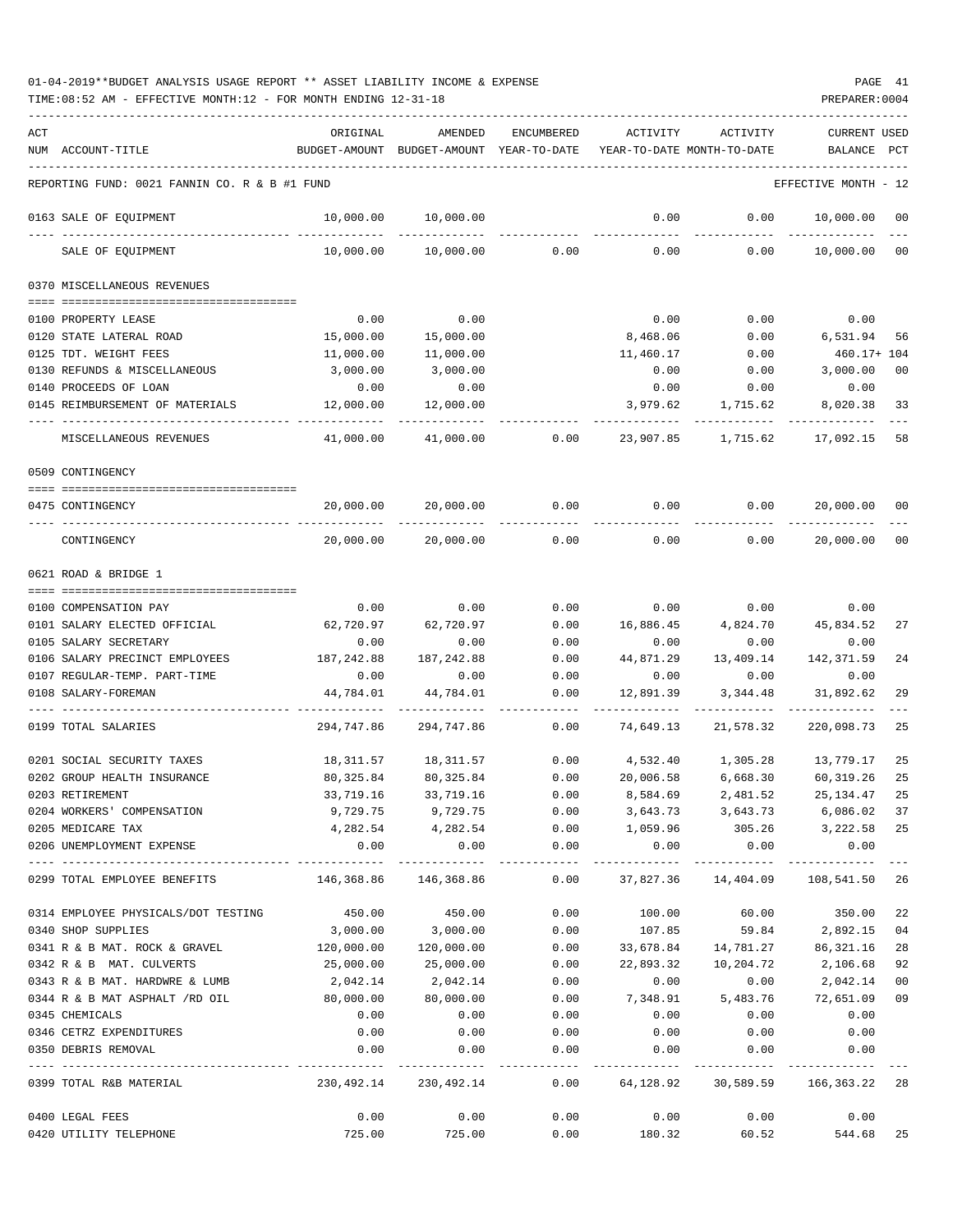| ACT | NUM ACCOUNT-TITLE                             | ORIGINAL              | AMENDED<br>BUDGET-AMOUNT BUDGET-AMOUNT YEAR-TO-DATE          | ENCUMBERED  | ACTIVITY  | ACTIVITY<br>YEAR-TO-DATE MONTH-TO-DATE                                                 | CURRENT USED<br>BALANCE | $_{\rm PCT}$ |
|-----|-----------------------------------------------|-----------------------|--------------------------------------------------------------|-------------|-----------|----------------------------------------------------------------------------------------|-------------------------|--------------|
|     | REPORTING FUND: 0021 FANNIN CO. R & B #1 FUND |                       |                                                              |             |           |                                                                                        | EFFECTIVE MONTH - 12    |              |
|     | 0163 SALE OF EQUIPMENT                        | 10,000.00             | 10,000.00                                                    |             | 0.00      | 0.00                                                                                   | 10,000.00               | $_{00}$      |
|     | SALE OF EQUIPMENT                             | 10,000.00             | 10,000.00                                                    | 0.00        | 0.00      | 0.00                                                                                   | 10,000.00               | 00           |
|     | 0370 MISCELLANEOUS REVENUES                   |                       |                                                              |             |           |                                                                                        |                         |              |
|     | 0100 PROPERTY LEASE                           | 0.00                  | 0.00                                                         |             | 0.00      | 0.00                                                                                   | 0.00                    |              |
|     | 0120 STATE LATERAL ROAD                       | 15,000.00             | 15,000.00                                                    |             | 8,468.06  | 0.00                                                                                   | 6,531.94                | -56          |
|     | 0125 TDT. WEIGHT FEES                         | 11,000.00             | 11,000.00                                                    |             | 11,460.17 | 0.00                                                                                   | 460.17+ 104             |              |
|     | 0130 REFUNDS & MISCELLANEOUS                  | 3,000.00              | 3,000.00                                                     |             | 0.00      | 0.00                                                                                   | 3,000.00                | 00           |
|     | 0140 PROCEEDS OF LOAN                         | 0.00                  | 0.00                                                         |             | 0.00      | 0.00                                                                                   | 0.00                    |              |
|     | 0145 REIMBURSEMENT OF MATERIALS               | 12,000.00             | 12,000.00                                                    |             | 3,979.62  | 1,715.62                                                                               | 8,020.38                | 33           |
|     | MISCELLANEOUS REVENUES                        | 41,000.00             | 41,000.00                                                    | 0.00        | 23,907.85 | 1,715.62                                                                               | 17,092.15               | 58           |
|     | 0509 CONTINGENCY                              |                       |                                                              |             |           |                                                                                        |                         |              |
|     | 0475 CONTINGENCY                              | 20,000.00             | 20,000.00                                                    | 0.00        | 0.00      | 0.00                                                                                   | 20,000.00               | 00           |
|     | CONTINGENCY                                   | 20,000.00             | 20,000.00                                                    | 0.00        | 0.00      | 0.00                                                                                   | 20,000.00               | $_{00}$      |
|     | 0621 ROAD & BRIDGE 1                          |                       |                                                              |             |           |                                                                                        |                         |              |
|     | 0100 COMPENSATION PAY                         | 0.00                  | 0.00                                                         | 0.00        |           | $0.00$ $0.00$ $0.00$ $0.00$                                                            |                         |              |
|     | 0101 SALARY ELECTED OFFICIAL                  | 62,720.97             | 62,720.97                                                    | 0.00        | 16,886.45 | 4,824.70                                                                               | 45,834.52               | 27           |
|     | 0105 SALARY SECRETARY                         | 0.00                  | 0.00                                                         | 0.00        | 0.00      | 0.00                                                                                   | 0.00                    |              |
|     | 0106 SALARY PRECINCT EMPLOYEES                | 187,242.88            | 187, 242.88                                                  | 0.00        | 44,871.29 | 13,409.14                                                                              | 142,371.59              | 24           |
|     | 0107 REGULAR-TEMP. PART-TIME                  | 0.00                  | 0.00                                                         | 0.00        | 0.00      | 0.00                                                                                   | 0.00                    |              |
|     | 0108 SALARY-FOREMAN                           | 44,784.01             | 44,784.01                                                    | 0.00        | 12,891.39 | 3,344.48                                                                               | 31,892.62               | 29           |
|     | 0199 TOTAL SALARIES                           | 294,747.86            | 294,747.86                                                   | 0.00        | 74,649.13 | 21,578.32                                                                              | 220,098.73              | 25           |
|     | 0201 SOCIAL SECURITY TAXES                    | 18,311.57             | 18,311.57 0.00                                               |             |           | 4,532.40 1,305.28 13,779.17                                                            |                         | 25           |
|     | 0202 GROUP HEALTH INSURANCE                   | 80,325.84             | 80,325.84                                                    | 0.00        | 20,006.58 |                                                                                        | 6,668.30 60,319.26      | 25           |
|     | 0203 RETIREMENT                               | 33,719.16             | 33,719.16                                                    | 0.00        | 8,584.69  | 2,481.52                                                                               | 25,134.47               | 25           |
|     | 0204 WORKERS' COMPENSATION                    |                       | 9,729.75 9,729.75                                            |             |           |                                                                                        |                         |              |
|     | 0205 MEDICARE TAX                             | 4,282.54              | 4,282.54                                                     |             | 1,059.96  | $0.00$ $3,643.73$ $3,643.73$ $6,086.02$ 37<br>$0.00$ $1,059.96$ $305.26$ $3,222.58$ 25 |                         |              |
|     | 0206 UNEMPLOYMENT EXPENSE                     | 0.00                  | 0.00                                                         | 0.00        | 0.00      | 0.00                                                                                   | 0.00                    |              |
|     | 0299 TOTAL EMPLOYEE BENEFITS                  | 146,368.86 146,368.86 | -------------                                                |             |           | $0.00$ 37,827.36 14,404.09 108,541.50 26                                               |                         |              |
|     | 0314 EMPLOYEE PHYSICALS/DOT TESTING           | 450.00                | 450.00                                                       | 0.00        | 100.00    | 60.00                                                                                  | 350.00 22               |              |
|     | 0340 SHOP SUPPLIES                            | 3,000.00              | 3,000.00                                                     | 0.00        | 107.85    |                                                                                        | 59.84 2,892.15 04       |              |
|     | 0341 R & B MAT. ROCK & GRAVEL 120,000.00      |                       | 120,000.00                                                   | 0.00        |           | 33,678.84  14,781.27  86,321.16                                                        |                         | 28           |
|     | 0342 R & B MAT. CULVERTS                      | 25,000.00             | 25,000.00                                                    | 0.00        | 22,893.32 | 10,204.72                                                                              | 2,106.68                | 92           |
|     | 0343 R & B MAT. HARDWRE & LUMB                | 2,042.14              | 2,042.14                                                     | 0.00        | 0.00      | 0.00                                                                                   | 2,042.14                | 00           |
|     | 0344 R & B MAT ASPHALT /RD OIL                | 80,000.00             | 80,000.00                                                    | 0.00        |           | 7,348.91 5,483.76                                                                      | 72,651.09               | 09           |
|     | 0345 CHEMICALS                                | 0.00                  | 0.00                                                         | 0.00        | 0.00      | 0.00                                                                                   | 0.00                    |              |
|     | 0346 CETRZ EXPENDITURES                       | 0.00                  | 0.00                                                         | 0.00        | 0.00      | 0.00                                                                                   | 0.00                    |              |
|     | 0350 DEBRIS REMOVAL                           | 0.00                  |                                                              | $0.00$ 0.00 | 0.00      | 0.00                                                                                   | 0.00                    |              |
|     | 0399 TOTAL R&B MATERIAL                       |                       | 230,492.14 230,492.14 0.00 64,128.92 30,589.59 166,363.22 28 |             |           | ----------------------------                                                           | -------------           |              |
|     | 0400 LEGAL FEES                               | 0.00                  | 0.00                                                         | 0.00        |           | $0.00$ $0.00$ $0.00$ $0.00$                                                            |                         |              |
|     | 0420 UTILITY TELEPHONE                        | 725.00                | 725.00                                                       |             |           | $0.00$ 180.32 60.52 544.68 25                                                          |                         |              |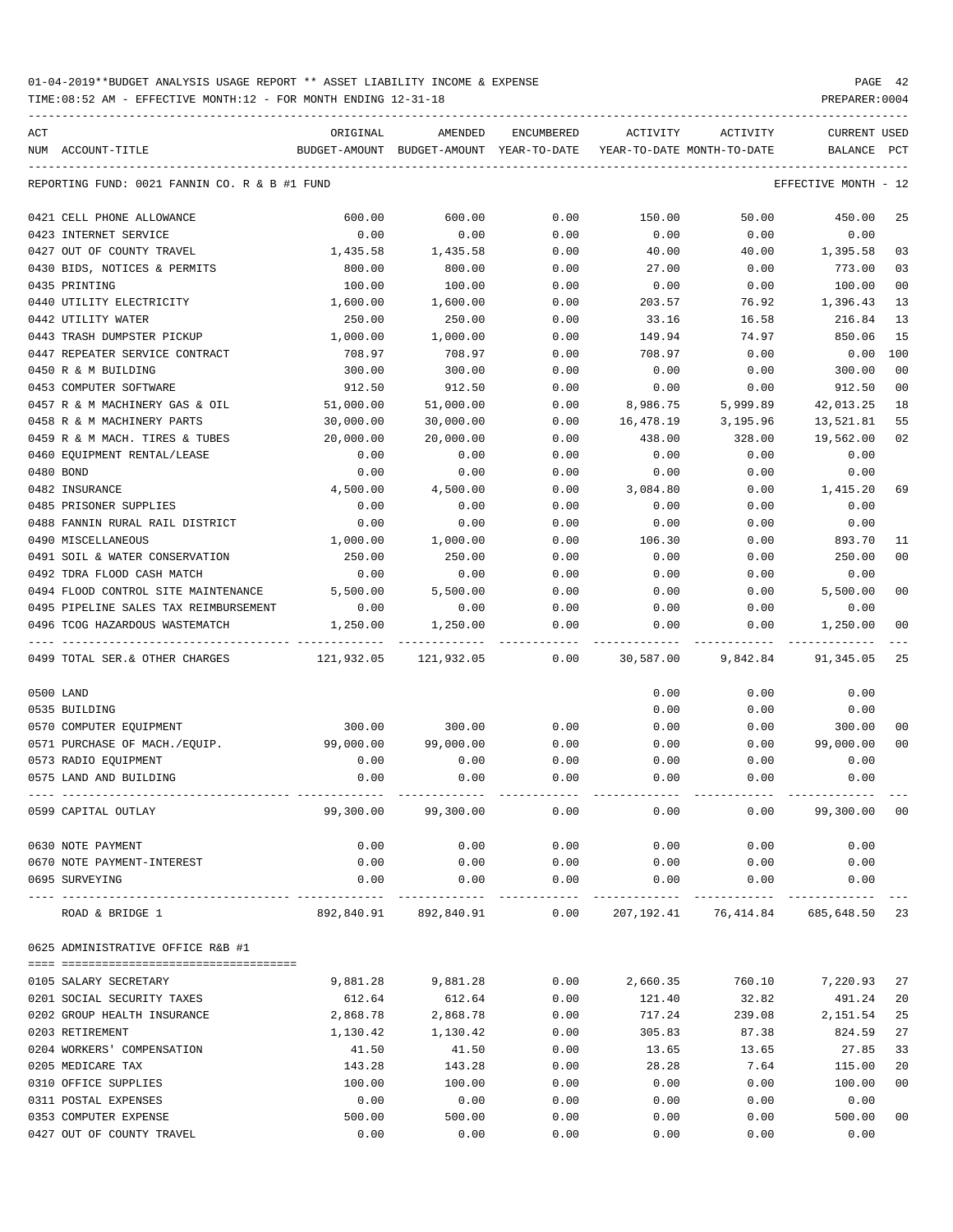TIME:08:52 AM - EFFECTIVE MONTH:12 - FOR MONTH ENDING 12-31-18 PREPARER:0004

| ACT                                                     | ORIGINAL   | AMENDED                                  | ENCUMBERED           | ACTIVITY                   | ACTIVITY                              | <b>CURRENT USED</b>  |                |
|---------------------------------------------------------|------------|------------------------------------------|----------------------|----------------------------|---------------------------------------|----------------------|----------------|
| NUM ACCOUNT-TITLE                                       |            | BUDGET-AMOUNT BUDGET-AMOUNT YEAR-TO-DATE |                      | YEAR-TO-DATE MONTH-TO-DATE |                                       | BALANCE              | PCT            |
| REPORTING FUND: 0021 FANNIN CO. R & B #1 FUND           |            |                                          |                      |                            |                                       | EFFECTIVE MONTH - 12 |                |
| 0421 CELL PHONE ALLOWANCE                               | 600.00     | 600.00                                   | 0.00                 | 150.00                     | 50.00                                 | 450.00               | 25             |
| 0423 INTERNET SERVICE                                   | 0.00       | 0.00                                     | 0.00                 | 0.00                       | 0.00                                  | 0.00                 |                |
| 0427 OUT OF COUNTY TRAVEL                               | 1,435.58   | 1,435.58                                 | 0.00                 | 40.00                      | 40.00                                 | 1,395.58             | 03             |
| 0430 BIDS, NOTICES & PERMITS                            | 800.00     | 800.00                                   | 0.00                 | 27.00                      | 0.00                                  | 773.00               | 03             |
| 0435 PRINTING                                           | 100.00     | 100.00                                   | 0.00                 | 0.00                       | 0.00                                  | 100.00               | 0 <sub>0</sub> |
| 0440 UTILITY ELECTRICITY                                | 1,600.00   | 1,600.00                                 | 0.00                 | 203.57                     | 76.92                                 | 1,396.43             | 13             |
| 0442 UTILITY WATER                                      | 250.00     | 250.00                                   | 0.00                 | 33.16                      | 16.58                                 | 216.84               | 13             |
| 0443 TRASH DUMPSTER PICKUP                              | 1,000.00   | 1,000.00                                 | 0.00                 | 149.94                     | 74.97                                 | 850.06               | 15             |
| 0447 REPEATER SERVICE CONTRACT                          | 708.97     | 708.97                                   | 0.00                 | 708.97                     | 0.00                                  | 0.00                 | 100            |
| 0450 R & M BUILDING                                     | 300.00     | 300.00                                   | 0.00                 | 0.00                       | 0.00                                  | 300.00               | 0 <sub>0</sub> |
| 0453 COMPUTER SOFTWARE                                  | 912.50     | 912.50                                   | 0.00                 | 0.00                       | 0.00                                  | 912.50               | 0 <sub>0</sub> |
| 0457 R & M MACHINERY GAS & OIL                          | 51,000.00  | 51,000.00                                | 0.00                 | 8,986.75                   | 5,999.89                              | 42,013.25            | 18             |
| 0458 R & M MACHINERY PARTS                              | 30,000.00  | 30,000.00                                | 0.00                 | 16,478.19                  | 3,195.96                              | 13,521.81            | 55             |
| 0459 R & M MACH. TIRES & TUBES                          | 20,000.00  | 20,000.00                                | 0.00                 | 438.00                     | 328.00                                | 19,562.00            | 02             |
| 0460 EOUIPMENT RENTAL/LEASE                             | 0.00       | 0.00                                     | 0.00                 | 0.00                       | 0.00                                  | 0.00                 |                |
| 0480 BOND                                               | 0.00       | 0.00                                     | 0.00                 | 0.00                       | 0.00                                  | 0.00                 |                |
| 0482 INSURANCE                                          | 4,500.00   | 4,500.00                                 | 0.00                 | 3,084.80                   | 0.00                                  | 1,415.20             | 69             |
| 0485 PRISONER SUPPLIES                                  | 0.00       | 0.00                                     | 0.00                 | 0.00                       | 0.00                                  | 0.00                 |                |
| 0488 FANNIN RURAL RAIL DISTRICT                         | 0.00       | 0.00                                     | 0.00                 | 0.00                       | 0.00                                  | 0.00                 |                |
| 0490 MISCELLANEOUS                                      | 1,000.00   | 1,000.00                                 | 0.00                 | 106.30                     | 0.00                                  | 893.70               | 11             |
| 0491 SOIL & WATER CONSERVATION                          | 250.00     | 250.00                                   | 0.00                 | 0.00                       | 0.00                                  | 250.00               | 0 <sub>0</sub> |
| 0492 TDRA FLOOD CASH MATCH                              | 0.00       | 0.00                                     | 0.00                 | 0.00                       | 0.00                                  | 0.00                 |                |
| 0494 FLOOD CONTROL SITE MAINTENANCE                     | 5,500.00   | 5,500.00                                 | 0.00                 | 0.00                       | 0.00                                  | 5,500.00             | 0 <sub>0</sub> |
| 0495 PIPELINE SALES TAX REIMBURSEMENT                   | 0.00       | 0.00                                     | 0.00                 | 0.00                       | 0.00                                  | 0.00                 |                |
| 0496 TCOG HAZARDOUS WASTEMATCH                          | 1,250.00   | 1,250.00                                 | 0.00                 | 0.00                       | 0.00                                  | 1,250.00             | 0 <sub>0</sub> |
| 0499 TOTAL SER. & OTHER CHARGES                         | 121,932.05 | 121,932.05                               | 0.00                 | 30,587.00                  | 9,842.84                              | 91,345.05            | 25             |
| 0500 LAND                                               |            |                                          |                      | 0.00                       | 0.00                                  | 0.00                 |                |
| 0535 BUILDING                                           |            |                                          |                      | 0.00                       | 0.00                                  | 0.00                 |                |
| 0570 COMPUTER EQUIPMENT                                 | 300.00     | 300.00                                   | 0.00                 | 0.00                       | 0.00                                  | 300.00               | 00             |
| 0571 PURCHASE OF MACH./EQUIP.                           | 99,000.00  | 99,000.00                                | 0.00                 | 0.00                       | 0.00                                  | 99,000.00            | 0 <sub>0</sub> |
| 0573 RADIO EQUIPMENT                                    | 0.00       | 0.00                                     | 0.00                 | 0.00                       | 0.00                                  | 0.00                 |                |
| 0575 LAND AND BUILDING                                  | 0.00       | 0.00                                     | 0.00                 | 0.00                       | 0.00                                  | 0.00                 |                |
| 0599 CAPITAL OUTLAY                                     | 99,300.00  | 99,300.00                                | 0.00                 | 0.00                       | 0.00                                  | 99,300.00            | 00             |
| 0630 NOTE PAYMENT                                       | 0.00       | 0.00                                     | 0.00                 | 0.00                       | 0.00                                  | 0.00                 |                |
| 0670 NOTE PAYMENT-INTEREST                              | 0.00       | 0.00                                     | 0.00                 | 0.00                       | 0.00                                  | 0.00                 |                |
| 0695 SURVEYING<br>----------------------- ------------- | 0.00       | 0.00                                     | 0.00<br>------------ | 0.00                       | 0.00                                  | 0.00                 |                |
| ROAD & BRIDGE 1                                         |            | 892,840.91 892,840.91                    | 0.00                 |                            | 207, 192. 41 76, 414. 84 685, 648. 50 |                      | 23             |
| 0625 ADMINISTRATIVE OFFICE R&B #1                       |            |                                          |                      |                            |                                       |                      |                |
|                                                         |            |                                          |                      |                            |                                       |                      |                |
| 0105 SALARY SECRETARY                                   | 9,881.28   | 9,881.28                                 | 0.00                 | 2,660.35                   | 760.10                                | 7,220.93             | 27             |
| 0201 SOCIAL SECURITY TAXES                              | 612.64     | 612.64                                   | 0.00                 | 121.40                     | 32.82                                 | 491.24               | 20             |
| 0202 GROUP HEALTH INSURANCE                             | 2,868.78   | 2,868.78                                 | 0.00                 | 717.24                     | 239.08                                | 2,151.54             | 25             |
| 0203 RETIREMENT                                         | 1,130.42   | 1,130.42                                 | 0.00                 | 305.83                     | 87.38                                 | 824.59               | 27             |
| 0204 WORKERS' COMPENSATION                              | 41.50      | 41.50                                    | 0.00                 | 13.65                      | 13.65                                 | 27.85                | 33             |
| 0205 MEDICARE TAX                                       | 143.28     | 143.28                                   | 0.00                 | 28.28                      | 7.64                                  | 115.00               | 20             |
| 0310 OFFICE SUPPLIES                                    | 100.00     | 100.00                                   | 0.00                 | 0.00                       | 0.00                                  | 100.00               | 0 <sub>0</sub> |
| 0311 POSTAL EXPENSES                                    | 0.00       | 0.00                                     | 0.00                 | 0.00                       | 0.00                                  | 0.00                 |                |
| 0353 COMPUTER EXPENSE                                   | 500.00     | 500.00                                   | 0.00                 | 0.00                       | 0.00                                  | 500.00               | 0 <sub>0</sub> |

0427 OUT OF COUNTY TRAVEL 0.00 0.00 0.00 0.00 0.00 0.00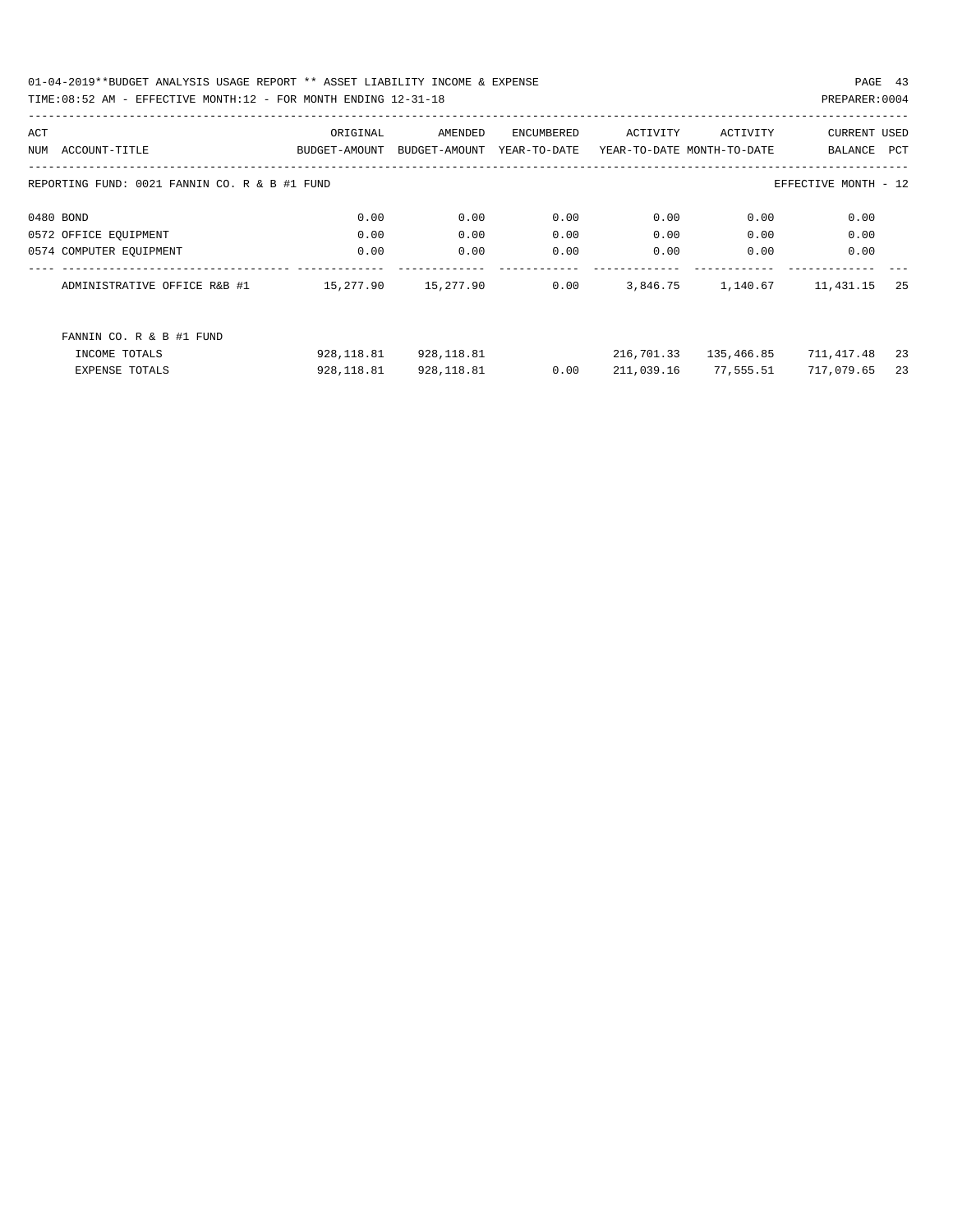01-04-2019\*\*BUDGET ANALYSIS USAGE REPORT \*\* ASSET LIABILITY INCOME & EXPENSE PAGE 43 TIME:08:52 AM - EFFECTIVE MONTH:12 - FOR MONTH ENDING 12-31-18 PREPARER:0004

| ACT |                                               | ORIGINAL      | AMENDED       | ENCUMBERED   | ACTIVITY                   | ACTIVITY   | <b>CURRENT USED</b>  |     |
|-----|-----------------------------------------------|---------------|---------------|--------------|----------------------------|------------|----------------------|-----|
| NUM | ACCOUNT-TITLE                                 | BUDGET-AMOUNT | BUDGET-AMOUNT | YEAR-TO-DATE | YEAR-TO-DATE MONTH-TO-DATE |            | BALANCE              | PCT |
|     |                                               |               |               |              |                            |            |                      |     |
|     | REPORTING FUND: 0021 FANNIN CO. R & B #1 FUND |               |               |              |                            |            | EFFECTIVE MONTH - 12 |     |
|     |                                               |               |               |              |                            |            |                      |     |
|     | 0480 BOND                                     | 0.00          | 0.00          | 0.00         | 0.00                       | 0.00       | 0.00                 |     |
|     | 0572 OFFICE EQUIPMENT                         | 0.00          | 0.00          | 0.00         | 0.00                       | 0.00       | 0.00                 |     |
|     | 0574 COMPUTER EQUIPMENT                       | 0.00          | 0.00          | 0.00         | 0.00                       | 0.00       | 0.00                 |     |
|     | ADMINISTRATIVE OFFICE R&B #1                  | 15,277.90     | 15,277.90     | 0.00         | 3,846.75                   | 1,140.67   | 11,431.15            | 25  |
|     | FANNIN CO. R & B #1 FUND                      |               |               |              |                            |            |                      |     |
|     | INCOME TOTALS                                 | 928,118.81    | 928,118.81    |              | 216,701.33                 | 135,466.85 | 711,417.48           | 23  |
|     | <b>EXPENSE TOTALS</b>                         | 928, 118.81   | 928, 118.81   | 0.00         | 211,039.16                 | 77,555.51  | 717,079.65           | 23  |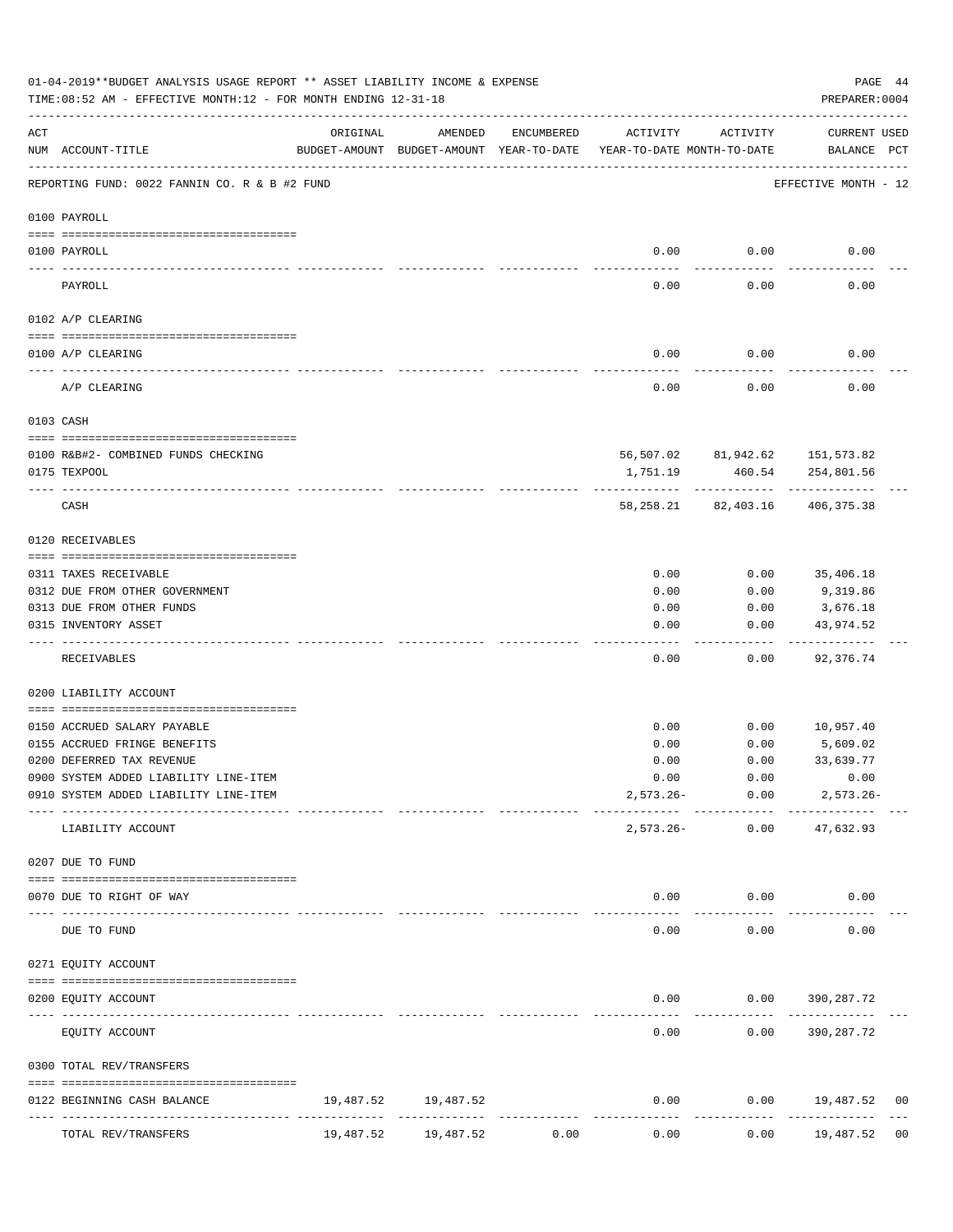|               | 01-04-2019**BUDGET ANALYSIS USAGE REPORT ** ASSET LIABILITY INCOME & EXPENSE<br>PAGE 44<br>PREPARER: 0004<br>TIME:08:52 AM - EFFECTIVE MONTH:12 - FOR MONTH ENDING 12-31-18 |           |                             |                      |                                                                                 |                                      |                              |    |  |  |  |
|---------------|-----------------------------------------------------------------------------------------------------------------------------------------------------------------------------|-----------|-----------------------------|----------------------|---------------------------------------------------------------------------------|--------------------------------------|------------------------------|----|--|--|--|
| ACT           | NUM ACCOUNT-TITLE                                                                                                                                                           | ORIGINAL  | AMENDED                     | ENCUMBERED           | ACTIVITY<br>BUDGET-AMOUNT BUDGET-AMOUNT YEAR-TO-DATE YEAR-TO-DATE MONTH-TO-DATE | ACTIVITY                             | CURRENT USED<br>BALANCE PCT  |    |  |  |  |
|               | REPORTING FUND: 0022 FANNIN CO. R & B #2 FUND                                                                                                                               |           |                             |                      |                                                                                 |                                      | EFFECTIVE MONTH - 12         |    |  |  |  |
|               | 0100 PAYROLL                                                                                                                                                                |           |                             |                      |                                                                                 |                                      |                              |    |  |  |  |
|               |                                                                                                                                                                             |           |                             |                      |                                                                                 |                                      |                              |    |  |  |  |
| $\frac{1}{2}$ | 0100 PAYROLL                                                                                                                                                                |           |                             |                      |                                                                                 | $0.00$ 0.00                          | 0.00                         |    |  |  |  |
|               | PAYROLL                                                                                                                                                                     |           |                             |                      | 0.00                                                                            | 0.00                                 | 0.00                         |    |  |  |  |
|               | 0102 A/P CLEARING                                                                                                                                                           |           |                             |                      |                                                                                 |                                      |                              |    |  |  |  |
|               | 0100 A/P CLEARING                                                                                                                                                           |           |                             |                      | 0.00                                                                            | 0.00                                 | 0.00                         |    |  |  |  |
|               | A/P CLEARING                                                                                                                                                                |           |                             |                      | 0.00                                                                            | 0.00                                 | 0.00                         |    |  |  |  |
|               | 0103 CASH                                                                                                                                                                   |           |                             |                      |                                                                                 |                                      |                              |    |  |  |  |
|               | 0100 R&B#2- COMBINED FUNDS CHECKING                                                                                                                                         |           |                             |                      |                                                                                 | 56,507.02 81,942.62 151,573.82       |                              |    |  |  |  |
|               | 0175 TEXPOOL                                                                                                                                                                |           |                             |                      | 1,751.19                                                                        | 460.54                               | 254,801.56                   |    |  |  |  |
|               | CASH                                                                                                                                                                        |           |                             |                      |                                                                                 | 58, 258. 21 82, 403. 16 406, 375. 38 |                              |    |  |  |  |
|               | 0120 RECEIVABLES                                                                                                                                                            |           |                             |                      |                                                                                 |                                      |                              |    |  |  |  |
|               | 0311 TAXES RECEIVABLE                                                                                                                                                       |           |                             |                      | 0.00                                                                            | 0.00                                 | 35,406.18                    |    |  |  |  |
|               | 0312 DUE FROM OTHER GOVERNMENT                                                                                                                                              |           |                             |                      | 0.00                                                                            | 0.00                                 | 9,319.86                     |    |  |  |  |
|               | 0313 DUE FROM OTHER FUNDS                                                                                                                                                   |           |                             |                      | 0.00                                                                            | 0.00                                 | 3,676.18                     |    |  |  |  |
|               | 0315 INVENTORY ASSET                                                                                                                                                        |           |                             |                      | 0.00                                                                            | 0.00                                 | 43,974.52                    |    |  |  |  |
|               | RECEIVABLES                                                                                                                                                                 |           |                             |                      | 0.00                                                                            | 0.00                                 | ----------<br>92,376.74      |    |  |  |  |
|               | 0200 LIABILITY ACCOUNT                                                                                                                                                      |           |                             |                      |                                                                                 |                                      |                              |    |  |  |  |
|               |                                                                                                                                                                             |           |                             |                      |                                                                                 |                                      |                              |    |  |  |  |
|               | 0150 ACCRUED SALARY PAYABLE                                                                                                                                                 |           |                             |                      | 0.00                                                                            |                                      | $0.00$ 10,957.40             |    |  |  |  |
|               | 0155 ACCRUED FRINGE BENEFITS<br>0200 DEFERRED TAX REVENUE                                                                                                                   |           |                             |                      | 0.00<br>0.00                                                                    | 0.00<br>0.00                         | 5,609.02<br>33,639.77        |    |  |  |  |
|               | 0900 SYSTEM ADDED LIABILITY LINE-ITEM                                                                                                                                       |           |                             |                      | 0.00                                                                            | 0.00                                 | 0.00                         |    |  |  |  |
|               | 0910 SYSTEM ADDED LIABILITY LINE-ITEM                                                                                                                                       |           |                             |                      | $2,573.26 -$                                                                    | 0.00                                 | $2,573.26 -$                 |    |  |  |  |
|               |                                                                                                                                                                             |           |                             |                      |                                                                                 | ------------                         |                              |    |  |  |  |
|               | LIABILITY ACCOUNT                                                                                                                                                           |           |                             |                      | $2,573.26-$                                                                     | 0.00                                 | 47,632.93                    |    |  |  |  |
|               | 0207 DUE TO FUND                                                                                                                                                            |           |                             |                      |                                                                                 |                                      |                              |    |  |  |  |
|               | 0070 DUE TO RIGHT OF WAY                                                                                                                                                    |           |                             |                      | 0.00                                                                            | 0.00                                 | 0.00                         |    |  |  |  |
|               | -------------- -------------<br>DUE TO FUND                                                                                                                                 |           |                             |                      | 0.00                                                                            | 0.00                                 | 0.00                         |    |  |  |  |
|               | 0271 EQUITY ACCOUNT                                                                                                                                                         |           |                             |                      |                                                                                 |                                      |                              |    |  |  |  |
|               | 0200 EQUITY ACCOUNT                                                                                                                                                         |           |                             |                      | 0.00                                                                            |                                      | $0.00$ 390, 287.72           |    |  |  |  |
|               | EQUITY ACCOUNT                                                                                                                                                              |           |                             |                      | 0.00                                                                            | 0.00                                 | 390,287.72                   |    |  |  |  |
|               | 0300 TOTAL REV/TRANSFERS                                                                                                                                                    |           |                             |                      |                                                                                 |                                      |                              |    |  |  |  |
|               | 0122 BEGINNING CASH BALANCE                                                                                                                                                 |           | 19,487.52 19,487.52         |                      | 0.00                                                                            |                                      | $0.00$ 19,487.52             | 00 |  |  |  |
|               | ----------------------------<br>TOTAL REV/TRANSFERS                                                                                                                         | 19,487.52 | --------------<br>19,487.52 | ------------<br>0.00 | 0.00                                                                            | 0.00                                 | . <u>.</u> .<br>19,487.52 00 |    |  |  |  |
|               |                                                                                                                                                                             |           |                             |                      |                                                                                 |                                      |                              |    |  |  |  |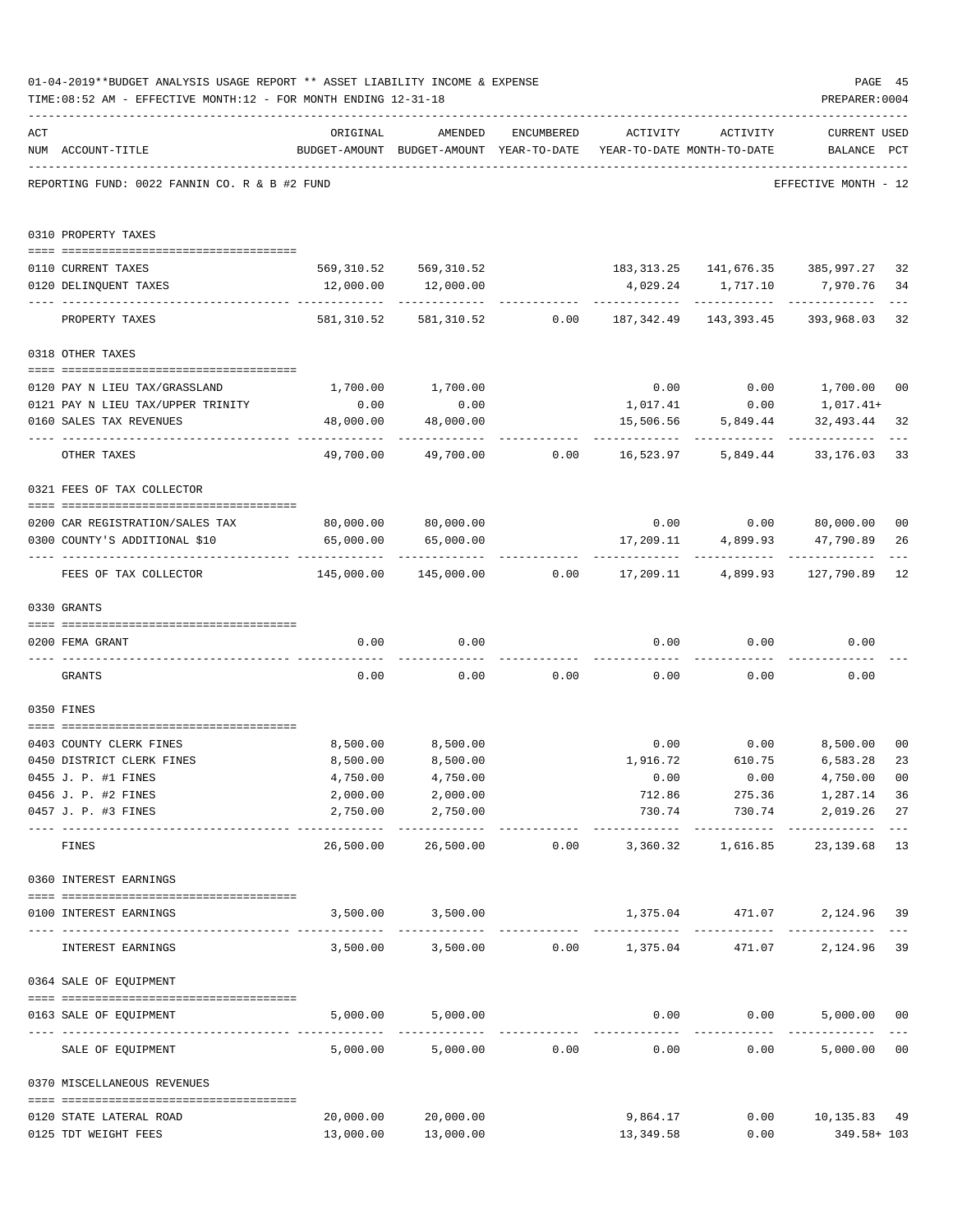|     | 01-04-2019**BUDGET ANALYSIS USAGE REPORT ** ASSET LIABILITY INCOME & EXPENSE<br>TIME: 08:52 AM - EFFECTIVE MONTH: 12 - FOR MONTH ENDING 12-31-18 |                                                |                                                                                |                                            |                         |                               | PAGE 45<br>PREPARER: 0004                                   |                      |
|-----|--------------------------------------------------------------------------------------------------------------------------------------------------|------------------------------------------------|--------------------------------------------------------------------------------|--------------------------------------------|-------------------------|-------------------------------|-------------------------------------------------------------|----------------------|
| ACT | NUM ACCOUNT-TITLE                                                                                                                                | ORIGINAL                                       | AMENDED<br>BUDGET-AMOUNT BUDGET-AMOUNT YEAR-TO-DATE YEAR-TO-DATE MONTH-TO-DATE | ENCUMBERED                                 | ACTIVITY                | ACTIVITY                      | <b>CURRENT USED</b><br>BALANCE PCT                          |                      |
|     | REPORTING FUND: 0022 FANNIN CO. R & B #2 FUND                                                                                                    |                                                |                                                                                |                                            |                         |                               | EFFECTIVE MONTH - 12                                        |                      |
|     | 0310 PROPERTY TAXES                                                                                                                              |                                                |                                                                                |                                            |                         |                               |                                                             |                      |
|     | 0110 CURRENT TAXES                                                                                                                               |                                                |                                                                                |                                            |                         |                               | 569,310.52 569,310.52 183,313.25 141,676.35 385,997.27      | 32                   |
|     | 0120 DELINQUENT TAXES                                                                                                                            | 12,000.00                                      | 12,000.00                                                                      |                                            |                         |                               | 4,029.24 1,717.10 7,970.76                                  | 34                   |
|     | PROPERTY TAXES                                                                                                                                   |                                                |                                                                                |                                            |                         |                               | 581,310.52 581,310.52 0.00 187,342.49 143,393.45 393,968.03 | $- - -$<br>32        |
|     | 0318 OTHER TAXES                                                                                                                                 |                                                |                                                                                |                                            |                         |                               |                                                             |                      |
|     |                                                                                                                                                  |                                                |                                                                                |                                            |                         |                               |                                                             |                      |
|     | 0120 PAY N LIEU TAX/GRASSLAND<br>0121 PAY N LIEU TAX/UPPER TRINITY                                                                               | 0.00                                           | 1,700.00 1,700.00<br>0.00                                                      |                                            | 1,017.41                | 0.00                          | $0.00$ $0.00$ $1,700.00$ $00$<br>1,017.41+                  |                      |
|     | 0160 SALES TAX REVENUES                                                                                                                          | 48,000.00                                      | 48,000.00                                                                      |                                            |                         | 15,506.56 5,849.44            | 32,493.44                                                   | 32                   |
|     | OTHER TAXES                                                                                                                                      | ----------------- ------------ --<br>49,700.00 | -----------                                                                    |                                            |                         | -----------                   | -----------                                                 | 33                   |
|     | 0321 FEES OF TAX COLLECTOR                                                                                                                       |                                                |                                                                                |                                            |                         |                               |                                                             |                      |
|     |                                                                                                                                                  |                                                |                                                                                |                                            |                         |                               | $0.00$ $0.00$ $80,000.00$                                   |                      |
|     | 0200 CAR REGISTRATION/SALES TAX<br>0300 COUNTY'S ADDITIONAL \$10                                                                                 | 65,000.00                                      | 80,000.00 80,000.00<br>65,000.00                                               |                                            |                         |                               | 17,209.11 4,899.93 47,790.89                                | 0 <sub>0</sub><br>26 |
|     | FEES OF TAX COLLECTOR                                                                                                                            | --------------- --------------<br>145,000.00   |                                                                                | $145,000.00$ $0.00$ $17,209.11$ $4,899.93$ |                         | ------------- ------------- - | -------------<br>127,790.89                                 | 12                   |
|     | 0330 GRANTS                                                                                                                                      |                                                |                                                                                |                                            |                         |                               |                                                             |                      |
|     | 0200 FEMA GRANT                                                                                                                                  | 0.00                                           | 0.00                                                                           |                                            |                         | $0.00$ $0.00$                 | 0.00                                                        |                      |
|     |                                                                                                                                                  |                                                |                                                                                |                                            |                         |                               |                                                             |                      |
|     | GRANTS                                                                                                                                           | 0.00                                           |                                                                                | $0.00$ 0.00                                |                         | 0.00                          | 0.00<br>0.00                                                |                      |
|     | 0350 FINES                                                                                                                                       |                                                |                                                                                |                                            |                         |                               |                                                             |                      |
|     | 0403 COUNTY CLERK FINES                                                                                                                          | 8,500.00                                       | 8,500.00                                                                       |                                            |                         |                               | $0.00$ $0.00$ $8,500.00$                                    | 0 <sub>0</sub>       |
|     | 0450 DISTRICT CLERK FINES                                                                                                                        | 8,500.00                                       | 8,500.00                                                                       |                                            | 1,916.72                | 610.75                        | 6,583.28                                                    | 23                   |
|     | 0455 J. P. #1 FINES                                                                                                                              | 4,750.00                                       | 4,750.00                                                                       |                                            | 0.00                    | 0.00                          | 4,750.00 00                                                 |                      |
|     | 0456 J. P. #2 FINES                                                                                                                              | 2,000.00                                       | 2,000.00                                                                       |                                            | 712.86                  | 275.36                        | 1,287.14                                                    | 36                   |
|     | 0457 J. P. #3 FINES                                                                                                                              | 2,750.00<br>----------------- -------------    | 2,750.00<br>___________                                                        |                                            | 730.74<br>------------- |                               | 730.74 2,019.26<br>------------- -------------              | 27                   |
|     | FINES                                                                                                                                            | 26,500.00                                      |                                                                                |                                            |                         |                               | 23,139.68                                                   | 13                   |
|     | 0360 INTEREST EARNINGS                                                                                                                           |                                                |                                                                                |                                            |                         |                               |                                                             |                      |
|     | 0100 INTEREST EARNINGS<br>--------------------------------- --                                                                                   |                                                | 3,500.00 3,500.00                                                              |                                            |                         |                               | 1,375.04 471.07 2,124.96                                    | 39                   |
|     | INTEREST EARNINGS                                                                                                                                |                                                | $3,500.00$ $3,500.00$ $0.00$ $1,375.04$                                        |                                            |                         | 471.07                        | 2,124.96                                                    | 39                   |
|     | 0364 SALE OF EQUIPMENT                                                                                                                           |                                                |                                                                                |                                            |                         |                               |                                                             |                      |
|     | 0163 SALE OF EQUIPMENT                                                                                                                           | 5,000.00                                       | 5,000.00                                                                       |                                            |                         | $0.00$ $0.00$                 | 5,000.00 00                                                 |                      |
|     | SALE OF EQUIPMENT                                                                                                                                | 5,000.00                                       |                                                                                | 5,000.00 0.00                              | 0.00                    |                               | 0.00<br>5,000.00                                            | 0 <sub>0</sub>       |
|     | 0370 MISCELLANEOUS REVENUES                                                                                                                      |                                                |                                                                                |                                            |                         |                               |                                                             |                      |
|     | 0120 STATE LATERAL ROAD                                                                                                                          | 20,000.00                                      | 20,000.00                                                                      |                                            | 9,864.17                |                               | $0.00$ 10,135.83 49                                         |                      |
|     | 0125 TDT WEIGHT FEES                                                                                                                             | 13,000.00                                      | 13,000.00                                                                      |                                            | 13,349.58               | 0.00                          | 349.58+ 103                                                 |                      |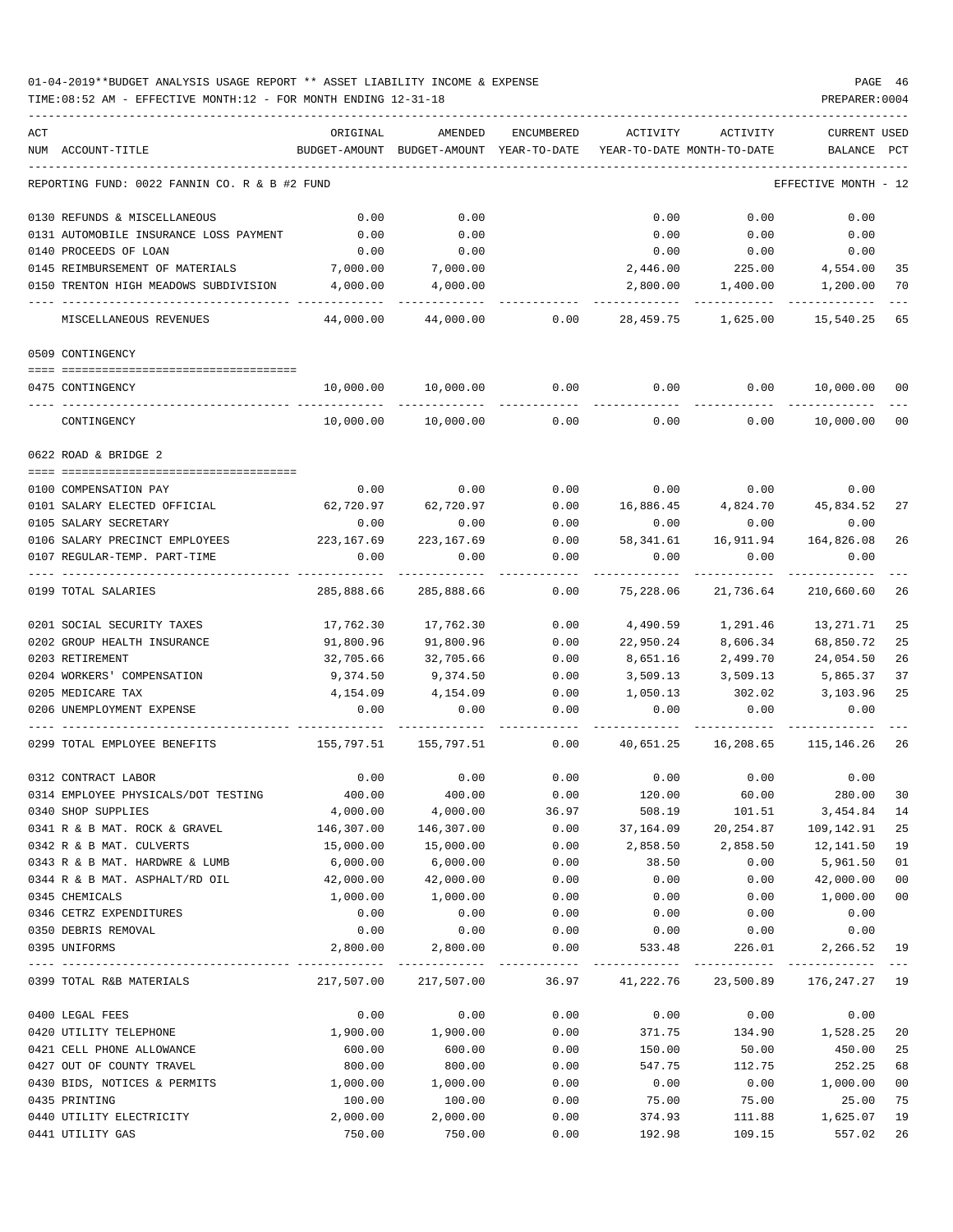| ACT |                                               | ORIGINAL              | AMENDED                    | ENCUMBERED | ACTIVITY                   | ACTIVITY                                | <b>CURRENT USED</b>  |                |
|-----|-----------------------------------------------|-----------------------|----------------------------|------------|----------------------------|-----------------------------------------|----------------------|----------------|
|     | NUM ACCOUNT-TITLE                             | BUDGET-AMOUNT         | BUDGET-AMOUNT YEAR-TO-DATE |            | YEAR-TO-DATE MONTH-TO-DATE |                                         | BALANCE              | PCT            |
|     | REPORTING FUND: 0022 FANNIN CO. R & B #2 FUND |                       |                            |            |                            |                                         | EFFECTIVE MONTH - 12 |                |
|     | 0130 REFUNDS & MISCELLANEOUS                  | 0.00                  | 0.00                       |            | 0.00                       | 0.00                                    | 0.00                 |                |
|     | 0131 AUTOMOBILE INSURANCE LOSS PAYMENT        | 0.00                  | 0.00                       |            | 0.00                       | 0.00                                    | 0.00                 |                |
|     | 0140 PROCEEDS OF LOAN                         | 0.00                  | 0.00                       |            | 0.00                       | 0.00                                    | 0.00                 |                |
|     | 0145 REIMBURSEMENT OF MATERIALS               | 7,000.00              | 7,000.00                   |            | 2,446.00                   | 225.00                                  | 4,554.00             | 35             |
|     | 0150 TRENTON HIGH MEADOWS SUBDIVISION         | 4,000.00              | 4,000.00                   |            | 2,800.00                   | 1,400.00                                | 1,200.00             | 70             |
|     | MISCELLANEOUS REVENUES                        | 44,000.00             | 44,000.00                  | 0.00       |                            | 28,459.75 1,625.00                      | 15,540.25            | 65             |
|     | 0509 CONTINGENCY                              |                       |                            |            |                            |                                         |                      |                |
|     | 0475 CONTINGENCY                              | 10,000.00             | 10,000.00                  | 0.00       | 0.00                       | 0.00                                    | 10,000.00            | 00             |
|     |                                               |                       |                            |            |                            |                                         |                      |                |
|     | CONTINGENCY                                   | 10,000.00             | 10,000.00                  | 0.00       | 0.00                       | 0.00                                    | 10,000.00            | 0 <sub>0</sub> |
|     | 0622 ROAD & BRIDGE 2                          |                       |                            |            |                            |                                         |                      |                |
|     | 0100 COMPENSATION PAY                         | 0.00                  | 0.00                       | 0.00       |                            | $0.00$ 0.00                             | 0.00                 |                |
|     | 0101 SALARY ELECTED OFFICIAL                  | 62,720.97             | 62,720.97                  | 0.00       |                            | 16,886.45 4,824.70 45,834.52            |                      | 27             |
|     | 0105 SALARY SECRETARY                         | 0.00                  | 0.00                       | 0.00       | 0.00                       | 0.00                                    | 0.00                 |                |
|     | 0106 SALARY PRECINCT EMPLOYEES                | 223,167.69            | 223, 167.69                | 0.00       | 58,341.61                  | 16,911.94                               | 164,826.08           | 26             |
|     | 0107 REGULAR-TEMP. PART-TIME                  | 0.00                  | 0.00                       | 0.00       | 0.00                       | 0.00                                    | 0.00                 |                |
|     | 0199 TOTAL SALARIES                           | 285,888.66            | 285,888.66                 | 0.00       | 75,228.06                  | 21,736.64                               | 210,660.60           | 26             |
|     | 0201 SOCIAL SECURITY TAXES                    | 17,762.30             | 17,762.30                  | 0.00       | 4,490.59                   | 1,291.46                                | 13,271.71            | 25             |
|     | 0202 GROUP HEALTH INSURANCE                   | 91,800.96             | 91,800.96                  | 0.00       | 22,950.24                  | 8,606.34                                | 68,850.72            | 25             |
|     | 0203 RETIREMENT                               | 32,705.66             | 32,705.66                  | 0.00       | 8,651.16                   | 2,499.70                                | 24,054.50            | 26             |
|     | 0204 WORKERS' COMPENSATION                    | 9,374.50              | 9,374.50                   | 0.00       | 3,509.13                   | 3,509.13                                | 5,865.37             | 37             |
|     | 0205 MEDICARE TAX                             | 4,154.09              | 4,154.09                   | 0.00       | 1,050.13                   | 302.02                                  | 3,103.96             | 25             |
|     | 0206 UNEMPLOYMENT EXPENSE                     | 0.00                  | 0.00                       | 0.00       | 0.00                       | 0.00                                    | 0.00                 |                |
|     | 0299 TOTAL EMPLOYEE BENEFITS                  | 155,797.51 155,797.51 |                            | 0.00       | 40,651.25                  | 16,208.65                               | 115,146.26           | 26             |
|     | 0312 CONTRACT LABOR                           | 0.00                  | 0.00                       | 0.00       | 0.00                       | 0.00                                    | 0.00                 |                |
|     | 0314 EMPLOYEE PHYSICALS/DOT TESTING           | 400.00                | 400.00                     | 0.00       | 120.00                     | 60.00                                   | 280.00               | 30             |
|     | 0340 SHOP SUPPLIES                            | 4,000.00              | 4,000.00                   | 36.97      | 508.19                     | 101.51                                  | 3,454.84             | 14             |
|     | 0341 R & B MAT. ROCK & GRAVEL                 | 146,307.00            | 146,307.00                 | 0.00       | 37,164.09                  | 20,254.87                               | 109,142.91           | 25             |
|     | 0342 R & B MAT. CULVERTS                      | 15,000.00             | 15,000.00                  | 0.00       | 2,858.50                   | 2,858.50                                | 12,141.50            | 19             |
|     | 0343 R & B MAT. HARDWRE & LUMB                | 6,000.00              | 6,000.00                   | 0.00       | 38.50                      | 0.00                                    | 5,961.50             | 01             |
|     | 0344 R & B MAT. ASPHALT/RD OIL                | 42,000.00             | 42,000.00                  | 0.00       | 0.00                       | 0.00                                    | 42,000.00            | 0 <sub>0</sub> |
|     | 0345 CHEMICALS                                | 1,000.00              | 1,000.00                   | 0.00       | 0.00                       | 0.00                                    | 1,000.00             | 0 <sub>0</sub> |
|     | 0346 CETRZ EXPENDITURES                       | 0.00                  | 0.00                       | 0.00       | 0.00                       | 0.00                                    | 0.00                 |                |
|     | 0350 DEBRIS REMOVAL                           | 0.00                  | 0.00                       | 0.00       | 0.00                       | 0.00                                    | 0.00                 |                |
|     | 0395 UNIFORMS                                 | 2,800.00              | 2,800.00<br>-------------  | 0.00       | 533.48                     | 226.01<br>----------                    | 2,266.52 19          |                |
|     | 0399 TOTAL R&B MATERIALS                      |                       | 217,507.00 217,507.00      |            |                            | 36.97 41,222.76 23,500.89 176,247.27 19 |                      |                |
|     | 0400 LEGAL FEES                               | 0.00                  | 0.00                       | 0.00       | 0.00                       | 0.00                                    | 0.00                 |                |
|     | 0420 UTILITY TELEPHONE                        | 1,900.00              | 1,900.00                   | 0.00       | 371.75                     | 134.90                                  | 1,528.25             | 20             |
|     | 0421 CELL PHONE ALLOWANCE                     | 600.00                | 600.00                     | 0.00       | 150.00                     | 50.00                                   | 450.00               | 25             |
|     | 0427 OUT OF COUNTY TRAVEL                     | 800.00                | 800.00                     | 0.00       | 547.75                     | 112.75                                  | 252.25               | 68             |
|     | 0430 BIDS, NOTICES & PERMITS                  | 1,000.00              | 1,000.00                   | 0.00       | 0.00                       | 0.00                                    | 1,000.00             | 0 <sub>0</sub> |
|     | 0435 PRINTING                                 | 100.00                | 100.00                     | 0.00       | 75.00                      | 75.00                                   | 25.00                | 75             |
|     | 0440 UTILITY ELECTRICITY                      | 2,000.00              | 2,000.00                   | 0.00       | 374.93                     | 111.88                                  | 1,625.07             | 19             |
|     | 0441 UTILITY GAS                              | 750.00                | 750.00                     | 0.00       | 192.98                     | 109.15                                  | 557.02               | 26             |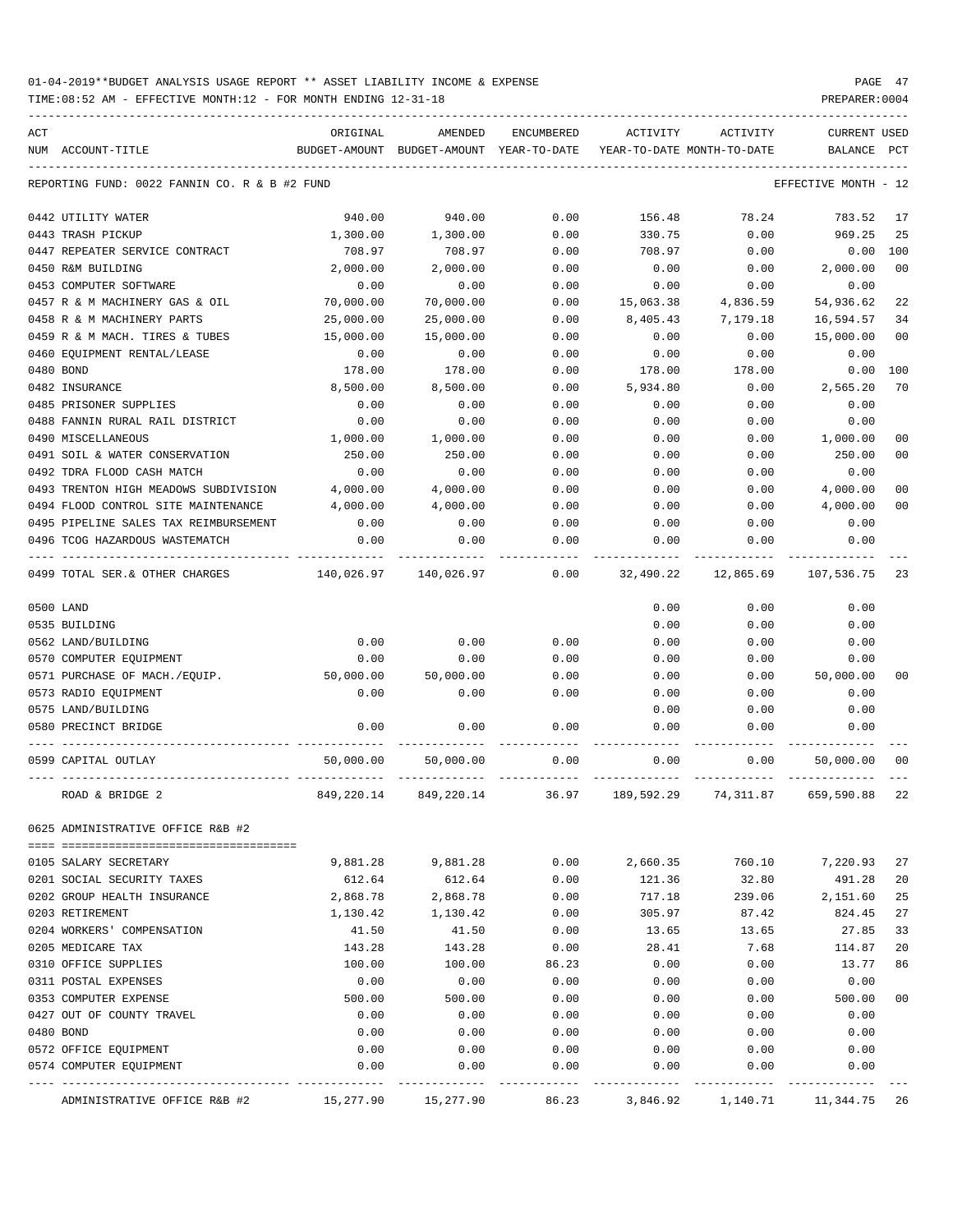TIME:08:52 AM - EFFECTIVE MONTH:12 - FOR MONTH ENDING 12-31-18 PREPARER:0004

|     |                                               |                           | AMENDED                    |            |            |                                        |                                |                |
|-----|-----------------------------------------------|---------------------------|----------------------------|------------|------------|----------------------------------------|--------------------------------|----------------|
| ACT | NUM ACCOUNT-TITLE                             | ORIGINAL<br>BUDGET-AMOUNT | BUDGET-AMOUNT YEAR-TO-DATE | ENCUMBERED | ACTIVITY   | ACTIVITY<br>YEAR-TO-DATE MONTH-TO-DATE | <b>CURRENT USED</b><br>BALANCE | PCT            |
|     |                                               |                           |                            |            |            |                                        |                                |                |
|     | REPORTING FUND: 0022 FANNIN CO. R & B #2 FUND |                           |                            |            |            |                                        | EFFECTIVE MONTH                | - 12           |
|     | 0442 UTILITY WATER                            | 940.00                    | 940.00                     | 0.00       | 156.48     | 78.24                                  | 783.52                         | 17             |
|     | 0443 TRASH PICKUP                             | 1,300.00                  | 1,300.00                   | 0.00       | 330.75     | 0.00                                   | 969.25                         | 25             |
|     | 0447 REPEATER SERVICE CONTRACT                | 708.97                    | 708.97                     | 0.00       | 708.97     | 0.00                                   | 0.00                           | 100            |
|     | 0450 R&M BUILDING                             | 2,000.00                  | 2,000.00                   | 0.00       | 0.00       | 0.00                                   | 2,000.00                       | 00             |
|     | 0453 COMPUTER SOFTWARE                        | 0.00                      | 0.00                       | 0.00       | 0.00       | 0.00                                   | 0.00                           |                |
|     | 0457 R & M MACHINERY GAS & OIL                | 70,000.00                 | 70,000.00                  | 0.00       | 15,063.38  | 4,836.59                               | 54,936.62                      | 22             |
|     | 0458 R & M MACHINERY PARTS                    | 25,000.00                 | 25,000.00                  | 0.00       | 8,405.43   | 7,179.18                               | 16,594.57                      | 34             |
|     | 0459 R & M MACH. TIRES & TUBES                | 15,000.00                 | 15,000.00                  | 0.00       | 0.00       | 0.00                                   | 15,000.00                      | 0 <sub>0</sub> |
|     | 0460 EQUIPMENT RENTAL/LEASE                   | 0.00                      | 0.00                       | 0.00       | 0.00       | 0.00                                   | 0.00                           |                |
|     | 0480 BOND                                     | 178.00                    | 178.00                     | 0.00       | 178.00     | 178.00                                 | 0.00                           | 100            |
|     | 0482 INSURANCE                                | 8,500.00                  | 8,500.00                   | 0.00       | 5,934.80   | 0.00                                   | 2,565.20                       | 70             |
|     | 0485 PRISONER SUPPLIES                        | 0.00                      | 0.00                       | 0.00       | 0.00       | 0.00                                   | 0.00                           |                |
|     | 0488 FANNIN RURAL RAIL DISTRICT               | 0.00                      | 0.00                       | 0.00       | 0.00       | 0.00                                   | 0.00                           |                |
|     | 0490 MISCELLANEOUS                            | 1,000.00                  | 1,000.00                   | 0.00       | 0.00       | 0.00                                   | 1,000.00                       | 00             |
|     | 0491 SOIL & WATER CONSERVATION                | 250.00                    | 250.00                     | 0.00       | 0.00       | 0.00                                   | 250.00                         | 00             |
|     | 0492 TDRA FLOOD CASH MATCH                    | 0.00                      | 0.00                       | 0.00       | 0.00       | 0.00                                   | 0.00                           |                |
|     | 0493 TRENTON HIGH MEADOWS SUBDIVISION         | 4,000.00                  | 4,000.00                   | 0.00       | 0.00       | 0.00                                   | 4,000.00                       | 00             |
|     | 0494 FLOOD CONTROL SITE MAINTENANCE           | 4,000.00                  | 4,000.00                   | 0.00       | 0.00       | 0.00                                   | 4,000.00                       | 0 <sup>0</sup> |
|     | 0495 PIPELINE SALES TAX REIMBURSEMENT         | 0.00                      | 0.00                       | 0.00       | 0.00       | 0.00                                   | 0.00                           |                |
|     | 0496 TCOG HAZARDOUS WASTEMATCH                | 0.00                      | 0.00                       | 0.00       | 0.00       | 0.00                                   | 0.00                           |                |
|     | 0499 TOTAL SER.& OTHER CHARGES                | 140,026.97                | 140,026.97                 | 0.00       | 32,490.22  | 12,865.69                              | 107,536.75                     | 23             |
|     | 0500 LAND                                     |                           |                            |            | 0.00       | 0.00                                   | 0.00                           |                |
|     | 0535 BUILDING                                 |                           |                            |            | 0.00       | 0.00                                   | 0.00                           |                |
|     | 0562 LAND/BUILDING                            | 0.00                      | 0.00                       | 0.00       | 0.00       | 0.00                                   | 0.00                           |                |
|     | 0570 COMPUTER EQUIPMENT                       | 0.00                      | 0.00                       | 0.00       | 0.00       | 0.00                                   | 0.00                           |                |
|     | 0571 PURCHASE OF MACH./EQUIP.                 | 50,000.00                 | 50,000.00                  | 0.00       | 0.00       | 0.00                                   | 50,000.00                      | 00             |
|     | 0573 RADIO EQUIPMENT                          | 0.00                      | 0.00                       | 0.00       | 0.00       | 0.00                                   | 0.00                           |                |
|     | 0575 LAND/BUILDING                            |                           |                            |            | 0.00       | 0.00                                   | 0.00                           |                |
|     | 0580 PRECINCT BRIDGE                          | 0.00                      | 0.00                       | 0.00       | 0.00       | 0.00                                   | 0.00                           |                |
|     | 0599 CAPITAL OUTLAY                           | 50,000.00                 | 50,000.00                  | 0.00       | 0.00       | 0.00                                   | 50,000.00                      | 00             |
|     | ROAD & BRIDGE 2                               | 849,220.14                | 849, 220.14                | 36.97      | 189,592.29 | 74,311.87                              | 659,590.88                     | 22             |
|     | 0625 ADMINISTRATIVE OFFICE R&B #2             |                           |                            |            |            |                                        |                                |                |
|     | 0105 SALARY SECRETARY                         | 9,881.28                  | 9,881.28                   | 0.00       | 2,660.35   | 760.10                                 | 7,220.93                       | 27             |
|     | 0201 SOCIAL SECURITY TAXES                    | 612.64                    | 612.64                     | 0.00       | 121.36     | 32.80                                  | 491.28                         | 20             |
|     | 0202 GROUP HEALTH INSURANCE                   | 2,868.78                  | 2,868.78                   | 0.00       | 717.18     | 239.06                                 | 2,151.60                       | 25             |
|     | 0203 RETIREMENT                               | 1,130.42                  | 1,130.42                   | 0.00       | 305.97     | 87.42                                  | 824.45                         | 27             |
|     | 0204 WORKERS' COMPENSATION                    | 41.50                     | 41.50                      | 0.00       | 13.65      | 13.65                                  | 27.85                          | 33             |
|     | 0205 MEDICARE TAX                             | 143.28                    | 143.28                     | 0.00       | 28.41      | 7.68                                   | 114.87                         | 20             |
|     | 0310 OFFICE SUPPLIES                          | 100.00                    | 100.00                     | 86.23      | 0.00       | 0.00                                   | 13.77                          | 86             |
|     | 0311 POSTAL EXPENSES                          | 0.00                      | 0.00                       | 0.00       | 0.00       | 0.00                                   | 0.00                           |                |
|     | 0353 COMPUTER EXPENSE                         | 500.00                    | 500.00                     | 0.00       | 0.00       | 0.00                                   | 500.00                         | 0 <sub>0</sub> |
|     | 0427 OUT OF COUNTY TRAVEL                     | 0.00                      | 0.00                       | 0.00       | 0.00       | 0.00                                   | 0.00                           |                |
|     | 0480 BOND                                     | 0.00                      | 0.00                       | 0.00       | 0.00       | 0.00                                   | 0.00                           |                |
|     | 0572 OFFICE EQUIPMENT                         | 0.00                      | 0.00                       | 0.00       | 0.00       | 0.00                                   | 0.00                           |                |
|     | 0574 COMPUTER EQUIPMENT                       | 0.00                      | 0.00                       | 0.00       | 0.00       | 0.00                                   | 0.00                           |                |
|     |                                               |                           |                            |            |            |                                        |                                |                |

ADMINISTRATIVE OFFICE R&B #2 15,277.90 15,277.90 86.23 3,846.92 1,140.71 11,344.75 26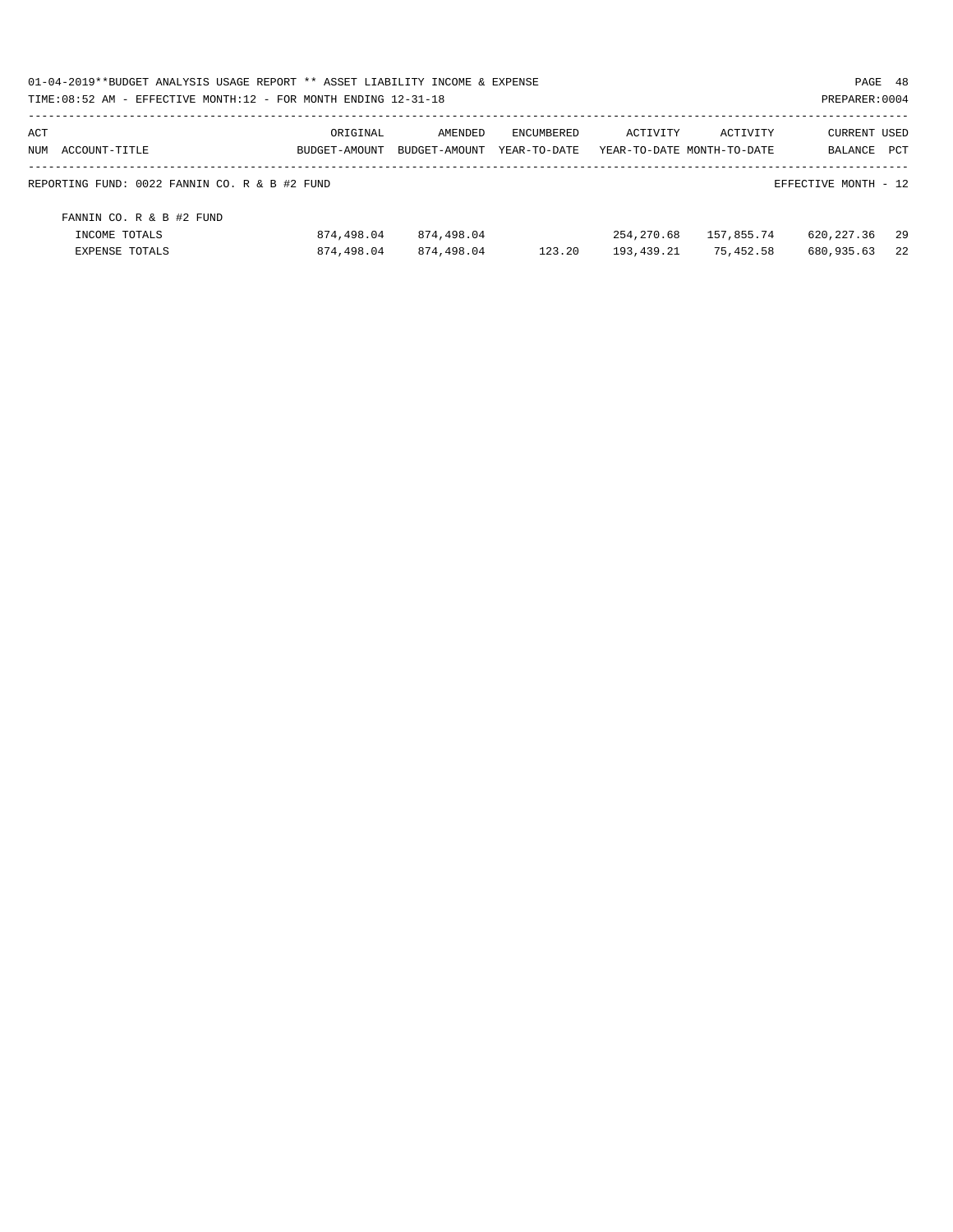| 01-04-2019**BUDGET ANALYSIS USAGE REPORT ** ASSET LIABILITY INCOME & EXPENSE<br>TIME: 08:52 AM - EFFECTIVE MONTH: 12 - FOR MONTH ENDING 12-31-18 |                           |                          |                                   |            |                                        | PAGE 48<br>PREPARER: 0004      |      |
|--------------------------------------------------------------------------------------------------------------------------------------------------|---------------------------|--------------------------|-----------------------------------|------------|----------------------------------------|--------------------------------|------|
| ACT<br>NUM ACCOUNT-TITLE                                                                                                                         | ORIGINAL<br>BUDGET-AMOUNT | AMENDED<br>BUDGET-AMOUNT | <b>ENCUMBERED</b><br>YEAR-TO-DATE | ACTIVITY   | ACTIVITY<br>YEAR-TO-DATE MONTH-TO-DATE | <b>CURRENT USED</b><br>BALANCE | PCT  |
| REPORTING FUND: 0022 FANNIN CO. R & B #2 FUND                                                                                                    |                           |                          |                                   |            |                                        | EFFECTIVE MONTH - 12           |      |
| FANNIN CO. R & B #2 FUND                                                                                                                         |                           |                          |                                   |            |                                        |                                |      |
| INCOME TOTALS                                                                                                                                    | 874,498.04                | 874,498.04               |                                   | 254,270.68 | 157,855.74                             | 620,227.36                     | - 29 |
| <b>EXPENSE TOTALS</b>                                                                                                                            | 874,498.04                | 874,498.04               | 123.20                            | 193,439.21 | 75,452.58                              | 680,935.63                     | 2.2  |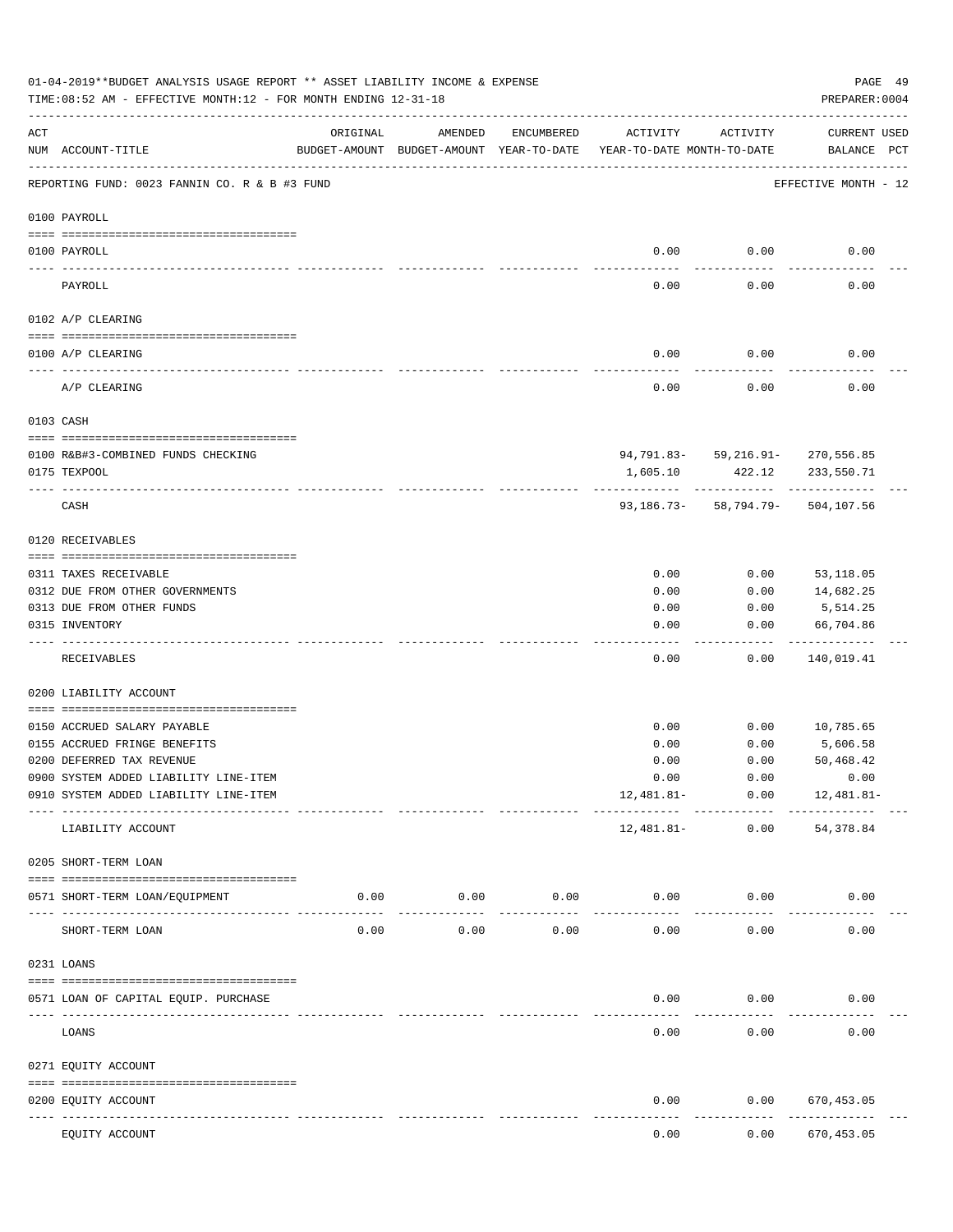|           | 01-04-2019**BUDGET ANALYSIS USAGE REPORT ** ASSET LIABILITY INCOME & EXPENSE<br>TIME: 08:52 AM - EFFECTIVE MONTH: 12 - FOR MONTH ENDING 12-31-18 |                                                      |                     |                     |                                        |                                          | PAGE 49<br>PREPARER: 0004   |  |
|-----------|--------------------------------------------------------------------------------------------------------------------------------------------------|------------------------------------------------------|---------------------|---------------------|----------------------------------------|------------------------------------------|-----------------------------|--|
| ACT       | NUM ACCOUNT-TITLE                                                                                                                                | ORIGINAL<br>BUDGET-AMOUNT BUDGET-AMOUNT YEAR-TO-DATE | AMENDED             | ENCUMBERED          | ACTIVITY<br>YEAR-TO-DATE MONTH-TO-DATE | ACTIVITY                                 | CURRENT USED<br>BALANCE PCT |  |
|           | REPORTING FUND: 0023 FANNIN CO. R & B #3 FUND                                                                                                    |                                                      |                     |                     |                                        |                                          | EFFECTIVE MONTH - 12        |  |
|           | 0100 PAYROLL                                                                                                                                     |                                                      |                     |                     |                                        |                                          |                             |  |
|           | 0100 PAYROLL                                                                                                                                     |                                                      |                     |                     | 0.00                                   | 0.00                                     | 0.00                        |  |
| ---- ---- | PAYROLL                                                                                                                                          |                                                      |                     |                     | 0.00                                   | 0.00                                     | 0.00                        |  |
|           | 0102 A/P CLEARING                                                                                                                                |                                                      |                     |                     |                                        |                                          |                             |  |
|           | 0100 A/P CLEARING                                                                                                                                |                                                      |                     |                     | 0.00                                   | 0.00                                     | 0.00                        |  |
|           | -------------------------------<br>A/P CLEARING                                                                                                  |                                                      |                     |                     | 0.00                                   | 0.00                                     | 0.00                        |  |
|           | 0103 CASH                                                                                                                                        |                                                      |                     |                     |                                        |                                          |                             |  |
|           |                                                                                                                                                  |                                                      |                     |                     |                                        |                                          |                             |  |
|           | 0100 R&B#3-COMBINED FUNDS CHECKING                                                                                                               |                                                      |                     |                     |                                        | 94,791.83- 59,216.91- 270,556.85         |                             |  |
|           | 0175 TEXPOOL                                                                                                                                     |                                                      |                     |                     | 1,605.10                               | 422.12<br>------------                   | 233,550.71                  |  |
|           | CASH                                                                                                                                             |                                                      |                     |                     |                                        | 93, 186. 73 - 58, 794. 79 - 504, 107. 56 |                             |  |
|           | 0120 RECEIVABLES                                                                                                                                 |                                                      |                     |                     |                                        |                                          |                             |  |
|           | 0311 TAXES RECEIVABLE                                                                                                                            |                                                      |                     |                     | 0.00                                   | 0.00                                     | 53,118.05                   |  |
|           | 0312 DUE FROM OTHER GOVERNMENTS                                                                                                                  |                                                      |                     |                     | 0.00                                   | 0.00                                     | 14,682.25                   |  |
|           | 0313 DUE FROM OTHER FUNDS                                                                                                                        |                                                      |                     |                     | 0.00                                   | 0.00                                     | 5,514.25                    |  |
|           | 0315 INVENTORY                                                                                                                                   |                                                      |                     |                     | 0.00                                   | 0.00                                     | 66,704.86<br>.              |  |
|           | RECEIVABLES                                                                                                                                      |                                                      |                     |                     | 0.00                                   | 0.00                                     | 140,019.41                  |  |
|           | 0200 LIABILITY ACCOUNT                                                                                                                           |                                                      |                     |                     |                                        |                                          |                             |  |
|           |                                                                                                                                                  |                                                      |                     |                     |                                        |                                          |                             |  |
|           | 0150 ACCRUED SALARY PAYABLE                                                                                                                      |                                                      |                     |                     | 0.00                                   | 0.00                                     | 10,785.65                   |  |
|           | 0155 ACCRUED FRINGE BENEFITS<br>0200 DEFERRED TAX REVENUE                                                                                        |                                                      |                     |                     | 0.00<br>0.00                           | 0.00<br>0.00                             | 5,606.58<br>50,468.42       |  |
|           | 0900 SYSTEM ADDED LIABILITY LINE-ITEM                                                                                                            |                                                      |                     |                     | 0.00                                   | 0.00                                     | 0.00                        |  |
|           | 0910 SYSTEM ADDED LIABILITY LINE-ITEM                                                                                                            |                                                      |                     |                     | 12,481.81-                             | 0.00                                     | 12,481.81-                  |  |
|           | LIABILITY ACCOUNT                                                                                                                                |                                                      |                     |                     | 12,481.81-                             | -------- ------------<br>0.00            | -----------<br>54,378.84    |  |
|           | 0205 SHORT-TERM LOAN                                                                                                                             |                                                      |                     |                     |                                        |                                          |                             |  |
|           | 0571 SHORT-TERM LOAN/EQUIPMENT                                                                                                                   | 0.00                                                 | 0.00                | 0.00                | 0.00                                   | 0.00                                     | 0.00                        |  |
|           | SHORT-TERM LOAN                                                                                                                                  | 0.00                                                 | -----------<br>0.00 | $- - - - -$<br>0.00 | 0.00                                   | 0.00                                     | 0.00                        |  |
|           | 0231 LOANS                                                                                                                                       |                                                      |                     |                     |                                        |                                          |                             |  |
|           |                                                                                                                                                  |                                                      |                     |                     |                                        |                                          |                             |  |
|           | 0571 LOAN OF CAPITAL EQUIP. PURCHASE                                                                                                             |                                                      |                     |                     | 0.00                                   | 0.00                                     | 0.00                        |  |
|           | LOANS                                                                                                                                            |                                                      |                     |                     | 0.00                                   | 0.00                                     | 0.00                        |  |
|           | 0271 EQUITY ACCOUNT                                                                                                                              |                                                      |                     |                     |                                        |                                          |                             |  |
|           | 0200 EQUITY ACCOUNT<br>-- -----------<br>------------------- -------------                                                                       |                                                      |                     |                     | 0.00                                   | 0.00                                     | 670,453.05<br>.             |  |
|           | EQUITY ACCOUNT                                                                                                                                   |                                                      |                     |                     | 0.00                                   | 0.00                                     | 670,453.05                  |  |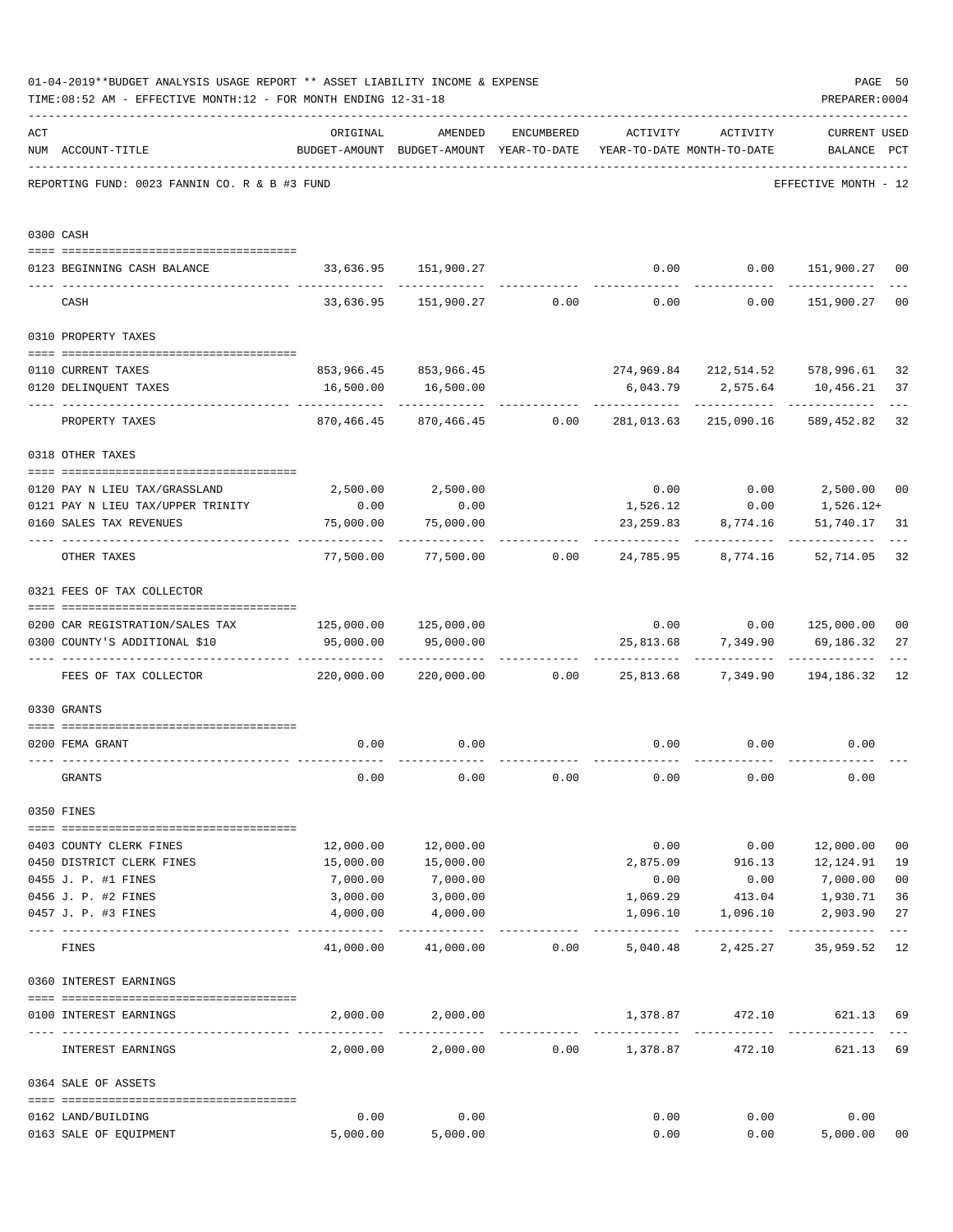|     | 01-04-2019**BUDGET ANALYSIS USAGE REPORT ** ASSET LIABILITY INCOME & EXPENSE<br>TIME: 08:52 AM - EFFECTIVE MONTH: 12 - FOR MONTH ENDING 12-31-18 |            |                                                     |                 |                                        |               | PREPARER: 0004                                     | PAGE 50        |
|-----|--------------------------------------------------------------------------------------------------------------------------------------------------|------------|-----------------------------------------------------|-----------------|----------------------------------------|---------------|----------------------------------------------------|----------------|
| ACT | NUM ACCOUNT-TITLE                                                                                                                                | ORIGINAL   | AMENDED<br>BUDGET-AMOUNT BUDGET-AMOUNT YEAR-TO-DATE | ENCUMBERED      | ACTIVITY<br>YEAR-TO-DATE MONTH-TO-DATE | ACTIVITY      | <b>CURRENT USED</b><br>BALANCE PCT                 |                |
|     | REPORTING FUND: 0023 FANNIN CO. R & B #3 FUND                                                                                                    |            |                                                     |                 |                                        |               | EFFECTIVE MONTH - 12                               |                |
|     | 0300 CASH                                                                                                                                        |            |                                                     |                 |                                        |               |                                                    |                |
|     | 0123 BEGINNING CASH BALANCE                                                                                                                      |            | 33,636.95 151,900.27                                |                 |                                        |               | $0.00$ $0.00$ $151,900.27$                         | 00             |
|     | CASH                                                                                                                                             |            |                                                     |                 |                                        |               | $33,636.95$ $151,900.27$ 0.00 0.00 0.00 151,900.27 | 0 <sub>0</sub> |
|     | 0310 PROPERTY TAXES                                                                                                                              |            |                                                     |                 |                                        |               |                                                    |                |
|     |                                                                                                                                                  |            |                                                     |                 |                                        |               |                                                    |                |
|     | 0110 CURRENT TAXES<br>0120 DELINQUENT TAXES                                                                                                      | 16,500.00  | 853,966.45 853,966.45<br>16,500.00                  |                 | 6,043.79                               | 2,575.64      | 274,969.84 212,514.52 578,996.61<br>10,456.21      | 32<br>37       |
|     |                                                                                                                                                  |            | -----------                                         |                 |                                        |               | ----------                                         |                |
|     | PROPERTY TAXES                                                                                                                                   | 870,466.45 |                                                     | 870,466.45 0.00 | 281,013.63                             | 215,090.16    | 589,452.82                                         | 32             |
|     | 0318 OTHER TAXES                                                                                                                                 |            |                                                     |                 |                                        |               |                                                    |                |
|     | 0120 PAY N LIEU TAX/GRASSLAND                                                                                                                    |            | 2,500.00 2,500.00                                   |                 |                                        | $0.00$ 0.00   | 2,500.00                                           | 0 <sub>0</sub> |
|     | 0121 PAY N LIEU TAX/UPPER TRINITY                                                                                                                | 0.00       | 0.00                                                |                 |                                        | 1,526.12 0.00 | 1,526.12+                                          |                |
|     | 0160 SALES TAX REVENUES                                                                                                                          | 75,000.00  | 75,000.00                                           |                 | 23,259.83                              | 8,774.16      | 51,740.17                                          | 31             |
|     | OTHER TAXES                                                                                                                                      | 77,500.00  |                                                     |                 |                                        |               | 52,714.05                                          | 32             |
|     | 0321 FEES OF TAX COLLECTOR                                                                                                                       |            |                                                     |                 |                                        |               |                                                    |                |
|     | 0200 CAR REGISTRATION/SALES TAX                                                                                                                  |            |                                                     |                 |                                        |               | $0.00$ $0.00$ $125,000.00$                         | 0 <sub>0</sub> |
|     | 0300 COUNTY'S ADDITIONAL \$10                                                                                                                    | 95,000.00  | 95,000.00                                           |                 | 25,813.68                              | 7,349.90      | 69,186.32                                          | 27             |
|     | FEES OF TAX COLLECTOR                                                                                                                            | 220,000.00 |                                                     |                 |                                        |               | 194,186.32                                         | 12             |
|     | 0330 GRANTS                                                                                                                                      |            |                                                     |                 |                                        |               |                                                    |                |
|     |                                                                                                                                                  | 0.00       | 0.00                                                |                 | 0.00                                   |               | $0.00$ $0.00$                                      |                |
|     | 0200 FEMA GRANT                                                                                                                                  |            |                                                     |                 |                                        |               |                                                    |                |
|     | GRANTS                                                                                                                                           | 0.00       | 0.00                                                | 0.00            | 0.00                                   | 0.00          | 0.00                                               |                |
|     | 0350 FINES                                                                                                                                       |            |                                                     |                 |                                        |               |                                                    |                |
|     | 0403 COUNTY CLERK FINES                                                                                                                          | 12,000.00  | 12,000.00                                           |                 | 0.00                                   |               | 0.00 12,000.00                                     | 0 <sub>0</sub> |
|     | 0450 DISTRICT CLERK FINES                                                                                                                        | 15,000.00  | 15,000.00                                           |                 | 2,875.09                               | 916.13        | 12,124.91                                          | 19             |
|     | 0455 J. P. #1 FINES                                                                                                                              | 7,000.00   | 7,000.00                                            |                 | 0.00                                   | 0.00          | 7,000.00                                           | 0 <sub>0</sub> |
|     | 0456 J. P. #2 FINES                                                                                                                              | 3,000.00   | 3,000.00                                            |                 | 1,069.29                               | 413.04        | 1,930.71                                           | 36             |
|     | 0457 J. P. #3 FINES                                                                                                                              | 4,000.00   | 4,000.00                                            |                 | 1,096.10                               | 1,096.10      | 2,903.90                                           | 27<br>$---$    |
|     | FINES                                                                                                                                            |            | 41,000.00 41,000.00                                 | 0.00            | 5,040.48                               | 2,425.27      | 35,959.52 12                                       |                |
|     | 0360 INTEREST EARNINGS                                                                                                                           |            |                                                     |                 |                                        |               |                                                    |                |
|     | 0100 INTEREST EARNINGS                                                                                                                           |            | 2,000.00 2,000.00                                   |                 | 1,378.87                               |               | 472.10 621.13 69                                   |                |
|     | INTEREST EARNINGS                                                                                                                                |            | 2,000.00 2,000.00                                   |                 | $0.00$ 1,378.87                        | 472.10        | 621.13                                             | 69             |
|     | 0364 SALE OF ASSETS                                                                                                                              |            |                                                     |                 |                                        |               |                                                    |                |
|     | 0162 LAND/BUILDING                                                                                                                               | 0.00       | 0.00                                                |                 | 0.00                                   | 0.00          | 0.00                                               |                |
|     | 0163 SALE OF EQUIPMENT                                                                                                                           | 5,000.00   | 5,000.00                                            |                 | 0.00                                   | 0.00          | 5,000.00                                           | 00             |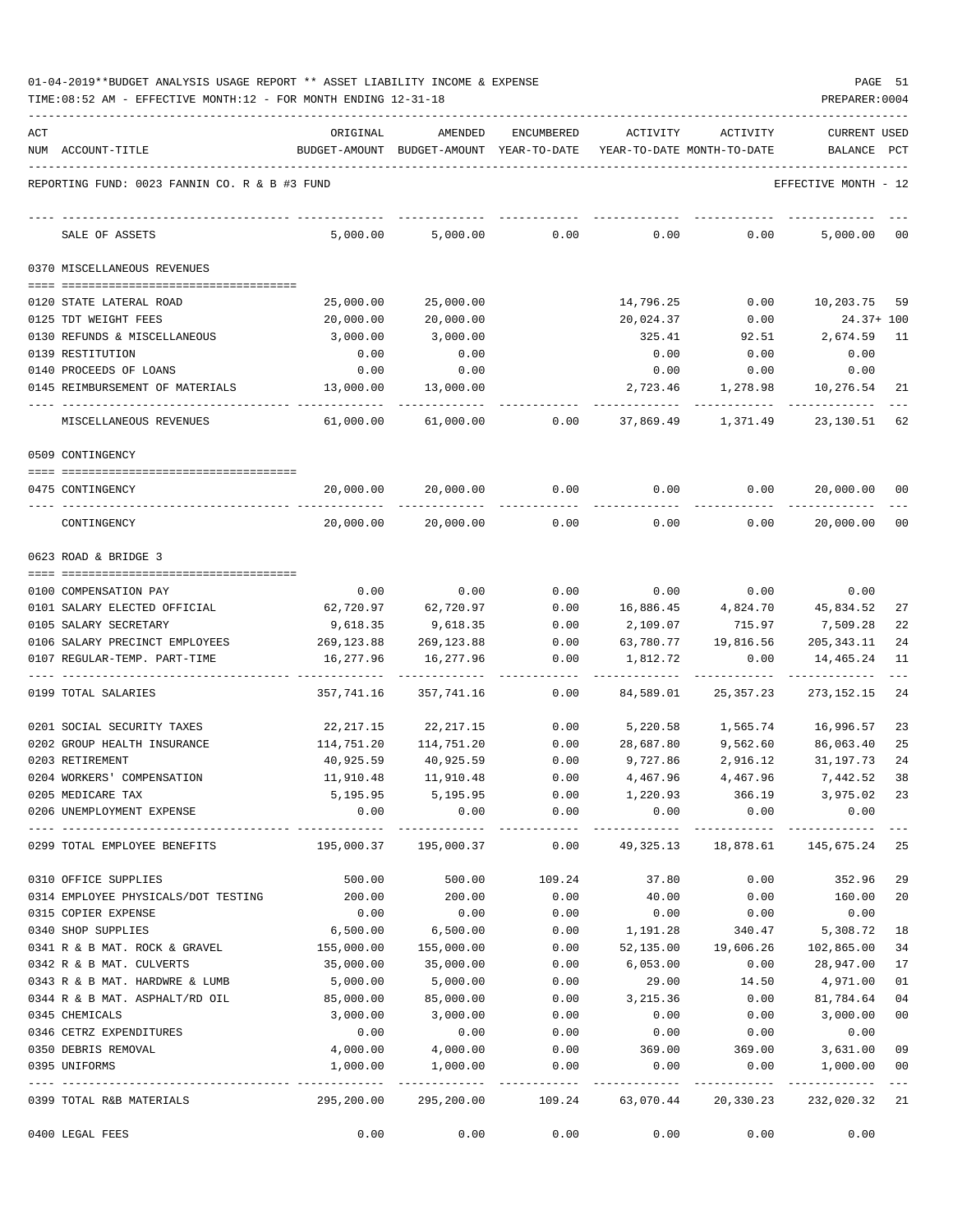| 01-04-2019**BUDGET ANALYSIS USAGE REPORT ** ASSET LIABILITY INCOME & EXPENSE | PAGE |  |
|------------------------------------------------------------------------------|------|--|
|------------------------------------------------------------------------------|------|--|

| ACT | NUM ACCOUNT-TITLE                             | ORIGINAL<br>BUDGET-AMOUNT BUDGET-AMOUNT YEAR-TO-DATE YEAR-TO-DATE MONTH-TO-DATE | AMENDED    | ENCUMBERED | ACTIVITY  | ACTIVITY  | <b>CURRENT USED</b><br>BALANCE | PCT            |
|-----|-----------------------------------------------|---------------------------------------------------------------------------------|------------|------------|-----------|-----------|--------------------------------|----------------|
|     | REPORTING FUND: 0023 FANNIN CO. R & B #3 FUND |                                                                                 |            |            |           |           | EFFECTIVE MONTH - 12           |                |
|     |                                               |                                                                                 |            |            |           |           |                                |                |
|     | SALE OF ASSETS                                | 5,000.00                                                                        | 5,000.00   | 0.00       | 0.00      | 0.00      | 5,000.00                       | 00             |
|     | 0370 MISCELLANEOUS REVENUES                   |                                                                                 |            |            |           |           |                                |                |
|     | 0120 STATE LATERAL ROAD                       | 25,000.00                                                                       | 25,000.00  |            | 14,796.25 | 0.00      | 10,203.75 59                   |                |
|     | 0125 TDT WEIGHT FEES                          | 20,000.00                                                                       | 20,000.00  |            | 20,024.37 | 0.00      | $24.37+100$                    |                |
|     | 0130 REFUNDS & MISCELLANEOUS                  | 3,000.00                                                                        | 3,000.00   |            | 325.41    | 92.51     | 2,674.59                       | 11             |
|     | 0139 RESTITUTION                              | 0.00                                                                            | 0.00       |            | 0.00      | 0.00      | 0.00                           |                |
|     | 0140 PROCEEDS OF LOANS                        | 0.00                                                                            | 0.00       |            | 0.00      | 0.00      | 0.00                           |                |
|     | 0145 REIMBURSEMENT OF MATERIALS               | 13,000.00                                                                       | 13,000.00  |            | 2,723.46  | 1,278.98  | 10,276.54                      | 21             |
|     | MISCELLANEOUS REVENUES                        | 61,000.00                                                                       | 61,000.00  | 0.00       | 37,869.49 | 1,371.49  | 23,130.51                      | 62             |
|     | 0509 CONTINGENCY                              |                                                                                 |            |            |           |           |                                |                |
|     | 0475 CONTINGENCY                              | 20,000.00                                                                       | 20,000.00  | 0.00       | 0.00      | 0.00      | 20,000.00                      | 00             |
|     | CONTINGENCY                                   | 20,000.00                                                                       | 20,000.00  | 0.00       | 0.00      | 0.00      | 20,000.00                      | 00             |
|     | 0623 ROAD & BRIDGE 3                          |                                                                                 |            |            |           |           |                                |                |
|     | 0100 COMPENSATION PAY                         | 0.00                                                                            | 0.00       | 0.00       | 0.00      | 0.00      | 0.00                           |                |
|     | 0101 SALARY ELECTED OFFICIAL                  | 62,720.97                                                                       | 62,720.97  | 0.00       | 16,886.45 | 4,824.70  | 45,834.52                      | 27             |
|     | 0105 SALARY SECRETARY                         | 9,618.35                                                                        | 9,618.35   | 0.00       | 2,109.07  | 715.97    | 7,509.28                       | 22             |
|     | 0106 SALARY PRECINCT EMPLOYEES                | 269,123.88                                                                      | 269,123.88 | 0.00       | 63,780.77 | 19,816.56 | 205, 343. 11                   | 24             |
|     | 0107 REGULAR-TEMP. PART-TIME                  | 16,277.96                                                                       | 16,277.96  | 0.00       | 1,812.72  | 0.00      | 14,465.24                      | 11             |
|     | 0199 TOTAL SALARIES                           | 357,741.16                                                                      | 357,741.16 | 0.00       | 84,589.01 | 25,357.23 | 273, 152. 15                   | 24             |
|     | 0201 SOCIAL SECURITY TAXES                    | 22,217.15                                                                       | 22,217.15  | 0.00       | 5,220.58  | 1,565.74  | 16,996.57                      | 23             |
|     | 0202 GROUP HEALTH INSURANCE                   | 114,751.20                                                                      | 114,751.20 | 0.00       | 28,687.80 | 9,562.60  | 86,063.40                      | 25             |
|     | 0203 RETIREMENT                               | 40,925.59                                                                       | 40,925.59  | 0.00       | 9,727.86  | 2,916.12  | 31,197.73                      | 24             |
|     | 0204 WORKERS' COMPENSATION                    | 11,910.48                                                                       | 11,910.48  | 0.00       | 4,467.96  | 4,467.96  | 7,442.52                       | 38             |
|     | 0205 MEDICARE TAX                             | 5,195.95                                                                        | 5,195.95   | 0.00       | 1,220.93  | 366.19    | 3,975.02                       | 23             |
|     | 0206 UNEMPLOYMENT EXPENSE                     | 0.00                                                                            | 0.00       | 0.00       | 0.00      | 0.00      | 0.00                           |                |
|     | 0299 TOTAL EMPLOYEE BENEFITS                  | 195,000.37                                                                      | 195,000.37 | 0.00       | 49,325.13 | 18,878.61 | 145,675.24                     | 25             |
|     | 0310 OFFICE SUPPLIES                          | 500.00                                                                          | 500.00     | 109.24     | 37.80     | 0.00      | 352.96                         | 29             |
|     | 0314 EMPLOYEE PHYSICALS/DOT TESTING           | 200.00                                                                          | 200.00     | 0.00       | 40.00     | 0.00      | 160.00                         | 20             |
|     | 0315 COPIER EXPENSE                           | 0.00                                                                            | 0.00       | 0.00       | 0.00      | 0.00      | 0.00                           |                |
|     | 0340 SHOP SUPPLIES                            | 6,500.00                                                                        | 6,500.00   | 0.00       | 1,191.28  | 340.47    | 5,308.72                       | 18             |
|     | 0341 R & B MAT. ROCK & GRAVEL                 | 155,000.00                                                                      | 155,000.00 | 0.00       | 52,135.00 | 19,606.26 | 102,865.00                     | 34             |
|     | 0342 R & B MAT. CULVERTS                      | 35,000.00                                                                       | 35,000.00  | 0.00       | 6,053.00  | 0.00      | 28,947.00                      | 17             |
|     | 0343 R & B MAT. HARDWRE & LUMB                | 5,000.00                                                                        | 5,000.00   | 0.00       | 29.00     | 14.50     | 4,971.00                       | 01             |
|     | 0344 R & B MAT. ASPHALT/RD OIL                | 85,000.00                                                                       | 85,000.00  | 0.00       | 3,215.36  | 0.00      | 81,784.64                      | 04             |
|     | 0345 CHEMICALS                                | 3,000.00                                                                        | 3,000.00   | 0.00       | 0.00      | 0.00      | 3,000.00                       | 0 <sub>0</sub> |
|     | 0346 CETRZ EXPENDITURES                       | 0.00                                                                            | 0.00       | 0.00       | 0.00      | 0.00      | 0.00                           |                |
|     | 0350 DEBRIS REMOVAL                           | 4,000.00                                                                        | 4,000.00   | 0.00       | 369.00    | 369.00    | 3,631.00 09                    |                |
|     | 0395 UNIFORMS                                 | 1,000.00                                                                        | 1,000.00   | 0.00       | 0.00      | 0.00      | 1,000.00 00                    |                |
|     | 0399 TOTAL R&B MATERIALS                      | 295,200.00                                                                      | 295,200.00 | 109.24     | 63,070.44 | 20,330.23 | 232,020.32 21                  |                |
|     | 0400 LEGAL FEES                               | 0.00                                                                            | 0.00       | 0.00       | 0.00      | 0.00      | 0.00                           |                |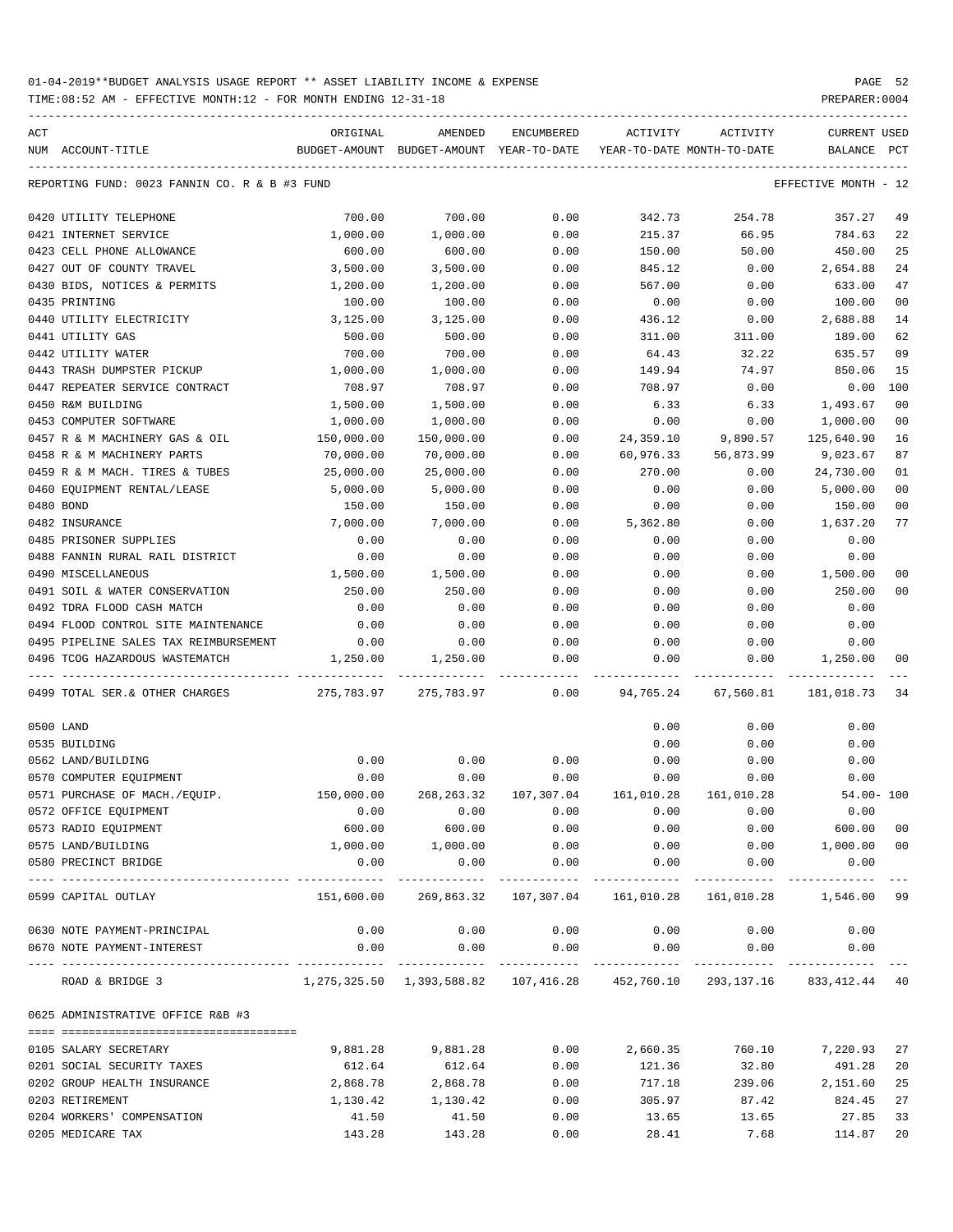TIME:08:52 AM - EFFECTIVE MONTH:12 - FOR MONTH ENDING 12-31-18 PREPARER:0004

| ACT | NUM ACCOUNT-TITLE                             | ORIGINAL<br>BUDGET-AMOUNT BUDGET-AMOUNT YEAR-TO-DATE | AMENDED                                         | ENCUMBERED                           | ACTIVITY<br>YEAR-TO-DATE MONTH-TO-DATE | ACTIVITY   | <b>CURRENT USED</b><br>BALANCE PCT |                |
|-----|-----------------------------------------------|------------------------------------------------------|-------------------------------------------------|--------------------------------------|----------------------------------------|------------|------------------------------------|----------------|
|     |                                               |                                                      |                                                 |                                      |                                        |            |                                    |                |
|     | REPORTING FUND: 0023 FANNIN CO. R & B #3 FUND |                                                      |                                                 |                                      |                                        |            | EFFECTIVE MONTH - 12               |                |
|     | 0420 UTILITY TELEPHONE                        | 700.00                                               | 700.00                                          | 0.00                                 | 342.73                                 | 254.78     | 357.27                             | 49             |
|     | 0421 INTERNET SERVICE                         | 1,000.00                                             | 1,000.00                                        | 0.00                                 | 215.37                                 | 66.95      | 784.63                             | 22             |
|     | 0423 CELL PHONE ALLOWANCE                     | 600.00                                               | 600.00                                          | 0.00                                 | 150.00                                 | 50.00      | 450.00                             | 25             |
|     | 0427 OUT OF COUNTY TRAVEL                     | 3,500.00                                             | 3,500.00                                        | 0.00                                 | 845.12                                 | 0.00       | 2,654.88                           | 24             |
|     | 0430 BIDS, NOTICES & PERMITS                  | 1,200.00                                             | 1,200.00                                        | 0.00                                 | 567.00                                 | 0.00       | 633.00                             | 47             |
|     | 0435 PRINTING                                 | 100.00                                               | 100.00                                          | 0.00                                 | 0.00                                   | 0.00       | 100.00                             | 0 <sub>0</sub> |
|     | 0440 UTILITY ELECTRICITY                      | 3,125.00                                             | 3,125.00                                        | 0.00                                 | 436.12                                 | 0.00       | 2,688.88                           | 14             |
|     | 0441 UTILITY GAS                              | 500.00                                               | 500.00                                          | 0.00                                 | 311.00                                 | 311.00     | 189.00                             | 62             |
|     | 0442 UTILITY WATER                            | 700.00                                               | 700.00                                          | 0.00                                 | 64.43                                  | 32.22      | 635.57                             | 09             |
|     | 0443 TRASH DUMPSTER PICKUP                    | 1,000.00                                             | 1,000.00                                        | 0.00                                 | 149.94                                 | 74.97      | 850.06                             | 15             |
|     | 0447 REPEATER SERVICE CONTRACT                | 708.97                                               | 708.97                                          | 0.00                                 | 708.97                                 | 0.00       | 0.00                               | 100            |
|     | 0450 R&M BUILDING                             | 1,500.00                                             | 1,500.00                                        | 0.00                                 | 6.33                                   | 6.33       | 1,493.67                           | 0 <sub>0</sub> |
|     | 0453 COMPUTER SOFTWARE                        | 1,000.00                                             | 1,000.00                                        | 0.00                                 | 0.00                                   | 0.00       | 1,000.00                           | 00             |
|     | 0457 R & M MACHINERY GAS & OIL                | 150,000.00                                           | 150,000.00                                      | 0.00                                 | 24,359.10                              | 9,890.57   | 125,640.90                         | 16             |
|     | 0458 R & M MACHINERY PARTS                    | 70,000.00                                            | 70,000.00                                       | 0.00                                 | 60,976.33                              | 56,873.99  | 9,023.67                           | 87             |
|     | 0459 R & M MACH. TIRES & TUBES                | 25,000.00                                            | 25,000.00                                       | 0.00                                 | 270.00                                 | 0.00       | 24,730.00                          | 01             |
|     | 0460 EQUIPMENT RENTAL/LEASE                   | 5,000.00                                             | 5,000.00                                        | 0.00                                 | 0.00                                   | 0.00       | 5,000.00                           | 0 <sub>0</sub> |
|     |                                               |                                                      |                                                 |                                      |                                        |            |                                    |                |
|     | 0480 BOND                                     | 150.00                                               | 150.00                                          | 0.00                                 | 0.00                                   | 0.00       | 150.00                             | 00             |
|     | 0482 INSURANCE                                | 7,000.00                                             | 7,000.00                                        | 0.00                                 | 5,362.80                               | 0.00       | 1,637.20                           | 77             |
|     | 0485 PRISONER SUPPLIES                        | 0.00                                                 | 0.00                                            | 0.00                                 | 0.00                                   | 0.00       | 0.00                               |                |
|     | 0488 FANNIN RURAL RAIL DISTRICT               | 0.00                                                 | 0.00                                            | 0.00                                 | 0.00                                   | 0.00       | 0.00                               |                |
|     | 0490 MISCELLANEOUS                            | 1,500.00                                             | 1,500.00                                        | 0.00                                 | 0.00                                   | 0.00       | 1,500.00                           | 0 <sub>0</sub> |
|     | 0491 SOIL & WATER CONSERVATION                | 250.00                                               | 250.00                                          | 0.00                                 | 0.00                                   | 0.00       | 250.00                             | 0 <sub>0</sub> |
|     | 0492 TDRA FLOOD CASH MATCH                    | 0.00                                                 | 0.00                                            | 0.00                                 | 0.00                                   | 0.00       | 0.00                               |                |
|     | 0494 FLOOD CONTROL SITE MAINTENANCE           | 0.00                                                 | 0.00                                            | 0.00                                 | 0.00                                   | 0.00       | 0.00                               |                |
|     | 0495 PIPELINE SALES TAX REIMBURSEMENT         | 0.00                                                 | 0.00                                            | 0.00                                 | 0.00                                   | 0.00       | 0.00                               |                |
|     | 0496 TCOG HAZARDOUS WASTEMATCH                | 1,250.00                                             | 1,250.00                                        | 0.00                                 | 0.00                                   | 0.00       | 1,250.00                           | 00             |
|     | 0499 TOTAL SER. & OTHER CHARGES               | 275,783.97                                           | 275,783.97                                      | 0.00                                 | 94,765.24                              | 67,560.81  | 181,018.73                         | 34             |
|     | 0500 LAND                                     |                                                      |                                                 |                                      | 0.00                                   | 0.00       | 0.00                               |                |
|     | 0535 BUILDING                                 |                                                      |                                                 |                                      | 0.00                                   | 0.00       | 0.00                               |                |
|     | 0562 LAND/BUILDING                            | 0.00                                                 | 0.00                                            | 0.00                                 | 0.00                                   | 0.00       | 0.00                               |                |
|     | 0570 COMPUTER EQUIPMENT                       | 0.00                                                 | 0.00                                            | 0.00                                 | 0.00                                   | 0.00       | 0.00                               |                |
|     | 0571 PURCHASE OF MACH./EOUIP.                 | 150,000.00                                           | 268,263.32                                      | 107,307.04                           | 161,010.28                             | 161,010.28 | $54.00 - 100$                      |                |
|     | 0572 OFFICE EQUIPMENT                         | 0.00                                                 | 0.00                                            | 0.00                                 | 0.00                                   | 0.00       | 0.00                               |                |
|     | 0573 RADIO EQUIPMENT                          | 600.00                                               | 600.00                                          | 0.00                                 | 0.00                                   | 0.00       | 600.00                             | 00             |
|     | 0575 LAND/BUILDING                            | 1,000.00                                             | 1,000.00                                        | 0.00                                 | 0.00                                   | 0.00       | 1,000.00                           | 0 <sub>0</sub> |
|     | 0580 PRECINCT BRIDGE                          | 0.00                                                 | 0.00                                            | 0.00                                 | 0.00                                   | 0.00       | 0.00                               |                |
|     | 0599 CAPITAL OUTLAY                           | .<br>151,600.00                                      | -----------                                     | -----------<br>269,863.32 107,307.04 | 161,010.28                             | 161,010.28 | ------------<br>1,546.00           | 99             |
|     | 0630 NOTE PAYMENT-PRINCIPAL                   | 0.00                                                 | 0.00                                            | 0.00                                 | 0.00                                   | 0.00       | 0.00                               |                |
|     | 0670 NOTE PAYMENT-INTEREST                    | 0.00                                                 | 0.00                                            | 0.00                                 | 0.00                                   | 0.00       | 0.00                               |                |
|     |                                               |                                                      |                                                 |                                      |                                        |            |                                    |                |
|     | ROAD & BRIDGE 3                               |                                                      | 1,275,325.50 1,393,588.82 107,416.28 452,760.10 |                                      |                                        | 293,137.16 | 833,412.44                         | 40             |
|     | 0625 ADMINISTRATIVE OFFICE R&B #3             |                                                      |                                                 |                                      |                                        |            |                                    |                |
|     | 0105 SALARY SECRETARY                         | 9,881.28                                             | 9,881.28                                        | 0.00                                 | 2,660.35                               | 760.10     | 7,220.93                           | 27             |
|     | 0201 SOCIAL SECURITY TAXES                    | 612.64                                               | 612.64                                          | 0.00                                 | 121.36                                 | 32.80      | 491.28                             | 20             |
|     | 0202 GROUP HEALTH INSURANCE                   | 2,868.78                                             | 2,868.78                                        | 0.00                                 | 717.18                                 | 239.06     | 2,151.60                           | 25             |
|     | 0203 RETIREMENT                               | 1,130.42                                             | 1,130.42                                        | 0.00                                 | 305.97                                 | 87.42      | 824.45                             | 27             |
|     | 0204 WORKERS' COMPENSATION                    | 41.50                                                | 41.50                                           | 0.00                                 | 13.65                                  | 13.65      | 27.85                              | 33             |

0205 MEDICARE TAX 143.28 143.28 0.00 28.41 7.68 114.87 20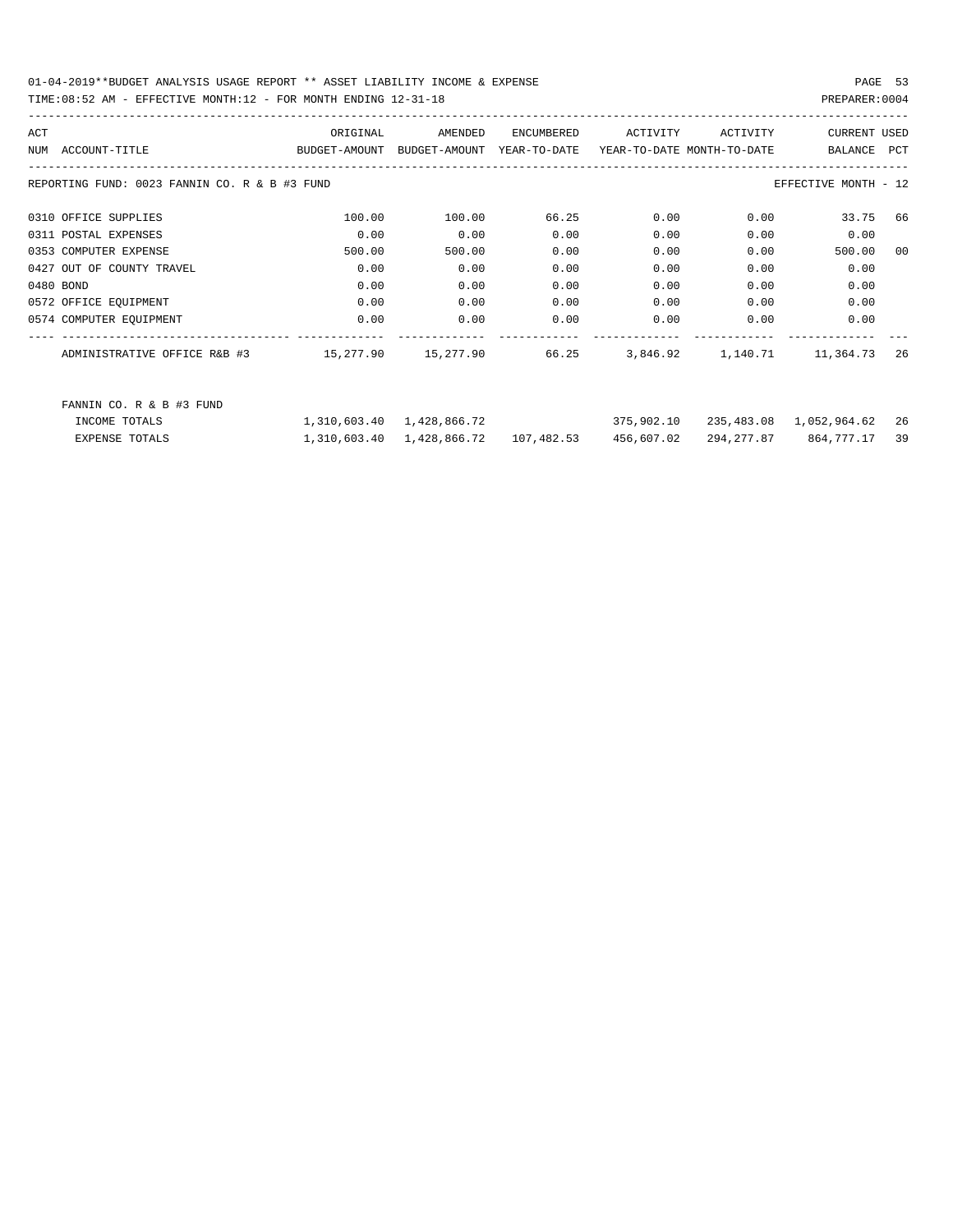| ACT |                                               | ORIGINAL                    | AMENDED                              | ENCUMBERED   | ACTIVITY                   | ACTIVITY | <b>CURRENT USED</b>     |      |
|-----|-----------------------------------------------|-----------------------------|--------------------------------------|--------------|----------------------------|----------|-------------------------|------|
|     | NUM ACCOUNT-TITLE                             | BUDGET-AMOUNT BUDGET-AMOUNT |                                      | YEAR-TO-DATE | YEAR-TO-DATE MONTH-TO-DATE |          | BALANCE                 | PCT  |
|     |                                               |                             |                                      |              |                            |          |                         |      |
|     | REPORTING FUND: 0023 FANNIN CO. R & B #3 FUND |                             |                                      |              |                            |          | EFFECTIVE MONTH - 12    |      |
|     | 0310 OFFICE SUPPLIES                          | 100.00                      | 100.00                               | 66.25        | 0.00                       | 0.00     | 33.75 66                |      |
|     | 0311 POSTAL EXPENSES                          | 0.00                        | 0.00                                 | 0.00         | 0.00                       | 0.00     | 0.00                    |      |
|     | 0353 COMPUTER EXPENSE                         | 500.00                      | 500.00                               | 0.00         | 0.00                       | 0.00     | 500.00                  | 00   |
|     | 0427 OUT OF COUNTY TRAVEL                     | 0.00                        | 0.00                                 | 0.00         | 0.00                       | 0.00     | 0.00                    |      |
|     | 0480 BOND                                     | 0.00                        | 0.00                                 | 0.00         | 0.00                       | 0.00     | 0.00                    |      |
|     | 0572 OFFICE EQUIPMENT                         | 0.00                        | 0.00                                 | 0.00         | 0.00                       | 0.00     | 0.00                    |      |
|     | 0574 COMPUTER EQUIPMENT                       | 0.00                        | 0.00                                 | 0.00         | 0.00                       | 0.00     | 0.00                    |      |
|     |                                               |                             |                                      |              |                            |          |                         | -26  |
|     | FANNIN CO. R & B #3 FUND                      |                             |                                      |              |                            |          |                         |      |
|     | INCOME TOTALS                                 |                             | 1,310,603.40 1,428,866.72            |              | 375,902.10                 |          | 235,483.08 1,052,964.62 | - 26 |
|     | <b>EXPENSE TOTALS</b>                         |                             | 1,310,603.40 1,428,866.72 107,482.53 |              | 456,607.02                 |          | 294, 277.87 864, 777.17 | 39   |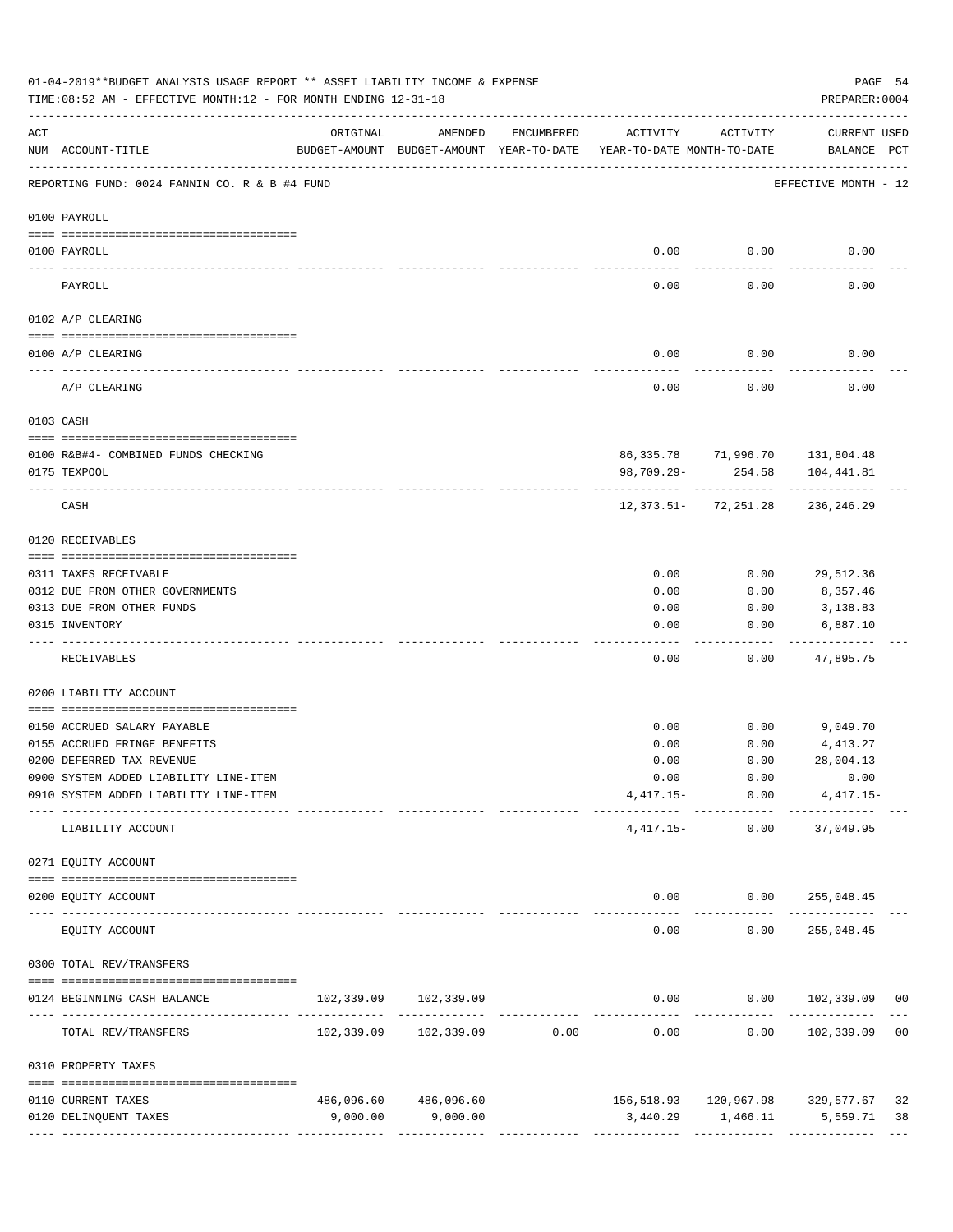|                 | 01-04-2019**BUDGET ANALYSIS USAGE REPORT ** ASSET LIABILITY INCOME & EXPENSE<br>TIME: 08:52 AM - EFFECTIVE MONTH: 12 - FOR MONTH ENDING 12-31-18 |          |                                                     |                               |                                        |                      | PAGE 54<br>PREPARER: 0004                        |    |
|-----------------|--------------------------------------------------------------------------------------------------------------------------------------------------|----------|-----------------------------------------------------|-------------------------------|----------------------------------------|----------------------|--------------------------------------------------|----|
| ACT             | NUM ACCOUNT-TITLE                                                                                                                                | ORIGINAL | AMENDED<br>BUDGET-AMOUNT BUDGET-AMOUNT YEAR-TO-DATE | ENCUMBERED                    | ACTIVITY<br>YEAR-TO-DATE MONTH-TO-DATE | ACTIVITY             | CURRENT USED<br>BALANCE PCT                      |    |
|                 | REPORTING FUND: 0024 FANNIN CO. R & B #4 FUND                                                                                                    |          |                                                     |                               |                                        |                      | EFFECTIVE MONTH - 12                             |    |
|                 | 0100 PAYROLL                                                                                                                                     |          |                                                     |                               |                                        |                      |                                                  |    |
|                 |                                                                                                                                                  |          |                                                     |                               |                                        |                      |                                                  |    |
| $- - - - - - -$ | 0100 PAYROLL                                                                                                                                     |          |                                                     |                               | 0.00                                   | 0.00                 | 0.00                                             |    |
|                 | PAYROLL                                                                                                                                          |          |                                                     |                               | 0.00                                   | 0.00                 | 0.00                                             |    |
|                 | 0102 A/P CLEARING                                                                                                                                |          |                                                     |                               |                                        |                      |                                                  |    |
|                 | 0100 A/P CLEARING                                                                                                                                |          |                                                     |                               | 0.00                                   | 0.00                 | 0.00                                             |    |
|                 | A/P CLEARING                                                                                                                                     |          |                                                     |                               | 0.00                                   | 0.00                 | 0.00                                             |    |
|                 | 0103 CASH                                                                                                                                        |          |                                                     |                               |                                        |                      |                                                  |    |
|                 |                                                                                                                                                  |          |                                                     |                               |                                        |                      |                                                  |    |
|                 | 0100 R&B#4- COMBINED FUNDS CHECKING<br>0175 TEXPOOL                                                                                              |          |                                                     |                               | 98,709.29-                             | 254.58               | 86, 335.78 71, 996.70 131, 804.48<br>104,441.81  |    |
|                 | CASH                                                                                                                                             |          |                                                     |                               |                                        | 12,373.51- 72,251.28 | 236,246.29                                       |    |
|                 | 0120 RECEIVABLES                                                                                                                                 |          |                                                     |                               |                                        |                      |                                                  |    |
|                 | 0311 TAXES RECEIVABLE                                                                                                                            |          |                                                     |                               | 0.00                                   | 0.00                 | 29,512.36                                        |    |
|                 | 0312 DUE FROM OTHER GOVERNMENTS                                                                                                                  |          |                                                     |                               | 0.00                                   | 0.00                 | 8,357.46                                         |    |
|                 | 0313 DUE FROM OTHER FUNDS                                                                                                                        |          |                                                     |                               | 0.00                                   | 0.00                 | 3,138.83                                         |    |
|                 | 0315 INVENTORY                                                                                                                                   |          |                                                     |                               | 0.00                                   | 0.00                 | 6,887.10                                         |    |
|                 | RECEIVABLES                                                                                                                                      |          |                                                     |                               | 0.00                                   | 0.00                 | 47,895.75                                        |    |
|                 | 0200 LIABILITY ACCOUNT                                                                                                                           |          |                                                     |                               |                                        |                      |                                                  |    |
|                 | 0150 ACCRUED SALARY PAYABLE                                                                                                                      |          |                                                     |                               | 0.00                                   | 0.00                 | 9,049.70                                         |    |
|                 | 0155 ACCRUED FRINGE BENEFITS                                                                                                                     |          |                                                     |                               | 0.00                                   | 0.00                 | 4,413.27                                         |    |
|                 | 0200 DEFERRED TAX REVENUE                                                                                                                        |          |                                                     |                               | 0.00                                   | 0.00                 | 28,004.13                                        |    |
|                 | 0900 SYSTEM ADDED LIABILITY LINE-ITEM                                                                                                            |          |                                                     |                               |                                        | $0.00$ $0.00$        | 0.00                                             |    |
|                 | 0910 SYSTEM ADDED LIABILITY LINE-ITEM                                                                                                            |          |                                                     |                               |                                        |                      | $4,417.15-$ 0.00 $4,417.15-$                     |    |
|                 | LIABILITY ACCOUNT                                                                                                                                |          |                                                     |                               |                                        | $4,417.15-$ 0.00     | --------- ------------ ------------<br>37,049.95 |    |
|                 | 0271 EQUITY ACCOUNT                                                                                                                              |          |                                                     |                               |                                        |                      |                                                  |    |
|                 | 0200 EQUITY ACCOUNT                                                                                                                              |          |                                                     |                               |                                        |                      | $0.00$ $0.00$ $255,048.45$                       |    |
|                 | ---- --------------<br>--------------------- --------------<br>EQUITY ACCOUNT                                                                    |          |                                                     |                               | -----<br>0.00                          | -----------<br>0.00  | ______________<br>255,048.45                     |    |
|                 | 0300 TOTAL REV/TRANSFERS                                                                                                                         |          |                                                     |                               |                                        |                      |                                                  |    |
|                 | 0124 BEGINNING CASH BALANCE                                                                                                                      |          | 102,339.09 102,339.09                               |                               |                                        |                      | $0.00$ $0.00$ $102,339.09$ 00                    |    |
|                 | TOTAL REV/TRANSFERS                                                                                                                              |          |                                                     | ----------------------------- | 0.00                                   | -----------          | -------------<br>0.00 102,339.09 00              |    |
|                 | 0310 PROPERTY TAXES                                                                                                                              |          |                                                     |                               |                                        |                      |                                                  |    |
|                 | 0110 CURRENT TAXES                                                                                                                               |          | 486,096.60 486,096.60                               |                               |                                        |                      | 156,518.93    120,967.98    329,577.67           | 32 |
|                 | 0120 DELINQUENT TAXES                                                                                                                            | 9,000.00 | 9,000.00                                            |                               |                                        |                      | 3,440.29 1,466.11 5,559.71                       | 38 |
|                 |                                                                                                                                                  |          |                                                     |                               |                                        |                      |                                                  |    |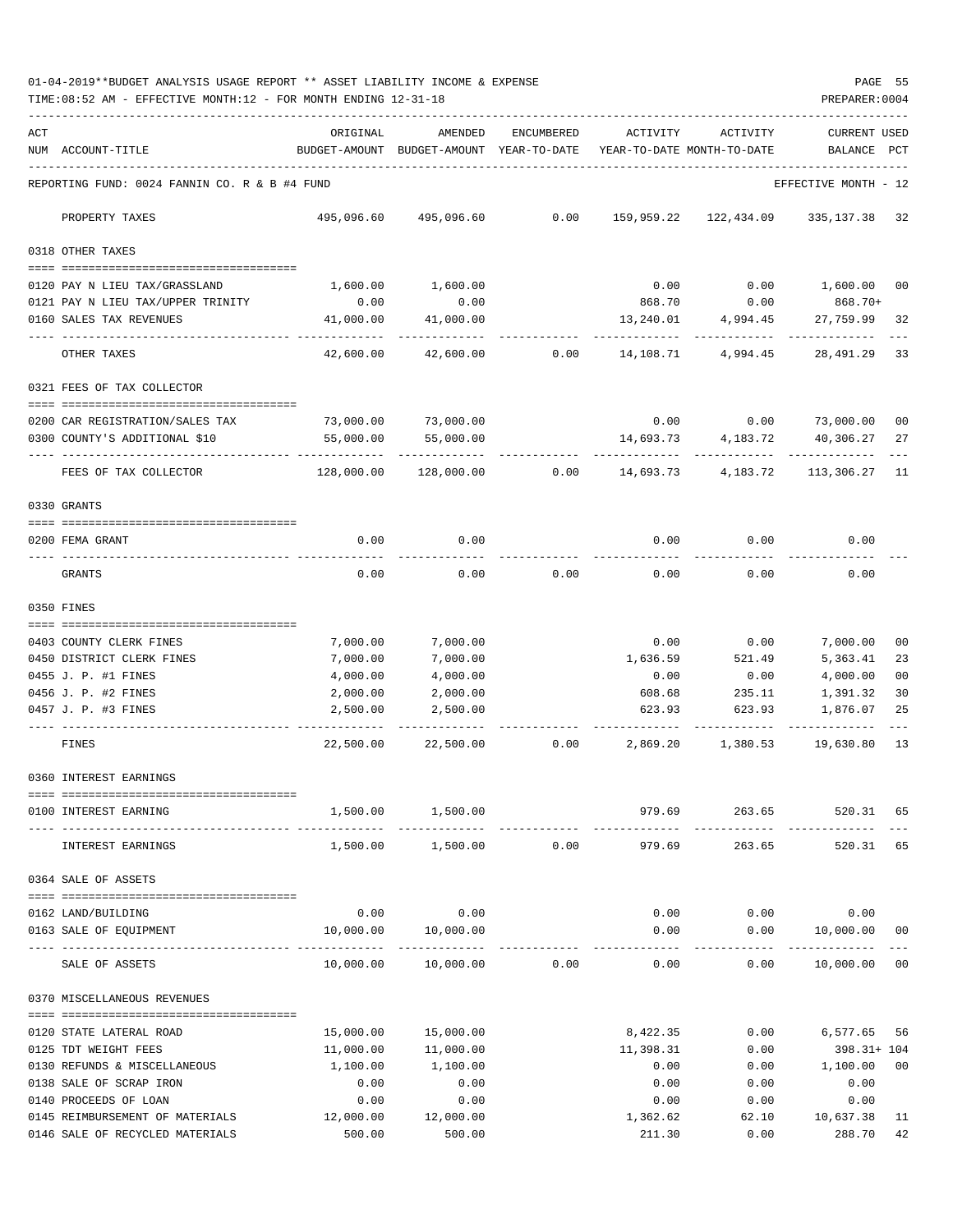|     | TIME: 08:52 AM - EFFECTIVE MONTH: 12 - FOR MONTH ENDING 12-31-18 |            |                                          |                 |                            |                                     | PREPARER: 0004                |                |
|-----|------------------------------------------------------------------|------------|------------------------------------------|-----------------|----------------------------|-------------------------------------|-------------------------------|----------------|
| ACT |                                                                  | ORIGINAL   | AMENDED                                  | ENCUMBERED      | ACTIVITY                   | ACTIVITY                            | <b>CURRENT USED</b>           |                |
|     | NUM ACCOUNT-TITLE                                                |            | BUDGET-AMOUNT BUDGET-AMOUNT YEAR-TO-DATE |                 | YEAR-TO-DATE MONTH-TO-DATE |                                     | BALANCE                       | PCT            |
|     | REPORTING FUND: 0024 FANNIN CO. R & B #4 FUND                    |            |                                          |                 |                            |                                     | EFFECTIVE MONTH - 12          |                |
|     | PROPERTY TAXES                                                   |            | 495,096.60 495,096.60                    |                 |                            | 0.00 159,959.22 122,434.09          | 335, 137.38 32                |                |
|     | 0318 OTHER TAXES                                                 |            |                                          |                 |                            |                                     |                               |                |
|     | 0120 PAY N LIEU TAX/GRASSLAND                                    | 1,600.00   | 1,600.00                                 |                 | 0.00                       | 0.00                                | 1,600.00 00                   |                |
|     | 0121 PAY N LIEU TAX/UPPER TRINITY                                | 0.00       | 0.00                                     |                 | 868.70                     | 0.00                                | 868.70+                       |                |
|     | 0160 SALES TAX REVENUES                                          | 41,000.00  | 41,000.00                                |                 |                            | 13, 240.01 4, 994.45                | 27,759.99                     | 32             |
|     | OTHER TAXES                                                      | 42,600.00  | 42,600.00                                | 0.00            |                            | -------------<br>14,108.71 4,994.45 | -------------<br>28,491.29    | 33             |
|     | 0321 FEES OF TAX COLLECTOR                                       |            |                                          |                 |                            |                                     |                               |                |
|     | 0200 CAR REGISTRATION/SALES TAX                                  |            | 73,000.00 73,000.00                      |                 |                            | $0.00$ $0.00$ $73,000.00$ $00$      |                               |                |
|     | 0300 COUNTY'S ADDITIONAL \$10                                    | 55,000.00  | 55,000.00                                |                 | 14,693.73                  |                                     | 4, 183. 72 40, 306. 27        | 27             |
|     | FEES OF TAX COLLECTOR                                            | 128,000.00 | -----------<br>128,000.00                | 0.00            | ------------<br>14,693.73  | ----------<br>4,183.72              | ------------<br>113,306.27 11 |                |
|     | 0330 GRANTS                                                      |            |                                          |                 |                            |                                     |                               |                |
|     | 0200 FEMA GRANT                                                  | 0.00       | 0.00                                     |                 | 0.00                       | 0.00                                | 0.00                          |                |
|     | GRANTS                                                           | 0.00       | 0.00                                     | 0.00            | 0.00                       | 0.00                                | 0.00                          |                |
|     | 0350 FINES                                                       |            |                                          |                 |                            |                                     |                               |                |
|     | 0403 COUNTY CLERK FINES                                          | 7,000.00   | 7,000.00                                 |                 | 0.00                       | 0.00                                | 7,000.00                      | 00             |
|     | 0450 DISTRICT CLERK FINES                                        | 7,000.00   | 7,000.00                                 |                 | 1,636.59                   | 521.49                              | 5,363.41                      | 23             |
|     | 0455 J. P. #1 FINES                                              | 4,000.00   | 4,000.00                                 |                 | 0.00                       | 0.00                                | 4,000.00                      | 0 <sub>0</sub> |
|     | 0456 J. P. #2 FINES                                              | 2,000.00   | 2,000.00                                 |                 | 608.68                     | 235.11                              | 1,391.32                      | 30             |
|     | 0457 J. P. #3 FINES                                              | 2,500.00   | 2,500.00                                 |                 |                            | 623.93 623.93                       | 1,876.07                      | 25             |
|     | FINES                                                            | 22,500.00  |                                          | 22,500.00 0.00  | 2,869.20                   | 1,380.53                            | 19,630.80                     | 13             |
|     | 0360 INTEREST EARNINGS                                           |            |                                          |                 |                            |                                     |                               |                |
|     | 0100 INTEREST EARNING                                            |            | 1,500.00 1,500.00                        |                 | 979.69                     |                                     | 263.65 520.31 65              |                |
|     | INTEREST EARNINGS                                                | 1,500.00   |                                          | $1,500.00$ 0.00 | 979.69                     | 263.65                              | 520.31 65                     |                |
|     | 0364 SALE OF ASSETS                                              |            |                                          |                 |                            |                                     |                               |                |
|     | 0162 LAND/BUILDING                                               |            | $0.00$ 0.00                              |                 |                            | $0.00$ $0.00$ $0.00$                |                               |                |
|     | 0163 SALE OF EQUIPMENT                                           |            | 10,000.00   10,000.00                    |                 | 0.00                       |                                     | $0.00$ 10,000.00 00           |                |
|     | SALE OF ASSETS                                                   |            | $10,000.00$ $10,000.00$ $0.00$           |                 |                            | $0.00$ $0.00$ $10,000.00$ $00$      |                               |                |
|     | 0370 MISCELLANEOUS REVENUES                                      |            |                                          |                 |                            |                                     |                               |                |
|     | 0120 STATE LATERAL ROAD                                          | 15,000.00  | 15,000.00                                |                 | 8,422.35                   | 0.00                                | 6,577.65 56                   |                |
|     | 0125 TDT WEIGHT FEES                                             | 11,000.00  | 11,000.00                                |                 | 11,398.31                  | 0.00                                | 398.31+ 104                   |                |
|     | 0130 REFUNDS & MISCELLANEOUS                                     | 1,100.00   | 1,100.00                                 |                 | 0.00                       |                                     | $0.00$ 1,100.00               | 00             |
|     | 0138 SALE OF SCRAP IRON                                          | 0.00       | 0.00                                     |                 | 0.00                       | 0.00                                | 0.00                          |                |
|     | 0140 PROCEEDS OF LOAN                                            | 0.00       | 0.00                                     |                 | 0.00                       | 0.00                                | 0.00                          |                |
|     | 0145 REIMBURSEMENT OF MATERIALS                                  | 12,000.00  | 12,000.00                                |                 | 1,362.62                   | 62.10                               | 10,637.38                     | - 11           |
|     | 0146 SALE OF RECYCLED MATERIALS                                  | 500.00     | 500.00                                   |                 | 211.30                     | 0.00                                | 288.70 42                     |                |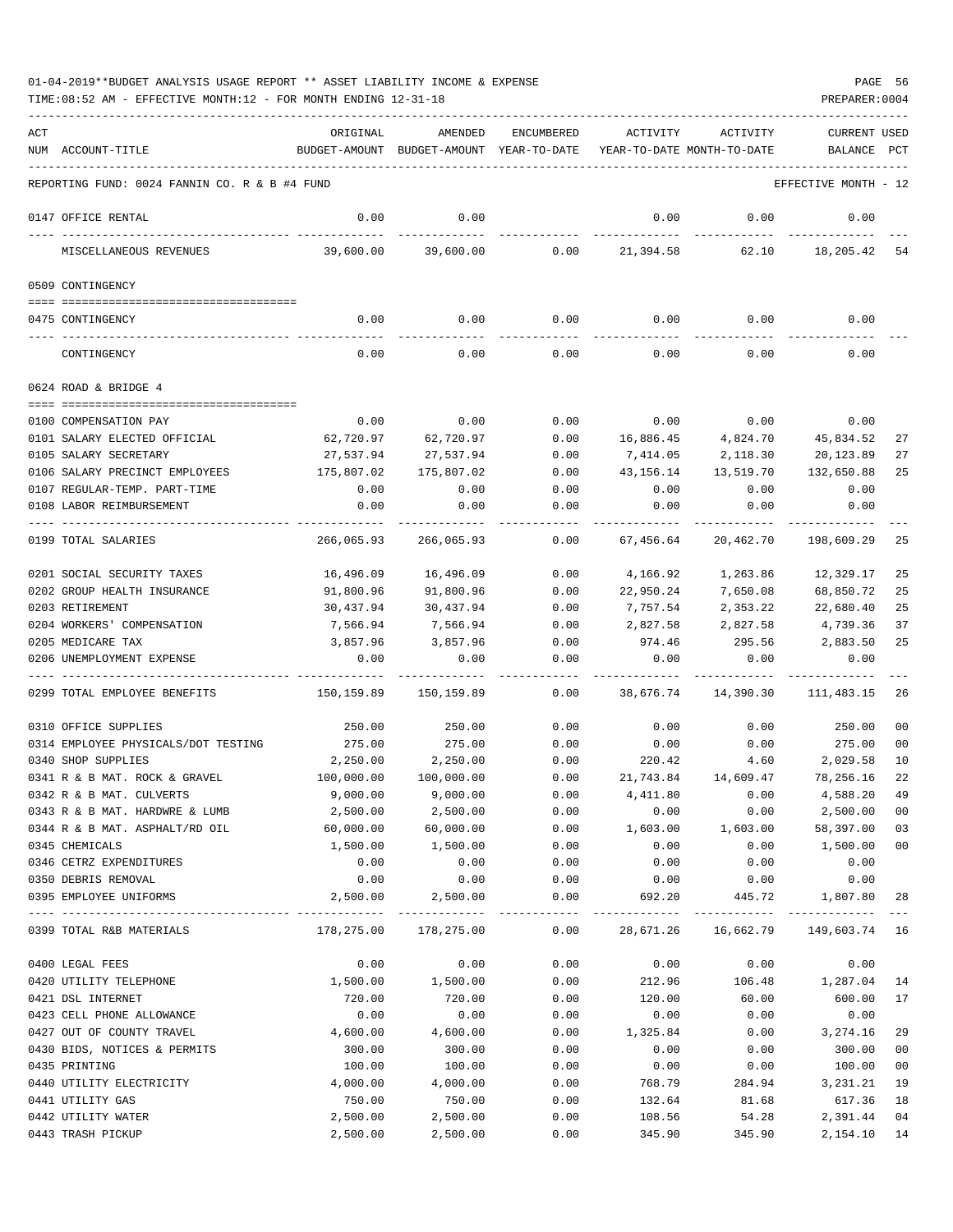| ACT |                                               | ORIGINAL   | AMENDED                                   | ENCUMBERED          | ACTIVITY              | ACTIVITY                   | <b>CURRENT USED</b>  |                |
|-----|-----------------------------------------------|------------|-------------------------------------------|---------------------|-----------------------|----------------------------|----------------------|----------------|
|     | NUM ACCOUNT-TITLE                             |            | BUDGET-AMOUNT BUDGET-AMOUNT YEAR-TO-DATE  |                     |                       | YEAR-TO-DATE MONTH-TO-DATE | BALANCE              | PCT            |
|     | REPORTING FUND: 0024 FANNIN CO. R & B #4 FUND |            |                                           |                     |                       |                            | EFFECTIVE MONTH - 12 |                |
|     | 0147 OFFICE RENTAL                            | 0.00       | 0.00                                      |                     | 0.00                  | 0.00                       | 0.00                 |                |
|     | MISCELLANEOUS REVENUES                        | 39,600.00  | 39,600.00                                 | 0.00                | 21,394.58             | 62.10                      | 18,205.42            | 54             |
|     | 0509 CONTINGENCY                              |            |                                           |                     |                       |                            |                      |                |
|     | 0475 CONTINGENCY                              | 0.00       | 0.00                                      | 0.00                |                       | $0.00$ 0.00                | 0.00                 |                |
|     | CONTINGENCY                                   | 0.00       | 0.00                                      | 0.00                | 0.00                  | 0.00                       | 0.00                 |                |
|     | 0624 ROAD & BRIDGE 4                          |            |                                           |                     |                       |                            |                      |                |
|     | 0100 COMPENSATION PAY                         | 0.00       | 0.00                                      | 0.00                | 0.00                  | 0.00                       | 0.00                 |                |
|     | 0101 SALARY ELECTED OFFICIAL                  | 62,720.97  | 62,720.97                                 | 0.00                | 16,886.45             | 4,824.70                   | 45,834.52            | 27             |
|     | 0105 SALARY SECRETARY                         | 27,537.94  | 27,537.94                                 | 0.00                | 7,414.05              | 2,118.30                   | 20,123.89            | 27             |
|     | 0106 SALARY PRECINCT EMPLOYEES                | 175,807.02 | 175,807.02                                | 0.00                | 43,156.14             | 13,519.70                  | 132,650.88           | 25             |
|     | 0107 REGULAR-TEMP. PART-TIME                  | 0.00       | 0.00                                      | 0.00                | 0.00                  | 0.00                       | 0.00                 |                |
|     | 0108 LABOR REIMBURSEMENT                      | 0.00       | 0.00                                      | 0.00                | 0.00                  | 0.00                       | 0.00                 |                |
|     |                                               |            |                                           |                     |                       |                            |                      |                |
|     | 0199 TOTAL SALARIES                           | 266,065.93 | 266,065.93                                | 0.00                | 67,456.64             | 20,462.70                  | 198,609.29           | 25             |
|     | 0201 SOCIAL SECURITY TAXES                    | 16,496.09  | 16,496.09                                 | 0.00                | 4,166.92              | 1,263.86                   | 12,329.17            | 25             |
|     | 0202 GROUP HEALTH INSURANCE                   | 91,800.96  | 91,800.96                                 | 0.00                | 22,950.24             | 7,650.08                   | 68,850.72            | 25             |
|     | 0203 RETIREMENT                               | 30,437.94  | 30,437.94                                 | 0.00                | 7,757.54              | 2,353.22                   | 22,680.40            | 25             |
|     | 0204 WORKERS' COMPENSATION                    | 7,566.94   | 7,566.94                                  | 0.00                | 2,827.58              | 2,827.58                   | 4,739.36             | 37             |
|     | 0205 MEDICARE TAX                             | 3,857.96   | 3,857.96                                  | 0.00                | 974.46                | 295.56                     | 2,883.50             | 25             |
|     | 0206 UNEMPLOYMENT EXPENSE                     | 0.00       | 0.00                                      | 0.00<br>$- - - - -$ | 0.00                  | 0.00                       | 0.00                 |                |
|     | 0299 TOTAL EMPLOYEE BENEFITS                  | 150,159.89 | 150,159.89                                | 0.00                | 38,676.74             | 14,390.30                  | 111,483.15           | 26             |
|     | 0310 OFFICE SUPPLIES                          | 250.00     | 250.00                                    | 0.00                | 0.00                  | 0.00                       | 250.00               | 0 <sub>0</sub> |
|     | 0314 EMPLOYEE PHYSICALS/DOT TESTING           | 275.00     | 275.00                                    | 0.00                | 0.00                  | 0.00                       | 275.00               | 00             |
|     | 0340 SHOP SUPPLIES                            | 2,250.00   | 2,250.00                                  | 0.00                | 220.42                | 4.60                       | 2,029.58             | 10             |
|     | 0341 R & B MAT. ROCK & GRAVEL                 | 100,000.00 | 100,000.00                                | 0.00                | 21,743.84             | 14,609.47                  | 78,256.16            | 22             |
|     | 0342 R & B MAT. CULVERTS                      | 9,000.00   | 9,000.00                                  | 0.00                | 4,411.80              | 0.00                       | 4,588.20             | 49             |
|     | 0343 R & B MAT. HARDWRE & LUMB                | 2,500.00   | 2,500.00                                  | 0.00                | 0.00                  | 0.00                       | 2,500.00             | 00             |
|     | 0344 R & B MAT. ASPHALT/RD OIL                | 60,000.00  | 60,000.00                                 | 0.00                | 1,603.00              | 1,603.00                   | 58,397.00            | 03             |
|     | 0345 CHEMICALS                                | 1,500.00   | 1,500.00                                  | 0.00                | 0.00                  | 0.00                       | 1,500.00             | 00             |
|     | 0346 CETRZ EXPENDITURES                       | 0.00       | 0.00                                      | 0.00                | 0.00                  | 0.00                       | 0.00                 |                |
|     | 0350 DEBRIS REMOVAL                           | 0.00       | 0.00                                      | 0.00                | 0.00                  | 0.00                       | 0.00                 |                |
|     | 0395 EMPLOYEE UNIFORMS                        | 2,500.00   | 2,500.00<br>----------------------------- | 0.00                | 692.20<br>----------- | 445.72                     | 1,807.80             | 28             |
|     | 0399 TOTAL R&B MATERIALS                      | 178,275.00 | 178,275.00                                | 0.00                | 28,671.26             | 16,662.79                  | 149,603.74 16        |                |
|     | 0400 LEGAL FEES                               | 0.00       | 0.00                                      | 0.00                | 0.00                  | 0.00                       | 0.00                 |                |
|     | 0420 UTILITY TELEPHONE                        | 1,500.00   | 1,500.00                                  | 0.00                | 212.96                | 106.48                     | 1,287.04             | -14            |
|     | 0421 DSL INTERNET                             | 720.00     | 720.00                                    | 0.00                | 120.00                | 60.00                      | 600.00               | 17             |
|     | 0423 CELL PHONE ALLOWANCE                     | 0.00       | 0.00                                      | 0.00                | 0.00                  | 0.00                       | 0.00                 |                |
|     | 0427 OUT OF COUNTY TRAVEL                     | 4,600.00   | 4,600.00                                  | 0.00                | 1,325.84              | 0.00                       | 3,274.16             | 29             |
|     | 0430 BIDS, NOTICES & PERMITS                  | 300.00     | 300.00                                    | 0.00                | 0.00                  | 0.00                       | 300.00               | 0 <sub>0</sub> |
|     | 0435 PRINTING                                 | 100.00     | 100.00                                    | 0.00                | 0.00                  | 0.00                       | 100.00               | 00             |
|     | 0440 UTILITY ELECTRICITY                      | 4,000.00   | 4,000.00                                  | 0.00                | 768.79                | 284.94                     | 3,231.21             | 19             |
|     | 0441 UTILITY GAS                              | 750.00     | 750.00                                    | 0.00                | 132.64                | 81.68                      | 617.36               | 18             |
|     | 0442 UTILITY WATER                            | 2,500.00   | 2,500.00                                  | 0.00                | 108.56                | 54.28                      | 2,391.44             | 04             |
|     | 0443 TRASH PICKUP                             | 2,500.00   | 2,500.00                                  | 0.00                | 345.90                | 345.90                     | 2, 154. 10 14        |                |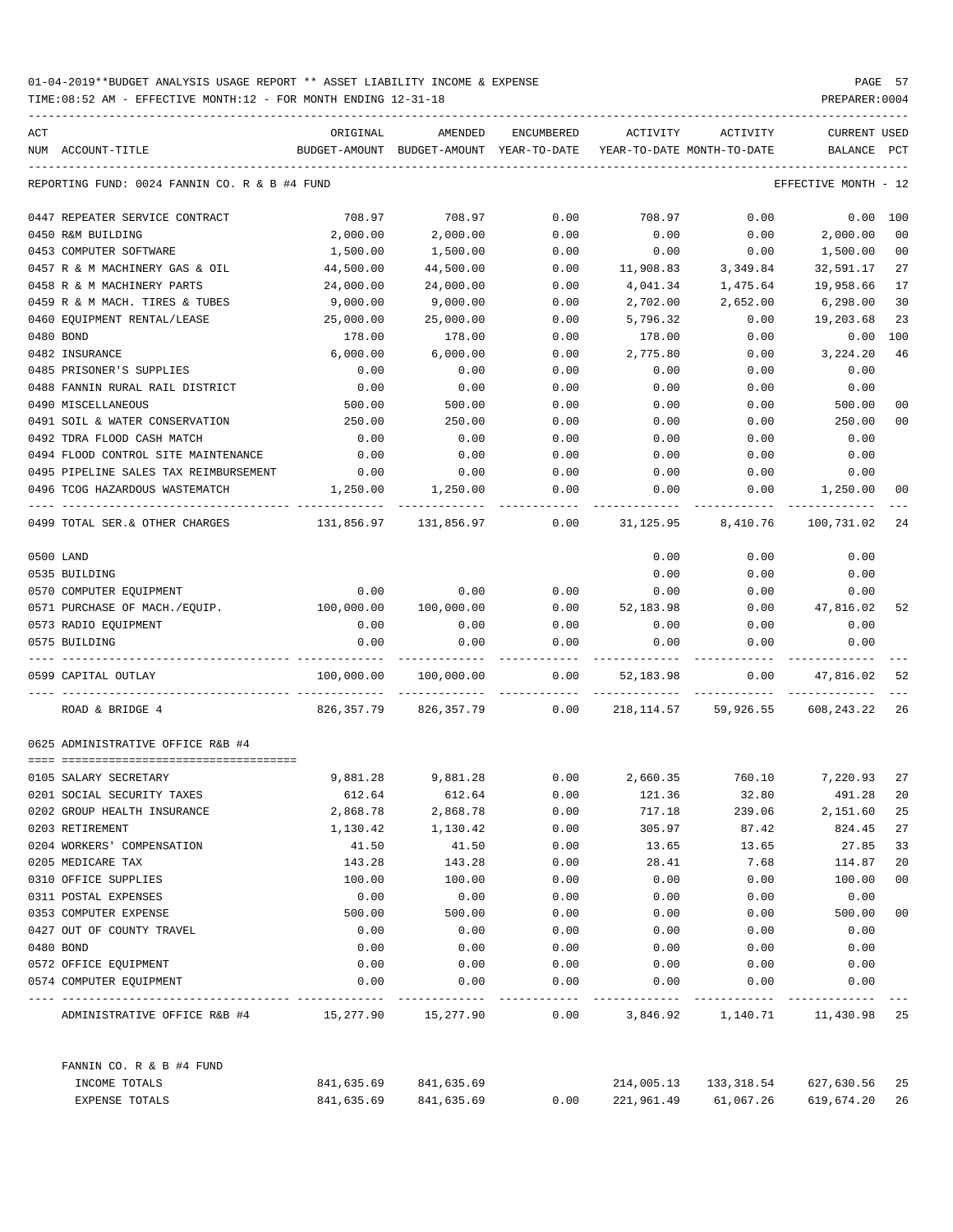| ACT |                                               | ORIGINAL   | AMENDED                                  | ENCUMBERED | ACTIVITY                   | ACTIVITY          | <b>CURRENT USED</b>  |                |
|-----|-----------------------------------------------|------------|------------------------------------------|------------|----------------------------|-------------------|----------------------|----------------|
|     | NUM ACCOUNT-TITLE                             |            | BUDGET-AMOUNT BUDGET-AMOUNT YEAR-TO-DATE |            | YEAR-TO-DATE MONTH-TO-DATE |                   | BALANCE              | PCT            |
|     | REPORTING FUND: 0024 FANNIN CO. R & B #4 FUND |            |                                          |            |                            |                   | EFFECTIVE MONTH - 12 |                |
|     | 0447 REPEATER SERVICE CONTRACT                | 708.97     | 708.97                                   | 0.00       | 708.97                     | 0.00              | 0.00                 | 100            |
|     | 0450 R&M BUILDING                             | 2,000.00   | 2,000.00                                 | 0.00       | 0.00                       | 0.00              | 2,000.00             | 0 <sub>0</sub> |
|     | 0453 COMPUTER SOFTWARE                        | 1,500.00   | 1,500.00                                 | 0.00       | 0.00                       | 0.00              | 1,500.00             | 0 <sub>0</sub> |
|     | 0457 R & M MACHINERY GAS & OIL                | 44,500.00  | 44,500.00                                | 0.00       | 11,908.83                  | 3,349.84          | 32,591.17            | 27             |
|     | 0458 R & M MACHINERY PARTS                    | 24,000.00  | 24,000.00                                | 0.00       | 4,041.34                   | 1,475.64          | 19,958.66            | 17             |
|     | 0459 R & M MACH. TIRES & TUBES                | 9,000.00   | 9,000.00                                 | 0.00       | 2,702.00                   | 2,652.00          | 6,298.00             | 30             |
|     | 0460 EQUIPMENT RENTAL/LEASE                   | 25,000.00  | 25,000.00                                | 0.00       | 5,796.32                   | 0.00              | 19,203.68            | 23             |
|     | 0480 BOND                                     | 178.00     | 178.00                                   | 0.00       | 178.00                     | 0.00              | 0.00                 | 100            |
|     | 0482 INSURANCE                                | 6,000.00   | 6,000.00                                 | 0.00       | 2,775.80                   | 0.00              | 3,224.20             | 46             |
|     | 0485 PRISONER'S SUPPLIES                      | 0.00       | 0.00                                     | 0.00       | 0.00                       | 0.00              | 0.00                 |                |
|     | 0488 FANNIN RURAL RAIL DISTRICT               | 0.00       | 0.00                                     | 0.00       | 0.00                       | 0.00              | 0.00                 |                |
|     | 0490 MISCELLANEOUS                            | 500.00     | 500.00                                   | 0.00       | 0.00                       | 0.00              | 500.00               | 0 <sub>0</sub> |
|     | 0491 SOIL & WATER CONSERVATION                | 250.00     | 250.00                                   | 0.00       | 0.00                       | 0.00              | 250.00               | 00             |
|     | 0492 TDRA FLOOD CASH MATCH                    | 0.00       | 0.00                                     | 0.00       | 0.00                       | 0.00              | 0.00                 |                |
|     | 0494 FLOOD CONTROL SITE MAINTENANCE           | 0.00       | 0.00                                     | 0.00       | 0.00                       | 0.00              | 0.00                 |                |
|     | 0495 PIPELINE SALES TAX REIMBURSEMENT         | 0.00       | 0.00                                     | 0.00       | 0.00                       | 0.00              | 0.00                 |                |
|     | 0496 TCOG HAZARDOUS WASTEMATCH                | 1,250.00   | 1,250.00                                 | 0.00       | 0.00                       | 0.00              | 1,250.00             | 00             |
|     | 0499 TOTAL SER. & OTHER CHARGES               | 131,856.97 | 131,856.97                               | 0.00       | 31,125.95                  | 8,410.76          | 100,731.02           | 24             |
|     | 0500 LAND                                     |            |                                          |            | 0.00                       | 0.00              | 0.00                 |                |
|     | 0535 BUILDING                                 |            |                                          |            | 0.00                       | 0.00              | 0.00                 |                |
|     | 0570 COMPUTER EQUIPMENT                       | 0.00       | 0.00                                     | 0.00       | 0.00                       | 0.00              | 0.00                 |                |
|     | 0571 PURCHASE OF MACH./EQUIP.                 | 100,000.00 | 100,000.00                               | 0.00       | 52,183.98                  | 0.00              | 47,816.02            | 52             |
|     | 0573 RADIO EQUIPMENT                          | 0.00       | 0.00                                     | 0.00       | 0.00                       | 0.00              | 0.00                 |                |
|     | 0575 BUILDING                                 | 0.00       | 0.00                                     | 0.00       | 0.00                       | 0.00              | 0.00                 |                |
|     | 0599 CAPITAL OUTLAY                           | 100,000.00 | 100,000.00                               | 0.00       | 52,183.98                  | 0.00              | 47,816.02            | 52             |
|     | ROAD & BRIDGE 4                               | 826,357.79 | 826,357.79                               | 0.00       | 218,114.57                 | 59,926.55         | 608,243.22           | 26             |
|     | 0625 ADMINISTRATIVE OFFICE R&B #4             |            |                                          |            |                            |                   |                      |                |
|     |                                               |            |                                          |            |                            |                   |                      |                |
|     | 0105 SALARY SECRETARY                         | 9,881.28   | 9,881.28                                 | 0.00       | 2,660.35                   | 760.10            | 7,220.93             | 27             |
|     | 0201 SOCIAL SECURITY TAXES                    | 612.64     | 612.64                                   | 0.00       | 121.36                     | 32.80             | 491.28               | 20             |
|     | 0202 GROUP HEALTH INSURANCE                   | 2,868.78   | 2,868.78                                 | 0.00       | 717.18                     | 239.06            | 2,151.60             | 25             |
|     | 0203 RETIREMENT                               | 1,130.42   | 1,130.42                                 | 0.00       | 305.97                     | 87.42             | 824.45               | 27             |
|     | 0204 WORKERS' COMPENSATION                    | 41.50      | 41.50                                    | 0.00       | 13.65                      | 13.65             | 27.85                | 33             |
|     | 0205 MEDICARE TAX                             | 143.28     | 143.28                                   | 0.00       | 28.41                      | 7.68              | 114.87               | 20             |
|     | 0310 OFFICE SUPPLIES                          | 100.00     | 100.00                                   | 0.00       | 0.00                       | 0.00              | 100.00               | 00             |
|     | 0311 POSTAL EXPENSES                          | 0.00       | 0.00                                     | 0.00       | 0.00                       | 0.00              | 0.00                 |                |
|     | 0353 COMPUTER EXPENSE                         | 500.00     | 500.00                                   | 0.00       | 0.00                       | 0.00              | 500.00               | 00             |
|     | 0427 OUT OF COUNTY TRAVEL                     | 0.00       | 0.00                                     | 0.00       | 0.00                       | 0.00              | 0.00                 |                |
|     | 0480 BOND                                     | 0.00       | 0.00                                     | 0.00       | 0.00                       | 0.00              | 0.00                 |                |
|     | 0572 OFFICE EQUIPMENT                         | 0.00       | 0.00                                     | 0.00       | 0.00                       | 0.00              | 0.00                 |                |
|     | 0574 COMPUTER EQUIPMENT                       | 0.00       | 0.00                                     | 0.00       | 0.00                       | 0.00              | 0.00                 |                |
|     | ADMINISTRATIVE OFFICE R&B #4 15,277.90        |            | 15,277.90                                | 0.00       |                            | 3,846.92 1,140.71 | 11,430.98 25         |                |
|     | FANNIN CO. R & B #4 FUND                      |            |                                          |            |                            |                   |                      |                |
|     | INCOME TOTALS                                 | 841,635.69 | 841,635.69                               |            | 214,005.13                 | 133,318.54        | 627,630.56           | 25             |
|     | EXPENSE TOTALS                                | 841,635.69 | 841,635.69                               | 0.00       | 221,961.49                 | 61,067.26         | 619,674.20           | 26             |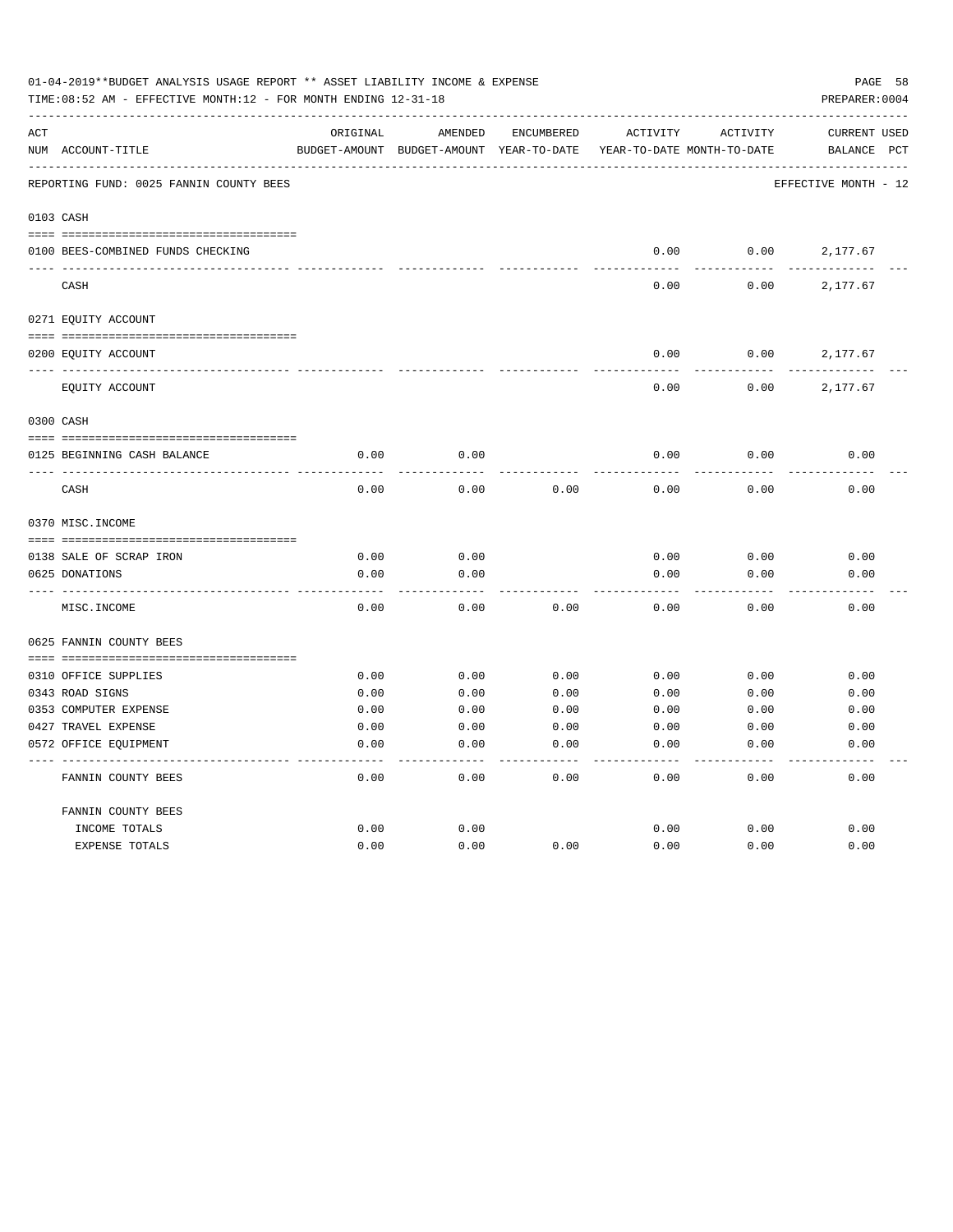|     | 01-04-2019**BUDGET ANALYSIS USAGE REPORT ** ASSET LIABILITY INCOME & EXPENSE<br>TIME:08:52 AM - EFFECTIVE MONTH:12 - FOR MONTH ENDING 12-31-18 |          |                                          |            |                            |          |                      |  |  |
|-----|------------------------------------------------------------------------------------------------------------------------------------------------|----------|------------------------------------------|------------|----------------------------|----------|----------------------|--|--|
| ACT |                                                                                                                                                | ORIGINAL | AMENDED                                  | ENCUMBERED | ACTIVITY                   | ACTIVITY | CURRENT USED         |  |  |
|     | NUM ACCOUNT-TITLE                                                                                                                              |          | BUDGET-AMOUNT BUDGET-AMOUNT YEAR-TO-DATE |            | YEAR-TO-DATE MONTH-TO-DATE |          | BALANCE PCT          |  |  |
|     | REPORTING FUND: 0025 FANNIN COUNTY BEES                                                                                                        |          |                                          |            |                            |          | EFFECTIVE MONTH - 12 |  |  |
|     | 0103 CASH                                                                                                                                      |          |                                          |            |                            |          |                      |  |  |
|     | 0100 BEES-COMBINED FUNDS CHECKING                                                                                                              |          |                                          |            | 0.00                       | 0.00     | 2,177.67             |  |  |
|     |                                                                                                                                                |          |                                          |            |                            |          |                      |  |  |
|     | CASH                                                                                                                                           |          |                                          |            | 0.00                       | 0.00     | 2,177.67             |  |  |
|     | 0271 EQUITY ACCOUNT                                                                                                                            |          |                                          |            |                            |          |                      |  |  |
|     |                                                                                                                                                |          |                                          |            |                            |          |                      |  |  |
|     | 0200 EQUITY ACCOUNT                                                                                                                            |          |                                          |            | 0.00                       | 0.00     | 2,177.67             |  |  |
|     | EQUITY ACCOUNT                                                                                                                                 |          |                                          |            | 0.00                       | 0.00     | 2,177.67             |  |  |
|     | 0300 CASH                                                                                                                                      |          |                                          |            |                            |          |                      |  |  |
|     |                                                                                                                                                |          |                                          |            |                            |          |                      |  |  |
|     | 0125 BEGINNING CASH BALANCE                                                                                                                    | 0.00     | 0.00                                     |            | 0.00                       | 0.00     | 0.00                 |  |  |
|     | CASH                                                                                                                                           | 0.00     | 0.00                                     | 0.00       | 0.00                       | 0.00     | 0.00                 |  |  |
|     | 0370 MISC. INCOME                                                                                                                              |          |                                          |            |                            |          |                      |  |  |
|     |                                                                                                                                                |          |                                          |            |                            |          |                      |  |  |
|     | 0138 SALE OF SCRAP IRON                                                                                                                        | 0.00     | 0.00                                     |            | 0.00                       | 0.00     | 0.00                 |  |  |
|     | 0625 DONATIONS                                                                                                                                 | 0.00     | 0.00                                     |            | 0.00                       | 0.00     | 0.00                 |  |  |
|     | MISC. INCOME                                                                                                                                   | 0.00     | 0.00                                     | 0.00       | 0.00                       | 0.00     | 0.00                 |  |  |
|     | 0625 FANNIN COUNTY BEES                                                                                                                        |          |                                          |            |                            |          |                      |  |  |
|     | 0310 OFFICE SUPPLIES                                                                                                                           | 0.00     | 0.00                                     | 0.00       | 0.00                       | 0.00     | 0.00                 |  |  |
|     | 0343 ROAD SIGNS                                                                                                                                | 0.00     | 0.00                                     | 0.00       | 0.00                       | 0.00     | 0.00                 |  |  |
|     | 0353 COMPUTER EXPENSE                                                                                                                          | 0.00     | 0.00                                     | 0.00       | 0.00                       | 0.00     | 0.00                 |  |  |
|     | 0427 TRAVEL EXPENSE                                                                                                                            | 0.00     | 0.00                                     | 0.00       | 0.00                       | 0.00     | 0.00                 |  |  |
|     | 0572 OFFICE EQUIPMENT                                                                                                                          | 0.00     | 0.00                                     | 0.00       | 0.00                       | 0.00     | 0.00                 |  |  |
|     | FANNIN COUNTY BEES                                                                                                                             | 0.00     | 0.00                                     | 0.00       | 0.00                       | 0.00     | 0.00                 |  |  |
|     | FANNIN COUNTY BEES                                                                                                                             |          |                                          |            |                            |          |                      |  |  |
|     | INCOME TOTALS                                                                                                                                  | 0.00     | 0.00                                     |            | 0.00                       | 0.00     | 0.00                 |  |  |
|     | EXPENSE TOTALS                                                                                                                                 | 0.00     | 0.00                                     | 0.00       | 0.00                       | 0.00     | 0.00                 |  |  |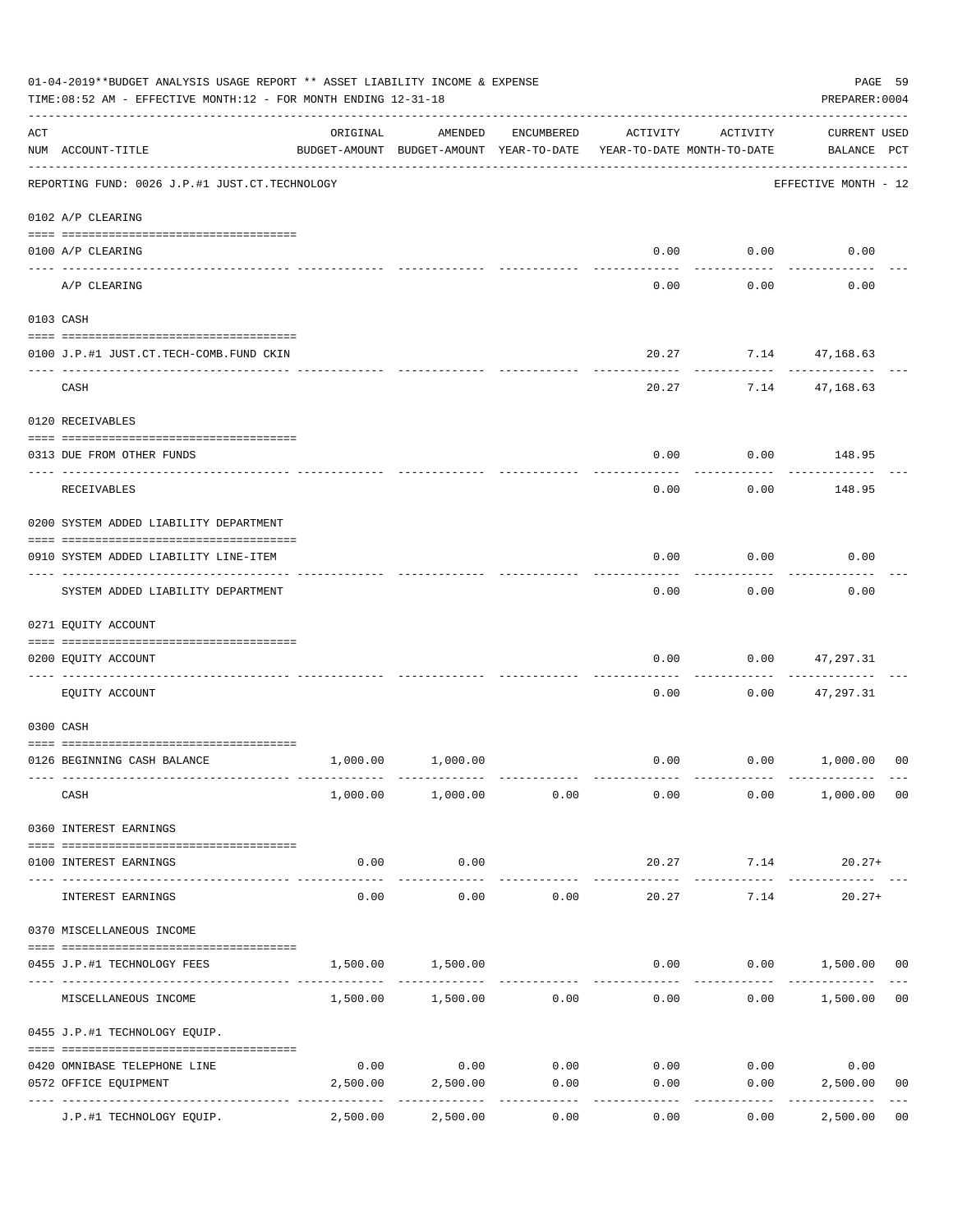|     | 01-04-2019**BUDGET ANALYSIS USAGE REPORT ** ASSET LIABILITY INCOME & EXPENSE<br>TIME: 08:52 AM - EFFECTIVE MONTH: 12 - FOR MONTH ENDING 12-31-18 |                     |                                                     |            |                                        |                          |                                    |                |  |  |
|-----|--------------------------------------------------------------------------------------------------------------------------------------------------|---------------------|-----------------------------------------------------|------------|----------------------------------------|--------------------------|------------------------------------|----------------|--|--|
| ACT | NUM ACCOUNT-TITLE                                                                                                                                | ORIGINAL            | AMENDED<br>BUDGET-AMOUNT BUDGET-AMOUNT YEAR-TO-DATE | ENCUMBERED | ACTIVITY<br>YEAR-TO-DATE MONTH-TO-DATE | ACTIVITY                 | <b>CURRENT USED</b><br>BALANCE PCT |                |  |  |
|     | REPORTING FUND: 0026 J.P.#1 JUST.CT.TECHNOLOGY                                                                                                   |                     |                                                     |            |                                        |                          | EFFECTIVE MONTH - 12               |                |  |  |
|     | 0102 A/P CLEARING                                                                                                                                |                     |                                                     |            |                                        |                          |                                    |                |  |  |
|     | 0100 A/P CLEARING                                                                                                                                |                     |                                                     |            |                                        | $0.00$ $0.00$            | 0.00                               |                |  |  |
|     | A/P CLEARING                                                                                                                                     |                     |                                                     |            | 0.00                                   | 0.00                     | 0.00                               |                |  |  |
|     | 0103 CASH                                                                                                                                        |                     |                                                     |            |                                        |                          |                                    |                |  |  |
|     | 0100 J.P.#1 JUST.CT.TECH-COMB.FUND CKIN                                                                                                          |                     |                                                     |            |                                        | 20.27 7.14 47,168.63     |                                    |                |  |  |
|     | CASH                                                                                                                                             |                     |                                                     |            | 20.27                                  |                          | -------------<br>7.14 47,168.63    |                |  |  |
|     | 0120 RECEIVABLES                                                                                                                                 |                     |                                                     |            |                                        |                          |                                    |                |  |  |
|     | 0313 DUE FROM OTHER FUNDS                                                                                                                        |                     |                                                     |            | 0.00                                   |                          | $0.00$ 148.95                      |                |  |  |
|     |                                                                                                                                                  |                     |                                                     |            |                                        |                          |                                    |                |  |  |
|     | RECEIVABLES                                                                                                                                      |                     |                                                     |            | 0.00                                   | 0.00                     | 148.95                             |                |  |  |
|     | 0200 SYSTEM ADDED LIABILITY DEPARTMENT                                                                                                           |                     |                                                     |            |                                        |                          |                                    |                |  |  |
|     | 0910 SYSTEM ADDED LIABILITY LINE-ITEM                                                                                                            |                     |                                                     |            | 0.00                                   | 0.00<br>.                | 0.00                               |                |  |  |
|     | SYSTEM ADDED LIABILITY DEPARTMENT                                                                                                                |                     |                                                     |            | 0.00                                   | 0.00                     | 0.00                               |                |  |  |
|     | 0271 EQUITY ACCOUNT                                                                                                                              |                     |                                                     |            |                                        |                          |                                    |                |  |  |
|     | 0200 EQUITY ACCOUNT                                                                                                                              |                     |                                                     |            | 0.00                                   | 0.00                     | 47,297.31                          |                |  |  |
|     | EQUITY ACCOUNT                                                                                                                                   |                     |                                                     |            | 0.00                                   | 0.00                     | 47,297.31                          |                |  |  |
|     | 0300 CASH                                                                                                                                        |                     |                                                     |            |                                        |                          |                                    |                |  |  |
|     | 0126 BEGINNING CASH BALANCE                                                                                                                      | 1,000.00            | 1,000.00                                            |            |                                        | $0.00$ $0.00$ $1,000.00$ |                                    | 00             |  |  |
|     | CASH                                                                                                                                             |                     | 1,000.00 1,000.00 0.00                              |            | 0.00                                   | 0.00                     | 1,000.00 00                        |                |  |  |
|     | 0360 INTEREST EARNINGS                                                                                                                           |                     |                                                     |            |                                        |                          |                                    |                |  |  |
|     | 0100 INTEREST EARNINGS                                                                                                                           | 0.00                | 0.00                                                |            | 20.27                                  | 7.14                     | $20.27+$                           |                |  |  |
|     | INTEREST EARNINGS                                                                                                                                | $- - - - -$<br>0.00 | ----------<br>0.00                                  | 0.00       | 20.27                                  | 7.14                     | $20.27+$                           |                |  |  |
|     | 0370 MISCELLANEOUS INCOME                                                                                                                        |                     |                                                     |            |                                        |                          |                                    |                |  |  |
|     | 0455 J.P.#1 TECHNOLOGY FEES                                                                                                                      | 1,500.00            | 1,500.00                                            |            | 0.00                                   |                          | $0.00$ 1,500.00 00                 |                |  |  |
|     | MISCELLANEOUS INCOME                                                                                                                             |                     | 1,500.00 1,500.00 0.00                              |            | 0.00                                   | 0.00                     | 1,500.00                           | 0 <sub>0</sub> |  |  |
|     | 0455 J.P.#1 TECHNOLOGY EQUIP.                                                                                                                    |                     |                                                     |            |                                        |                          |                                    |                |  |  |
|     | 0420 OMNIBASE TELEPHONE LINE                                                                                                                     | 0.00                | 0.00                                                | 0.00       | 0.00                                   | 0.00                     | 0.00                               |                |  |  |
|     | 0572 OFFICE EQUIPMENT                                                                                                                            | 2,500.00            | 2,500.00                                            | 0.00       | 0.00                                   | 0.00                     | 2,500.00                           | 0 <sub>0</sub> |  |  |
|     | J.P.#1 TECHNOLOGY EQUIP.                                                                                                                         | 2,500.00            | 2,500.00                                            | 0.00       | 0.00                                   | 0.00                     | 2,500.00                           | 0 <sub>0</sub> |  |  |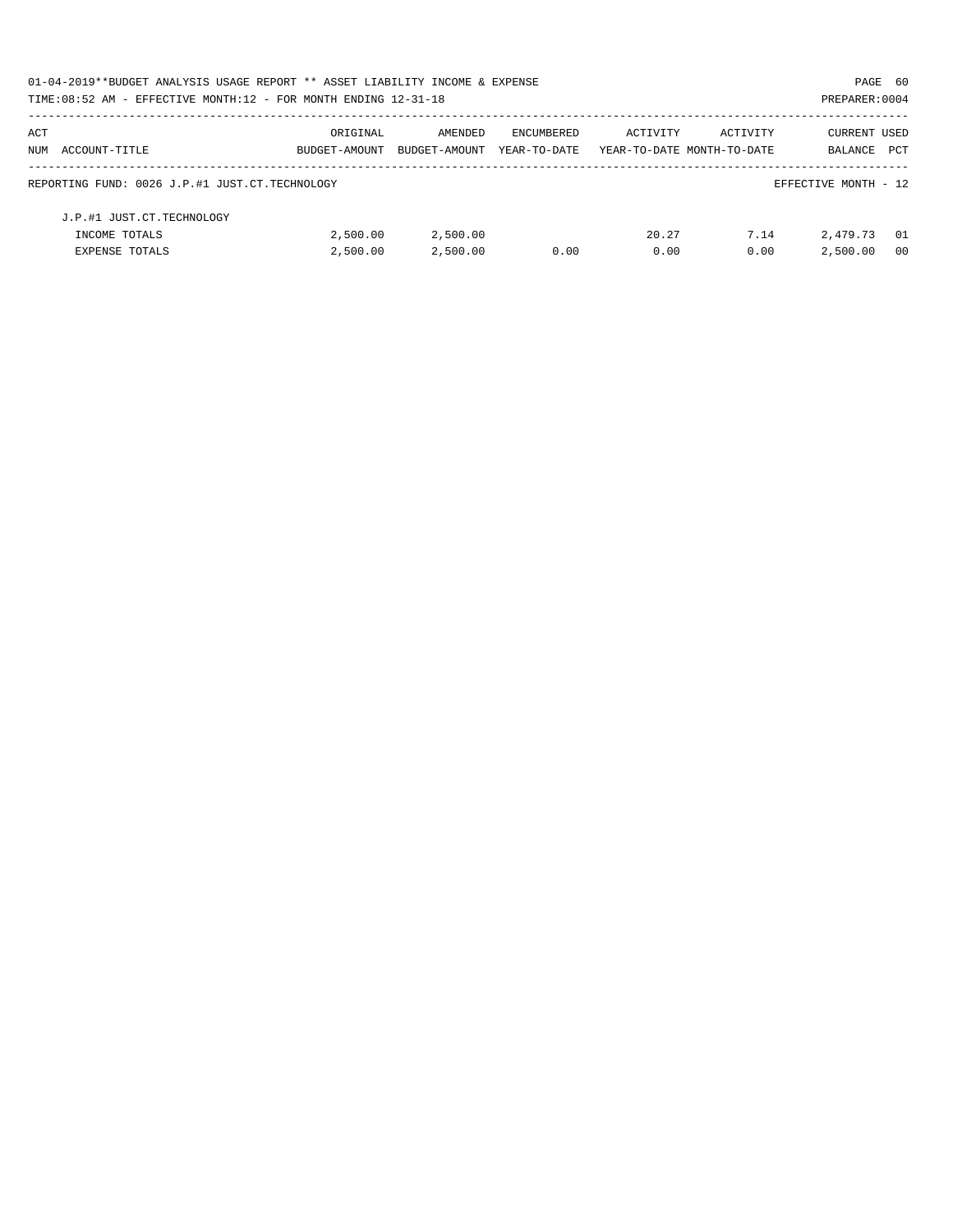| 01-04-2019**BUDGET ANALYSIS USAGE REPORT ** ASSET LIABILITY INCOME & EXPENSE |               |               |              |                            |          | PAGE 60              |                |
|------------------------------------------------------------------------------|---------------|---------------|--------------|----------------------------|----------|----------------------|----------------|
| TIME: 08:52 AM - EFFECTIVE MONTH: 12 - FOR MONTH ENDING 12-31-18             |               |               |              |                            |          | PREPARER: 0004       |                |
| ACT                                                                          | ORIGINAL      | AMENDED       | ENCUMBERED   | ACTIVITY                   | ACTIVITY | <b>CURRENT USED</b>  |                |
| NUM ACCOUNT-TITLE                                                            | BUDGET-AMOUNT | BUDGET-AMOUNT | YEAR-TO-DATE | YEAR-TO-DATE MONTH-TO-DATE |          | BALANCE              | PCT            |
| REPORTING FUND: 0026 J.P.#1 JUST.CT.TECHNOLOGY                               |               |               |              |                            |          | EFFECTIVE MONTH - 12 |                |
| J.P.#1 JUST.CT.TECHNOLOGY                                                    |               |               |              |                            |          |                      |                |
| INCOME TOTALS                                                                | 2,500.00      | 2,500.00      |              | 20.27                      | 7.14     | 2,479.73             | - 01           |
| <b>EXPENSE TOTALS</b>                                                        | 2.500.00      | 2,500.00      | 0.00         | 0.00                       | 0.00     | 2,500.00             | 0 <sub>0</sub> |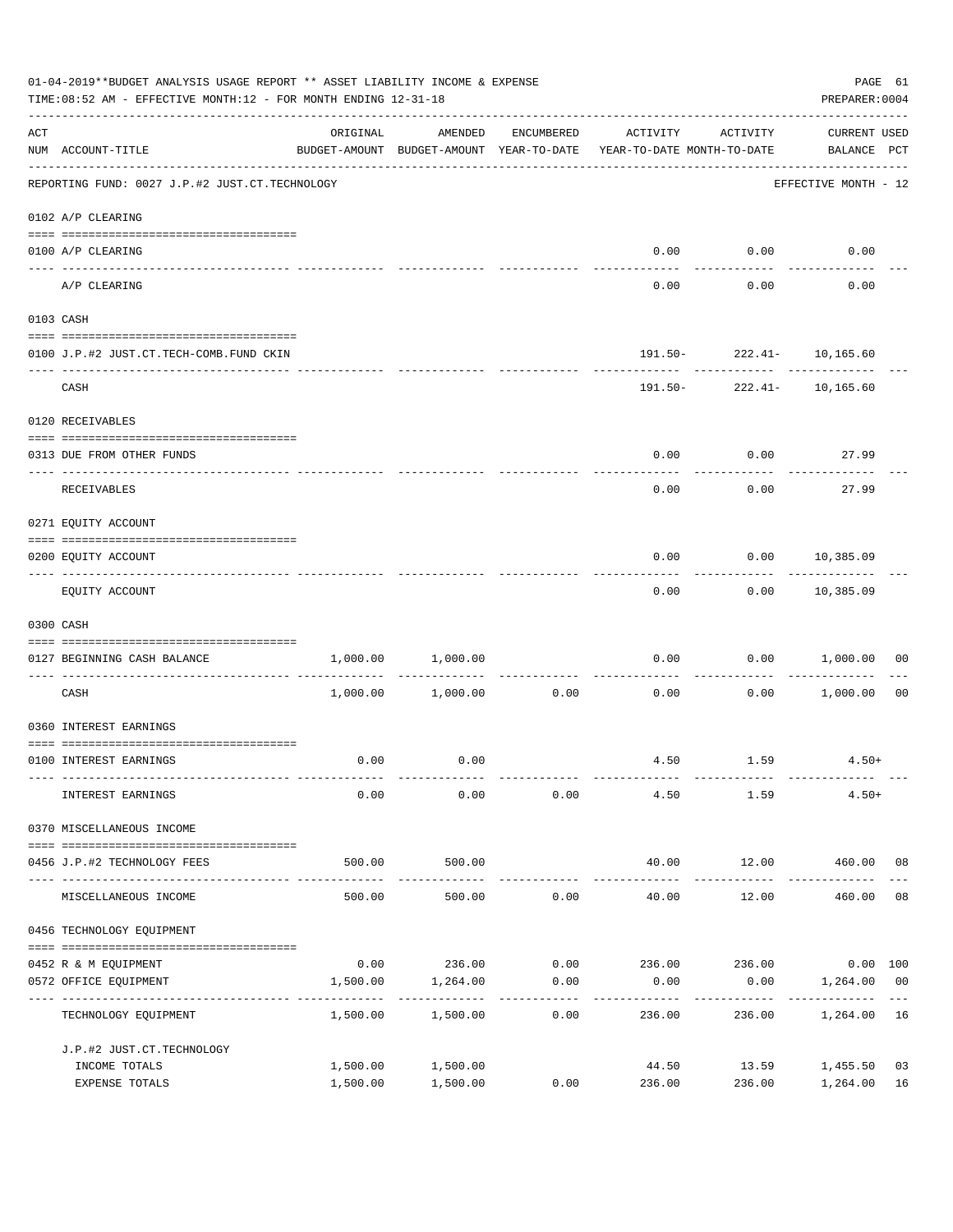|     | 01-04-2019**BUDGET ANALYSIS USAGE REPORT ** ASSET LIABILITY INCOME & EXPENSE<br>TIME: 08:52 AM - EFFECTIVE MONTH: 12 - FOR MONTH ENDING 12-31-18 |                                                                                 |                            |                     |                                             |                               |                                    |                |  |  |
|-----|--------------------------------------------------------------------------------------------------------------------------------------------------|---------------------------------------------------------------------------------|----------------------------|---------------------|---------------------------------------------|-------------------------------|------------------------------------|----------------|--|--|
| ACT | NUM ACCOUNT-TITLE                                                                                                                                | ORIGINAL<br>BUDGET-AMOUNT BUDGET-AMOUNT YEAR-TO-DATE YEAR-TO-DATE MONTH-TO-DATE | AMENDED                    | ENCUMBERED          | ACTIVITY                                    | ACTIVITY                      | <b>CURRENT USED</b><br>BALANCE PCT |                |  |  |
|     | REPORTING FUND: 0027 J.P.#2 JUST.CT.TECHNOLOGY                                                                                                   |                                                                                 |                            |                     |                                             |                               | EFFECTIVE MONTH - 12               |                |  |  |
|     | 0102 A/P CLEARING                                                                                                                                |                                                                                 |                            |                     |                                             |                               |                                    |                |  |  |
|     | 0100 A/P CLEARING                                                                                                                                |                                                                                 |                            |                     | 0.00                                        | 0.00                          | 0.00                               |                |  |  |
|     | ------------------------- -----------<br>---- ----------<br>A/P CLEARING                                                                         |                                                                                 |                            |                     | 0.00                                        | 0.00                          | 0.00                               |                |  |  |
|     | 0103 CASH                                                                                                                                        |                                                                                 |                            |                     |                                             |                               |                                    |                |  |  |
|     |                                                                                                                                                  |                                                                                 |                            |                     |                                             |                               |                                    |                |  |  |
|     | 0100 J.P.#2 JUST.CT.TECH-COMB.FUND CKIN                                                                                                          |                                                                                 |                            |                     | . <u>.</u> .                                | 191.50- 222.41- 10,165.60     |                                    |                |  |  |
|     | CASH                                                                                                                                             |                                                                                 |                            |                     |                                             | 191.50- 222.41- 10,165.60     |                                    |                |  |  |
|     | 0120 RECEIVABLES                                                                                                                                 |                                                                                 |                            |                     |                                             |                               |                                    |                |  |  |
|     | 0313 DUE FROM OTHER FUNDS                                                                                                                        |                                                                                 |                            |                     | 0.00                                        | $0.00$ 27.99                  |                                    |                |  |  |
|     | RECEIVABLES                                                                                                                                      |                                                                                 |                            |                     | 0.00                                        | 0.00                          | 27.99                              |                |  |  |
|     | 0271 EQUITY ACCOUNT                                                                                                                              |                                                                                 |                            |                     |                                             |                               |                                    |                |  |  |
|     |                                                                                                                                                  |                                                                                 |                            |                     |                                             |                               |                                    |                |  |  |
|     | 0200 EQUITY ACCOUNT                                                                                                                              |                                                                                 |                            |                     | 0.00                                        | $0.00$ 10,385.09<br>--------- | -----------                        |                |  |  |
|     | EQUITY ACCOUNT                                                                                                                                   |                                                                                 |                            |                     |                                             | $0.00$ $0.00$ $10,385.09$     |                                    |                |  |  |
|     | 0300 CASH                                                                                                                                        |                                                                                 |                            |                     |                                             |                               |                                    |                |  |  |
|     | 0127 BEGINNING CASH BALANCE                                                                                                                      | 1,000.00                                                                        | 1,000.00                   |                     | 0.00                                        |                               | 0.00 1,000.00                      | 00             |  |  |
|     | CASH                                                                                                                                             |                                                                                 | $1,000.00$ $1,000.00$ 0.00 |                     | 0.00                                        | ----------                    | $0.00$ 1,000.00                    | 0 <sub>0</sub> |  |  |
|     | 0360 INTEREST EARNINGS                                                                                                                           |                                                                                 |                            |                     |                                             |                               |                                    |                |  |  |
|     | 0100 INTEREST EARNINGS                                                                                                                           | 0.00                                                                            | 0.00                       |                     |                                             | $4.50$ $1.59$ $4.50+$         |                                    |                |  |  |
|     | INTEREST EARNINGS                                                                                                                                | 0.00                                                                            | 0.00                       | 0.00                | 4.50                                        | 1.59                          | $4.50+$                            |                |  |  |
|     | 0370 MISCELLANEOUS INCOME                                                                                                                        |                                                                                 |                            |                     |                                             |                               |                                    |                |  |  |
|     | 0456 J.P.#2 TECHNOLOGY FEES                                                                                                                      | 500.00                                                                          | 500.00                     |                     | 40.00                                       | 12.00                         | 460.00 08                          |                |  |  |
|     | MISCELLANEOUS INCOME                                                                                                                             | 500.00                                                                          | 500.00                     | 0.00                | -------------<br>40.00                      | ------------<br>12.00         | -------------<br>460.00            | 08             |  |  |
|     | 0456 TECHNOLOGY EQUIPMENT                                                                                                                        |                                                                                 |                            |                     |                                             |                               |                                    |                |  |  |
|     | 0452 R & M EQUIPMENT                                                                                                                             |                                                                                 |                            |                     | $0.00$ 236.00 $0.00$ 236.00 236.00 0.00 100 |                               |                                    |                |  |  |
|     | 0572 OFFICE EQUIPMENT<br>-------------------------- --                                                                                           | 1,500.00                                                                        | 1,264.00                   | 0.00<br>----------- | 0.00                                        | 0.00<br>----------            | 1,264.00                           | 0 <sub>0</sub> |  |  |
|     | TECHNOLOGY EQUIPMENT                                                                                                                             | 1,500.00                                                                        | 1,500.00                   | 0.00                | 236.00                                      | 236.00                        | 1,264.00                           | 16             |  |  |
|     | J.P.#2 JUST.CT.TECHNOLOGY                                                                                                                        |                                                                                 |                            |                     |                                             |                               |                                    |                |  |  |
|     | INCOME TOTALS                                                                                                                                    | 1,500.00                                                                        | 1,500.00                   |                     | 44.50                                       | 13.59                         | 1,455.50                           | 03             |  |  |
|     | EXPENSE TOTALS                                                                                                                                   | 1,500.00                                                                        | 1,500.00                   | 0.00                | 236.00                                      | 236.00                        | 1,264.00                           | 16             |  |  |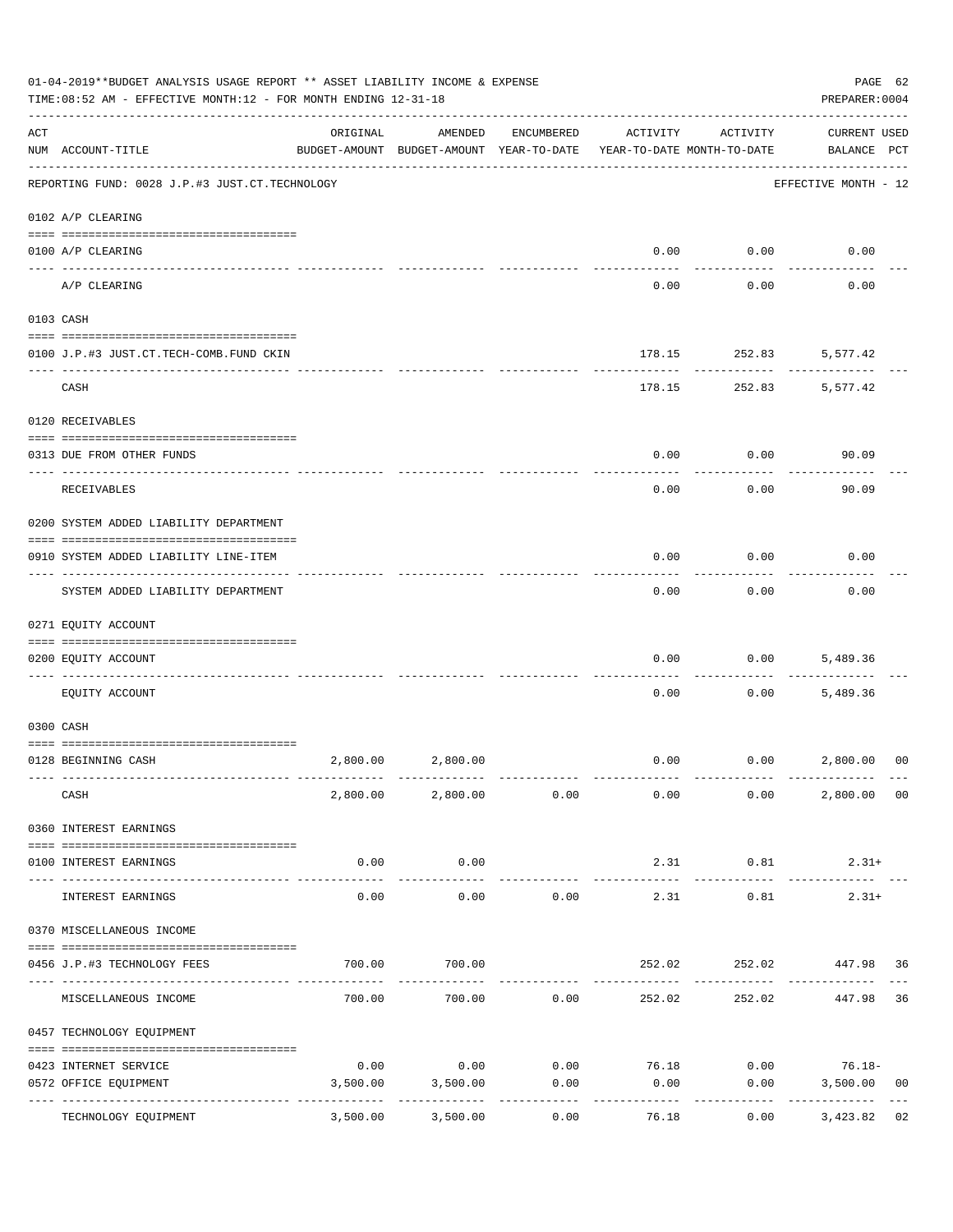|     | 01-04-2019**BUDGET ANALYSIS USAGE REPORT ** ASSET LIABILITY INCOME & EXPENSE<br>TIME:08:52 AM - EFFECTIVE MONTH:12 - FOR MONTH ENDING 12-31-18<br>PREPARER: 0004 |                      |                                                     |            |                                        |                              |                                    |    |  |  |
|-----|------------------------------------------------------------------------------------------------------------------------------------------------------------------|----------------------|-----------------------------------------------------|------------|----------------------------------------|------------------------------|------------------------------------|----|--|--|
| ACT | NUM ACCOUNT-TITLE                                                                                                                                                | ORIGINAL             | AMENDED<br>BUDGET-AMOUNT BUDGET-AMOUNT YEAR-TO-DATE | ENCUMBERED | ACTIVITY<br>YEAR-TO-DATE MONTH-TO-DATE | ACTIVITY                     | <b>CURRENT USED</b><br>BALANCE PCT |    |  |  |
|     | REPORTING FUND: 0028 J.P.#3 JUST.CT.TECHNOLOGY                                                                                                                   |                      |                                                     |            |                                        |                              | EFFECTIVE MONTH - 12               |    |  |  |
|     | 0102 A/P CLEARING                                                                                                                                                |                      |                                                     |            |                                        |                              |                                    |    |  |  |
|     | 0100 A/P CLEARING                                                                                                                                                |                      |                                                     |            |                                        | $0.00$ $0.00$                | 0.00                               |    |  |  |
|     | A/P CLEARING                                                                                                                                                     |                      |                                                     |            | 0.00                                   | 0.00                         | 0.00                               |    |  |  |
|     | 0103 CASH                                                                                                                                                        |                      |                                                     |            |                                        |                              |                                    |    |  |  |
|     | 0100 J.P.#3 JUST.CT.TECH-COMB.FUND CKIN                                                                                                                          |                      |                                                     |            |                                        | 178.15 252.83                | 5,577.42                           |    |  |  |
|     | CASH                                                                                                                                                             |                      |                                                     |            |                                        | -----------<br>178.15 252.83 | 5,577.42                           |    |  |  |
|     | 0120 RECEIVABLES                                                                                                                                                 |                      |                                                     |            |                                        |                              |                                    |    |  |  |
|     | 0313 DUE FROM OTHER FUNDS                                                                                                                                        |                      |                                                     |            | 0.00                                   | 0.00                         | 90.09                              |    |  |  |
|     |                                                                                                                                                                  |                      |                                                     |            |                                        |                              |                                    |    |  |  |
|     | RECEIVABLES                                                                                                                                                      |                      |                                                     |            | 0.00                                   | 0.00                         | 90.09                              |    |  |  |
|     | 0200 SYSTEM ADDED LIABILITY DEPARTMENT                                                                                                                           |                      |                                                     |            |                                        |                              |                                    |    |  |  |
|     | 0910 SYSTEM ADDED LIABILITY LINE-ITEM                                                                                                                            |                      |                                                     |            | 0.00                                   | 0.00                         | 0.00                               |    |  |  |
|     | SYSTEM ADDED LIABILITY DEPARTMENT                                                                                                                                |                      |                                                     |            | 0.00                                   | 0.00                         | 0.00                               |    |  |  |
|     | 0271 EQUITY ACCOUNT                                                                                                                                              |                      |                                                     |            |                                        |                              |                                    |    |  |  |
|     | 0200 EQUITY ACCOUNT                                                                                                                                              |                      |                                                     |            | 0.00                                   | 0.00                         | 5,489.36                           |    |  |  |
|     | EQUITY ACCOUNT                                                                                                                                                   |                      |                                                     |            | 0.00                                   | 0.00                         | 5,489.36                           |    |  |  |
|     | 0300 CASH                                                                                                                                                        |                      |                                                     |            |                                        |                              |                                    |    |  |  |
|     | 0128 BEGINNING CASH                                                                                                                                              | 2,800.00             | 2,800.00                                            |            |                                        | $0.00$ $0.00$ $2,800.00$     |                                    | 00 |  |  |
|     | CASH                                                                                                                                                             |                      | 2,800.00 2,800.00 0.00                              |            | 0.00                                   | 0.00                         | 2,800.00 00                        |    |  |  |
|     | 0360 INTEREST EARNINGS                                                                                                                                           |                      |                                                     |            |                                        |                              |                                    |    |  |  |
|     | 0100 INTEREST EARNINGS                                                                                                                                           | 0.00                 | 0.00                                                |            | 2.31                                   | 0.81                         | $2.31+$                            |    |  |  |
|     | INTEREST EARNINGS                                                                                                                                                | ------------<br>0.00 | -----------<br>0.00                                 | 0.00       | 2.31                                   | 0.81                         | $2.31+$                            |    |  |  |
|     | 0370 MISCELLANEOUS INCOME                                                                                                                                        |                      |                                                     |            |                                        |                              |                                    |    |  |  |
|     | 0456 J.P.#3 TECHNOLOGY FEES                                                                                                                                      | 700.00               | 700.00                                              |            | 252.02                                 |                              | 252.02 447.98 36                   |    |  |  |
|     | MISCELLANEOUS INCOME                                                                                                                                             |                      | 700.00 700.00                                       | 0.00       | 252.02                                 | 252.02                       | 447.98                             | 36 |  |  |
|     | 0457 TECHNOLOGY EQUIPMENT                                                                                                                                        |                      |                                                     |            |                                        |                              |                                    |    |  |  |
|     | 0423 INTERNET SERVICE                                                                                                                                            | 0.00                 | 0.00                                                | 0.00       | 76.18                                  |                              | $0.00$ 76.18-                      |    |  |  |
|     | 0572 OFFICE EQUIPMENT                                                                                                                                            | 3,500.00             | 3,500.00                                            | 0.00       | 0.00                                   | 0.00                         | 3,500.00                           | 00 |  |  |
|     | -------------- -----<br>TECHNOLOGY EQUIPMENT                                                                                                                     | 3,500.00             | 3,500.00                                            | 0.00       | 76.18                                  | 0.00                         | 3,423.82                           | 02 |  |  |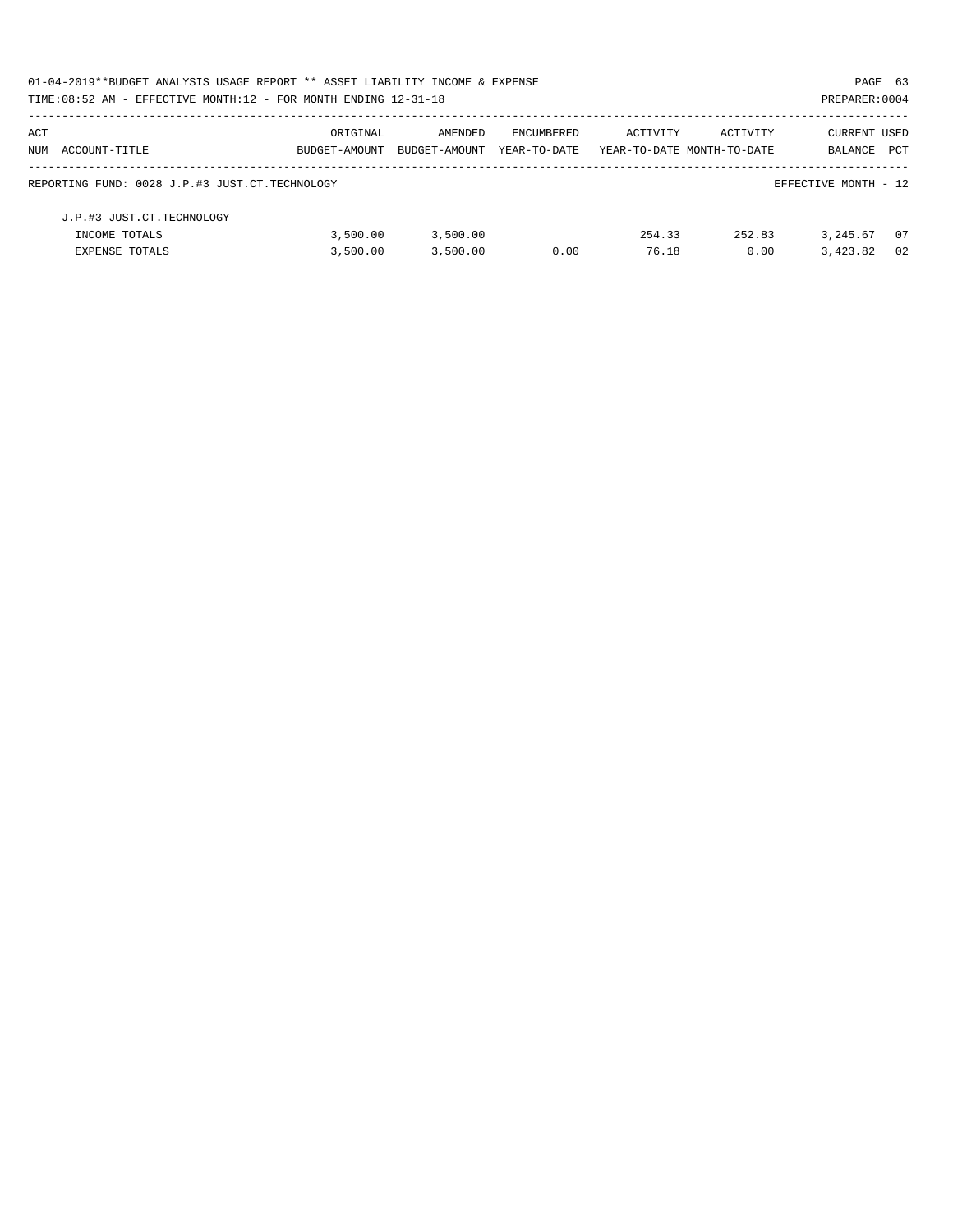| 01-04-2019**BUDGET ANALYSIS USAGE REPORT ** ASSET LIABILITY INCOME & EXPENSE<br>PAGE 63 |               |               |              |          |                            |                      |            |  |  |
|-----------------------------------------------------------------------------------------|---------------|---------------|--------------|----------|----------------------------|----------------------|------------|--|--|
| TIME: $08:52$ AM - EFFECTIVE MONTH: $12$ - FOR MONTH ENDING $12-31-18$                  |               |               |              |          |                            | PREPARER: 0004       |            |  |  |
| ACT                                                                                     | ORIGINAL      | AMENDED       | ENCUMBERED   | ACTIVITY | ACTIVITY                   | CURRENT USED         |            |  |  |
| NUM ACCOUNT-TITLE                                                                       | BUDGET-AMOUNT | BUDGET-AMOUNT | YEAR-TO-DATE |          | YEAR-TO-DATE MONTH-TO-DATE | BALANCE              | <b>PCT</b> |  |  |
| REPORTING FUND: 0028 J.P.#3 JUST.CT.TECHNOLOGY                                          |               |               |              |          |                            | EFFECTIVE MONTH - 12 |            |  |  |
| J.P.#3 JUST.CT.TECHNOLOGY                                                               |               |               |              |          |                            |                      |            |  |  |
| INCOME TOTALS                                                                           | 3,500.00      | 3,500.00      |              | 254.33   | 252.83                     | 3,245.67             | - 07       |  |  |
| <b>EXPENSE TOTALS</b>                                                                   | 3,500.00      | 3.500.00      | 0.00         | 76.18    | 0.00                       | 3,423.82             | 02         |  |  |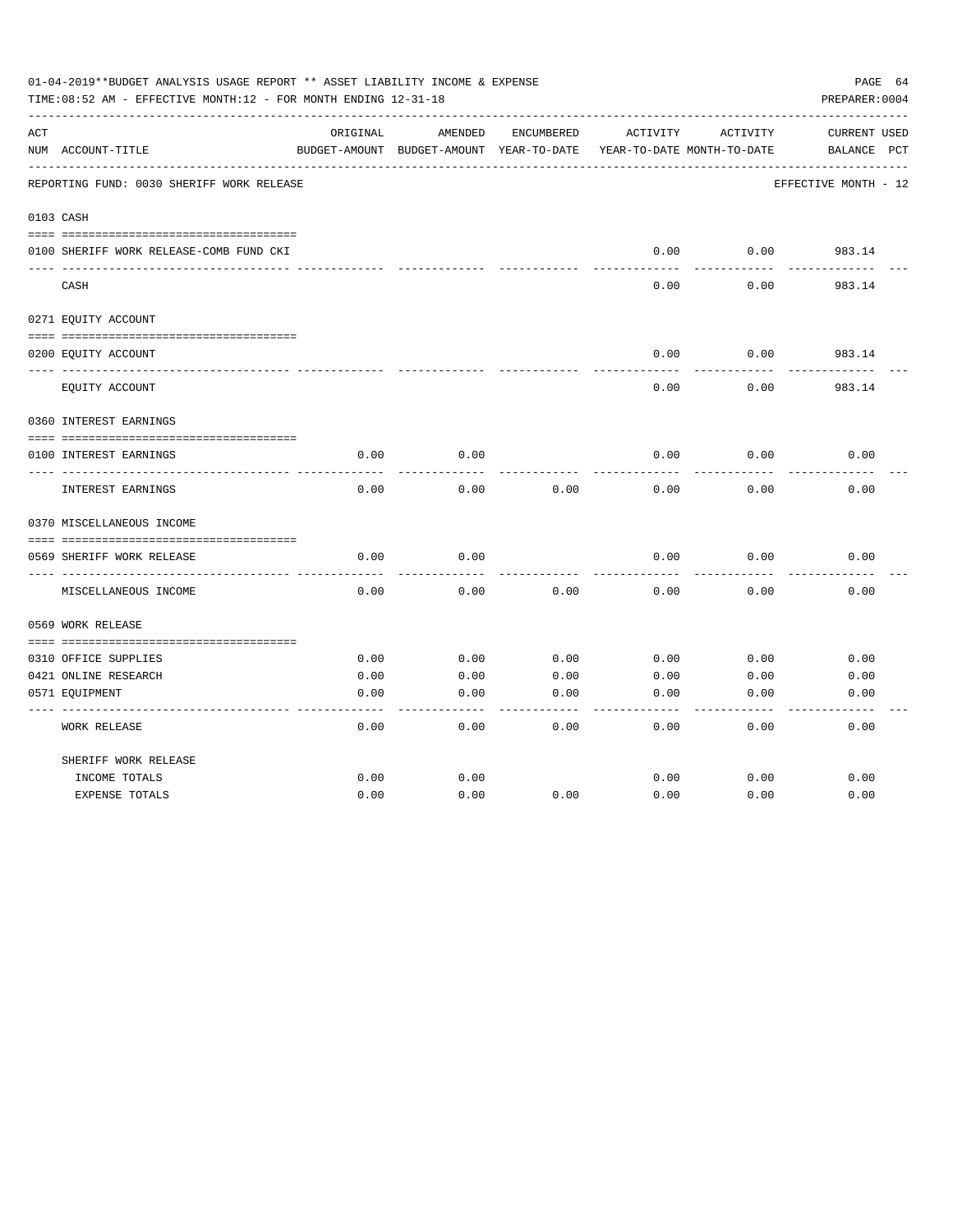|     | 01-04-2019**BUDGET ANALYSIS USAGE REPORT ** ASSET LIABILITY INCOME & EXPENSE<br>TIME: 08:52 AM - EFFECTIVE MONTH: 12 - FOR MONTH ENDING 12-31-18 |          |                                          |            |          |                            | PAGE 64<br>PREPARER: 0004 |
|-----|--------------------------------------------------------------------------------------------------------------------------------------------------|----------|------------------------------------------|------------|----------|----------------------------|---------------------------|
| ACT |                                                                                                                                                  | ORIGINAL | AMENDED                                  | ENCUMBERED | ACTIVITY | ACTIVITY                   | CURRENT USED              |
|     | NUM ACCOUNT-TITLE                                                                                                                                |          | BUDGET-AMOUNT BUDGET-AMOUNT YEAR-TO-DATE |            |          | YEAR-TO-DATE MONTH-TO-DATE | BALANCE<br>$_{\rm PCT}$   |
|     | REPORTING FUND: 0030 SHERIFF WORK RELEASE                                                                                                        |          |                                          |            |          |                            | EFFECTIVE MONTH - 12      |
|     | 0103 CASH                                                                                                                                        |          |                                          |            |          |                            |                           |
|     | 0100 SHERIFF WORK RELEASE-COMB FUND CKI                                                                                                          |          |                                          |            | 0.00     | 0.00                       | 983.14                    |
|     | CASH                                                                                                                                             |          |                                          |            | 0.00     | 0.00                       | 983.14                    |
|     | 0271 EQUITY ACCOUNT                                                                                                                              |          |                                          |            |          |                            |                           |
|     | 0200 EQUITY ACCOUNT                                                                                                                              |          |                                          |            | 0.00     | 0.00                       | 983.14                    |
|     | EQUITY ACCOUNT                                                                                                                                   |          |                                          |            | 0.00     | 0.00                       | 983.14                    |
|     | 0360 INTEREST EARNINGS                                                                                                                           |          |                                          |            |          |                            |                           |
|     | 0100 INTEREST EARNINGS                                                                                                                           | 0.00     | 0.00                                     |            | 0.00     | 0.00                       | 0.00                      |
|     | INTEREST EARNINGS                                                                                                                                | 0.00     | 0.00                                     | 0.00       | 0.00     | 0.00                       | 0.00                      |
|     | 0370 MISCELLANEOUS INCOME                                                                                                                        |          |                                          |            |          |                            |                           |
|     |                                                                                                                                                  |          |                                          |            |          |                            |                           |
|     | 0569 SHERIFF WORK RELEASE<br>-----------                                                                                                         | 0.00     | 0.00                                     |            | 0.00     | 0.00                       | 0.00                      |
|     | MISCELLANEOUS INCOME                                                                                                                             | 0.00     | 0.00                                     | 0.00       | 0.00     | 0.00                       | 0.00                      |
|     | 0569 WORK RELEASE                                                                                                                                |          |                                          |            |          |                            |                           |
|     |                                                                                                                                                  |          |                                          |            |          |                            |                           |
|     | 0310 OFFICE SUPPLIES                                                                                                                             | 0.00     | 0.00                                     | 0.00       | 0.00     | 0.00                       | 0.00                      |
|     | 0421 ONLINE RESEARCH                                                                                                                             | 0.00     | 0.00                                     | 0.00       | 0.00     | 0.00                       | 0.00                      |
|     | 0571 EQUIPMENT                                                                                                                                   | 0.00     | 0.00                                     | 0.00       | 0.00     | 0.00                       | 0.00                      |
|     | <b>WORK RELEASE</b>                                                                                                                              | 0.00     | 0.00                                     | 0.00       | 0.00     | 0.00                       | 0.00                      |
|     | SHERIFF WORK RELEASE                                                                                                                             |          |                                          |            |          |                            |                           |
|     | INCOME TOTALS                                                                                                                                    | 0.00     | 0.00                                     |            | 0.00     | 0.00                       | 0.00                      |
|     | <b>EXPENSE TOTALS</b>                                                                                                                            | 0.00     | 0.00                                     | 0.00       | 0.00     | 0.00                       | 0.00                      |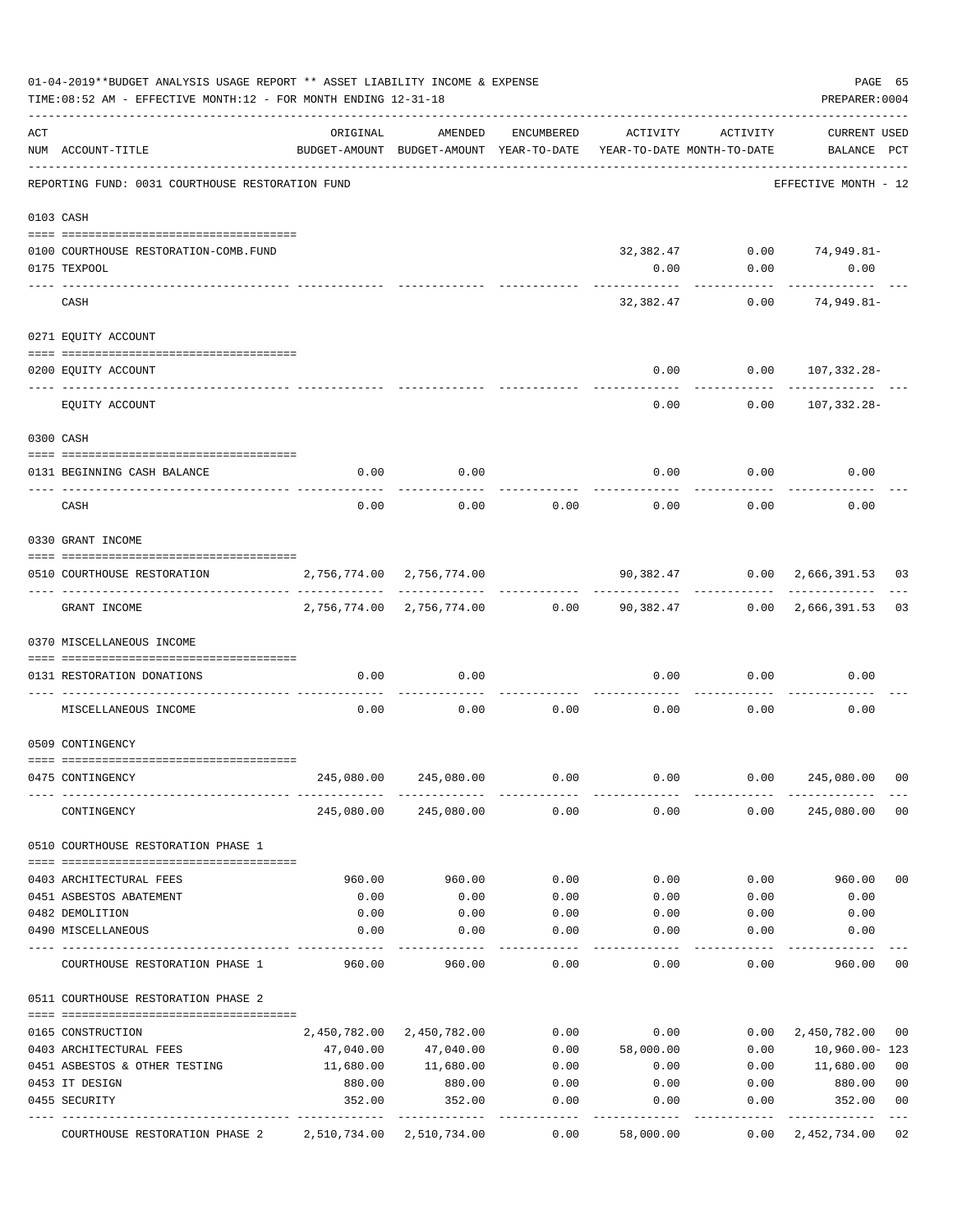|     | 01-04-2019**BUDGET ANALYSIS USAGE REPORT ** ASSET LIABILITY INCOME & EXPENSE<br>TIME: 08:52 AM - EFFECTIVE MONTH: 12 - FOR MONTH ENDING 12-31-18 |                                                      |                                                            |                     |                                        |                                | PAGE 65<br>PREPARER: 0004          |                |
|-----|--------------------------------------------------------------------------------------------------------------------------------------------------|------------------------------------------------------|------------------------------------------------------------|---------------------|----------------------------------------|--------------------------------|------------------------------------|----------------|
| ACT | NUM ACCOUNT-TITLE                                                                                                                                | ORIGINAL<br>BUDGET-AMOUNT BUDGET-AMOUNT YEAR-TO-DATE | AMENDED                                                    | ENCUMBERED          | ACTIVITY<br>YEAR-TO-DATE MONTH-TO-DATE | ACTIVITY                       | <b>CURRENT USED</b><br>BALANCE PCT |                |
|     | REPORTING FUND: 0031 COURTHOUSE RESTORATION FUND                                                                                                 |                                                      |                                                            |                     |                                        |                                | EFFECTIVE MONTH - 12               |                |
|     | 0103 CASH                                                                                                                                        |                                                      |                                                            |                     |                                        |                                |                                    |                |
|     | 0100 COURTHOUSE RESTORATION-COMB.FUND                                                                                                            |                                                      |                                                            |                     |                                        | 32,382.47 0.00 74,949.81-      |                                    |                |
|     | 0175 TEXPOOL                                                                                                                                     |                                                      |                                                            |                     | 0.00                                   | 0.00                           | 0.00                               |                |
|     | CASH                                                                                                                                             |                                                      |                                                            |                     | 32,382.47                              | 0.00                           | ----------<br>74,949.81-           |                |
|     | 0271 EQUITY ACCOUNT                                                                                                                              |                                                      |                                                            |                     |                                        |                                |                                    |                |
|     |                                                                                                                                                  |                                                      |                                                            |                     |                                        |                                |                                    |                |
|     | 0200 EQUITY ACCOUNT                                                                                                                              |                                                      |                                                            |                     | 0.00                                   |                                | $0.00 107,332.28-$                 |                |
|     | EQUITY ACCOUNT                                                                                                                                   |                                                      |                                                            |                     | 0.00                                   | 0.00                           | 107,332.28-                        |                |
|     | 0300 CASH                                                                                                                                        |                                                      |                                                            |                     |                                        |                                |                                    |                |
|     | 0131 BEGINNING CASH BALANCE                                                                                                                      | 0.00                                                 | 0.00                                                       |                     |                                        | $0.00$ 0.00                    | 0.00                               |                |
|     | CASH                                                                                                                                             | 0.00                                                 | 0.00                                                       | 0.00                | 0.00                                   | 0.00                           | 0.00                               |                |
|     | 0330 GRANT INCOME                                                                                                                                |                                                      |                                                            |                     |                                        |                                |                                    |                |
|     |                                                                                                                                                  |                                                      |                                                            |                     |                                        |                                |                                    |                |
|     | 0510 COURTHOUSE RESTORATION                                                                                                                      | 2,756,774.00 2,756,774.00                            |                                                            |                     |                                        | 90,382.47 0.00 2,666,391.53 03 |                                    |                |
|     | GRANT INCOME                                                                                                                                     |                                                      | 2,756,774.00 2,756,774.00 0.00 90,382.47 0.00 2,666,391.53 |                     |                                        |                                |                                    | 03             |
|     | 0370 MISCELLANEOUS INCOME                                                                                                                        |                                                      |                                                            |                     |                                        |                                |                                    |                |
|     | 0131 RESTORATION DONATIONS                                                                                                                       | 0.00                                                 | 0.00                                                       |                     | 0.00                                   | 0.00                           | 0.00                               |                |
|     | MISCELLANEOUS INCOME                                                                                                                             | 0.00                                                 | 0.00                                                       | 0.00                | 0.00                                   | 0.00                           | 0.00                               |                |
|     | 0509 CONTINGENCY                                                                                                                                 |                                                      |                                                            |                     |                                        |                                |                                    |                |
|     | 0475 CONTINGENCY                                                                                                                                 |                                                      | 245,080.00 245,080.00                                      | 0.00                | 0.00                                   | 0.00                           | 245,080.00                         | 00             |
|     | CONTINGENCY                                                                                                                                      |                                                      | 245,080.00 245,080.00                                      | 0.00                | 0.00                                   | 0.00                           | 245,080.00                         | 0 <sub>0</sub> |
|     | 0510 COURTHOUSE RESTORATION PHASE 1                                                                                                              |                                                      |                                                            |                     |                                        |                                |                                    |                |
|     | 0403 ARCHITECTURAL FEES                                                                                                                          | 960.00                                               | 960.00                                                     | 0.00                | 0.00                                   | 0.00                           | 960.00                             | 0 <sub>0</sub> |
|     | 0451 ASBESTOS ABATEMENT                                                                                                                          | 0.00                                                 | 0.00                                                       | 0.00                | 0.00                                   | 0.00                           | 0.00                               |                |
|     | 0482 DEMOLITION                                                                                                                                  | 0.00                                                 | 0.00                                                       | 0.00                | 0.00                                   | 0.00                           | 0.00                               |                |
|     | 0490 MISCELLANEOUS                                                                                                                               | 0.00                                                 | 0.00                                                       | 0.00                | 0.00                                   | 0.00                           | 0.00                               |                |
|     | COURTHOUSE RESTORATION PHASE 1                                                                                                                   | 960.00                                               | 960.00                                                     | $- - - - -$<br>0.00 | 0.00                                   | 0.00                           | 960.00                             | 0 <sub>0</sub> |
|     | 0511 COURTHOUSE RESTORATION PHASE 2                                                                                                              |                                                      |                                                            |                     |                                        |                                |                                    |                |
|     | 0165 CONSTRUCTION                                                                                                                                |                                                      | 2,450,782.00 2,450,782.00                                  | 0.00                | 0.00                                   | 0.00                           | 2,450,782.00                       | 0 <sub>0</sub> |
|     | 0403 ARCHITECTURAL FEES                                                                                                                          | 47,040.00                                            | 47,040.00                                                  | 0.00                | 58,000.00                              | 0.00                           | 10,960.00-123                      |                |
|     | 0451 ASBESTOS & OTHER TESTING                                                                                                                    | 11,680.00                                            | 11,680.00                                                  | 0.00                | 0.00                                   | 0.00                           | 11,680.00                          | 0 <sub>0</sub> |
|     | 0453 IT DESIGN                                                                                                                                   | 880.00                                               | 880.00                                                     | 0.00                | 0.00                                   | 0.00                           | 880.00                             | 0 <sub>0</sub> |
|     | 0455 SECURITY                                                                                                                                    | 352.00                                               | 352.00<br>---------                                        | 0.00                | 0.00                                   | 0.00                           | 352.00                             | 0 <sub>0</sub> |
|     | COURTHOUSE RESTORATION PHASE 2 2,510,734.00 2,510,734.00                                                                                         |                                                      |                                                            | 0.00                | 58,000.00                              | 0.00                           | 2,452,734.00 02                    |                |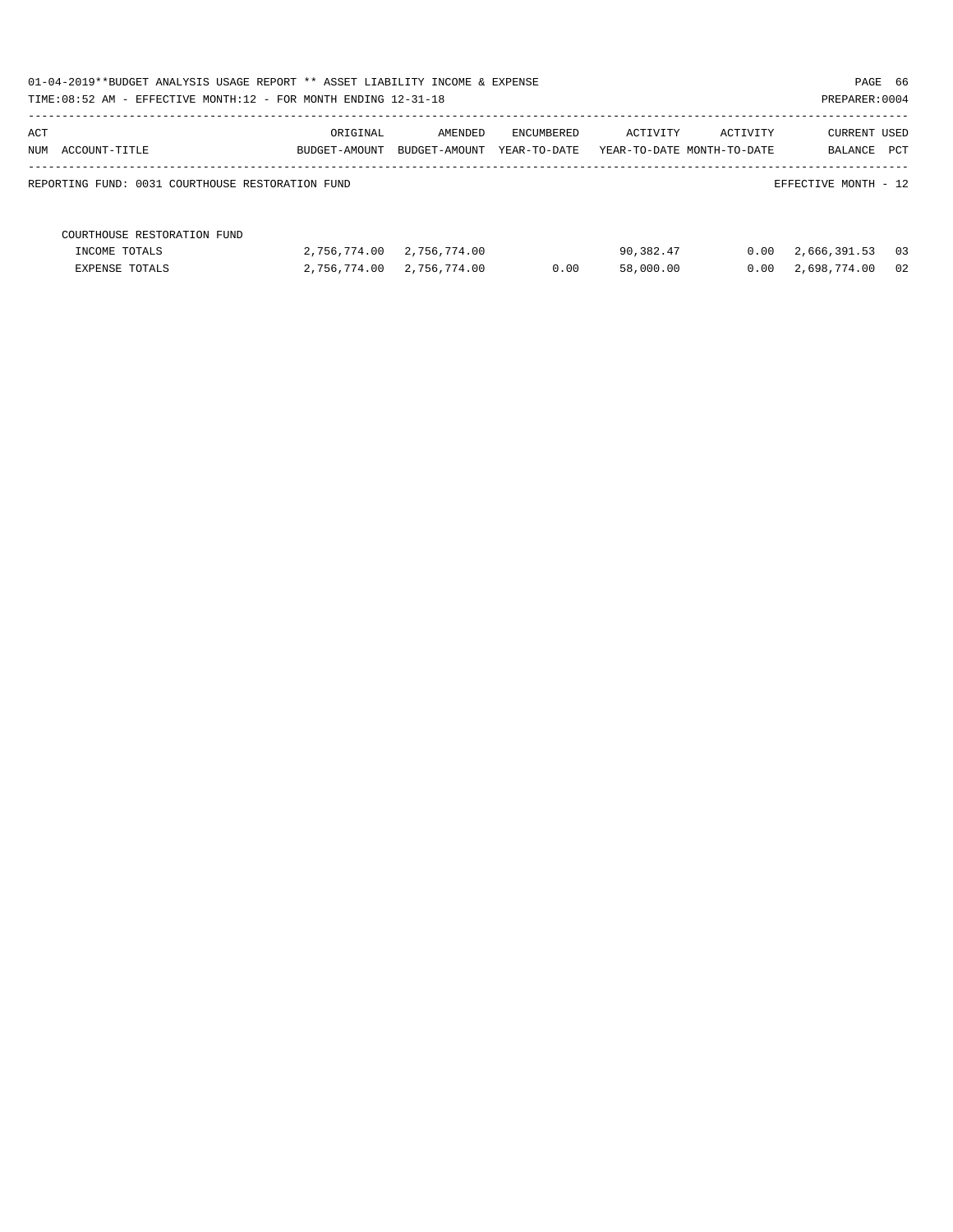| 01-04-2019**BUDGET ANALYSIS USAGE REPORT ** ASSET LIABILITY INCOME & EXPENSE<br>TIME: 08:52 AM - EFFECTIVE MONTH: 12 - FOR MONTH ENDING 12-31-18 |               |               |              |                            |          | PREPARER: 0004       | PAGE 66 |
|--------------------------------------------------------------------------------------------------------------------------------------------------|---------------|---------------|--------------|----------------------------|----------|----------------------|---------|
| ACT                                                                                                                                              | ORIGINAL      | AMENDED       | ENCUMBERED   | ACTIVITY                   | ACTIVITY | <b>CURRENT USED</b>  |         |
| NUM ACCOUNT-TITLE                                                                                                                                | BUDGET-AMOUNT | BUDGET-AMOUNT | YEAR-TO-DATE | YEAR-TO-DATE MONTH-TO-DATE |          | BALANCE PCT          |         |
| REPORTING FUND: 0031 COURTHOUSE RESTORATION FUND                                                                                                 |               |               |              |                            |          | EFFECTIVE MONTH - 12 |         |
| COURTHOUSE RESTORATION FUND                                                                                                                      |               |               |              |                            |          |                      |         |
| INCOME TOTALS                                                                                                                                    | 2,756,774.00  | 2,756,774.00  |              | 90,382.47                  | 0.00     | 2,666,391.53         | 03      |
| EXPENSE TOTALS                                                                                                                                   | 2,756,774.00  | 2,756,774.00  | 0.00         | 58,000.00                  | 0.00     | 2,698,774.00         | 02      |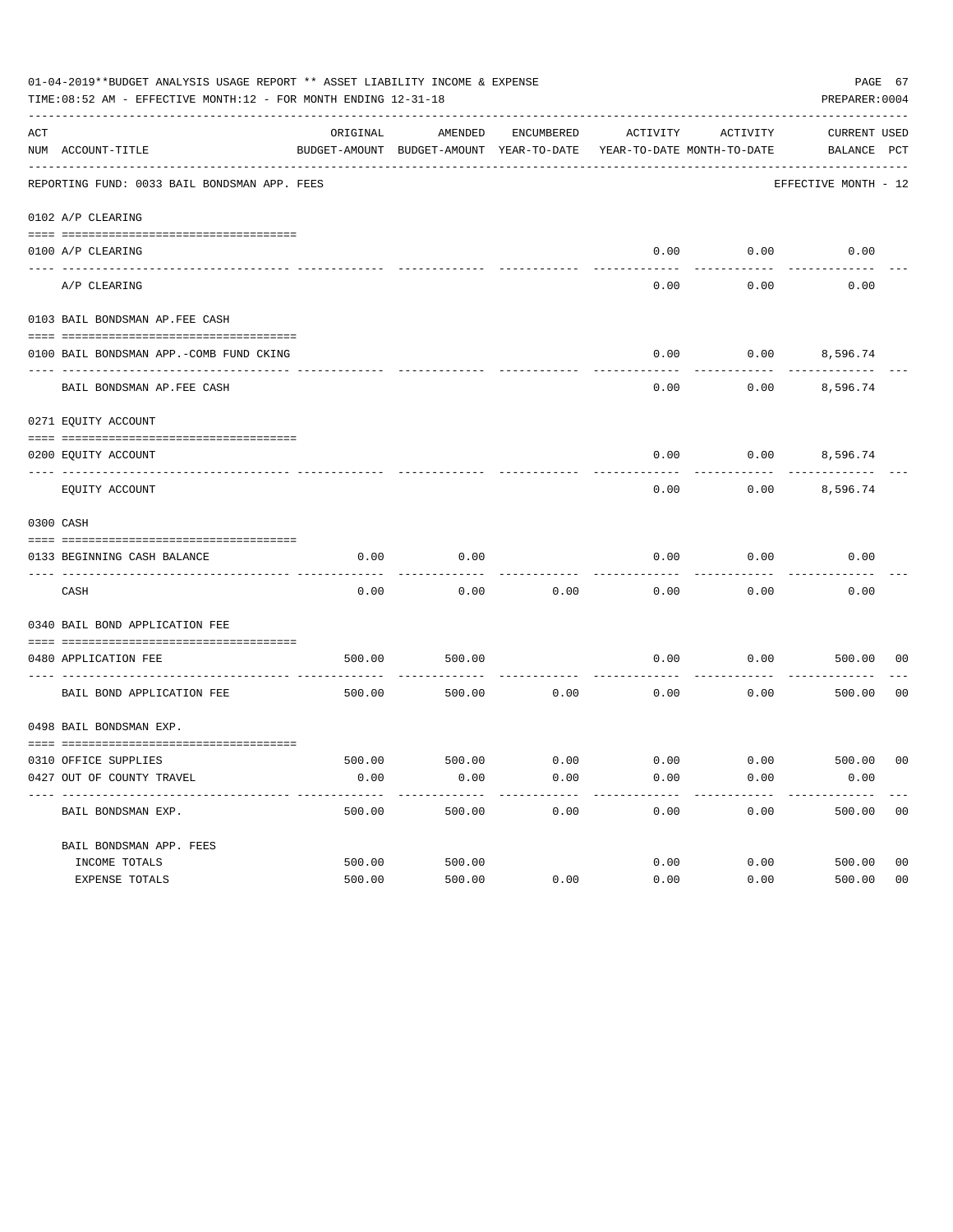| 01-04-2019**BUDGET ANALYSIS USAGE REPORT ** ASSET LIABILITY INCOME & EXPENSE<br>PAGE 67<br>TIME: 08:52 AM - EFFECTIVE MONTH: 12 - FOR MONTH ENDING 12-31-18<br>PREPARER: 0004 |                                              |          |                                                     |            |                                        |          |                                    |                |  |
|-------------------------------------------------------------------------------------------------------------------------------------------------------------------------------|----------------------------------------------|----------|-----------------------------------------------------|------------|----------------------------------------|----------|------------------------------------|----------------|--|
| ACT                                                                                                                                                                           | NUM ACCOUNT-TITLE                            | ORIGINAL | AMENDED<br>BUDGET-AMOUNT BUDGET-AMOUNT YEAR-TO-DATE | ENCUMBERED | ACTIVITY<br>YEAR-TO-DATE MONTH-TO-DATE | ACTIVITY | <b>CURRENT USED</b><br>BALANCE PCT |                |  |
|                                                                                                                                                                               | REPORTING FUND: 0033 BAIL BONDSMAN APP. FEES |          |                                                     |            |                                        |          | EFFECTIVE MONTH - 12               |                |  |
|                                                                                                                                                                               | 0102 A/P CLEARING                            |          |                                                     |            |                                        |          |                                    |                |  |
|                                                                                                                                                                               | 0100 A/P CLEARING                            |          |                                                     |            | 0.00                                   | 0.00     | 0.00                               |                |  |
|                                                                                                                                                                               | ---- --------<br>A/P CLEARING                |          |                                                     |            | 0.00                                   | 0.00     | 0.00                               |                |  |
|                                                                                                                                                                               | 0103 BAIL BONDSMAN AP.FEE CASH               |          |                                                     |            |                                        |          |                                    |                |  |
|                                                                                                                                                                               | 0100 BAIL BONDSMAN APP.-COMB FUND CKING      |          |                                                     |            | 0.00                                   | 0.00     | 8,596.74                           |                |  |
|                                                                                                                                                                               | BAIL BONDSMAN AP.FEE CASH                    |          |                                                     |            | 0.00                                   | 0.00     | 8,596.74                           |                |  |
|                                                                                                                                                                               | 0271 EQUITY ACCOUNT                          |          |                                                     |            |                                        |          |                                    |                |  |
|                                                                                                                                                                               | 0200 EQUITY ACCOUNT                          |          |                                                     |            | 0.00                                   |          | $0.00$ 8,596.74                    |                |  |
|                                                                                                                                                                               | EQUITY ACCOUNT                               |          |                                                     |            | 0.00                                   | 0.00     | 8,596.74                           |                |  |
|                                                                                                                                                                               | 0300 CASH                                    |          |                                                     |            |                                        |          |                                    |                |  |
|                                                                                                                                                                               | 0133 BEGINNING CASH BALANCE                  | 0.00     | 0.00                                                |            | 0.00                                   | 0.00     | 0.00                               |                |  |
|                                                                                                                                                                               | CASH                                         | 0.00     | 0.00                                                | 0.00       | 0.00                                   | 0.00     | 0.00                               |                |  |
|                                                                                                                                                                               | 0340 BAIL BOND APPLICATION FEE               |          |                                                     |            |                                        |          |                                    |                |  |
|                                                                                                                                                                               | 0480 APPLICATION FEE                         | 500.00   | 500.00                                              |            | 0.00                                   | 0.00     | 500.00                             | 00             |  |
|                                                                                                                                                                               | BAIL BOND APPLICATION FEE                    | 500.00   | 500.00                                              | 0.00       | 0.00                                   | 0.00     | 500.00                             | 0 <sub>0</sub> |  |
|                                                                                                                                                                               | 0498 BAIL BONDSMAN EXP.                      |          |                                                     |            |                                        |          |                                    |                |  |
|                                                                                                                                                                               | 0310 OFFICE SUPPLIES                         | 500.00   | 500.00 0.00                                         |            | $0.00$ $0.00$ $500.00$                 |          |                                    | 00             |  |
|                                                                                                                                                                               | 0427 OUT OF COUNTY TRAVEL                    | 0.00     | 0.00                                                | 0.00       | 0.00                                   | 0.00     | 0.00                               |                |  |
|                                                                                                                                                                               | BAIL BONDSMAN EXP.                           | 500.00   | 500.00                                              | 0.00       | 0.00                                   | 0.00     | 500.00                             | 0 <sub>0</sub> |  |
|                                                                                                                                                                               | BAIL BONDSMAN APP. FEES                      |          |                                                     |            |                                        |          |                                    |                |  |
|                                                                                                                                                                               | INCOME TOTALS                                | 500.00   | 500.00                                              |            | 0.00                                   | 0.00     | 500.00                             | 0 <sub>0</sub> |  |
|                                                                                                                                                                               | EXPENSE TOTALS                               | 500.00   | 500.00                                              | 0.00       | 0.00                                   | 0.00     | 500.00                             | 0 <sub>0</sub> |  |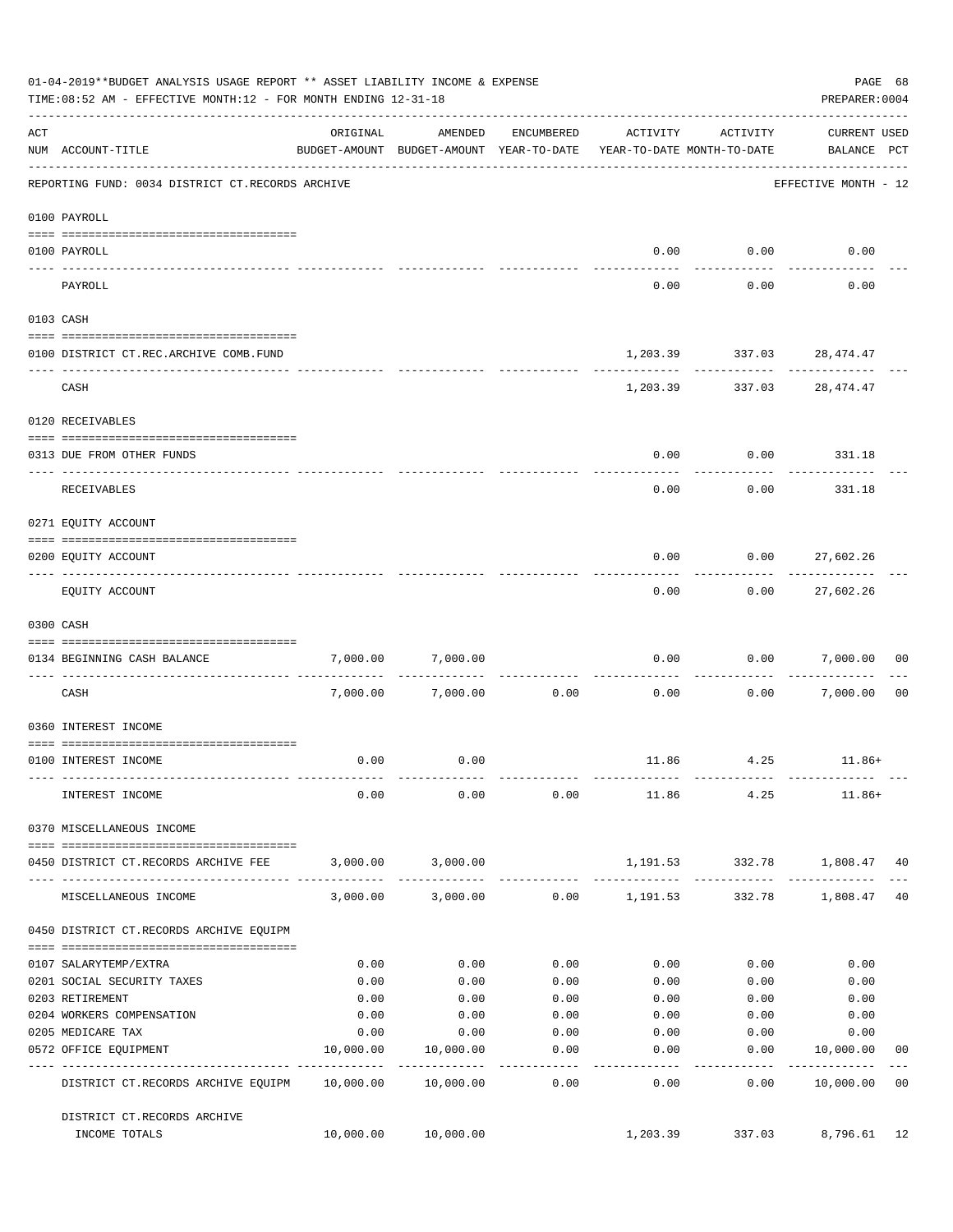|     | 01-04-2019**BUDGET ANALYSIS USAGE REPORT ** ASSET LIABILITY INCOME & EXPENSE<br>TIME: 08:52 AM - EFFECTIVE MONTH: 12 - FOR MONTH ENDING 12-31-18 |           |                                                                                |                    |                 |                                           | PAGE 68<br>PREPARER: 0004          |                |
|-----|--------------------------------------------------------------------------------------------------------------------------------------------------|-----------|--------------------------------------------------------------------------------|--------------------|-----------------|-------------------------------------------|------------------------------------|----------------|
| ACT | NUM ACCOUNT-TITLE                                                                                                                                | ORIGINAL  | AMENDED<br>BUDGET-AMOUNT BUDGET-AMOUNT YEAR-TO-DATE YEAR-TO-DATE MONTH-TO-DATE | ENCUMBERED         | ACTIVITY        | ACTIVITY                                  | <b>CURRENT USED</b><br>BALANCE PCT |                |
|     | REPORTING FUND: 0034 DISTRICT CT.RECORDS ARCHIVE                                                                                                 |           |                                                                                |                    |                 |                                           | EFFECTIVE MONTH - 12               |                |
|     | 0100 PAYROLL                                                                                                                                     |           |                                                                                |                    |                 |                                           |                                    |                |
|     | 0100 PAYROLL                                                                                                                                     |           |                                                                                |                    |                 | $0.00$ $0.00$                             | 0.00                               |                |
|     | ---- -------<br>PAYROLL                                                                                                                          |           |                                                                                |                    | 0.00            | 0.00                                      | 0.00                               |                |
|     | 0103 CASH                                                                                                                                        |           |                                                                                |                    |                 |                                           |                                    |                |
|     | 0100 DISTRICT CT.REC.ARCHIVE COMB.FUND                                                                                                           |           |                                                                                |                    |                 | 1,203.39 337.03 28,474.47                 |                                    |                |
|     | CASH                                                                                                                                             |           |                                                                                |                    |                 | ------------<br>1,203.39 337.03 28,474.47 |                                    |                |
|     | 0120 RECEIVABLES                                                                                                                                 |           |                                                                                |                    |                 |                                           |                                    |                |
|     | 0313 DUE FROM OTHER FUNDS                                                                                                                        |           |                                                                                |                    | 0.00            |                                           | $0.00$ 331.18                      |                |
|     | RECEIVABLES                                                                                                                                      |           |                                                                                |                    | 0.00            | 0.00                                      | 331.18                             |                |
|     | 0271 EQUITY ACCOUNT                                                                                                                              |           |                                                                                |                    |                 |                                           |                                    |                |
|     | 0200 EQUITY ACCOUNT                                                                                                                              |           |                                                                                |                    | 0.00            |                                           | $0.00$ 27,602.26                   |                |
|     | EQUITY ACCOUNT                                                                                                                                   |           |                                                                                |                    | 0.00            | ---------<br>0.00                         | -----------<br>27,602.26           |                |
|     | 0300 CASH                                                                                                                                        |           |                                                                                |                    |                 |                                           |                                    |                |
|     | 0134 BEGINNING CASH BALANCE                                                                                                                      | 7,000.00  | 7,000.00                                                                       |                    | 0.00            |                                           | 0.00 7,000.00                      | 0 <sub>0</sub> |
|     | ----------------------------<br>CASH                                                                                                             |           | 7,000.00 7,000.00                                                              | 0.00               | 0.00            |                                           | 0.00 7,000.00                      | 0 <sub>0</sub> |
|     | 0360 INTEREST INCOME                                                                                                                             |           |                                                                                |                    |                 |                                           |                                    |                |
|     | 0100 INTEREST INCOME                                                                                                                             | 0.00      | 0.00                                                                           |                    |                 | 11.86 4.25                                | $11.86+$                           |                |
|     | INTEREST INCOME                                                                                                                                  | 0.00      | 0.00                                                                           |                    |                 | $0.00$ 11.86 4.25                         | $11.86+$                           |                |
|     | 0370 MISCELLANEOUS INCOME                                                                                                                        |           |                                                                                |                    |                 |                                           |                                    |                |
|     | 0450 DISTRICT CT.RECORDS ARCHIVE FEE                                                                                                             |           | 3,000.00 3,000.00                                                              |                    |                 | 1,191.53 332.78 1,808.47 40               |                                    |                |
|     | MISCELLANEOUS INCOME                                                                                                                             |           | 3,000.00 3,000.00 0.00 1,191.53                                                |                    |                 |                                           | 332.78 1,808.47                    | 40             |
|     | 0450 DISTRICT CT.RECORDS ARCHIVE EQUIPM                                                                                                          |           |                                                                                |                    |                 |                                           |                                    |                |
|     | 0107 SALARYTEMP/EXTRA                                                                                                                            | 0.00      | 0.00                                                                           | 0.00               | 0.00            | 0.00                                      | 0.00                               |                |
|     | 0201 SOCIAL SECURITY TAXES                                                                                                                       | 0.00      | 0.00                                                                           | 0.00               | 0.00            | 0.00                                      | 0.00                               |                |
|     | 0203 RETIREMENT                                                                                                                                  | 0.00      | 0.00                                                                           | 0.00               | 0.00            | 0.00                                      | 0.00                               |                |
|     | 0204 WORKERS COMPENSATION                                                                                                                        | 0.00      | 0.00                                                                           | 0.00               | 0.00            | 0.00                                      | 0.00                               |                |
|     | 0205 MEDICARE TAX                                                                                                                                | 0.00      | 0.00                                                                           | 0.00               | 0.00            | 0.00                                      | 0.00                               |                |
|     | 0572 OFFICE EQUIPMENT<br>--------------------- -------------                                                                                     | 10,000.00 | 10,000.00<br>--------------                                                    | 0.00<br>. <u>.</u> | 0.00<br>------- | 0.00<br>---------                         | 10,000.00<br>------------          | 00             |
|     | DISTRICT CT.RECORDS ARCHIVE EQUIPM 10,000.00 10,000.00                                                                                           |           |                                                                                | 0.00               | 0.00            | 0.00                                      | 10,000.00                          | 0 <sub>0</sub> |
|     | DISTRICT CT.RECORDS ARCHIVE<br>INCOME TOTALS                                                                                                     |           | 10,000.00 10,000.00                                                            |                    | 1,203.39        |                                           | 337.03 8,796.61                    | 12             |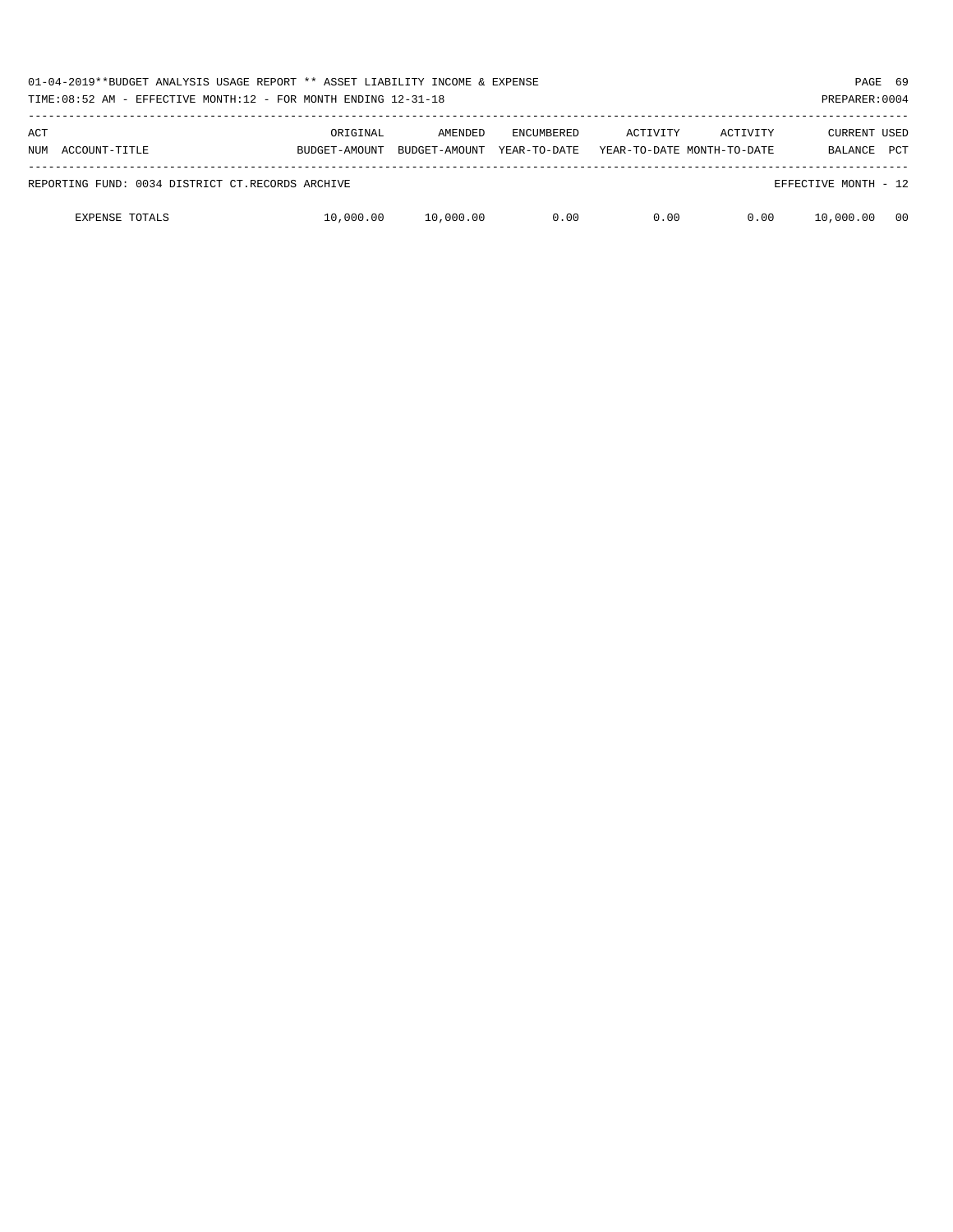| 01-04-2019**BUDGET ANALYSIS USAGE REPORT ** ASSET LIABILITY INCOME & EXPENSE<br>TIME: $08:52$ AM - EFFECTIVE MONTH: $12$ - FOR MONTH ENDING $12-31-18$ |                                                  |                           |                          |                                   |          |                                        |                                | PAGE 69<br>PREPARER: 0004 |
|--------------------------------------------------------------------------------------------------------------------------------------------------------|--------------------------------------------------|---------------------------|--------------------------|-----------------------------------|----------|----------------------------------------|--------------------------------|---------------------------|
| ACT                                                                                                                                                    | NUM ACCOUNT-TITLE                                | ORIGINAL<br>BUDGET-AMOUNT | AMENDED<br>BUDGET-AMOUNT | <b>ENCUMBERED</b><br>YEAR-TO-DATE | ACTIVITY | ACTIVITY<br>YEAR-TO-DATE MONTH-TO-DATE | <b>CURRENT USED</b><br>BALANCE | <b>PCT</b>                |
|                                                                                                                                                        | REPORTING FUND: 0034 DISTRICT CT.RECORDS ARCHIVE |                           |                          |                                   |          |                                        | EFFECTIVE MONTH - 12           |                           |
|                                                                                                                                                        | <b>EXPENSE TOTALS</b>                            | 10,000.00                 | 10,000.00                | 0.00                              | 0.00     | 0.00                                   | 10,000.00                      | 00                        |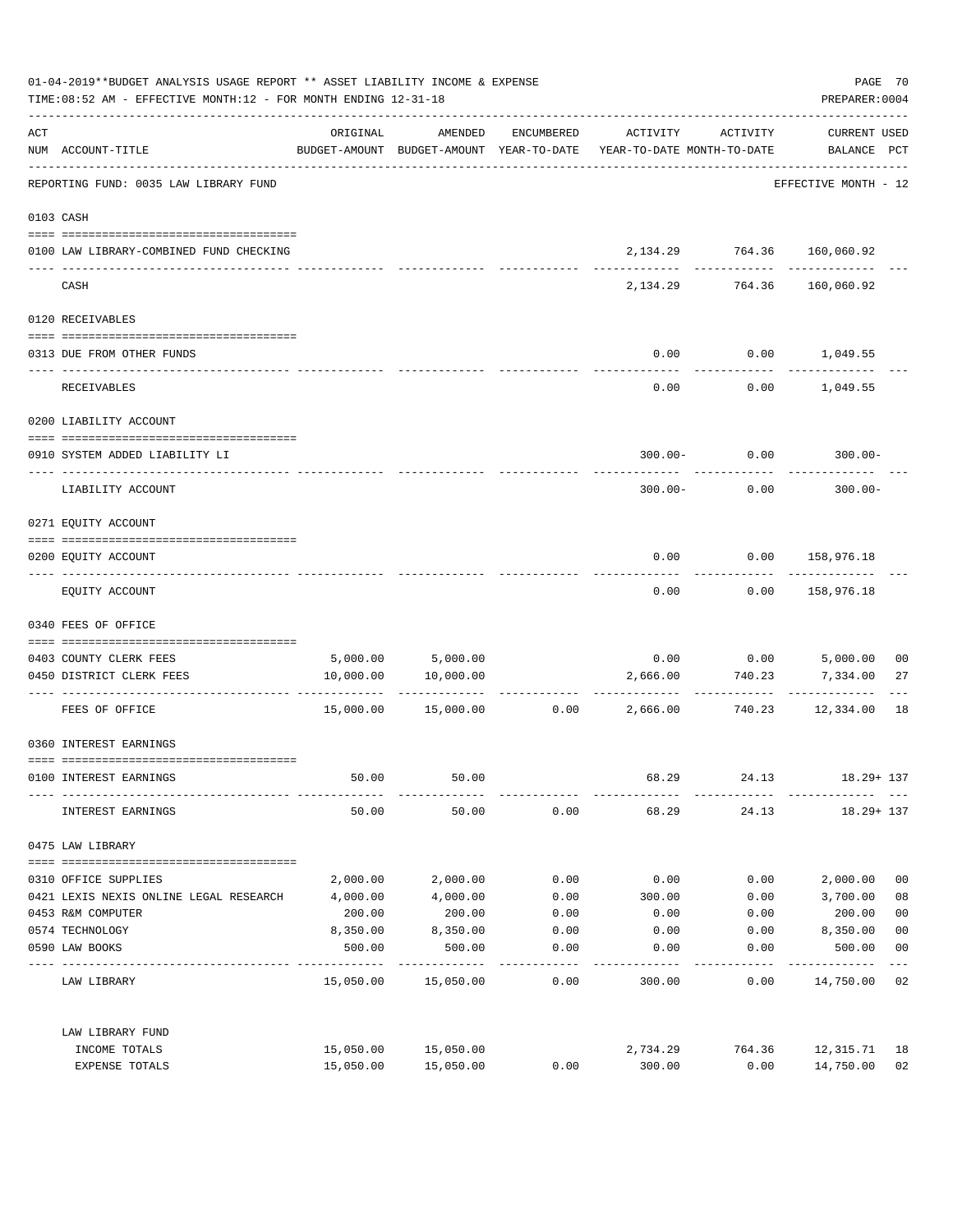| 01-04-2019**BUDGET ANALYSIS USAGE REPORT ** ASSET LIABILITY INCOME & EXPENSE<br>TIME: 08:52 AM - EFFECTIVE MONTH: 12 - FOR MONTH ENDING 12-31-18 |                                                                              |           |                      |            |                                                                                 |                                 | PAGE 70<br>PREPARER: 0004          |                         |
|--------------------------------------------------------------------------------------------------------------------------------------------------|------------------------------------------------------------------------------|-----------|----------------------|------------|---------------------------------------------------------------------------------|---------------------------------|------------------------------------|-------------------------|
| ACT                                                                                                                                              | NUM ACCOUNT-TITLE                                                            | ORIGINAL  | AMENDED              | ENCUMBERED | ACTIVITY<br>BUDGET-AMOUNT BUDGET-AMOUNT YEAR-TO-DATE YEAR-TO-DATE MONTH-TO-DATE | ACTIVITY                        | <b>CURRENT USED</b><br>BALANCE PCT |                         |
|                                                                                                                                                  | -----------------------------------<br>REPORTING FUND: 0035 LAW LIBRARY FUND |           |                      |            |                                                                                 |                                 | EFFECTIVE MONTH - 12               |                         |
|                                                                                                                                                  | 0103 CASH                                                                    |           |                      |            |                                                                                 |                                 |                                    |                         |
|                                                                                                                                                  | 0100 LAW LIBRARY-COMBINED FUND CHECKING                                      |           |                      |            |                                                                                 | 2, 134. 29 764. 36 160, 060. 92 |                                    |                         |
|                                                                                                                                                  | CASH                                                                         |           |                      |            | 2,134.29                                                                        | ------------<br>764.36          | ---------<br>160,060.92            |                         |
|                                                                                                                                                  | 0120 RECEIVABLES                                                             |           |                      |            |                                                                                 |                                 |                                    |                         |
|                                                                                                                                                  | 0313 DUE FROM OTHER FUNDS                                                    |           |                      |            | 0.00                                                                            | $0.00$ 1,049.55                 |                                    |                         |
|                                                                                                                                                  | RECEIVABLES                                                                  |           |                      |            | 0.00                                                                            |                                 | $0.00$ 1,049.55                    |                         |
|                                                                                                                                                  | 0200 LIABILITY ACCOUNT                                                       |           |                      |            |                                                                                 |                                 |                                    |                         |
|                                                                                                                                                  | 0910 SYSTEM ADDED LIABILITY LI                                               |           |                      |            |                                                                                 | $300.00 - 0.00$                 | $300.00 -$                         |                         |
|                                                                                                                                                  | LIABILITY ACCOUNT                                                            |           |                      |            | $300.00 -$                                                                      | 0.00                            | $300.00 -$                         |                         |
|                                                                                                                                                  | 0271 EQUITY ACCOUNT                                                          |           |                      |            |                                                                                 |                                 |                                    |                         |
|                                                                                                                                                  | 0200 EQUITY ACCOUNT                                                          |           |                      |            | 0.00                                                                            | 0.00 158,976.18                 |                                    |                         |
|                                                                                                                                                  | EQUITY ACCOUNT                                                               |           |                      |            | 0.00                                                                            | 0.00                            | 158,976.18                         |                         |
|                                                                                                                                                  | 0340 FEES OF OFFICE                                                          |           |                      |            |                                                                                 |                                 |                                    |                         |
|                                                                                                                                                  | 0403 COUNTY CLERK FEES                                                       |           | 5,000.00 5,000.00    |            |                                                                                 | $0.00$ $0.00$ $5,000.00$        |                                    | 0 <sub>0</sub>          |
|                                                                                                                                                  | 0450 DISTRICT CLERK FEES                                                     | 10,000.00 | 10,000.00            |            | 2,666.00                                                                        | 740.23                          | 7,334.00                           | 27                      |
|                                                                                                                                                  | FEES OF OFFICE                                                               |           | 15,000.00  15,000.00 |            | $0.00$ 2,666.00                                                                 | ----------<br>740.23            | -----------<br>12,334.00           | 18                      |
|                                                                                                                                                  | 0360 INTEREST EARNINGS                                                       |           |                      |            |                                                                                 |                                 |                                    |                         |
|                                                                                                                                                  | 0100 INTEREST EARNINGS                                                       | 50.00     | 50.00                |            | 68.29                                                                           | 24.13                           | $18.29 + 137$                      |                         |
|                                                                                                                                                  | INTEREST EARNINGS                                                            | 50.00     | 50.00                | 0.00       | 68.29                                                                           | 24.13                           | $18.29 + 137$                      |                         |
|                                                                                                                                                  | 0475 LAW LIBRARY                                                             |           |                      |            |                                                                                 |                                 |                                    |                         |
|                                                                                                                                                  | 0310 OFFICE SUPPLIES                                                         | 2,000.00  | 2,000.00             | 0.00       | 0.00                                                                            | 0.00                            | 2,000.00                           | 0 <sub>0</sub>          |
|                                                                                                                                                  | 0421 LEXIS NEXIS ONLINE LEGAL RESEARCH                                       | 4,000.00  | 4,000.00             | 0.00       | 300.00                                                                          | 0.00                            | 3,700.00                           | 08                      |
|                                                                                                                                                  | 0453 R&M COMPUTER                                                            | 200.00    | 200.00               | 0.00       | 0.00                                                                            | 0.00                            | 200.00                             | 0 <sub>0</sub>          |
|                                                                                                                                                  | 0574 TECHNOLOGY                                                              | 8,350.00  | 8,350.00             | 0.00       | 0.00                                                                            | 0.00                            | 8,350.00                           | 0 <sub>0</sub>          |
|                                                                                                                                                  | 0590 LAW BOOKS                                                               | 500.00    | 500.00               | 0.00       | 0.00                                                                            | 0.00                            | 500.00                             | 0 <sub>0</sub><br>$---$ |
|                                                                                                                                                  | LAW LIBRARY                                                                  |           | 15,050.00 15,050.00  | 0.00       | 300.00                                                                          | 0.00                            | 14,750.00 02                       |                         |
|                                                                                                                                                  | LAW LIBRARY FUND                                                             |           |                      |            |                                                                                 |                                 |                                    |                         |
|                                                                                                                                                  | INCOME TOTALS                                                                | 15,050.00 | 15,050.00            |            | 2,734.29                                                                        | 764.36                          | 12,315.71                          | 18                      |
|                                                                                                                                                  | EXPENSE TOTALS                                                               | 15,050.00 | 15,050.00            | 0.00       | 300.00                                                                          | 0.00                            | 14,750.00                          | 02                      |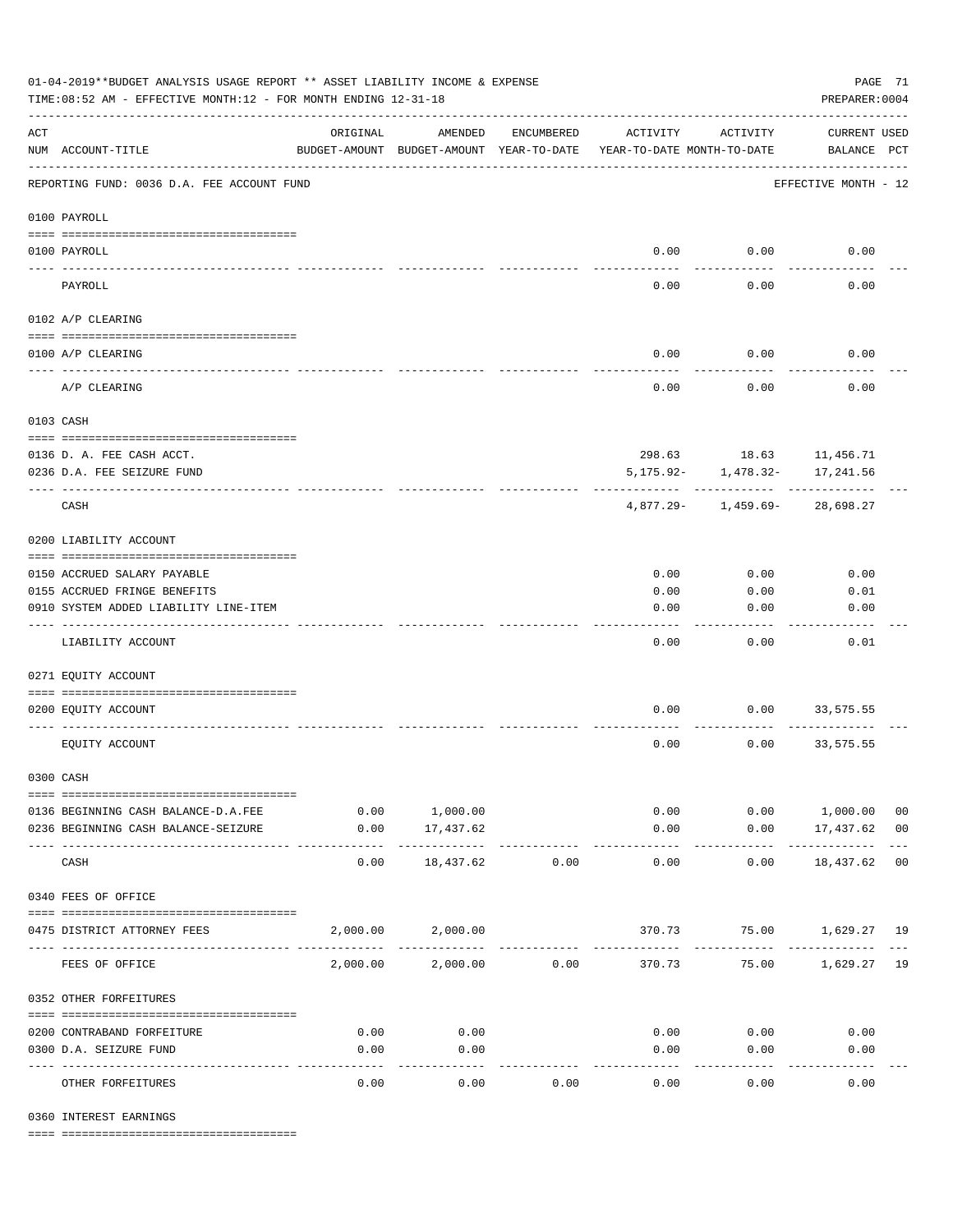| 01-04-2019**BUDGET ANALYSIS USAGE REPORT ** ASSET LIABILITY INCOME & EXPENSE<br>TIME: 08:52 AM - EFFECTIVE MONTH: 12 - FOR MONTH ENDING 12-31-18 |                                                         |          |                                                     |              |                                        |                                     | PAGE 71<br>PREPARER: 0004          |    |
|--------------------------------------------------------------------------------------------------------------------------------------------------|---------------------------------------------------------|----------|-----------------------------------------------------|--------------|----------------------------------------|-------------------------------------|------------------------------------|----|
| $\mathop{\rm ACT}$                                                                                                                               | NUM ACCOUNT-TITLE                                       | ORIGINAL | AMENDED<br>BUDGET-AMOUNT BUDGET-AMOUNT YEAR-TO-DATE | ENCUMBERED   | ACTIVITY<br>YEAR-TO-DATE MONTH-TO-DATE | ACTIVITY                            | <b>CURRENT USED</b><br>BALANCE PCT |    |
|                                                                                                                                                  | REPORTING FUND: 0036 D.A. FEE ACCOUNT FUND              |          |                                                     |              |                                        |                                     | EFFECTIVE MONTH - 12               |    |
|                                                                                                                                                  | 0100 PAYROLL                                            |          |                                                     |              |                                        |                                     |                                    |    |
|                                                                                                                                                  | 0100 PAYROLL                                            |          |                                                     |              | 0.00                                   | 0.00                                | 0.00                               |    |
|                                                                                                                                                  | PAYROLL                                                 |          |                                                     |              | 0.00                                   | 0.00                                | 0.00                               |    |
|                                                                                                                                                  | 0102 A/P CLEARING                                       |          |                                                     |              |                                        |                                     |                                    |    |
|                                                                                                                                                  |                                                         |          |                                                     |              |                                        |                                     |                                    |    |
|                                                                                                                                                  | 0100 A/P CLEARING                                       |          |                                                     |              | 0.00                                   | 0.00                                | 0.00                               |    |
|                                                                                                                                                  | A/P CLEARING                                            |          |                                                     |              | 0.00                                   | 0.00                                | 0.00                               |    |
|                                                                                                                                                  | 0103 CASH                                               |          |                                                     |              |                                        |                                     |                                    |    |
|                                                                                                                                                  |                                                         |          |                                                     |              |                                        |                                     |                                    |    |
|                                                                                                                                                  | 0136 D. A. FEE CASH ACCT.<br>0236 D.A. FEE SEIZURE FUND |          |                                                     |              | 5,175.92-                              | 298.63 18.63 11,456.71<br>1,478.32- | 17,241.56                          |    |
|                                                                                                                                                  |                                                         |          |                                                     |              |                                        |                                     |                                    |    |
|                                                                                                                                                  | CASH                                                    |          |                                                     |              | 4,877.29-                              | 1,459.69-                           | 28,698.27                          |    |
|                                                                                                                                                  | 0200 LIABILITY ACCOUNT                                  |          |                                                     |              |                                        |                                     |                                    |    |
|                                                                                                                                                  | 0150 ACCRUED SALARY PAYABLE                             |          |                                                     |              | 0.00                                   | 0.00                                | 0.00                               |    |
|                                                                                                                                                  | 0155 ACCRUED FRINGE BENEFITS                            |          |                                                     |              | 0.00                                   | 0.00                                | 0.01                               |    |
|                                                                                                                                                  | 0910 SYSTEM ADDED LIABILITY LINE-ITEM                   |          |                                                     |              | 0.00                                   | 0.00                                | 0.00                               |    |
|                                                                                                                                                  | LIABILITY ACCOUNT                                       |          |                                                     |              | 0.00                                   | 0.00                                | 0.01                               |    |
|                                                                                                                                                  | 0271 EQUITY ACCOUNT                                     |          |                                                     |              |                                        |                                     |                                    |    |
|                                                                                                                                                  |                                                         |          |                                                     |              |                                        |                                     |                                    |    |
|                                                                                                                                                  | 0200 EQUITY ACCOUNT                                     |          |                                                     |              | 0.00                                   | 0.00                                | 33,575.55                          |    |
|                                                                                                                                                  | EQUITY ACCOUNT                                          |          |                                                     |              | 0.00                                   | 0.00                                | 33,575.55                          |    |
|                                                                                                                                                  | 0300 CASH                                               |          |                                                     |              |                                        |                                     |                                    |    |
|                                                                                                                                                  | 0136 BEGINNING CASH BALANCE-D.A.FEE                     |          | 0.00 1,000.00                                       |              | 0.00                                   |                                     | $0.00$ 1,000.00                    | 00 |
|                                                                                                                                                  | 0236 BEGINNING CASH BALANCE-SEIZURE                     | 0.00     | 17,437.62                                           |              | 0.00                                   |                                     | $0.00$ 17,437.62 00                |    |
|                                                                                                                                                  | CASH                                                    | 0.00     | -----------<br>18,437.62                            | 0.00         | -------------<br>0.00                  | 0.00                                | ----------------<br>18,437.62 00   |    |
|                                                                                                                                                  | 0340 FEES OF OFFICE                                     |          |                                                     |              |                                        |                                     |                                    |    |
|                                                                                                                                                  |                                                         |          |                                                     |              |                                        |                                     |                                    |    |
|                                                                                                                                                  | 0475 DISTRICT ATTORNEY FEES                             |          | 2,000.00 2,000.00                                   | ------------ |                                        | 370.73 75.00 1,629.27 19            |                                    |    |
|                                                                                                                                                  | FEES OF OFFICE                                          |          | 2,000.00 2,000.00 0.00                              |              |                                        | 370.73 75.00 1,629.27 19            |                                    |    |
|                                                                                                                                                  | 0352 OTHER FORFEITURES                                  |          |                                                     |              |                                        |                                     |                                    |    |
|                                                                                                                                                  | 0200 CONTRABAND FORFEITURE                              | 0.00     | 0.00                                                |              | 0.00                                   | 0.00                                | 0.00                               |    |
|                                                                                                                                                  | 0300 D.A. SEIZURE FUND                                  | 0.00     | 0.00                                                |              | 0.00                                   | 0.00                                | 0.00                               |    |
|                                                                                                                                                  | OTHER FORFEITURES                                       | 0.00     | ----------<br>0.00                                  | 0.00         | 0.00                                   | -----<br>0.00                       | 0.00                               |    |

0360 INTEREST EARNINGS

==== ===================================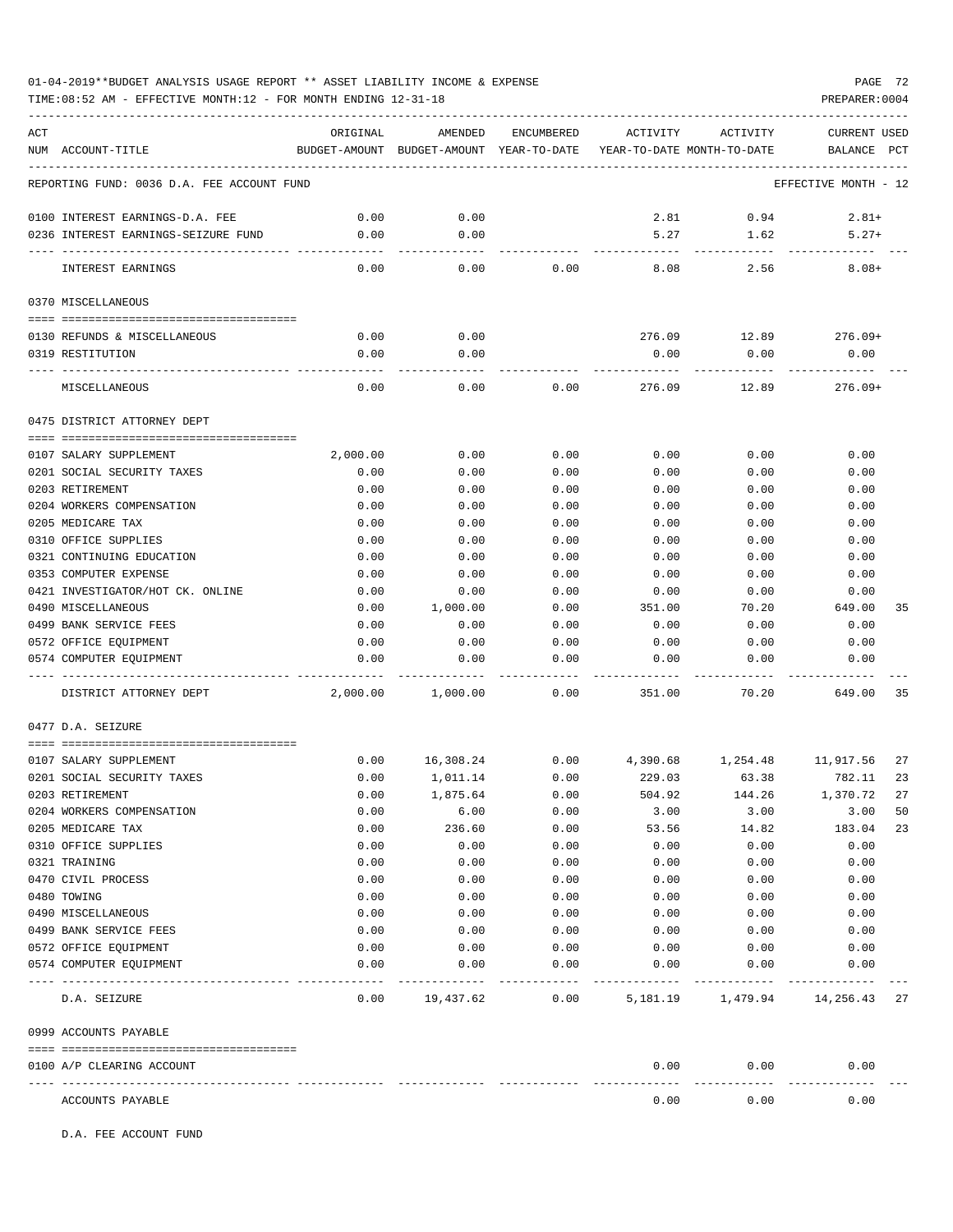# 01-04-2019\*\*BUDGET ANALYSIS USAGE REPORT \*\* ASSET LIABILITY INCOME & EXPENSE PAGE 72

TIME:08:52 AM - EFFECTIVE MONTH:12 - FOR MONTH ENDING 12-31-18 PREPARER:0004

| ACT | NUM ACCOUNT-TITLE                                    | ORIGINAL         | AMENDED<br>BUDGET-AMOUNT BUDGET-AMOUNT YEAR-TO-DATE YEAR-TO-DATE MONTH-TO-DATE | ENCUMBERED     | ACTIVITY     | ACTIVITY                             | <b>CURRENT USED</b><br>BALANCE PCT |          |
|-----|------------------------------------------------------|------------------|--------------------------------------------------------------------------------|----------------|--------------|--------------------------------------|------------------------------------|----------|
|     | REPORTING FUND: 0036 D.A. FEE ACCOUNT FUND           |                  |                                                                                |                |              |                                      | EFFECTIVE MONTH - 12               |          |
|     |                                                      |                  |                                                                                |                |              |                                      |                                    |          |
|     | 0100 INTEREST EARNINGS-D.A. FEE                      | 0.00             | 0.00                                                                           |                | 2.81         | 0.94                                 | $2.81+$                            |          |
|     | 0236 INTEREST EARNINGS-SEIZURE FUND                  | 0.00             | 0.00                                                                           |                | 5.27         | 1.62                                 | $5.27+$                            |          |
|     | INTEREST EARNINGS                                    | 0.00             | 0.00                                                                           | 0.00           | 8.08         | 2.56                                 | $8.08+$                            |          |
|     | 0370 MISCELLANEOUS                                   |                  |                                                                                |                |              |                                      |                                    |          |
|     |                                                      |                  |                                                                                |                |              |                                      |                                    |          |
|     | 0130 REFUNDS & MISCELLANEOUS                         | 0.00             | 0.00                                                                           |                | 276.09       | 12.89                                | $276.09+$                          |          |
|     | 0319 RESTITUTION                                     | 0.00             | 0.00                                                                           |                | 0.00         | 0.00                                 | 0.00                               |          |
|     | MISCELLANEOUS                                        | 0.00             | 0.00                                                                           | 0.00           | 276.09       | 12.89                                | $276.09+$                          |          |
|     | 0475 DISTRICT ATTORNEY DEPT                          |                  |                                                                                |                |              |                                      |                                    |          |
|     |                                                      |                  | 0.00                                                                           | 0.00           |              |                                      | 0.00                               |          |
|     | 0107 SALARY SUPPLEMENT<br>0201 SOCIAL SECURITY TAXES | 2,000.00<br>0.00 | 0.00                                                                           | 0.00           | 0.00<br>0.00 | 0.00<br>0.00                         | 0.00                               |          |
|     | 0203 RETIREMENT                                      | 0.00             | 0.00                                                                           | 0.00           | 0.00         | 0.00                                 | 0.00                               |          |
|     | 0204 WORKERS COMPENSATION                            | 0.00             | 0.00                                                                           | 0.00           | 0.00         | 0.00                                 | 0.00                               |          |
|     | 0205 MEDICARE TAX                                    | 0.00             | 0.00                                                                           | 0.00           | 0.00         | 0.00                                 | 0.00                               |          |
|     | 0310 OFFICE SUPPLIES                                 | 0.00             | 0.00                                                                           | 0.00           | 0.00         | 0.00                                 | 0.00                               |          |
|     | 0321 CONTINUING EDUCATION                            | 0.00             | 0.00                                                                           | 0.00           | 0.00         | 0.00                                 | 0.00                               |          |
|     | 0353 COMPUTER EXPENSE                                | 0.00             | 0.00                                                                           | 0.00           | 0.00         | 0.00                                 | 0.00                               |          |
|     | 0421 INVESTIGATOR/HOT CK. ONLINE                     | 0.00             | 0.00                                                                           | 0.00           | 0.00         | 0.00                                 | 0.00                               |          |
|     | 0490 MISCELLANEOUS                                   | 0.00             | 1,000.00                                                                       | 0.00           | 351.00       | 70.20                                | 649.00                             | 35       |
|     | 0499 BANK SERVICE FEES                               | 0.00             | 0.00                                                                           | 0.00           | 0.00         | 0.00                                 | 0.00                               |          |
|     | 0572 OFFICE EQUIPMENT                                | 0.00             | 0.00                                                                           | 0.00           | 0.00         | 0.00                                 | 0.00                               |          |
|     | 0574 COMPUTER EQUIPMENT                              | 0.00             | 0.00                                                                           | 0.00           | 0.00         | 0.00                                 | 0.00                               |          |
|     | ---- ----------------<br>DISTRICT ATTORNEY DEPT      | 2,000.00         | 1,000.00                                                                       | 0.00           | 351.00       | 70.20                                | 649.00                             | 35       |
|     | 0477 D.A. SEIZURE                                    |                  |                                                                                |                |              |                                      |                                    |          |
|     | 0107 SALARY SUPPLEMENT                               |                  | 16,308.24                                                                      |                |              |                                      |                                    |          |
|     | 0201 SOCIAL SECURITY TAXES                           | 0.00<br>0.00     | 1,011.14                                                                       | 0.00<br>0.00   | 229.03       | 4,390.68 1,254.48 11,917.56<br>63.38 | 782.11                             | 27<br>23 |
|     | 0203 RETIREMENT                                      | 0.00             | 1,875.64                                                                       | 0.00           | 504.92       | 144.26                               | 1,370.72                           | 27       |
|     | 0204 WORKERS COMPENSATION                            | 0.00             | 6.00                                                                           | 0.00           | 3.00         | 3.00                                 | 3.00                               | 50       |
|     | 0205 MEDICARE TAX                                    | 0.00             | 236.60                                                                         | 0.00           | 53.56        | 14.82                                | 183.04                             | 23       |
|     | 0310 OFFICE SUPPLIES                                 | 0.00             | 0.00                                                                           | 0.00           | 0.00         | 0.00                                 | 0.00                               |          |
|     | 0321 TRAINING                                        | 0.00             | 0.00                                                                           | 0.00           | 0.00         | 0.00                                 | 0.00                               |          |
|     | 0470 CIVIL PROCESS                                   | 0.00             | 0.00                                                                           | 0.00           | 0.00         | 0.00                                 | 0.00                               |          |
|     | 0480 TOWING                                          | 0.00             | 0.00                                                                           | 0.00           | 0.00         | 0.00                                 | 0.00                               |          |
|     | 0490 MISCELLANEOUS                                   | 0.00             | 0.00                                                                           | 0.00           | 0.00         | 0.00                                 | 0.00                               |          |
|     | 0499 BANK SERVICE FEES                               | 0.00             | 0.00                                                                           | 0.00           | 0.00         | 0.00                                 | 0.00                               |          |
|     | 0572 OFFICE EQUIPMENT                                | 0.00             | 0.00                                                                           | 0.00           | 0.00         | 0.00                                 | 0.00                               |          |
|     | 0574 COMPUTER EQUIPMENT<br>---------------- --       | 0.00             | 0.00                                                                           | 0.00           | 0.00         | 0.00                                 | 0.00                               |          |
|     | D.A. SEIZURE                                         | 0.00             |                                                                                | 19,437.62 0.00 |              | 5, 181.19 1, 479.94 14, 256.43       |                                    | 27       |
|     | 0999 ACCOUNTS PAYABLE                                |                  |                                                                                |                |              |                                      |                                    |          |
|     | 0100 A/P CLEARING ACCOUNT                            |                  |                                                                                |                | 0.00         | 0.00                                 | 0.00                               |          |
|     | ACCOUNTS PAYABLE                                     |                  |                                                                                |                | 0.00         | ---------<br>0.00                    | 0.00                               |          |

D.A. FEE ACCOUNT FUND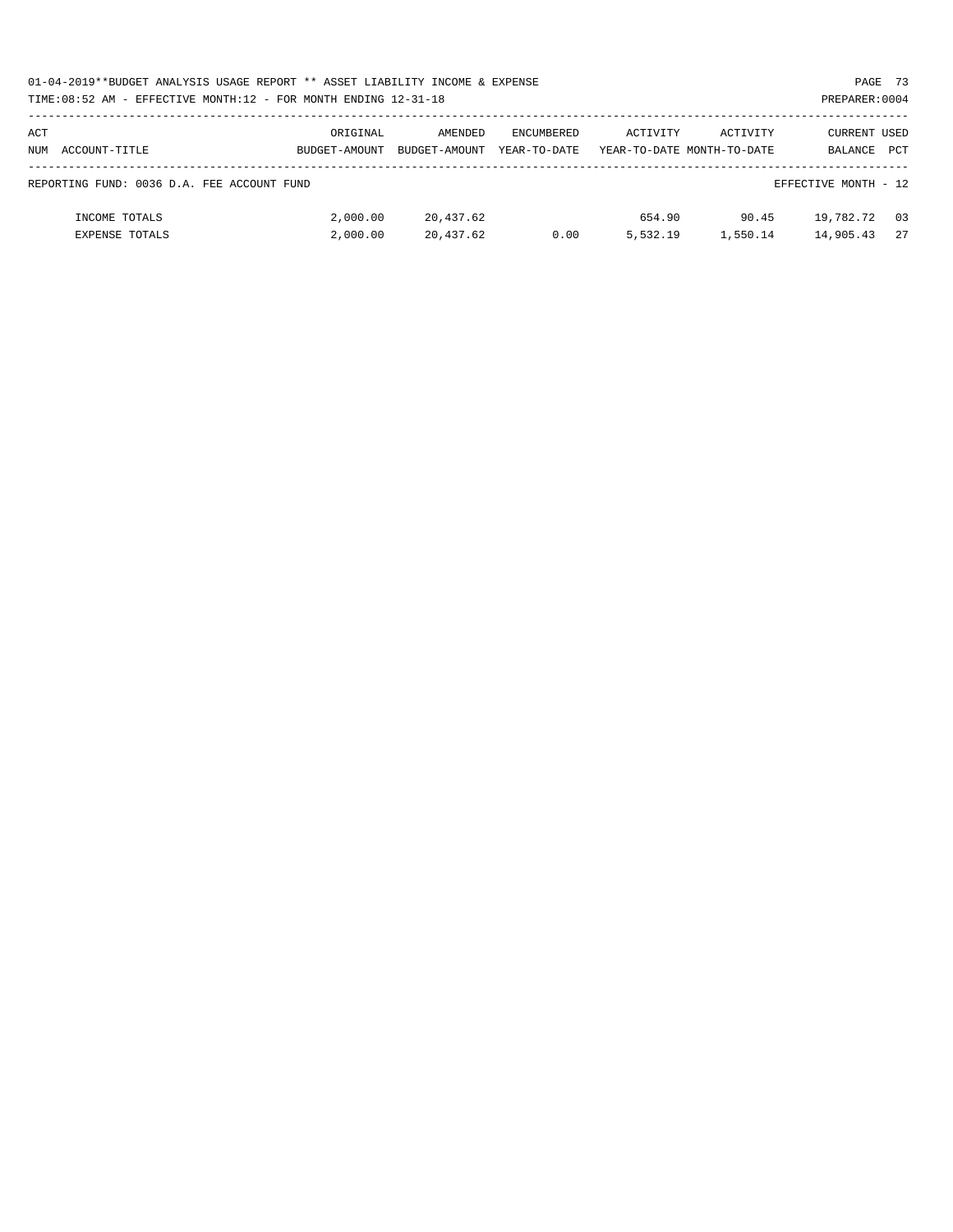|     | 01-04-2019**BUDGET ANALYSIS USAGE REPORT ** ASSET LIABILITY INCOME & EXPENSE |               |               |              |          |                            |                      | PAGE 73    |
|-----|------------------------------------------------------------------------------|---------------|---------------|--------------|----------|----------------------------|----------------------|------------|
|     | TIME:08:52 AM - EFFECTIVE MONTH:12 - FOR MONTH ENDING 12-31-18               |               |               |              |          |                            | PREPARER: 0004       |            |
|     |                                                                              |               |               |              |          |                            |                      |            |
| ACT |                                                                              | ORIGINAL      | AMENDED       | ENCUMBERED   | ACTIVITY | ACTIVITY                   | CURRENT USED         |            |
|     | NUM ACCOUNT-TITLE                                                            | BUDGET-AMOUNT | BUDGET-AMOUNT | YEAR-TO-DATE |          | YEAR-TO-DATE MONTH-TO-DATE | BALANCE              | <b>PCT</b> |
|     |                                                                              |               |               |              |          |                            |                      |            |
|     | REPORTING FUND: 0036 D.A. FEE ACCOUNT FUND                                   |               |               |              |          |                            | EFFECTIVE MONTH - 12 |            |
|     |                                                                              |               |               |              |          |                            |                      |            |
|     | INCOME TOTALS                                                                | 2,000.00      | 20,437.62     |              | 654.90   | 90.45                      | 19,782.72            | 03         |
|     | <b>EXPENSE TOTALS</b>                                                        | 2,000.00      | 20,437.62     | 0.00         | 5,532.19 | 1,550.14                   | 14,905.43            | 2.7        |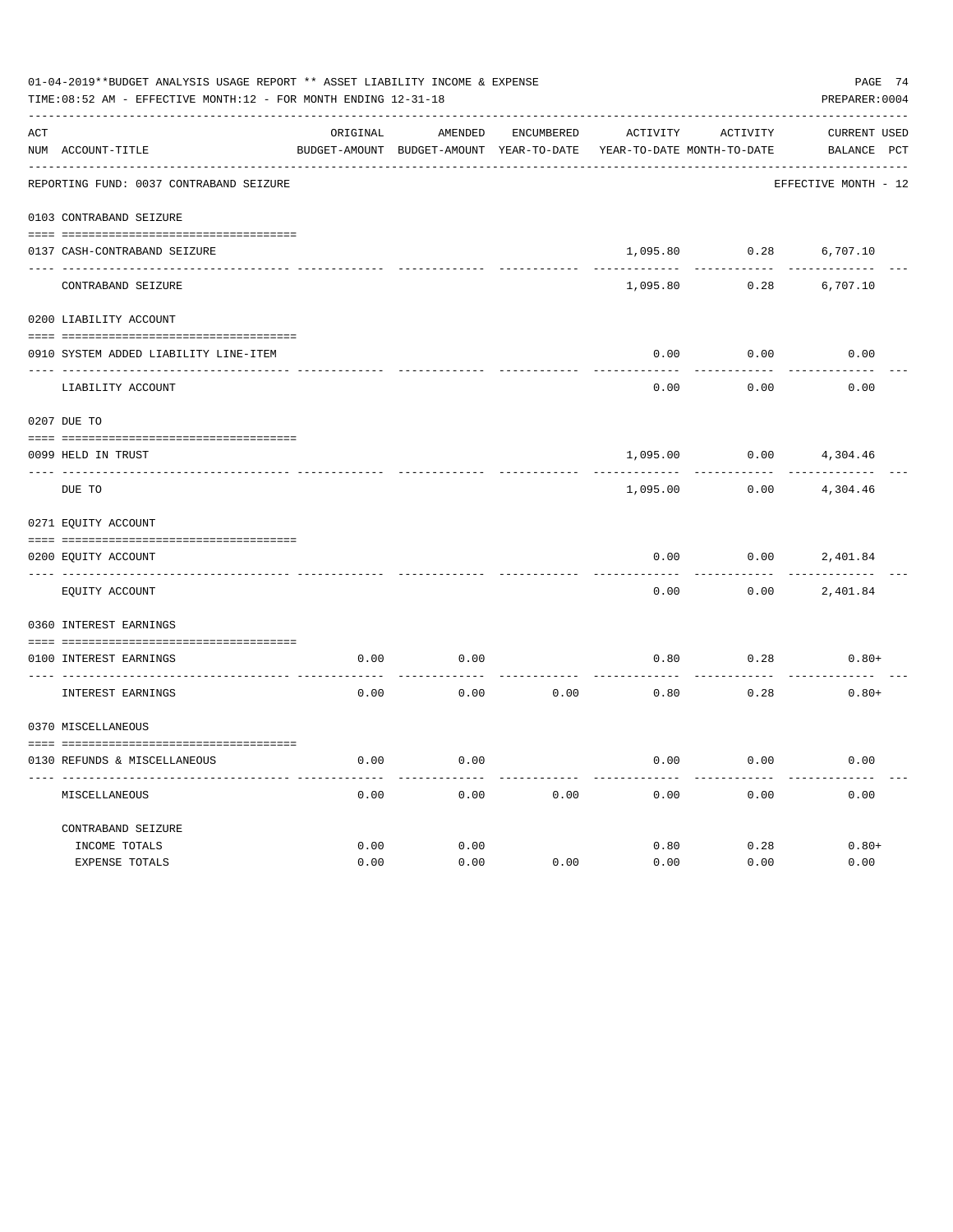|               | 01-04-2019**BUDGET ANALYSIS USAGE REPORT ** ASSET LIABILITY INCOME & EXPENSE<br>PAGE 74<br>TIME: 08:52 AM - EFFECTIVE MONTH: 12 - FOR MONTH ENDING 12-31-18<br>PREPARER: 0004 |          |                                          |                   |          |                            |                      |  |  |  |  |
|---------------|-------------------------------------------------------------------------------------------------------------------------------------------------------------------------------|----------|------------------------------------------|-------------------|----------|----------------------------|----------------------|--|--|--|--|
| ACT           |                                                                                                                                                                               | ORIGINAL | AMENDED                                  | <b>ENCUMBERED</b> | ACTIVITY | ACTIVITY                   | <b>CURRENT USED</b>  |  |  |  |  |
|               | NUM ACCOUNT-TITLE                                                                                                                                                             |          | BUDGET-AMOUNT BUDGET-AMOUNT YEAR-TO-DATE |                   |          | YEAR-TO-DATE MONTH-TO-DATE | BALANCE PCT          |  |  |  |  |
|               | REPORTING FUND: 0037 CONTRABAND SEIZURE                                                                                                                                       |          |                                          |                   |          |                            | EFFECTIVE MONTH - 12 |  |  |  |  |
|               | 0103 CONTRABAND SEIZURE                                                                                                                                                       |          |                                          |                   |          |                            |                      |  |  |  |  |
|               | 0137 CASH-CONTRABAND SEIZURE                                                                                                                                                  |          |                                          |                   | 1,095.80 | 0.28                       | 6,707.10             |  |  |  |  |
|               | CONTRABAND SEIZURE                                                                                                                                                            |          |                                          |                   | 1,095.80 | 0.28                       | 6,707.10             |  |  |  |  |
|               | 0200 LIABILITY ACCOUNT                                                                                                                                                        |          |                                          |                   |          |                            |                      |  |  |  |  |
|               | 0910 SYSTEM ADDED LIABILITY LINE-ITEM                                                                                                                                         |          |                                          |                   | 0.00     | 0.00                       | 0.00                 |  |  |  |  |
|               |                                                                                                                                                                               |          |                                          |                   |          |                            |                      |  |  |  |  |
|               | LIABILITY ACCOUNT                                                                                                                                                             |          |                                          |                   | 0.00     | 0.00                       | 0.00                 |  |  |  |  |
|               | 0207 DUE TO                                                                                                                                                                   |          |                                          |                   |          |                            |                      |  |  |  |  |
|               | 0099 HELD IN TRUST                                                                                                                                                            |          |                                          |                   | 1,095.00 | 0.00                       | 4,304.46             |  |  |  |  |
| $\frac{1}{2}$ | DUE TO                                                                                                                                                                        |          |                                          |                   | 1,095.00 | 0.00                       | 4,304.46             |  |  |  |  |
|               | 0271 EQUITY ACCOUNT                                                                                                                                                           |          |                                          |                   |          |                            |                      |  |  |  |  |
|               | 0200 EQUITY ACCOUNT                                                                                                                                                           |          |                                          |                   | 0.00     | 0.00                       | 2,401.84             |  |  |  |  |
|               | EQUITY ACCOUNT                                                                                                                                                                |          |                                          |                   | 0.00     | 0.00                       | 2,401.84             |  |  |  |  |
|               | 0360 INTEREST EARNINGS                                                                                                                                                        |          |                                          |                   |          |                            |                      |  |  |  |  |
|               | 0100 INTEREST EARNINGS                                                                                                                                                        | 0.00     | 0.00                                     |                   | 0.80     | 0.28                       | $0.80+$              |  |  |  |  |
|               | INTEREST EARNINGS                                                                                                                                                             | 0.00     | 0.00                                     | 0.00              | 0.80     | 0.28                       | $0.80+$              |  |  |  |  |
|               |                                                                                                                                                                               |          |                                          |                   |          |                            |                      |  |  |  |  |
|               | 0370 MISCELLANEOUS                                                                                                                                                            |          |                                          |                   |          |                            |                      |  |  |  |  |
|               | 0130 REFUNDS & MISCELLANEOUS                                                                                                                                                  | 0.00     | 0.00                                     |                   | 0.00     | 0.00                       | 0.00                 |  |  |  |  |
|               | MISCELLANEOUS                                                                                                                                                                 | 0.00     | 0.00                                     | 0.00              | 0.00     | 0.00                       | 0.00                 |  |  |  |  |
|               | CONTRABAND SEIZURE                                                                                                                                                            |          |                                          |                   |          |                            |                      |  |  |  |  |
|               | INCOME TOTALS                                                                                                                                                                 | 0.00     | 0.00                                     |                   | 0.80     | 0.28                       | $0.80+$              |  |  |  |  |
|               | EXPENSE TOTALS                                                                                                                                                                | 0.00     | 0.00                                     | 0.00              | 0.00     | 0.00                       | 0.00                 |  |  |  |  |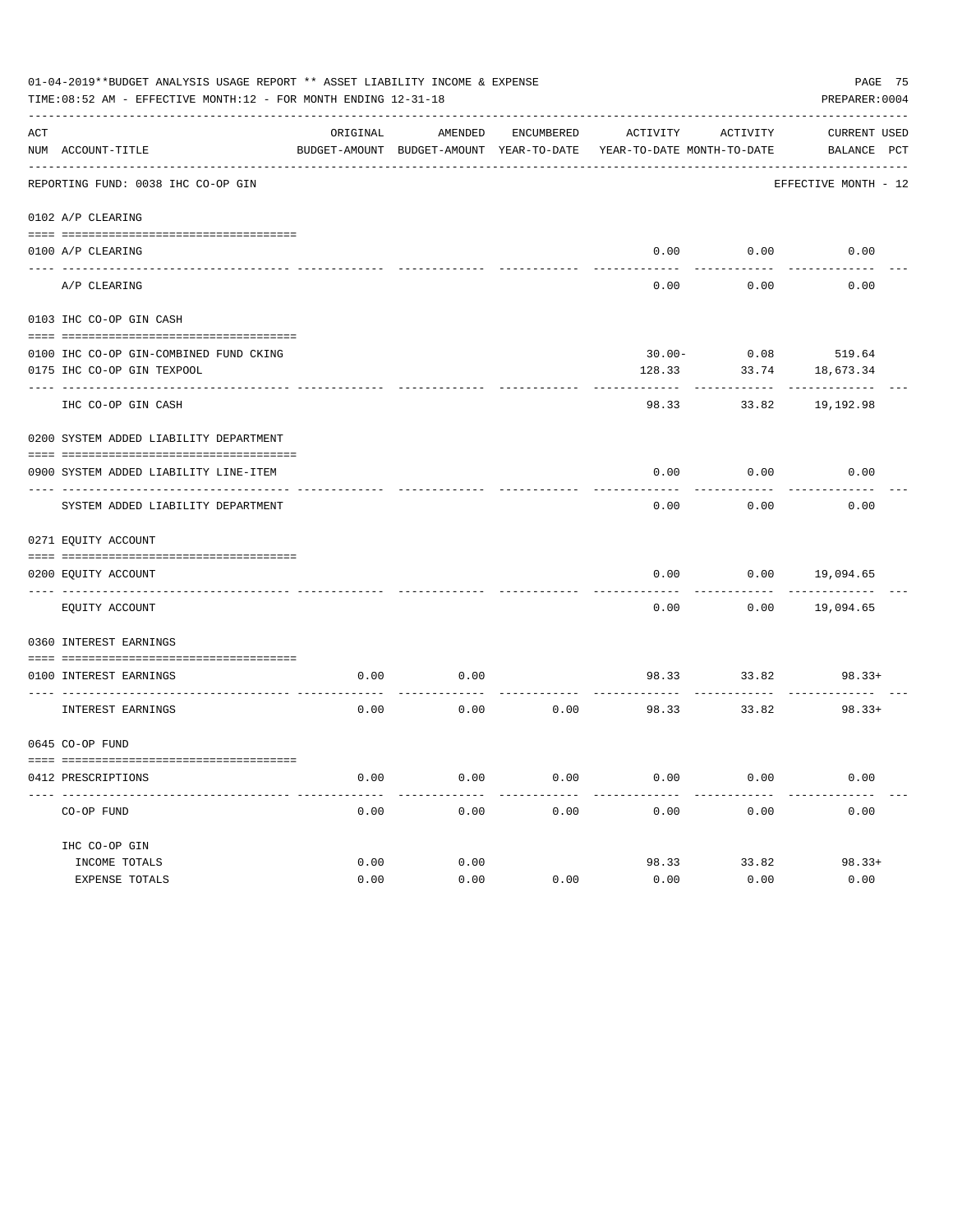|     | 01-04-2019**BUDGET ANALYSIS USAGE REPORT ** ASSET LIABILITY INCOME & EXPENSE<br>PAGE 75<br>TIME: 08:52 AM - EFFECTIVE MONTH: 12 - FOR MONTH ENDING 12-31-18<br>PREPARER: 0004 |          |                                                     |            |                                        |                       |                             |  |  |  |  |
|-----|-------------------------------------------------------------------------------------------------------------------------------------------------------------------------------|----------|-----------------------------------------------------|------------|----------------------------------------|-----------------------|-----------------------------|--|--|--|--|
| ACT | NUM ACCOUNT-TITLE                                                                                                                                                             | ORIGINAL | AMENDED<br>BUDGET-AMOUNT BUDGET-AMOUNT YEAR-TO-DATE | ENCUMBERED | ACTIVITY<br>YEAR-TO-DATE MONTH-TO-DATE | ACTIVITY              | CURRENT USED<br>BALANCE PCT |  |  |  |  |
|     | REPORTING FUND: 0038 IHC CO-OP GIN                                                                                                                                            |          |                                                     |            |                                        |                       | EFFECTIVE MONTH - 12        |  |  |  |  |
|     | 0102 A/P CLEARING                                                                                                                                                             |          |                                                     |            |                                        |                       |                             |  |  |  |  |
|     | 0100 A/P CLEARING                                                                                                                                                             |          |                                                     |            |                                        | $0.00$ $0.00$         | 0.00                        |  |  |  |  |
|     | A/P CLEARING                                                                                                                                                                  |          |                                                     |            | 0.00                                   | 0.00                  | 0.00                        |  |  |  |  |
|     | 0103 IHC CO-OP GIN CASH                                                                                                                                                       |          |                                                     |            |                                        |                       |                             |  |  |  |  |
|     |                                                                                                                                                                               |          |                                                     |            |                                        |                       |                             |  |  |  |  |
|     | 0100 IHC CO-OP GIN-COMBINED FUND CKING                                                                                                                                        |          |                                                     |            |                                        | $30.00 - 0.08$ 519.64 |                             |  |  |  |  |
|     | 0175 IHC CO-OP GIN TEXPOOL                                                                                                                                                    |          |                                                     |            | 128.33                                 | 33.74                 | 18,673.34                   |  |  |  |  |
|     | IHC CO-OP GIN CASH                                                                                                                                                            |          |                                                     |            | 98.33                                  | 33.82                 | 19,192.98                   |  |  |  |  |
|     | 0200 SYSTEM ADDED LIABILITY DEPARTMENT                                                                                                                                        |          |                                                     |            |                                        |                       |                             |  |  |  |  |
|     | 0900 SYSTEM ADDED LIABILITY LINE-ITEM                                                                                                                                         |          |                                                     |            | 0.00                                   | 0.00                  | 0.00                        |  |  |  |  |
|     | SYSTEM ADDED LIABILITY DEPARTMENT                                                                                                                                             |          |                                                     |            | 0.00                                   | 0.00                  | 0.00                        |  |  |  |  |
|     | 0271 EQUITY ACCOUNT                                                                                                                                                           |          |                                                     |            |                                        |                       |                             |  |  |  |  |
|     | 0200 EQUITY ACCOUNT                                                                                                                                                           |          |                                                     |            | 0.00                                   |                       | $0.00$ 19,094.65            |  |  |  |  |
|     | ---- -------------------------<br>EQUITY ACCOUNT                                                                                                                              |          |                                                     |            | -----<br>0.00                          |                       | $0.00$ 19,094.65            |  |  |  |  |
|     | 0360 INTEREST EARNINGS                                                                                                                                                        |          |                                                     |            |                                        |                       |                             |  |  |  |  |
|     | 0100 INTEREST EARNINGS                                                                                                                                                        | 0.00     | 0.00                                                |            |                                        |                       | 98.33 33.82 98.33+          |  |  |  |  |
|     | INTEREST EARNINGS                                                                                                                                                             | 0.00     | 0.00                                                | 0.00       | 98.33 33.82                            |                       | $98.33+$                    |  |  |  |  |
|     | 0645 CO-OP FUND                                                                                                                                                               |          |                                                     |            |                                        |                       |                             |  |  |  |  |
|     | 0412 PRESCRIPTIONS                                                                                                                                                            | 0.00     | 0.00                                                | 0.00       | 0.00                                   | 0.00                  | 0.00                        |  |  |  |  |
|     | CO-OP FUND                                                                                                                                                                    | 0.00     | 0.00                                                | 0.00       | 0.00                                   | 0.00                  | 0.00                        |  |  |  |  |
|     | IHC CO-OP GIN                                                                                                                                                                 |          |                                                     |            |                                        |                       |                             |  |  |  |  |
|     | INCOME TOTALS                                                                                                                                                                 | 0.00     | 0.00                                                |            | 98.33                                  | 33.82                 | $98.33+$                    |  |  |  |  |
|     | EXPENSE TOTALS                                                                                                                                                                | 0.00     | 0.00                                                | 0.00       | 0.00                                   | 0.00                  | 0.00                        |  |  |  |  |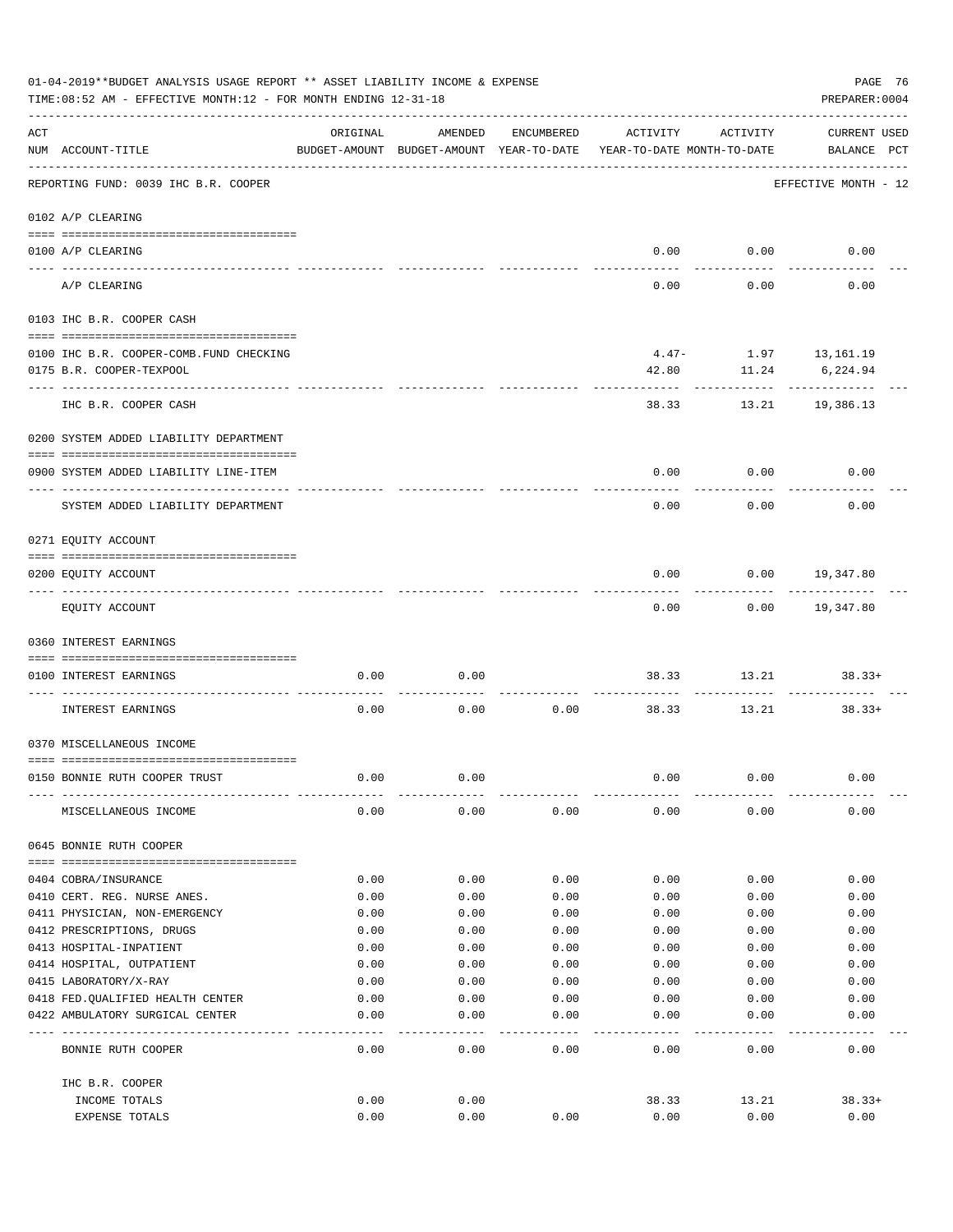|     | 01-04-2019**BUDGET ANALYSIS USAGE REPORT ** ASSET LIABILITY INCOME & EXPENSE<br>TIME:08:52 AM - EFFECTIVE MONTH:12 - FOR MONTH ENDING 12-31-18 |                                                      |              |              |              |                                        | PAGE 76<br>PREPARER: 0004          |
|-----|------------------------------------------------------------------------------------------------------------------------------------------------|------------------------------------------------------|--------------|--------------|--------------|----------------------------------------|------------------------------------|
| ACT | NUM ACCOUNT-TITLE                                                                                                                              | ORIGINAL<br>BUDGET-AMOUNT BUDGET-AMOUNT YEAR-TO-DATE | AMENDED      | ENCUMBERED   | ACTIVITY     | ACTIVITY<br>YEAR-TO-DATE MONTH-TO-DATE | <b>CURRENT USED</b><br>BALANCE PCT |
|     | -----------------------------------<br>REPORTING FUND: 0039 IHC B.R. COOPER                                                                    |                                                      |              |              |              |                                        | EFFECTIVE MONTH - 12               |
|     | 0102 A/P CLEARING                                                                                                                              |                                                      |              |              |              |                                        |                                    |
|     | 0100 A/P CLEARING                                                                                                                              |                                                      |              |              |              | $0.00$ 0.00                            | 0.00                               |
|     | ---- ---------<br>A/P CLEARING                                                                                                                 |                                                      |              |              | 0.00         | 0.00                                   | 0.00                               |
|     | 0103 IHC B.R. COOPER CASH                                                                                                                      |                                                      |              |              |              |                                        |                                    |
|     |                                                                                                                                                |                                                      |              |              |              |                                        |                                    |
|     | 0100 IHC B.R. COOPER-COMB.FUND CHECKING                                                                                                        |                                                      |              |              |              | $4.47 - 1.97$ 13, 161.19               |                                    |
|     | 0175 B.R. COOPER-TEXPOOL                                                                                                                       |                                                      |              |              | 42.80        | 11.24<br>.                             | 6,224.94<br>------------           |
|     | IHC B.R. COOPER CASH                                                                                                                           |                                                      |              |              | 38.33        |                                        | 13.21 19,386.13                    |
|     | 0200 SYSTEM ADDED LIABILITY DEPARTMENT                                                                                                         |                                                      |              |              |              |                                        |                                    |
|     |                                                                                                                                                |                                                      |              |              |              |                                        |                                    |
|     | 0900 SYSTEM ADDED LIABILITY LINE-ITEM                                                                                                          |                                                      |              |              | 0.00         | 0.00                                   | 0.00                               |
|     | SYSTEM ADDED LIABILITY DEPARTMENT                                                                                                              |                                                      |              |              | 0.00         | 0.00                                   | 0.00                               |
|     | 0271 EQUITY ACCOUNT                                                                                                                            |                                                      |              |              |              |                                        |                                    |
|     |                                                                                                                                                |                                                      |              |              |              |                                        |                                    |
|     | 0200 EQUITY ACCOUNT                                                                                                                            |                                                      |              |              | 0.00         |                                        | $0.00$ 19,347.80                   |
|     | EQUITY ACCOUNT                                                                                                                                 |                                                      |              |              | 0.00         |                                        | $0.00$ 19,347.80                   |
|     | 0360 INTEREST EARNINGS                                                                                                                         |                                                      |              |              |              |                                        |                                    |
|     | 0100 INTEREST EARNINGS                                                                                                                         | 0.00                                                 | 0.00         |              | 38.33        | 13.21                                  | $38.33+$                           |
|     | INTEREST EARNINGS                                                                                                                              | 0.00                                                 | 0.00         | 0.00         | 38.33        | 13.21                                  | $38.33+$                           |
|     | 0370 MISCELLANEOUS INCOME                                                                                                                      |                                                      |              |              |              |                                        |                                    |
|     |                                                                                                                                                |                                                      |              |              |              |                                        |                                    |
|     | 0150 BONNIE RUTH COOPER TRUST                                                                                                                  | 0.00                                                 | 0.00         |              | 0.00         | 0.00                                   | 0.00                               |
|     | MISCELLANEOUS INCOME                                                                                                                           | 0.00                                                 | 0.00         | 0.00         | 0.00         | 0.00                                   | 0.00                               |
|     | 0645 BONNIE RUTH COOPER                                                                                                                        |                                                      |              |              |              |                                        |                                    |
|     |                                                                                                                                                |                                                      |              |              |              |                                        |                                    |
|     | 0404 COBRA/INSURANCE<br>0410 CERT. REG. NURSE ANES.                                                                                            | 0.00<br>0.00                                         | 0.00<br>0.00 | 0.00<br>0.00 | 0.00<br>0.00 | 0.00<br>0.00                           | 0.00<br>0.00                       |
|     | 0411 PHYSICIAN, NON-EMERGENCY                                                                                                                  | 0.00                                                 | 0.00         | 0.00         | 0.00         | 0.00                                   | 0.00                               |
|     | 0412 PRESCRIPTIONS, DRUGS                                                                                                                      | 0.00                                                 | 0.00         | 0.00         | 0.00         | 0.00                                   | 0.00                               |
|     | 0413 HOSPITAL-INPATIENT                                                                                                                        | 0.00                                                 | 0.00         | 0.00         | 0.00         | 0.00                                   | 0.00                               |
|     | 0414 HOSPITAL, OUTPATIENT                                                                                                                      | 0.00                                                 | 0.00         | 0.00         | 0.00         | 0.00                                   | 0.00                               |
|     | 0415 LABORATORY/X-RAY                                                                                                                          | 0.00                                                 | 0.00         | 0.00         | 0.00         | 0.00                                   | 0.00                               |
|     | 0418 FED. QUALIFIED HEALTH CENTER                                                                                                              | 0.00                                                 | 0.00         | 0.00         | 0.00         | 0.00                                   | 0.00                               |
|     | 0422 AMBULATORY SURGICAL CENTER                                                                                                                | 0.00                                                 | 0.00         | 0.00         | 0.00         | 0.00                                   | 0.00                               |
|     | BONNIE RUTH COOPER                                                                                                                             | 0.00                                                 | 0.00         | 0.00         | 0.00         | 0.00                                   | 0.00                               |
|     | IHC B.R. COOPER                                                                                                                                |                                                      |              |              |              |                                        |                                    |
|     | INCOME TOTALS                                                                                                                                  | 0.00                                                 | 0.00         |              | 38.33        | 13.21                                  | $38.33+$                           |
|     | EXPENSE TOTALS                                                                                                                                 | 0.00                                                 | 0.00         | 0.00         | 0.00         | 0.00                                   | 0.00                               |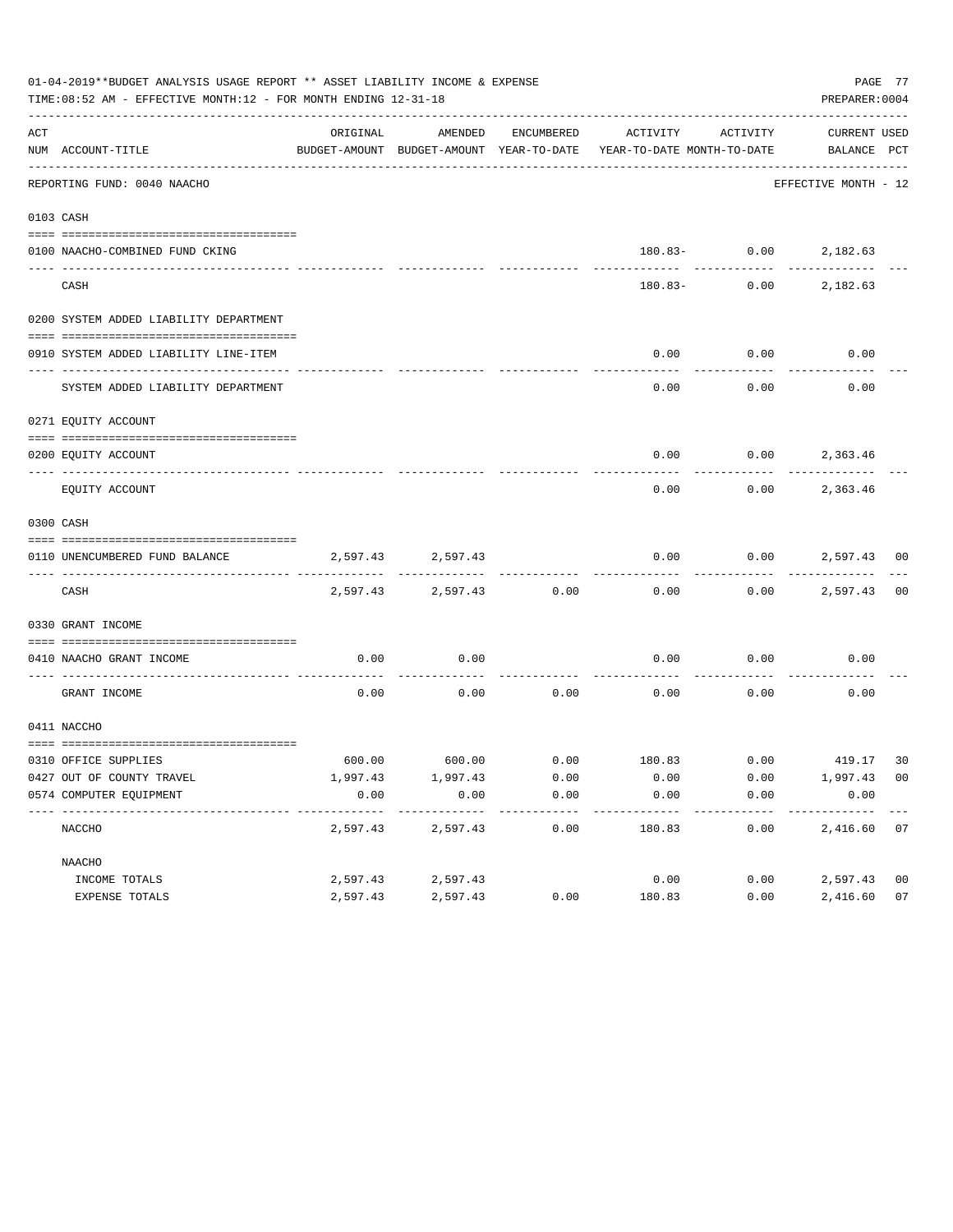|     | 01-04-2019**BUDGET ANALYSIS USAGE REPORT ** ASSET LIABILITY INCOME & EXPENSE<br>TIME: 08:52 AM - EFFECTIVE MONTH: 12 - FOR MONTH ENDING 12-31-18 |          |                        |                     |                                                                                 |                       | PREPARER: 0004              | PAGE 77        |
|-----|--------------------------------------------------------------------------------------------------------------------------------------------------|----------|------------------------|---------------------|---------------------------------------------------------------------------------|-----------------------|-----------------------------|----------------|
| ACT | NUM ACCOUNT-TITLE                                                                                                                                | ORIGINAL | AMENDED                | ENCUMBERED          | ACTIVITY<br>BUDGET-AMOUNT BUDGET-AMOUNT YEAR-TO-DATE YEAR-TO-DATE MONTH-TO-DATE | ACTIVITY              | CURRENT USED<br>BALANCE PCT |                |
|     | --------------------------<br>REPORTING FUND: 0040 NAACHO                                                                                        |          |                        |                     |                                                                                 |                       | EFFECTIVE MONTH - 12        |                |
|     | 0103 CASH                                                                                                                                        |          |                        |                     |                                                                                 |                       |                             |                |
|     |                                                                                                                                                  |          |                        |                     |                                                                                 |                       |                             |                |
|     | 0100 NAACHO-COMBINED FUND CKING                                                                                                                  |          |                        |                     |                                                                                 | 180.83- 0.00 2,182.63 |                             |                |
|     | CASH                                                                                                                                             |          |                        |                     | 180.83-                                                                         |                       | $0.00$ 2,182.63             |                |
|     | 0200 SYSTEM ADDED LIABILITY DEPARTMENT                                                                                                           |          |                        |                     |                                                                                 |                       |                             |                |
|     | 0910 SYSTEM ADDED LIABILITY LINE-ITEM                                                                                                            |          |                        |                     | 0.00                                                                            | 0.00                  | 0.00                        |                |
|     |                                                                                                                                                  |          |                        |                     |                                                                                 |                       |                             |                |
|     | SYSTEM ADDED LIABILITY DEPARTMENT                                                                                                                |          |                        |                     | 0.00                                                                            | 0.00                  | 0.00                        |                |
|     | 0271 EQUITY ACCOUNT                                                                                                                              |          |                        |                     |                                                                                 |                       |                             |                |
|     |                                                                                                                                                  |          |                        |                     |                                                                                 |                       |                             |                |
|     | 0200 EOUITY ACCOUNT                                                                                                                              |          |                        |                     | 0.00                                                                            | $0.00$ 2,363.46       |                             |                |
|     | EQUITY ACCOUNT                                                                                                                                   |          |                        |                     | 0.00                                                                            | 0.00                  | 2,363.46                    |                |
|     | 0300 CASH                                                                                                                                        |          |                        |                     |                                                                                 |                       |                             |                |
|     |                                                                                                                                                  |          |                        |                     |                                                                                 |                       |                             |                |
|     | 0110 UNENCUMBERED FUND BALANCE                                                                                                                   |          | 2,597.43 2,597.43      |                     | 0.00                                                                            |                       | $0.00$ 2,597.43 00          |                |
|     | CASH                                                                                                                                             | 2,597.43 | 2,597.43               | 0.00                | 0.00                                                                            |                       | $0.00$ 2,597.43             | 0 <sub>0</sub> |
|     | 0330 GRANT INCOME                                                                                                                                |          |                        |                     |                                                                                 |                       |                             |                |
|     |                                                                                                                                                  |          |                        |                     |                                                                                 |                       |                             |                |
|     | 0410 NAACHO GRANT INCOME<br>----------------- --                                                                                                 | 0.00     | 0.00                   |                     | 0.00                                                                            | 0.00                  | 0.00                        |                |
|     | GRANT INCOME                                                                                                                                     | 0.00     | 0.00                   | 0.00                | 0.00                                                                            | 0.00                  | 0.00                        |                |
|     | 0411 NACCHO                                                                                                                                      |          |                        |                     |                                                                                 |                       |                             |                |
|     | 0310 OFFICE SUPPLIES                                                                                                                             |          |                        |                     | $600.00$ $600.00$ $0.00$ $180.83$ $0.00$ $419.17$                               |                       |                             | 30             |
|     | 0427 OUT OF COUNTY TRAVEL                                                                                                                        | 1,997.43 | 1,997.43               | 0.00                | 0.00                                                                            | 0.00                  | 1,997.43 00                 |                |
|     | 0574 COMPUTER EQUIPMENT                                                                                                                          | 0.00     | 0.00                   | 0.00                | 0.00                                                                            | 0.00                  | 0.00                        |                |
|     | --------------<br>NACCHO                                                                                                                         | 2,597.43 | ----------<br>2,597.43 | -----------<br>0.00 | ---------<br>180.83                                                             | ---------<br>0.00     | ____________<br>2,416.60    | 07             |
|     | NAACHO                                                                                                                                           |          |                        |                     |                                                                                 |                       |                             |                |
|     | INCOME TOTALS                                                                                                                                    | 2,597.43 | 2,597.43               |                     | 0.00                                                                            | 0.00                  | 2,597.43                    | 0 <sub>0</sub> |
|     | EXPENSE TOTALS                                                                                                                                   | 2,597.43 | 2,597.43               | 0.00                | 180.83                                                                          | 0.00                  | 2,416.60                    | 07             |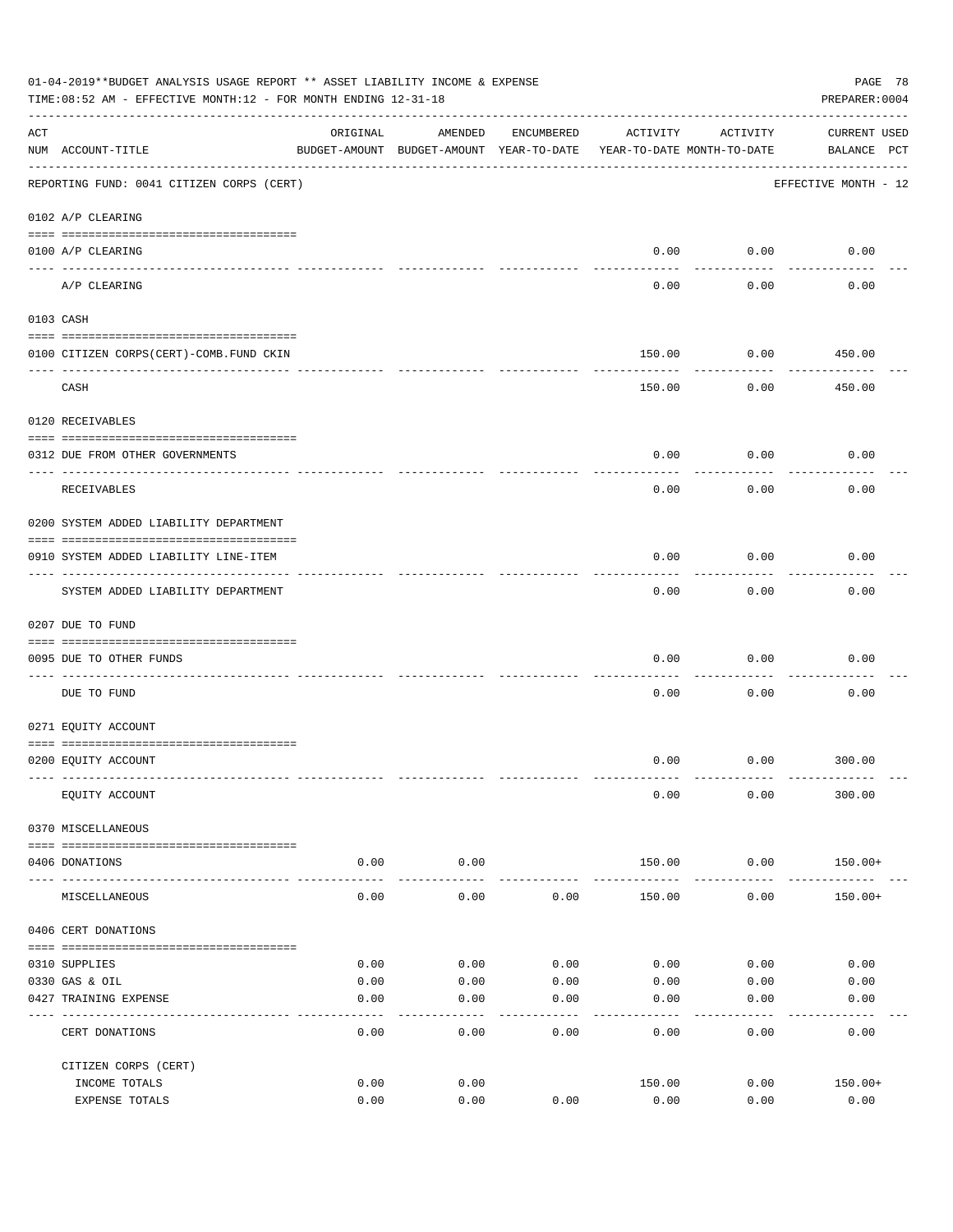|     | 01-04-2019**BUDGET ANALYSIS USAGE REPORT ** ASSET LIABILITY INCOME & EXPENSE<br>PAGE 78<br>TIME: 08:52 AM - EFFECTIVE MONTH: 12 - FOR MONTH ENDING 12-31-18<br>PREPARER: 0004 |                  |                                                     |              |                                        |              |                                    |  |  |  |  |
|-----|-------------------------------------------------------------------------------------------------------------------------------------------------------------------------------|------------------|-----------------------------------------------------|--------------|----------------------------------------|--------------|------------------------------------|--|--|--|--|
| ACT | NUM ACCOUNT-TITLE                                                                                                                                                             | ORIGINAL         | AMENDED<br>BUDGET-AMOUNT BUDGET-AMOUNT YEAR-TO-DATE | ENCUMBERED   | ACTIVITY<br>YEAR-TO-DATE MONTH-TO-DATE | ACTIVITY     | <b>CURRENT USED</b><br>BALANCE PCT |  |  |  |  |
|     | REPORTING FUND: 0041 CITIZEN CORPS (CERT)                                                                                                                                     |                  |                                                     |              |                                        |              | EFFECTIVE MONTH - 12               |  |  |  |  |
|     | 0102 A/P CLEARING                                                                                                                                                             |                  |                                                     |              |                                        |              |                                    |  |  |  |  |
|     | 0100 A/P CLEARING                                                                                                                                                             |                  |                                                     |              | 0.00                                   | 0.00         | 0.00                               |  |  |  |  |
|     | A/P CLEARING                                                                                                                                                                  |                  |                                                     |              | 0.00                                   | 0.00         | 0.00                               |  |  |  |  |
|     | 0103 CASH                                                                                                                                                                     |                  |                                                     |              |                                        |              |                                    |  |  |  |  |
|     | 0100 CITIZEN CORPS(CERT)-COMB.FUND CKIN                                                                                                                                       |                  |                                                     |              | 150.00                                 | 0.00         | 450.00                             |  |  |  |  |
|     | CASH                                                                                                                                                                          |                  |                                                     |              | 150.00                                 | 0.00         | 450.00                             |  |  |  |  |
|     | 0120 RECEIVABLES                                                                                                                                                              |                  |                                                     |              |                                        |              |                                    |  |  |  |  |
|     | 0312 DUE FROM OTHER GOVERNMENTS                                                                                                                                               |                  |                                                     |              | 0.00                                   | 0.00         | 0.00                               |  |  |  |  |
|     | RECEIVABLES                                                                                                                                                                   |                  |                                                     |              | 0.00                                   | 0.00         | 0.00                               |  |  |  |  |
|     | 0200 SYSTEM ADDED LIABILITY DEPARTMENT                                                                                                                                        |                  |                                                     |              |                                        |              |                                    |  |  |  |  |
|     | 0910 SYSTEM ADDED LIABILITY LINE-ITEM                                                                                                                                         |                  |                                                     |              | 0.00                                   | 0.00         | 0.00                               |  |  |  |  |
|     | SYSTEM ADDED LIABILITY DEPARTMENT                                                                                                                                             |                  |                                                     |              | 0.00                                   | 0.00         | 0.00                               |  |  |  |  |
|     | 0207 DUE TO FUND                                                                                                                                                              |                  |                                                     |              |                                        |              |                                    |  |  |  |  |
|     | 0095 DUE TO OTHER FUNDS                                                                                                                                                       |                  |                                                     |              | 0.00                                   | 0.00         | 0.00                               |  |  |  |  |
|     | DUE TO FUND                                                                                                                                                                   |                  |                                                     |              | 0.00                                   | 0.00         | 0.00                               |  |  |  |  |
|     | 0271 EQUITY ACCOUNT                                                                                                                                                           |                  |                                                     |              |                                        |              |                                    |  |  |  |  |
|     | 0200 EQUITY ACCOUNT                                                                                                                                                           |                  |                                                     |              | 0.00                                   |              | $0.00$ 300.00                      |  |  |  |  |
|     | EQUITY ACCOUNT                                                                                                                                                                |                  |                                                     |              | 0.00                                   | 0.00         | 300.00                             |  |  |  |  |
|     | 0370 MISCELLANEOUS                                                                                                                                                            |                  |                                                     |              |                                        |              |                                    |  |  |  |  |
|     | 0406 DONATIONS                                                                                                                                                                | 0.00             | 0.00                                                |              | 150.00                                 | 0.00         | 150.00+                            |  |  |  |  |
|     | MISCELLANEOUS                                                                                                                                                                 | --------<br>0.00 | ----------<br>0.00                                  | 0.00         | 150.00                                 | .<br>0.00    | 150.00+                            |  |  |  |  |
|     | 0406 CERT DONATIONS                                                                                                                                                           |                  |                                                     |              |                                        |              |                                    |  |  |  |  |
|     |                                                                                                                                                                               |                  |                                                     |              |                                        |              |                                    |  |  |  |  |
|     | 0310 SUPPLIES                                                                                                                                                                 | 0.00             | 0.00                                                | 0.00         | 0.00                                   | 0.00         | 0.00                               |  |  |  |  |
|     | 0330 GAS & OIL<br>0427 TRAINING EXPENSE                                                                                                                                       | 0.00<br>0.00     | 0.00<br>0.00                                        | 0.00<br>0.00 | 0.00<br>0.00                           | 0.00<br>0.00 | 0.00<br>0.00                       |  |  |  |  |
|     | CERT DONATIONS                                                                                                                                                                | 0.00             | 0.00                                                | 0.00         | 0.00                                   | 0.00         | 0.00                               |  |  |  |  |
|     | CITIZEN CORPS (CERT)                                                                                                                                                          |                  |                                                     |              |                                        |              |                                    |  |  |  |  |
|     | INCOME TOTALS                                                                                                                                                                 | 0.00             | 0.00                                                |              | 150.00                                 | 0.00         | $150.00+$                          |  |  |  |  |
|     | EXPENSE TOTALS                                                                                                                                                                | 0.00             | 0.00                                                | 0.00         | 0.00                                   | 0.00         | 0.00                               |  |  |  |  |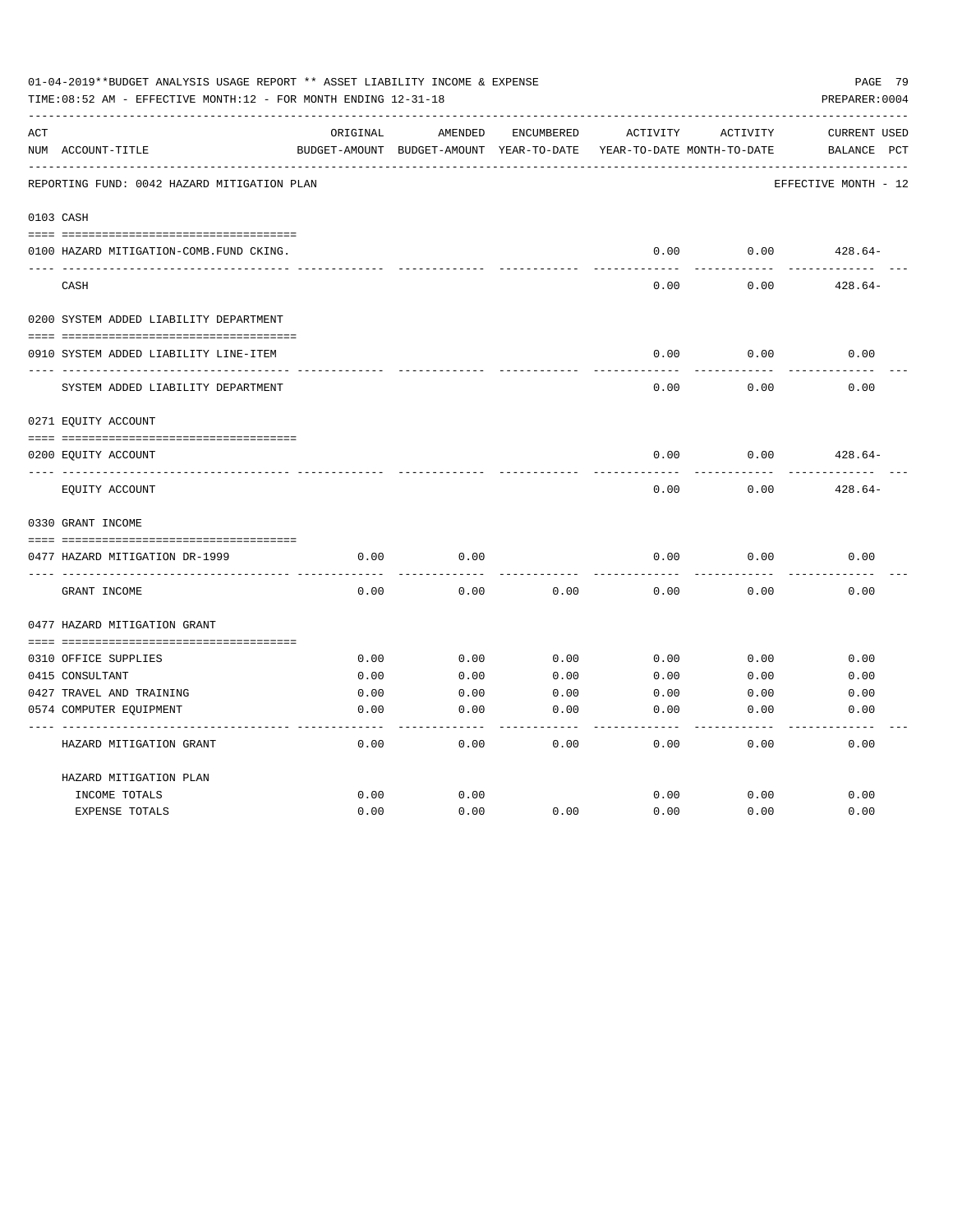| 01-04-2019**BUDGET ANALYSIS USAGE REPORT ** ASSET LIABILITY INCOME & EXPENSE<br>PAGE 79<br>TIME: 08:52 AM - EFFECTIVE MONTH: 12 - FOR MONTH ENDING 12-31-18<br>PREPARER: 0004 |                                             |              |                                          |              |              |                            |                      |  |  |
|-------------------------------------------------------------------------------------------------------------------------------------------------------------------------------|---------------------------------------------|--------------|------------------------------------------|--------------|--------------|----------------------------|----------------------|--|--|
| ACT                                                                                                                                                                           |                                             | ORIGINAL     | AMENDED                                  | ENCUMBERED   | ACTIVITY     | ACTIVITY                   | <b>CURRENT USED</b>  |  |  |
|                                                                                                                                                                               | NUM ACCOUNT-TITLE                           |              | BUDGET-AMOUNT BUDGET-AMOUNT YEAR-TO-DATE |              |              | YEAR-TO-DATE MONTH-TO-DATE | BALANCE<br>PCT       |  |  |
|                                                                                                                                                                               | REPORTING FUND: 0042 HAZARD MITIGATION PLAN |              |                                          |              |              |                            | EFFECTIVE MONTH - 12 |  |  |
|                                                                                                                                                                               | 0103 CASH                                   |              |                                          |              |              |                            |                      |  |  |
|                                                                                                                                                                               | 0100 HAZARD MITIGATION-COMB.FUND CKING.     |              |                                          |              | 0.00         | 0.00                       | $428.64-$            |  |  |
|                                                                                                                                                                               | CASH                                        |              |                                          |              | 0.00         | 0.00                       | $428.64-$            |  |  |
|                                                                                                                                                                               | 0200 SYSTEM ADDED LIABILITY DEPARTMENT      |              |                                          |              |              |                            |                      |  |  |
|                                                                                                                                                                               |                                             |              |                                          |              |              |                            |                      |  |  |
|                                                                                                                                                                               | 0910 SYSTEM ADDED LIABILITY LINE-ITEM       |              |                                          |              | 0.00         | 0.00                       | 0.00                 |  |  |
|                                                                                                                                                                               | SYSTEM ADDED LIABILITY DEPARTMENT           |              |                                          |              | 0.00         | 0.00                       | 0.00                 |  |  |
|                                                                                                                                                                               | 0271 EQUITY ACCOUNT                         |              |                                          |              |              |                            |                      |  |  |
|                                                                                                                                                                               | 0200 EQUITY ACCOUNT                         |              |                                          |              | 0.00         | 0.00                       | $428.64-$            |  |  |
|                                                                                                                                                                               | EQUITY ACCOUNT                              |              |                                          |              | 0.00         | 0.00                       | $428.64-$            |  |  |
|                                                                                                                                                                               | 0330 GRANT INCOME                           |              |                                          |              |              |                            |                      |  |  |
|                                                                                                                                                                               |                                             |              |                                          |              |              |                            |                      |  |  |
|                                                                                                                                                                               | 0477 HAZARD MITIGATION DR-1999              | 0.00         | 0.00                                     |              | 0.00         | 0.00                       | 0.00                 |  |  |
|                                                                                                                                                                               | GRANT INCOME                                | 0.00         | 0.00                                     | 0.00         | 0.00         | 0.00                       | 0.00                 |  |  |
|                                                                                                                                                                               | 0477 HAZARD MITIGATION GRANT                |              |                                          |              |              |                            |                      |  |  |
|                                                                                                                                                                               |                                             |              |                                          |              |              |                            |                      |  |  |
|                                                                                                                                                                               | 0310 OFFICE SUPPLIES<br>0415 CONSULTANT     | 0.00<br>0.00 | 0.00                                     | 0.00         | 0.00         | 0.00                       | 0.00                 |  |  |
|                                                                                                                                                                               | 0427 TRAVEL AND TRAINING                    | 0.00         | 0.00<br>0.00                             | 0.00<br>0.00 | 0.00<br>0.00 | 0.00<br>0.00               | 0.00<br>0.00         |  |  |
|                                                                                                                                                                               |                                             | 0.00         | 0.00                                     | 0.00         | 0.00         | 0.00                       |                      |  |  |
|                                                                                                                                                                               | 0574 COMPUTER EQUIPMENT                     |              |                                          |              |              |                            | 0.00                 |  |  |
|                                                                                                                                                                               | HAZARD MITIGATION GRANT                     | 0.00         | 0.00                                     | 0.00         | 0.00         | 0.00                       | 0.00                 |  |  |
|                                                                                                                                                                               | HAZARD MITIGATION PLAN                      |              |                                          |              |              |                            |                      |  |  |
|                                                                                                                                                                               | INCOME TOTALS                               | 0.00         | 0.00                                     |              | 0.00         | 0.00                       | 0.00                 |  |  |
|                                                                                                                                                                               | <b>EXPENSE TOTALS</b>                       | 0.00         | 0.00                                     | 0.00         | 0.00         | 0.00                       | 0.00                 |  |  |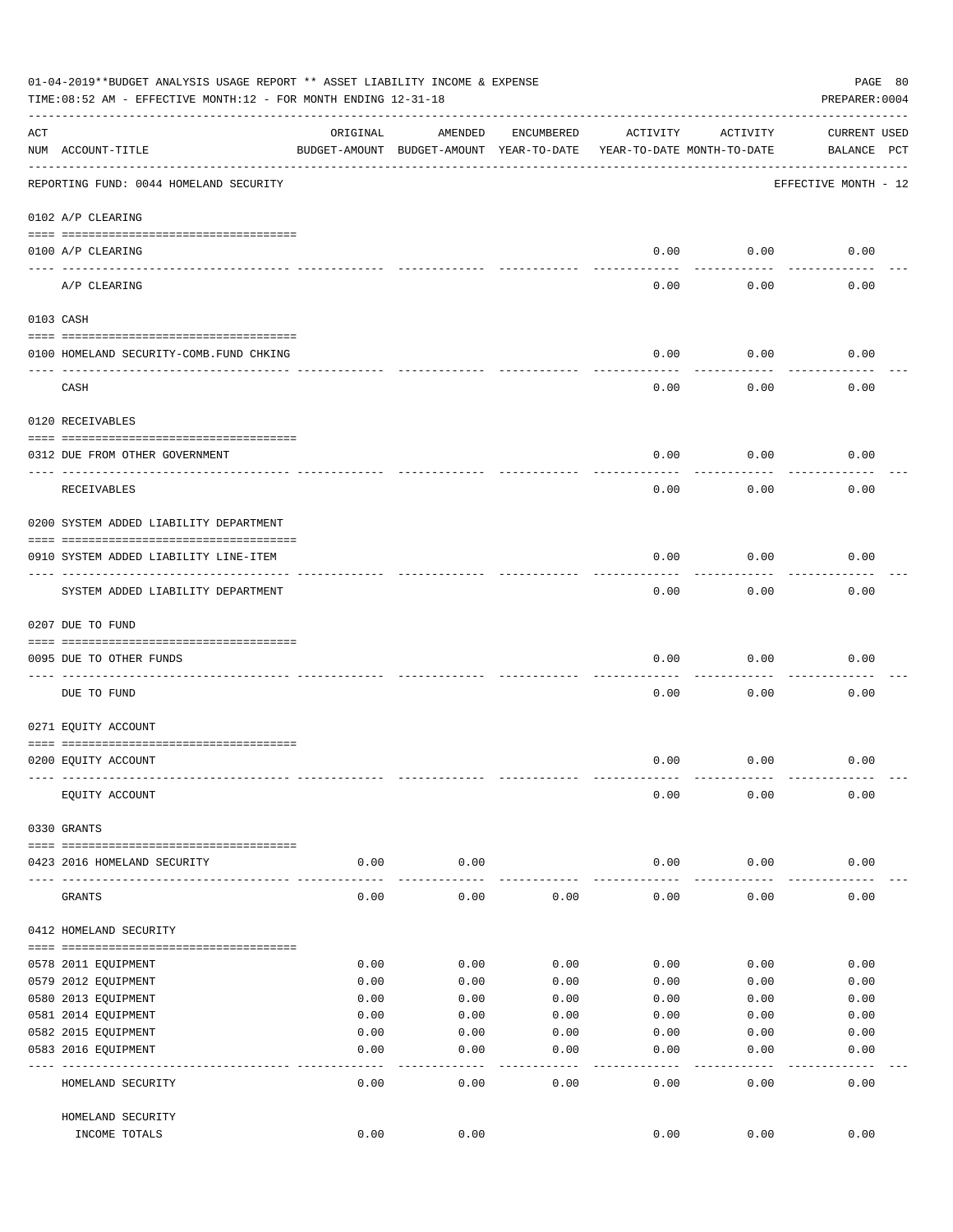|     | 01-04-2019**BUDGET ANALYSIS USAGE REPORT ** ASSET LIABILITY INCOME & EXPENSE<br>TIME: 08:52 AM - EFFECTIVE MONTH: 12 - FOR MONTH ENDING 12-31-18 |          |                                                     |            |                                        |                 | PAGE 80<br>PREPARER: 0004          |
|-----|--------------------------------------------------------------------------------------------------------------------------------------------------|----------|-----------------------------------------------------|------------|----------------------------------------|-----------------|------------------------------------|
| ACT | NUM ACCOUNT-TITLE                                                                                                                                | ORIGINAL | AMENDED<br>BUDGET-AMOUNT BUDGET-AMOUNT YEAR-TO-DATE | ENCUMBERED | ACTIVITY<br>YEAR-TO-DATE MONTH-TO-DATE | ACTIVITY        | <b>CURRENT USED</b><br>BALANCE PCT |
|     | REPORTING FUND: 0044 HOMELAND SECURITY                                                                                                           |          |                                                     |            |                                        |                 | EFFECTIVE MONTH - 12               |
|     | 0102 A/P CLEARING                                                                                                                                |          |                                                     |            |                                        |                 |                                    |
|     | 0100 A/P CLEARING                                                                                                                                |          |                                                     |            | 0.00                                   | 0.00            | 0.00                               |
|     | ____ _________<br>A/P CLEARING                                                                                                                   |          |                                                     |            | 0.00                                   | 0.00            | 0.00                               |
|     | 0103 CASH                                                                                                                                        |          |                                                     |            |                                        |                 |                                    |
|     | 0100 HOMELAND SECURITY-COMB. FUND CHKING                                                                                                         |          |                                                     |            | 0.00                                   | 0.00            | 0.00                               |
|     | CASH                                                                                                                                             |          |                                                     |            | 0.00                                   | 0.00            | 0.00                               |
|     | 0120 RECEIVABLES                                                                                                                                 |          |                                                     |            |                                        |                 |                                    |
|     | 0312 DUE FROM OTHER GOVERNMENT                                                                                                                   |          |                                                     |            | 0.00                                   | 0.00            | 0.00                               |
|     | RECEIVABLES                                                                                                                                      |          |                                                     |            | 0.00                                   | 0.00            | 0.00                               |
|     | 0200 SYSTEM ADDED LIABILITY DEPARTMENT                                                                                                           |          |                                                     |            |                                        |                 |                                    |
|     | 0910 SYSTEM ADDED LIABILITY LINE-ITEM                                                                                                            |          |                                                     |            | 0.00                                   | 0.00            | 0.00                               |
|     | SYSTEM ADDED LIABILITY DEPARTMENT                                                                                                                |          |                                                     |            | 0.00                                   | 0.00            | 0.00                               |
|     | 0207 DUE TO FUND                                                                                                                                 |          |                                                     |            |                                        |                 |                                    |
|     | 0095 DUE TO OTHER FUNDS                                                                                                                          |          |                                                     |            | 0.00                                   | 0.00            | 0.00                               |
|     | DUE TO FUND                                                                                                                                      |          |                                                     |            | 0.00                                   | 0.00            | 0.00                               |
|     | 0271 EQUITY ACCOUNT                                                                                                                              |          |                                                     |            |                                        |                 |                                    |
|     | 0200 EQUITY ACCOUNT                                                                                                                              |          |                                                     |            | 0.00                                   | 0.00            | 0.00                               |
|     | EQUITY ACCOUNT                                                                                                                                   |          |                                                     |            | 0.00                                   | 0.00            | 0.00                               |
|     | 0330 GRANTS                                                                                                                                      |          |                                                     |            |                                        |                 |                                    |
|     | 0423 2016 HOMELAND SECURITY                                                                                                                      | 0.00     | 0.00                                                |            | 0.00                                   | 0.00            | 0.00                               |
|     | GRANTS                                                                                                                                           | 0.00     | 0.00                                                | 0.00       | 0.00                                   | 0.00            | 0.00                               |
|     | 0412 HOMELAND SECURITY                                                                                                                           |          |                                                     |            |                                        |                 |                                    |
|     | 0578 2011 EQUIPMENT                                                                                                                              | 0.00     | 0.00                                                | 0.00       | 0.00                                   | 0.00            | 0.00                               |
|     | 0579 2012 EQUIPMENT                                                                                                                              | 0.00     | 0.00                                                | 0.00       | 0.00                                   | 0.00            | 0.00                               |
|     | 0580 2013 EQUIPMENT                                                                                                                              | 0.00     | 0.00                                                | 0.00       | 0.00                                   | 0.00            | 0.00                               |
|     | 0581 2014 EQUIPMENT                                                                                                                              | 0.00     | 0.00                                                | 0.00       | 0.00                                   | 0.00            | 0.00                               |
|     | 0582 2015 EQUIPMENT                                                                                                                              | 0.00     | 0.00                                                | 0.00       | 0.00                                   | 0.00            | 0.00                               |
|     | 0583 2016 EQUIPMENT                                                                                                                              | 0.00     | 0.00                                                | 0.00       | 0.00                                   | 0.00            | 0.00                               |
|     | HOMELAND SECURITY                                                                                                                                | 0.00     | 0.00                                                | 0.00       | 0.00                                   | $--- -$<br>0.00 | 0.00                               |
|     | HOMELAND SECURITY                                                                                                                                |          |                                                     |            |                                        |                 |                                    |
|     | INCOME TOTALS                                                                                                                                    | 0.00     | 0.00                                                |            | 0.00                                   | 0.00            | 0.00                               |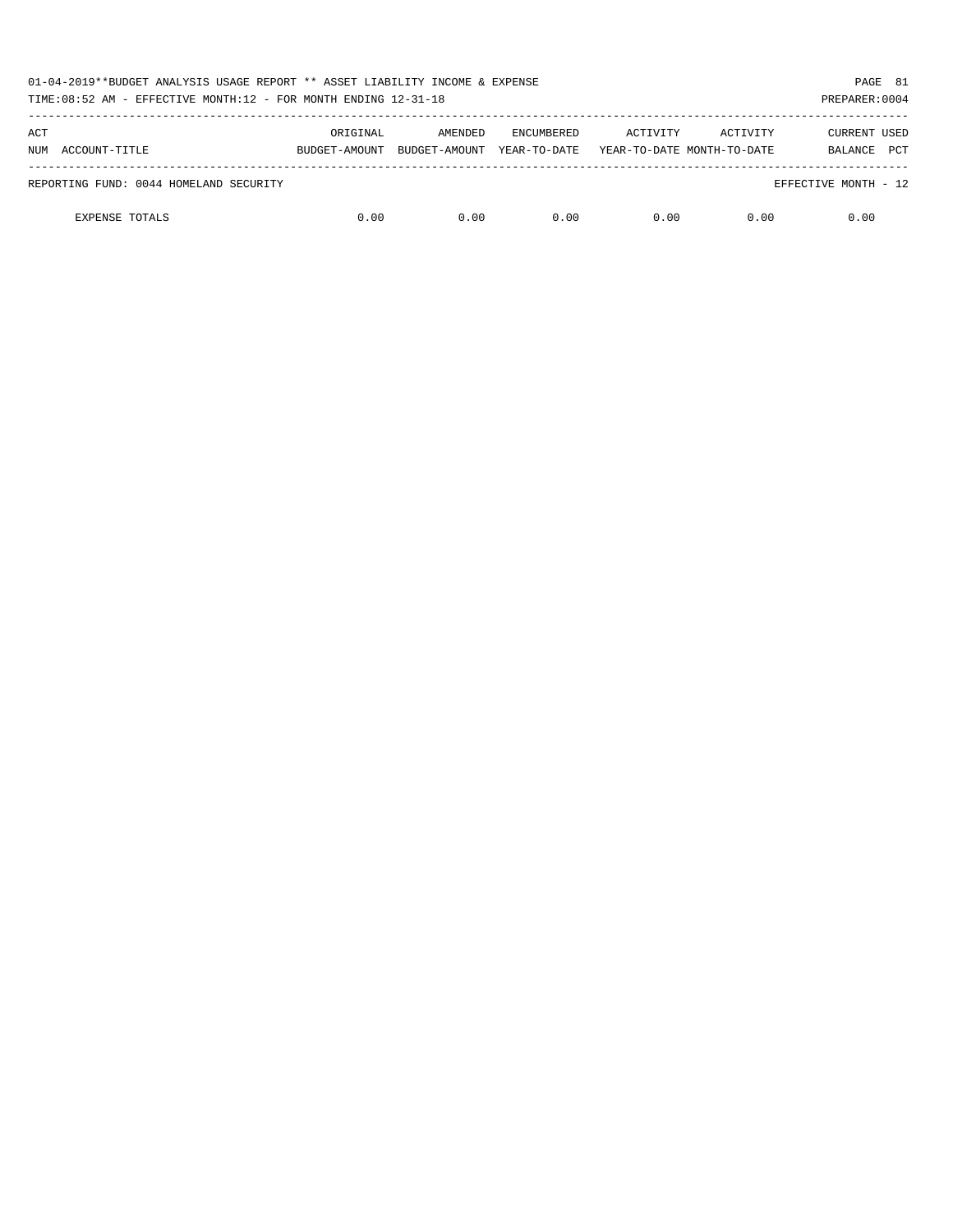| 01-04-2019**BUDGET ANALYSIS USAGE REPORT ** ASSET LIABILITY INCOME & EXPENSE<br>PAGE 81<br>TIME: $08:52$ AM - EFFECTIVE MONTH: $12$ - FOR MONTH ENDING $12-31-18$<br>PREPARER: 0004 |               |               |                   |          |                            |                       |  |  |
|-------------------------------------------------------------------------------------------------------------------------------------------------------------------------------------|---------------|---------------|-------------------|----------|----------------------------|-----------------------|--|--|
| ACT                                                                                                                                                                                 | ORIGINAL      | AMENDED       | <b>ENCUMBERED</b> | ACTIVITY | ACTIVITY                   | <b>CURRENT USED</b>   |  |  |
| ACCOUNT-TITLE<br>NUM                                                                                                                                                                | BUDGET-AMOUNT | BUDGET-AMOUNT | YEAR-TO-DATE      |          | YEAR-TO-DATE MONTH-TO-DATE | <b>PCT</b><br>BALANCE |  |  |
| REPORTING FUND: 0044 HOMELAND SECURITY                                                                                                                                              |               |               |                   |          |                            | EFFECTIVE MONTH - 12  |  |  |
| <b>EXPENSE TOTALS</b>                                                                                                                                                               | 0.00          | 0.00          | 0.00              | 0.00     | 0.00                       | 0.00                  |  |  |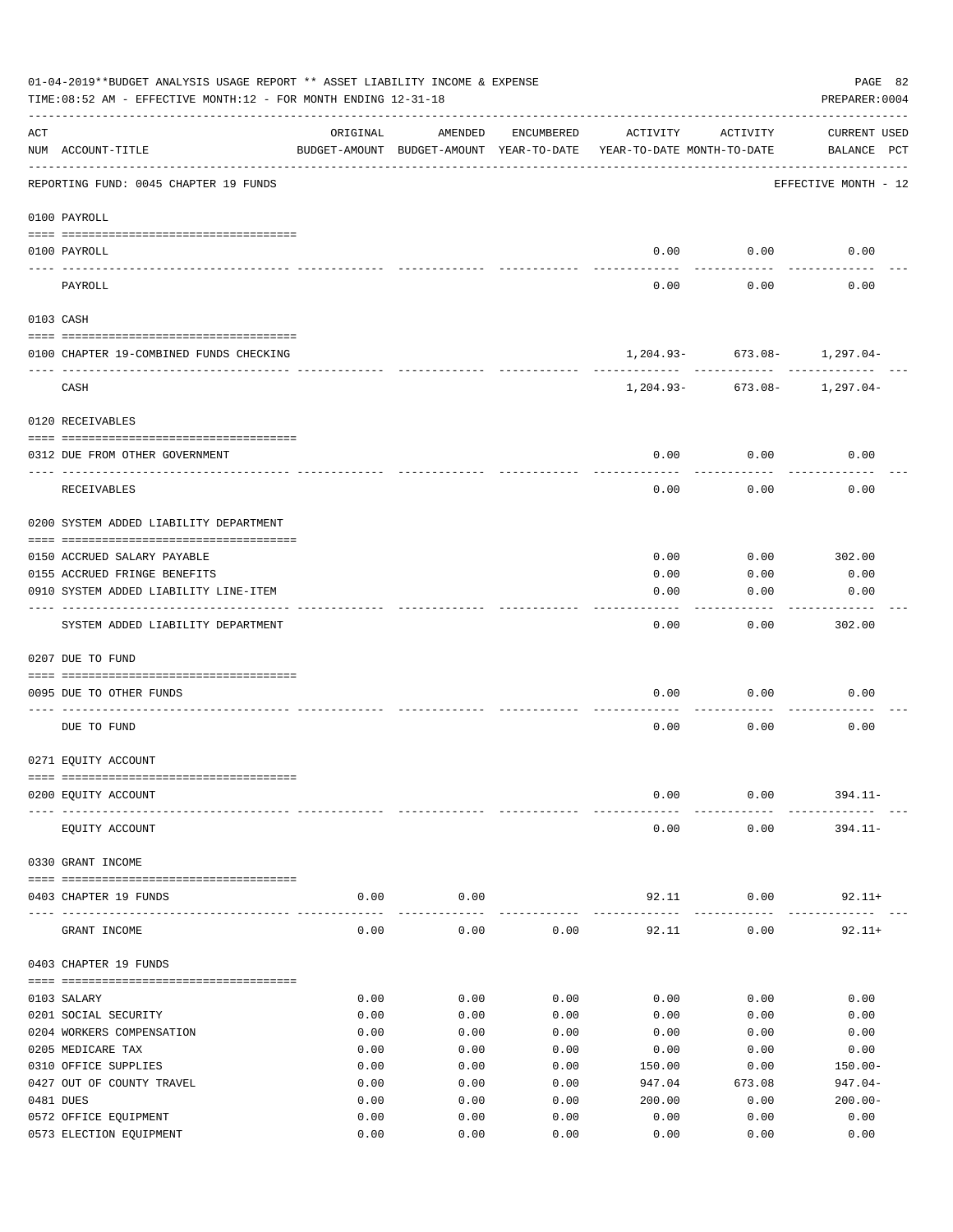|     | 01-04-2019**BUDGET ANALYSIS USAGE REPORT ** ASSET LIABILITY INCOME & EXPENSE<br>TIME: 08:52 AM - EFFECTIVE MONTH: 12 - FOR MONTH ENDING 12-31-18 |              |                                                     |              |                                        |                                  | PAGE 82<br>PREPARER: 0004          |
|-----|--------------------------------------------------------------------------------------------------------------------------------------------------|--------------|-----------------------------------------------------|--------------|----------------------------------------|----------------------------------|------------------------------------|
| ACT | NUM ACCOUNT-TITLE                                                                                                                                | ORIGINAL     | AMENDED<br>BUDGET-AMOUNT BUDGET-AMOUNT YEAR-TO-DATE | ENCUMBERED   | ACTIVITY<br>YEAR-TO-DATE MONTH-TO-DATE | ACTIVITY                         | <b>CURRENT USED</b><br>BALANCE PCT |
|     | -----------------------------------<br>REPORTING FUND: 0045 CHAPTER 19 FUNDS                                                                     |              |                                                     |              |                                        |                                  | EFFECTIVE MONTH - 12               |
|     | 0100 PAYROLL                                                                                                                                     |              |                                                     |              |                                        |                                  |                                    |
|     | 0100 PAYROLL                                                                                                                                     |              |                                                     |              | 0.00                                   | 0.00                             | 0.00                               |
|     | PAYROLL                                                                                                                                          |              |                                                     |              | 0.00                                   | 0.00                             | 0.00                               |
|     | 0103 CASH                                                                                                                                        |              |                                                     |              |                                        |                                  |                                    |
|     | 0100 CHAPTER 19-COMBINED FUNDS CHECKING                                                                                                          |              |                                                     |              |                                        | $1,204.93 - 673.08 - 1,297.04 -$ |                                    |
|     | CASH                                                                                                                                             |              |                                                     |              |                                        | $1,204.93 - 673.08 - 1,297.04 -$ |                                    |
|     | 0120 RECEIVABLES                                                                                                                                 |              |                                                     |              |                                        |                                  |                                    |
|     | 0312 DUE FROM OTHER GOVERNMENT                                                                                                                   |              |                                                     |              | 0.00                                   | 0.00                             | 0.00                               |
|     | RECEIVABLES                                                                                                                                      |              |                                                     |              | 0.00                                   | 0.00                             | 0.00                               |
|     | 0200 SYSTEM ADDED LIABILITY DEPARTMENT                                                                                                           |              |                                                     |              |                                        |                                  |                                    |
|     | 0150 ACCRUED SALARY PAYABLE                                                                                                                      |              |                                                     |              | 0.00                                   | 0.00                             | 302.00                             |
|     | 0155 ACCRUED FRINGE BENEFITS                                                                                                                     |              |                                                     |              | 0.00                                   | 0.00                             | 0.00                               |
|     | 0910 SYSTEM ADDED LIABILITY LINE-ITEM                                                                                                            |              |                                                     |              | 0.00                                   | 0.00                             | 0.00                               |
|     | SYSTEM ADDED LIABILITY DEPARTMENT                                                                                                                |              |                                                     |              | 0.00                                   | 0.00                             | 302.00                             |
|     | 0207 DUE TO FUND                                                                                                                                 |              |                                                     |              |                                        |                                  |                                    |
|     |                                                                                                                                                  |              |                                                     |              |                                        |                                  |                                    |
|     | 0095 DUE TO OTHER FUNDS                                                                                                                          |              |                                                     |              | 0.00                                   | 0.00                             | 0.00                               |
|     | DUE TO FUND                                                                                                                                      |              |                                                     |              | 0.00                                   | 0.00                             | 0.00                               |
|     | 0271 EQUITY ACCOUNT                                                                                                                              |              |                                                     |              |                                        |                                  |                                    |
|     | 0200 EQUITY ACCOUNT                                                                                                                              |              |                                                     |              | 0.00                                   | 0.00                             | $394.11 -$                         |
|     | EQUITY ACCOUNT                                                                                                                                   |              |                                                     |              | 0.00                                   | 0.00                             | $394.11 -$                         |
|     | 0330 GRANT INCOME                                                                                                                                |              |                                                     |              |                                        |                                  |                                    |
|     | 0403 CHAPTER 19 FUNDS                                                                                                                            | 0.00         | 0.00                                                |              | 92.11                                  | 0.00                             | $92.11+$                           |
|     | GRANT INCOME                                                                                                                                     | 0.00         | ---------<br>0.00                                   | 0.00         | 92.11                                  | -----------<br>0.00              | $92.11+$                           |
|     | 0403 CHAPTER 19 FUNDS                                                                                                                            |              |                                                     |              |                                        |                                  |                                    |
|     | 0103 SALARY                                                                                                                                      | 0.00         | 0.00                                                | 0.00         | 0.00                                   | 0.00                             | 0.00                               |
|     | 0201 SOCIAL SECURITY                                                                                                                             | 0.00         | 0.00                                                | 0.00         | 0.00                                   | 0.00                             | 0.00                               |
|     | 0204 WORKERS COMPENSATION                                                                                                                        | 0.00         | 0.00                                                | 0.00         | 0.00                                   | 0.00                             | 0.00                               |
|     | 0205 MEDICARE TAX                                                                                                                                | 0.00         | 0.00                                                | 0.00         | 0.00                                   | 0.00                             | 0.00                               |
|     | 0310 OFFICE SUPPLIES                                                                                                                             | 0.00         | 0.00                                                | 0.00         | 150.00                                 | 0.00                             | $150.00 -$                         |
|     | 0427 OUT OF COUNTY TRAVEL                                                                                                                        | 0.00         | 0.00                                                | 0.00         | 947.04                                 | 673.08                           | $947.04-$                          |
|     | 0481 DUES                                                                                                                                        | 0.00         | 0.00                                                | 0.00         | 200.00                                 | 0.00                             | $200.00 -$                         |
|     | 0572 OFFICE EQUIPMENT<br>0573 ELECTION EQUIPMENT                                                                                                 | 0.00<br>0.00 | 0.00<br>0.00                                        | 0.00<br>0.00 | 0.00<br>0.00                           | 0.00<br>0.00                     | 0.00<br>0.00                       |
|     |                                                                                                                                                  |              |                                                     |              |                                        |                                  |                                    |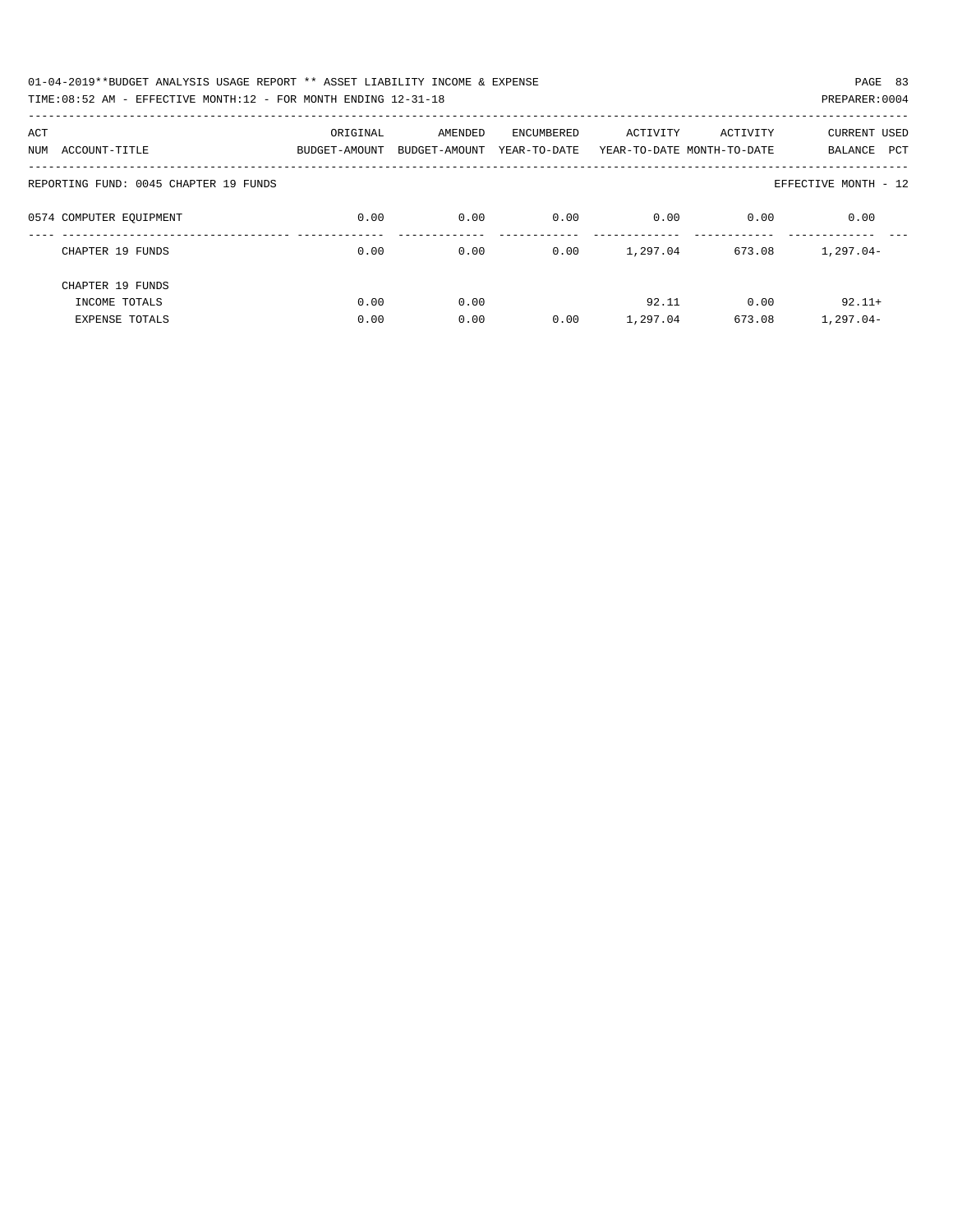| 01-04-2019**BUDGET ANALYSIS USAGE REPORT ** ASSET LIABILITY INCOME & EXPENSE | PAGE 83        |
|------------------------------------------------------------------------------|----------------|
| TIME:08:52 AM - EFFECTIVE MONTH:12 - FOR MONTH ENDING 12-31-18               | PREPARER: 0004 |

| ACT                                   | ORIGINAL      | AMENDED       | ENCUMBERED   | ACTIVITY | ACTIVITY                   | <b>CURRENT USED</b>  |
|---------------------------------------|---------------|---------------|--------------|----------|----------------------------|----------------------|
| ACCOUNT-TITLE<br>NUM                  | BUDGET-AMOUNT | BUDGET-AMOUNT | YEAR-TO-DATE |          | YEAR-TO-DATE MONTH-TO-DATE | PCT<br>BALANCE       |
| REPORTING FUND: 0045 CHAPTER 19 FUNDS |               |               |              |          |                            | EFFECTIVE MONTH - 12 |
| 0574 COMPUTER EQUIPMENT               | 0.00          | 0.00          | 0.00         | 0.00     | 0.00                       | 0.00                 |
| CHAPTER 19 FUNDS                      | 0.00          | 0.00          | 0.00         | 1,297.04 | 673.08                     | $1,297.04-$          |
| CHAPTER 19 FUNDS                      |               |               |              |          |                            |                      |
| INCOME TOTALS                         | 0.00          | 0.00          |              | 92.11    | 0.00                       | $92.11+$             |
| <b>EXPENSE TOTALS</b>                 | 0.00          | 0.00          | 0.00         | 1,297.04 | 673.08                     | $1.297.04-$          |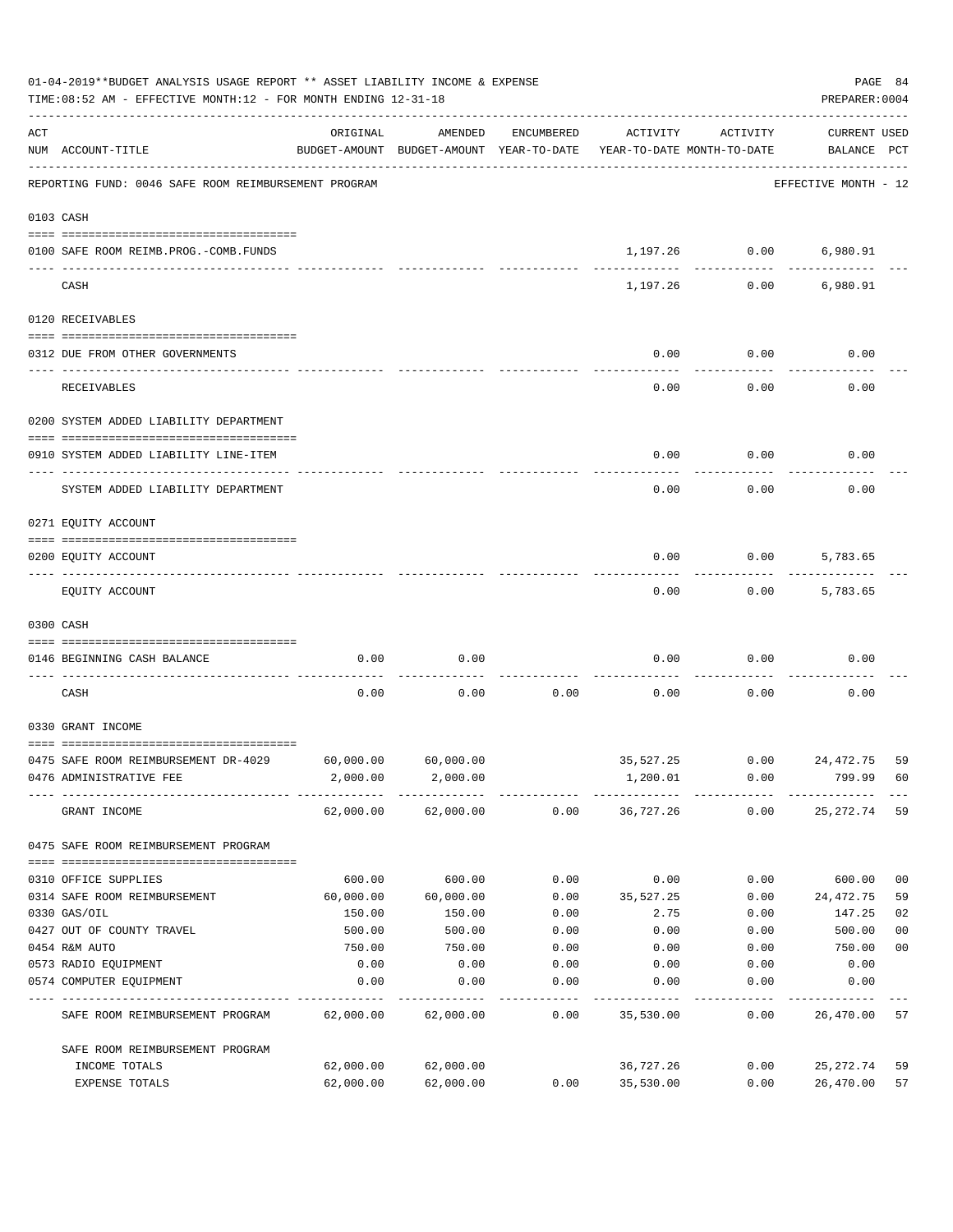| 01-04-2019**BUDGET ANALYSIS USAGE REPORT ** ASSET LIABILITY INCOME & EXPENSE<br>TIME: 08:52 AM - EFFECTIVE MONTH: 12 - FOR MONTH ENDING 12-31-18 |                                                                   |           |                                                                                |            |           |                |                                    |                |
|--------------------------------------------------------------------------------------------------------------------------------------------------|-------------------------------------------------------------------|-----------|--------------------------------------------------------------------------------|------------|-----------|----------------|------------------------------------|----------------|
| ACT                                                                                                                                              | NUM ACCOUNT-TITLE                                                 | ORIGINAL  | AMENDED<br>BUDGET-AMOUNT BUDGET-AMOUNT YEAR-TO-DATE YEAR-TO-DATE MONTH-TO-DATE | ENCUMBERED | ACTIVITY  | ACTIVITY       | <b>CURRENT USED</b><br>BALANCE PCT |                |
|                                                                                                                                                  | REPORTING FUND: 0046 SAFE ROOM REIMBURSEMENT PROGRAM              |           |                                                                                |            |           |                | EFFECTIVE MONTH - 12               |                |
| 0103 CASH                                                                                                                                        |                                                                   |           |                                                                                |            |           |                |                                    |                |
|                                                                                                                                                  | 0100 SAFE ROOM REIMB.PROG.-COMB.FUNDS                             |           |                                                                                |            |           | 1,197.26 0.00  | 6,980.91                           |                |
|                                                                                                                                                  | CASH                                                              |           |                                                                                |            | 1,197.26  | 0.00           | 6,980.91                           |                |
|                                                                                                                                                  | 0120 RECEIVABLES                                                  |           |                                                                                |            |           |                |                                    |                |
|                                                                                                                                                  | 0312 DUE FROM OTHER GOVERNMENTS                                   |           |                                                                                |            | 0.00      | 0.00           | 0.00                               |                |
|                                                                                                                                                  | RECEIVABLES                                                       |           |                                                                                |            | 0.00      | 0.00           | 0.00                               |                |
|                                                                                                                                                  | 0200 SYSTEM ADDED LIABILITY DEPARTMENT                            |           |                                                                                |            |           |                |                                    |                |
|                                                                                                                                                  | 0910 SYSTEM ADDED LIABILITY LINE-ITEM                             |           |                                                                                |            | 0.00      | 0.00           | 0.00                               |                |
|                                                                                                                                                  | SYSTEM ADDED LIABILITY DEPARTMENT                                 |           |                                                                                |            | 0.00      | 0.00           | 0.00                               |                |
|                                                                                                                                                  | 0271 EQUITY ACCOUNT                                               |           |                                                                                |            |           |                |                                    |                |
|                                                                                                                                                  |                                                                   |           |                                                                                |            |           |                |                                    |                |
|                                                                                                                                                  | 0200 EQUITY ACCOUNT                                               |           |                                                                                |            | 0.00      | 0.00           | 5,783.65                           |                |
|                                                                                                                                                  | EQUITY ACCOUNT                                                    |           |                                                                                |            | 0.00      | 0.00           | 5,783.65                           |                |
|                                                                                                                                                  | 0300 CASH                                                         |           |                                                                                |            |           |                |                                    |                |
|                                                                                                                                                  | 0146 BEGINNING CASH BALANCE<br>__________________________________ | 0.00      | 0.00                                                                           |            | 0.00      | 0.00           | 0.00                               |                |
|                                                                                                                                                  | CASH                                                              | 0.00      | 0.00                                                                           | 0.00       | 0.00      | 0.00           | 0.00                               |                |
|                                                                                                                                                  | 0330 GRANT INCOME                                                 |           |                                                                                |            |           |                |                                    |                |
|                                                                                                                                                  | 0475 SAFE ROOM REIMBURSEMENT DR-4029                              | 60,000.00 | 60,000.00                                                                      |            |           | 35,527.25 0.00 | 24,472.75                          | 59             |
|                                                                                                                                                  | 0476 ADMINISTRATIVE FEE                                           | 2,000.00  | 2,000.00                                                                       |            | 1,200.01  | 0.00           | 799.99                             | 60             |
|                                                                                                                                                  | GRANT INCOME                                                      |           | 62,000.00 62,000.00                                                            | 0.00       | 36,727.26 | 0.00           | 25,272.74                          | 59             |
|                                                                                                                                                  | 0475 SAFE ROOM REIMBURSEMENT PROGRAM                              |           |                                                                                |            |           |                |                                    |                |
|                                                                                                                                                  | 0310 OFFICE SUPPLIES                                              | 600.00    | 600.00                                                                         | 0.00       | 0.00      | 0.00           | 600.00                             | 0 <sub>0</sub> |
|                                                                                                                                                  | 0314 SAFE ROOM REIMBURSEMENT                                      | 60,000.00 | 60,000.00                                                                      | 0.00       | 35,527.25 | 0.00           | 24,472.75                          | 59             |
|                                                                                                                                                  | 0330 GAS/OIL                                                      | 150.00    | 150.00                                                                         | 0.00       | 2.75      | 0.00           | 147.25                             | 02             |
|                                                                                                                                                  | 0427 OUT OF COUNTY TRAVEL                                         | 500.00    | 500.00                                                                         | 0.00       | 0.00      | 0.00           | 500.00                             | 0 <sub>0</sub> |
|                                                                                                                                                  | 0454 R&M AUTO                                                     | 750.00    | 750.00                                                                         | 0.00       | 0.00      | 0.00           | 750.00                             | 0 <sub>0</sub> |
|                                                                                                                                                  | 0573 RADIO EQUIPMENT                                              | 0.00      | 0.00                                                                           | 0.00       | 0.00      | 0.00           | 0.00                               |                |
|                                                                                                                                                  | 0574 COMPUTER EQUIPMENT                                           | 0.00      | 0.00                                                                           | 0.00       | 0.00      | 0.00           | 0.00                               |                |
|                                                                                                                                                  | SAFE ROOM REIMBURSEMENT PROGRAM                                   | 62,000.00 | 62,000.00                                                                      | 0.00       | 35,530.00 | 0.00           | 26,470.00                          | 57             |
|                                                                                                                                                  | SAFE ROOM REIMBURSEMENT PROGRAM                                   |           |                                                                                |            |           |                |                                    |                |
|                                                                                                                                                  | INCOME TOTALS                                                     | 62,000.00 | 62,000.00                                                                      |            | 36,727.26 | 0.00           | 25,272.74                          | 59             |
|                                                                                                                                                  | EXPENSE TOTALS                                                    | 62,000.00 | 62,000.00                                                                      | 0.00       | 35,530.00 | 0.00           | 26,470.00                          | 57             |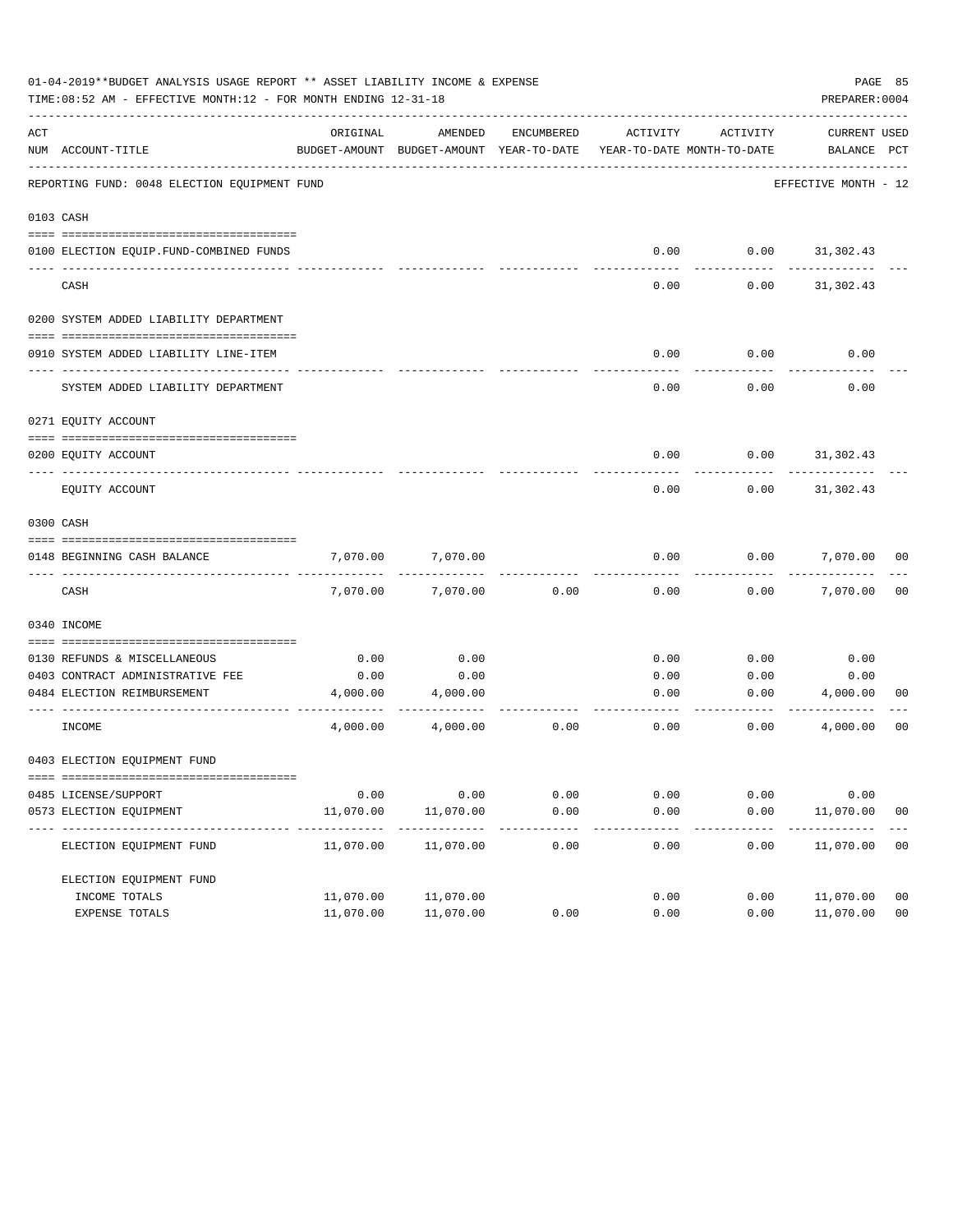|     | 01-04-2019**BUDGET ANALYSIS USAGE REPORT ** ASSET LIABILITY INCOME & EXPENSE<br>TIME: 08:52 AM - EFFECTIVE MONTH: 12 - FOR MONTH ENDING 12-31-18 |                         |                                                                                |            |              |              | PREPARER: 0004              | PAGE 85        |
|-----|--------------------------------------------------------------------------------------------------------------------------------------------------|-------------------------|--------------------------------------------------------------------------------|------------|--------------|--------------|-----------------------------|----------------|
| ACT | NUM ACCOUNT-TITLE                                                                                                                                | ORIGINAL                | AMENDED<br>BUDGET-AMOUNT BUDGET-AMOUNT YEAR-TO-DATE YEAR-TO-DATE MONTH-TO-DATE | ENCUMBERED | ACTIVITY     | ACTIVITY     | CURRENT USED<br>BALANCE PCT |                |
|     | REPORTING FUND: 0048 ELECTION EQUIPMENT FUND                                                                                                     |                         |                                                                                |            |              |              | EFFECTIVE MONTH - 12        |                |
|     | 0103 CASH                                                                                                                                        |                         |                                                                                |            |              |              |                             |                |
|     |                                                                                                                                                  |                         |                                                                                |            |              |              |                             |                |
|     | 0100 ELECTION EQUIP. FUND-COMBINED FUNDS                                                                                                         |                         |                                                                                |            | 0.00         | 0.00         | 31, 302.43                  |                |
|     | CASH                                                                                                                                             |                         |                                                                                |            | 0.00         | 0.00         | 31,302.43                   |                |
|     | 0200 SYSTEM ADDED LIABILITY DEPARTMENT                                                                                                           |                         |                                                                                |            |              |              |                             |                |
|     | 0910 SYSTEM ADDED LIABILITY LINE-ITEM                                                                                                            |                         |                                                                                |            | 0.00         | 0.00         | 0.00                        |                |
|     | SYSTEM ADDED LIABILITY DEPARTMENT                                                                                                                |                         |                                                                                |            | 0.00         | 0.00         | 0.00                        |                |
|     | 0271 EQUITY ACCOUNT                                                                                                                              |                         |                                                                                |            |              |              |                             |                |
|     | 0200 EOUITY ACCOUNT                                                                                                                              |                         |                                                                                |            | 0.00         | 0.00         | 31,302.43                   |                |
|     | EQUITY ACCOUNT                                                                                                                                   |                         |                                                                                |            | 0.00         | 0.00         | 31, 302.43                  |                |
|     | 0300 CASH                                                                                                                                        |                         |                                                                                |            |              |              |                             |                |
|     | 0148 BEGINNING CASH BALANCE                                                                                                                      | 7,070.00                | 7,070.00                                                                       |            | 0.00         | 0.00         | 7,070.00 00                 |                |
|     | CASH                                                                                                                                             | 7,070.00                | 7,070.00                                                                       | 0.00       | 0.00         | 0.00         | 7,070.00                    | 00             |
|     | 0340 INCOME                                                                                                                                      |                         |                                                                                |            |              |              |                             |                |
|     |                                                                                                                                                  |                         |                                                                                |            |              |              |                             |                |
|     | 0130 REFUNDS & MISCELLANEOUS<br>0403 CONTRACT ADMINISTRATIVE FEE                                                                                 | 0.00<br>0.00            | 0.00<br>0.00                                                                   |            | 0.00<br>0.00 | 0.00<br>0.00 | 0.00<br>0.00                |                |
|     | 0484 ELECTION REIMBURSEMENT                                                                                                                      | 4,000.00                | 4,000.00                                                                       |            | 0.00         |              | 0.00<br>4,000.00            | 00             |
|     |                                                                                                                                                  |                         |                                                                                |            |              |              |                             |                |
|     | INCOME                                                                                                                                           | 4,000.00                | 4,000.00                                                                       | 0.00       | 0.00         | 0.00         | 4,000.00                    | 00             |
|     | 0403 ELECTION EQUIPMENT FUND                                                                                                                     |                         |                                                                                |            |              |              |                             |                |
|     |                                                                                                                                                  |                         |                                                                                |            |              |              |                             |                |
|     | 0485 LICENSE/SUPPORT                                                                                                                             | 0.00                    | 0.00                                                                           | 0.00       | 0.00         | 0.00         | 0.00                        |                |
|     | 0573 ELECTION EQUIPMENT                                                                                                                          | 11,070.00               | 11,070.00                                                                      | 0.00       | 0.00         | 0.00         | 11,070.00                   | 0 <sub>0</sub> |
|     | ELECTION EQUIPMENT FUND                                                                                                                          | ----------<br>11,070.00 | . <u>.</u> .<br>11,070.00                                                      | 0.00       | 0.00         | 0.00         | 11,070.00                   | 00             |
|     | ELECTION EOUIPMENT FUND                                                                                                                          |                         |                                                                                |            |              |              |                             |                |
|     | INCOME TOTALS                                                                                                                                    | 11,070.00               | 11,070.00                                                                      |            | 0.00         | 0.00         | 11,070.00                   | 0 <sub>0</sub> |
|     | EXPENSE TOTALS                                                                                                                                   | 11,070.00               | 11,070.00                                                                      | 0.00       | 0.00         | 0.00         | 11,070.00                   | 0 <sub>0</sub> |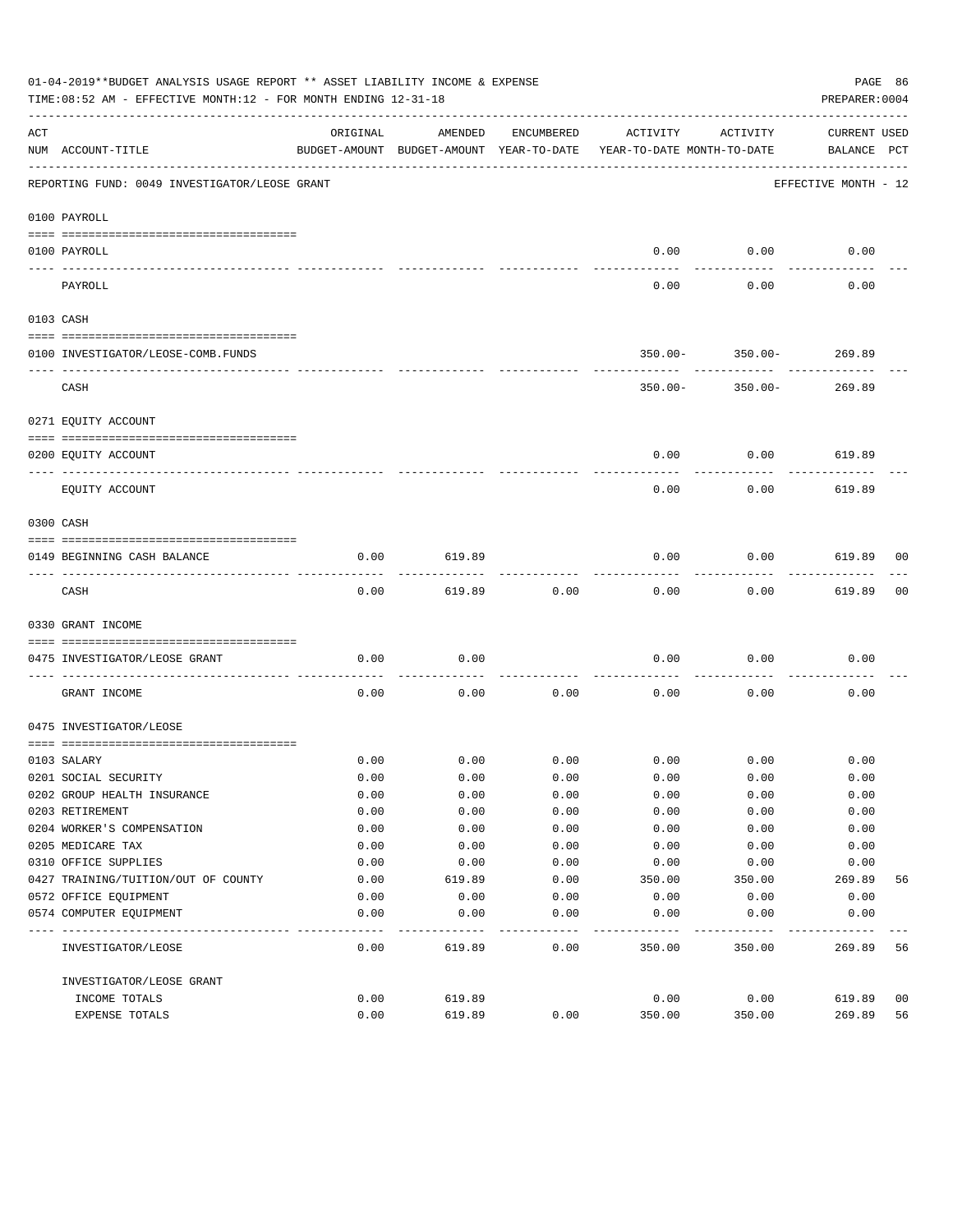|     | 01-04-2019**BUDGET ANALYSIS USAGE REPORT ** ASSET LIABILITY INCOME & EXPENSE<br>TIME:08:52 AM - EFFECTIVE MONTH:12 - FOR MONTH ENDING 12-31-18 |          |                                                     |            |                                        |             | PAGE 86<br>PREPARER: 0004   |    |
|-----|------------------------------------------------------------------------------------------------------------------------------------------------|----------|-----------------------------------------------------|------------|----------------------------------------|-------------|-----------------------------|----|
| ACT | NUM ACCOUNT-TITLE                                                                                                                              | ORIGINAL | AMENDED<br>BUDGET-AMOUNT BUDGET-AMOUNT YEAR-TO-DATE | ENCUMBERED | ACTIVITY<br>YEAR-TO-DATE MONTH-TO-DATE | ACTIVITY    | CURRENT USED<br>BALANCE PCT |    |
|     | REPORTING FUND: 0049 INVESTIGATOR/LEOSE GRANT                                                                                                  |          |                                                     |            |                                        |             | EFFECTIVE MONTH - 12        |    |
|     | 0100 PAYROLL                                                                                                                                   |          |                                                     |            |                                        |             |                             |    |
|     | 0100 PAYROLL                                                                                                                                   |          |                                                     |            | 0.00                                   | 0.00        | 0.00                        |    |
|     | PAYROLL                                                                                                                                        |          |                                                     |            | 0.00                                   | 0.00        | 0.00                        |    |
|     | 0103 CASH                                                                                                                                      |          |                                                     |            |                                        |             |                             |    |
|     | 0100 INVESTIGATOR/LEOSE-COMB.FUNDS                                                                                                             |          |                                                     |            | $350.00 -$                             | $350.00 -$  | 269.89                      |    |
|     | CASH                                                                                                                                           |          |                                                     |            | $350.00 -$                             | 350.00-     | 269.89                      |    |
|     | 0271 EQUITY ACCOUNT                                                                                                                            |          |                                                     |            |                                        |             |                             |    |
|     | 0200 EQUITY ACCOUNT                                                                                                                            |          |                                                     |            | 0.00                                   | 0.00        | 619.89                      |    |
|     | EQUITY ACCOUNT                                                                                                                                 |          |                                                     |            | 0.00                                   | 0.00        | 619.89                      |    |
|     | 0300 CASH                                                                                                                                      |          |                                                     |            |                                        |             |                             |    |
|     | 0149 BEGINNING CASH BALANCE                                                                                                                    | 0.00     | 619.89                                              |            | 0.00                                   | 0.00        | 619.89 00                   |    |
|     | CASH                                                                                                                                           | 0.00     | 619.89                                              | 0.00       | 0.00                                   | 0.00        | 619.89                      | 00 |
|     | 0330 GRANT INCOME                                                                                                                              |          |                                                     |            |                                        |             |                             |    |
|     | 0475 INVESTIGATOR/LEOSE GRANT                                                                                                                  | 0.00     | 0.00                                                |            | 0.00                                   | 0.00        | 0.00                        |    |
|     | GRANT INCOME                                                                                                                                   | 0.00     | 0.00                                                | 0.00       | 0.00                                   | 0.00        | 0.00                        |    |
|     | 0475 INVESTIGATOR/LEOSE                                                                                                                        |          |                                                     |            |                                        |             |                             |    |
|     | 0103 SALARY                                                                                                                                    | 0.00     | 0.00                                                | 0.00       |                                        | $0.00$ 0.00 | 0.00                        |    |
|     | 0201 SOCIAL SECURITY                                                                                                                           | 0.00     | 0.00                                                | 0.00       | 0.00                                   | 0.00        | 0.00                        |    |
|     | 0202 GROUP HEALTH INSURANCE                                                                                                                    | 0.00     | 0.00                                                | 0.00       | 0.00                                   | 0.00        | 0.00                        |    |
|     | 0203 RETIREMENT                                                                                                                                | 0.00     | 0.00                                                | 0.00       | 0.00                                   | 0.00        | 0.00                        |    |
|     | 0204 WORKER'S COMPENSATION                                                                                                                     | 0.00     | 0.00                                                | 0.00       | 0.00                                   | 0.00        | 0.00                        |    |
|     | 0205 MEDICARE TAX                                                                                                                              | 0.00     | 0.00                                                | 0.00       | 0.00                                   | 0.00        | 0.00                        |    |
|     | 0310 OFFICE SUPPLIES                                                                                                                           | 0.00     | 0.00                                                | 0.00       | 0.00                                   | 0.00        | 0.00                        |    |
|     | 0427 TRAINING/TUITION/OUT OF COUNTY                                                                                                            | 0.00     | 619.89                                              | 0.00       | 350.00                                 | 350.00      | 269.89                      | 56 |
|     | 0572 OFFICE EQUIPMENT                                                                                                                          | 0.00     | 0.00                                                | 0.00       | 0.00                                   | 0.00        | 0.00                        |    |
|     | 0574 COMPUTER EQUIPMENT                                                                                                                        | 0.00     | 0.00                                                | 0.00       | 0.00                                   | 0.00        | 0.00                        |    |
|     | INVESTIGATOR/LEOSE                                                                                                                             | 0.00     | 619.89                                              | 0.00       | 350.00                                 | 350.00      | 269.89                      | 56 |
|     | INVESTIGATOR/LEOSE GRANT                                                                                                                       |          |                                                     |            |                                        |             |                             |    |
|     | INCOME TOTALS                                                                                                                                  | 0.00     | 619.89                                              |            | 0.00                                   | 0.00        | 619.89                      | 00 |
|     | EXPENSE TOTALS                                                                                                                                 | 0.00     | 619.89                                              | 0.00       | 350.00                                 | 350.00      | 269.89                      | 56 |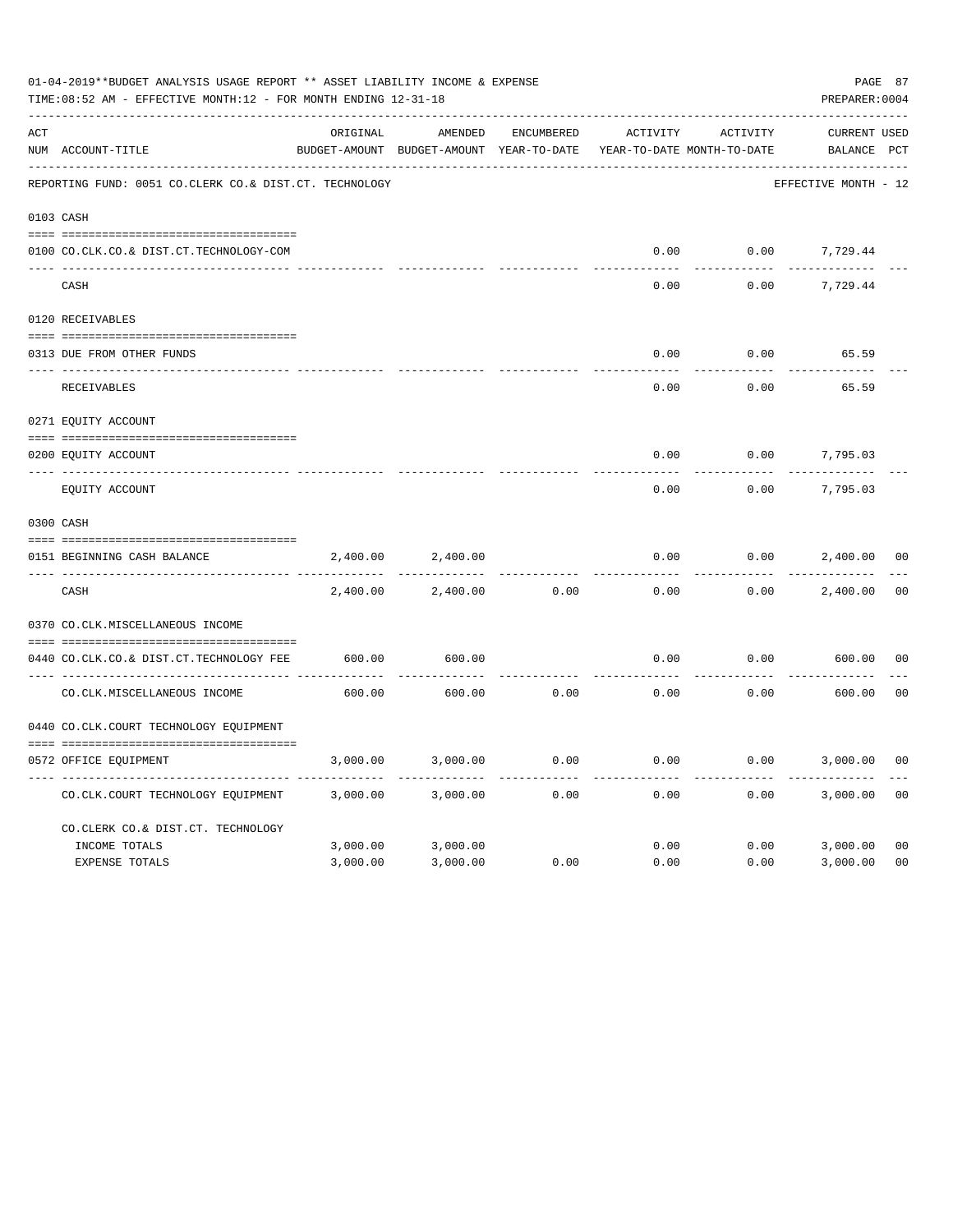|     | 01-04-2019**BUDGET ANALYSIS USAGE REPORT ** ASSET LIABILITY INCOME & EXPENSE<br>TIME: 08:52 AM - EFFECTIVE MONTH: 12 - FOR MONTH ENDING 12-31-18<br>PREPARER: 0004 |          |                                                     |                   |          |                                        |                             |                |  |  |
|-----|--------------------------------------------------------------------------------------------------------------------------------------------------------------------|----------|-----------------------------------------------------|-------------------|----------|----------------------------------------|-----------------------------|----------------|--|--|
| ACT | NUM ACCOUNT-TITLE                                                                                                                                                  | ORIGINAL | AMENDED<br>BUDGET-AMOUNT BUDGET-AMOUNT YEAR-TO-DATE | <b>ENCUMBERED</b> | ACTIVITY | ACTIVITY<br>YEAR-TO-DATE MONTH-TO-DATE | CURRENT USED<br>BALANCE PCT |                |  |  |
|     | REPORTING FUND: 0051 CO.CLERK CO.& DIST.CT. TECHNOLOGY                                                                                                             |          |                                                     |                   |          |                                        | EFFECTIVE MONTH - 12        |                |  |  |
|     | 0103 CASH                                                                                                                                                          |          |                                                     |                   |          |                                        |                             |                |  |  |
|     | 0100 CO.CLK.CO.& DIST.CT.TECHNOLOGY-COM                                                                                                                            |          |                                                     |                   | 0.00     | 0.00                                   | 7,729.44                    |                |  |  |
|     | CASH                                                                                                                                                               |          |                                                     |                   | 0.00     | 0.00                                   | 7,729.44                    |                |  |  |
|     | 0120 RECEIVABLES                                                                                                                                                   |          |                                                     |                   |          |                                        |                             |                |  |  |
|     | 0313 DUE FROM OTHER FUNDS                                                                                                                                          |          |                                                     |                   | 0.00     | 0.00                                   | 65.59                       |                |  |  |
|     | RECEIVABLES                                                                                                                                                        |          |                                                     |                   | 0.00     | 0.00                                   | 65.59                       |                |  |  |
|     | 0271 EQUITY ACCOUNT                                                                                                                                                |          |                                                     |                   |          |                                        |                             |                |  |  |
|     | 0200 EQUITY ACCOUNT                                                                                                                                                |          |                                                     |                   | 0.00     | 0.00                                   | 7,795.03                    |                |  |  |
|     | ---- -------------<br>EQUITY ACCOUNT                                                                                                                               |          |                                                     |                   | 0.00     | 0.00                                   | 7,795.03                    |                |  |  |
|     | 0300 CASH                                                                                                                                                          |          |                                                     |                   |          |                                        |                             |                |  |  |
|     | 0151 BEGINNING CASH BALANCE                                                                                                                                        | 2,400.00 | 2,400.00                                            |                   | 0.00     | 0.00                                   | 2,400.00                    | 0 <sub>0</sub> |  |  |
|     | CASH                                                                                                                                                               | 2,400.00 | 2,400.00                                            | 0.00              | 0.00     | 0.00                                   | 2,400.00                    | 0 <sub>0</sub> |  |  |
|     | 0370 CO.CLK.MISCELLANEOUS INCOME                                                                                                                                   |          |                                                     |                   |          |                                        |                             |                |  |  |
|     | 0440 CO.CLK.CO.& DIST.CT.TECHNOLOGY FEE                                                                                                                            | 600.00   | 600.00                                              |                   | 0.00     | 0.00                                   | 600.00                      | 0 <sub>0</sub> |  |  |
|     | CO. CLK. MISCELLANEOUS INCOME                                                                                                                                      | 600.00   | 600.00                                              | 0.00              | 0.00     | 0.00                                   | 600.00                      | 0 <sup>0</sup> |  |  |
|     | 0440 CO.CLK.COURT TECHNOLOGY EQUIPMENT                                                                                                                             |          |                                                     |                   |          |                                        |                             |                |  |  |
|     | 0572 OFFICE EOUIPMENT                                                                                                                                              | 3,000.00 | 3,000.00                                            | 0.00              | 0.00     | 0.00                                   | 3,000.00                    | 0 <sub>0</sub> |  |  |
|     | CO.CLK.COURT TECHNOLOGY EQUIPMENT                                                                                                                                  | 3,000.00 | 3,000.00                                            | 0.00              | 0.00     | 0.00                                   | 3,000.00                    | 0 <sub>0</sub> |  |  |
|     | CO.CLERK CO.& DIST.CT. TECHNOLOGY                                                                                                                                  |          |                                                     |                   |          |                                        |                             |                |  |  |
|     | INCOME TOTALS                                                                                                                                                      | 3,000.00 | 3,000.00                                            |                   | 0.00     | 0.00                                   | 3,000.00                    | 0 <sub>0</sub> |  |  |
|     | <b>EXPENSE TOTALS</b>                                                                                                                                              | 3,000.00 | 3,000.00                                            | 0.00              | 0.00     | 0.00                                   | 3,000.00                    | 0 <sub>0</sub> |  |  |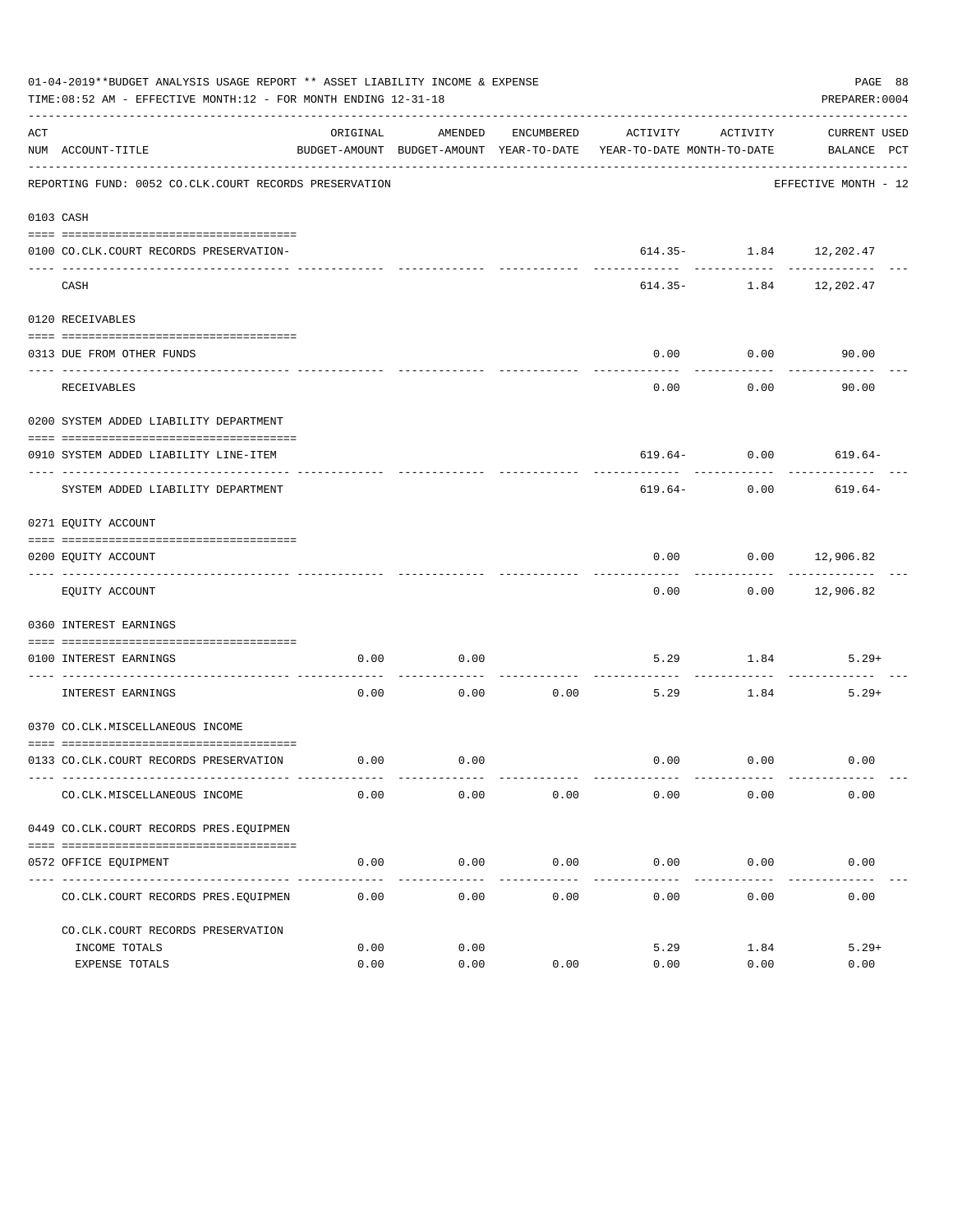|     | 01-04-2019**BUDGET ANALYSIS USAGE REPORT ** ASSET LIABILITY INCOME & EXPENSE<br>TIME:08:52 AM - EFFECTIVE MONTH:12 - FOR MONTH ENDING 12-31-18 |              |              |                       |                                                                                 |                            | PAGE 88<br>PREPARER: 0004          |
|-----|------------------------------------------------------------------------------------------------------------------------------------------------|--------------|--------------|-----------------------|---------------------------------------------------------------------------------|----------------------------|------------------------------------|
| ACT | NUM ACCOUNT-TITLE                                                                                                                              | ORIGINAL     | AMENDED      | ENCUMBERED            | ACTIVITY<br>BUDGET-AMOUNT BUDGET-AMOUNT YEAR-TO-DATE YEAR-TO-DATE MONTH-TO-DATE | ACTIVITY                   | CURRENT USED<br>BALANCE PCT        |
|     | REPORTING FUND: 0052 CO.CLK.COURT RECORDS PRESERVATION                                                                                         |              |              |                       |                                                                                 |                            | EFFECTIVE MONTH - 12               |
|     | 0103 CASH                                                                                                                                      |              |              |                       |                                                                                 |                            |                                    |
|     | 0100 CO.CLK.COURT RECORDS PRESERVATION-                                                                                                        |              |              |                       |                                                                                 | $614.35 - 1.84$ 12, 202.47 |                                    |
|     | CASH                                                                                                                                           |              |              |                       |                                                                                 |                            | --------<br>614.35- 1.84 12,202.47 |
|     | 0120 RECEIVABLES                                                                                                                               |              |              |                       |                                                                                 |                            |                                    |
|     | 0313 DUE FROM OTHER FUNDS                                                                                                                      |              |              |                       | 0.00                                                                            | 0.00                       | 90.00                              |
|     | <b>RECEIVABLES</b>                                                                                                                             |              |              |                       | 0.00                                                                            | ---------<br>0.00          | 90.00                              |
|     | 0200 SYSTEM ADDED LIABILITY DEPARTMENT                                                                                                         |              |              |                       |                                                                                 |                            |                                    |
|     | 0910 SYSTEM ADDED LIABILITY LINE-ITEM                                                                                                          |              |              |                       |                                                                                 |                            | $619.64 - 0.00$ $619.64 -$         |
|     | SYSTEM ADDED LIABILITY DEPARTMENT                                                                                                              |              |              |                       | 619.64-                                                                         | 0.00                       | 619.64-                            |
|     | 0271 EQUITY ACCOUNT                                                                                                                            |              |              |                       |                                                                                 |                            |                                    |
|     | 0200 EQUITY ACCOUNT                                                                                                                            |              |              |                       | 0.00                                                                            |                            | $0.00$ 12,906.82                   |
|     | EQUITY ACCOUNT                                                                                                                                 |              |              |                       | 0.00                                                                            |                            | $0.00$ 12,906.82                   |
|     | 0360 INTEREST EARNINGS                                                                                                                         |              |              |                       |                                                                                 |                            |                                    |
|     | 0100 INTEREST EARNINGS                                                                                                                         | 0.00         | 0.00         |                       | 5.29                                                                            | 1.84                       | $5.29+$                            |
|     | ------------------ ---<br>INTEREST EARNINGS                                                                                                    | 0.00         | 0.00         | 0.00                  | 5.29                                                                            | 1.84                       | $5.29+$                            |
|     | 0370 CO.CLK.MISCELLANEOUS INCOME                                                                                                               |              |              |                       |                                                                                 |                            |                                    |
|     | 0133 CO.CLK.COURT RECORDS PRESERVATION                                                                                                         | 0.00         | 0.00         |                       |                                                                                 | $0.00$ 0.00                | 0.00                               |
|     | CO. CLK. MISCELLANEOUS INCOME                                                                                                                  | 0.00         | 0.00         | 0.00                  | 0.00                                                                            | 0.00                       | 0.00                               |
|     | 0449 CO.CLK.COURT RECORDS PRES.EOUIPMEN                                                                                                        |              |              |                       |                                                                                 |                            |                                    |
|     | 0572 OFFICE EQUIPMENT                                                                                                                          | 0.00         | 0.00         | 0.00                  | 0.00                                                                            | 0.00                       | 0.00                               |
|     | CO. CLK. COURT RECORDS PRES. EQUIPMEN                                                                                                          | 0.00         | 0.00         | -------------<br>0.00 | 0.00                                                                            | 0.00                       | 0.00                               |
|     | CO. CLK. COURT RECORDS PRESERVATION                                                                                                            |              |              |                       |                                                                                 |                            |                                    |
|     | INCOME TOTALS                                                                                                                                  | 0.00<br>0.00 | 0.00<br>0.00 | 0.00                  | 5.29<br>0.00                                                                    | 1.84<br>0.00               | $5.29+$<br>0.00                    |
|     | EXPENSE TOTALS                                                                                                                                 |              |              |                       |                                                                                 |                            |                                    |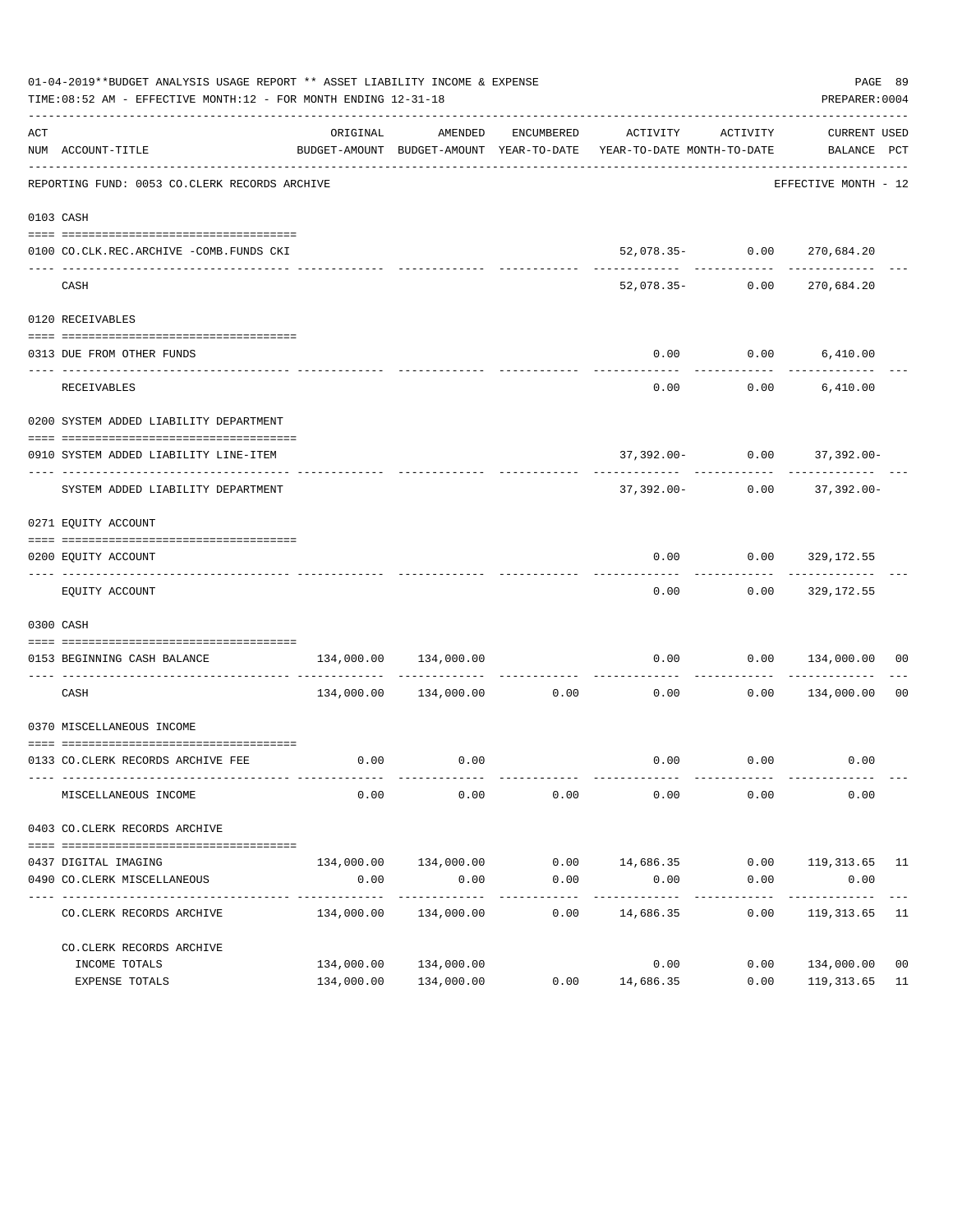|     | 01-04-2019**BUDGET ANALYSIS USAGE REPORT ** ASSET LIABILITY INCOME & EXPENSE<br>TIME:08:52 AM - EFFECTIVE MONTH:12 - FOR MONTH ENDING 12-31-18 |                                            |                             |                     |                                                                                 |                      | PREPARER: 0004                | PAGE 89        |
|-----|------------------------------------------------------------------------------------------------------------------------------------------------|--------------------------------------------|-----------------------------|---------------------|---------------------------------------------------------------------------------|----------------------|-------------------------------|----------------|
| ACT | NUM ACCOUNT-TITLE                                                                                                                              | ORIGINAL                                   | AMENDED                     | ENCUMBERED          | ACTIVITY<br>BUDGET-AMOUNT BUDGET-AMOUNT YEAR-TO-DATE YEAR-TO-DATE MONTH-TO-DATE | ACTIVITY             | CURRENT USED<br>BALANCE PCT   |                |
|     | REPORTING FUND: 0053 CO.CLERK RECORDS ARCHIVE                                                                                                  |                                            |                             |                     |                                                                                 |                      | EFFECTIVE MONTH - 12          |                |
|     | 0103 CASH                                                                                                                                      |                                            |                             |                     |                                                                                 |                      |                               |                |
|     | 0100 CO.CLK.REC.ARCHIVE -COMB.FUNDS CKI<br>--------------------------- --------                                                                |                                            | -------------               |                     |                                                                                 |                      | $52,078.35 - 0.00 270,684.20$ |                |
|     | CASH                                                                                                                                           |                                            |                             |                     | 52,078.35-                                                                      | 0.00                 | ------------<br>270,684.20    |                |
|     | 0120 RECEIVABLES                                                                                                                               |                                            |                             |                     |                                                                                 |                      |                               |                |
|     | 0313 DUE FROM OTHER FUNDS                                                                                                                      |                                            |                             |                     | 0.00                                                                            |                      | $0.00$ 6,410.00               |                |
|     | <b>RECEIVABLES</b>                                                                                                                             |                                            |                             |                     | 0.00                                                                            | .                    | $0.00$ 6,410.00               |                |
|     | 0200 SYSTEM ADDED LIABILITY DEPARTMENT                                                                                                         |                                            |                             |                     |                                                                                 |                      |                               |                |
|     | 0910 SYSTEM ADDED LIABILITY LINE-ITEM                                                                                                          |                                            |                             |                     |                                                                                 |                      | 37,392.00- 0.00 37,392.00-    |                |
|     | SYSTEM ADDED LIABILITY DEPARTMENT                                                                                                              |                                            |                             |                     | 37,392.00-                                                                      | 0.00                 | 37,392.00-                    |                |
|     | 0271 EQUITY ACCOUNT                                                                                                                            |                                            |                             |                     |                                                                                 |                      |                               |                |
|     | 0200 EQUITY ACCOUNT                                                                                                                            |                                            |                             |                     | 0.00                                                                            |                      | $0.00$ 329,172.55             |                |
|     |                                                                                                                                                |                                            |                             |                     |                                                                                 |                      |                               |                |
|     | EQUITY ACCOUNT                                                                                                                                 |                                            |                             |                     | 0.00                                                                            |                      | $0.00$ 329,172.55             |                |
|     | 0300 CASH                                                                                                                                      |                                            |                             |                     |                                                                                 |                      |                               |                |
|     | 0153 BEGINNING CASH BALANCE                                                                                                                    | 134,000.00                                 | 134,000.00                  |                     | 0.00                                                                            |                      | $0.00$ $134,000.00$ 00        |                |
|     | CASH                                                                                                                                           |                                            | 134,000.00 134,000.00 0.00  |                     | 0.00                                                                            | 0.00                 | 134,000.00                    | 00             |
|     | 0370 MISCELLANEOUS INCOME                                                                                                                      |                                            |                             |                     |                                                                                 |                      |                               |                |
|     | 0133 CO.CLERK RECORDS ARCHIVE FEE                                                                                                              | 0.00                                       | 0.00                        |                     |                                                                                 | $0.00$ $0.00$        | 0.00                          |                |
|     |                                                                                                                                                |                                            |                             |                     |                                                                                 |                      |                               |                |
|     | MISCELLANEOUS INCOME                                                                                                                           | 0.00                                       | 0.00                        | 0.00                | 0.00                                                                            | 0.00                 | 0.00                          |                |
|     | 0403 CO.CLERK RECORDS ARCHIVE                                                                                                                  |                                            |                             |                     |                                                                                 |                      |                               |                |
|     | 0437 DIGITAL IMAGING                                                                                                                           |                                            | 134,000.00 134,000.00       |                     | $0.00$ 14,686.35                                                                |                      | $0.00$ 119,313.65 11          |                |
|     | 0490 CO. CLERK MISCELLANEOUS                                                                                                                   | 0.00                                       | 0.00                        | 0.00                | 0.00                                                                            | 0.00                 | 0.00                          |                |
|     | CO. CLERK RECORDS ARCHIVE                                                                                                                      | ------------- --------------<br>134,000.00 | -------------<br>134,000.00 | -----------<br>0.00 | .<br>14,686.35                                                                  | ------------<br>0.00 | -----------<br>119, 313.65 11 |                |
|     | CO. CLERK RECORDS ARCHIVE                                                                                                                      |                                            |                             |                     |                                                                                 |                      |                               |                |
|     | INCOME TOTALS                                                                                                                                  | 134,000.00                                 | 134,000.00                  |                     | 0.00                                                                            | 0.00                 | 134,000.00                    | 0 <sub>0</sub> |
|     | EXPENSE TOTALS                                                                                                                                 |                                            | 134,000.00 134,000.00       | 0.00                | 14,686.35                                                                       | 0.00                 | 119, 313.65 11                |                |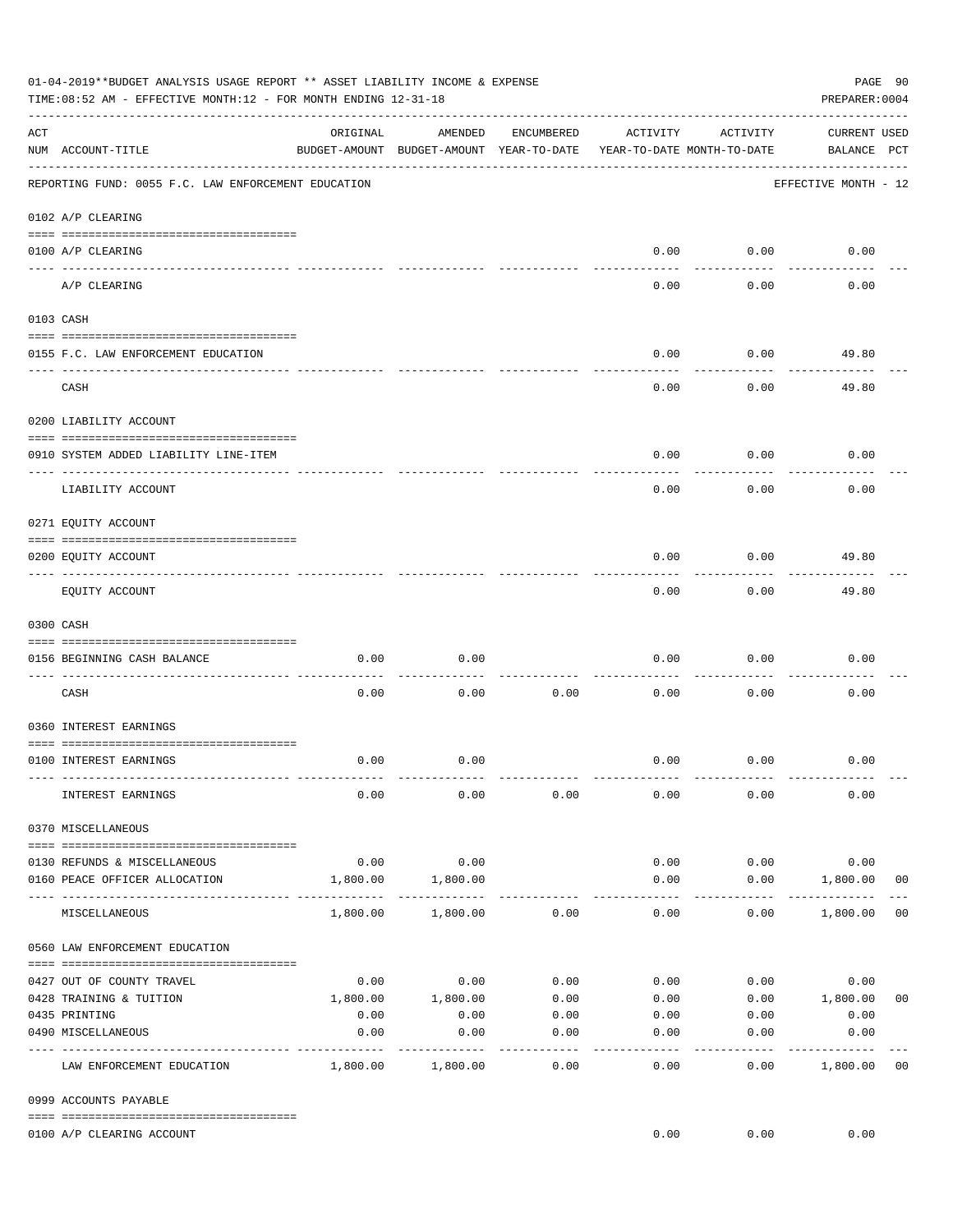|     | 01-04-2019**BUDGET ANALYSIS USAGE REPORT ** ASSET LIABILITY INCOME & EXPENSE<br>TIME: 08:52 AM - EFFECTIVE MONTH: 12 - FOR MONTH ENDING 12-31-18 |          |                                                     |                |                                        |                   | PAGE 90<br>PREPARER: 0004          |                |
|-----|--------------------------------------------------------------------------------------------------------------------------------------------------|----------|-----------------------------------------------------|----------------|----------------------------------------|-------------------|------------------------------------|----------------|
| ACT | NUM ACCOUNT-TITLE                                                                                                                                | ORIGINAL | AMENDED<br>BUDGET-AMOUNT BUDGET-AMOUNT YEAR-TO-DATE | ENCUMBERED     | ACTIVITY<br>YEAR-TO-DATE MONTH-TO-DATE | ACTIVITY          | <b>CURRENT USED</b><br>BALANCE PCT |                |
|     | REPORTING FUND: 0055 F.C. LAW ENFORCEMENT EDUCATION                                                                                              |          |                                                     |                |                                        |                   | EFFECTIVE MONTH - 12               |                |
|     | 0102 A/P CLEARING                                                                                                                                |          |                                                     |                |                                        |                   |                                    |                |
|     | 0100 A/P CLEARING                                                                                                                                |          |                                                     |                | 0.00                                   | 0.00              | 0.00                               |                |
|     | -- ---------<br>A/P CLEARING                                                                                                                     |          |                                                     |                | 0.00                                   | 0.00              | 0.00                               |                |
|     | 0103 CASH                                                                                                                                        |          |                                                     |                |                                        |                   |                                    |                |
|     | 0155 F.C. LAW ENFORCEMENT EDUCATION                                                                                                              |          |                                                     |                | 0.00                                   | 0.00              | 49.80                              |                |
|     | __________________________________<br>CASH                                                                                                       |          |                                                     |                | 0.00                                   | 0.00              | 49.80                              |                |
|     | 0200 LIABILITY ACCOUNT                                                                                                                           |          |                                                     |                |                                        |                   |                                    |                |
|     | 0910 SYSTEM ADDED LIABILITY LINE-ITEM                                                                                                            |          |                                                     |                | 0.00                                   | 0.00              | 0.00                               |                |
|     | LIABILITY ACCOUNT                                                                                                                                |          |                                                     |                | 0.00                                   | 0.00              | 0.00                               |                |
|     | 0271 EQUITY ACCOUNT                                                                                                                              |          |                                                     |                |                                        |                   |                                    |                |
|     | 0200 EQUITY ACCOUNT                                                                                                                              |          |                                                     |                | 0.00                                   | 0.00              | 49.80                              |                |
|     | EQUITY ACCOUNT                                                                                                                                   |          |                                                     |                | 0.00                                   | 0.00              | 49.80                              |                |
|     | 0300 CASH                                                                                                                                        |          |                                                     |                |                                        |                   |                                    |                |
|     | 0156 BEGINNING CASH BALANCE                                                                                                                      | 0.00     | 0.00                                                |                | 0.00                                   | 0.00              | 0.00                               |                |
|     |                                                                                                                                                  |          |                                                     |                |                                        |                   |                                    |                |
|     | CASH                                                                                                                                             | 0.00     | 0.00                                                | 0.00           | 0.00                                   | 0.00              | 0.00                               |                |
|     | 0360 INTEREST EARNINGS                                                                                                                           |          |                                                     |                |                                        |                   |                                    |                |
|     | 0100 INTEREST EARNINGS                                                                                                                           | 0.00     | 0.00                                                |                | 0.00                                   | 0.00              | 0.00                               |                |
|     | INTEREST EARNINGS                                                                                                                                | 0.00     | 0.00                                                | 0.00           | 0.00                                   | 0.00              | 0.00                               |                |
|     | 0370 MISCELLANEOUS                                                                                                                               |          |                                                     |                |                                        |                   |                                    |                |
|     | 0130 REFUNDS & MISCELLANEOUS                                                                                                                     | 0.00     | 0.00                                                |                | 0.00                                   | 0.00              | 0.00                               |                |
|     | 0160 PEACE OFFICER ALLOCATION                                                                                                                    | 1,800.00 | 1,800.00                                            |                | 0.00                                   | 0.00              | 1,800.00                           | 0 <sub>0</sub> |
|     | MISCELLANEOUS                                                                                                                                    | 1,800.00 | 1,800.00                                            | 0.00           | 0.00                                   | ---------<br>0.00 | ------------<br>1,800.00           | 0 <sub>0</sub> |
|     | 0560 LAW ENFORCEMENT EDUCATION                                                                                                                   |          |                                                     |                |                                        |                   |                                    |                |
|     | 0427 OUT OF COUNTY TRAVEL                                                                                                                        | 0.00     | 0.00                                                | 0.00           | 0.00                                   |                   | 0.00<br>0.00                       |                |
|     | 0428 TRAINING & TUITION                                                                                                                          |          | 1,800.00 1,800.00                                   | 0.00           | 0.00                                   |                   | $0.00$ 1,800.00                    | 0 <sub>0</sub> |
|     | 0435 PRINTING                                                                                                                                    | 0.00     | 0.00                                                | 0.00           |                                        | $0.00$ 0.00       | 0.00                               |                |
|     | 0490 MISCELLANEOUS                                                                                                                               | 0.00     | 0.00                                                | 0.00<br>------ | 0.00                                   | 0.00              | 0.00                               |                |
|     | LAW ENFORCEMENT EDUCATION                                                                                                                        | 1,800.00 | 1,800.00                                            | 0.00           | 0.00                                   | 0.00              | 1,800.00                           | 00             |
|     | 0999 ACCOUNTS PAYABLE                                                                                                                            |          |                                                     |                |                                        |                   |                                    |                |
|     | 0100 A/P CLEARING ACCOUNT                                                                                                                        |          |                                                     |                | 0.00                                   | 0.00              | 0.00                               |                |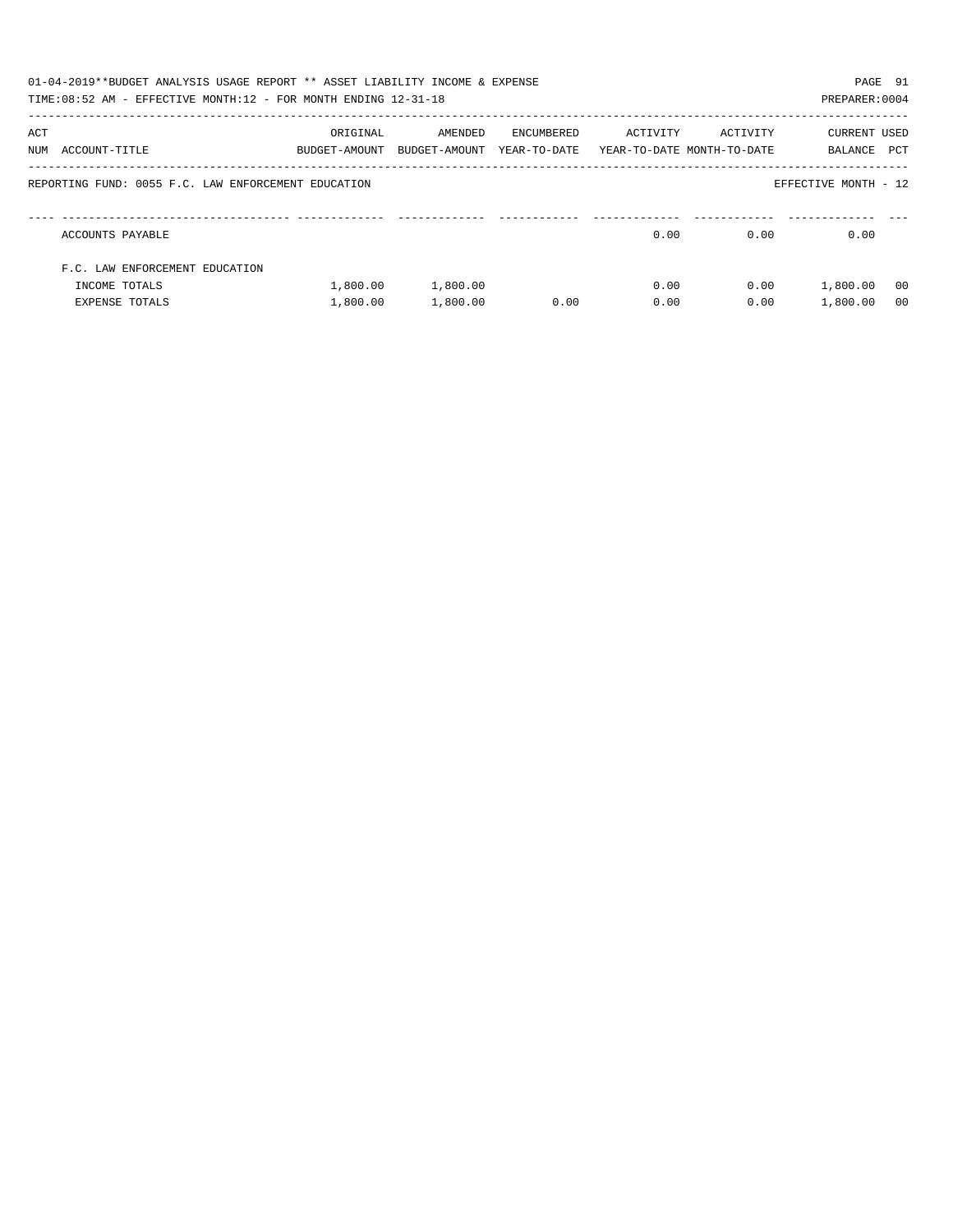|     | 01-04-2019**BUDGET ANALYSIS USAGE REPORT ** ASSET LIABILITY INCOME & EXPENSE<br>TIME: 08:52 AM - EFFECTIVE MONTH: 12 - FOR MONTH ENDING 12-31-18 |                           |                          |                            |          |                                        | PAGE 91<br>PREPARER: 0004 |                |
|-----|--------------------------------------------------------------------------------------------------------------------------------------------------|---------------------------|--------------------------|----------------------------|----------|----------------------------------------|---------------------------|----------------|
| ACT | NUM ACCOUNT-TITLE                                                                                                                                | ORIGINAL<br>BUDGET-AMOUNT | AMENDED<br>BUDGET-AMOUNT | ENCUMBERED<br>YEAR-TO-DATE | ACTIVITY | ACTIVITY<br>YEAR-TO-DATE MONTH-TO-DATE | CURRENT USED<br>BALANCE   | PCT            |
|     | REPORTING FUND: 0055 F.C. LAW ENFORCEMENT EDUCATION                                                                                              |                           |                          |                            |          |                                        | EFFECTIVE MONTH - 12      |                |
|     | ACCOUNTS PAYABLE                                                                                                                                 |                           |                          |                            | 0.00     | 0.00                                   | 0.00                      |                |
|     | F.C. LAW ENFORCEMENT EDUCATION                                                                                                                   |                           |                          |                            |          |                                        |                           |                |
|     | INCOME TOTALS                                                                                                                                    | 1,800.00                  | 1,800.00                 |                            | 0.00     | 0.00                                   | 1,800.00                  | - 00           |
|     | <b>EXPENSE TOTALS</b>                                                                                                                            | 1,800.00                  | 1,800.00                 | 0.00                       | 0.00     | 0.00                                   | 1,800.00                  | 0 <sub>0</sub> |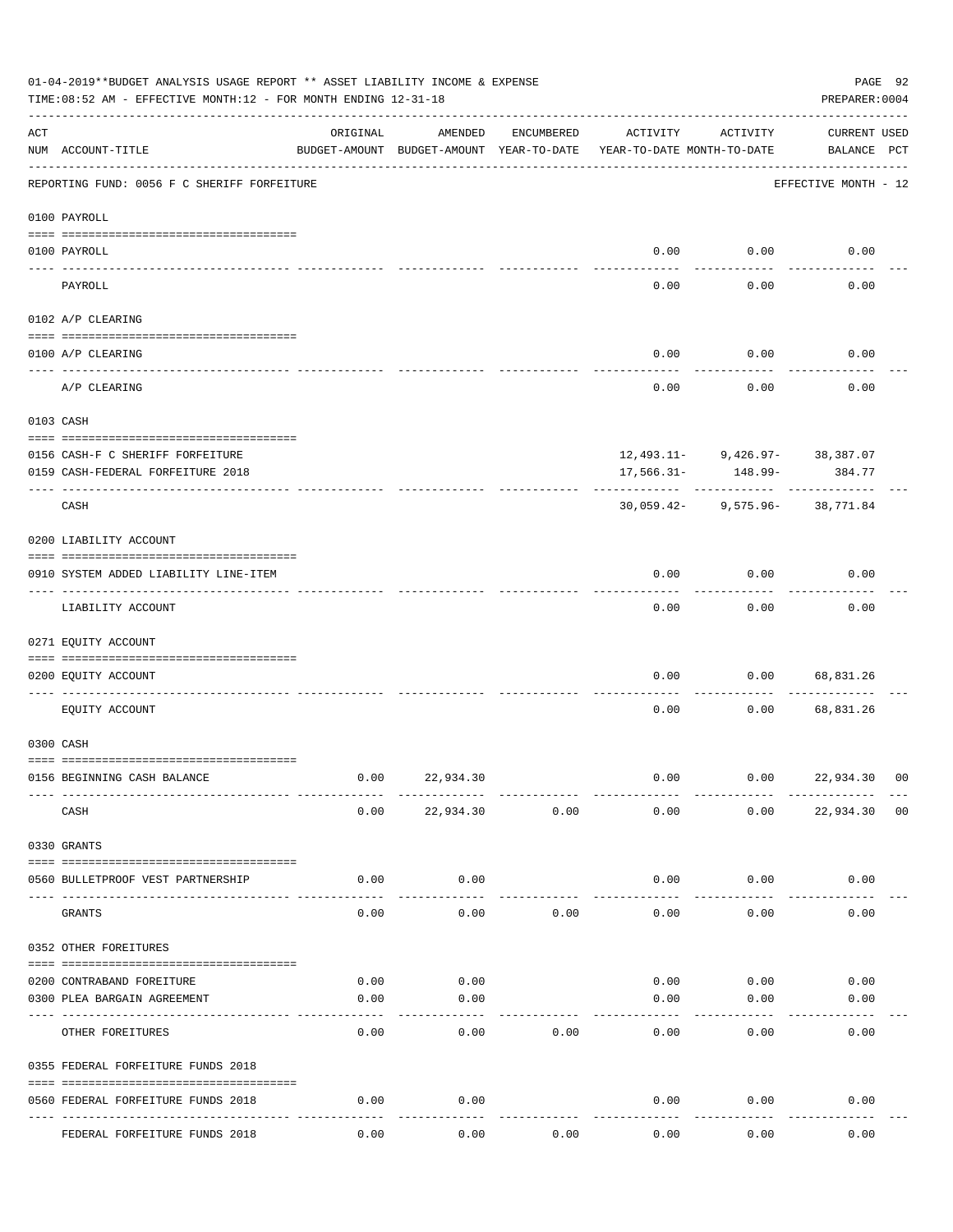|            | 01-04-2019**BUDGET ANALYSIS USAGE REPORT ** ASSET LIABILITY INCOME & EXPENSE<br>TIME: 08:52 AM - EFFECTIVE MONTH: 12 - FOR MONTH ENDING 12-31-18 |          |                                                     |            |                                        |          | PREPARER: 0004                               | PAGE 92        |
|------------|--------------------------------------------------------------------------------------------------------------------------------------------------|----------|-----------------------------------------------------|------------|----------------------------------------|----------|----------------------------------------------|----------------|
| ACT        | NUM ACCOUNT-TITLE                                                                                                                                | ORIGINAL | AMENDED<br>BUDGET-AMOUNT BUDGET-AMOUNT YEAR-TO-DATE | ENCUMBERED | ACTIVITY<br>YEAR-TO-DATE MONTH-TO-DATE | ACTIVITY | <b>CURRENT USED</b><br>BALANCE PCT           |                |
|            | REPORTING FUND: 0056 F C SHERIFF FORFEITURE                                                                                                      |          |                                                     |            |                                        |          | EFFECTIVE MONTH - 12                         |                |
|            | 0100 PAYROLL                                                                                                                                     |          |                                                     |            |                                        |          |                                              |                |
|            | 0100 PAYROLL                                                                                                                                     |          |                                                     |            | 0.00                                   | 0.00     | 0.00                                         |                |
| ----- ---- | ------------------------- --------<br>PAYROLL                                                                                                    |          |                                                     |            | 0.00                                   | 0.00     | 0.00                                         |                |
|            | 0102 A/P CLEARING                                                                                                                                |          |                                                     |            |                                        |          |                                              |                |
|            | 0100 A/P CLEARING                                                                                                                                |          |                                                     |            | 0.00                                   | 0.00     | 0.00                                         |                |
|            | A/P CLEARING                                                                                                                                     |          |                                                     |            | 0.00                                   | 0.00     | 0.00                                         |                |
|            | 0103 CASH                                                                                                                                        |          |                                                     |            |                                        |          |                                              |                |
|            | 0156 CASH-F C SHERIFF FORFEITURE<br>0159 CASH-FEDERAL FORFEITURE 2018                                                                            |          |                                                     |            | 17,566.31-                             | 148.99-  | $12,493.11 - 9,426.97 - 38,387.07$<br>384.77 |                |
|            | CASH                                                                                                                                             |          |                                                     |            |                                        |          | 30,059.42- 9,575.96- 38,771.84               |                |
|            | 0200 LIABILITY ACCOUNT                                                                                                                           |          |                                                     |            |                                        |          |                                              |                |
|            | 0910 SYSTEM ADDED LIABILITY LINE-ITEM                                                                                                            |          |                                                     |            | 0.00                                   | 0.00     | 0.00                                         |                |
|            | LIABILITY ACCOUNT                                                                                                                                |          |                                                     |            | 0.00                                   | 0.00     | 0.00                                         |                |
|            | 0271 EQUITY ACCOUNT                                                                                                                              |          |                                                     |            |                                        |          |                                              |                |
|            | 0200 EQUITY ACCOUNT                                                                                                                              |          |                                                     |            | 0.00                                   | 0.00     | 68,831.26                                    |                |
|            | EQUITY ACCOUNT                                                                                                                                   |          |                                                     |            | 0.00                                   | 0.00     | 68,831.26                                    |                |
|            | 0300 CASH                                                                                                                                        |          |                                                     |            |                                        |          |                                              |                |
|            | 0156 BEGINNING CASH BALANCE                                                                                                                      | 0.00     | 22,934.30                                           |            | 0.00                                   | 0.00     | 22,934.30 00                                 |                |
|            | CASH                                                                                                                                             | 0.00     | 22,934.30                                           | 0.00       | 0.00                                   | 0.00     | 22,934.30                                    | 0 <sub>0</sub> |
|            | 0330 GRANTS                                                                                                                                      |          |                                                     |            |                                        |          |                                              |                |
|            | 0560 BULLETPROOF VEST PARTNERSHIP                                                                                                                | 0.00     | 0.00                                                |            | 0.00                                   | 0.00     | 0.00                                         |                |
| $---$      | GRANTS                                                                                                                                           | 0.00     | 0.00                                                | 0.00       | 0.00                                   | 0.00     | 0.00                                         |                |
|            | 0352 OTHER FOREITURES                                                                                                                            |          |                                                     |            |                                        |          |                                              |                |
|            | 0200 CONTRABAND FOREITURE                                                                                                                        | 0.00     | 0.00                                                |            | 0.00                                   | 0.00     | 0.00                                         |                |
|            | 0300 PLEA BARGAIN AGREEMENT                                                                                                                      | 0.00     | 0.00                                                |            | 0.00                                   | 0.00     | 0.00                                         |                |
|            | OTHER FOREITURES                                                                                                                                 | 0.00     | 0.00                                                | 0.00       | 0.00                                   | 0.00     | 0.00                                         |                |
|            | 0355 FEDERAL FORFEITURE FUNDS 2018                                                                                                               |          |                                                     |            |                                        |          |                                              |                |
|            | 0560 FEDERAL FORFEITURE FUNDS 2018                                                                                                               | 0.00     | 0.00                                                |            | 0.00                                   | 0.00     | 0.00                                         |                |
|            | FEDERAL FORFEITURE FUNDS 2018                                                                                                                    | 0.00     | 0.00                                                | 0.00       | 0.00                                   | 0.00     | 0.00                                         |                |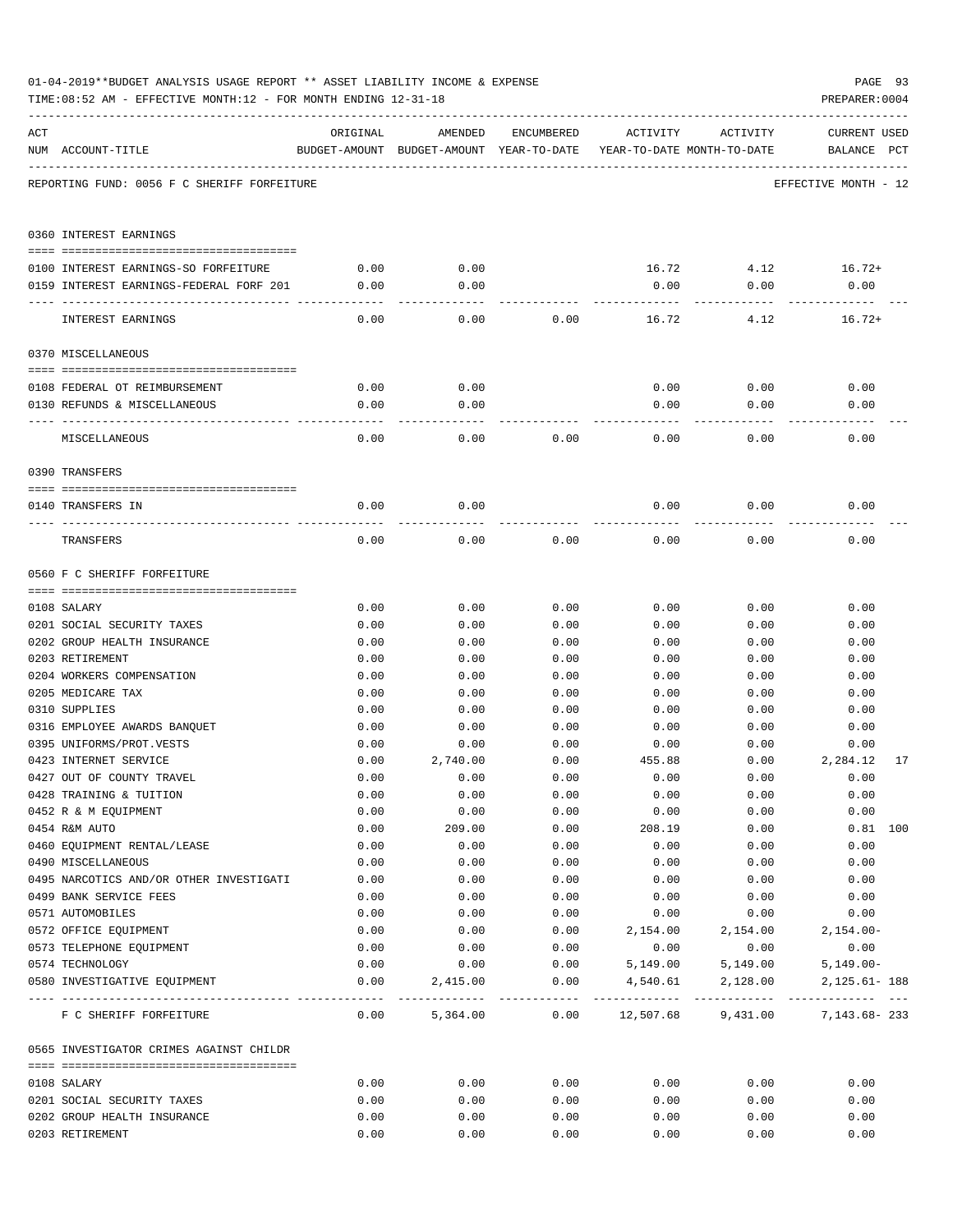|     | TIME:08:52 AM - EFFECTIVE MONTH:12 - FOR MONTH ENDING 12-31-18 |              |                  |              |                                                                                 |              | PREPARER: 0004                     |
|-----|----------------------------------------------------------------|--------------|------------------|--------------|---------------------------------------------------------------------------------|--------------|------------------------------------|
| ACT | NUM ACCOUNT-TITLE                                              | ORIGINAL     | AMENDED          | ENCUMBERED   | ACTIVITY<br>BUDGET-AMOUNT BUDGET-AMOUNT YEAR-TO-DATE YEAR-TO-DATE MONTH-TO-DATE | ACTIVITY     | <b>CURRENT USED</b><br>BALANCE PCT |
|     | REPORTING FUND: 0056 F C SHERIFF FORFEITURE                    |              |                  |              |                                                                                 |              | EFFECTIVE MONTH - 12               |
|     | 0360 INTEREST EARNINGS                                         |              |                  |              |                                                                                 |              |                                    |
|     | 0100 INTEREST EARNINGS-SO FORFEITURE                           | 0.00         | 0.00             |              |                                                                                 |              | $16.72$ $4.12$ $16.72+$            |
|     | 0159 INTEREST EARNINGS-FEDERAL FORF 201                        | 0.00         | 0.00             |              | 0.00                                                                            | 0.00         | 0.00                               |
|     |                                                                |              |                  |              |                                                                                 |              |                                    |
|     | INTEREST EARNINGS                                              | 0.00         | 0.00             | 0.00         | 16.72                                                                           | 4.12         | $16.72+$                           |
|     | 0370 MISCELLANEOUS                                             |              |                  |              |                                                                                 |              |                                    |
|     |                                                                |              |                  |              |                                                                                 |              |                                    |
|     | 0108 FEDERAL OT REIMBURSEMENT                                  | 0.00         | 0.00             |              | 0.00                                                                            | 0.00         | 0.00                               |
|     | 0130 REFUNDS & MISCELLANEOUS                                   | 0.00         | 0.00             |              | 0.00                                                                            | 0.00         | 0.00                               |
|     | MISCELLANEOUS                                                  | 0.00         | 0.00             | 0.00         | 0.00                                                                            | 0.00         | 0.00                               |
|     | 0390 TRANSFERS                                                 |              |                  |              |                                                                                 |              |                                    |
|     |                                                                |              |                  |              |                                                                                 |              |                                    |
|     | 0140 TRANSFERS IN                                              | 0.00         | 0.00             |              | 0.00                                                                            | 0.00         | 0.00                               |
|     | TRANSFERS                                                      | 0.00         | 0.00             | 0.00         | 0.00                                                                            | 0.00         | 0.00                               |
|     | 0560 F C SHERIFF FORFEITURE                                    |              |                  |              |                                                                                 |              |                                    |
|     |                                                                |              |                  |              |                                                                                 |              |                                    |
|     | 0108 SALARY                                                    | 0.00         | 0.00             | 0.00         | 0.00                                                                            | 0.00         | 0.00                               |
|     | 0201 SOCIAL SECURITY TAXES                                     | 0.00         | 0.00             | 0.00         | 0.00                                                                            | 0.00         | 0.00                               |
|     | 0202 GROUP HEALTH INSURANCE                                    | 0.00         | 0.00             | 0.00         | 0.00                                                                            | 0.00         | 0.00                               |
|     | 0203 RETIREMENT                                                | 0.00         | 0.00             | 0.00         | 0.00                                                                            | 0.00         | 0.00                               |
|     | 0204 WORKERS COMPENSATION                                      | 0.00         | 0.00             | 0.00         | 0.00                                                                            | 0.00         | 0.00                               |
|     | 0205 MEDICARE TAX                                              | 0.00         | 0.00             | 0.00         | 0.00                                                                            | 0.00         | 0.00                               |
|     | 0310 SUPPLIES                                                  | 0.00         | 0.00             | 0.00         | 0.00                                                                            | 0.00         | 0.00                               |
|     | 0316 EMPLOYEE AWARDS BANQUET                                   | 0.00<br>0.00 | 0.00             | 0.00         | 0.00                                                                            | 0.00         | 0.00                               |
|     | 0395 UNIFORMS/PROT.VESTS<br>0423 INTERNET SERVICE              | 0.00         | 0.00<br>2,740.00 | 0.00<br>0.00 | 0.00<br>455.88                                                                  | 0.00<br>0.00 | 0.00<br>2,284.12<br>17             |
|     | 0427 OUT OF COUNTY TRAVEL                                      | 0.00         | 0.00             | 0.00         | 0.00                                                                            | 0.00         | 0.00                               |
|     | 0428 TRAINING & TUITION                                        | 0.00         | 0.00             | 0.00         | 0.00                                                                            | 0.00         | 0.00                               |
|     | 0452 R & M EQUIPMENT                                           | 0.00         | 0.00             | 0.00         | 0.00                                                                            | 0.00         | 0.00                               |
|     | 0454 R&M AUTO                                                  | 0.00         | 209.00           | 0.00         | 208.19                                                                          | 0.00         | $0.81$ 100                         |
|     | 0460 EQUIPMENT RENTAL/LEASE                                    | 0.00         | 0.00             | 0.00         | 0.00                                                                            | 0.00         | 0.00                               |
|     | 0490 MISCELLANEOUS                                             | 0.00         | 0.00             | 0.00         | 0.00                                                                            | 0.00         | 0.00                               |
|     | 0495 NARCOTICS AND/OR OTHER INVESTIGATI                        | 0.00         | 0.00             | 0.00         | 0.00                                                                            | 0.00         | 0.00                               |
|     | 0499 BANK SERVICE FEES                                         | 0.00         | 0.00             | 0.00         | 0.00                                                                            | 0.00         | 0.00                               |
|     | 0571 AUTOMOBILES                                               | 0.00         | 0.00             | 0.00         | 0.00                                                                            | 0.00         | 0.00                               |
|     | 0572 OFFICE EQUIPMENT                                          | 0.00         | 0.00             | 0.00         | 2,154.00                                                                        | 2,154.00     | $2,154.00-$                        |
|     | 0573 TELEPHONE EQUIPMENT                                       | 0.00         | 0.00             | 0.00         | 0.00                                                                            | 0.00         | 0.00                               |
|     | 0574 TECHNOLOGY                                                | 0.00         | 0.00             | 0.00         | 5,149.00                                                                        | 5,149.00     | $5,149.00 -$                       |
|     | 0580 INVESTIGATIVE EQUIPMENT                                   | 0.00         | 2,415.00         | 0.00         | 4,540.61                                                                        | 2,128.00     | 2, 125.61- 188                     |
|     | F C SHERIFF FORFEITURE                                         | 0.00         | 5,364.00         | 0.00         | 12,507.68                                                                       | 9,431.00     | 7,143.68-233                       |
|     | 0565 INVESTIGATOR CRIMES AGAINST CHILDR                        |              |                  |              |                                                                                 |              |                                    |
|     |                                                                |              |                  |              |                                                                                 |              |                                    |
|     | 0108 SALARY<br>0201 SOCIAL SECURITY TAXES                      | 0.00<br>0.00 | 0.00<br>0.00     | 0.00<br>0.00 | 0.00<br>0.00                                                                    | 0.00<br>0.00 | 0.00<br>0.00                       |
|     | 0202 GROUP HEALTH INSURANCE                                    | 0.00         | 0.00             | 0.00         | 0.00                                                                            | 0.00         | 0.00                               |
|     | 0203 RETIREMENT                                                | 0.00         | 0.00             | 0.00         | 0.00                                                                            | 0.00         | 0.00                               |
|     |                                                                |              |                  |              |                                                                                 |              |                                    |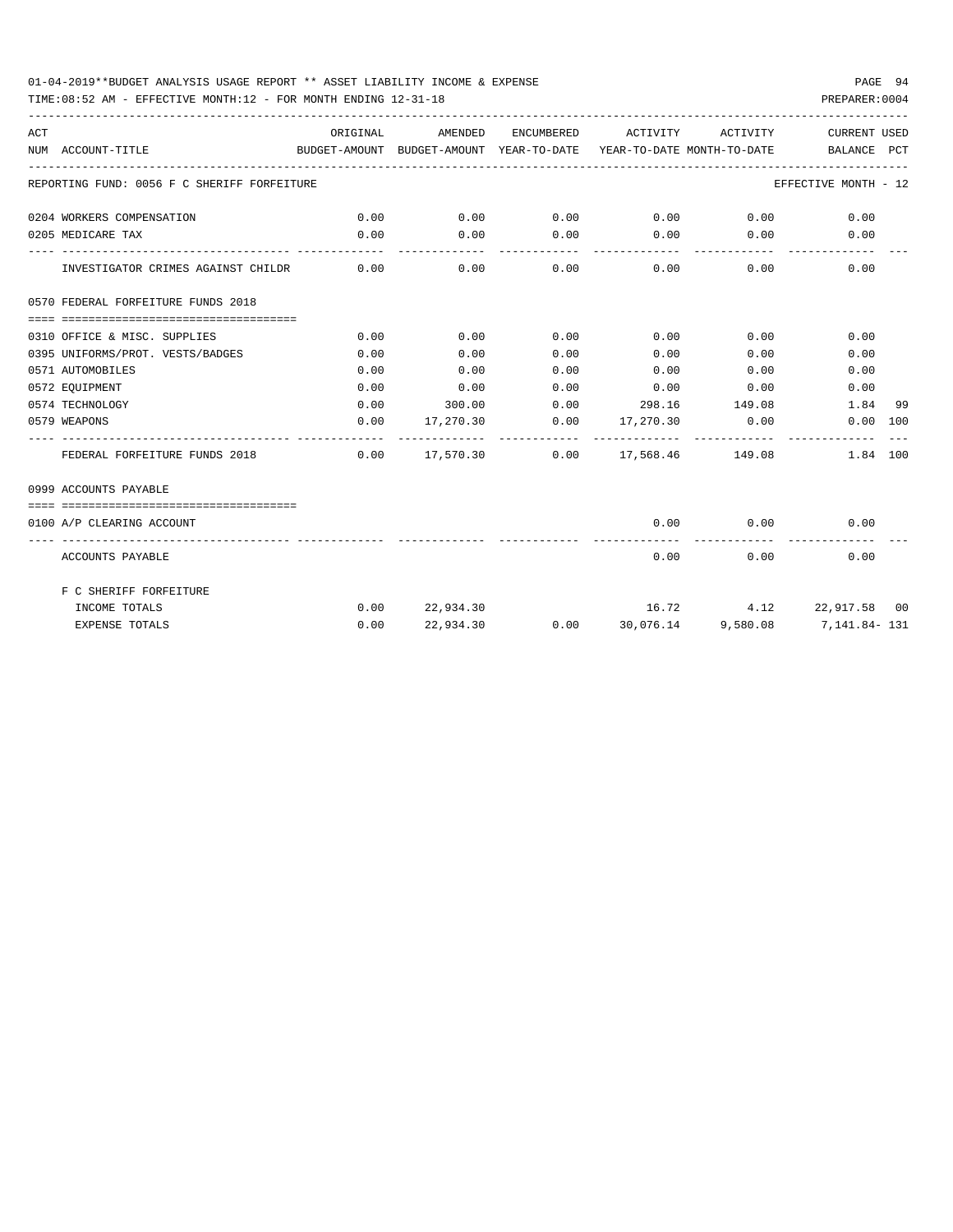### 01-04-2019\*\*BUDGET ANALYSIS USAGE REPORT \*\* ASSET LIABILITY INCOME & EXPENSE PAGE 94

TIME:08:52 AM - EFFECTIVE MONTH:12 - FOR MONTH ENDING 12-31-18 PREPARER:0004

| ACT | BUDGET-AMOUNT BUDGET-AMOUNT YEAR-TO-DATE YEAR-TO-DATE MONTH-TO-DATE<br>NUM ACCOUNT-TITLE | ORIGINAL | AMENDED                                      |      | ENCUMBERED ACTIVITY ACTIVITY       |               | CURRENT USED<br>BALANCE PCT                                 |    |
|-----|------------------------------------------------------------------------------------------|----------|----------------------------------------------|------|------------------------------------|---------------|-------------------------------------------------------------|----|
|     | REPORTING FUND: 0056 F C SHERIFF FORFEITURE                                              |          |                                              |      |                                    |               | EFFECTIVE MONTH - 12                                        |    |
|     | 0204 WORKERS COMPENSATION                                                                | 0.00     |                                              |      |                                    |               | $0.00$ $0.00$ $0.00$ $0.00$ $0.00$ $0.00$ $0.00$            |    |
|     | 0205 MEDICARE TAX                                                                        | 0.00     | 0.00                                         |      | $0.00$ $0.00$ $0.00$ $0.00$        |               | 0.00                                                        |    |
|     | INVESTIGATOR CRIMES AGAINST CHILDR 0.00                                                  |          |                                              |      | $0.00$ $0.00$ $0.00$ $0.00$ $0.00$ |               | 0.00                                                        |    |
|     | 0570 FEDERAL FORFEITURE FUNDS 2018                                                       |          |                                              |      |                                    |               |                                                             |    |
|     |                                                                                          |          |                                              |      |                                    |               |                                                             |    |
|     | 0310 OFFICE & MISC. SUPPLIES                                                             | 0.00     | 0.00                                         | 0.00 | $0.00$ 0.00                        |               | 0.00                                                        |    |
|     | 0395 UNIFORMS/PROT. VESTS/BADGES                                                         | 0.00     | 0.00                                         | 0.00 | $0.00$ 0.00                        |               | 0.00                                                        |    |
|     | 0571 AUTOMOBILES                                                                         | 0.00     | 0.00                                         | 0.00 | $0.00$ 0.00                        |               | 0.00                                                        |    |
|     | 0572 EQUIPMENT                                                                           | 0.00     | 0.00                                         |      | $0.00$ $0.00$ $0.00$ $0.00$        |               | 0.00                                                        |    |
|     | 0574 TECHNOLOGY                                                                          | 0.00     |                                              |      | $300.00$ 0.00 298.16 149.08        |               | 1.84                                                        | 99 |
|     | 0579 WEAPONS                                                                             |          | $0.00$ $17,270.30$ $0.00$ $17,270.30$ $0.00$ |      |                                    |               | 0.00 100                                                    |    |
|     | FEDERAL FORFEITURE FUNDS 2018                                                            |          |                                              |      |                                    |               | $0.00$ $17,570.30$ $0.00$ $17,568.46$ $149.08$ $1.84$ $100$ |    |
|     | 0999 ACCOUNTS PAYABLE                                                                    |          |                                              |      |                                    |               |                                                             |    |
|     |                                                                                          |          |                                              |      |                                    |               |                                                             |    |
|     | 0100 A/P CLEARING ACCOUNT                                                                |          |                                              |      | --------------                     | ------------- | $0.00$ $0.00$ $0.00$<br>-------------                       |    |
|     | ACCOUNTS PAYABLE                                                                         |          |                                              |      | 0.00                               |               | 0.00<br>0.00                                                |    |
|     | F C SHERIFF FORFEITURE                                                                   |          |                                              |      |                                    |               |                                                             |    |
|     | INCOME TOTALS                                                                            |          | $0.00$ 22,934.30                             |      |                                    |               | $16.72$ $4.12$ $22.917.58$ 00                               |    |
|     | <b>EXPENSE TOTALS</b>                                                                    | 0.00     | 22,934.30                                    |      |                                    |               | $0.00$ $30,076.14$ $9,580.08$ $7,141.84 - 131$              |    |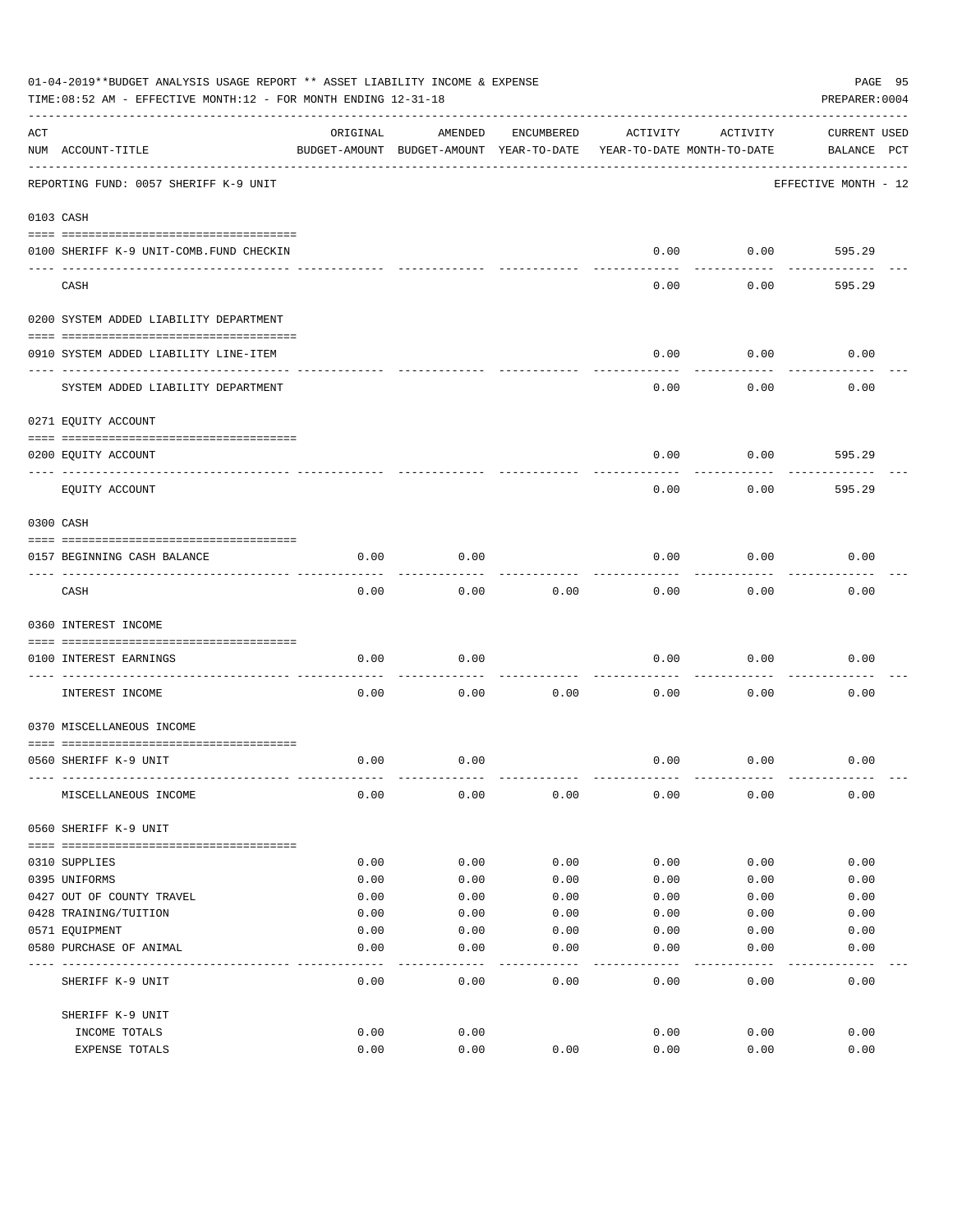|     | 01-04-2019**BUDGET ANALYSIS USAGE REPORT ** ASSET LIABILITY INCOME & EXPENSE<br>TIME: 08:52 AM - EFFECTIVE MONTH: 12 - FOR MONTH ENDING 12-31-18 |          |                                                     |            |          |                                        | PAGE 95<br>PREPARER: 0004          |
|-----|--------------------------------------------------------------------------------------------------------------------------------------------------|----------|-----------------------------------------------------|------------|----------|----------------------------------------|------------------------------------|
| ACT | NUM ACCOUNT-TITLE                                                                                                                                | ORIGINAL | AMENDED<br>BUDGET-AMOUNT BUDGET-AMOUNT YEAR-TO-DATE | ENCUMBERED | ACTIVITY | ACTIVITY<br>YEAR-TO-DATE MONTH-TO-DATE | <b>CURRENT USED</b><br>BALANCE PCT |
|     | REPORTING FUND: 0057 SHERIFF K-9 UNIT                                                                                                            |          |                                                     |            |          |                                        | EFFECTIVE MONTH - 12               |
|     | 0103 CASH                                                                                                                                        |          |                                                     |            |          |                                        |                                    |
|     | 0100 SHERIFF K-9 UNIT-COMB.FUND CHECKIN                                                                                                          |          |                                                     |            | 0.00     | 0.00                                   | 595.29                             |
|     | CASH                                                                                                                                             |          |                                                     |            | 0.00     | 0.00                                   | 595.29                             |
|     | 0200 SYSTEM ADDED LIABILITY DEPARTMENT                                                                                                           |          |                                                     |            |          |                                        |                                    |
|     | 0910 SYSTEM ADDED LIABILITY LINE-ITEM                                                                                                            |          |                                                     |            | 0.00     | 0.00                                   | 0.00                               |
|     | SYSTEM ADDED LIABILITY DEPARTMENT                                                                                                                |          |                                                     |            | 0.00     | 0.00                                   | 0.00                               |
|     | 0271 EQUITY ACCOUNT                                                                                                                              |          |                                                     |            |          |                                        |                                    |
|     | 0200 EQUITY ACCOUNT                                                                                                                              |          |                                                     |            | 0.00     | 0.00                                   | 595.29                             |
|     | EQUITY ACCOUNT                                                                                                                                   |          |                                                     |            | 0.00     | 0.00                                   | 595.29                             |
|     | 0300 CASH                                                                                                                                        |          |                                                     |            |          |                                        |                                    |
|     | 0157 BEGINNING CASH BALANCE                                                                                                                      | 0.00     | 0.00                                                |            | 0.00     | 0.00                                   | 0.00                               |
|     | CASH                                                                                                                                             | 0.00     | 0.00                                                | 0.00       | 0.00     | 0.00                                   | 0.00                               |
|     | 0360 INTEREST INCOME                                                                                                                             |          |                                                     |            |          |                                        |                                    |
|     | 0100 INTEREST EARNINGS<br>----------------- --                                                                                                   | 0.00     | 0.00                                                |            | 0.00     | 0.00                                   | 0.00                               |
|     | INTEREST INCOME                                                                                                                                  | 0.00     | 0.00                                                | 0.00       | 0.00     | 0.00                                   | 0.00                               |
|     | 0370 MISCELLANEOUS INCOME                                                                                                                        |          |                                                     |            |          |                                        |                                    |
|     | 0560 SHERIFF K-9 UNIT                                                                                                                            | 0.00     | 0.00                                                |            | 0.00     | 0.00                                   | 0.00                               |
|     | MISCELLANEOUS INCOME                                                                                                                             | 0.00     | 0.00                                                | 0.00       | 0.00     | 0.00                                   | 0.00                               |
|     | 0560 SHERIFF K-9 UNIT                                                                                                                            |          |                                                     |            |          |                                        |                                    |
|     | 0310 SUPPLIES                                                                                                                                    | 0.00     | 0.00                                                | 0.00       | 0.00     | 0.00                                   | 0.00                               |
|     | 0395 UNIFORMS                                                                                                                                    | 0.00     | 0.00                                                | 0.00       | 0.00     | 0.00                                   | 0.00                               |
|     | 0427 OUT OF COUNTY TRAVEL                                                                                                                        | 0.00     | 0.00                                                | 0.00       | 0.00     | 0.00                                   | 0.00                               |
|     | 0428 TRAINING/TUITION                                                                                                                            | 0.00     | 0.00                                                | 0.00       | 0.00     | 0.00                                   | 0.00                               |
|     | 0571 EQUIPMENT                                                                                                                                   | 0.00     | 0.00                                                | 0.00       | 0.00     | 0.00                                   | 0.00                               |
|     | 0580 PURCHASE OF ANIMAL                                                                                                                          | 0.00     | 0.00                                                | 0.00       | 0.00     | 0.00                                   | 0.00                               |
|     | SHERIFF K-9 UNIT                                                                                                                                 | 0.00     | 0.00                                                | 0.00       | 0.00     | 0.00                                   | 0.00                               |
|     | SHERIFF K-9 UNIT                                                                                                                                 |          |                                                     |            |          |                                        |                                    |
|     | INCOME TOTALS                                                                                                                                    | 0.00     | 0.00                                                |            | 0.00     | 0.00                                   | 0.00                               |
|     | EXPENSE TOTALS                                                                                                                                   | 0.00     | 0.00                                                | 0.00       | 0.00     | 0.00                                   | 0.00                               |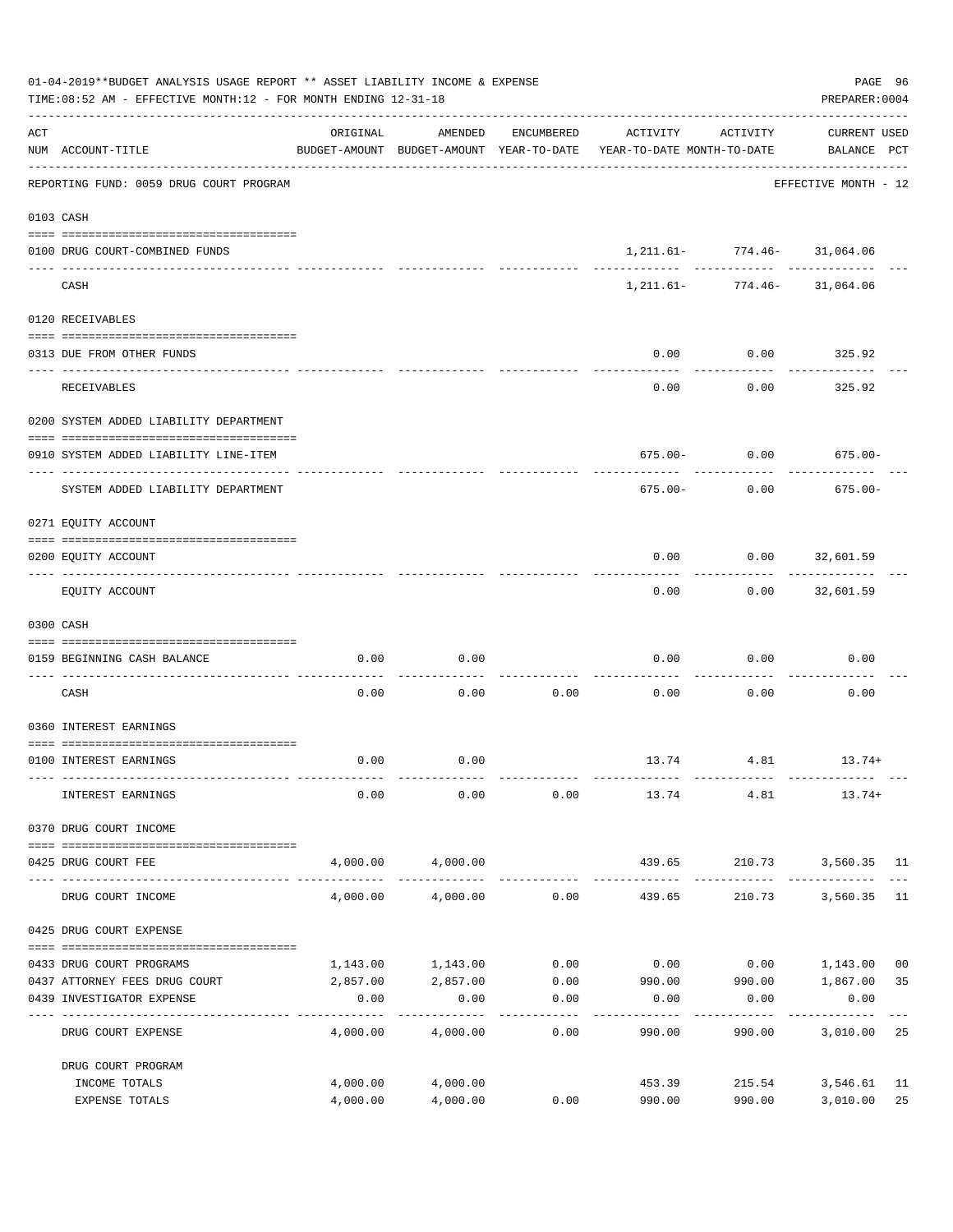|     | 01-04-2019**BUDGET ANALYSIS USAGE REPORT ** ASSET LIABILITY INCOME & EXPENSE<br>TIME: 08:52 AM - EFFECTIVE MONTH: 12 - FOR MONTH ENDING 12-31-18 |                     |                   |                     |                                                                                 |                                 |                                    |  |  |
|-----|--------------------------------------------------------------------------------------------------------------------------------------------------|---------------------|-------------------|---------------------|---------------------------------------------------------------------------------|---------------------------------|------------------------------------|--|--|
| ACT | NUM ACCOUNT-TITLE                                                                                                                                | ORIGINAL            | AMENDED           | ENCUMBERED          | ACTIVITY<br>BUDGET-AMOUNT BUDGET-AMOUNT YEAR-TO-DATE YEAR-TO-DATE MONTH-TO-DATE | ACTIVITY                        | <b>CURRENT USED</b><br>BALANCE PCT |  |  |
|     | REPORTING FUND: 0059 DRUG COURT PROGRAM                                                                                                          |                     |                   |                     |                                                                                 |                                 | EFFECTIVE MONTH - 12               |  |  |
|     | 0103 CASH                                                                                                                                        |                     |                   |                     |                                                                                 |                                 |                                    |  |  |
|     | 0100 DRUG COURT-COMBINED FUNDS                                                                                                                   |                     |                   |                     |                                                                                 | 1, 211.61- 774.46- 31, 064.06   |                                    |  |  |
|     | CASH                                                                                                                                             |                     |                   |                     |                                                                                 | 1, 211.61 - 774.46 - 31, 064.06 |                                    |  |  |
|     | 0120 RECEIVABLES                                                                                                                                 |                     |                   |                     |                                                                                 |                                 |                                    |  |  |
|     | 0313 DUE FROM OTHER FUNDS                                                                                                                        |                     |                   |                     | 0.00                                                                            | 0.00                            | 325.92                             |  |  |
|     |                                                                                                                                                  |                     |                   |                     |                                                                                 |                                 |                                    |  |  |
|     | RECEIVABLES                                                                                                                                      |                     |                   |                     | 0.00                                                                            | 0.00                            | 325.92                             |  |  |
|     | 0200 SYSTEM ADDED LIABILITY DEPARTMENT                                                                                                           |                     |                   |                     |                                                                                 |                                 |                                    |  |  |
|     | 0910 SYSTEM ADDED LIABILITY LINE-ITEM                                                                                                            |                     |                   |                     |                                                                                 | $675.00 - 0.00$                 | $675.00 -$                         |  |  |
|     | SYSTEM ADDED LIABILITY DEPARTMENT                                                                                                                |                     |                   |                     | 675.00-                                                                         | 0.00                            | $675.00 -$                         |  |  |
|     | 0271 EQUITY ACCOUNT                                                                                                                              |                     |                   |                     |                                                                                 |                                 |                                    |  |  |
|     | 0200 EQUITY ACCOUNT                                                                                                                              |                     |                   |                     | 0.00                                                                            | $0.00$ 32,601.59                |                                    |  |  |
|     | EQUITY ACCOUNT                                                                                                                                   |                     |                   |                     | 0.00                                                                            |                                 | $0.00$ 32,601.59                   |  |  |
|     | 0300 CASH                                                                                                                                        |                     |                   |                     |                                                                                 |                                 |                                    |  |  |
|     | 0159 BEGINNING CASH BALANCE                                                                                                                      | 0.00                | 0.00              |                     | 0.00                                                                            | 0.00                            | 0.00                               |  |  |
|     | CASH                                                                                                                                             | 0.00                | 0.00              | 0.00                | 0.00                                                                            | 0.00                            | 0.00                               |  |  |
|     | 0360 INTEREST EARNINGS                                                                                                                           |                     |                   |                     |                                                                                 |                                 |                                    |  |  |
|     | 0100 INTEREST EARNINGS                                                                                                                           | 0.00                | 0.00              |                     |                                                                                 |                                 | 13.74   4.81   13.74+              |  |  |
|     | INTEREST EARNINGS                                                                                                                                | 0.00                | 0.00              | 0.00                | 13.74 4.81                                                                      |                                 | $13.74+$                           |  |  |
|     | 0370 DRUG COURT INCOME                                                                                                                           |                     |                   |                     |                                                                                 |                                 |                                    |  |  |
|     | --------------------------------------<br>0425 DRUG COURT FEE                                                                                    |                     | 4,000.00 4,000.00 |                     | 439.65                                                                          |                                 | 210.73 3,560.35 11                 |  |  |
|     | DRUG COURT INCOME                                                                                                                                | 4,000.00            | 4,000.00          | 0.00                | _______________<br>439.65                                                       | 210.73                          | 3,560.35 11                        |  |  |
|     | 0425 DRUG COURT EXPENSE                                                                                                                          |                     |                   |                     |                                                                                 |                                 |                                    |  |  |
|     | 0433 DRUG COURT PROGRAMS                                                                                                                         | 1,143.00            | 1,143.00          | 0.00                | 0.00                                                                            |                                 | $0.00$ 1,143.00<br>0 <sub>0</sub>  |  |  |
|     | 0437 ATTORNEY FEES DRUG COURT                                                                                                                    |                     | 2,857.00 2,857.00 |                     | $0.00$ 990.00 990.00 1,867.00                                                   |                                 | 35                                 |  |  |
|     | 0439 INVESTIGATOR EXPENSE                                                                                                                        | 0.00<br>----------- | 0.00              | 0.00<br>----------- | 0.00                                                                            | 0.00                            | 0.00                               |  |  |
|     | DRUG COURT EXPENSE                                                                                                                               | 4,000.00            | 4,000.00          | 0.00                | 990.00                                                                          | 990.00                          | 25<br>3,010.00                     |  |  |
|     | DRUG COURT PROGRAM                                                                                                                               |                     |                   |                     |                                                                                 |                                 |                                    |  |  |
|     | INCOME TOTALS                                                                                                                                    | 4,000.00            | 4,000.00          |                     | 453.39                                                                          | 215.54                          | 3,546.61<br>11<br>25               |  |  |
|     | EXPENSE TOTALS                                                                                                                                   | 4,000.00            | 4,000.00          | 0.00                | 990.00                                                                          | 990.00                          | 3,010.00                           |  |  |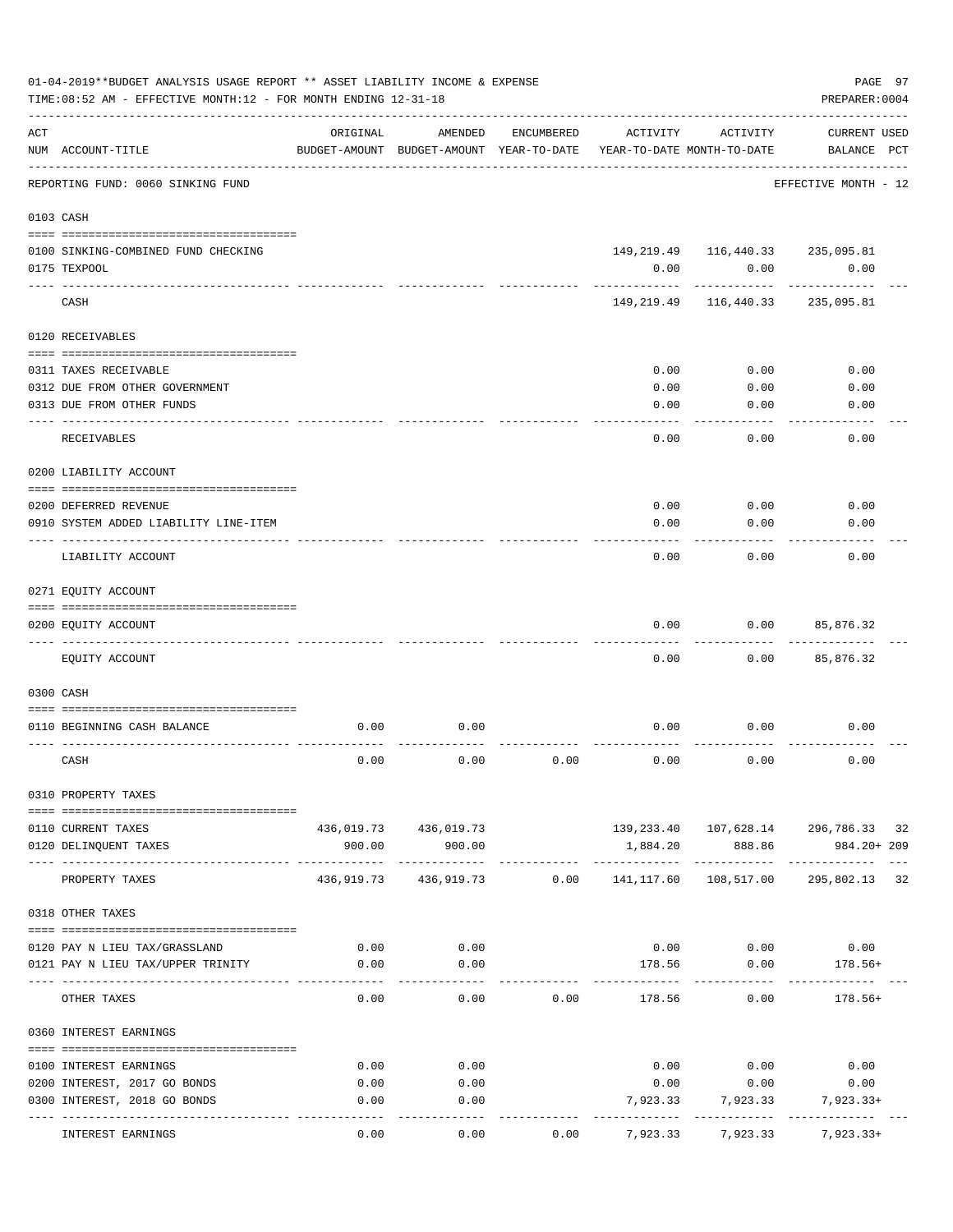|     | 01-04-2019**BUDGET ANALYSIS USAGE REPORT ** ASSET LIABILITY INCOME & EXPENSE<br>TIME: 08:52 AM - EFFECTIVE MONTH: 12 - FOR MONTH ENDING 12-31-18 |            |                                                     |            |            |                                                 | PAGE 97<br>PREPARER: 0004                 |
|-----|--------------------------------------------------------------------------------------------------------------------------------------------------|------------|-----------------------------------------------------|------------|------------|-------------------------------------------------|-------------------------------------------|
| ACT | NUM ACCOUNT-TITLE                                                                                                                                | ORIGINAL   | AMENDED<br>BUDGET-AMOUNT BUDGET-AMOUNT YEAR-TO-DATE | ENCUMBERED | ACTIVITY   | ACTIVITY<br>YEAR-TO-DATE MONTH-TO-DATE          | <b>CURRENT USED</b><br>BALANCE PCT        |
|     | REPORTING FUND: 0060 SINKING FUND                                                                                                                |            |                                                     |            |            |                                                 | EFFECTIVE MONTH - 12                      |
|     | 0103 CASH                                                                                                                                        |            |                                                     |            |            |                                                 |                                           |
|     |                                                                                                                                                  |            |                                                     |            |            |                                                 |                                           |
|     | 0100 SINKING-COMBINED FUND CHECKING<br>0175 TEXPOOL                                                                                              |            |                                                     |            | 0.00       | 149, 219.49   116, 440.33   235, 095.81<br>0.00 | 0.00                                      |
|     | CASH                                                                                                                                             |            |                                                     |            |            | 149, 219.49 116, 440.33                         | 235,095.81                                |
|     | 0120 RECEIVABLES                                                                                                                                 |            |                                                     |            |            |                                                 |                                           |
|     |                                                                                                                                                  |            |                                                     |            |            |                                                 |                                           |
|     | 0311 TAXES RECEIVABLE                                                                                                                            |            |                                                     |            | 0.00       | 0.00                                            | 0.00                                      |
|     | 0312 DUE FROM OTHER GOVERNMENT                                                                                                                   |            |                                                     |            | 0.00       | 0.00                                            | 0.00                                      |
|     | 0313 DUE FROM OTHER FUNDS<br>_________________________                                                                                           |            |                                                     |            | 0.00       | 0.00                                            | 0.00                                      |
|     | RECEIVABLES                                                                                                                                      |            |                                                     |            | 0.00       | 0.00                                            | 0.00                                      |
|     | 0200 LIABILITY ACCOUNT                                                                                                                           |            |                                                     |            |            |                                                 |                                           |
|     | 0200 DEFERRED REVENUE                                                                                                                            |            |                                                     |            | 0.00       | 0.00                                            | 0.00                                      |
|     | 0910 SYSTEM ADDED LIABILITY LINE-ITEM                                                                                                            |            |                                                     |            | 0.00       | 0.00                                            | 0.00                                      |
|     | LIABILITY ACCOUNT                                                                                                                                |            |                                                     |            | 0.00       | 0.00                                            | 0.00                                      |
|     | 0271 EQUITY ACCOUNT                                                                                                                              |            |                                                     |            |            |                                                 |                                           |
|     | 0200 EQUITY ACCOUNT                                                                                                                              |            |                                                     |            | 0.00       | 0.00                                            | 85,876.32                                 |
|     | EQUITY ACCOUNT                                                                                                                                   |            |                                                     |            | 0.00       | 0.00                                            | 85,876.32                                 |
|     | 0300 CASH                                                                                                                                        |            |                                                     |            |            |                                                 |                                           |
|     |                                                                                                                                                  |            |                                                     |            |            |                                                 |                                           |
|     | 0110 BEGINNING CASH BALANCE                                                                                                                      | 0.00       | 0.00                                                |            | 0.00       | 0.00                                            | 0.00                                      |
|     | CASH                                                                                                                                             | 0.00       | 0.00                                                | 0.00       | 0.00       | 0.00                                            | 0.00                                      |
|     | 0310 PROPERTY TAXES                                                                                                                              |            |                                                     |            |            |                                                 |                                           |
|     |                                                                                                                                                  |            |                                                     |            |            |                                                 |                                           |
|     | 0110 CURRENT TAXES                                                                                                                               |            | 436,019.73 436,019.73                               |            |            |                                                 | 139, 233.40  107, 628.14  296, 786.33  32 |
|     | 0120 DELINQUENT TAXES                                                                                                                            | 900.00     | 900.00                                              |            | 1,884.20   | 888.86                                          | 984.20+ 209                               |
|     | PROPERTY TAXES                                                                                                                                   | 436,919.73 | 436,919.73                                          | 0.00       | 141,117.60 | 108,517.00                                      | 295,802.13 32                             |
|     | 0318 OTHER TAXES                                                                                                                                 |            |                                                     |            |            |                                                 |                                           |
|     | 0120 PAY N LIEU TAX/GRASSLAND                                                                                                                    | 0.00       | 0.00                                                |            |            | $0.00$ 0.00                                     | 0.00                                      |
|     | 0121 PAY N LIEU TAX/UPPER TRINITY                                                                                                                | 0.00       | 0.00                                                |            | 178.56     | 0.00                                            | 178.56+                                   |
|     |                                                                                                                                                  |            |                                                     |            |            |                                                 |                                           |
|     | OTHER TAXES                                                                                                                                      | 0.00       | 0.00                                                | 0.00       |            | 178.56<br>0.00                                  | $178.56+$                                 |
|     | 0360 INTEREST EARNINGS                                                                                                                           |            |                                                     |            |            |                                                 |                                           |
|     | 0100 INTEREST EARNINGS                                                                                                                           | 0.00       | 0.00                                                |            |            | $0.00$ 0.00                                     | 0.00                                      |
|     | 0200 INTEREST, 2017 GO BONDS                                                                                                                     | 0.00       | 0.00                                                |            |            | $0.00$ 0.00                                     | 0.00                                      |
|     | 0300 INTEREST, 2018 GO BONDS                                                                                                                     | 0.00       | 0.00                                                |            |            | 7,923.33 7,923.33 7,923.33+                     |                                           |
|     | INTEREST EARNINGS                                                                                                                                | 0.00       | $---$<br>0.00                                       | 0.00       |            | 7,923.33 7,923.33                               | $7,923.33+$                               |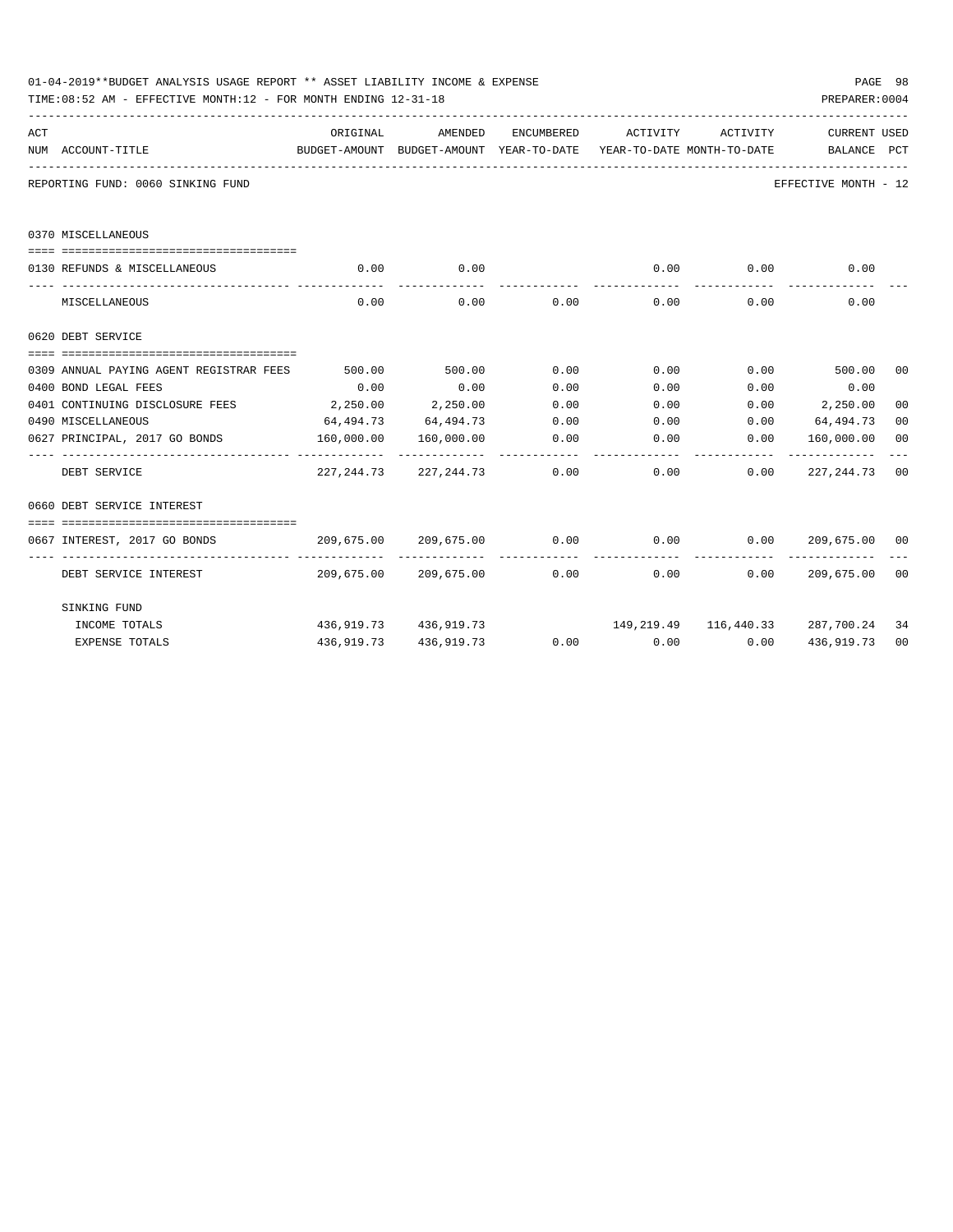|     | 01-04-2019**BUDGET ANALYSIS USAGE REPORT ** ASSET LIABILITY INCOME & EXPENSE<br>TIME:08:52 AM - EFFECTIVE MONTH:12 - FOR MONTH ENDING 12-31-18 |            |                                        |             |                                                                                 |                             | PAGE 98<br>PREPARER: 0004 |                |
|-----|------------------------------------------------------------------------------------------------------------------------------------------------|------------|----------------------------------------|-------------|---------------------------------------------------------------------------------|-----------------------------|---------------------------|----------------|
| ACT |                                                                                                                                                | ORIGINAL   | AMENDED                                | ENCUMBERED  | ACTIVITY                                                                        | ACTIVITY                    | <b>CURRENT USED</b>       |                |
|     | NUM ACCOUNT-TITLE                                                                                                                              |            |                                        |             | BUDGET-AMOUNT BUDGET-AMOUNT YEAR-TO-DATE YEAR-TO-DATE MONTH-TO-DATE BALANCE PCT |                             |                           |                |
|     | REPORTING FUND: 0060 SINKING FUND                                                                                                              |            |                                        |             |                                                                                 |                             | EFFECTIVE MONTH - 12      |                |
|     | 0370 MISCELLANEOUS                                                                                                                             |            |                                        |             |                                                                                 |                             |                           |                |
|     |                                                                                                                                                |            |                                        |             |                                                                                 |                             |                           |                |
|     | 0130 REFUNDS & MISCELLANEOUS                                                                                                                   | 0.00       | 0.00<br>-----------                    |             | ------------                                                                    | $0.00$ 0.00<br>------------ | 0.00                      |                |
|     | MISCELLANEOUS                                                                                                                                  | 0.00       |                                        | $0.00$ 0.00 |                                                                                 | $0.00$ 0.00                 | 0.00                      |                |
|     | 0620 DEBT SERVICE                                                                                                                              |            |                                        |             |                                                                                 |                             |                           |                |
|     |                                                                                                                                                |            |                                        |             |                                                                                 |                             |                           |                |
|     | 0309 ANNUAL PAYING AGENT REGISTRAR FEES 500.00 500.00 0.00 0.00 0.00 0.00 500.00 00                                                            |            |                                        |             |                                                                                 |                             |                           |                |
|     | 0400 BOND LEGAL FEES                                                                                                                           | 0.00       | 0.00                                   | 0.00        | 0.00                                                                            | 0.00                        | 0.00                      |                |
|     | 0401 CONTINUING DISCLOSURE FEES 2,250.00 2,250.00                                                                                              |            |                                        | 0.00        | $0.00$ $0.00$ $2,250.00$                                                        |                             |                           | 0 <sub>0</sub> |
|     | 0490 MISCELLANEOUS                                                                                                                             |            |                                        |             | $64,494.73$ $64,494.73$ $0.00$ $0.00$ $0.00$ $64,494.73$                        |                             |                           | 0 <sub>0</sub> |
|     | 0627 PRINCIPAL, 2017 GO BONDS 160,000.00 160,000.00                                                                                            |            | ------------- ------------- ---------- |             | $0.00$ 0.00                                                                     | 0.00                        | 160,000.00                | 0 <sub>0</sub> |
|     | DEBT SERVICE                                                                                                                                   |            |                                        |             | $227,244.73$ $227,244.73$ $0.00$ $0.00$ $0.00$ $227,244.73$ 00                  |                             |                           |                |
|     | 0660 DEBT SERVICE INTEREST                                                                                                                     |            |                                        |             |                                                                                 |                             |                           |                |
|     |                                                                                                                                                |            |                                        |             |                                                                                 |                             |                           |                |
|     | 0667 INTEREST, 2017 GO BONDS                                                                                                                   |            |                                        |             | $209,675.00$ $209,675.00$ $0.00$ $0.00$ $0.00$ $0.00$ $209,675.00$ $00$         | -------------               | ______________            |                |
|     | DEBT SERVICE INTEREST $209,675.00$ $209,675.00$ 0.00 0.00 0.00 0.00 209,675.00 00                                                              |            |                                        |             |                                                                                 |                             |                           |                |
|     | SINKING FUND                                                                                                                                   |            |                                        |             |                                                                                 |                             |                           |                |
|     | INCOME TOTALS                                                                                                                                  |            | 436,919.73 436,919.73                  |             | 149,219.49   116,440.33   287,700.24                                            |                             |                           | 34             |
|     | <b>EXPENSE TOTALS</b>                                                                                                                          | 436,919.73 | 436,919.73                             |             | $0.00$ $0.00$ $0.00$ $0.00$                                                     |                             | 436,919.73                | 0 <sub>0</sub> |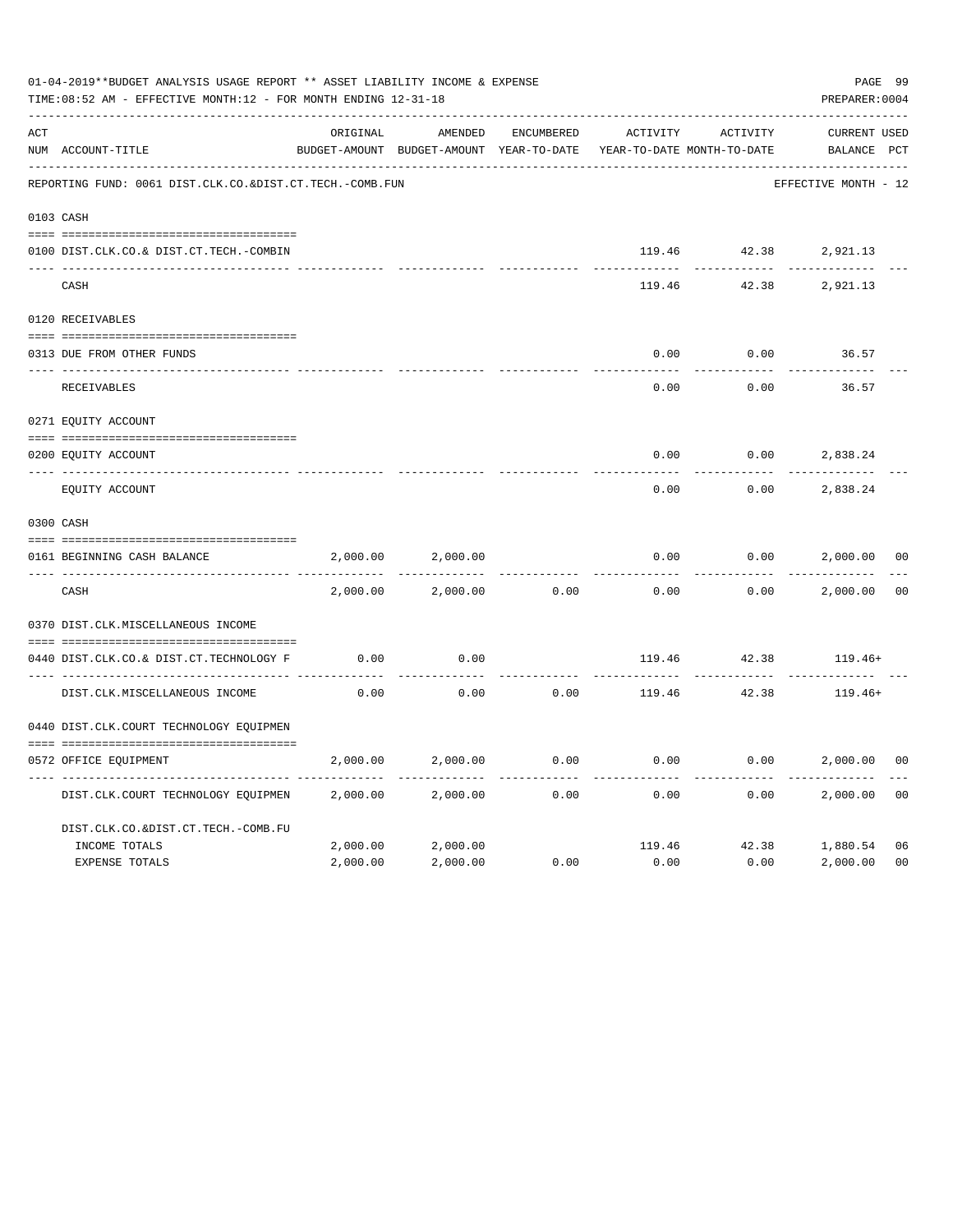|     | 01-04-2019**BUDGET ANALYSIS USAGE REPORT ** ASSET LIABILITY INCOME & EXPENSE<br>TIME: 08:52 AM - EFFECTIVE MONTH: 12 - FOR MONTH ENDING 12-31-18 |          |                                                     |            |          |                                        | PAGE 99<br>PREPARER: 0004          |                |
|-----|--------------------------------------------------------------------------------------------------------------------------------------------------|----------|-----------------------------------------------------|------------|----------|----------------------------------------|------------------------------------|----------------|
| ACT | NUM ACCOUNT-TITLE                                                                                                                                | ORIGINAL | AMENDED<br>BUDGET-AMOUNT BUDGET-AMOUNT YEAR-TO-DATE | ENCUMBERED | ACTIVITY | ACTIVITY<br>YEAR-TO-DATE MONTH-TO-DATE | <b>CURRENT USED</b><br>BALANCE PCT |                |
|     | REPORTING FUND: 0061 DIST.CLK.CO.&DIST.CT.TECH.-COMB.FUN                                                                                         |          |                                                     |            |          |                                        | EFFECTIVE MONTH - 12               |                |
|     | 0103 CASH                                                                                                                                        |          |                                                     |            |          |                                        |                                    |                |
|     | 0100 DIST.CLK.CO.& DIST.CT.TECH.-COMBIN                                                                                                          |          |                                                     |            |          |                                        | 119.46 42.38 2,921.13              |                |
|     | CASH                                                                                                                                             |          |                                                     |            | 119.46   | 42.38                                  | 2,921.13                           |                |
|     | 0120 RECEIVABLES                                                                                                                                 |          |                                                     |            |          |                                        |                                    |                |
|     | 0313 DUE FROM OTHER FUNDS                                                                                                                        |          |                                                     |            | 0.00     | 0.00                                   | 36.57                              |                |
|     | RECEIVABLES                                                                                                                                      |          |                                                     |            | 0.00     | 0.00                                   | 36.57                              |                |
|     | 0271 EQUITY ACCOUNT                                                                                                                              |          |                                                     |            |          |                                        |                                    |                |
|     | 0200 EQUITY ACCOUNT                                                                                                                              |          |                                                     |            | 0.00     | 0.00                                   | 2,838.24                           |                |
|     | ____________________________<br>EQUITY ACCOUNT                                                                                                   |          |                                                     |            | 0.00     | 0.00                                   | 2,838.24                           |                |
|     | 0300 CASH                                                                                                                                        |          |                                                     |            |          |                                        |                                    |                |
|     | 0161 BEGINNING CASH BALANCE                                                                                                                      | 2,000.00 | 2,000.00                                            |            | 0.00     | 0.00                                   | 2,000.00                           | 0 <sub>0</sub> |
|     | CASH                                                                                                                                             | 2,000.00 | 2,000.00                                            | 0.00       | 0.00     | 0.00                                   | 2,000.00                           | 0 <sub>0</sub> |
|     | 0370 DIST.CLK.MISCELLANEOUS INCOME                                                                                                               |          |                                                     |            |          |                                        |                                    |                |
|     | 0440 DIST.CLK.CO.& DIST.CT.TECHNOLOGY F                                                                                                          | 0.00     | 0.00                                                |            |          | 119.46 42.38                           | $119.46+$                          |                |
|     | DIST.CLK.MISCELLANEOUS INCOME                                                                                                                    | 0.00     | 0.00                                                | 0.00       | 119.46   | 42.38                                  | $119.46+$                          |                |
|     | 0440 DIST.CLK.COURT TECHNOLOGY EQUIPMEN                                                                                                          |          |                                                     |            |          |                                        |                                    |                |
|     | 0572 OFFICE EQUIPMENT                                                                                                                            | 2,000.00 | 2,000.00                                            | 0.00       | 0.00     | 0.00                                   | 2,000.00                           | 0 <sup>0</sup> |
|     | DIST.CLK.COURT TECHNOLOGY EQUIPMEN                                                                                                               | 2,000.00 | 2,000.00                                            | 0.00       | 0.00     | 0.00                                   | 2,000.00                           | 0 <sub>0</sub> |
|     | DIST.CLK.CO.&DIST.CT.TECH.-COMB.FU                                                                                                               |          |                                                     |            |          |                                        |                                    |                |
|     | INCOME TOTALS                                                                                                                                    | 2,000.00 | 2,000.00                                            |            |          |                                        | 119.46 42.38 1,880.54              | 06             |
|     | <b>EXPENSE TOTALS</b>                                                                                                                            | 2,000.00 | 2,000.00                                            | 0.00       | 0.00     | 0.00                                   | 2,000.00                           | 0 <sub>0</sub> |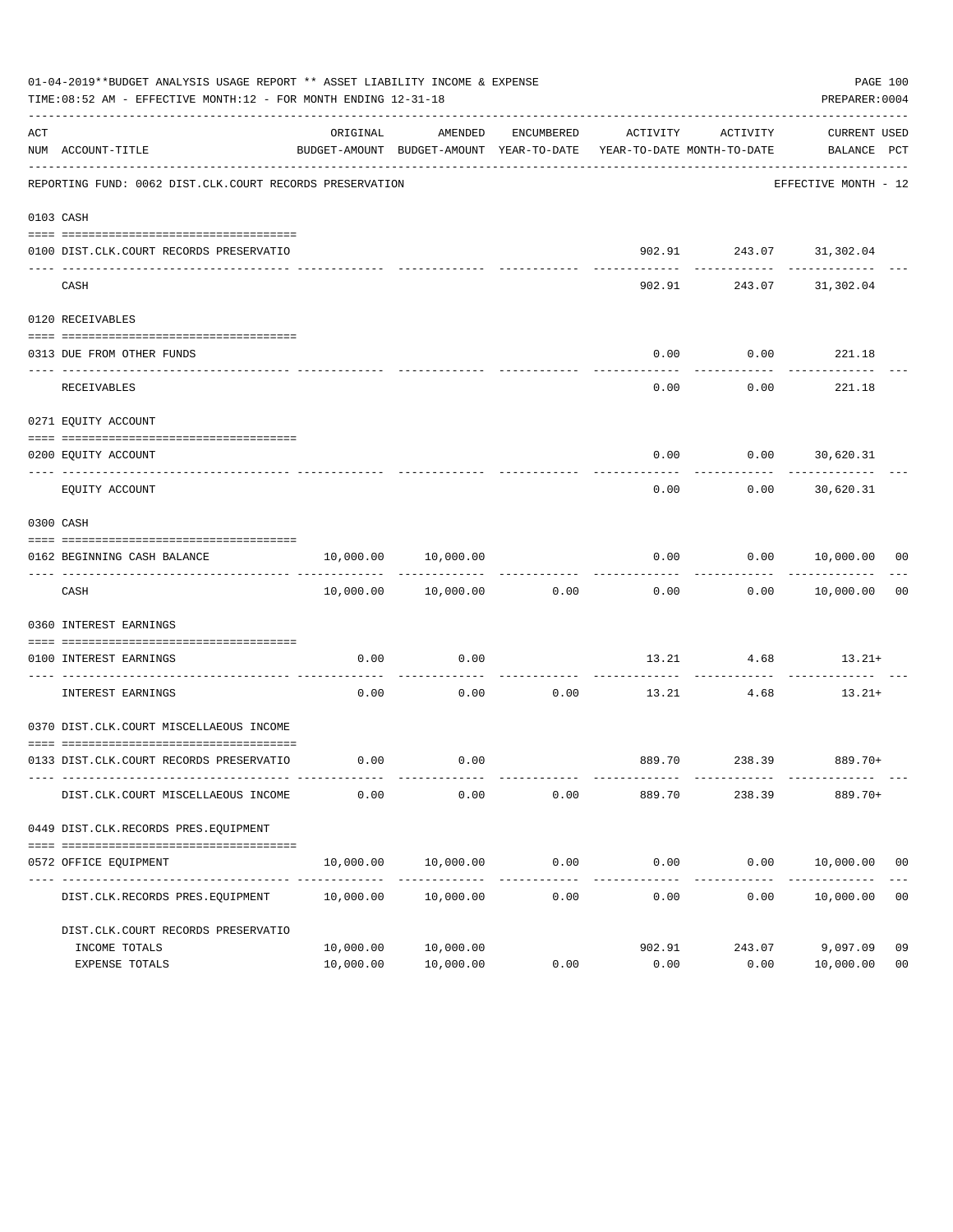|     | 01-04-2019**BUDGET ANALYSIS USAGE REPORT ** ASSET LIABILITY INCOME & EXPENSE<br>TIME:08:52 AM - EFFECTIVE MONTH:12 - FOR MONTH ENDING 12-31-18 |                        |                                                                                            |                    |                        |                                         | PAGE 100<br>PREPARER: 0004      |                      |
|-----|------------------------------------------------------------------------------------------------------------------------------------------------|------------------------|--------------------------------------------------------------------------------------------|--------------------|------------------------|-----------------------------------------|---------------------------------|----------------------|
| ACT | NUM ACCOUNT-TITLE                                                                                                                              | ORIGINAL               | AMENDED<br>BUDGET-AMOUNT BUDGET-AMOUNT YEAR-TO-DATE YEAR-TO-DATE MONTH-TO-DATE BALANCE PCT | ENCUMBERED         | ACTIVITY               | ACTIVITY                                | CURRENT USED                    |                      |
|     | REPORTING FUND: 0062 DIST.CLK.COURT RECORDS PRESERVATION                                                                                       |                        |                                                                                            |                    |                        |                                         | EFFECTIVE MONTH - 12            |                      |
|     | 0103 CASH                                                                                                                                      |                        |                                                                                            |                    |                        |                                         |                                 |                      |
|     | 0100 DIST.CLK.COURT RECORDS PRESERVATIO                                                                                                        |                        |                                                                                            |                    |                        | 902.91 243.07 31,302.04                 |                                 |                      |
|     | CASH                                                                                                                                           |                        |                                                                                            |                    |                        | ------------<br>902.91 243.07 31,302.04 | ----------                      |                      |
|     | 0120 RECEIVABLES                                                                                                                               |                        |                                                                                            |                    |                        |                                         |                                 |                      |
|     | 0313 DUE FROM OTHER FUNDS                                                                                                                      |                        |                                                                                            |                    | 0.00                   | $0.00$ 221.18                           |                                 |                      |
|     | RECEIVABLES                                                                                                                                    |                        |                                                                                            |                    | 0.00                   | 0.00                                    | . <u>.</u><br>221.18            |                      |
|     | 0271 EOUITY ACCOUNT                                                                                                                            |                        |                                                                                            |                    |                        |                                         |                                 |                      |
|     | 0200 EQUITY ACCOUNT                                                                                                                            |                        |                                                                                            |                    | 0.00                   | $0.00$ 30,620.31                        |                                 |                      |
|     | EQUITY ACCOUNT                                                                                                                                 |                        |                                                                                            |                    | 0.00                   |                                         | -----------<br>$0.00$ 30,620.31 |                      |
|     | 0300 CASH                                                                                                                                      |                        |                                                                                            |                    |                        |                                         |                                 |                      |
|     | 0162 BEGINNING CASH BALANCE                                                                                                                    |                        | 10,000.00 10,000.00                                                                        |                    |                        | $0.00$ $0.00$ $10,000.00$ 00            |                                 |                      |
|     | CASH                                                                                                                                           |                        | 10,000.00    10,000.00    0.00                                                             |                    |                        | $0.00$ $0.00$ $10,000.00$               | . <u>.</u>                      | 0 <sub>0</sub>       |
|     | 0360 INTEREST EARNINGS                                                                                                                         |                        |                                                                                            |                    |                        |                                         |                                 |                      |
|     | 0100 INTEREST EARNINGS                                                                                                                         | 0.00                   | 0.00                                                                                       |                    |                        | $13.21$ $4.68$ $13.21+$                 |                                 |                      |
|     | ------------------- ---<br>INTEREST EARNINGS                                                                                                   | 0.00                   | 0.00                                                                                       | ----------<br>0.00 | 13.21                  | ------------<br>4.68                    | $13.21+$                        |                      |
|     | 0370 DIST.CLK.COURT MISCELLAEOUS INCOME                                                                                                        |                        |                                                                                            |                    |                        |                                         |                                 |                      |
|     | 0133 DIST.CLK.COURT RECORDS PRESERVATIO                                                                                                        |                        | $0.00$ 0.00                                                                                |                    |                        | 889.70 238.39 889.70+                   |                                 |                      |
|     | DIST.CLK.COURT MISCELLAEOUS INCOME                                                                                                             | 0.00                   | 0.00                                                                                       | 0.00               | 889.70                 | 238.39                                  | 889.70+                         |                      |
|     | 0449 DIST.CLK.RECORDS PRES.EQUIPMENT                                                                                                           |                        |                                                                                            |                    |                        |                                         |                                 |                      |
|     | 0572 OFFICE EQUIPMENT                                                                                                                          | 10,000.00              | 10,000.00                                                                                  | 0.00               | 0.00                   |                                         | $0.00$ $10,000.00$ 00           |                      |
|     | DIST.CLK.RECORDS PRES.EQUIPMENT                                                                                                                | 10,000.00              | 10,000.00                                                                                  | 0.00               | --------------<br>0.00 | 0.00                                    | 10,000.00                       | 0 <sub>0</sub>       |
|     | DIST.CLK.COURT RECORDS PRESERVATIO                                                                                                             |                        |                                                                                            |                    |                        |                                         |                                 |                      |
|     | INCOME TOTALS<br>EXPENSE TOTALS                                                                                                                | 10,000.00<br>10,000.00 | 10,000.00<br>10,000.00                                                                     | 0.00               | 902.91<br>0.00         | 243.07<br>0.00                          | 9,097.09<br>10,000.00           | 09<br>0 <sub>0</sub> |
|     |                                                                                                                                                |                        |                                                                                            |                    |                        |                                         |                                 |                      |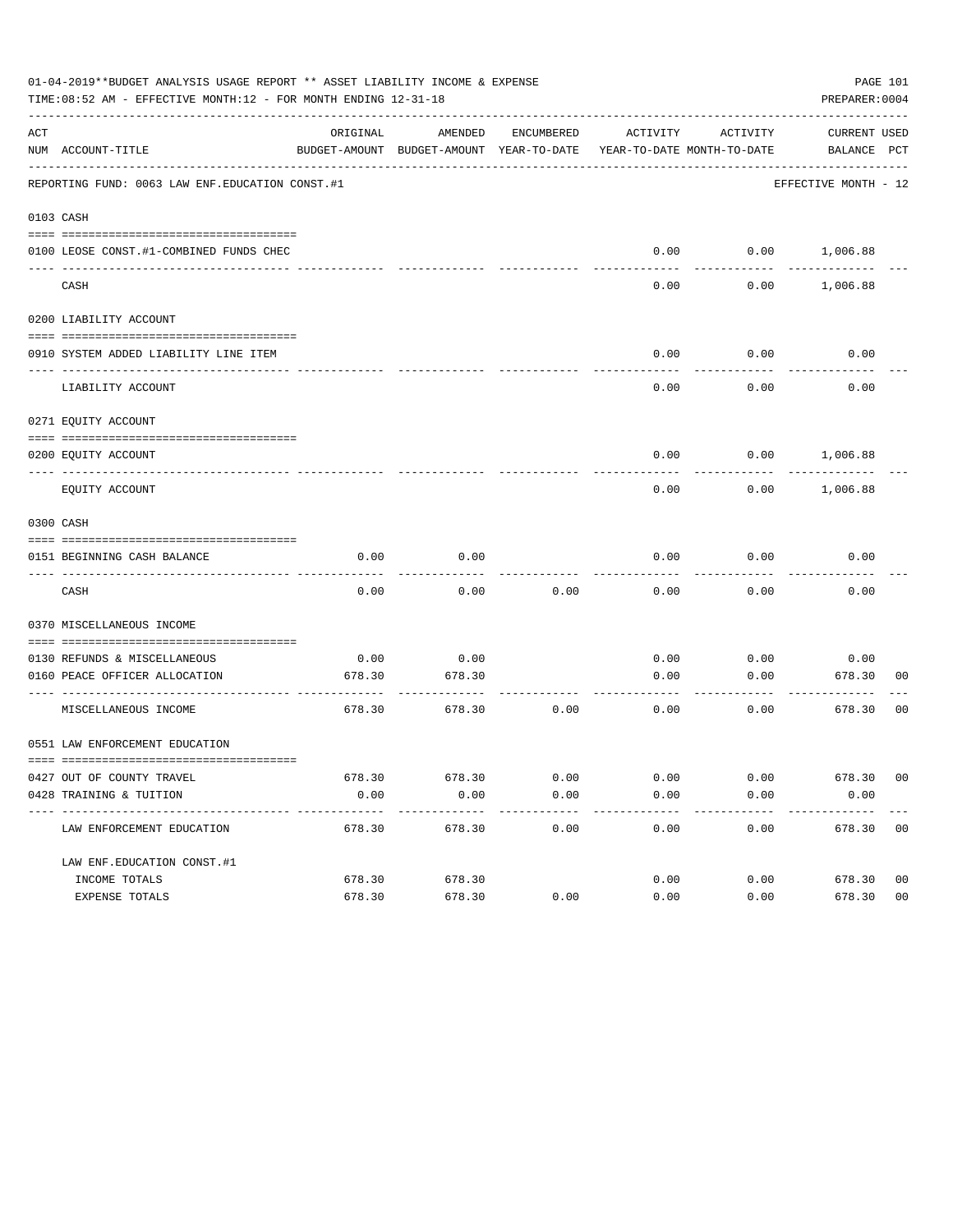|     | 01-04-2019**BUDGET ANALYSIS USAGE REPORT ** ASSET LIABILITY INCOME & EXPENSE<br>PAGE 101<br>TIME:08:52 AM - EFFECTIVE MONTH:12 - FOR MONTH ENDING 12-31-18<br>PREPARER: 0004 |          |                                                     |            |                       |                                        |                             |                |  |  |
|-----|------------------------------------------------------------------------------------------------------------------------------------------------------------------------------|----------|-----------------------------------------------------|------------|-----------------------|----------------------------------------|-----------------------------|----------------|--|--|
| ACT | NUM ACCOUNT-TITLE                                                                                                                                                            | ORIGINAL | AMENDED<br>BUDGET-AMOUNT BUDGET-AMOUNT YEAR-TO-DATE | ENCUMBERED | ACTIVITY              | ACTIVITY<br>YEAR-TO-DATE MONTH-TO-DATE | CURRENT USED<br>BALANCE PCT |                |  |  |
|     | REPORTING FUND: 0063 LAW ENF. EDUCATION CONST.#1                                                                                                                             |          |                                                     |            |                       |                                        | EFFECTIVE MONTH - 12        |                |  |  |
|     | 0103 CASH                                                                                                                                                                    |          |                                                     |            |                       |                                        |                             |                |  |  |
|     | 0100 LEOSE CONST.#1-COMBINED FUNDS CHEC                                                                                                                                      |          |                                                     |            |                       |                                        | $0.00$ $0.00$ $1,006.88$    |                |  |  |
|     | CASH                                                                                                                                                                         |          |                                                     |            | 0.00                  | 0.00                                   | 1,006.88                    |                |  |  |
|     | 0200 LIABILITY ACCOUNT                                                                                                                                                       |          |                                                     |            |                       |                                        |                             |                |  |  |
|     | 0910 SYSTEM ADDED LIABILITY LINE ITEM                                                                                                                                        |          |                                                     |            | 0.00                  | 0.00                                   | 0.00                        |                |  |  |
|     | LIABILITY ACCOUNT                                                                                                                                                            |          |                                                     |            | 0.00                  | 0.00                                   | 0.00                        |                |  |  |
|     | 0271 EQUITY ACCOUNT                                                                                                                                                          |          |                                                     |            |                       |                                        |                             |                |  |  |
|     | 0200 EQUITY ACCOUNT                                                                                                                                                          |          |                                                     |            |                       |                                        | $0.00$ $0.00$ $1,006.88$    |                |  |  |
|     | EQUITY ACCOUNT                                                                                                                                                               |          |                                                     |            | 0.00                  | 0.00                                   | 1,006.88                    |                |  |  |
|     | 0300 CASH                                                                                                                                                                    |          |                                                     |            |                       |                                        |                             |                |  |  |
|     | 0151 BEGINNING CASH BALANCE                                                                                                                                                  | 0.00     | 0.00                                                |            | 0.00                  | 0.00                                   | 0.00                        |                |  |  |
|     | CASH                                                                                                                                                                         | 0.00     | 0.00                                                | 0.00       | 0.00                  | 0.00                                   | 0.00                        |                |  |  |
|     | 0370 MISCELLANEOUS INCOME                                                                                                                                                    |          |                                                     |            |                       |                                        |                             |                |  |  |
|     | 0130 REFUNDS & MISCELLANEOUS                                                                                                                                                 | 0.00     | 0.00                                                |            | 0.00                  | 0.00                                   | 0.00                        |                |  |  |
|     | 0160 PEACE OFFICER ALLOCATION                                                                                                                                                | 678.30   | 678.30                                              |            | 0.00<br>------------- | 0.00<br>--------                       | 678.30<br>---------         | 00             |  |  |
|     | MISCELLANEOUS INCOME                                                                                                                                                         | 678.30   | 678.30                                              | 0.00       | 0.00                  | 0.00                                   | 678.30                      | 0 <sub>0</sub> |  |  |
|     | 0551 LAW ENFORCEMENT EDUCATION                                                                                                                                               |          |                                                     |            |                       |                                        |                             |                |  |  |
|     | 0427 OUT OF COUNTY TRAVEL                                                                                                                                                    | 678.30   | 678.30                                              | 0.00       | 0.00                  | 0.00                                   | 678.30 00                   |                |  |  |
|     | 0428 TRAINING & TUITION                                                                                                                                                      | 0.00     | 0.00                                                | 0.00       | 0.00                  | 0.00                                   | 0.00                        |                |  |  |
|     | LAW ENFORCEMENT EDUCATION                                                                                                                                                    | 678.30   | 678.30                                              | 0.00       | 0.00                  | 0.00                                   | 678.30 00                   |                |  |  |
|     | LAW ENF. EDUCATION CONST. #1                                                                                                                                                 |          |                                                     |            |                       |                                        |                             |                |  |  |
|     | INCOME TOTALS                                                                                                                                                                | 678.30   | 678.30                                              |            | 0.00                  | 0.00                                   | 678.30                      | 0 <sub>0</sub> |  |  |
|     | EXPENSE TOTALS                                                                                                                                                               | 678.30   | 678.30                                              | 0.00       | 0.00                  | 0.00                                   | 678.30                      | 0 <sub>0</sub> |  |  |
|     |                                                                                                                                                                              |          |                                                     |            |                       |                                        |                             |                |  |  |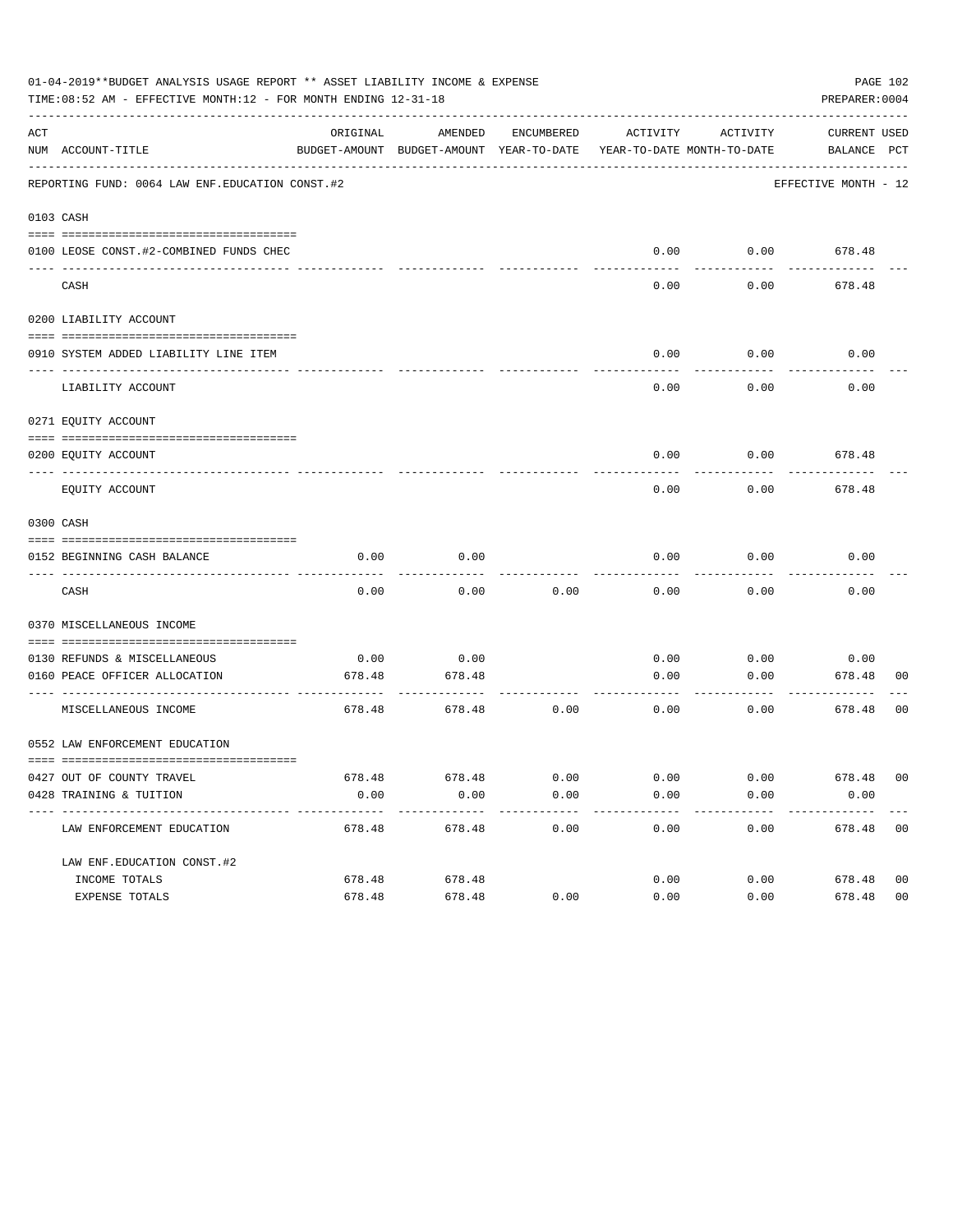|     | 01-04-2019**BUDGET ANALYSIS USAGE REPORT ** ASSET LIABILITY INCOME & EXPENSE<br>TIME:08:52 AM - EFFECTIVE MONTH:12 - FOR MONTH ENDING 12-31-18 |                |                                                                                |              |              |              | PREPARER: 0004              | PAGE 102       |
|-----|------------------------------------------------------------------------------------------------------------------------------------------------|----------------|--------------------------------------------------------------------------------|--------------|--------------|--------------|-----------------------------|----------------|
| ACT | NUM ACCOUNT-TITLE                                                                                                                              | ORIGINAL       | AMENDED<br>BUDGET-AMOUNT BUDGET-AMOUNT YEAR-TO-DATE YEAR-TO-DATE MONTH-TO-DATE | ENCUMBERED   | ACTIVITY     | ACTIVITY     | CURRENT USED<br>BALANCE PCT |                |
|     | REPORTING FUND: 0064 LAW ENF. EDUCATION CONST. #2                                                                                              |                |                                                                                |              |              |              | EFFECTIVE MONTH - 12        |                |
|     | 0103 CASH                                                                                                                                      |                |                                                                                |              |              |              |                             |                |
|     | 0100 LEOSE CONST.#2-COMBINED FUNDS CHEC                                                                                                        |                |                                                                                |              | 0.00         | 0.00         | 678.48                      |                |
|     | CASH                                                                                                                                           |                |                                                                                |              | 0.00         | 0.00         | 678.48                      |                |
|     | 0200 LIABILITY ACCOUNT                                                                                                                         |                |                                                                                |              |              |              |                             |                |
|     | 0910 SYSTEM ADDED LIABILITY LINE ITEM                                                                                                          |                |                                                                                |              | 0.00         | 0.00         | 0.00                        |                |
|     | LIABILITY ACCOUNT                                                                                                                              |                |                                                                                |              | 0.00         | 0.00         | 0.00                        |                |
|     | 0271 EQUITY ACCOUNT                                                                                                                            |                |                                                                                |              |              |              |                             |                |
|     | 0200 EOUITY ACCOUNT                                                                                                                            |                |                                                                                |              | 0.00         | 0.00         | 678.48                      |                |
|     | EQUITY ACCOUNT                                                                                                                                 |                |                                                                                |              | 0.00         | 0.00         | 678.48                      |                |
|     | 0300 CASH                                                                                                                                      |                |                                                                                |              |              |              |                             |                |
|     | 0152 BEGINNING CASH BALANCE                                                                                                                    | 0.00           | 0.00                                                                           |              | 0.00         | 0.00         | 0.00                        |                |
|     | CASH                                                                                                                                           | 0.00           | 0.00                                                                           | 0.00         | 0.00         | 0.00         | 0.00                        |                |
|     | 0370 MISCELLANEOUS INCOME                                                                                                                      |                |                                                                                |              |              |              |                             |                |
|     |                                                                                                                                                |                |                                                                                |              |              |              |                             |                |
|     | 0130 REFUNDS & MISCELLANEOUS<br>0160 PEACE OFFICER ALLOCATION                                                                                  | 0.00<br>678.48 | 0.00<br>678.48                                                                 |              | 0.00<br>0.00 | 0.00<br>0.00 | 0.00<br>678.48              | 00             |
|     | ----------------- --<br>MISCELLANEOUS INCOME                                                                                                   | 678.48         | ---------<br>678.48                                                            | 0.00         | 0.00         | 0.00         | ---------<br>678.48         | 00             |
|     | 0552 LAW ENFORCEMENT EDUCATION                                                                                                                 |                |                                                                                |              |              |              |                             |                |
|     |                                                                                                                                                |                |                                                                                |              |              |              |                             |                |
|     | 0427 OUT OF COUNTY TRAVEL<br>0428 TRAINING & TUITION                                                                                           | 678.48<br>0.00 | 678.48<br>0.00                                                                 | 0.00<br>0.00 | 0.00<br>0.00 | 0.00<br>0.00 | 678.48 00<br>0.00           |                |
|     | -----------------------------<br>LAW ENFORCEMENT EDUCATION                                                                                     | 678.48         | $- - - - - - - -$<br>678.48                                                    | 0.00         | 0.00         | 0.00         | 678.48 00                   |                |
|     | LAW ENF. EDUCATION CONST. #2                                                                                                                   |                |                                                                                |              |              |              |                             |                |
|     | INCOME TOTALS                                                                                                                                  | 678.48         | 678.48                                                                         |              | 0.00         | 0.00         | 678.48                      | 0 <sub>0</sub> |
|     | EXPENSE TOTALS                                                                                                                                 | 678.48         | 678.48                                                                         | 0.00         | 0.00         | 0.00         | 678.48                      | 0 <sub>0</sub> |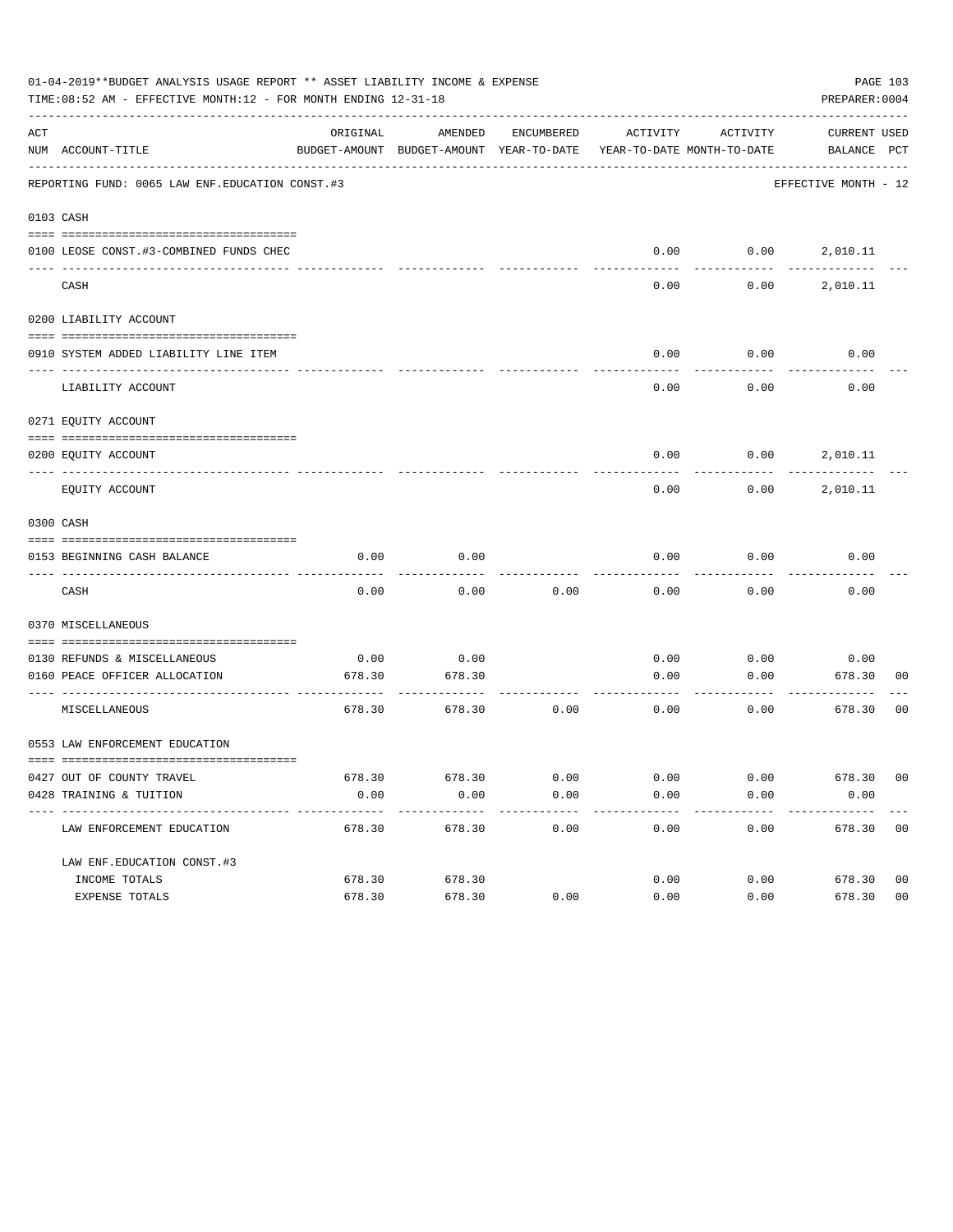|     | 01-04-2019**BUDGET ANALYSIS USAGE REPORT ** ASSET LIABILITY INCOME & EXPENSE<br>PAGE 103<br>TIME: 08:52 AM - EFFECTIVE MONTH: 12 - FOR MONTH ENDING 12-31-18<br>PREPARER: 0004 |          |                                                                                |            |          |                          |                             |                |  |  |
|-----|--------------------------------------------------------------------------------------------------------------------------------------------------------------------------------|----------|--------------------------------------------------------------------------------|------------|----------|--------------------------|-----------------------------|----------------|--|--|
| ACT | NUM ACCOUNT-TITLE                                                                                                                                                              | ORIGINAL | AMENDED<br>BUDGET-AMOUNT BUDGET-AMOUNT YEAR-TO-DATE YEAR-TO-DATE MONTH-TO-DATE | ENCUMBERED | ACTIVITY | ACTIVITY                 | CURRENT USED<br>BALANCE PCT |                |  |  |
|     | REPORTING FUND: 0065 LAW ENF. EDUCATION CONST.#3                                                                                                                               |          |                                                                                |            |          |                          | EFFECTIVE MONTH - 12        |                |  |  |
|     | 0103 CASH                                                                                                                                                                      |          |                                                                                |            |          |                          |                             |                |  |  |
|     |                                                                                                                                                                                |          |                                                                                |            |          |                          |                             |                |  |  |
|     | 0100 LEOSE CONST.#3-COMBINED FUNDS CHEC                                                                                                                                        |          |                                                                                |            |          | $0.00$ $0.00$ $2,010.11$ |                             |                |  |  |
|     | CASH                                                                                                                                                                           |          |                                                                                |            | 0.00     | 0.00                     | 2,010.11                    |                |  |  |
|     | 0200 LIABILITY ACCOUNT                                                                                                                                                         |          |                                                                                |            |          |                          |                             |                |  |  |
|     |                                                                                                                                                                                |          |                                                                                |            |          |                          |                             |                |  |  |
|     | 0910 SYSTEM ADDED LIABILITY LINE ITEM                                                                                                                                          |          |                                                                                |            | 0.00     | 0.00                     | 0.00                        |                |  |  |
|     | LIABILITY ACCOUNT                                                                                                                                                              |          |                                                                                |            | 0.00     | 0.00                     | 0.00                        |                |  |  |
|     | 0271 EQUITY ACCOUNT                                                                                                                                                            |          |                                                                                |            |          |                          |                             |                |  |  |
|     | 0200 EQUITY ACCOUNT                                                                                                                                                            |          |                                                                                |            | 0.00     |                          | $0.00$ 2,010.11             |                |  |  |
|     | EQUITY ACCOUNT                                                                                                                                                                 |          |                                                                                |            | 0.00     | 0.00                     | 2,010.11                    |                |  |  |
|     | 0300 CASH                                                                                                                                                                      |          |                                                                                |            |          |                          |                             |                |  |  |
|     |                                                                                                                                                                                |          |                                                                                |            |          |                          |                             |                |  |  |
|     | 0153 BEGINNING CASH BALANCE                                                                                                                                                    | 0.00     | 0.00                                                                           |            | 0.00     | 0.00                     | 0.00                        |                |  |  |
|     | CASH                                                                                                                                                                           | 0.00     | 0.00                                                                           | 0.00       | 0.00     | 0.00                     | 0.00                        |                |  |  |
|     | 0370 MISCELLANEOUS                                                                                                                                                             |          |                                                                                |            |          |                          |                             |                |  |  |
|     | 0130 REFUNDS & MISCELLANEOUS                                                                                                                                                   | 0.00     | 0.00                                                                           |            | 0.00     | 0.00                     | 0.00                        |                |  |  |
|     | 0160 PEACE OFFICER ALLOCATION                                                                                                                                                  | 678.30   | 678.30                                                                         |            | 0.00     | 0.00                     | 678.30                      | 00             |  |  |
|     | MISCELLANEOUS                                                                                                                                                                  | 678.30   | 678.30                                                                         | 0.00       | 0.00     | 0.00                     | ---------<br>678.30         | 0 <sub>0</sub> |  |  |
|     | 0553 LAW ENFORCEMENT EDUCATION                                                                                                                                                 |          |                                                                                |            |          |                          |                             |                |  |  |
|     | 0427 OUT OF COUNTY TRAVEL                                                                                                                                                      | 678.30   | 678.30                                                                         | 0.00       | 0.00     | 0.00                     | 678.30 00                   |                |  |  |
|     | 0428 TRAINING & TUITION                                                                                                                                                        | 0.00     | 0.00                                                                           | 0.00       | 0.00     | 0.00                     | 0.00                        |                |  |  |
|     | LAW ENFORCEMENT EDUCATION                                                                                                                                                      | 678.30   | 678.30                                                                         | 0.00       | 0.00     | 0.00                     | 678.30 00                   |                |  |  |
|     | LAW ENF. EDUCATION CONST. #3                                                                                                                                                   |          |                                                                                |            |          |                          |                             |                |  |  |
|     | INCOME TOTALS                                                                                                                                                                  | 678.30   | 678.30                                                                         |            | 0.00     | 0.00                     | 678.30                      | 0 <sub>0</sub> |  |  |
|     | EXPENSE TOTALS                                                                                                                                                                 | 678.30   | 678.30                                                                         | 0.00       | 0.00     | 0.00                     | 678.30                      | 0 <sub>0</sub> |  |  |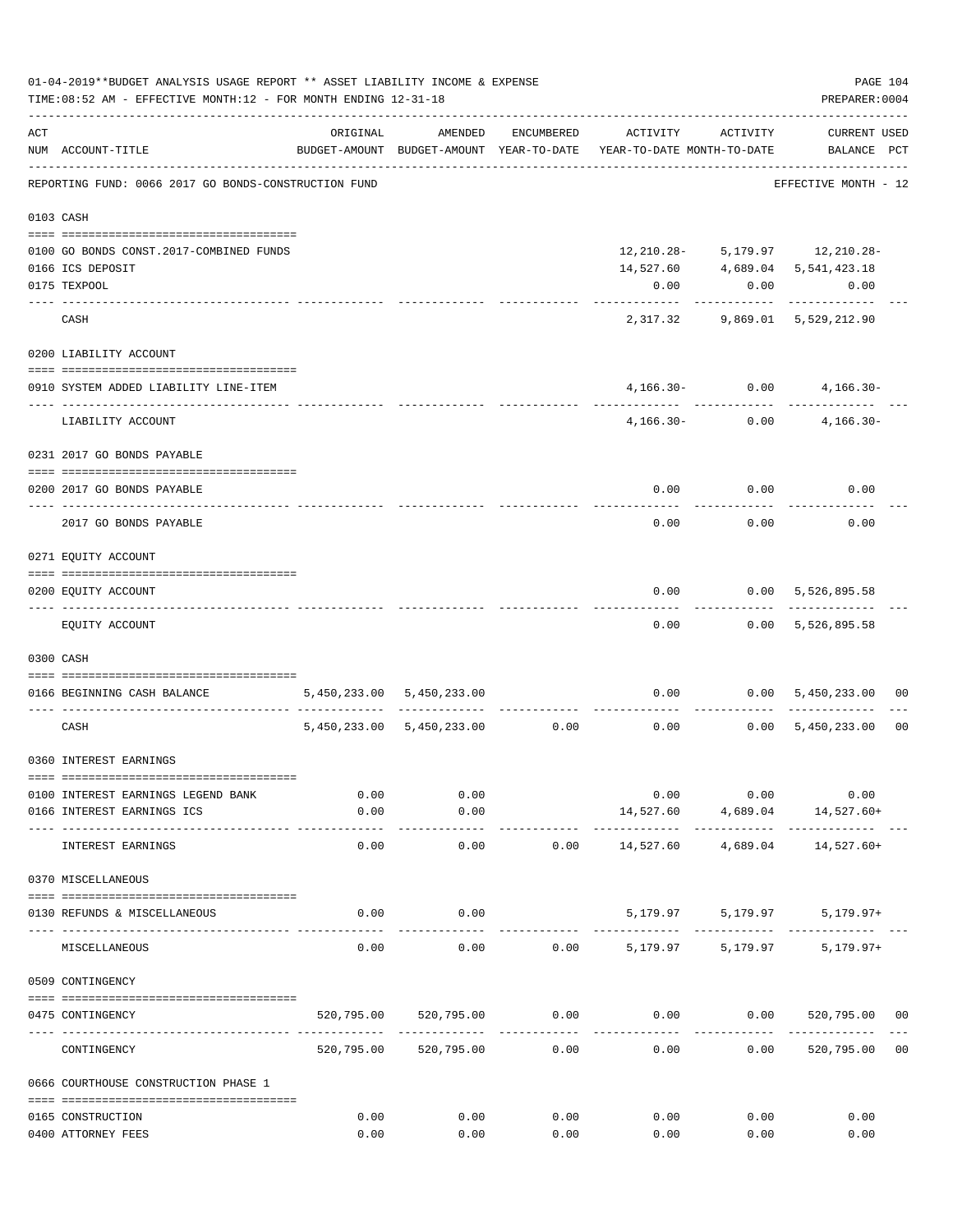|     | 01-04-2019**BUDGET ANALYSIS USAGE REPORT ** ASSET LIABILITY INCOME & EXPENSE<br>TIME: 08:52 AM - EFFECTIVE MONTH: 12 - FOR MONTH ENDING 12-31-18 |                                                                                 |                                |                      |           |                     | PREPARER: 0004                              | PAGE 104       |
|-----|--------------------------------------------------------------------------------------------------------------------------------------------------|---------------------------------------------------------------------------------|--------------------------------|----------------------|-----------|---------------------|---------------------------------------------|----------------|
| ACT | NUM ACCOUNT-TITLE                                                                                                                                | ORIGINAL<br>BUDGET-AMOUNT BUDGET-AMOUNT YEAR-TO-DATE YEAR-TO-DATE MONTH-TO-DATE | AMENDED                        | ENCUMBERED           |           | ACTIVITY ACTIVITY   | <b>CURRENT USED</b><br>BALANCE PCT          |                |
|     | REPORTING FUND: 0066 2017 GO BONDS-CONSTRUCTION FUND                                                                                             |                                                                                 |                                |                      |           |                     | -------------------<br>EFFECTIVE MONTH - 12 |                |
|     | 0103 CASH                                                                                                                                        |                                                                                 |                                |                      |           |                     |                                             |                |
|     | 0100 GO BONDS CONST. 2017-COMBINED FUNDS                                                                                                         |                                                                                 |                                |                      |           |                     | $12, 210.28 - 5, 179.97$ 12, 210.28-        |                |
|     | 0166 ICS DEPOSIT                                                                                                                                 |                                                                                 |                                |                      |           |                     | 14,527.60 4,689.04 5,541,423.18             |                |
|     | 0175 TEXPOOL                                                                                                                                     |                                                                                 |                                |                      | 0.00      | 0.00                | 0.00                                        |                |
|     | CASH                                                                                                                                             |                                                                                 |                                |                      |           | ----------          | .<br>2,317.32 9,869.01 5,529,212.90         |                |
|     |                                                                                                                                                  |                                                                                 |                                |                      |           |                     |                                             |                |
|     | 0200 LIABILITY ACCOUNT                                                                                                                           |                                                                                 |                                |                      |           |                     |                                             |                |
|     | 0910 SYSTEM ADDED LIABILITY LINE-ITEM<br>---- ------------------                                                                                 |                                                                                 |                                |                      |           | $4,166.30 - 0.00$   | $4,166.30-$                                 |                |
|     | LIABILITY ACCOUNT                                                                                                                                |                                                                                 |                                |                      |           | $4,166.30 - 0.00$   | $4,166.30-$                                 |                |
|     | 0231 2017 GO BONDS PAYABLE                                                                                                                       |                                                                                 |                                |                      |           |                     |                                             |                |
|     | 0200 2017 GO BONDS PAYABLE                                                                                                                       |                                                                                 |                                |                      |           |                     | $0.00$ $0.00$ $0.00$                        |                |
|     | 2017 GO BONDS PAYABLE                                                                                                                            |                                                                                 |                                |                      |           | $0.00$ 0.00         | 0.00                                        |                |
|     | 0271 EQUITY ACCOUNT                                                                                                                              |                                                                                 |                                |                      |           |                     |                                             |                |
|     |                                                                                                                                                  |                                                                                 |                                |                      |           |                     |                                             |                |
|     | 0200 EQUITY ACCOUNT                                                                                                                              |                                                                                 |                                |                      | 0.00      | . <u>.</u>          | 0.00 5,526,895.58<br>-------------          |                |
|     | EQUITY ACCOUNT                                                                                                                                   |                                                                                 |                                |                      | 0.00      |                     | $0.00$ 5,526,895.58                         |                |
|     | 0300 CASH                                                                                                                                        |                                                                                 |                                |                      |           |                     |                                             |                |
|     | 0166 BEGINNING CASH BALANCE                                                                                                                      |                                                                                 | 5,450,233.00 5,450,233.00      |                      |           |                     | $0.00$ $0.00$ $5,450,233.00$                | 00             |
|     | CASH                                                                                                                                             |                                                                                 | 5,450,233.00 5,450,233.00 0.00 |                      |           | ----------          | $0.00$ $0.00$ $5,450,233.00$                | 0 <sub>0</sub> |
|     | 0360 INTEREST EARNINGS                                                                                                                           |                                                                                 |                                |                      |           |                     |                                             |                |
|     |                                                                                                                                                  | 0.00                                                                            | 0.00                           |                      |           | 0.00<br>0.00        | 0.00                                        |                |
|     | 0100 INTEREST EARNINGS LEGEND BANK<br>0166 INTEREST EARNINGS ICS                                                                                 | 0.00                                                                            | 0.00                           |                      |           |                     | 14,527.60 4,689.04 14,527.60+               |                |
|     | INTEREST EARNINGS                                                                                                                                | 0.00                                                                            | ----------<br>0.00             | 0.00                 | 14,527.60 | 4,689.04            | 14,527.60+                                  |                |
|     | 0370 MISCELLANEOUS                                                                                                                               |                                                                                 |                                |                      |           |                     |                                             |                |
|     | 0130 REFUNDS & MISCELLANEOUS                                                                                                                     | 0.00                                                                            | 0.00                           |                      |           | 5, 179.97 5, 179.97 | $5,179.97+$                                 |                |
|     | MISCELLANEOUS                                                                                                                                    | 0.00                                                                            | 0.00                           | 0.00                 |           | 5,179.97 5,179.97   | $5,179.97+$                                 |                |
|     | 0509 CONTINGENCY                                                                                                                                 |                                                                                 |                                |                      |           |                     |                                             |                |
|     |                                                                                                                                                  |                                                                                 |                                |                      |           |                     |                                             |                |
|     | 0475 CONTINGENCY                                                                                                                                 |                                                                                 | 520,795.00 520,795.00          | 0.00<br>------------ |           | $0.00$ 0.00         | 520,795.00 00                               |                |
|     | CONTINGENCY                                                                                                                                      | 520,795.00                                                                      | 520,795.00                     | 0.00                 | 0.00      | 0.00                | 520,795.00                                  | 0 <sub>0</sub> |
|     | 0666 COURTHOUSE CONSTRUCTION PHASE 1                                                                                                             |                                                                                 |                                |                      |           |                     |                                             |                |
|     | 0165 CONSTRUCTION                                                                                                                                | 0.00                                                                            | 0.00                           | 0.00                 | 0.00      | 0.00                | 0.00                                        |                |
|     | 0400 ATTORNEY FEES                                                                                                                               | 0.00                                                                            | 0.00                           | 0.00                 | 0.00      | 0.00                | 0.00                                        |                |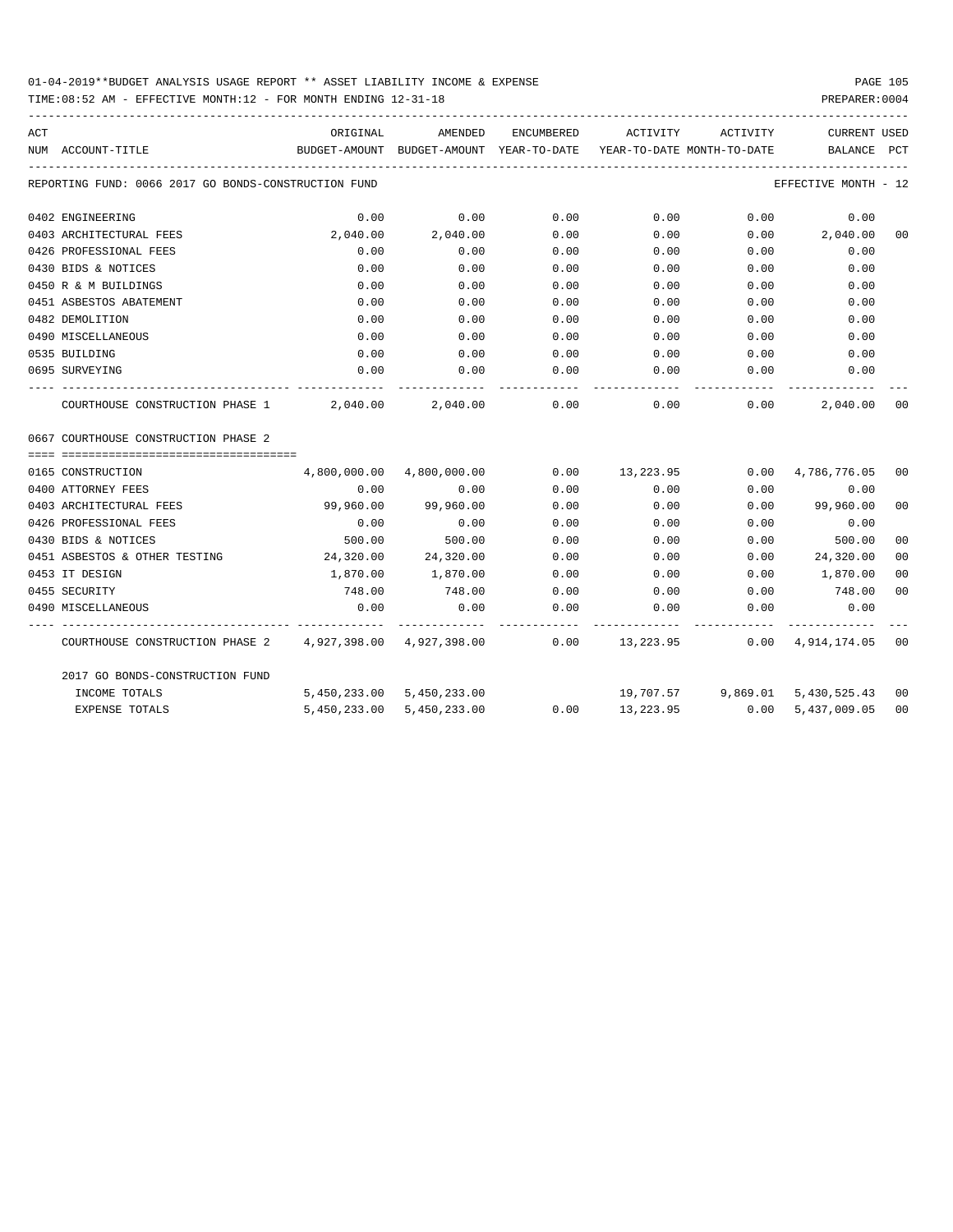## 01-04-2019\*\*BUDGET ANALYSIS USAGE REPORT \*\* ASSET LIABILITY INCOME & EXPENSE PAGE 105

TIME:08:52 AM - EFFECTIVE MONTH:12 - FOR MONTH ENDING 12-31-18 PREPARER:0004

| ACT |                                                                                               | ORIGINAL                                                                        | AMENDED                    | ENCUMBERED | ACTIVITY  | ACTIVITY                           | CURRENT USED         |                |
|-----|-----------------------------------------------------------------------------------------------|---------------------------------------------------------------------------------|----------------------------|------------|-----------|------------------------------------|----------------------|----------------|
|     | NUM ACCOUNT-TITLE                                                                             | BUDGET-AMOUNT BUDGET-AMOUNT YEAR-TO-DATE YEAR-TO-DATE MONTH-TO-DATE BALANCE PCT |                            |            |           |                                    |                      |                |
|     | REPORTING FUND: 0066 2017 GO BONDS-CONSTRUCTION FUND                                          |                                                                                 |                            |            |           |                                    | EFFECTIVE MONTH - 12 |                |
|     | 0402 ENGINEERING                                                                              | 0.00                                                                            | 0.00                       | 0.00       | 0.00      | 0.00                               | 0.00                 |                |
|     | 0403 ARCHITECTURAL FEES                                                                       | 2,040.00                                                                        | 2,040.00                   | 0.00       | 0.00      |                                    | $0.00$ 2,040.00      | 0 <sub>0</sub> |
|     | 0426 PROFESSIONAL FEES                                                                        | 0.00                                                                            | 0.00                       | 0.00       | 0.00      | 0.00                               | 0.00                 |                |
|     | 0430 BIDS & NOTICES                                                                           | 0.00                                                                            | 0.00                       | 0.00       | 0.00      | 0.00                               | 0.00                 |                |
|     | 0450 R & M BUILDINGS                                                                          | 0.00                                                                            | 0.00                       | 0.00       | 0.00      | 0.00                               | 0.00                 |                |
|     | 0451 ASBESTOS ABATEMENT                                                                       | 0.00                                                                            | 0.00                       | 0.00       | 0.00      | 0.00                               | 0.00                 |                |
|     | 0482 DEMOLITION                                                                               | 0.00                                                                            | 0.00                       | 0.00       | 0.00      | 0.00                               | 0.00                 |                |
|     | 0490 MISCELLANEOUS                                                                            | 0.00                                                                            | 0.00                       | 0.00       | 0.00      | 0.00                               | 0.00                 |                |
|     | 0535 BUILDING                                                                                 | 0.00                                                                            | 0.00                       | 0.00       | 0.00      | 0.00                               | 0.00                 |                |
|     | 0695 SURVEYING                                                                                | 0.00                                                                            | 0.00                       | 0.00       | 0.00      | 0.00                               | 0.00                 |                |
|     | COURTHOUSE CONSTRUCTION PHASE $1$ $2,040.00$ $2,040.00$ $0.00$ $0.00$ $0.00$ $0.00$           |                                                                                 |                            |            |           |                                    | 2,040.00             | 0 <sub>0</sub> |
|     | 0667 COURTHOUSE CONSTRUCTION PHASE 2                                                          |                                                                                 |                            |            |           |                                    |                      |                |
|     | 0165 CONSTRUCTION                                                                             |                                                                                 | 4,800,000.00  4,800,000.00 |            |           | $0.00$ 13,223.95 0.00 4,786,776.05 |                      | 00             |
|     | 0400 ATTORNEY FEES                                                                            | 0.00                                                                            | 0.00                       | 0.00       | 0.00      | 0.00                               | 0.00                 |                |
|     | 0403 ARCHITECTURAL FEES                                                                       | 99,960.00                                                                       | 99,960.00                  | 0.00       | 0.00      |                                    | $0.00$ 99,960.00     | 0 <sub>0</sub> |
|     | 0426 PROFESSIONAL FEES                                                                        | 0.00                                                                            | 0.00                       | 0.00       | 0.00      | 0.00                               | 0.00                 |                |
|     | 0430 BIDS & NOTICES                                                                           | 500.00                                                                          | 500.00                     | 0.00       | 0.00      | 0.00                               | 500.00               | 0 <sub>0</sub> |
|     | 0451 ASBESTOS & OTHER TESTING                                                                 | 24,320.00 24,320.00                                                             |                            | 0.00       | 0.00      | 0.00                               | 24,320.00            | 0 <sub>0</sub> |
|     | 0453 IT DESIGN                                                                                | 1,870.00                                                                        | 1,870.00                   | 0.00       |           | $0.00$ $0.00$                      | 1,870.00             | 0 <sub>0</sub> |
|     | 0455 SECURITY                                                                                 | 748.00                                                                          | 748.00                     |            |           | $0.00$ $0.00$ $0.00$ $0.00$        | 748.00               | 0 <sub>0</sub> |
|     | 0490 MISCELLANEOUS                                                                            | 0.00                                                                            | 0.00                       | 0.00       | 0.00      | 0.00                               | 0.00                 |                |
|     | COURTHOUSE CONSTRUCTION PHASE 2 4,927,398.00 4,927,398.00 0.00 13,223.95 0.00 4,914,174.05 00 |                                                                                 |                            |            |           |                                    |                      |                |
|     | 2017 GO BONDS-CONSTRUCTION FUND                                                               |                                                                                 |                            |            |           |                                    |                      |                |
|     | INCOME TOTALS                                                                                 |                                                                                 | 5,450,233.00 5,450,233.00  |            |           | 19,707.57 9,869.01 5,430,525.43 00 |                      |                |
|     | <b>EXPENSE TOTALS</b>                                                                         |                                                                                 | 5,450,233.00 5,450,233.00  | 0.00       | 13,223.95 |                                    | $0.00$ 5,437,009.05  | 0 <sub>0</sub> |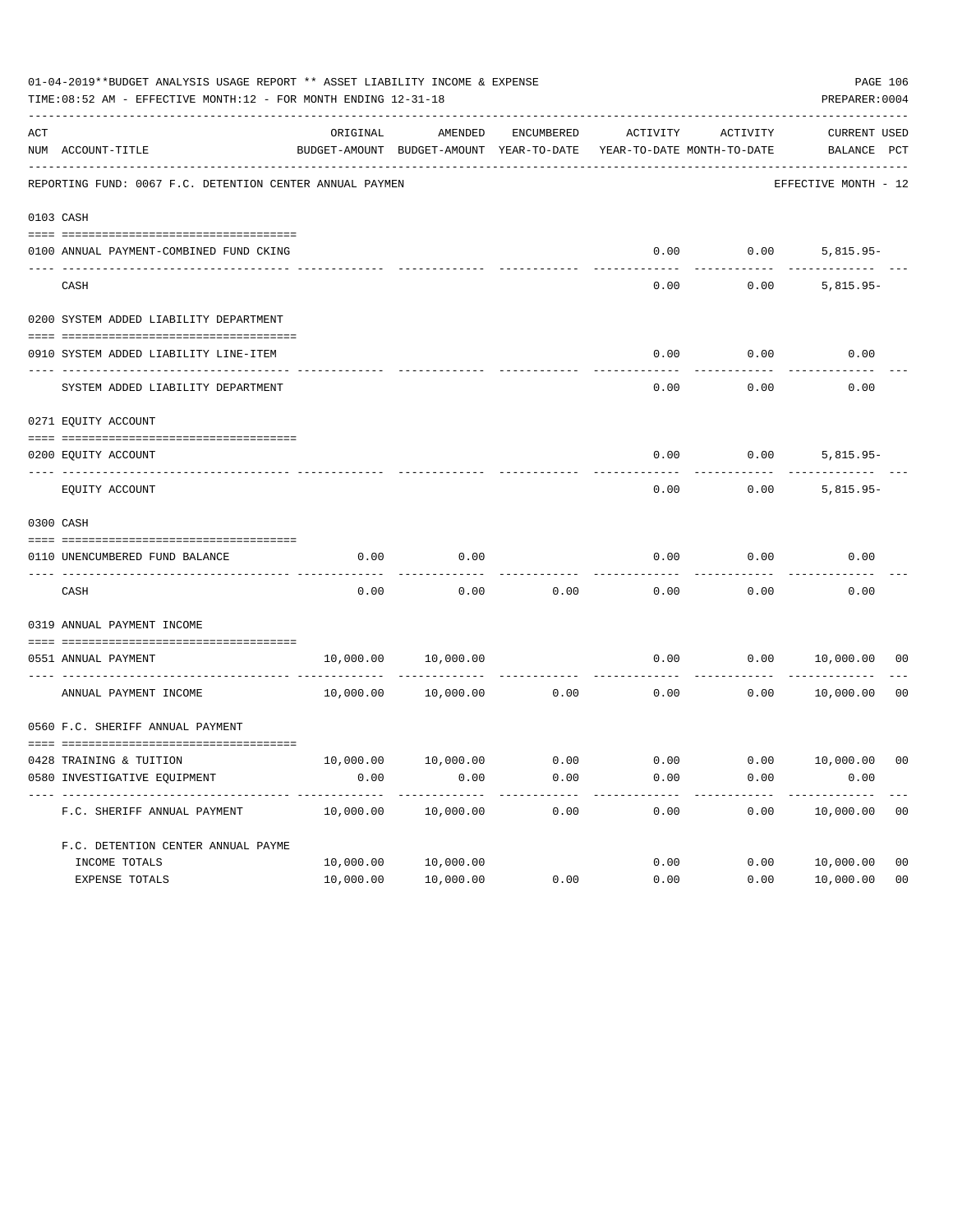| 01-04-2019**BUDGET ANALYSIS USAGE REPORT ** ASSET LIABILITY INCOME & EXPENSE<br>TIME: 08:52 AM - EFFECTIVE MONTH: 12 - FOR MONTH ENDING 12-31-18<br>PREPARER: 0004 |                                                          |           |                                                     |                    |                                        |                                |                                    |                |  |
|--------------------------------------------------------------------------------------------------------------------------------------------------------------------|----------------------------------------------------------|-----------|-----------------------------------------------------|--------------------|----------------------------------------|--------------------------------|------------------------------------|----------------|--|
| ACT                                                                                                                                                                | NUM ACCOUNT-TITLE                                        | ORIGINAL  | AMENDED<br>BUDGET-AMOUNT BUDGET-AMOUNT YEAR-TO-DATE | ENCUMBERED         | ACTIVITY<br>YEAR-TO-DATE MONTH-TO-DATE | ACTIVITY                       | <b>CURRENT USED</b><br>BALANCE PCT |                |  |
|                                                                                                                                                                    | REPORTING FUND: 0067 F.C. DETENTION CENTER ANNUAL PAYMEN |           |                                                     |                    |                                        |                                | EFFECTIVE MONTH - 12               |                |  |
| 0103 CASH                                                                                                                                                          |                                                          |           |                                                     |                    |                                        |                                |                                    |                |  |
|                                                                                                                                                                    | 0100 ANNUAL PAYMENT-COMBINED FUND CKING                  |           |                                                     |                    | 0.00                                   | 0.00                           | $5,815.95-$                        |                |  |
|                                                                                                                                                                    | CASH                                                     |           |                                                     |                    | 0.00                                   | 0.00                           | $5,815.95-$                        |                |  |
|                                                                                                                                                                    | 0200 SYSTEM ADDED LIABILITY DEPARTMENT                   |           |                                                     |                    |                                        |                                |                                    |                |  |
|                                                                                                                                                                    | 0910 SYSTEM ADDED LIABILITY LINE-ITEM                    |           |                                                     |                    | 0.00                                   | 0.00                           | 0.00                               |                |  |
|                                                                                                                                                                    | SYSTEM ADDED LIABILITY DEPARTMENT                        |           |                                                     |                    | 0.00                                   | 0.00                           | 0.00                               |                |  |
|                                                                                                                                                                    | 0271 EQUITY ACCOUNT                                      |           |                                                     |                    |                                        |                                |                                    |                |  |
|                                                                                                                                                                    | 0200 EQUITY ACCOUNT                                      |           |                                                     |                    | 0.00                                   |                                | $0.00$ 5,815.95-                   |                |  |
|                                                                                                                                                                    | EQUITY ACCOUNT                                           |           |                                                     |                    | 0.00                                   | 0.00                           | $5,815.95-$                        |                |  |
| 0300 CASH                                                                                                                                                          |                                                          |           |                                                     |                    |                                        |                                |                                    |                |  |
|                                                                                                                                                                    | 0110 UNENCUMBERED FUND BALANCE                           | 0.00      | 0.00                                                |                    | 0.00                                   | 0.00                           | 0.00                               |                |  |
|                                                                                                                                                                    | CASH                                                     | 0.00      | 0.00                                                | 0.00               | 0.00                                   | 0.00                           | 0.00                               |                |  |
|                                                                                                                                                                    | 0319 ANNUAL PAYMENT INCOME                               |           |                                                     |                    |                                        |                                |                                    |                |  |
|                                                                                                                                                                    | 0551 ANNUAL PAYMENT<br>------------------- ----          | 10,000.00 | 10,000.00                                           | ------------ ----- | 0.00                                   | 0.00                           | 10,000.00                          | 00             |  |
|                                                                                                                                                                    | ANNUAL PAYMENT INCOME                                    | 10,000.00 | 10,000.00                                           | 0.00               | 0.00                                   | 0.00                           | 10,000.00                          | 0 <sub>0</sub> |  |
|                                                                                                                                                                    | 0560 F.C. SHERIFF ANNUAL PAYMENT                         |           |                                                     |                    |                                        |                                |                                    |                |  |
|                                                                                                                                                                    | 0428 TRAINING & TUITION                                  |           | 10,000.00    10,000.00    0.00                      |                    |                                        | $0.00$ $0.00$ $10,000.00$ $00$ |                                    |                |  |
|                                                                                                                                                                    | 0580 INVESTIGATIVE EQUIPMENT                             | 0.00      | 0.00                                                | 0.00               | 0.00                                   | 0.00                           | 0.00                               |                |  |
|                                                                                                                                                                    | F.C. SHERIFF ANNUAL PAYMENT                              | 10,000.00 | 10,000.00                                           | 0.00               | 0.00                                   | 0.00                           | 10,000.00                          | 0 <sub>0</sub> |  |
|                                                                                                                                                                    | F.C. DETENTION CENTER ANNUAL PAYME                       |           |                                                     |                    |                                        |                                |                                    |                |  |
|                                                                                                                                                                    | INCOME TOTALS                                            | 10,000.00 | 10,000.00                                           |                    | 0.00                                   | 0.00                           | 10,000.00                          | 0 <sub>0</sub> |  |
|                                                                                                                                                                    | EXPENSE TOTALS                                           | 10,000.00 | 10,000.00                                           | 0.00               | 0.00                                   | 0.00                           | 10,000.00                          | 0 <sub>0</sub> |  |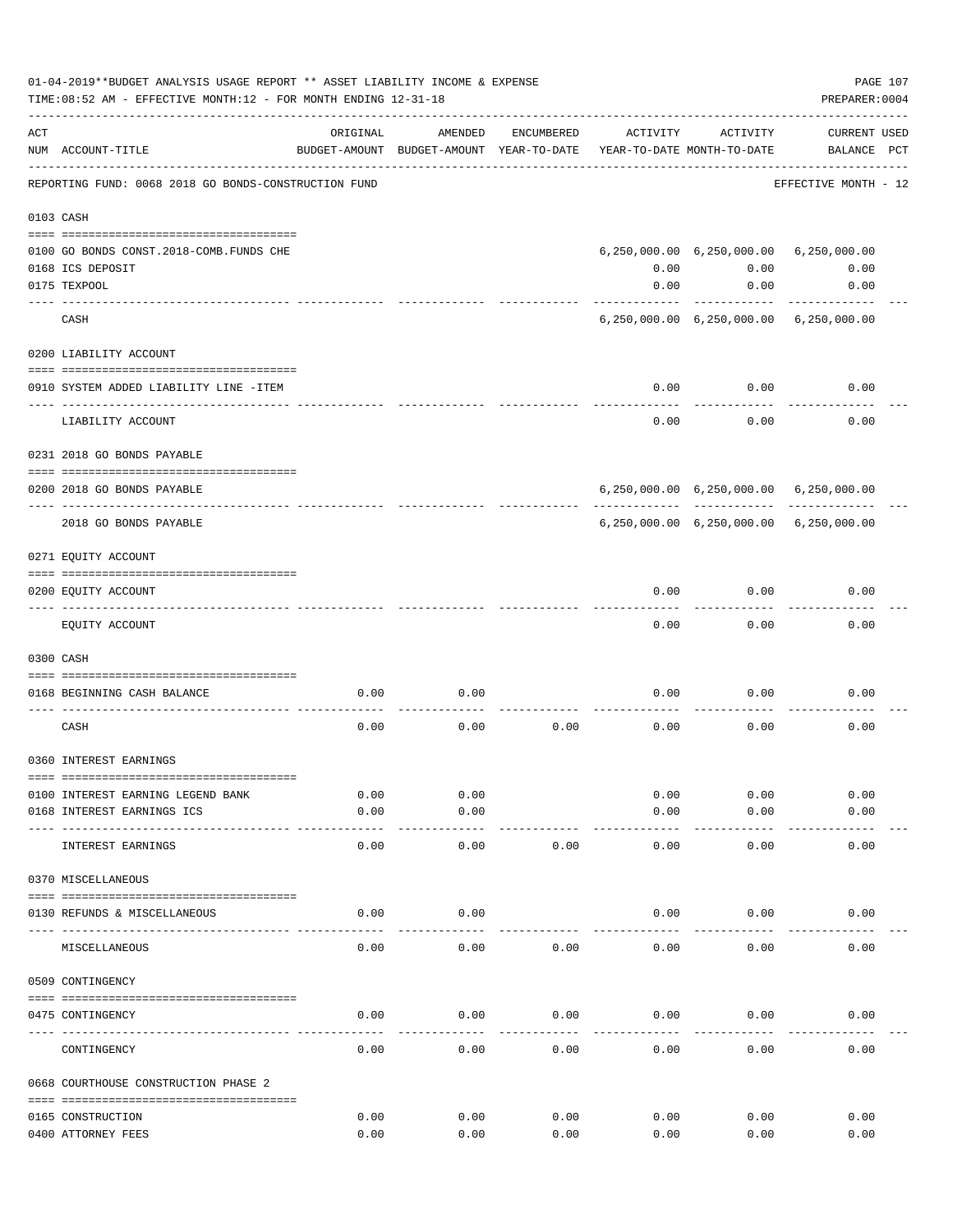| 01-04-2019**BUDGET ANALYSIS USAGE REPORT ** ASSET LIABILITY INCOME & EXPENSE<br>PAGE 107<br>PREPARER: 0004<br>TIME: 08:52 AM - EFFECTIVE MONTH: 12 - FOR MONTH ENDING 12-31-18 |                                                               |          |                                                     |            |                                        |                                                |                                    |  |
|--------------------------------------------------------------------------------------------------------------------------------------------------------------------------------|---------------------------------------------------------------|----------|-----------------------------------------------------|------------|----------------------------------------|------------------------------------------------|------------------------------------|--|
| ACT                                                                                                                                                                            | NUM ACCOUNT-TITLE                                             | ORIGINAL | AMENDED<br>BUDGET-AMOUNT BUDGET-AMOUNT YEAR-TO-DATE | ENCUMBERED | ACTIVITY<br>YEAR-TO-DATE MONTH-TO-DATE | ACTIVITY                                       | <b>CURRENT USED</b><br>BALANCE PCT |  |
|                                                                                                                                                                                | REPORTING FUND: 0068 2018 GO BONDS-CONSTRUCTION FUND          |          |                                                     |            |                                        |                                                | EFFECTIVE MONTH - 12               |  |
|                                                                                                                                                                                | 0103 CASH                                                     |          |                                                     |            |                                        |                                                |                                    |  |
|                                                                                                                                                                                | 0100 GO BONDS CONST. 2018-COMB. FUNDS CHE<br>0168 ICS DEPOSIT |          |                                                     |            | 0.00                                   | 6,250,000.00 6,250,000.00 6,250,000.00<br>0.00 | 0.00                               |  |
|                                                                                                                                                                                | 0175 TEXPOOL                                                  |          |                                                     |            | 0.00                                   | 0.00                                           | 0.00                               |  |
|                                                                                                                                                                                | CASH                                                          |          |                                                     |            |                                        | 6,250,000.00 6,250,000.00 6,250,000.00         |                                    |  |
|                                                                                                                                                                                | 0200 LIABILITY ACCOUNT                                        |          |                                                     |            |                                        |                                                |                                    |  |
|                                                                                                                                                                                | 0910 SYSTEM ADDED LIABILITY LINE -ITEM                        |          |                                                     |            | 0.00                                   | 0.00                                           | 0.00                               |  |
|                                                                                                                                                                                | LIABILITY ACCOUNT                                             |          |                                                     |            | 0.00                                   | 0.00                                           | 0.00                               |  |
|                                                                                                                                                                                | 0231 2018 GO BONDS PAYABLE                                    |          |                                                     |            |                                        |                                                |                                    |  |
|                                                                                                                                                                                | 0200 2018 GO BONDS PAYABLE                                    |          |                                                     |            |                                        | 6,250,000.00 6,250,000.00 6,250,000.00         |                                    |  |
|                                                                                                                                                                                | 2018 GO BONDS PAYABLE                                         |          |                                                     |            |                                        | 6,250,000.00 6,250,000.00 6,250,000.00         |                                    |  |
|                                                                                                                                                                                | 0271 EQUITY ACCOUNT                                           |          |                                                     |            |                                        |                                                |                                    |  |
|                                                                                                                                                                                | 0200 EQUITY ACCOUNT                                           |          |                                                     |            | 0.00                                   | 0.00                                           | 0.00                               |  |
|                                                                                                                                                                                | EQUITY ACCOUNT                                                |          |                                                     |            | 0.00                                   | 0.00                                           | 0.00                               |  |
|                                                                                                                                                                                | 0300 CASH                                                     |          |                                                     |            |                                        |                                                |                                    |  |
|                                                                                                                                                                                | 0168 BEGINNING CASH BALANCE                                   | 0.00     | 0.00                                                |            | 0.00                                   | 0.00                                           | 0.00                               |  |
|                                                                                                                                                                                |                                                               |          |                                                     |            |                                        |                                                |                                    |  |
|                                                                                                                                                                                | CASH                                                          | 0.00     | 0.00                                                | 0.00       | 0.00                                   | 0.00                                           | 0.00                               |  |
|                                                                                                                                                                                | 0360 INTEREST EARNINGS                                        |          |                                                     |            |                                        |                                                |                                    |  |
|                                                                                                                                                                                | 0100 INTEREST EARNING LEGEND BANK                             | 0.00     | 0.00                                                |            | 0.00                                   | 0.00                                           | 0.00                               |  |
|                                                                                                                                                                                | 0168 INTEREST EARNINGS ICS                                    | 0.00     | 0.00                                                |            | 0.00                                   | 0.00                                           | 0.00                               |  |
|                                                                                                                                                                                | INTEREST EARNINGS                                             | 0.00     | 0.00                                                | 0.00       | 0.00                                   | 0.00                                           | 0.00                               |  |
|                                                                                                                                                                                | 0370 MISCELLANEOUS                                            |          |                                                     |            |                                        |                                                |                                    |  |
|                                                                                                                                                                                | 0130 REFUNDS & MISCELLANEOUS                                  | 0.00     | 0.00                                                |            | 0.00                                   | 0.00                                           | 0.00                               |  |
|                                                                                                                                                                                | MISCELLANEOUS                                                 | 0.00     | $--- - - -$<br>0.00                                 | 0.00       | 0.00                                   | 0.00                                           | 0.00                               |  |
|                                                                                                                                                                                | 0509 CONTINGENCY                                              |          |                                                     |            |                                        |                                                |                                    |  |
|                                                                                                                                                                                | 0475 CONTINGENCY                                              | 0.00     | 0.00                                                | 0.00       | 0.00                                   | 0.00                                           | 0.00                               |  |
|                                                                                                                                                                                | CONTINGENCY                                                   | 0.00     | 0.00                                                | 0.00       | 0.00                                   | 0.00                                           | 0.00                               |  |
|                                                                                                                                                                                |                                                               |          |                                                     |            |                                        |                                                |                                    |  |
|                                                                                                                                                                                | 0668 COURTHOUSE CONSTRUCTION PHASE 2                          |          |                                                     |            |                                        |                                                |                                    |  |
|                                                                                                                                                                                | 0165 CONSTRUCTION                                             | 0.00     | 0.00                                                | 0.00       | 0.00                                   | 0.00                                           | 0.00                               |  |
|                                                                                                                                                                                | 0400 ATTORNEY FEES                                            | 0.00     | 0.00                                                | 0.00       | 0.00                                   | 0.00                                           | 0.00                               |  |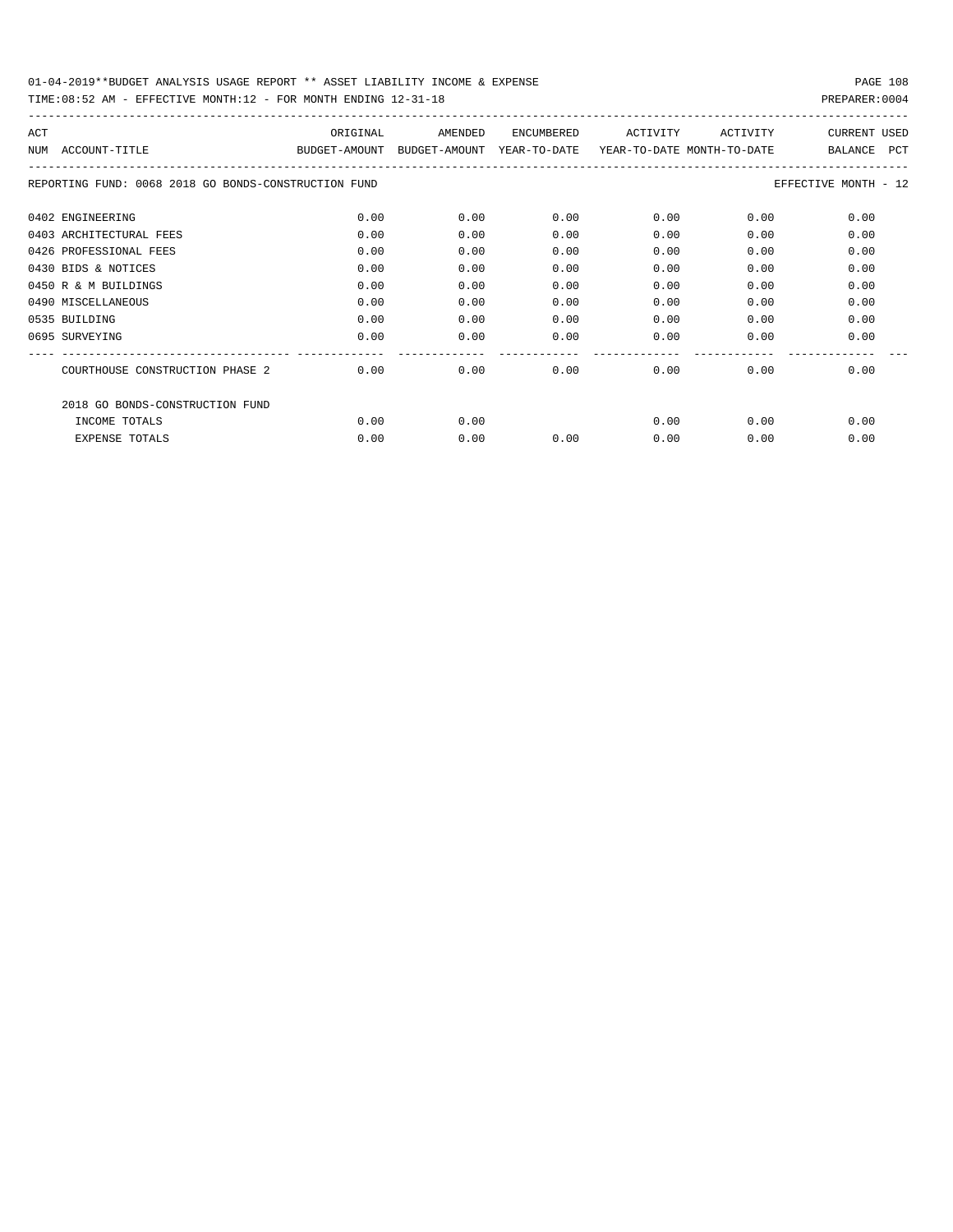| ACT |                                                      | ORIGINAL      | AMENDED       | <b>ENCUMBERED</b> | ACTIVITY                   | ACTIVITY | <b>CURRENT USED</b>          |
|-----|------------------------------------------------------|---------------|---------------|-------------------|----------------------------|----------|------------------------------|
| NUM | ACCOUNT-TITLE                                        | BUDGET-AMOUNT | BUDGET-AMOUNT | YEAR-TO-DATE      | YEAR-TO-DATE MONTH-TO-DATE |          | <b>PCT</b><br><b>BALANCE</b> |
|     | REPORTING FUND: 0068 2018 GO BONDS-CONSTRUCTION FUND |               |               |                   |                            |          | EFFECTIVE MONTH - 12         |
|     | 0402 ENGINEERING                                     | 0.00          | 0.00          | 0.00              | 0.00                       | 0.00     | 0.00                         |
|     | 0403 ARCHITECTURAL FEES                              | 0.00          | 0.00          | 0.00              | 0.00                       | 0.00     | 0.00                         |
|     | 0426 PROFESSIONAL FEES                               | 0.00          | 0.00          | 0.00              | 0.00                       | 0.00     | 0.00                         |
|     | 0430 BIDS & NOTICES                                  | 0.00          | 0.00          | 0.00              | 0.00                       | 0.00     | 0.00                         |
|     | 0450 R & M BUILDINGS                                 | 0.00          | 0.00          | 0.00              | 0.00                       | 0.00     | 0.00                         |
|     | 0490 MISCELLANEOUS                                   | 0.00          | 0.00          | 0.00              | 0.00                       | 0.00     | 0.00                         |
|     | 0535 BUILDING                                        | 0.00          | 0.00          | 0.00              | 0.00                       | 0.00     | 0.00                         |
|     | 0695 SURVEYING                                       | 0.00          | 0.00          | 0.00              | 0.00                       | 0.00     | 0.00                         |
|     |                                                      |               |               |                   |                            |          |                              |
|     | COURTHOUSE CONSTRUCTION PHASE 2                      | 0.00          | 0.00          | 0.00              | 0.00                       | 0.00     | 0.00                         |
|     | 2018 GO BONDS-CONSTRUCTION FUND                      |               |               |                   |                            |          |                              |
|     | INCOME TOTALS                                        | 0.00          | 0.00          |                   | 0.00                       | 0.00     | 0.00                         |
|     | <b>EXPENSE TOTALS</b>                                | 0.00          | 0.00          | 0.00              | 0.00                       | 0.00     | 0.00                         |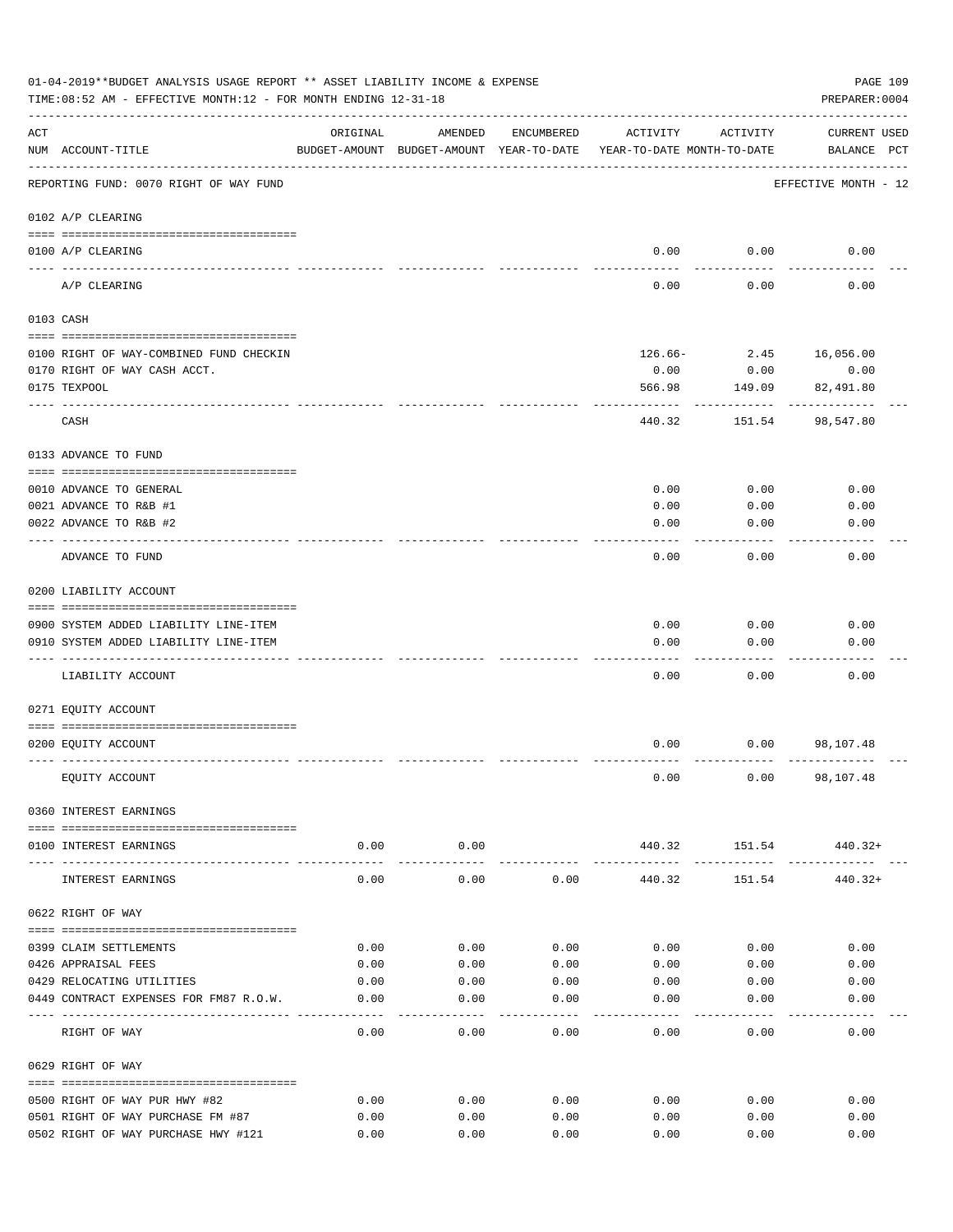|                    | 01-04-2019**BUDGET ANALYSIS USAGE REPORT ** ASSET LIABILITY INCOME & EXPENSE<br>TIME: 08:52 AM - EFFECTIVE MONTH: 12 - FOR MONTH ENDING 12-31-18 |                    |                |              |                                                                                 |                         | PAGE 109<br>PREPARER: 0004         |
|--------------------|--------------------------------------------------------------------------------------------------------------------------------------------------|--------------------|----------------|--------------|---------------------------------------------------------------------------------|-------------------------|------------------------------------|
| $\mathop{\rm ACT}$ | NUM ACCOUNT-TITLE                                                                                                                                | ORIGINAL           | AMENDED        | ENCUMBERED   | ACTIVITY<br>BUDGET-AMOUNT BUDGET-AMOUNT YEAR-TO-DATE YEAR-TO-DATE MONTH-TO-DATE | ACTIVITY                | <b>CURRENT USED</b><br>BALANCE PCT |
|                    | REPORTING FUND: 0070 RIGHT OF WAY FUND                                                                                                           |                    |                |              |                                                                                 |                         | EFFECTIVE MONTH - 12               |
|                    | 0102 A/P CLEARING                                                                                                                                |                    |                |              |                                                                                 |                         |                                    |
|                    | 0100 A/P CLEARING<br>---- --------                                                                                                               |                    |                |              |                                                                                 | $0.00$ 0.00             | 0.00                               |
|                    | A/P CLEARING                                                                                                                                     |                    |                |              | 0.00                                                                            | 0.00                    | 0.00                               |
|                    | 0103 CASH                                                                                                                                        |                    |                |              |                                                                                 |                         |                                    |
|                    | 0100 RIGHT OF WAY-COMBINED FUND CHECKIN                                                                                                          |                    |                |              |                                                                                 |                         | 126.66- 2.45 16,056.00             |
|                    | 0170 RIGHT OF WAY CASH ACCT.                                                                                                                     |                    |                |              | 0.00                                                                            | 0.00                    | 0.00                               |
|                    | 0175 TEXPOOL                                                                                                                                     |                    |                |              | 566.98                                                                          | 149.09                  | 82,491.80                          |
|                    | CASH                                                                                                                                             |                    |                |              | 440.32                                                                          | 151.54                  | 98,547.80                          |
|                    | 0133 ADVANCE TO FUND                                                                                                                             |                    |                |              |                                                                                 |                         |                                    |
|                    | 0010 ADVANCE TO GENERAL                                                                                                                          |                    |                |              | 0.00                                                                            | 0.00                    | 0.00                               |
|                    | 0021 ADVANCE TO R&B #1                                                                                                                           |                    |                |              | 0.00                                                                            | 0.00                    | 0.00                               |
|                    | 0022 ADVANCE TO R&B #2                                                                                                                           |                    |                |              | 0.00                                                                            | 0.00                    | 0.00                               |
|                    |                                                                                                                                                  |                    |                |              |                                                                                 |                         |                                    |
|                    | ADVANCE TO FUND                                                                                                                                  |                    |                |              | 0.00                                                                            | 0.00                    | 0.00                               |
|                    | 0200 LIABILITY ACCOUNT                                                                                                                           |                    |                |              |                                                                                 |                         |                                    |
|                    |                                                                                                                                                  |                    |                |              |                                                                                 |                         |                                    |
|                    | 0900 SYSTEM ADDED LIABILITY LINE-ITEM                                                                                                            |                    |                |              | 0.00                                                                            | 0.00                    | 0.00                               |
|                    | 0910 SYSTEM ADDED LIABILITY LINE-ITEM                                                                                                            |                    |                |              | 0.00                                                                            | 0.00                    | 0.00                               |
|                    | LIABILITY ACCOUNT                                                                                                                                |                    |                |              | 0.00                                                                            | 0.00                    | 0.00                               |
|                    | 0271 EQUITY ACCOUNT                                                                                                                              |                    |                |              |                                                                                 |                         |                                    |
|                    | 0200 EQUITY ACCOUNT                                                                                                                              |                    |                |              | 0.00                                                                            |                         | $0.00$ 98,107.48                   |
|                    |                                                                                                                                                  |                    |                |              |                                                                                 |                         |                                    |
|                    | EQUITY ACCOUNT                                                                                                                                   |                    |                |              | 0.00                                                                            |                         | $0.00$ 98,107.48                   |
|                    | 0360 INTEREST EARNINGS                                                                                                                           |                    |                |              |                                                                                 |                         |                                    |
|                    | 0100 INTEREST EARNINGS                                                                                                                           | 0.00               | 0.00           |              |                                                                                 |                         | 440.32 151.54 440.32+              |
|                    | INTEREST EARNINGS                                                                                                                                | ----------<br>0.00 | .<br>0.00      | 0.00         | -------------<br>440.32                                                         | -------------<br>151.54 | 440.32+                            |
|                    | 0622 RIGHT OF WAY                                                                                                                                |                    |                |              |                                                                                 |                         |                                    |
|                    |                                                                                                                                                  |                    |                |              |                                                                                 |                         |                                    |
|                    | 0399 CLAIM SETTLEMENTS<br>0426 APPRAISAL FEES                                                                                                    | 0.00<br>0.00       | 0.00<br>0.00   | 0.00<br>0.00 | 0.00<br>0.00                                                                    | 0.00<br>0.00            | 0.00<br>0.00                       |
|                    | 0429 RELOCATING UTILITIES                                                                                                                        | 0.00               | 0.00           | 0.00         | 0.00                                                                            | 0.00                    | 0.00                               |
|                    | 0449 CONTRACT EXPENSES FOR FM87 R.O.W.                                                                                                           | 0.00               | 0.00           | 0.00         | 0.00                                                                            | 0.00                    | 0.00                               |
|                    | RIGHT OF WAY                                                                                                                                     | 0.00               | ------<br>0.00 | 0.00         | 0.00                                                                            | 0.00                    | 0.00                               |
|                    | 0629 RIGHT OF WAY                                                                                                                                |                    |                |              |                                                                                 |                         |                                    |
|                    |                                                                                                                                                  |                    |                |              |                                                                                 |                         |                                    |
|                    | 0500 RIGHT OF WAY PUR HWY #82                                                                                                                    | 0.00               | 0.00           | 0.00         | 0.00                                                                            | 0.00                    | 0.00                               |
|                    | 0501 RIGHT OF WAY PURCHASE FM #87<br>0502 RIGHT OF WAY PURCHASE HWY #121                                                                         | 0.00<br>0.00       | 0.00<br>0.00   | 0.00<br>0.00 | 0.00<br>0.00                                                                    | 0.00<br>0.00            | 0.00<br>0.00                       |
|                    |                                                                                                                                                  |                    |                |              |                                                                                 |                         |                                    |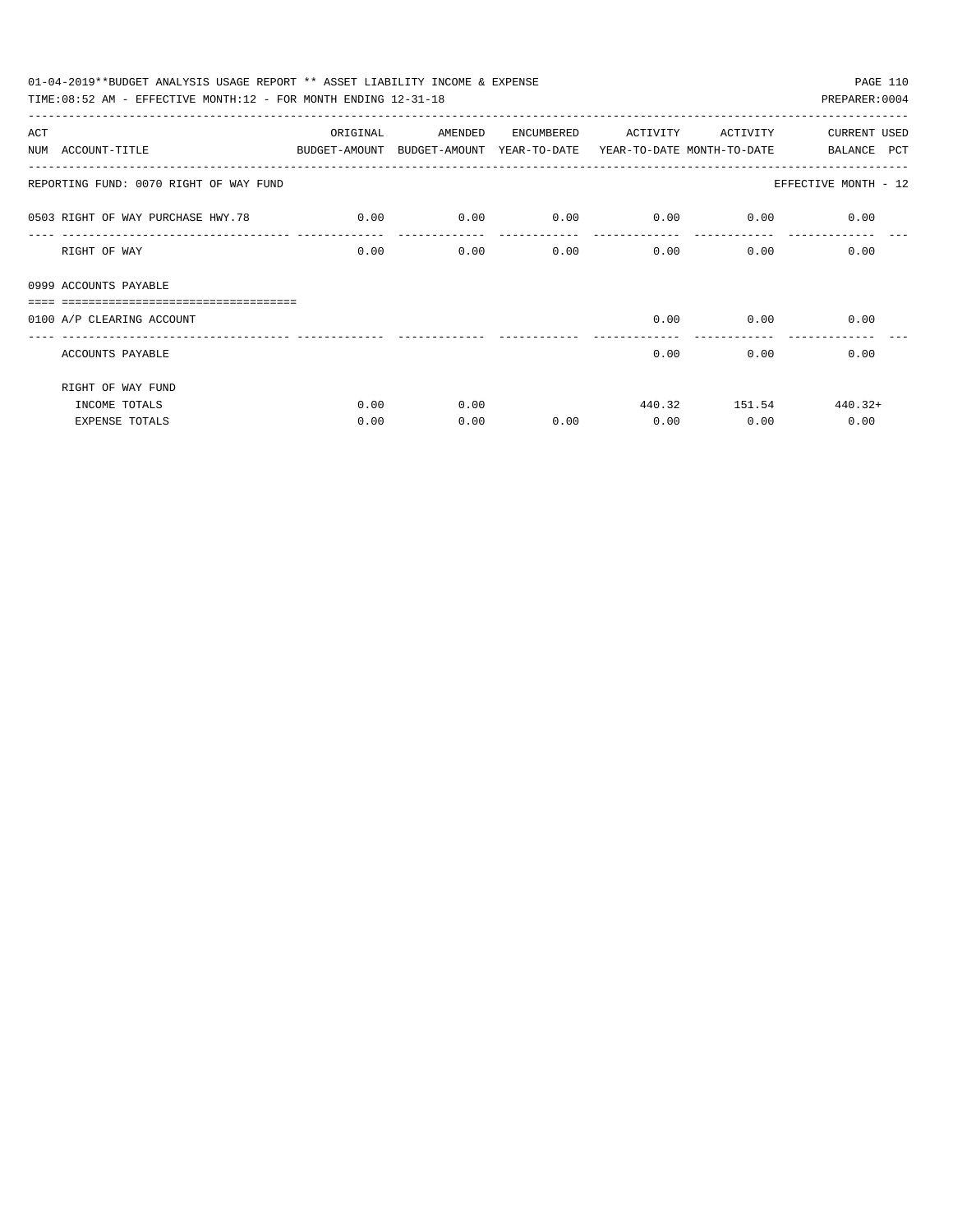| 01-04-2019**BUDGET ANALYSIS USAGE REPORT ** ASSET LIABILITY INCOME & EXPENSE |                                                                     |         |            |                                    |               | PAGE 110                      |
|------------------------------------------------------------------------------|---------------------------------------------------------------------|---------|------------|------------------------------------|---------------|-------------------------------|
| TIME: 08:52 AM - EFFECTIVE MONTH: 12 - FOR MONTH ENDING 12-31-18             |                                                                     |         |            |                                    |               | PREPARER: 0004                |
| ACT                                                                          | ORIGINAL                                                            | AMENDED | ENCUMBERED | ACTIVITY                           | ACTIVITY      | <b>CURRENT USED</b>           |
| NUM ACCOUNT-TITLE                                                            | BUDGET-AMOUNT BUDGET-AMOUNT YEAR-TO-DATE YEAR-TO-DATE_MONTH-TO-DATE |         |            |                                    |               | BALANCE PCT                   |
| REPORTING FUND: 0070 RIGHT OF WAY FUND                                       |                                                                     |         |            |                                    |               | EFFECTIVE MONTH - 12          |
| 0.00 0503 RIGHT OF WAY PURCHASE HWY.78                                       |                                                                     | 0.00    |            | $0.00$ $0.00$ $0.00$ $0.00$ $0.00$ |               |                               |
| RIGHT OF WAY                                                                 | 0.00                                                                | 0.00    | 0.00       | $0.00$ 0.00                        |               | 0.00                          |
| 0999 ACCOUNTS PAYABLE                                                        |                                                                     |         |            |                                    |               |                               |
| =================================<br>0100 A/P CLEARING ACCOUNT               |                                                                     |         |            |                                    | $0.00$ 0.00   | 0.00                          |
|                                                                              |                                                                     |         |            |                                    |               | ----------------------------- |
| ACCOUNTS PAYABLE                                                             |                                                                     |         |            | 0.00                               | 0.00          | 0.00                          |
| RIGHT OF WAY FUND                                                            |                                                                     |         |            |                                    |               |                               |
| INCOME TOTALS                                                                | 0.00                                                                | 0.00    |            |                                    | 440.32 151.54 | $440.32+$                     |
| <b>EXPENSE TOTALS</b>                                                        | 0.00                                                                | 0.00    | 0.00       | 0.00                               | 0.00          | 0.00                          |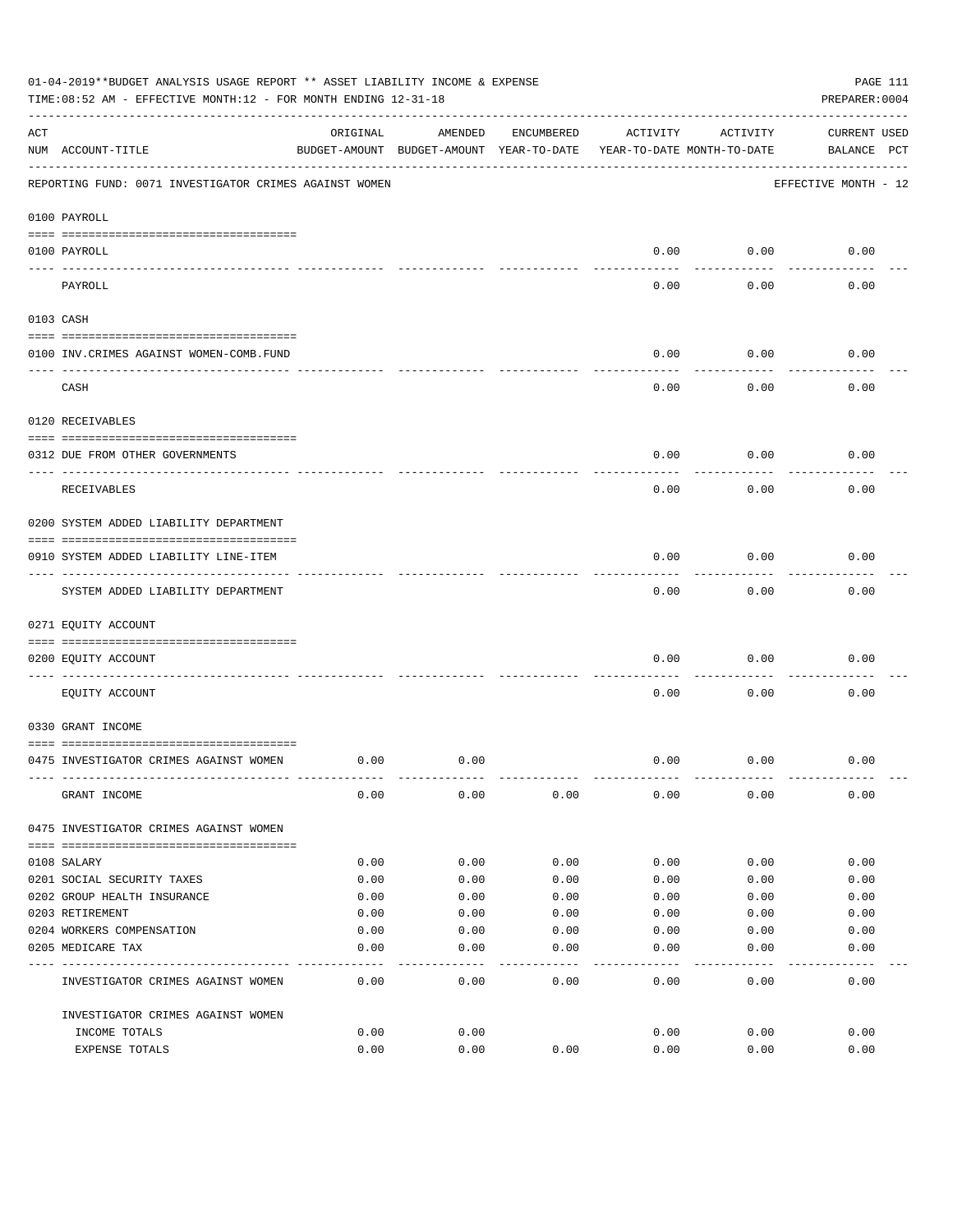|     | 01-04-2019**BUDGET ANALYSIS USAGE REPORT ** ASSET LIABILITY INCOME & EXPENSE<br>TIME: 08:52 AM - EFFECTIVE MONTH: 12 - FOR MONTH ENDING 12-31-18 |          |                                                     |            |          |                                        | PAGE 111<br>PREPARER: 0004         |
|-----|--------------------------------------------------------------------------------------------------------------------------------------------------|----------|-----------------------------------------------------|------------|----------|----------------------------------------|------------------------------------|
| ACT | NUM ACCOUNT-TITLE                                                                                                                                | ORIGINAL | AMENDED<br>BUDGET-AMOUNT BUDGET-AMOUNT YEAR-TO-DATE | ENCUMBERED | ACTIVITY | ACTIVITY<br>YEAR-TO-DATE MONTH-TO-DATE | <b>CURRENT USED</b><br>BALANCE PCT |
|     | REPORTING FUND: 0071 INVESTIGATOR CRIMES AGAINST WOMEN                                                                                           |          |                                                     |            |          |                                        | EFFECTIVE MONTH - 12               |
|     | 0100 PAYROLL                                                                                                                                     |          |                                                     |            |          |                                        |                                    |
|     | 0100 PAYROLL                                                                                                                                     |          |                                                     |            | 0.00     | 0.00                                   | 0.00                               |
|     | ---- ----<br>PAYROLL                                                                                                                             |          |                                                     |            | 0.00     | 0.00                                   | 0.00                               |
|     | 0103 CASH                                                                                                                                        |          |                                                     |            |          |                                        |                                    |
|     | 0100 INV. CRIMES AGAINST WOMEN-COMB. FUND                                                                                                        |          |                                                     |            | 0.00     | 0.00                                   | 0.00                               |
|     | CASH                                                                                                                                             |          |                                                     |            | 0.00     | 0.00                                   | 0.00                               |
|     | 0120 RECEIVABLES                                                                                                                                 |          |                                                     |            |          |                                        |                                    |
|     | 0312 DUE FROM OTHER GOVERNMENTS                                                                                                                  |          |                                                     |            | 0.00     | 0.00                                   | 0.00                               |
|     | RECEIVABLES                                                                                                                                      |          |                                                     |            | 0.00     | 0.00                                   | 0.00                               |
|     | 0200 SYSTEM ADDED LIABILITY DEPARTMENT                                                                                                           |          |                                                     |            |          |                                        |                                    |
|     | 0910 SYSTEM ADDED LIABILITY LINE-ITEM                                                                                                            |          |                                                     |            | 0.00     | 0.00                                   | 0.00                               |
|     | SYSTEM ADDED LIABILITY DEPARTMENT                                                                                                                |          |                                                     |            | 0.00     | 0.00                                   | 0.00                               |
|     | 0271 EQUITY ACCOUNT                                                                                                                              |          |                                                     |            |          |                                        |                                    |
|     | 0200 EQUITY ACCOUNT                                                                                                                              |          |                                                     |            | 0.00     | 0.00                                   | 0.00                               |
|     | EQUITY ACCOUNT                                                                                                                                   |          |                                                     |            | 0.00     | 0.00                                   | 0.00                               |
|     | 0330 GRANT INCOME                                                                                                                                |          |                                                     |            |          |                                        |                                    |
|     | 0475 INVESTIGATOR CRIMES AGAINST WOMEN                                                                                                           | 0.00     | 0.00                                                |            | 0.00     | 0.00                                   | 0.00                               |
|     | GRANT INCOME                                                                                                                                     | 0.00     | 0.00                                                | 0.00       | 0.00     | 0.00                                   | 0.00                               |
|     | 0475 INVESTIGATOR CRIMES AGAINST WOMEN                                                                                                           |          |                                                     |            |          |                                        |                                    |
|     | 0108 SALARY                                                                                                                                      | 0.00     | 0.00                                                | 0.00       | 0.00     | 0.00                                   | 0.00                               |
|     | 0201 SOCIAL SECURITY TAXES                                                                                                                       | 0.00     | 0.00                                                | 0.00       | 0.00     | 0.00                                   | 0.00                               |
|     | 0202 GROUP HEALTH INSURANCE                                                                                                                      | 0.00     | 0.00                                                | 0.00       | 0.00     | 0.00                                   | 0.00                               |
|     | 0203 RETIREMENT                                                                                                                                  | 0.00     | 0.00                                                | 0.00       | 0.00     | 0.00                                   | 0.00                               |
|     | 0204 WORKERS COMPENSATION                                                                                                                        | 0.00     | 0.00                                                | 0.00       | 0.00     | 0.00                                   | 0.00                               |
|     | 0205 MEDICARE TAX                                                                                                                                | 0.00     | 0.00                                                | 0.00       | 0.00     | 0.00                                   | 0.00                               |
|     | INVESTIGATOR CRIMES AGAINST WOMEN                                                                                                                | 0.00     | 0.00                                                | 0.00       | 0.00     | 0.00                                   | 0.00                               |
|     | INVESTIGATOR CRIMES AGAINST WOMEN                                                                                                                |          |                                                     |            |          |                                        |                                    |
|     | INCOME TOTALS                                                                                                                                    | 0.00     | 0.00                                                |            | 0.00     | 0.00                                   | 0.00                               |
|     | EXPENSE TOTALS                                                                                                                                   | 0.00     | 0.00                                                | 0.00       | 0.00     | 0.00                                   | 0.00                               |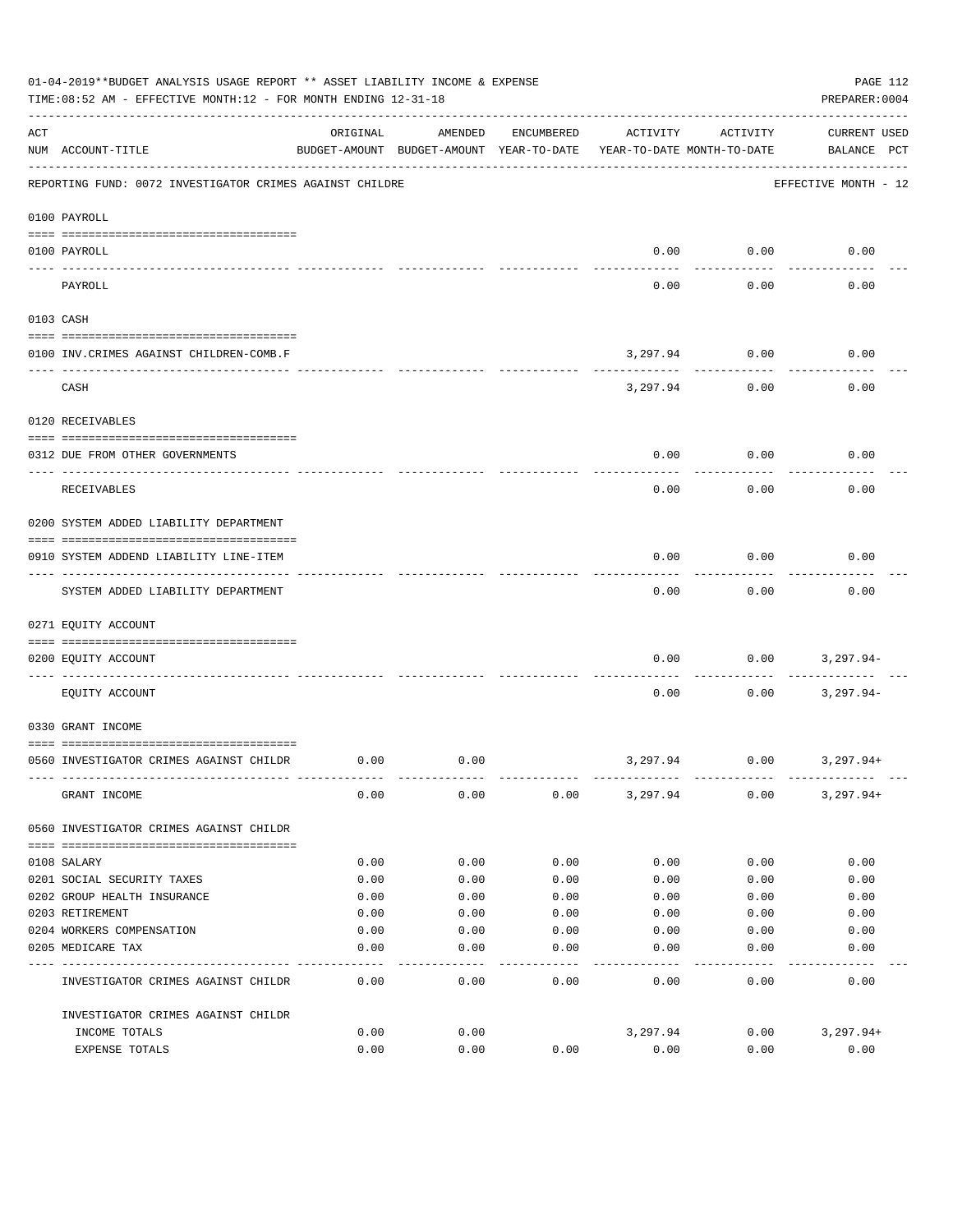|           | 01-04-2019**BUDGET ANALYSIS USAGE REPORT ** ASSET LIABILITY INCOME & EXPENSE<br>TIME: 08:52 AM - EFFECTIVE MONTH: 12 - FOR MONTH ENDING 12-31-18 |          |                                                     |            |          |                                        | PAGE 112<br>PREPARER: 0004         |
|-----------|--------------------------------------------------------------------------------------------------------------------------------------------------|----------|-----------------------------------------------------|------------|----------|----------------------------------------|------------------------------------|
| ACT       | NUM ACCOUNT-TITLE                                                                                                                                | ORIGINAL | AMENDED<br>BUDGET-AMOUNT BUDGET-AMOUNT YEAR-TO-DATE | ENCUMBERED | ACTIVITY | ACTIVITY<br>YEAR-TO-DATE MONTH-TO-DATE | <b>CURRENT USED</b><br>BALANCE PCT |
|           | REPORTING FUND: 0072 INVESTIGATOR CRIMES AGAINST CHILDRE                                                                                         |          |                                                     |            |          |                                        | EFFECTIVE MONTH - 12               |
|           | 0100 PAYROLL                                                                                                                                     |          |                                                     |            |          |                                        |                                    |
| ---- ---- | 0100 PAYROLL                                                                                                                                     |          |                                                     |            | 0.00     | 0.00                                   | 0.00                               |
|           | PAYROLL                                                                                                                                          |          |                                                     |            | 0.00     | 0.00                                   | 0.00                               |
|           | 0103 CASH                                                                                                                                        |          |                                                     |            |          |                                        |                                    |
|           | 0100 INV. CRIMES AGAINST CHILDREN-COMB.F                                                                                                         |          |                                                     |            | 3,297.94 | 0.00                                   | 0.00                               |
|           | CASH                                                                                                                                             |          |                                                     |            | 3,297.94 | 0.00                                   | 0.00                               |
|           | 0120 RECEIVABLES                                                                                                                                 |          |                                                     |            |          |                                        |                                    |
|           | 0312 DUE FROM OTHER GOVERNMENTS                                                                                                                  |          |                                                     |            | 0.00     | 0.00                                   | 0.00                               |
|           | RECEIVABLES                                                                                                                                      |          |                                                     |            | 0.00     | 0.00                                   | 0.00                               |
|           | 0200 SYSTEM ADDED LIABILITY DEPARTMENT                                                                                                           |          |                                                     |            |          |                                        |                                    |
|           | 0910 SYSTEM ADDEND LIABILITY LINE-ITEM                                                                                                           |          |                                                     |            | 0.00     | 0.00                                   | 0.00                               |
|           | SYSTEM ADDED LIABILITY DEPARTMENT                                                                                                                |          |                                                     |            | 0.00     | 0.00                                   | 0.00                               |
|           | 0271 EQUITY ACCOUNT                                                                                                                              |          |                                                     |            |          |                                        |                                    |
|           | 0200 EQUITY ACCOUNT                                                                                                                              |          |                                                     |            | 0.00     | 0.00                                   | 3,297.94-                          |
|           | EQUITY ACCOUNT                                                                                                                                   |          |                                                     |            | 0.00     | 0.00                                   | $3,297.94-$                        |
|           | 0330 GRANT INCOME                                                                                                                                |          |                                                     |            |          |                                        |                                    |
|           | 0560 INVESTIGATOR CRIMES AGAINST CHILDR                                                                                                          | 0.00     | 0.00                                                |            | 3,297.94 | 0.00                                   | 3,297.94+                          |
|           | GRANT INCOME                                                                                                                                     | 0.00     | 0.00                                                | 0.00       | 3,297.94 | 0.00                                   | $3,297.94+$                        |
|           | 0560 INVESTIGATOR CRIMES AGAINST CHILDR                                                                                                          |          |                                                     |            |          |                                        |                                    |
|           | 0108 SALARY                                                                                                                                      | 0.00     | 0.00                                                | 0.00       | 0.00     | 0.00                                   | 0.00                               |
|           | 0201 SOCIAL SECURITY TAXES                                                                                                                       | 0.00     | 0.00                                                | 0.00       | 0.00     | 0.00                                   | 0.00                               |
|           | 0202 GROUP HEALTH INSURANCE                                                                                                                      | 0.00     | 0.00                                                | 0.00       | 0.00     | 0.00                                   | 0.00                               |
|           | 0203 RETIREMENT                                                                                                                                  | 0.00     | 0.00                                                | 0.00       | 0.00     | 0.00                                   | 0.00                               |
|           | 0204 WORKERS COMPENSATION                                                                                                                        | 0.00     | 0.00                                                | 0.00       | 0.00     | 0.00                                   | 0.00                               |
|           | 0205 MEDICARE TAX                                                                                                                                | 0.00     | 0.00                                                | 0.00       | 0.00     | 0.00                                   | 0.00                               |
|           | INVESTIGATOR CRIMES AGAINST CHILDR                                                                                                               | 0.00     | 0.00                                                | 0.00       | 0.00     | 0.00                                   | 0.00                               |
|           | INVESTIGATOR CRIMES AGAINST CHILDR                                                                                                               |          |                                                     |            |          |                                        |                                    |
|           | INCOME TOTALS                                                                                                                                    | 0.00     | 0.00                                                |            | 3,297.94 | 0.00                                   | $3,297.94+$                        |
|           | EXPENSE TOTALS                                                                                                                                   | 0.00     | 0.00                                                | 0.00       | 0.00     | 0.00                                   | 0.00                               |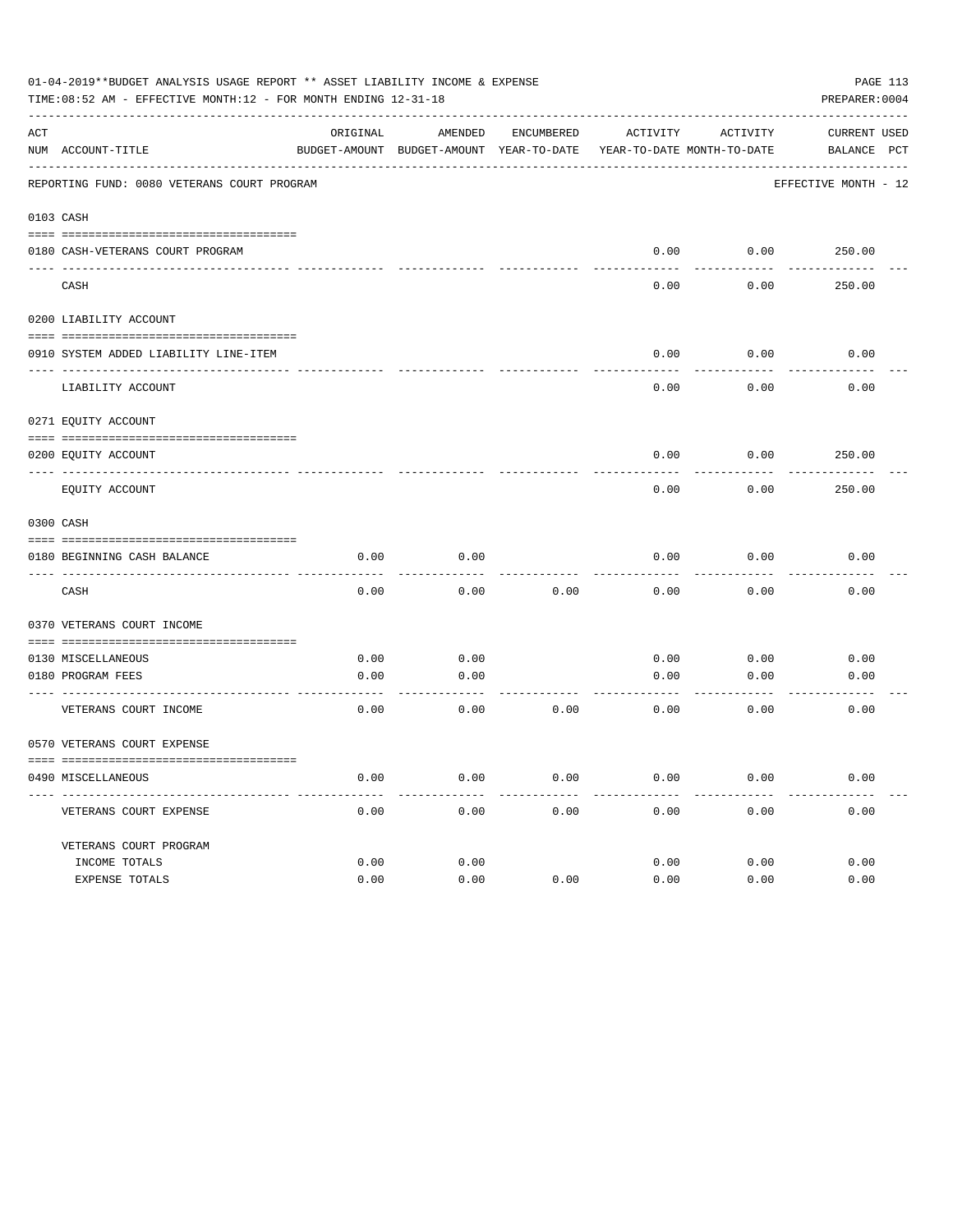|     | 01-04-2019**BUDGET ANALYSIS USAGE REPORT ** ASSET LIABILITY INCOME & EXPENSE<br>TIME:08:52 AM - EFFECTIVE MONTH:12 - FOR MONTH ENDING 12-31-18 |          |                      |            |                                                                     |          | PAGE 113<br>PREPARER: 0004 |
|-----|------------------------------------------------------------------------------------------------------------------------------------------------|----------|----------------------|------------|---------------------------------------------------------------------|----------|----------------------------|
| ACT |                                                                                                                                                | ORIGINAL | AMENDED              | ENCUMBERED | ACTIVITY                                                            | ACTIVITY | CURRENT USED               |
|     | NUM ACCOUNT-TITLE                                                                                                                              |          |                      |            | BUDGET-AMOUNT BUDGET-AMOUNT YEAR-TO-DATE YEAR-TO-DATE MONTH-TO-DATE |          | BALANCE PCT                |
|     | REPORTING FUND: 0080 VETERANS COURT PROGRAM                                                                                                    |          |                      |            |                                                                     |          | EFFECTIVE MONTH - 12       |
|     | 0103 CASH                                                                                                                                      |          |                      |            |                                                                     |          |                            |
|     |                                                                                                                                                |          |                      |            | 0.00                                                                | 0.00     |                            |
|     | 0180 CASH-VETERANS COURT PROGRAM                                                                                                               |          |                      |            |                                                                     |          | 250.00                     |
|     | CASH                                                                                                                                           |          |                      |            | 0.00                                                                | 0.00     | 250.00                     |
|     | 0200 LIABILITY ACCOUNT                                                                                                                         |          |                      |            |                                                                     |          |                            |
|     | 0910 SYSTEM ADDED LIABILITY LINE-ITEM                                                                                                          |          |                      |            | 0.00                                                                | 0.00     | 0.00                       |
|     |                                                                                                                                                |          |                      |            |                                                                     |          |                            |
|     | LIABILITY ACCOUNT                                                                                                                              |          |                      |            | 0.00                                                                | 0.00     | 0.00                       |
|     | 0271 EQUITY ACCOUNT                                                                                                                            |          |                      |            |                                                                     |          |                            |
|     | 0200 EQUITY ACCOUNT                                                                                                                            |          |                      |            | 0.00                                                                | 0.00     | 250.00                     |
|     | EQUITY ACCOUNT                                                                                                                                 |          |                      |            | 0.00                                                                | 0.00     | 250.00                     |
|     | 0300 CASH                                                                                                                                      |          |                      |            |                                                                     |          |                            |
|     | 0180 BEGINNING CASH BALANCE                                                                                                                    | 0.00     | 0.00                 |            | 0.00                                                                | 0.00     | 0.00                       |
|     | CASH                                                                                                                                           | 0.00     | 0.00                 | 0.00       | 0.00                                                                | 0.00     | 0.00                       |
|     | 0370 VETERANS COURT INCOME                                                                                                                     |          |                      |            |                                                                     |          |                            |
|     | 0130 MISCELLANEOUS                                                                                                                             | 0.00     | 0.00                 |            | 0.00                                                                | 0.00     | 0.00                       |
|     | 0180 PROGRAM FEES                                                                                                                              | 0.00     | 0.00                 |            | 0.00                                                                | 0.00     | 0.00                       |
|     | ----------------------- ---<br>VETERANS COURT INCOME                                                                                           | 0.00     | . <u>.</u> .<br>0.00 | 0.00       | 0.00                                                                | 0.00     | 0.00                       |
|     | 0570 VETERANS COURT EXPENSE                                                                                                                    |          |                      |            |                                                                     |          |                            |
|     | 0490 MISCELLANEOUS                                                                                                                             | 0.00     | 0.00                 | 0.00       | 0.00                                                                | 0.00     | 0.00                       |
|     | VETERANS COURT EXPENSE                                                                                                                         | 0.00     | 0.00                 | 0.00       | 0.00                                                                | 0.00     | 0.00                       |
|     | VETERANS COURT PROGRAM                                                                                                                         |          |                      |            |                                                                     |          |                            |
|     | INCOME TOTALS                                                                                                                                  | 0.00     | 0.00                 |            | 0.00                                                                | 0.00     | 0.00                       |
|     | EXPENSE TOTALS                                                                                                                                 | 0.00     | 0.00                 | 0.00       | 0.00                                                                | 0.00     | 0.00                       |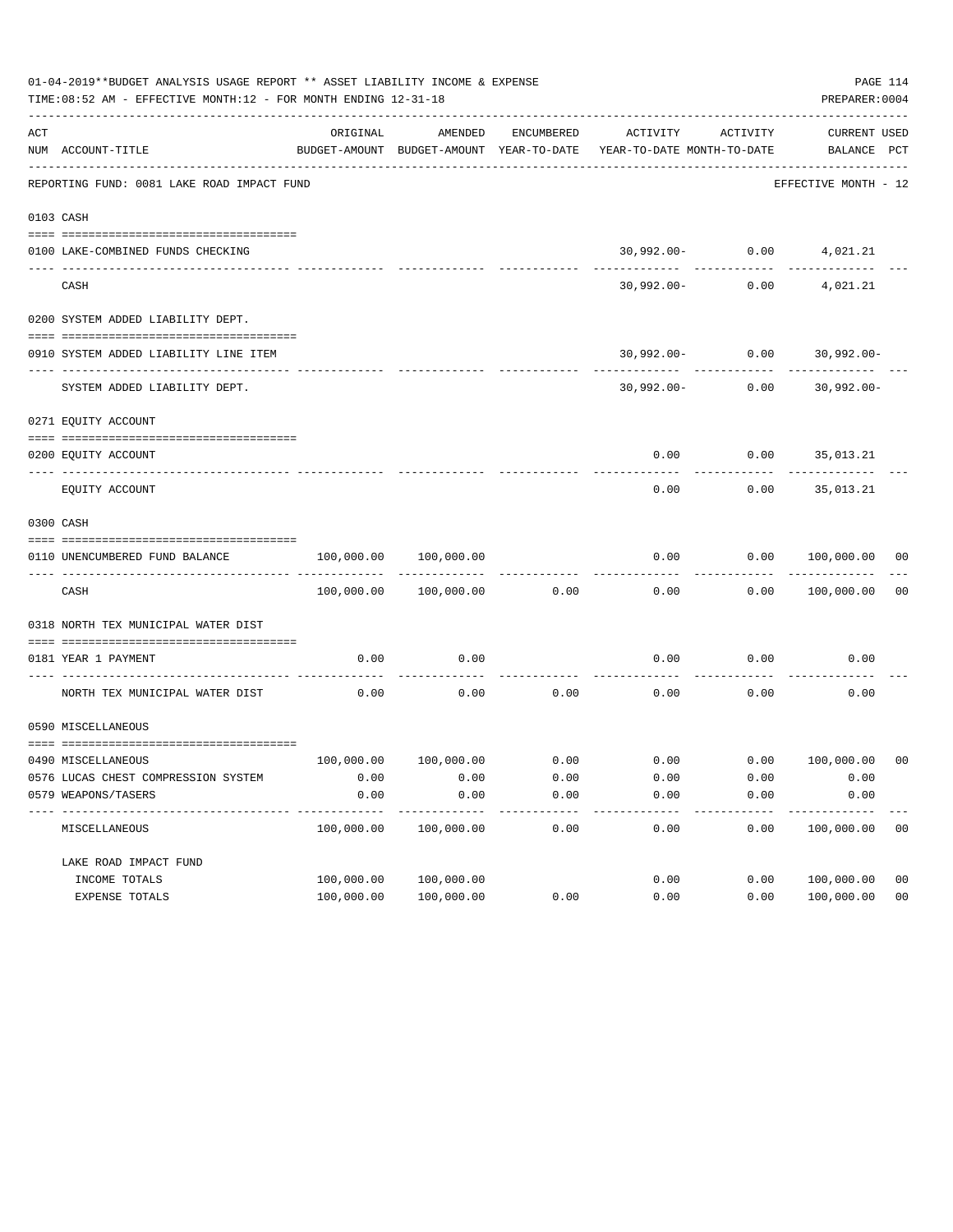|     | 01-04-2019**BUDGET ANALYSIS USAGE REPORT ** ASSET LIABILITY INCOME & EXPENSE<br>TIME:08:52 AM - EFFECTIVE MONTH:12 - FOR MONTH ENDING 12-31-18 |            |                       |            |                                                                     |                                     | PAGE 114<br>PREPARER: 0004       |                |
|-----|------------------------------------------------------------------------------------------------------------------------------------------------|------------|-----------------------|------------|---------------------------------------------------------------------|-------------------------------------|----------------------------------|----------------|
| ACT | NUM ACCOUNT-TITLE                                                                                                                              | ORIGINAL   | AMENDED               | ENCUMBERED | BUDGET-AMOUNT BUDGET-AMOUNT YEAR-TO-DATE YEAR-TO-DATE MONTH-TO-DATE | ACTIVITY ACTIVITY                   | CURRENT USED<br>BALANCE PCT      |                |
|     | REPORTING FUND: 0081 LAKE ROAD IMPACT FUND                                                                                                     |            |                       |            |                                                                     |                                     | EFFECTIVE MONTH - 12             |                |
|     | 0103 CASH                                                                                                                                      |            |                       |            |                                                                     |                                     |                                  |                |
|     |                                                                                                                                                |            |                       |            |                                                                     |                                     |                                  |                |
|     | 0100 LAKE-COMBINED FUNDS CHECKING                                                                                                              |            |                       |            |                                                                     | 30,992.00- 0.00 4,021.21            |                                  |                |
|     | CASH                                                                                                                                           |            |                       |            |                                                                     | -------------<br>$30,992.00 - 0.00$ | 4,021.21                         |                |
|     | 0200 SYSTEM ADDED LIABILITY DEPT.                                                                                                              |            |                       |            |                                                                     |                                     |                                  |                |
|     |                                                                                                                                                |            |                       |            |                                                                     |                                     |                                  |                |
|     | 0910 SYSTEM ADDED LIABILITY LINE ITEM                                                                                                          |            |                       |            |                                                                     |                                     | $30,992.00 - 0.00$ $30,992.00 -$ |                |
|     | SYSTEM ADDED LIABILITY DEPT.                                                                                                                   |            |                       |            |                                                                     |                                     | $30,992.00 - 0.00$ $30,992.00 -$ |                |
|     | 0271 EQUITY ACCOUNT                                                                                                                            |            |                       |            |                                                                     |                                     |                                  |                |
|     | 0200 EQUITY ACCOUNT                                                                                                                            |            |                       |            |                                                                     |                                     | $0.00$ $0.00$ $35,013.21$        |                |
|     | EQUITY ACCOUNT                                                                                                                                 |            |                       |            | 0.00                                                                | 0.00                                | 35,013.21                        |                |
|     | 0300 CASH                                                                                                                                      |            |                       |            |                                                                     |                                     |                                  |                |
|     | 0110 UNENCUMBERED FUND BALANCE                                                                                                                 | 100,000.00 | 100,000.00            |            | 0.00                                                                |                                     | 0.00 100,000.00 00               |                |
|     | CASH                                                                                                                                           |            | 100,000.00 100,000.00 | 0.00       | 0.00                                                                |                                     | 0.00 100,000.00                  | 0 <sub>0</sub> |
|     | 0318 NORTH TEX MUNICIPAL WATER DIST                                                                                                            |            |                       |            |                                                                     |                                     |                                  |                |
|     | 0181 YEAR 1 PAYMENT                                                                                                                            | 0.00       | 0.00                  |            | 0.00                                                                | 0.00                                | 0.00                             |                |
|     | NORTH TEX MUNICIPAL WATER DIST                                                                                                                 | 0.00       | 0.00                  | 0.00       | 0.00                                                                | 0.00                                | 0.00                             |                |
|     | 0590 MISCELLANEOUS                                                                                                                             |            |                       |            |                                                                     |                                     |                                  |                |
|     | 0490 MISCELLANEOUS                                                                                                                             |            |                       |            | $100,000.00$ $100,000.00$ 0.00 0.00 0.00 0.00 100,000.00 00         |                                     |                                  |                |
|     | 0576 LUCAS CHEST COMPRESSION SYSTEM                                                                                                            | 0.00       | 0.00                  | 0.00       | 0.00                                                                | 0.00                                | 0.00                             |                |
|     | 0579 WEAPONS/TASERS                                                                                                                            | 0.00       | 0.00                  | 0.00       | 0.00                                                                | 0.00                                | 0.00                             |                |
|     | MISCELLANEOUS                                                                                                                                  | 100,000.00 | 100,000.00            | 0.00       | 0.00                                                                | 0.00                                | 100,000.00                       | 0 <sub>0</sub> |
|     | LAKE ROAD IMPACT FUND                                                                                                                          |            |                       |            |                                                                     |                                     |                                  |                |
|     | INCOME TOTALS                                                                                                                                  | 100,000.00 | 100,000.00            |            | 0.00                                                                | 0.00                                | 100,000.00                       | 0 <sub>0</sub> |
|     | EXPENSE TOTALS                                                                                                                                 | 100,000.00 | 100,000.00            | 0.00       | 0.00                                                                | 0.00                                | 100,000.00                       | 0 <sub>0</sub> |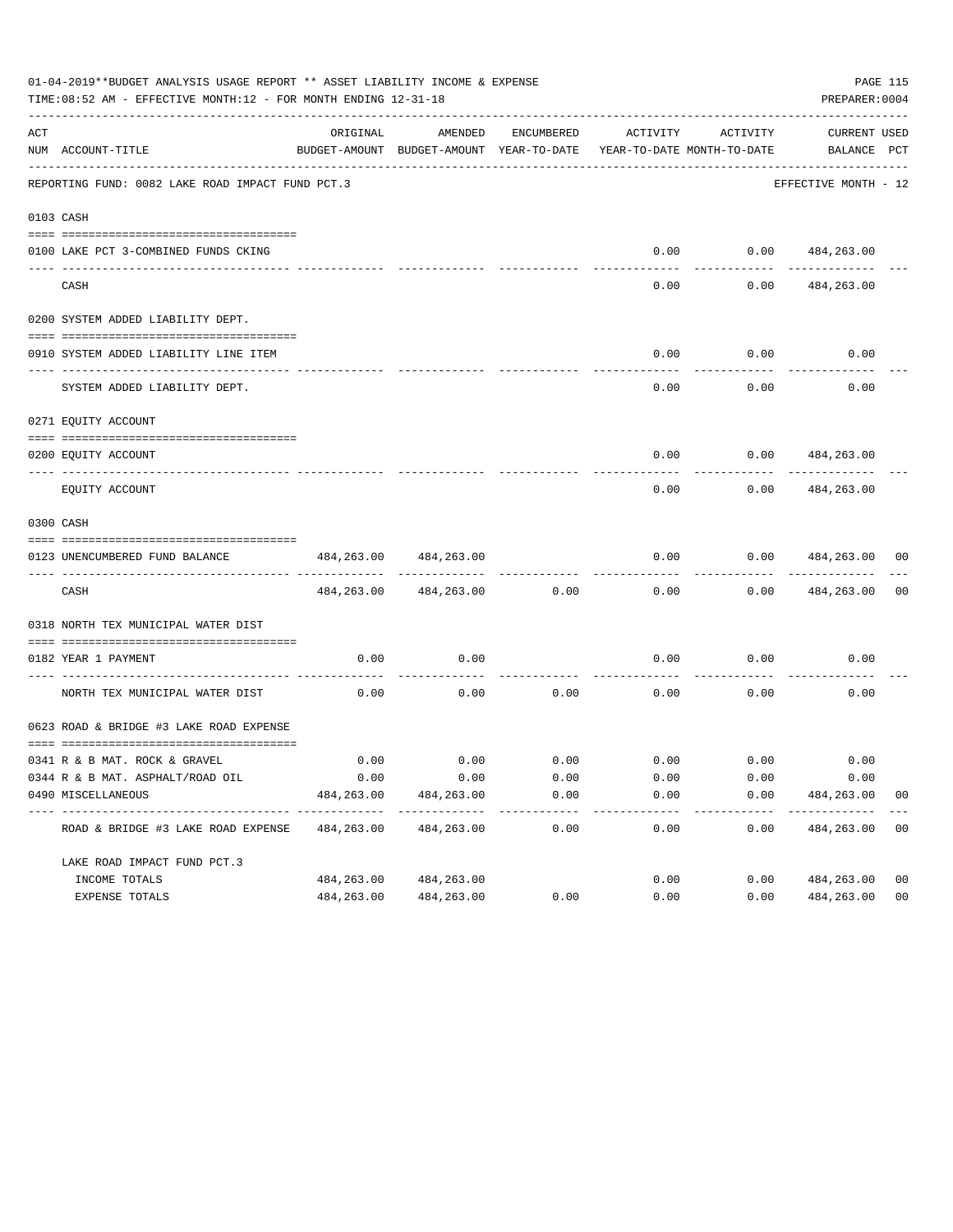|                | 01-04-2019**BUDGET ANALYSIS USAGE REPORT ** ASSET LIABILITY INCOME & EXPENSE<br>TIME: 08:52 AM - EFFECTIVE MONTH: 12 - FOR MONTH ENDING 12-31-18 |                    |                                                     |              |                                        |                                    | PREPARER: 0004                     | PAGE 115       |
|----------------|--------------------------------------------------------------------------------------------------------------------------------------------------|--------------------|-----------------------------------------------------|--------------|----------------------------------------|------------------------------------|------------------------------------|----------------|
| $\mathtt{ACT}$ | NUM ACCOUNT-TITLE                                                                                                                                | ORIGINAL           | AMENDED<br>BUDGET-AMOUNT BUDGET-AMOUNT YEAR-TO-DATE | ENCUMBERED   | ACTIVITY<br>YEAR-TO-DATE MONTH-TO-DATE | ACTIVITY                           | <b>CURRENT USED</b><br>BALANCE PCT |                |
|                | REPORTING FUND: 0082 LAKE ROAD IMPACT FUND PCT.3                                                                                                 |                    |                                                     |              |                                        |                                    | EFFECTIVE MONTH - 12               |                |
|                | 0103 CASH                                                                                                                                        |                    |                                                     |              |                                        |                                    |                                    |                |
|                |                                                                                                                                                  |                    |                                                     |              |                                        |                                    |                                    |                |
|                | 0100 LAKE PCT 3-COMBINED FUNDS CKING                                                                                                             |                    |                                                     |              |                                        | $0.00$ $0.00$ $484,263.00$         |                                    |                |
|                | CASH                                                                                                                                             |                    |                                                     |              | 0.00                                   | 0.00                               | 484,263.00                         |                |
|                | 0200 SYSTEM ADDED LIABILITY DEPT.                                                                                                                |                    |                                                     |              |                                        |                                    |                                    |                |
|                |                                                                                                                                                  |                    |                                                     |              |                                        |                                    |                                    |                |
|                | 0910 SYSTEM ADDED LIABILITY LINE ITEM                                                                                                            |                    |                                                     |              | 0.00                                   | 0.00                               | 0.00                               |                |
|                | SYSTEM ADDED LIABILITY DEPT.                                                                                                                     |                    |                                                     |              | 0.00                                   | 0.00                               | 0.00                               |                |
|                | 0271 EQUITY ACCOUNT                                                                                                                              |                    |                                                     |              |                                        |                                    |                                    |                |
|                | 0200 EQUITY ACCOUNT                                                                                                                              |                    |                                                     |              |                                        | $0.00$ $0.00$ $484,263.00$         |                                    |                |
|                | EQUITY ACCOUNT                                                                                                                                   |                    |                                                     |              | 0.00                                   | 0.00                               | 484,263.00                         |                |
|                | 0300 CASH                                                                                                                                        |                    |                                                     |              |                                        |                                    |                                    |                |
|                | 0123 UNENCUMBERED FUND BALANCE                                                                                                                   | 484,263.00         | 484,263.00                                          |              | 0.00                                   | 0.00                               | 484,263.00                         | 00             |
|                | CASH                                                                                                                                             |                    | 484, 263.00 484, 263.00                             | 0.00         | 0.00                                   | 0.00                               | 484,263.00                         | 0 <sub>0</sub> |
|                | 0318 NORTH TEX MUNICIPAL WATER DIST                                                                                                              |                    |                                                     |              |                                        |                                    |                                    |                |
|                | 0182 YEAR 1 PAYMENT                                                                                                                              | 0.00               | 0.00                                                |              | 0.00                                   | 0.00                               | 0.00                               |                |
|                | NORTH TEX MUNICIPAL WATER DIST                                                                                                                   | 0.00               | 0.00                                                | 0.00         | 0.00                                   | 0.00                               | 0.00                               |                |
|                | 0623 ROAD & BRIDGE #3 LAKE ROAD EXPENSE                                                                                                          |                    |                                                     |              |                                        |                                    |                                    |                |
|                |                                                                                                                                                  |                    |                                                     |              |                                        | $0.00$ $0.00$ $0.00$ $0.00$ $0.00$ |                                    |                |
|                | 0341 R & B MAT. ROCK & GRAVEL                                                                                                                    | 0.00               |                                                     |              |                                        |                                    | 0.00                               |                |
|                | 0344 R & B MAT. ASPHALT/ROAD OIL<br>0490 MISCELLANEOUS                                                                                           | 0.00<br>484,263.00 | 0.00<br>484,263.00                                  | 0.00<br>0.00 | 0.00<br>0.00                           | 0.00<br>0.00                       | 0.00<br>484,263.00                 | 0 <sub>0</sub> |
|                |                                                                                                                                                  |                    |                                                     | ------------ |                                        | ---------                          |                                    |                |
|                | ROAD & BRIDGE #3 LAKE ROAD EXPENSE                                                                                                               | 484,263.00         | 484,263.00                                          | 0.00         | 0.00                                   | 0.00                               | 484,263.00                         | 0 <sub>0</sub> |
|                | LAKE ROAD IMPACT FUND PCT.3                                                                                                                      |                    |                                                     |              |                                        |                                    |                                    |                |
|                | INCOME TOTALS                                                                                                                                    | 484,263.00         | 484,263.00                                          |              | 0.00                                   | 0.00                               | 484,263.00                         | 0 <sub>0</sub> |
|                | EXPENSE TOTALS                                                                                                                                   | 484,263.00         | 484,263.00                                          | 0.00         | 0.00                                   | 0.00                               | 484,263.00                         | 0 <sub>0</sub> |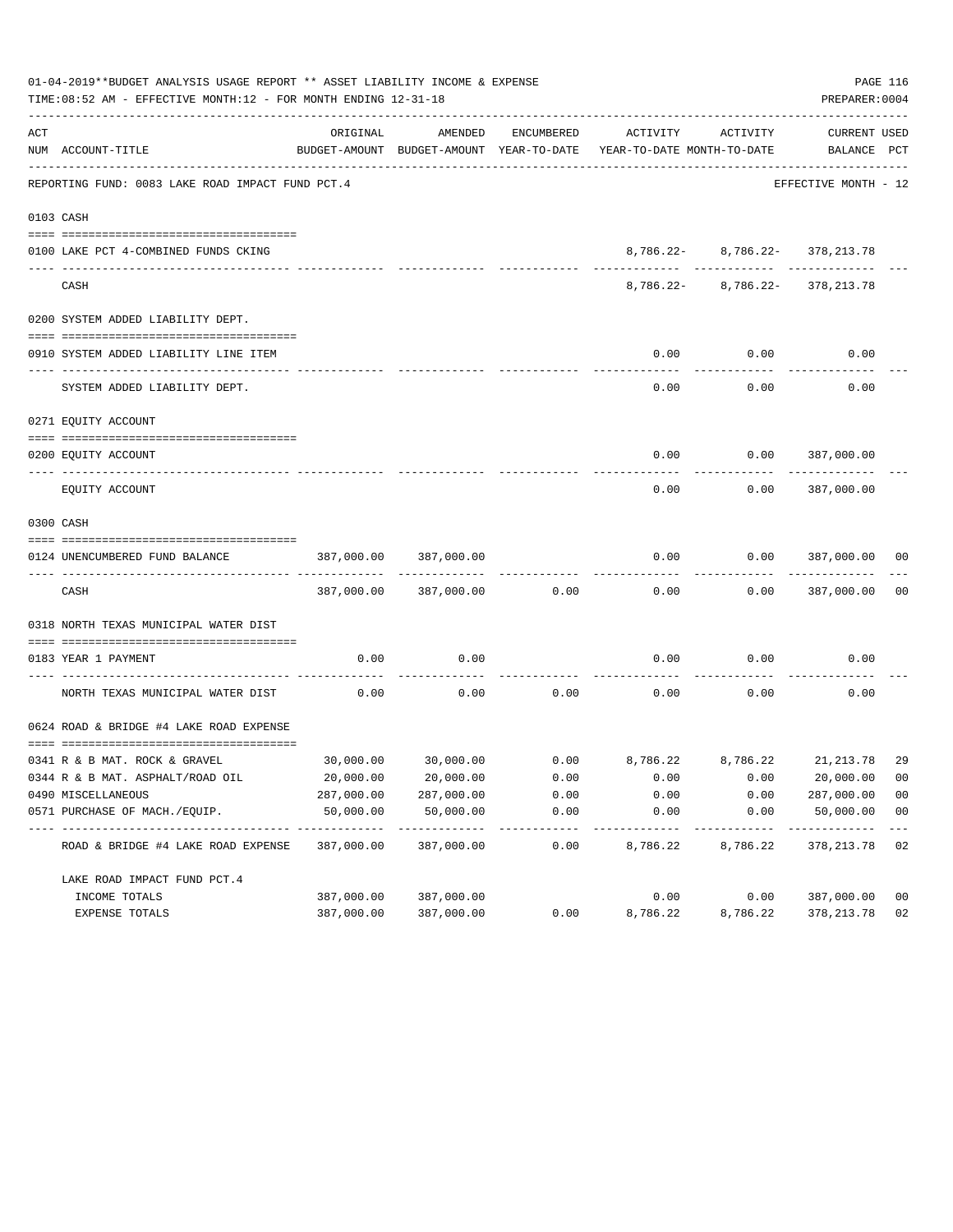|     | 01-04-2019**BUDGET ANALYSIS USAGE REPORT ** ASSET LIABILITY INCOME & EXPENSE<br>TIME: 08:52 AM - EFFECTIVE MONTH: 12 - FOR MONTH ENDING 12-31-18 |                            |                                                     |               |                                                                  |                                | PREPARER: 0004              | PAGE 116                |
|-----|--------------------------------------------------------------------------------------------------------------------------------------------------|----------------------------|-----------------------------------------------------|---------------|------------------------------------------------------------------|--------------------------------|-----------------------------|-------------------------|
| ACT | NUM ACCOUNT-TITLE                                                                                                                                | ORIGINAL                   | AMENDED<br>BUDGET-AMOUNT BUDGET-AMOUNT YEAR-TO-DATE | ENCUMBERED    | ACTIVITY<br>YEAR-TO-DATE MONTH-TO-DATE                           | ACTIVITY                       | CURRENT USED<br>BALANCE PCT |                         |
|     | REPORTING FUND: 0083 LAKE ROAD IMPACT FUND PCT.4                                                                                                 |                            |                                                     |               |                                                                  |                                | EFFECTIVE MONTH - 12        |                         |
|     | 0103 CASH                                                                                                                                        |                            |                                                     |               |                                                                  |                                |                             |                         |
|     |                                                                                                                                                  |                            |                                                     |               |                                                                  |                                |                             |                         |
|     | 0100 LAKE PCT 4-COMBINED FUNDS CKING                                                                                                             |                            |                                                     |               |                                                                  | 8,786.22- 8,786.22- 378,213.78 |                             |                         |
|     | CASH                                                                                                                                             |                            |                                                     |               |                                                                  | 8,786.22- 8,786.22- 378,213.78 |                             |                         |
|     | 0200 SYSTEM ADDED LIABILITY DEPT.                                                                                                                |                            |                                                     |               |                                                                  |                                |                             |                         |
|     | 0910 SYSTEM ADDED LIABILITY LINE ITEM                                                                                                            |                            |                                                     |               | 0.00                                                             | 0.00                           | 0.00                        |                         |
|     | SYSTEM ADDED LIABILITY DEPT.                                                                                                                     |                            |                                                     |               | 0.00                                                             | 0.00                           | 0.00                        |                         |
|     | 0271 EQUITY ACCOUNT                                                                                                                              |                            |                                                     |               |                                                                  |                                |                             |                         |
|     | 0200 EQUITY ACCOUNT                                                                                                                              |                            |                                                     |               |                                                                  | $0.00$ $0.00$ $387,000.00$     |                             |                         |
|     | EQUITY ACCOUNT                                                                                                                                   |                            |                                                     |               | 0.00                                                             | 0.00                           | 387,000.00                  |                         |
|     | 0300 CASH                                                                                                                                        |                            |                                                     |               |                                                                  |                                |                             |                         |
|     |                                                                                                                                                  |                            |                                                     |               |                                                                  |                                |                             |                         |
|     | 0124 UNENCUMBERED FUND BALANCE                                                                                                                   | 387,000.00                 | 387,000.00                                          |               | 0.00                                                             | 0.00                           | 387,000.00 00               |                         |
|     | CASH                                                                                                                                             |                            | 387,000.00 387,000.00                               | 0.00          | 0.00                                                             |                                | $0.00$ 387,000.00           | 0 <sub>0</sub>          |
|     | 0318 NORTH TEXAS MUNICIPAL WATER DIST                                                                                                            |                            |                                                     |               |                                                                  |                                |                             |                         |
|     | 0183 YEAR 1 PAYMENT                                                                                                                              | 0.00                       | 0.00                                                |               | 0.00                                                             | 0.00                           | 0.00                        |                         |
|     | ---------------------------- --<br>NORTH TEXAS MUNICIPAL WATER DIST                                                                              | 0.00                       | 0.00                                                | 0.00          | $\sim$ 0.00                                                      | 0.00                           | 0.00                        |                         |
|     | 0624 ROAD & BRIDGE #4 LAKE ROAD EXPENSE                                                                                                          |                            |                                                     |               |                                                                  |                                |                             |                         |
|     | 0341 R & B MAT. ROCK & GRAVEL                                                                                                                    |                            |                                                     |               | $30,000.00$ $30,000.00$ $0.00$ $8,786.22$ $8,786.22$ $21,213.78$ |                                |                             | 29                      |
|     | 0344 R & B MAT. ASPHALT/ROAD OIL                                                                                                                 | 20,000.00                  | 20,000.00                                           | 0.00          | 0.00                                                             | 0.00                           | 20,000.00                   | 00                      |
|     | 0490 MISCELLANEOUS                                                                                                                               | 287,000.00                 | 287,000.00                                          | 0.00          | 0.00                                                             | 0.00                           | 287,000.00                  | 0 <sub>0</sub>          |
|     | 0571 PURCHASE OF MACH./EQUIP.                                                                                                                    | 50,000.00<br>------------- | 50,000.00<br>-----------                            | 0.00<br>----- | 0.00                                                             | 0.00                           | 50,000.00<br>----------     | 0 <sub>0</sub><br>$---$ |
|     | ROAD & BRIDGE #4 LAKE ROAD EXPENSE                                                                                                               | 387,000.00                 | 387,000.00                                          | 0.00          | 8,786.22                                                         | 8,786.22                       | 378, 213.78                 | 02                      |
|     | LAKE ROAD IMPACT FUND PCT. 4                                                                                                                     |                            |                                                     |               |                                                                  |                                |                             |                         |
|     | INCOME TOTALS                                                                                                                                    | 387,000.00                 | 387,000.00                                          |               | 0.00                                                             | 0.00                           | 387,000.00                  | 0 <sub>0</sub>          |
|     | EXPENSE TOTALS                                                                                                                                   | 387,000.00                 | 387,000.00                                          | 0.00          | 8,786.22                                                         | 8,786.22                       | 378, 213.78                 | 02                      |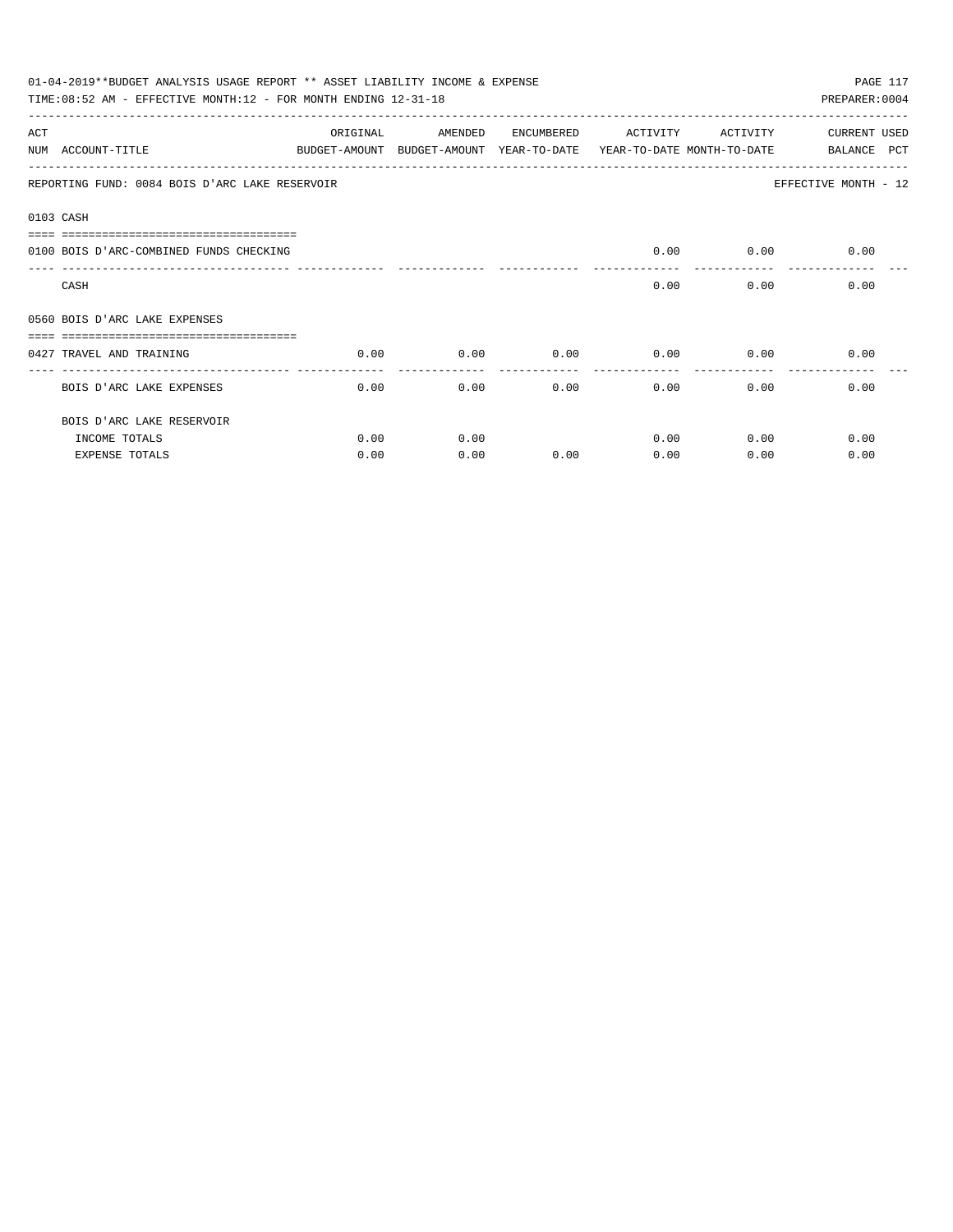|                     | 01-04-2019**BUDGET ANALYSIS USAGE REPORT ** ASSET LIABILITY INCOME & EXPENSE<br>PAGE 117  |          |         |            |               |             |                      |  |  |  |
|---------------------|-------------------------------------------------------------------------------------------|----------|---------|------------|---------------|-------------|----------------------|--|--|--|
|                     | TIME: 08:52 AM - EFFECTIVE MONTH: 12 - FOR MONTH ENDING 12-31-18                          |          |         |            |               |             | PREPARER: 0004       |  |  |  |
| ACT                 |                                                                                           | ORIGINAL | AMENDED | ENCUMBERED | ACTIVITY      | ACTIVITY    | CURRENT USED         |  |  |  |
|                     | NUM ACCOUNT-TITLE THE BUDGET-AMOUNT BUDGET-AMOUNT YEAR-TO-DATE YEAR-TO-DATE MONTH-TO-DATE |          |         |            |               |             | BALANCE PCT          |  |  |  |
|                     | REPORTING FUND: 0084 BOIS D'ARC LAKE RESERVOIR                                            |          |         |            |               |             | EFFECTIVE MONTH - 12 |  |  |  |
|                     | 0103 CASH                                                                                 |          |         |            |               |             |                      |  |  |  |
| $=$ $=$ $=$ $=$ $=$ | 0100 BOIS D'ARC-COMBINED FUNDS CHECKING                                                   |          |         |            |               |             | $0.00$ $0.00$ $0.00$ |  |  |  |
|                     |                                                                                           |          |         |            |               |             |                      |  |  |  |
|                     | CASH                                                                                      |          |         |            | 0.00          | 0.00        | 0.00                 |  |  |  |
|                     | 0560 BOIS D'ARC LAKE EXPENSES                                                             |          |         |            |               |             |                      |  |  |  |
|                     |                                                                                           |          |         |            |               |             |                      |  |  |  |
|                     | 0427 TRAVEL AND TRAINING                                                                  | 0.00     | 0.00    | 0.00       | $0.00$ $0.00$ |             | 0.00                 |  |  |  |
|                     | BOIS D'ARC LAKE EXPENSES                                                                  | 0.00     | 0.00    | 0.00       | $0.00$ 0.00   |             | 0.00                 |  |  |  |
|                     | BOIS D'ARC LAKE RESERVOIR                                                                 |          |         |            |               |             |                      |  |  |  |
|                     | INCOME TOTALS                                                                             | 0.00     | 0.00    |            |               | $0.00$ 0.00 | 0.00                 |  |  |  |
|                     | <b>EXPENSE TOTALS</b>                                                                     | 0.00     | 0.00    | 0.00       | 0.00          | 0.00        | 0.00                 |  |  |  |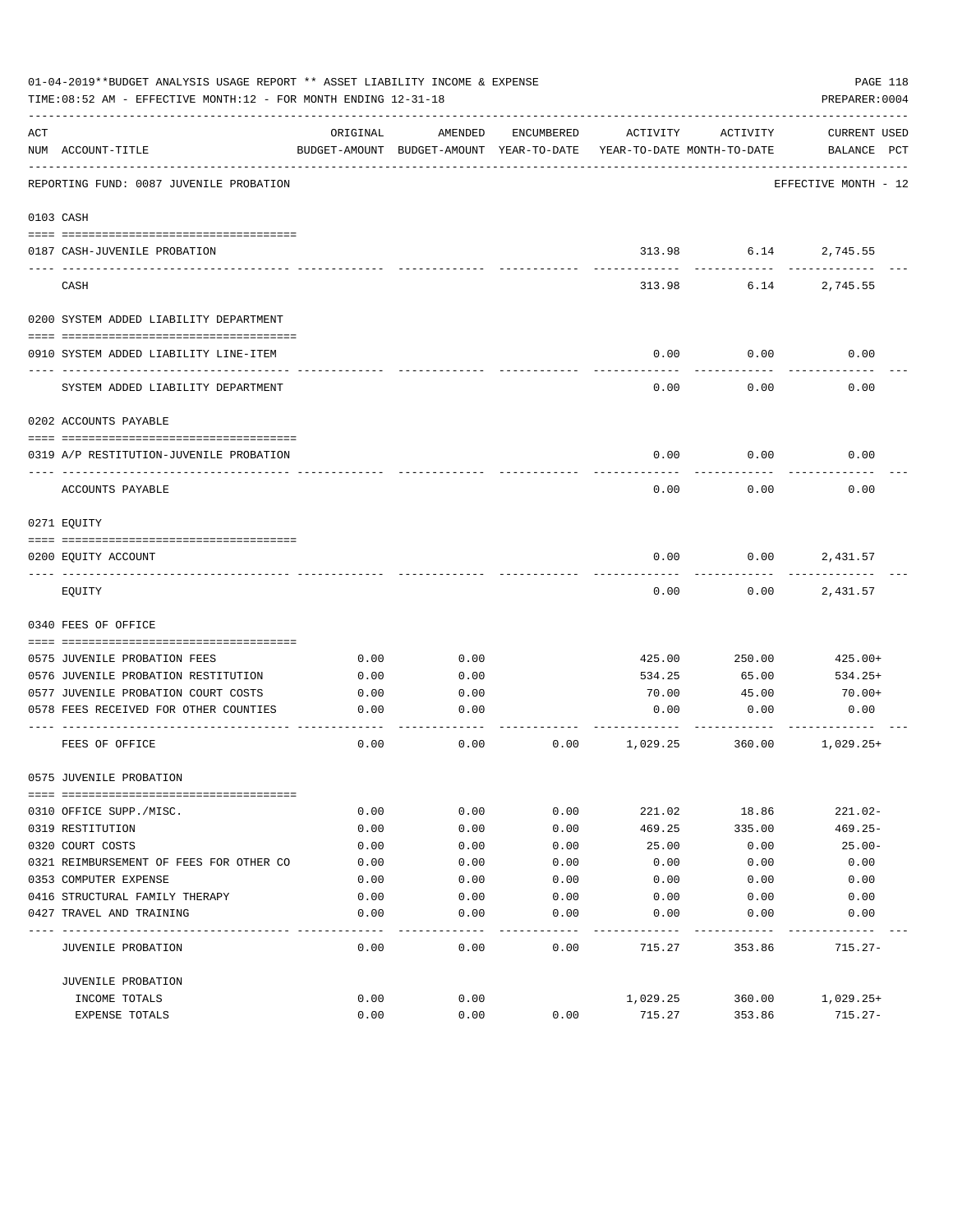|     | 01-04-2019**BUDGET ANALYSIS USAGE REPORT ** ASSET LIABILITY INCOME & EXPENSE<br>TIME: 08:52 AM - EFFECTIVE MONTH: 12 - FOR MONTH ENDING 12-31-18 |          |                                                     |            |                                        |          | PAGE 118<br>PREPARER: 0004         |
|-----|--------------------------------------------------------------------------------------------------------------------------------------------------|----------|-----------------------------------------------------|------------|----------------------------------------|----------|------------------------------------|
| ACT | NUM ACCOUNT-TITLE                                                                                                                                | ORIGINAL | AMENDED<br>BUDGET-AMOUNT BUDGET-AMOUNT YEAR-TO-DATE | ENCUMBERED | ACTIVITY<br>YEAR-TO-DATE MONTH-TO-DATE | ACTIVITY | <b>CURRENT USED</b><br>BALANCE PCT |
|     | REPORTING FUND: 0087 JUVENILE PROBATION                                                                                                          |          |                                                     |            |                                        |          | EFFECTIVE MONTH - 12               |
|     | 0103 CASH                                                                                                                                        |          |                                                     |            |                                        |          |                                    |
|     | 0187 CASH-JUVENILE PROBATION                                                                                                                     |          |                                                     |            | 313.98                                 |          | 6.14<br>2,745.55                   |
|     | CASH                                                                                                                                             |          |                                                     |            | 313.98                                 | 6.14     | 2,745.55                           |
|     | 0200 SYSTEM ADDED LIABILITY DEPARTMENT                                                                                                           |          |                                                     |            |                                        |          |                                    |
|     | 0910 SYSTEM ADDED LIABILITY LINE-ITEM                                                                                                            |          |                                                     |            | 0.00                                   | 0.00     | 0.00                               |
|     | SYSTEM ADDED LIABILITY DEPARTMENT                                                                                                                |          |                                                     |            | 0.00                                   | 0.00     | 0.00                               |
|     | 0202 ACCOUNTS PAYABLE                                                                                                                            |          |                                                     |            |                                        |          |                                    |
|     | 0319 A/P RESTITUTION-JUVENILE PROBATION                                                                                                          |          |                                                     |            | 0.00                                   | 0.00     | 0.00                               |
|     | ACCOUNTS PAYABLE                                                                                                                                 |          |                                                     |            | 0.00                                   | 0.00     | 0.00                               |
|     | 0271 EOUITY                                                                                                                                      |          |                                                     |            |                                        |          |                                    |
|     | 0200 EQUITY ACCOUNT                                                                                                                              |          |                                                     |            | 0.00                                   | 0.00     | 2,431.57                           |
|     | EQUITY                                                                                                                                           |          |                                                     |            | 0.00                                   | 0.00     | 2,431.57                           |
|     | 0340 FEES OF OFFICE                                                                                                                              |          |                                                     |            |                                        |          |                                    |
|     | 0575 JUVENILE PROBATION FEES                                                                                                                     | 0.00     | 0.00                                                |            | 425.00                                 | 250.00   | 425.00+                            |
|     | 0576 JUVENILE PROBATION RESTITUTION                                                                                                              | 0.00     | 0.00                                                |            | 534.25                                 | 65.00    | $534.25+$                          |
|     | 0577 JUVENILE PROBATION COURT COSTS                                                                                                              | 0.00     | 0.00                                                |            | 70.00                                  | 45.00    | $70.00+$                           |
|     | 0578 FEES RECEIVED FOR OTHER COUNTIES                                                                                                            | 0.00     | 0.00                                                |            | 0.00                                   | 0.00     | 0.00                               |
|     | FEES OF OFFICE                                                                                                                                   | 0.00     | 0.00                                                | 0.00       | 1,029.25                               | 360.00   | $1,029.25+$                        |
|     | 0575 JUVENILE PROBATION                                                                                                                          |          |                                                     |            |                                        |          |                                    |
|     | 0310 OFFICE SUPP./MISC.                                                                                                                          | 0.00     | 0.00                                                | 0.00       | 221.02                                 | 18.86    | $221.02 -$                         |
|     | 0319 RESTITUTION                                                                                                                                 | 0.00     | 0.00                                                | 0.00       | 469.25                                 | 335.00   | $469.25 -$                         |
|     | 0320 COURT COSTS                                                                                                                                 | 0.00     | 0.00                                                | 0.00       | 25.00                                  | 0.00     | $25.00 -$                          |
|     | 0321 REIMBURSEMENT OF FEES FOR OTHER CO                                                                                                          | 0.00     | 0.00                                                | 0.00       | 0.00                                   | 0.00     | 0.00                               |
|     | 0353 COMPUTER EXPENSE                                                                                                                            | 0.00     | 0.00                                                | 0.00       | 0.00                                   | 0.00     | 0.00                               |
|     | 0416 STRUCTURAL FAMILY THERAPY                                                                                                                   | 0.00     | 0.00                                                | 0.00       | 0.00                                   | 0.00     | 0.00                               |
|     | 0427 TRAVEL AND TRAINING                                                                                                                         | 0.00     | 0.00                                                | 0.00       | 0.00                                   | 0.00     | 0.00                               |
|     | JUVENILE PROBATION                                                                                                                               | 0.00     | 0.00                                                | 0.00       | 715.27                                 | 353.86   | $715.27 -$                         |
|     | JUVENILE PROBATION                                                                                                                               |          |                                                     |            |                                        |          |                                    |
|     | INCOME TOTALS                                                                                                                                    | 0.00     | 0.00                                                |            | 1,029.25                               | 360.00   | $1,029.25+$                        |
|     | EXPENSE TOTALS                                                                                                                                   | 0.00     | 0.00                                                | 0.00       | 715.27                                 | 353.86   | $715.27 -$                         |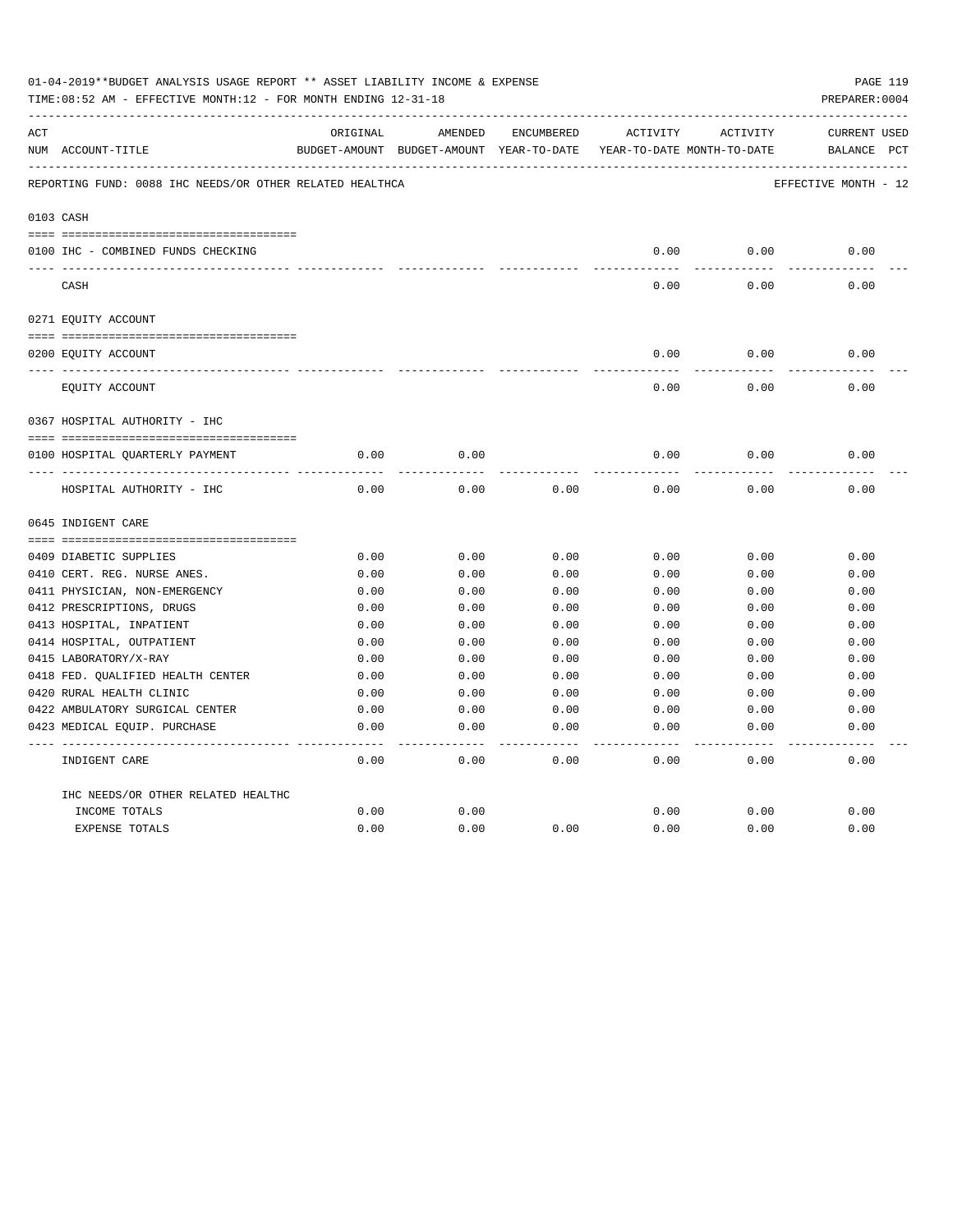|     | 01-04-2019**BUDGET ANALYSIS USAGE REPORT ** ASSET LIABILITY INCOME & EXPENSE<br>TIME: 08:52 AM - EFFECTIVE MONTH: 12 - FOR MONTH ENDING 12-31-18 |          |                                                     |            |          |                                        | PAGE 119<br>PREPARER: 0004         |
|-----|--------------------------------------------------------------------------------------------------------------------------------------------------|----------|-----------------------------------------------------|------------|----------|----------------------------------------|------------------------------------|
| ACT | NUM ACCOUNT-TITLE                                                                                                                                | ORIGINAL | AMENDED<br>BUDGET-AMOUNT BUDGET-AMOUNT YEAR-TO-DATE | ENCUMBERED | ACTIVITY | ACTIVITY<br>YEAR-TO-DATE MONTH-TO-DATE | <b>CURRENT USED</b><br>BALANCE PCT |
|     | REPORTING FUND: 0088 IHC NEEDS/OR OTHER RELATED HEALTHCA                                                                                         |          |                                                     |            |          |                                        | EFFECTIVE MONTH - 12               |
|     | 0103 CASH                                                                                                                                        |          |                                                     |            |          |                                        |                                    |
|     | 0100 IHC - COMBINED FUNDS CHECKING                                                                                                               |          |                                                     |            | 0.00     | 0.00                                   | 0.00                               |
|     | CASH                                                                                                                                             |          |                                                     |            | 0.00     | 0.00                                   | 0.00                               |
|     | 0271 EQUITY ACCOUNT                                                                                                                              |          |                                                     |            |          |                                        |                                    |
|     |                                                                                                                                                  |          |                                                     |            |          |                                        |                                    |
|     | 0200 EQUITY ACCOUNT                                                                                                                              |          |                                                     |            | 0.00     | 0.00                                   | 0.00                               |
|     | EQUITY ACCOUNT                                                                                                                                   |          |                                                     |            | 0.00     | 0.00                                   | 0.00                               |
|     | 0367 HOSPITAL AUTHORITY - IHC                                                                                                                    |          |                                                     |            |          |                                        |                                    |
|     |                                                                                                                                                  |          |                                                     |            |          |                                        |                                    |
|     | 0100 HOSPITAL QUARTERLY PAYMENT                                                                                                                  | 0.00     | 0.00                                                |            | 0.00     | 0.00                                   | 0.00                               |
|     | ----------------------------------<br>HOSPITAL AUTHORITY - IHC                                                                                   | 0.00     | 0.00                                                | 0.00       | 0.00     | 0.00                                   | 0.00                               |
|     | 0645 INDIGENT CARE                                                                                                                               |          |                                                     |            |          |                                        |                                    |
|     |                                                                                                                                                  |          |                                                     |            |          |                                        |                                    |
|     | 0409 DIABETIC SUPPLIES                                                                                                                           | 0.00     | 0.00                                                | 0.00       | 0.00     | 0.00                                   | 0.00                               |
|     | 0410 CERT. REG. NURSE ANES.                                                                                                                      | 0.00     | 0.00                                                | 0.00       | 0.00     | 0.00                                   | 0.00                               |
|     | 0411 PHYSICIAN, NON-EMERGENCY                                                                                                                    | 0.00     | 0.00                                                | 0.00       | 0.00     | 0.00                                   | 0.00                               |
|     | 0412 PRESCRIPTIONS, DRUGS                                                                                                                        | 0.00     | 0.00                                                | 0.00       | 0.00     | 0.00                                   | 0.00                               |
|     | 0413 HOSPITAL, INPATIENT                                                                                                                         | 0.00     | 0.00                                                | 0.00       | 0.00     | 0.00                                   | 0.00                               |
|     | 0414 HOSPITAL, OUTPATIENT                                                                                                                        | 0.00     | 0.00                                                | 0.00       | 0.00     | 0.00                                   | 0.00                               |
|     | 0415 LABORATORY/X-RAY                                                                                                                            | 0.00     | 0.00                                                | 0.00       | 0.00     | 0.00                                   | 0.00                               |
|     | 0418 FED. QUALIFIED HEALTH CENTER                                                                                                                | 0.00     | 0.00                                                | 0.00       | 0.00     | 0.00                                   | 0.00                               |
|     | 0420 RURAL HEALTH CLINIC                                                                                                                         | 0.00     | 0.00                                                | 0.00       | 0.00     | 0.00                                   | 0.00                               |
|     | 0422 AMBULATORY SURGICAL CENTER                                                                                                                  | 0.00     | 0.00                                                | 0.00       | 0.00     | 0.00                                   | 0.00                               |
|     | 0423 MEDICAL EQUIP. PURCHASE                                                                                                                     | 0.00     | 0.00                                                | 0.00       | 0.00     | 0.00                                   | 0.00                               |
|     | INDIGENT CARE                                                                                                                                    | 0.00     | 0.00                                                | 0.00       | 0.00     | 0.00                                   | -----<br>0.00                      |
|     | IHC NEEDS/OR OTHER RELATED HEALTHC                                                                                                               |          |                                                     |            |          |                                        |                                    |
|     | INCOME TOTALS                                                                                                                                    | 0.00     | 0.00                                                |            | 0.00     | 0.00                                   | 0.00                               |
|     | <b>EXPENSE TOTALS</b>                                                                                                                            | 0.00     | 0.00                                                | 0.00       | 0.00     | 0.00                                   | 0.00                               |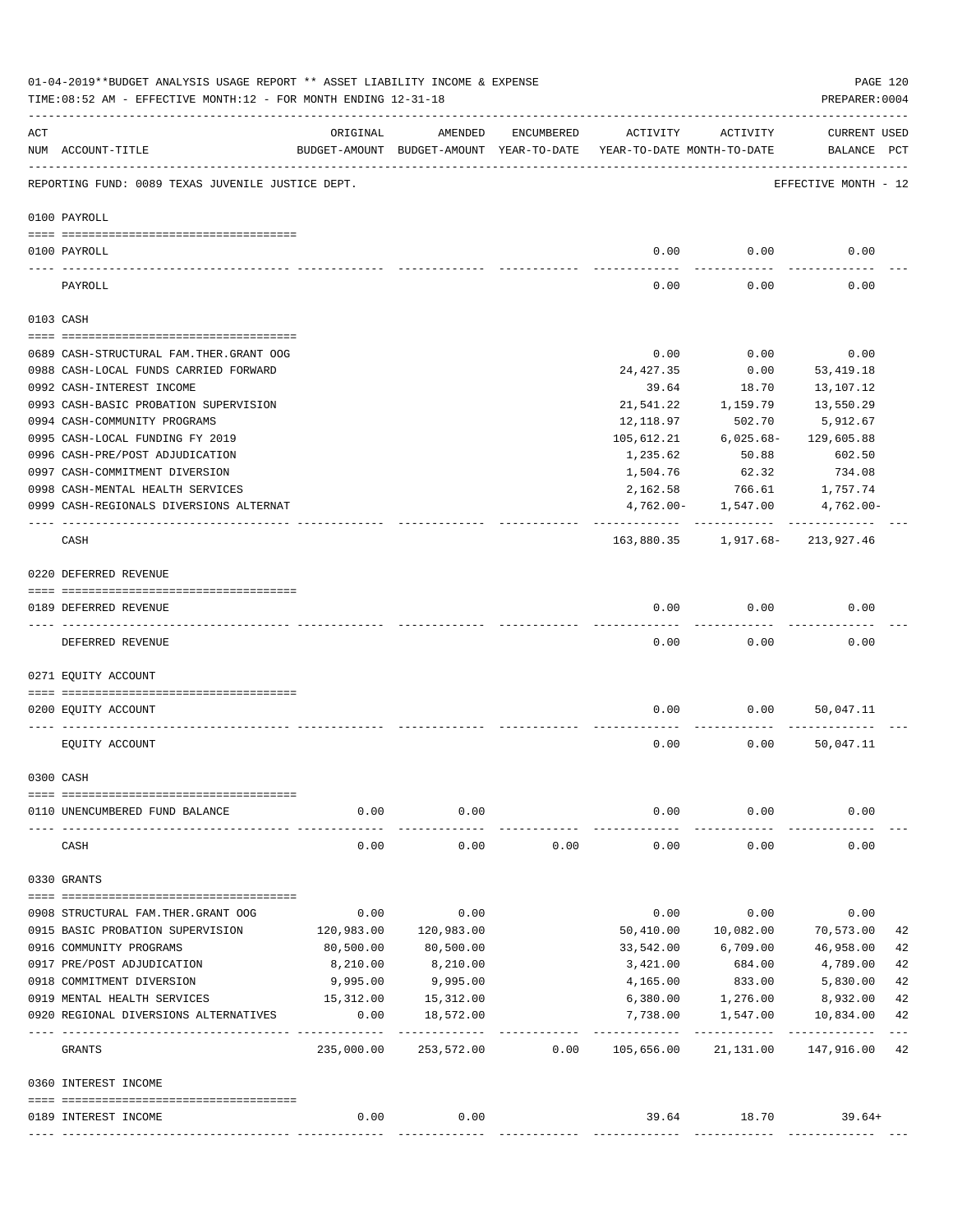|     | 01-04-2019**BUDGET ANALYSIS USAGE REPORT ** ASSET LIABILITY INCOME & EXPENSE<br>TIME: 08:52 AM - EFFECTIVE MONTH: 12 - FOR MONTH ENDING 12-31-18 |            |                                                     |            |                                        |                          | PREPARER: 0004                     | PAGE 120 |
|-----|--------------------------------------------------------------------------------------------------------------------------------------------------|------------|-----------------------------------------------------|------------|----------------------------------------|--------------------------|------------------------------------|----------|
| ACT | NUM ACCOUNT-TITLE                                                                                                                                | ORIGINAL   | AMENDED<br>BUDGET-AMOUNT BUDGET-AMOUNT YEAR-TO-DATE | ENCUMBERED | ACTIVITY<br>YEAR-TO-DATE MONTH-TO-DATE | ACTIVITY                 | <b>CURRENT USED</b><br>BALANCE PCT |          |
|     | REPORTING FUND: 0089 TEXAS JUVENILE JUSTICE DEPT.                                                                                                |            |                                                     |            |                                        |                          | EFFECTIVE MONTH - 12               |          |
|     | 0100 PAYROLL                                                                                                                                     |            |                                                     |            |                                        |                          |                                    |          |
|     | 0100 PAYROLL                                                                                                                                     |            |                                                     |            | 0.00                                   | 0.00                     | 0.00                               |          |
|     | PAYROLL                                                                                                                                          |            |                                                     |            | 0.00                                   | 0.00                     | 0.00                               |          |
|     | 0103 CASH                                                                                                                                        |            |                                                     |            |                                        |                          |                                    |          |
|     | 0689 CASH-STRUCTURAL FAM.THER.GRANT OOG                                                                                                          |            |                                                     |            | 0.00                                   | 0.00                     | 0.00                               |          |
|     | 0988 CASH-LOCAL FUNDS CARRIED FORWARD                                                                                                            |            |                                                     |            | 24, 427.35                             | 0.00                     | 53,419.18                          |          |
|     | 0992 CASH-INTEREST INCOME                                                                                                                        |            |                                                     |            | 39.64                                  | 18.70                    | 13,107.12                          |          |
|     | 0993 CASH-BASIC PROBATION SUPERVISION                                                                                                            |            |                                                     |            | 21,541.22                              | 1,159.79                 | 13,550.29                          |          |
|     | 0994 CASH-COMMUNITY PROGRAMS                                                                                                                     |            |                                                     |            | 12,118.97                              | 502.70                   | 5,912.67                           |          |
|     | 0995 CASH-LOCAL FUNDING FY 2019                                                                                                                  |            |                                                     |            | 105,612.21                             | $6,025.68-$              | 129,605.88                         |          |
|     | 0996 CASH-PRE/POST ADJUDICATION                                                                                                                  |            |                                                     |            | 1,235.62                               | 50.88                    | 602.50                             |          |
|     | 0997 CASH-COMMITMENT DIVERSION                                                                                                                   |            |                                                     |            | 1,504.76                               | 62.32                    | 734.08                             |          |
|     | 0998 CASH-MENTAL HEALTH SERVICES                                                                                                                 |            |                                                     |            | 2,162.58                               | 766.61                   | 1,757.74                           |          |
|     | 0999 CASH-REGIONALS DIVERSIONS ALTERNAT                                                                                                          |            |                                                     |            |                                        | $4,762.00 - 1,547.00$    | 4,762.00-                          |          |
|     | CASH                                                                                                                                             |            |                                                     |            |                                        | ----------- ------------ | 163,880.35 1,917.68- 213,927.46    |          |
|     | 0220 DEFERRED REVENUE                                                                                                                            |            |                                                     |            |                                        |                          |                                    |          |
|     |                                                                                                                                                  |            |                                                     |            |                                        |                          |                                    |          |
|     | 0189 DEFERRED REVENUE                                                                                                                            |            |                                                     |            | 0.00                                   | 0.00                     | 0.00                               |          |
|     | DEFERRED REVENUE                                                                                                                                 |            |                                                     |            | 0.00                                   | 0.00                     | 0.00                               |          |
|     | 0271 EQUITY ACCOUNT                                                                                                                              |            |                                                     |            |                                        |                          |                                    |          |
|     | 0200 EQUITY ACCOUNT                                                                                                                              |            |                                                     |            | 0.00                                   | 0.00                     | 50,047.11                          |          |
|     | EQUITY ACCOUNT                                                                                                                                   |            |                                                     |            | 0.00                                   | 0.00                     | 50,047.11                          |          |
|     | 0300 CASH                                                                                                                                        |            |                                                     |            |                                        |                          |                                    |          |
|     |                                                                                                                                                  |            |                                                     |            |                                        |                          |                                    |          |
|     | 0110 UNENCUMBERED FUND BALANCE                                                                                                                   | 0.00       | 0.00                                                |            | 0.00                                   | 0.00                     | 0.00                               |          |
|     | CASH                                                                                                                                             | 0.00       | 0.00                                                | 0.00       | 0.00                                   | 0.00                     | 0.00                               |          |
|     | 0330 GRANTS                                                                                                                                      |            |                                                     |            |                                        |                          |                                    |          |
|     | 0908 STRUCTURAL FAM. THER. GRANT OOG                                                                                                             | 0.00       | 0.00                                                |            | 0.00                                   | 0.00                     | 0.00                               |          |
|     | 0915 BASIC PROBATION SUPERVISION                                                                                                                 | 120,983.00 | 120,983.00                                          |            | 50,410.00                              | 10,082.00                | 70,573.00                          | 42       |
|     | 0916 COMMUNITY PROGRAMS                                                                                                                          | 80,500.00  | 80,500.00                                           |            | 33,542.00                              | 6,709.00                 | 46,958.00                          | 42       |
|     | 0917 PRE/POST ADJUDICATION                                                                                                                       | 8,210.00   | 8,210.00                                            |            | 3,421.00                               | 684.00                   | 4,789.00                           | 42       |
|     | 0918 COMMITMENT DIVERSION                                                                                                                        | 9,995.00   | 9,995.00                                            |            | 4,165.00                               | 833.00                   | 5,830.00                           | 42       |
|     | 0919 MENTAL HEALTH SERVICES                                                                                                                      | 15,312.00  | 15, 312.00                                          |            | 6,380.00                               | 1,276.00                 | 8,932.00                           | 42       |
|     | 0920 REGIONAL DIVERSIONS ALTERNATIVES                                                                                                            | 0.00       | 18,572.00                                           |            | 7,738.00                               | 1,547.00                 | 10,834.00                          | 42       |
|     | GRANTS                                                                                                                                           | 235,000.00 | -------------<br>253,572.00                         | 0.00       | -----------<br>105,656.00              | -----------<br>21,131.00 | -----------<br>147,916.00          | 42       |
|     | 0360 INTEREST INCOME                                                                                                                             |            |                                                     |            |                                        |                          |                                    |          |
|     |                                                                                                                                                  |            |                                                     |            |                                        |                          |                                    |          |
|     | 0189 INTEREST INCOME                                                                                                                             | 0.00       | 0.00                                                |            |                                        | 39.64 18.70              | $39.64+$                           |          |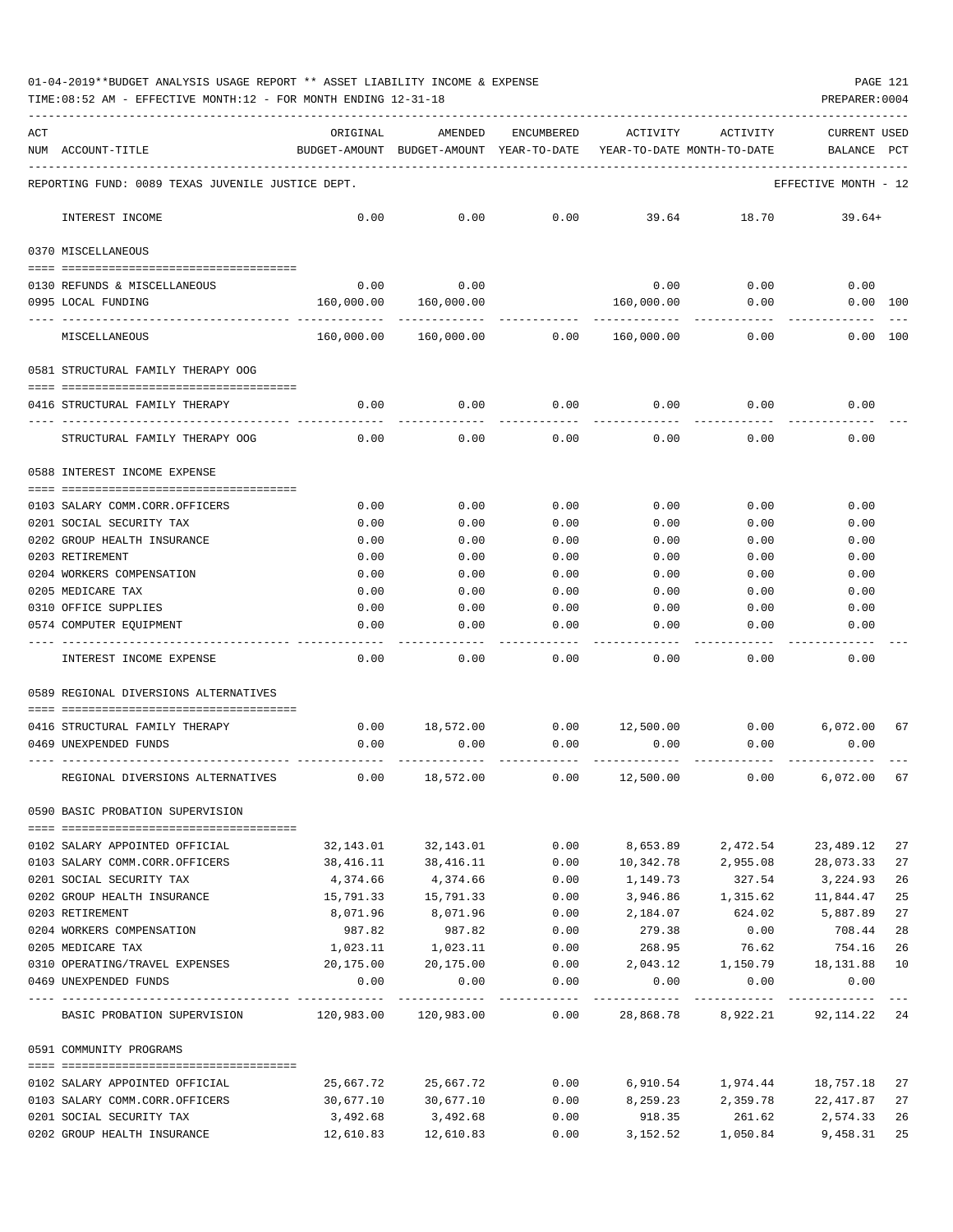| ACT |                                                        | ORIGINAL              | AMENDED                                  | ENCUMBERED   | ACTIVITY                   | ACTIVITY            | <b>CURRENT USED</b>                |          |
|-----|--------------------------------------------------------|-----------------------|------------------------------------------|--------------|----------------------------|---------------------|------------------------------------|----------|
|     | NUM ACCOUNT-TITLE                                      |                       | BUDGET-AMOUNT BUDGET-AMOUNT YEAR-TO-DATE |              | YEAR-TO-DATE MONTH-TO-DATE |                     | BALANCE                            | PCT      |
|     |                                                        |                       |                                          |              |                            |                     |                                    |          |
|     | REPORTING FUND: 0089 TEXAS JUVENILE JUSTICE DEPT.      |                       |                                          |              |                            |                     | EFFECTIVE MONTH - 12               |          |
|     | INTEREST INCOME                                        | 0.00                  | 0.00                                     | 0.00         | 39.64                      | 18.70               | $39.64+$                           |          |
|     | 0370 MISCELLANEOUS                                     |                       |                                          |              |                            |                     |                                    |          |
|     |                                                        |                       |                                          |              |                            |                     |                                    |          |
|     | 0130 REFUNDS & MISCELLANEOUS                           | 0.00                  | 0.00                                     |              | 0.00                       | 0.00                | 0.00                               |          |
|     | 0995 LOCAL FUNDING                                     | 160,000.00            | 160,000.00                               |              | 160,000.00                 | 0.00                | $0.00$ 100                         |          |
|     | MISCELLANEOUS                                          | 160,000.00            | 160,000.00                               | 0.00         | 160,000.00                 | 0.00                | 0.00 100                           |          |
|     | 0581 STRUCTURAL FAMILY THERAPY OOG                     |                       |                                          |              |                            |                     |                                    |          |
|     |                                                        |                       |                                          |              |                            |                     |                                    |          |
|     | 0416 STRUCTURAL FAMILY THERAPY                         | 0.00                  | 0.00                                     | 0.00         | 0.00                       | 0.00                | 0.00                               |          |
|     | STRUCTURAL FAMILY THERAPY OOG                          | 0.00                  | 0.00                                     | 0.00         | 0.00                       | 0.00                | 0.00                               |          |
|     | 0588 INTEREST INCOME EXPENSE                           |                       |                                          |              |                            |                     |                                    |          |
|     | 0103 SALARY COMM.CORR.OFFICERS                         | 0.00                  | 0.00                                     | 0.00         | 0.00                       | 0.00                | 0.00                               |          |
|     | 0201 SOCIAL SECURITY TAX                               | 0.00                  | 0.00                                     | 0.00         | 0.00                       | 0.00                | 0.00                               |          |
|     | 0202 GROUP HEALTH INSURANCE                            | 0.00                  | 0.00                                     | 0.00         | 0.00                       | 0.00                | 0.00                               |          |
|     | 0203 RETIREMENT                                        | 0.00                  | 0.00                                     | 0.00         | 0.00                       | 0.00                | 0.00                               |          |
|     | 0204 WORKERS COMPENSATION                              | 0.00                  | 0.00                                     | 0.00         | 0.00                       | 0.00                | 0.00                               |          |
|     | 0205 MEDICARE TAX                                      | 0.00                  | 0.00                                     | 0.00         | 0.00                       | 0.00                | 0.00                               |          |
|     | 0310 OFFICE SUPPLIES                                   | 0.00                  | 0.00                                     | 0.00         | 0.00                       | 0.00                | 0.00                               |          |
|     | 0574 COMPUTER EQUIPMENT                                | 0.00                  | 0.00                                     | 0.00         | 0.00                       | 0.00                | 0.00                               |          |
|     |                                                        |                       |                                          |              |                            |                     |                                    |          |
|     | INTEREST INCOME EXPENSE                                | 0.00                  | 0.00                                     | 0.00         | 0.00                       | 0.00                | 0.00                               |          |
|     | 0589 REGIONAL DIVERSIONS ALTERNATIVES                  |                       |                                          |              |                            |                     |                                    |          |
|     |                                                        |                       |                                          |              |                            |                     |                                    |          |
|     | 0416 STRUCTURAL FAMILY THERAPY                         | 0.00                  | 18,572.00                                | 0.00         | 12,500.00 0.00             |                     | 6,072.00                           | 67       |
|     | 0469 UNEXPENDED FUNDS                                  | 0.00                  | 0.00                                     | 0.00         | 0.00                       | 0.00                | 0.00                               |          |
|     | REGIONAL DIVERSIONS ALTERNATIVES                       | 0.00                  | 18,572.00                                | 0.00         | 12,500.00                  | 0.00                | 6,072.00                           | 67       |
|     | 0590 BASIC PROBATION SUPERVISION                       |                       |                                          |              |                            |                     |                                    |          |
|     |                                                        |                       |                                          |              |                            |                     |                                    |          |
|     | 0102 SALARY APPOINTED OFFICIAL                         |                       | 32,143.01 32,143.01                      | 0.00         | 8,653.89                   | 2,472.54            | 23,489.12                          | 27       |
|     | 0103 SALARY COMM.CORR.OFFICERS                         | 38,416.11             | 38,416.11                                | 0.00         | 10,342.78                  | 2,955.08            | 28,073.33                          | 27       |
|     | 0201 SOCIAL SECURITY TAX                               | 4,374.66              | 4,374.66                                 | 0.00         | 1,149.73                   | 327.54              | 3,224.93                           | 26       |
|     | 0202 GROUP HEALTH INSURANCE                            | 15,791.33             | 15,791.33                                | 0.00         |                            |                     | 3,946.86 1,315.62 11,844.47        | 25       |
|     | 0203 RETIREMENT                                        | 8,071.96<br>987.82    | 8,071.96<br>987.82                       | 0.00         | 2,184.07                   | 624.02              | 5,887.89                           | 27       |
|     | 0204 WORKERS COMPENSATION<br>0205 MEDICARE TAX         |                       |                                          | 0.00<br>0.00 | 279.38<br>268.95           | 0.00<br>76.62       | 708.44<br>754.16                   | 28<br>26 |
|     | 0310 OPERATING/TRAVEL EXPENSES                         | 1,023.11<br>20,175.00 | 1,023.11<br>20,175.00                    | 0.00         | 2,043.12                   | 1,150.79            | 18,131.88                          | 10       |
|     | 0469 UNEXPENDED FUNDS                                  | 0.00                  | 0.00                                     | 0.00         | 0.00                       | 0.00                | 0.00                               |          |
|     |                                                        |                       |                                          |              | _____________              | ------------        | -------------                      | $- - -$  |
|     | BASIC PROBATION SUPERVISION 120,983.00 120,983.00 0.00 |                       |                                          |              |                            |                     | 28,868.78 8,922.21 92,114.22 24    |          |
|     | 0591 COMMUNITY PROGRAMS                                |                       |                                          |              |                            |                     |                                    |          |
|     |                                                        |                       |                                          |              |                            |                     |                                    |          |
|     | 0102 SALARY APPOINTED OFFICIAL                         | 25,667.72             | 25,667.72                                |              |                            |                     | $0.00$ 6,910.54 1,974.44 18,757.18 | 27       |
|     | 0103 SALARY COMM.CORR.OFFICERS                         | 30,677.10             | 30,677.10                                | 0.00         |                            |                     | 8,259.23 2,359.78 22,417.87        | 27       |
|     | 0201 SOCIAL SECURITY TAX                               | 3,492.68              | 3,492.68                                 | 0.00         | 918.35                     | 261.62              | 2,574.33                           | 26       |
|     | 0202 GROUP HEALTH INSURANCE                            | 12,610.83             | 12,610.83                                | 0.00         |                            | 3, 152.52 1, 050.84 | 9,458.31                           | 25       |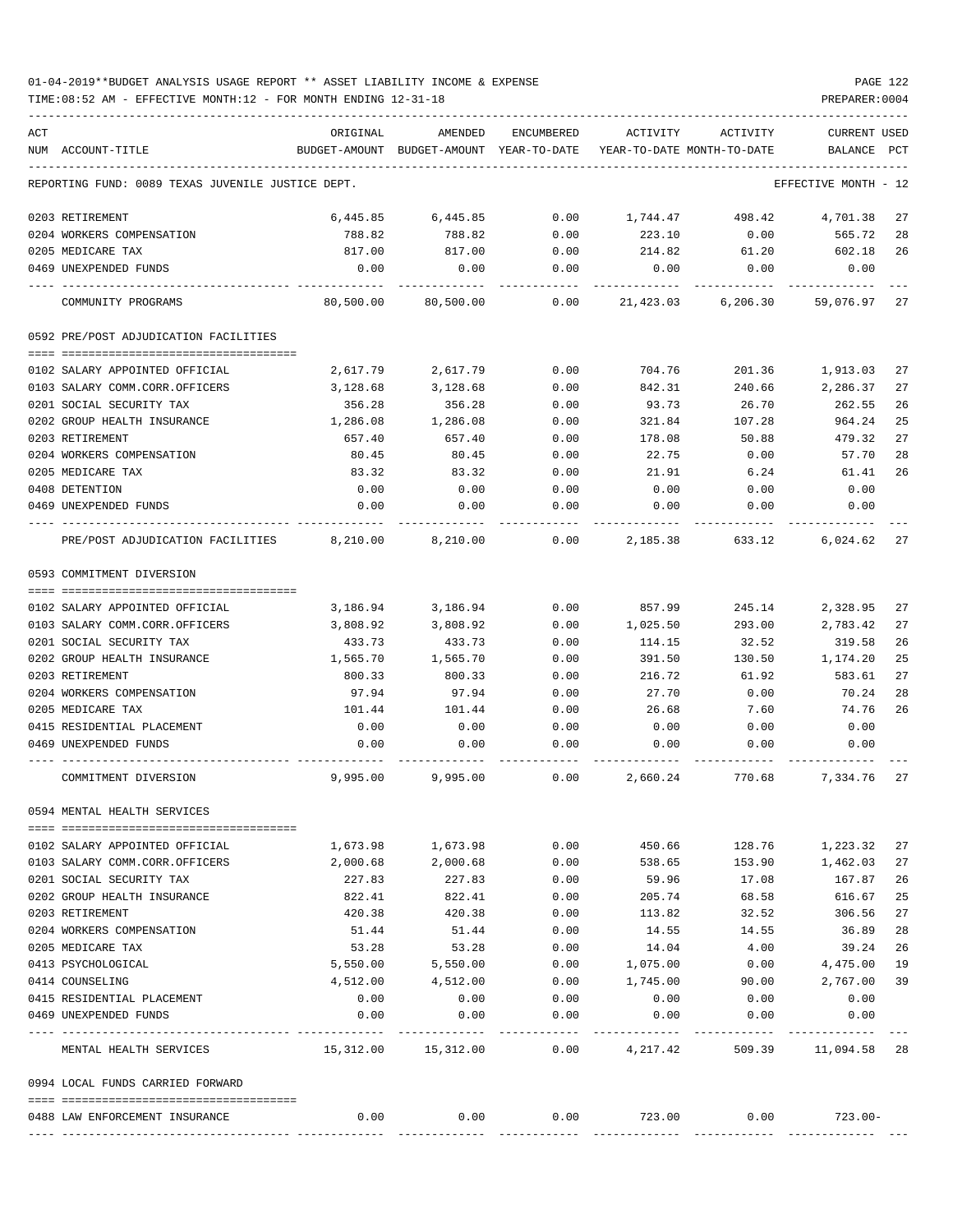| ACT |                                                   | ORIGINAL                             | AMENDED                                  | ENCUMBERED     | ACTIVITY                   | ACTIVITY        | <b>CURRENT USED</b>  |          |
|-----|---------------------------------------------------|--------------------------------------|------------------------------------------|----------------|----------------------------|-----------------|----------------------|----------|
|     | NUM ACCOUNT-TITLE                                 |                                      | BUDGET-AMOUNT BUDGET-AMOUNT YEAR-TO-DATE |                | YEAR-TO-DATE MONTH-TO-DATE |                 | BALANCE              | PCT      |
|     | REPORTING FUND: 0089 TEXAS JUVENILE JUSTICE DEPT. |                                      |                                          |                |                            |                 | EFFECTIVE MONTH - 12 |          |
|     | 0203 RETIREMENT                                   | 6,445.85                             | 6,445.85                                 | 0.00           | 1,744.47                   | 498.42          | 4,701.38             | 27       |
|     | 0204 WORKERS COMPENSATION                         | 788.82                               | 788.82                                   | 0.00           | 223.10                     | 0.00            | 565.72               | 28       |
|     | 0205 MEDICARE TAX                                 | 817.00                               | 817.00                                   | 0.00           | 214.82                     | 61.20           | 602.18               | 26       |
|     | 0469 UNEXPENDED FUNDS                             | 0.00                                 | 0.00                                     | 0.00           | 0.00                       | 0.00            | 0.00                 |          |
|     | COMMUNITY PROGRAMS                                | 80,500.00                            | 80,500.00                                | 0.00           | 21,423.03                  | 6,206.30        | 59,076.97 27         |          |
|     | 0592 PRE/POST ADJUDICATION FACILITIES             |                                      |                                          |                |                            |                 |                      |          |
|     | 0102 SALARY APPOINTED OFFICIAL                    | 2,617.79                             | 2,617.79                                 | 0.00           | 704.76                     | 201.36          | 1,913.03             | 27       |
|     | 0103 SALARY COMM.CORR.OFFICERS                    | 3,128.68                             | 3,128.68                                 | 0.00           | 842.31                     | 240.66          | 2,286.37             | 27       |
|     | 0201 SOCIAL SECURITY TAX                          | 356.28                               | 356.28                                   | 0.00           | 93.73                      | 26.70           | 262.55               | 26       |
|     | 0202 GROUP HEALTH INSURANCE                       | 1,286.08                             | 1,286.08                                 | 0.00           | 321.84                     | 107.28          | 964.24               | 25       |
|     | 0203 RETIREMENT                                   | 657.40                               | 657.40                                   | 0.00           | 178.08                     | 50.88           | 479.32               | 27       |
|     | 0204 WORKERS COMPENSATION                         | 80.45                                | 80.45                                    | 0.00           | 22.75                      | 0.00            | 57.70                | 28       |
|     | 0205 MEDICARE TAX                                 | 83.32                                | 83.32                                    | 0.00           | 21.91                      | 6.24            | 61.41                | 26       |
|     | 0408 DETENTION                                    | 0.00                                 | 0.00                                     | 0.00           | 0.00                       | 0.00            | 0.00                 |          |
|     | 0469 UNEXPENDED FUNDS                             | 0.00                                 | 0.00                                     | 0.00           | 0.00                       | 0.00            | 0.00                 |          |
|     | PRE/POST ADJUDICATION FACILITIES 8,210.00         |                                      | 8,210.00                                 | 0.00           | 2,185.38                   | 633.12          | $6.024.62$ 27        |          |
|     | 0593 COMMITMENT DIVERSION                         |                                      |                                          |                |                            |                 |                      |          |
|     |                                                   |                                      |                                          |                |                            |                 |                      |          |
|     | 0102 SALARY APPOINTED OFFICIAL                    | 3,186.94                             | 3,186.94                                 | 0.00           | 857.99                     | 245.14          | 2,328.95             | 27       |
|     | 0103 SALARY COMM.CORR.OFFICERS                    | 3,808.92                             | 3,808.92                                 | 0.00           | 1,025.50                   | 293.00          | 2,783.42             | 27<br>26 |
|     | 0201 SOCIAL SECURITY TAX                          | 433.73                               | 433.73                                   | 0.00           | 114.15                     | 32.52           | 319.58               | 25       |
|     | 0202 GROUP HEALTH INSURANCE<br>0203 RETIREMENT    | 1,565.70<br>800.33                   | 1,565.70<br>800.33                       | 0.00<br>0.00   | 391.50<br>216.72           | 130.50<br>61.92 | 1,174.20<br>583.61   | 27       |
|     | 0204 WORKERS COMPENSATION                         | 97.94                                | 97.94                                    | 0.00           | 27.70                      | 0.00            | 70.24                | 28       |
|     | 0205 MEDICARE TAX                                 | 101.44                               | 101.44                                   | 0.00           | 26.68                      | 7.60            | 74.76                | 26       |
|     | 0415 RESIDENTIAL PLACEMENT                        | 0.00                                 | 0.00                                     | 0.00           | 0.00                       | 0.00            | 0.00                 |          |
|     | 0469 UNEXPENDED FUNDS                             | 0.00                                 | 0.00                                     | 0.00           | 0.00                       | 0.00            | 0.00                 |          |
|     |                                                   |                                      |                                          |                |                            |                 |                      |          |
|     | COMMITMENT DIVERSION                              | 9,995.00                             | 9,995.00                                 | 0.00           | 2,660.24                   | 770.68          | 7,334.76             | 27       |
|     | 0594 MENTAL HEALTH SERVICES                       |                                      |                                          |                |                            |                 |                      |          |
|     | 0102 SALARY APPOINTED OFFICIAL                    | 1,673.98                             | 1,673.98                                 | 0.00           | 450.66                     | 128.76          | 1,223.32             | 27       |
|     | 0103 SALARY COMM.CORR.OFFICERS                    | 2,000.68                             | 2,000.68                                 | 0.00           | 538.65                     | 153.90          | 1,462.03             | 27       |
|     | 0201 SOCIAL SECURITY TAX                          | 227.83                               | 227.83                                   | 0.00           | 59.96                      | 17.08           | 167.87               | 26       |
|     | 0202 GROUP HEALTH INSURANCE                       | 822.41                               | 822.41                                   | 0.00           | 205.74                     | 68.58           | 616.67               | 25       |
|     | 0203 RETIREMENT                                   | 420.38                               | 420.38                                   | 0.00           | 113.82                     | 32.52           | 306.56               | 27       |
|     | 0204 WORKERS COMPENSATION                         | 51.44                                | 51.44                                    | 0.00           | 14.55                      | 14.55           | 36.89                | 28       |
|     | 0205 MEDICARE TAX                                 | 53.28                                | 53.28                                    | 0.00           | 14.04                      | 4.00            | 39.24                | 26       |
|     | 0413 PSYCHOLOGICAL                                | 5,550.00                             | 5,550.00                                 | 0.00           | 1,075.00                   | 0.00            | 4,475.00             | 19       |
|     | 0414 COUNSELING                                   | 4,512.00                             | 4,512.00                                 | 0.00           | 1,745.00                   | 90.00           | 2,767.00             | 39       |
|     | 0415 RESIDENTIAL PLACEMENT                        | 0.00                                 | 0.00                                     | 0.00           | 0.00                       | 0.00            | 0.00                 |          |
|     | 0469 UNEXPENDED FUNDS                             | 0.00<br>------------- -------------- | 0.00<br>----------                       | 0.00<br>------ | 0.00<br>---------          | 0.00            | 0.00                 |          |
|     | MENTAL HEALTH SERVICES                            |                                      | 15,312.00 15,312.00                      | 0.00           | 4,217.42                   | 509.39          | 11,094.58 28         |          |
|     | 0994 LOCAL FUNDS CARRIED FORWARD                  |                                      |                                          |                |                            |                 |                      |          |
|     | 0488 LAW ENFORCEMENT INSURANCE                    | 0.00                                 | 0.00                                     | 0.00           | 723.00                     | 0.00            | $723.00 -$           |          |
|     |                                                   |                                      |                                          |                |                            |                 |                      |          |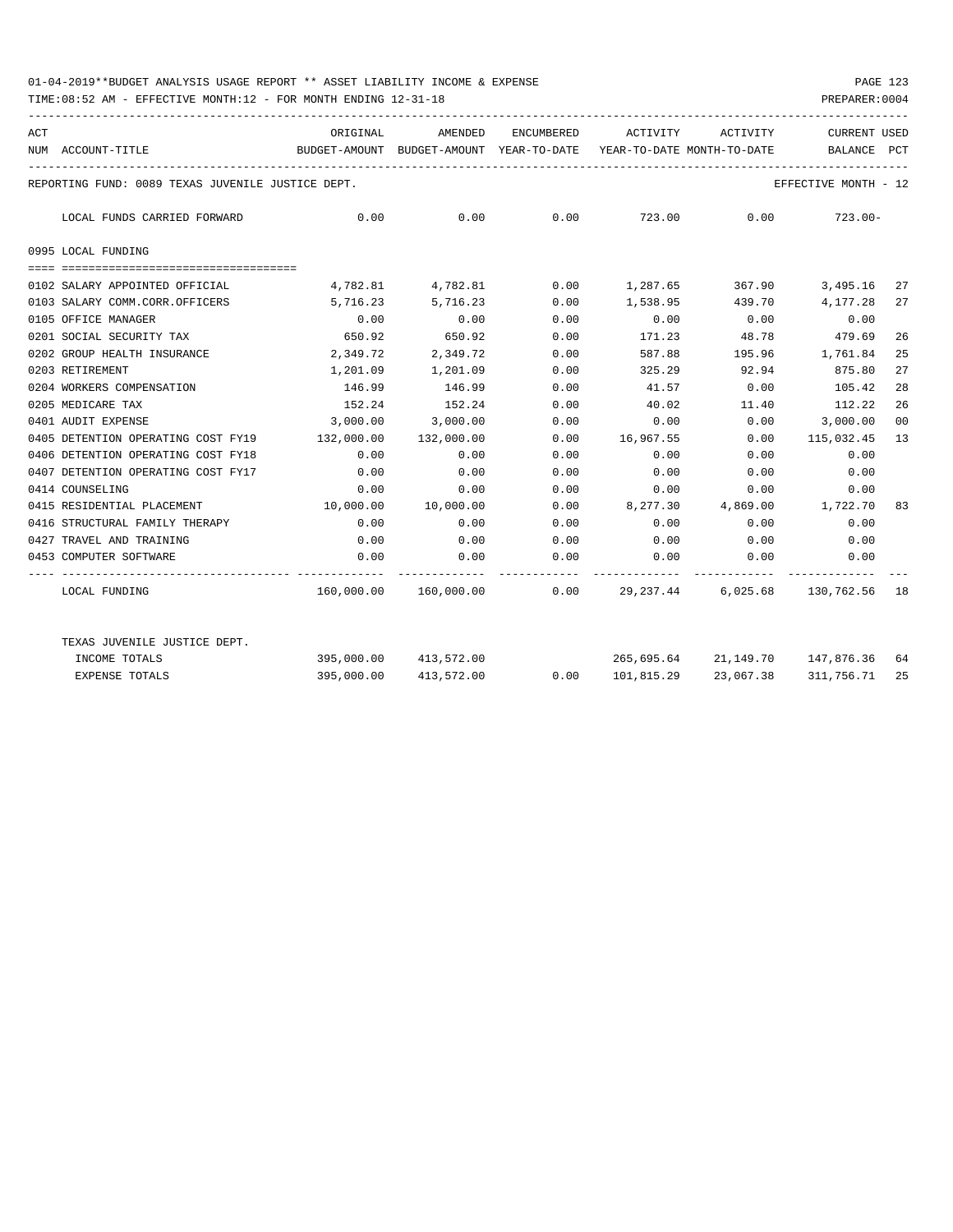| ACT | NUM ACCOUNT-TITLE                                 | ORIGINAL<br>BUDGET-AMOUNT BUDGET-AMOUNT YEAR-TO-DATE YEAR-TO-DATE MONTH-TO-DATE | AMENDED               |      | ENCUMBERED ACTIVITY                                                 | ACTIVITY        | CURRENT USED<br>BALANCE PCT |    |
|-----|---------------------------------------------------|---------------------------------------------------------------------------------|-----------------------|------|---------------------------------------------------------------------|-----------------|-----------------------------|----|
|     | REPORTING FUND: 0089 TEXAS JUVENILE JUSTICE DEPT. |                                                                                 |                       |      |                                                                     |                 | EFFECTIVE MONTH - 12        |    |
|     | LOCAL FUNDS CARRIED FORWARD                       | 0.00                                                                            |                       |      | $0.00$ $0.00$ $723.00$ $0.00$ $723.00$                              |                 |                             |    |
|     | 0995 LOCAL FUNDING                                |                                                                                 |                       |      |                                                                     |                 |                             |    |
|     | 0102 SALARY APPOINTED OFFICIAL                    | 4,782.81 4,782.81                                                               |                       | 0.00 | 1,287.65 367.90 3,495.16                                            |                 |                             | 27 |
|     | 0103 SALARY COMM.CORR.OFFICERS                    | 5,716.23 5,716.23                                                               |                       | 0.00 | 1,538.95 439.70 4,177.28                                            |                 |                             | 27 |
|     | 0105 OFFICE MANAGER                               | 0.00                                                                            | 0.00                  | 0.00 | 0.00                                                                | 0.00            | 0.00                        |    |
|     | 0201 SOCIAL SECURITY TAX                          | 650.92                                                                          | 650.92                | 0.00 | 171.23                                                              | 48.78           | 479.69                      | 26 |
|     | 0202 GROUP HEALTH INSURANCE                       | 2,349.72                                                                        | 2,349.72              | 0.00 | 587.88                                                              | 195.96 1,761.84 |                             | 25 |
|     | 0203 RETIREMENT                                   |                                                                                 | 1,201.09 1,201.09     | 0.00 | 325.29                                                              | 92.94           | 875.80                      | 27 |
|     | 0204 WORKERS COMPENSATION                         |                                                                                 | 146.99 146.99         | 0.00 | 41.57                                                               | 0.00            | 105.42                      | 28 |
|     | 0205 MEDICARE TAX                                 |                                                                                 | 152.24 152.24         | 0.00 | 40.02                                                               |                 | 11.40 112.22                | 26 |
|     | 0401 AUDIT EXPENSE                                |                                                                                 | 3,000.00 3,000.00     | 0.00 | 0.00                                                                |                 | $0.00$ 3,000.00             | 00 |
|     | 0405 DETENTION OPERATING COST FY19                | 132,000.00                                                                      | 132,000.00            | 0.00 | 16,967.55                                                           | 0.00            | 115,032.45                  | 13 |
|     | 0406 DETENTION OPERATING COST FY18                | 0.00                                                                            | 0.00                  | 0.00 | 0.00                                                                | 0.00            | 0.00                        |    |
|     | 0407 DETENTION OPERATING COST FY17                | 0.00                                                                            | 0.00                  | 0.00 | 0.00                                                                | 0.00            | 0.00                        |    |
|     | 0414 COUNSELING                                   | 0.00                                                                            | 0.00                  | 0.00 | $0.00$ $0.00$ $0.00$ $0.00$                                         |                 |                             |    |
|     | 0415 RESIDENTIAL PLACEMENT                        | 10,000.00  10,000.00                                                            |                       | 0.00 | 8,277.30 4,869.00 1,722.70                                          |                 |                             | 83 |
|     | 0416 STRUCTURAL FAMILY THERAPY                    | 0.00                                                                            | 0.00                  | 0.00 | 0.00                                                                | 0.00            | 0.00                        |    |
|     | 0427 TRAVEL AND TRAINING                          | 0.00                                                                            | 0.00                  | 0.00 | 0.00                                                                | 0.00            | 0.00                        |    |
|     | 0453 COMPUTER SOFTWARE                            | 0.00                                                                            | 0.00                  | 0.00 | 0.00<br>------------ ------------ ----------                        | 0.00            | 0.00                        |    |
|     | LOCAL FUNDING                                     |                                                                                 |                       |      | $160,000.00$ $160,000.00$ 0.00 $29,237.44$ 6,025.68 $130,762.56$ 18 |                 |                             |    |
|     | TEXAS JUVENILE JUSTICE DEPT.                      |                                                                                 |                       |      |                                                                     |                 |                             |    |
|     | INCOME TOTALS                                     |                                                                                 | 395,000.00 413,572.00 |      | 265,695.64 21,149.70 147,876.36 64                                  |                 |                             |    |
|     | <b>EXPENSE TOTALS</b>                             |                                                                                 | 395,000.00 413,572.00 |      | $0.00 \qquad 101,815.29 \qquad 23,067.38$                           |                 | 311,756.71 25               |    |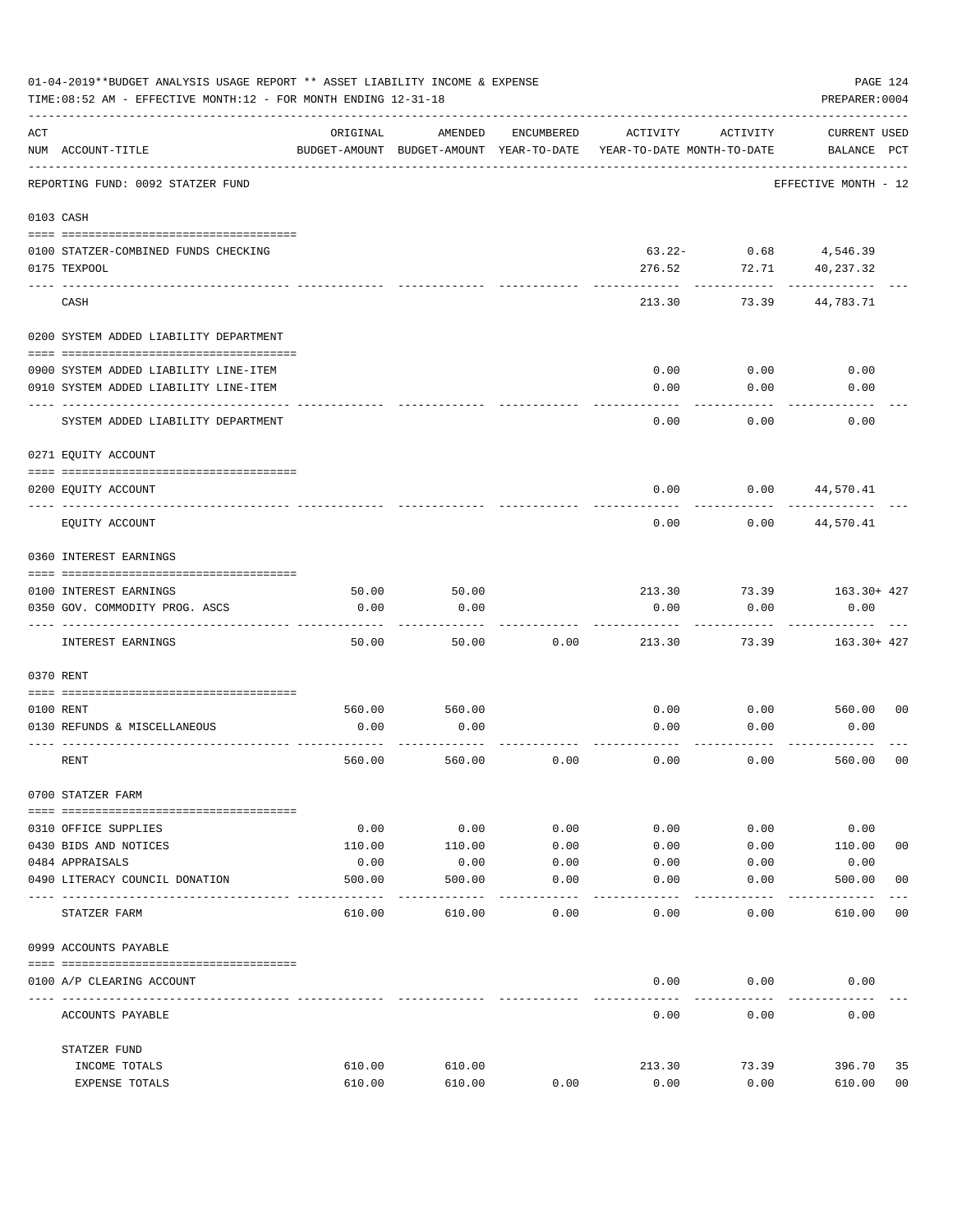|     | 01-04-2019**BUDGET ANALYSIS USAGE REPORT ** ASSET LIABILITY INCOME & EXPENSE<br>PAGE 124<br>TIME: 08:52 AM - EFFECTIVE MONTH: 12 - FOR MONTH ENDING 12-31-18<br>PREPARER: 0004 |                |                                                     |                   |                                        |              |                                    |                |  |  |  |
|-----|--------------------------------------------------------------------------------------------------------------------------------------------------------------------------------|----------------|-----------------------------------------------------|-------------------|----------------------------------------|--------------|------------------------------------|----------------|--|--|--|
| ACT | NUM ACCOUNT-TITLE                                                                                                                                                              | ORIGINAL       | AMENDED<br>BUDGET-AMOUNT BUDGET-AMOUNT YEAR-TO-DATE | ENCUMBERED        | ACTIVITY<br>YEAR-TO-DATE MONTH-TO-DATE | ACTIVITY     | <b>CURRENT USED</b><br>BALANCE PCT |                |  |  |  |
|     | REPORTING FUND: 0092 STATZER FUND                                                                                                                                              |                |                                                     |                   |                                        |              | EFFECTIVE MONTH - 12               |                |  |  |  |
|     | 0103 CASH                                                                                                                                                                      |                |                                                     |                   |                                        |              |                                    |                |  |  |  |
|     | 0100 STATZER-COMBINED FUNDS CHECKING                                                                                                                                           |                |                                                     |                   | 63.22-                                 | 0.68         | 4,546.39                           |                |  |  |  |
|     | 0175 TEXPOOL                                                                                                                                                                   |                |                                                     |                   | 276.52                                 | 72.71        | 40,237.32                          |                |  |  |  |
|     | CASH                                                                                                                                                                           |                |                                                     |                   | 213.30                                 | 73.39        | 44,783.71                          |                |  |  |  |
|     | 0200 SYSTEM ADDED LIABILITY DEPARTMENT                                                                                                                                         |                |                                                     |                   |                                        |              |                                    |                |  |  |  |
|     | 0900 SYSTEM ADDED LIABILITY LINE-ITEM                                                                                                                                          |                |                                                     |                   | 0.00                                   | 0.00         | 0.00                               |                |  |  |  |
|     | 0910 SYSTEM ADDED LIABILITY LINE-ITEM                                                                                                                                          |                |                                                     |                   | 0.00                                   | 0.00         | 0.00                               |                |  |  |  |
|     | SYSTEM ADDED LIABILITY DEPARTMENT                                                                                                                                              |                |                                                     |                   | 0.00                                   | 0.00         | 0.00                               |                |  |  |  |
|     | 0271 EQUITY ACCOUNT                                                                                                                                                            |                |                                                     |                   |                                        |              |                                    |                |  |  |  |
|     | 0200 EQUITY ACCOUNT                                                                                                                                                            |                |                                                     |                   | 0.00                                   | 0.00         | 44,570.41                          |                |  |  |  |
|     | EQUITY ACCOUNT                                                                                                                                                                 |                |                                                     |                   | 0.00                                   | 0.00         | 44,570.41                          |                |  |  |  |
|     | 0360 INTEREST EARNINGS                                                                                                                                                         |                |                                                     |                   |                                        |              |                                    |                |  |  |  |
|     | 0100 INTEREST EARNINGS                                                                                                                                                         | 50.00          | 50.00                                               |                   | 213.30                                 | 73.39        | $163.30 + 427$                     |                |  |  |  |
|     | 0350 GOV. COMMODITY PROG. ASCS                                                                                                                                                 | 0.00           | 0.00                                                |                   | 0.00                                   | 0.00         | 0.00                               |                |  |  |  |
|     | INTEREST EARNINGS                                                                                                                                                              | 50.00          | 50.00                                               | 0.00              | 213.30                                 | 73.39        | $163.30 + 427$                     |                |  |  |  |
|     | 0370 RENT                                                                                                                                                                      |                |                                                     |                   |                                        |              |                                    |                |  |  |  |
|     |                                                                                                                                                                                |                |                                                     |                   |                                        |              |                                    |                |  |  |  |
|     | 0100 RENT<br>0130 REFUNDS & MISCELLANEOUS                                                                                                                                      | 560.00<br>0.00 | 560.00<br>0.00                                      |                   | 0.00<br>0.00                           | 0.00<br>0.00 | 560.00 00<br>0.00                  |                |  |  |  |
|     |                                                                                                                                                                                |                |                                                     |                   |                                        |              |                                    |                |  |  |  |
|     | RENT                                                                                                                                                                           | 560.00         | 560.00                                              | 0.00              | 0.00                                   | 0.00         | 560.00                             | 0 <sub>0</sub> |  |  |  |
|     | 0700 STATZER FARM                                                                                                                                                              |                |                                                     |                   |                                        |              |                                    |                |  |  |  |
|     | 0310 OFFICE SUPPLIES                                                                                                                                                           | 0.00           | 0.00                                                | 0.00              | 0.00                                   | 0.00         | 0.00                               |                |  |  |  |
|     | 0430 BIDS AND NOTICES                                                                                                                                                          | 110.00         | 110.00                                              | 0.00              | 0.00                                   | 0.00         | 110.00                             | 00             |  |  |  |
|     | 0484 APPRAISALS                                                                                                                                                                | 0.00           | 0.00                                                | 0.00              | 0.00                                   | 0.00         | 0.00                               |                |  |  |  |
|     | 0490 LITERACY COUNCIL DONATION                                                                                                                                                 | 500.00         | 500.00                                              | 0.00<br>$- - - -$ | 0.00                                   | 0.00         | 500.00                             | 0 <sub>0</sub> |  |  |  |
|     | STATZER FARM                                                                                                                                                                   | 610.00         | 610.00                                              | 0.00              | 0.00                                   | 0.00         | 610.00                             | 00             |  |  |  |
|     | 0999 ACCOUNTS PAYABLE                                                                                                                                                          |                |                                                     |                   |                                        |              |                                    |                |  |  |  |
|     | 0100 A/P CLEARING ACCOUNT                                                                                                                                                      |                |                                                     |                   | 0.00                                   | 0.00         | 0.00                               |                |  |  |  |
|     | ACCOUNTS PAYABLE                                                                                                                                                               |                |                                                     |                   | 0.00                                   | 0.00         | 0.00                               |                |  |  |  |
|     | STATZER FUND                                                                                                                                                                   |                |                                                     |                   |                                        |              |                                    |                |  |  |  |
|     | INCOME TOTALS                                                                                                                                                                  | 610.00         | 610.00                                              |                   | 213.30                                 | 73.39        | 396.70                             | 35             |  |  |  |
|     | EXPENSE TOTALS                                                                                                                                                                 | 610.00         | 610.00                                              | 0.00              | 0.00                                   | 0.00         | 610.00                             | 0 <sub>0</sub> |  |  |  |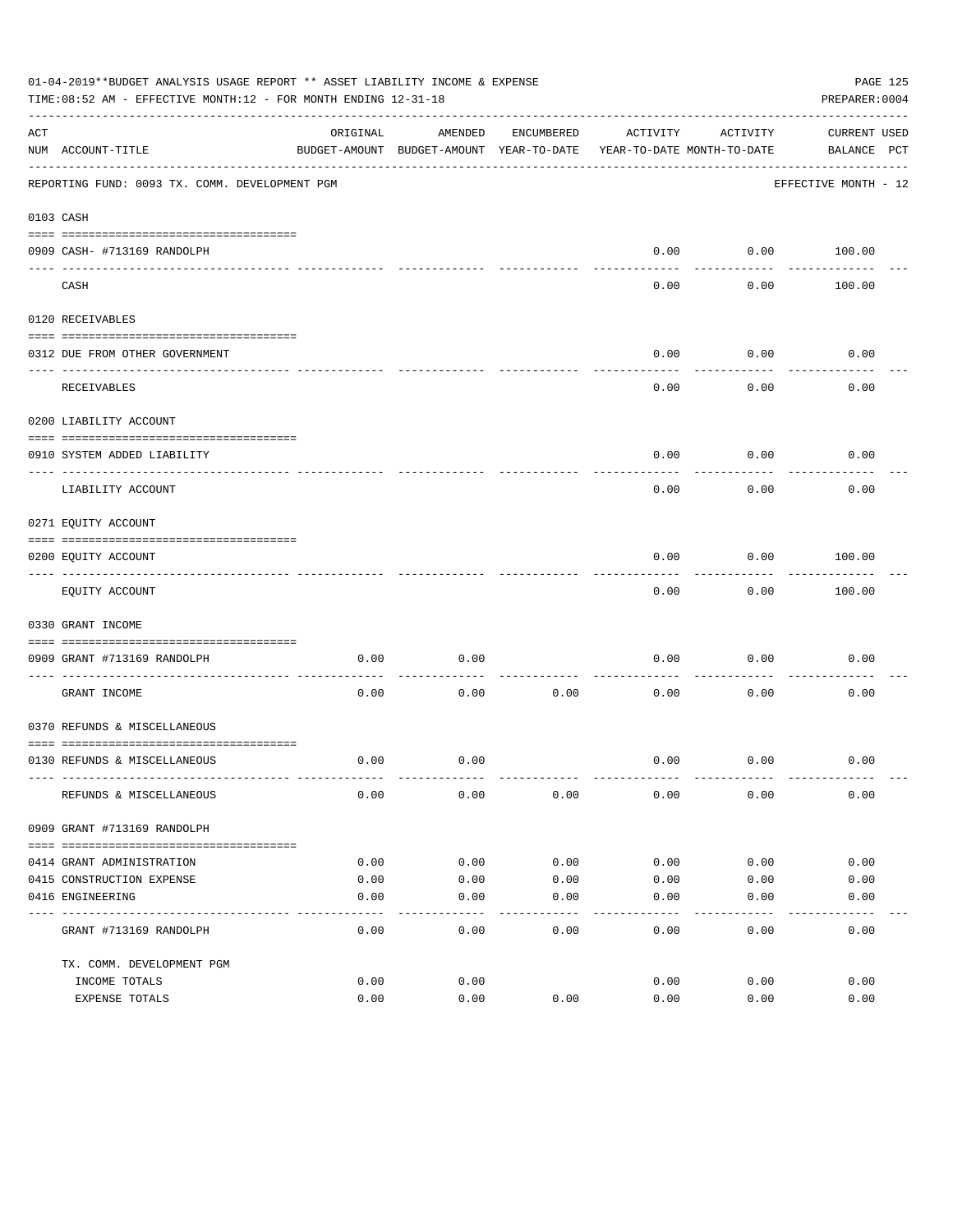|     | 01-04-2019**BUDGET ANALYSIS USAGE REPORT ** ASSET LIABILITY INCOME & EXPENSE<br>TIME: 08:52 AM - EFFECTIVE MONTH: 12 - FOR MONTH ENDING 12-31-18<br>PREPARER: 0004 |          |                                          |            |                            |                  |                      |  |  |
|-----|--------------------------------------------------------------------------------------------------------------------------------------------------------------------|----------|------------------------------------------|------------|----------------------------|------------------|----------------------|--|--|
| ACT |                                                                                                                                                                    | ORIGINAL | AMENDED                                  | ENCUMBERED | ACTIVITY                   | ACTIVITY         | CURRENT USED         |  |  |
|     | NUM ACCOUNT-TITLE                                                                                                                                                  |          | BUDGET-AMOUNT BUDGET-AMOUNT YEAR-TO-DATE |            | YEAR-TO-DATE MONTH-TO-DATE |                  | BALANCE PCT          |  |  |
|     | REPORTING FUND: 0093 TX. COMM. DEVELOPMENT PGM                                                                                                                     |          |                                          |            |                            |                  | EFFECTIVE MONTH - 12 |  |  |
|     | 0103 CASH                                                                                                                                                          |          |                                          |            |                            |                  |                      |  |  |
|     |                                                                                                                                                                    |          |                                          |            |                            |                  |                      |  |  |
|     | 0909 CASH- #713169 RANDOLPH                                                                                                                                        |          |                                          |            | 0.00                       | ---------        | $0.00$ 100.00        |  |  |
|     | CASH                                                                                                                                                               |          |                                          |            | 0.00                       | 0.00             | 100.00               |  |  |
|     | 0120 RECEIVABLES                                                                                                                                                   |          |                                          |            |                            |                  |                      |  |  |
|     |                                                                                                                                                                    |          |                                          |            |                            |                  |                      |  |  |
|     | 0312 DUE FROM OTHER GOVERNMENT                                                                                                                                     |          |                                          |            | 0.00                       | 0.00<br>-------- | 0.00                 |  |  |
|     | RECEIVABLES                                                                                                                                                        |          |                                          |            | 0.00                       | 0.00             | 0.00                 |  |  |
|     | 0200 LIABILITY ACCOUNT                                                                                                                                             |          |                                          |            |                            |                  |                      |  |  |
|     | 0910 SYSTEM ADDED LIABILITY                                                                                                                                        |          |                                          |            | 0.00                       | 0.00             | 0.00                 |  |  |
|     | LIABILITY ACCOUNT                                                                                                                                                  |          |                                          |            | 0.00                       | 0.00             | 0.00                 |  |  |
|     | 0271 EQUITY ACCOUNT                                                                                                                                                |          |                                          |            |                            |                  |                      |  |  |
|     | 0200 EQUITY ACCOUNT                                                                                                                                                |          |                                          |            | 0.00                       | 0.00             | 100.00               |  |  |
|     | EQUITY ACCOUNT                                                                                                                                                     |          |                                          |            | 0.00                       | 0.00             | 100.00               |  |  |
|     | 0330 GRANT INCOME                                                                                                                                                  |          |                                          |            |                            |                  |                      |  |  |
|     |                                                                                                                                                                    |          |                                          |            |                            |                  |                      |  |  |
|     | 0909 GRANT #713169 RANDOLPH<br>---------------------- ---                                                                                                          | 0.00     | 0.00                                     |            | 0.00                       | 0.00             | 0.00                 |  |  |
|     | GRANT INCOME                                                                                                                                                       | 0.00     | 0.00                                     | 0.00       | 0.00                       | 0.00             | 0.00                 |  |  |
|     | 0370 REFUNDS & MISCELLANEOUS                                                                                                                                       |          |                                          |            |                            |                  |                      |  |  |
|     |                                                                                                                                                                    |          |                                          |            |                            |                  |                      |  |  |
|     | 0130 REFUNDS & MISCELLANEOUS                                                                                                                                       | 0.00     | 0.00                                     |            | 0.00                       | 0.00             | 0.00                 |  |  |
|     | REFUNDS & MISCELLANEOUS                                                                                                                                            | 0.00     | 0.00                                     | 0.00       | 0.00                       | 0.00             | 0.00                 |  |  |
|     | 0909 GRANT #713169 RANDOLPH                                                                                                                                        |          |                                          |            |                            |                  |                      |  |  |
|     |                                                                                                                                                                    |          |                                          |            |                            |                  |                      |  |  |
|     | 0414 GRANT ADMINISTRATION                                                                                                                                          | 0.00     | 0.00                                     | 0.00       | 0.00                       | 0.00             | 0.00                 |  |  |
|     | 0415 CONSTRUCTION EXPENSE                                                                                                                                          | 0.00     | 0.00                                     | 0.00       | 0.00                       | 0.00             | 0.00                 |  |  |
|     | 0416 ENGINEERING                                                                                                                                                   | 0.00     | 0.00                                     | 0.00       | 0.00                       | 0.00             | 0.00                 |  |  |
|     | GRANT #713169 RANDOLPH                                                                                                                                             | 0.00     | 0.00                                     | 0.00       | 0.00                       | 0.00             | 0.00                 |  |  |
|     | TX. COMM. DEVELOPMENT PGM                                                                                                                                          |          |                                          |            |                            |                  |                      |  |  |
|     | INCOME TOTALS                                                                                                                                                      | 0.00     | 0.00                                     |            | 0.00                       | 0.00             | 0.00                 |  |  |
|     | EXPENSE TOTALS                                                                                                                                                     | 0.00     | 0.00                                     | 0.00       | 0.00                       | 0.00             | 0.00                 |  |  |
|     |                                                                                                                                                                    |          |                                          |            |                            |                  |                      |  |  |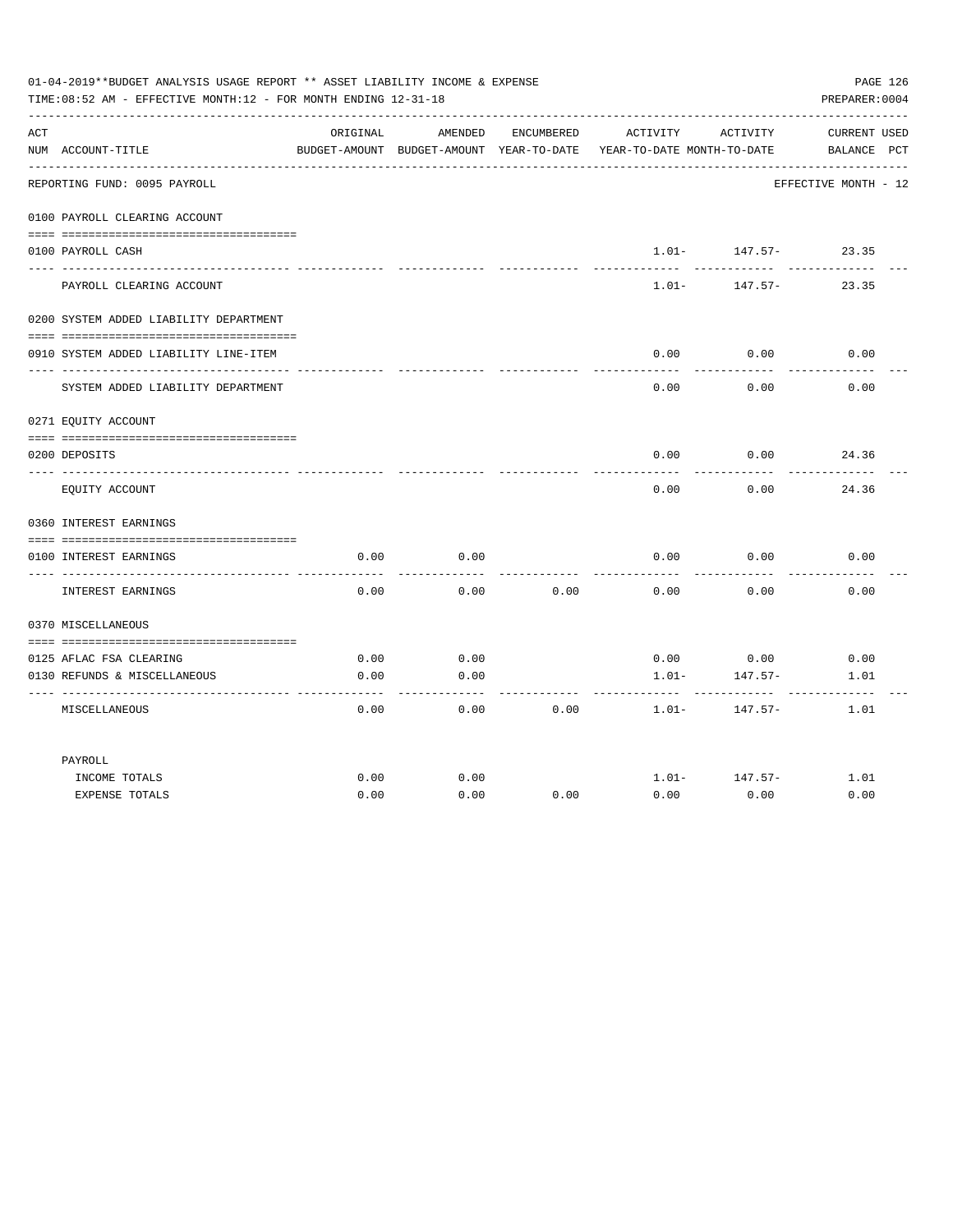|     | 01-04-2019**BUDGET ANALYSIS USAGE REPORT ** ASSET LIABILITY INCOME & EXPENSE<br>PAGE 126<br>TIME: 08:52 AM - EFFECTIVE MONTH: 12 - FOR MONTH ENDING 12-31-18<br>PREPARER: 0004 |          |                                                     |            |                                        |          |                                    |  |  |  |
|-----|--------------------------------------------------------------------------------------------------------------------------------------------------------------------------------|----------|-----------------------------------------------------|------------|----------------------------------------|----------|------------------------------------|--|--|--|
| ACT | NUM ACCOUNT-TITLE                                                                                                                                                              | ORIGINAL | AMENDED<br>BUDGET-AMOUNT BUDGET-AMOUNT YEAR-TO-DATE | ENCUMBERED | ACTIVITY<br>YEAR-TO-DATE MONTH-TO-DATE | ACTIVITY | <b>CURRENT USED</b><br>BALANCE PCT |  |  |  |
|     | REPORTING FUND: 0095 PAYROLL                                                                                                                                                   |          |                                                     |            |                                        |          | EFFECTIVE MONTH - 12               |  |  |  |
|     | 0100 PAYROLL CLEARING ACCOUNT                                                                                                                                                  |          |                                                     |            |                                        |          |                                    |  |  |  |
|     | 0100 PAYROLL CASH                                                                                                                                                              |          |                                                     |            | $1.01-$                                | 147.57-  | 23.35                              |  |  |  |
|     | PAYROLL CLEARING ACCOUNT                                                                                                                                                       |          |                                                     |            | $1.01 -$                               | 147.57-  | 23.35                              |  |  |  |
|     | 0200 SYSTEM ADDED LIABILITY DEPARTMENT                                                                                                                                         |          |                                                     |            |                                        |          |                                    |  |  |  |
|     | 0910 SYSTEM ADDED LIABILITY LINE-ITEM                                                                                                                                          |          |                                                     |            | 0.00                                   | 0.00     | 0.00                               |  |  |  |
|     | SYSTEM ADDED LIABILITY DEPARTMENT                                                                                                                                              |          |                                                     |            | 0.00                                   | 0.00     | 0.00                               |  |  |  |
|     | 0271 EQUITY ACCOUNT                                                                                                                                                            |          |                                                     |            |                                        |          |                                    |  |  |  |
|     | 0200 DEPOSITS                                                                                                                                                                  |          |                                                     |            | 0.00                                   | 0.00     | 24.36                              |  |  |  |
|     | EQUITY ACCOUNT                                                                                                                                                                 |          |                                                     |            | 0.00                                   | 0.00     | 24.36                              |  |  |  |
|     | 0360 INTEREST EARNINGS                                                                                                                                                         |          |                                                     |            |                                        |          |                                    |  |  |  |
|     | 0100 INTEREST EARNINGS                                                                                                                                                         | 0.00     | 0.00                                                |            | 0.00                                   | 0.00     | 0.00                               |  |  |  |
|     | INTEREST EARNINGS                                                                                                                                                              | 0.00     | 0.00                                                | 0.00       | 0.00                                   | 0.00     | 0.00                               |  |  |  |
|     | 0370 MISCELLANEOUS                                                                                                                                                             |          |                                                     |            |                                        |          |                                    |  |  |  |
|     | 0125 AFLAC FSA CLEARING                                                                                                                                                        | 0.00     | 0.00                                                |            | 0.00                                   | 0.00     | 0.00                               |  |  |  |
|     | 0130 REFUNDS & MISCELLANEOUS                                                                                                                                                   | 0.00     | 0.00                                                |            | $1.01 -$                               | 147.57-  | 1.01                               |  |  |  |
|     | MISCELLANEOUS                                                                                                                                                                  | 0.00     | 0.00                                                | 0.00       | $1.01-$                                | 147.57-  | 1.01                               |  |  |  |
|     | PAYROLL                                                                                                                                                                        |          |                                                     |            |                                        |          |                                    |  |  |  |
|     | INCOME TOTALS                                                                                                                                                                  | 0.00     | 0.00                                                |            | $1.01 -$                               | 147.57-  | 1.01                               |  |  |  |
|     | <b>EXPENSE TOTALS</b>                                                                                                                                                          | 0.00     | 0.00                                                | 0.00       | 0.00                                   | 0.00     | 0.00                               |  |  |  |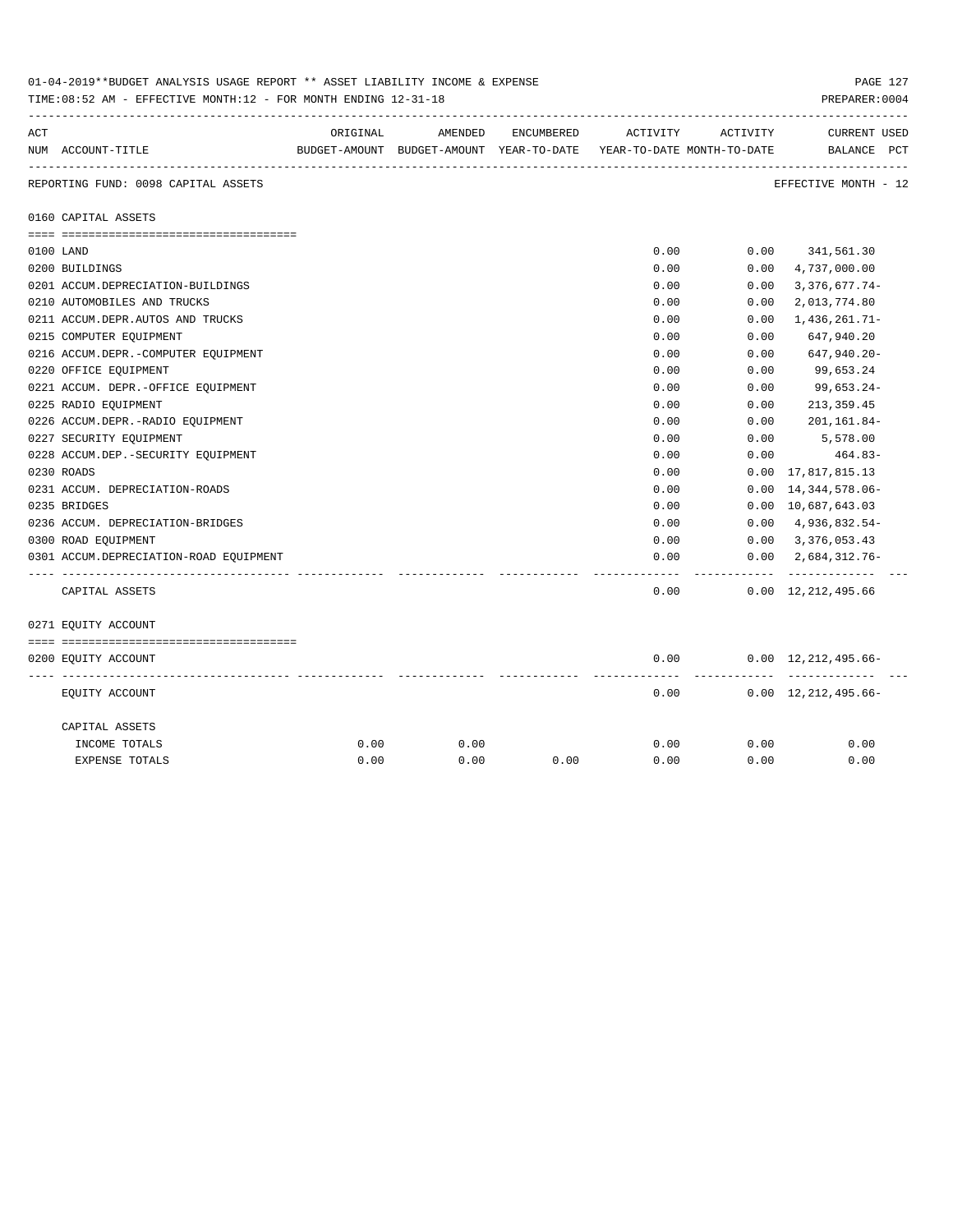|     | 01-04-2019**BUDGET ANALYSIS USAGE REPORT ** ASSET LIABILITY INCOME & EXPENSE<br>PAGE 127<br>TIME: 08:52 AM - EFFECTIVE MONTH: 12 - FOR MONTH ENDING 12-31-18<br>PREPARER: 0004 |          |         |            |                                                                     |           |                                             |  |  |  |  |
|-----|--------------------------------------------------------------------------------------------------------------------------------------------------------------------------------|----------|---------|------------|---------------------------------------------------------------------|-----------|---------------------------------------------|--|--|--|--|
| ACT |                                                                                                                                                                                | ORIGINAL | AMENDED | ENCUMBERED | ACTIVITY                                                            | ACTIVITY  | <b>CURRENT USED</b>                         |  |  |  |  |
|     | NUM ACCOUNT-TITLE                                                                                                                                                              |          |         |            | BUDGET-AMOUNT BUDGET-AMOUNT YEAR-TO-DATE YEAR-TO-DATE MONTH-TO-DATE |           | BALANCE PCT                                 |  |  |  |  |
|     | REPORTING FUND: 0098 CAPITAL ASSETS                                                                                                                                            |          |         |            |                                                                     |           | EFFECTIVE MONTH - 12                        |  |  |  |  |
|     | 0160 CAPITAL ASSETS                                                                                                                                                            |          |         |            |                                                                     |           |                                             |  |  |  |  |
|     |                                                                                                                                                                                |          |         |            |                                                                     |           |                                             |  |  |  |  |
|     | 0100 LAND<br>0200 BUILDINGS                                                                                                                                                    |          |         |            | 0.00<br>0.00                                                        | 0.00      | $0.00$ $341,561.30$<br>4,737,000.00         |  |  |  |  |
|     | 0201 ACCUM.DEPRECIATION-BUILDINGS                                                                                                                                              |          |         |            | 0.00                                                                | 0.00      | $3,376,677.74-$                             |  |  |  |  |
|     | 0210 AUTOMOBILES AND TRUCKS                                                                                                                                                    |          |         |            | 0.00                                                                | 0.00      | 2,013,774.80                                |  |  |  |  |
|     | 0211 ACCUM.DEPR.AUTOS AND TRUCKS                                                                                                                                               |          |         |            | 0.00                                                                | 0.00      | 1,436,261.71-                               |  |  |  |  |
|     | 0215 COMPUTER EQUIPMENT                                                                                                                                                        |          |         |            | 0.00                                                                | 0.00      | 647,940.20                                  |  |  |  |  |
|     | 0216 ACCUM.DEPR.-COMPUTER EQUIPMENT                                                                                                                                            |          |         |            | 0.00                                                                | 0.00      | 647,940.20-                                 |  |  |  |  |
|     | 0220 OFFICE EQUIPMENT                                                                                                                                                          |          |         |            | 0.00                                                                | 0.00      | 99,653.24                                   |  |  |  |  |
|     | 0221 ACCUM. DEPR. - OFFICE EQUIPMENT                                                                                                                                           |          |         |            | 0.00                                                                | 0.00      | 99,653.24-                                  |  |  |  |  |
|     | 0225 RADIO EQUIPMENT                                                                                                                                                           |          |         |            | 0.00                                                                | 0.00      | 213, 359.45                                 |  |  |  |  |
|     | 0226 ACCUM.DEPR.-RADIO EQUIPMENT                                                                                                                                               |          |         |            | 0.00                                                                | 0.00      | 201,161.84-                                 |  |  |  |  |
|     | 0227 SECURITY EQUIPMENT                                                                                                                                                        |          |         |            | 0.00                                                                | 0.00      | 5,578.00                                    |  |  |  |  |
|     | 0228 ACCUM.DEP. - SECURITY EQUIPMENT                                                                                                                                           |          |         |            | 0.00                                                                | 0.00      | 464.83-                                     |  |  |  |  |
|     | 0230 ROADS                                                                                                                                                                     |          |         |            | 0.00                                                                | 0.00      | 17,817,815.13                               |  |  |  |  |
|     | 0231 ACCUM. DEPRECIATION-ROADS                                                                                                                                                 |          |         |            | 0.00                                                                | 0.00      | 14,344,578.06-                              |  |  |  |  |
|     | 0235 BRIDGES                                                                                                                                                                   |          |         |            | 0.00                                                                |           | 0.00 10,687,643.03                          |  |  |  |  |
|     | 0236 ACCUM. DEPRECIATION-BRIDGES                                                                                                                                               |          |         |            | 0.00                                                                |           | $0.00 \quad 4,936,832.54$ -                 |  |  |  |  |
|     | 0300 ROAD EQUIPMENT                                                                                                                                                            |          |         |            | 0.00                                                                |           | $0.00 \quad 3,376,053.43$                   |  |  |  |  |
|     | 0301 ACCUM.DEPRECIATION-ROAD EQUIPMENT                                                                                                                                         |          |         |            | 0.00                                                                |           | $0.00 \quad 2.684.312.76 -$                 |  |  |  |  |
|     | CAPITAL ASSETS                                                                                                                                                                 |          |         |            | 0.00                                                                | --------- | -------------<br>$0.00 \quad 12,212,495.66$ |  |  |  |  |
|     | 0271 EQUITY ACCOUNT                                                                                                                                                            |          |         |            |                                                                     |           |                                             |  |  |  |  |
|     |                                                                                                                                                                                |          |         |            |                                                                     |           |                                             |  |  |  |  |
|     | 0200 EQUITY ACCOUNT                                                                                                                                                            |          |         |            | 0.00                                                                |           | $0.00 \quad 12,212,495.66 -$                |  |  |  |  |
|     | EQUITY ACCOUNT                                                                                                                                                                 |          |         |            | 0.00                                                                |           | $0.00 \quad 12,212,495.66-$                 |  |  |  |  |
|     | CAPITAL ASSETS                                                                                                                                                                 |          |         |            |                                                                     |           |                                             |  |  |  |  |
|     | INCOME TOTALS                                                                                                                                                                  | 0.00     | 0.00    |            | 0.00                                                                | 0.00      | 0.00                                        |  |  |  |  |
|     | EXPENSE TOTALS                                                                                                                                                                 | 0.00     | 0.00    | 0.00       | 0.00                                                                | 0.00      | 0.00                                        |  |  |  |  |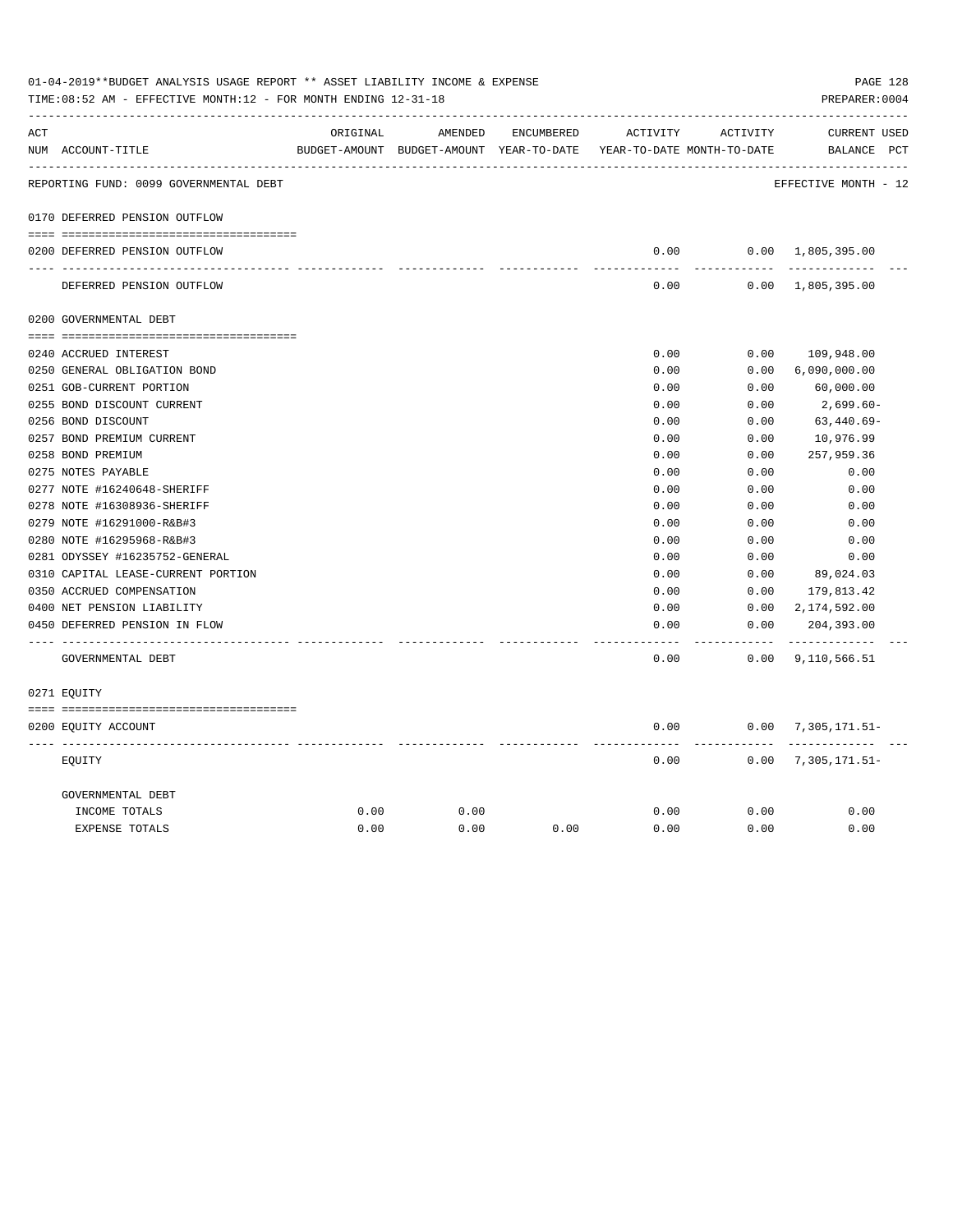|     | 01-04-2019**BUDGET ANALYSIS USAGE REPORT ** ASSET LIABILITY INCOME & EXPENSE<br>PAGE 128<br>TIME: 08:52 AM - EFFECTIVE MONTH: 12 - FOR MONTH ENDING 12-31-18<br>PREPARER: 0004 |          |                                                                     |            |               |                       |                             |  |  |  |  |
|-----|--------------------------------------------------------------------------------------------------------------------------------------------------------------------------------|----------|---------------------------------------------------------------------|------------|---------------|-----------------------|-----------------------------|--|--|--|--|
| ACT |                                                                                                                                                                                | ORIGINAL | AMENDED                                                             | ENCUMBERED | ACTIVITY      | ACTIVITY              | CURRENT USED                |  |  |  |  |
|     | NUM ACCOUNT-TITLE                                                                                                                                                              |          | BUDGET-AMOUNT BUDGET-AMOUNT YEAR-TO-DATE YEAR-TO-DATE MONTH-TO-DATE |            |               |                       | BALANCE PCT                 |  |  |  |  |
|     | REPORTING FUND: 0099 GOVERNMENTAL DEBT                                                                                                                                         |          |                                                                     |            |               |                       | EFFECTIVE MONTH - 12        |  |  |  |  |
|     | 0170 DEFERRED PENSION OUTFLOW                                                                                                                                                  |          |                                                                     |            |               |                       |                             |  |  |  |  |
|     | 0200 DEFERRED PENSION OUTFLOW                                                                                                                                                  |          |                                                                     |            | 0.00          |                       | $0.00 \quad 1,805,395.00$   |  |  |  |  |
|     | DEFERRED PENSION OUTFLOW                                                                                                                                                       |          |                                                                     |            | 0.00          |                       | $0.00 \quad 1,805,395.00$   |  |  |  |  |
|     | 0200 GOVERNMENTAL DEBT                                                                                                                                                         |          |                                                                     |            |               |                       |                             |  |  |  |  |
|     | 0240 ACCRUED INTEREST                                                                                                                                                          |          |                                                                     |            | 0.00          | 0.00                  | 109,948.00                  |  |  |  |  |
|     | 0250 GENERAL OBLIGATION BOND                                                                                                                                                   |          |                                                                     |            | 0.00          | 0.00                  | 6,090,000.00                |  |  |  |  |
|     | 0251 GOB-CURRENT PORTION                                                                                                                                                       |          |                                                                     |            | 0.00          | 0.00                  | 60,000.00                   |  |  |  |  |
|     | 0255 BOND DISCOUNT CURRENT                                                                                                                                                     |          |                                                                     |            | 0.00          | 0.00                  | 2,699.60-                   |  |  |  |  |
|     | 0256 BOND DISCOUNT                                                                                                                                                             |          |                                                                     |            | 0.00          | 0.00                  | $63,440.69-$                |  |  |  |  |
|     | 0257 BOND PREMIUM CURRENT                                                                                                                                                      |          |                                                                     |            | 0.00          | 0.00                  | 10,976.99                   |  |  |  |  |
|     | 0258 BOND PREMIUM                                                                                                                                                              |          |                                                                     |            | 0.00          | 0.00                  | 257,959.36                  |  |  |  |  |
|     | 0275 NOTES PAYABLE                                                                                                                                                             |          |                                                                     |            | 0.00          | 0.00                  | 0.00                        |  |  |  |  |
|     | 0277 NOTE #16240648-SHERIFF                                                                                                                                                    |          |                                                                     |            | 0.00          | 0.00                  | 0.00                        |  |  |  |  |
|     | 0278 NOTE #16308936-SHERIFF                                                                                                                                                    |          |                                                                     |            | 0.00          | 0.00                  | 0.00                        |  |  |  |  |
|     | 0279 NOTE #16291000-R&B#3                                                                                                                                                      |          |                                                                     |            | 0.00          | 0.00                  | 0.00                        |  |  |  |  |
|     | 0280 NOTE #16295968-R&B#3                                                                                                                                                      |          |                                                                     |            | 0.00          | 0.00                  | 0.00                        |  |  |  |  |
|     | 0281 ODYSSEY #16235752-GENERAL                                                                                                                                                 |          |                                                                     |            | 0.00          | 0.00                  | 0.00                        |  |  |  |  |
|     | 0310 CAPITAL LEASE-CURRENT PORTION                                                                                                                                             |          |                                                                     |            | 0.00          | 0.00                  | 89,024.03                   |  |  |  |  |
|     | 0350 ACCRUED COMPENSATION                                                                                                                                                      |          |                                                                     |            | 0.00          | 0.00                  | 179,813.42                  |  |  |  |  |
|     | 0400 NET PENSION LIABILITY                                                                                                                                                     |          |                                                                     |            | 0.00          | 0.00                  | 2,174,592.00                |  |  |  |  |
|     | 0450 DEFERRED PENSION IN FLOW                                                                                                                                                  |          |                                                                     |            | 0.00<br>----- | 0.00<br>$- - - - - -$ | 204,393.00<br>------------- |  |  |  |  |
|     | GOVERNMENTAL DEBT                                                                                                                                                              |          |                                                                     |            | 0.00          |                       | $0.00$ 9, 110, 566.51       |  |  |  |  |
|     | 0271 EQUITY                                                                                                                                                                    |          |                                                                     |            |               |                       |                             |  |  |  |  |
|     | 0200 EQUITY ACCOUNT                                                                                                                                                            |          |                                                                     |            | 0.00          |                       | $0.00$ 7, 305, 171.51-      |  |  |  |  |
|     | EOUITY                                                                                                                                                                         |          |                                                                     |            | 0.00          |                       | $0.00$ 7, 305, 171.51-      |  |  |  |  |
|     | GOVERNMENTAL DEBT                                                                                                                                                              |          |                                                                     |            |               |                       |                             |  |  |  |  |
|     | INCOME TOTALS                                                                                                                                                                  | 0.00     | 0.00                                                                |            | 0.00          | 0.00                  | 0.00                        |  |  |  |  |
|     | <b>EXPENSE TOTALS</b>                                                                                                                                                          | 0.00     | 0.00                                                                | 0.00       | 0.00          | 0.00                  | 0.00                        |  |  |  |  |